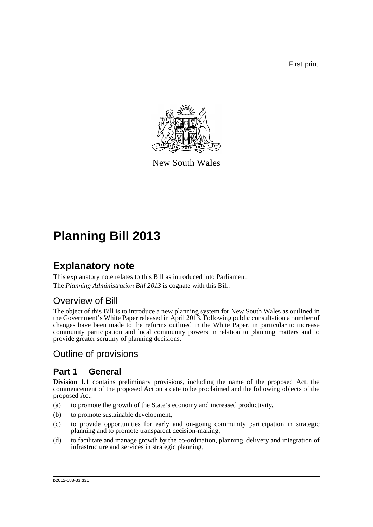First print



New South Wales

## **Planning Bill 2013**

## **Explanatory note**

This explanatory note relates to this Bill as introduced into Parliament. The *Planning Administration Bill 2013* is cognate with this Bill.

## Overview of Bill

The object of this Bill is to introduce a new planning system for New South Wales as outlined in the Government's White Paper released in April 2013. Following public consultation a number of changes have been made to the reforms outlined in the White Paper, in particular to increase community participation and local community powers in relation to planning matters and to provide greater scrutiny of planning decisions.

## Outline of provisions

## **Part 1 General**

**Division 1.1** contains preliminary provisions, including the name of the proposed Act, the commencement of the proposed Act on a date to be proclaimed and the following objects of the proposed Act:

- (a) to promote the growth of the State's economy and increased productivity,
- (b) to promote sustainable development,
- (c) to provide opportunities for early and on-going community participation in strategic planning and to promote transparent decision-making,
- (d) to facilitate and manage growth by the co-ordination, planning, delivery and integration of infrastructure and services in strategic planning,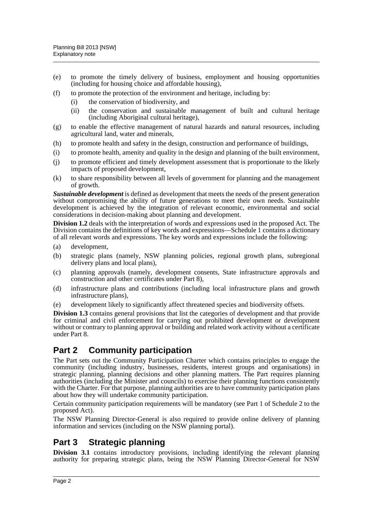- (e) to promote the timely delivery of business, employment and housing opportunities (including for housing choice and affordable housing),
- $(f)$  to promote the protection of the environment and heritage, including by:
	- (i) the conservation of biodiversity, and
	- (ii) the conservation and sustainable management of built and cultural heritage (including Aboriginal cultural heritage),
- (g) to enable the effective management of natural hazards and natural resources, including agricultural land, water and minerals,
- (h) to promote health and safety in the design, construction and performance of buildings,
- (i) to promote health, amenity and quality in the design and planning of the built environment,
- (j) to promote efficient and timely development assessment that is proportionate to the likely impacts of proposed development,
- (k) to share responsibility between all levels of government for planning and the management of growth.

*Sustainable development* is defined as development that meets the needs of the present generation without compromising the ability of future generations to meet their own needs. Sustainable development is achieved by the integration of relevant economic, environmental and social considerations in decision-making about planning and development.

**Division 1.2** deals with the interpretation of words and expressions used in the proposed Act. The Division contains the definitions of key words and expressions—Schedule 1 contains a dictionary of all relevant words and expressions. The key words and expressions include the following:

- (a) development,
- (b) strategic plans (namely, NSW planning policies, regional growth plans, subregional delivery plans and local plans),
- (c) planning approvals (namely, development consents, State infrastructure approvals and construction and other certificates under Part 8),
- (d) infrastructure plans and contributions (including local infrastructure plans and growth infrastructure plans),
- (e) development likely to significantly affect threatened species and biodiversity offsets.

**Division 1.3** contains general provisions that list the categories of development and that provide for criminal and civil enforcement for carrying out prohibited development or development without or contrary to planning approval or building and related work activity without a certificate under Part 8.

## **Part 2 Community participation**

The Part sets out the Community Participation Charter which contains principles to engage the community (including industry, businesses, residents, interest groups and organisations) in strategic planning, planning decisions and other planning matters. The Part requires planning authorities (including the Minister and councils) to exercise their planning functions consistently with the Charter. For that purpose, planning authorities are to have community participation plans about how they will undertake community participation.

Certain community participation requirements will be mandatory (see Part 1 of Schedule 2 to the proposed Act).

The NSW Planning Director-General is also required to provide online delivery of planning information and services (including on the NSW planning portal).

## **Part 3 Strategic planning**

**Division 3.1** contains introductory provisions, including identifying the relevant planning authority for preparing strategic plans, being the NSW Planning Director-General for NSW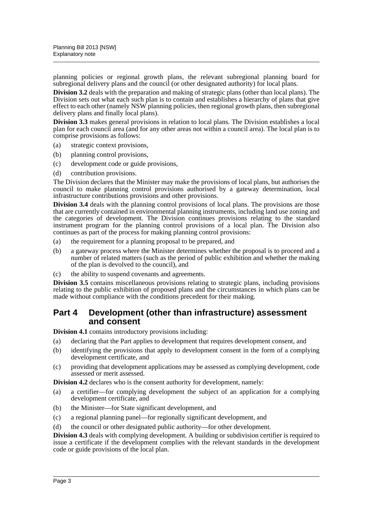planning policies or regional growth plans, the relevant subregional planning board for subregional delivery plans and the council (or other designated authority) for local plans.

**Division 3.2** deals with the preparation and making of strategic plans (other than local plans). The Division sets out what each such plan is to contain and establishes a hierarchy of plans that give effect to each other (namely NSW planning policies, then regional growth plans, then subregional delivery plans and finally local plans).

**Division 3.3** makes general provisions in relation to local plans. The Division establishes a local plan for each council area (and for any other areas not within a council area). The local plan is to comprise provisions as follows:

- (a) strategic context provisions,
- (b) planning control provisions,
- (c) development code or guide provisions,
- (d) contribution provisions.

The Division declares that the Minister may make the provisions of local plans, but authorises the council to make planning control provisions authorised by a gateway determination, local infrastructure contributions provisions and other provisions.

**Division 3.4** deals with the planning control provisions of local plans. The provisions are those that are currently contained in environmental planning instruments, including land use zoning and the categories of development. The Division continues provisions relating to the standard instrument program for the planning control provisions of a local plan. The Division also continues as part of the process for making planning control provisions:

- (a) the requirement for a planning proposal to be prepared, and
- (b) a gateway process where the Minister determines whether the proposal is to proceed and a number of related matters (such as the period of public exhibition and whether the making of the plan is devolved to the council), and
- (c) the ability to suspend covenants and agreements.

**Division 3.5** contains miscellaneous provisions relating to strategic plans, including provisions relating to the public exhibition of proposed plans and the circumstances in which plans can be made without compliance with the conditions precedent for their making.

#### **Part 4 Development (other than infrastructure) assessment and consent**

**Division 4.1** contains introductory provisions including:

- (a) declaring that the Part applies to development that requires development consent, and
- (b) identifying the provisions that apply to development consent in the form of a complying development certificate, and
- (c) providing that development applications may be assessed as complying development, code assessed or merit assessed.

**Division 4.2** declares who is the consent authority for development, namely:

- (a) a certifier—for complying development the subject of an application for a complying development certificate, and
- (b) the Minister—for State significant development, and
- (c) a regional planning panel—for regionally significant development, and
- (d) the council or other designated public authority—for other development.

**Division 4.3** deals with complying development. A building or subdivision certifier is required to issue a certificate if the development complies with the relevant standards in the development code or guide provisions of the local plan.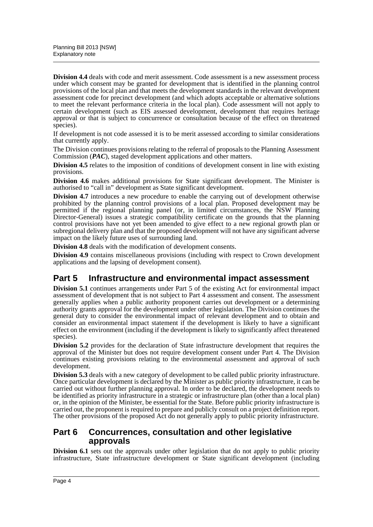**Division 4.4** deals with code and merit assessment. Code assessment is a new assessment process under which consent may be granted for development that is identified in the planning control provisions of the local plan and that meets the development standards in the relevant development assessment code for precinct development (and which adopts acceptable or alternative solutions to meet the relevant performance criteria in the local plan). Code assessment will not apply to certain development (such as EIS assessed development, development that requires heritage approval or that is subject to concurrence or consultation because of the effect on threatened species).

If development is not code assessed it is to be merit assessed according to similar considerations that currently apply.

The Division continues provisions relating to the referral of proposals to the Planning Assessment Commission (*PAC*), staged development applications and other matters.

**Division 4.5** relates to the imposition of conditions of development consent in line with existing provisions.

**Division 4.6** makes additional provisions for State significant development. The Minister is authorised to "call in" development as State significant development.

**Division 4.7** introduces a new procedure to enable the carrying out of development otherwise prohibited by the planning control provisions of a local plan. Proposed development may be permitted if the regional planning panel (or, in limited circumstances, the NSW Planning Director-General) issues a strategic compatibility certificate on the grounds that the planning control provisions have not yet been amended to give effect to a new regional growth plan or subregional delivery plan and that the proposed development will not have any significant adverse impact on the likely future uses of surrounding land.

**Division 4.8** deals with the modification of development consents.

**Division 4.9** contains miscellaneous provisions (including with respect to Crown development applications and the lapsing of development consent).

## **Part 5 Infrastructure and environmental impact assessment**

**Division 5.1** continues arrangements under Part 5 of the existing Act for environmental impact assessment of development that is not subject to Part 4 assessment and consent. The assessment generally applies when a public authority proponent carries out development or a determining authority grants approval for the development under other legislation. The Division continues the general duty to consider the environmental impact of relevant development and to obtain and consider an environmental impact statement if the development is likely to have a significant effect on the environment (including if the development is likely to significantly affect threatened species).

**Division 5.2** provides for the declaration of State infrastructure development that requires the approval of the Minister but does not require development consent under Part 4. The Division continues existing provisions relating to the environmental assessment and approval of such development.

**Division 5.3** deals with a new category of development to be called public priority infrastructure. Once particular development is declared by the Minister as public priority infrastructure, it can be carried out without further planning approval. In order to be declared, the development needs to be identified as priority infrastructure in a strategic or infrastructure plan (other than a local plan) or, in the opinion of the Minister, be essential for the State. Before public priority infrastructure is carried out, the proponent is required to prepare and publicly consult on a project definition report. The other provisions of the proposed Act do not generally apply to public priority infrastructure.

#### **Part 6 Concurrences, consultation and other legislative approvals**

**Division 6.1** sets out the approvals under other legislation that do not apply to public priority infrastructure, State infrastructure development or State significant development (including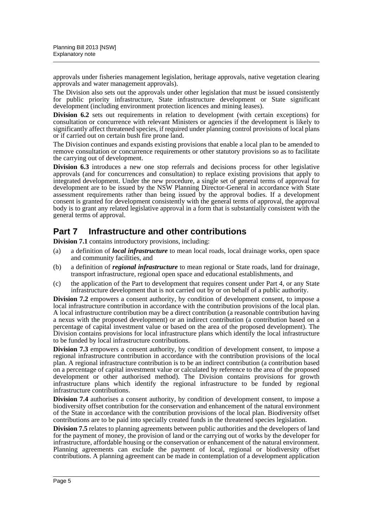approvals under fisheries management legislation, heritage approvals, native vegetation clearing approvals and water management approvals).

The Division also sets out the approvals under other legislation that must be issued consistently for public priority infrastructure, State infrastructure development or State significant development (including environment protection licences and mining leases).

**Division 6.2** sets out requirements in relation to development (with certain exceptions) for consultation or concurrence with relevant Ministers or agencies if the development is likely to significantly affect threatened species, if required under planning control provisions of local plans or if carried out on certain bush fire prone land.

The Division continues and expands existing provisions that enable a local plan to be amended to remove consultation or concurrence requirements or other statutory provisions so as to facilitate the carrying out of development.

**Division 6.3** introduces a new one stop referrals and decisions process for other legislative approvals (and for concurrences and consultation) to replace existing provisions that apply to integrated development. Under the new procedure, a single set of general terms of approval for development are to be issued by the NSW Planning Director-General in accordance with State assessment requirements rather than being issued by the approval bodies. If a development consent is granted for development consistently with the general terms of approval, the approval body is to grant any related legislative approval in a form that is substantially consistent with the general terms of approval.

### **Part 7 Infrastructure and other contributions**

**Division 7.1** contains introductory provisions, including:

- (a) a definition of *local infrastructure* to mean local roads, local drainage works, open space and community facilities, and
- (b) a definition of *regional infrastructure* to mean regional or State roads, land for drainage, transport infrastructure, regional open space and educational establishments, and
- (c) the application of the Part to development that requires consent under Part 4, or any State infrastructure development that is not carried out by or on behalf of a public authority.

**Division 7.2** empowers a consent authority, by condition of development consent, to impose a local infrastructure contribution in accordance with the contribution provisions of the local plan. A local infrastructure contribution may be a direct contribution (a reasonable contribution having a nexus with the proposed development) or an indirect contribution (a contribution based on a percentage of capital investment value or based on the area of the proposed development). The Division contains provisions for local infrastructure plans which identify the local infrastructure to be funded by local infrastructure contributions.

**Division 7.3** empowers a consent authority, by condition of development consent, to impose a regional infrastructure contribution in accordance with the contribution provisions of the local plan. A regional infrastructure contribution is to be an indirect contribution (a contribution based on a percentage of capital investment value or calculated by reference to the area of the proposed development or other authorised method). The Division contains provisions for growth infrastructure plans which identify the regional infrastructure to be funded by regional infrastructure contributions.

**Division 7.4** authorises a consent authority, by condition of development consent, to impose a biodiversity offset contribution for the conservation and enhancement of the natural environment of the State in accordance with the contribution provisions of the local plan. Biodiversity offset contributions are to be paid into specially created funds in the threatened species legislation.

**Division 7.5** relates to planning agreements between public authorities and the developers of land for the payment of money, the provision of land or the carrying out of works by the developer for infrastructure, affordable housing or the conservation or enhancement of the natural environment. Planning agreements can exclude the payment of local, regional or biodiversity offset contributions. A planning agreement can be made in contemplation of a development application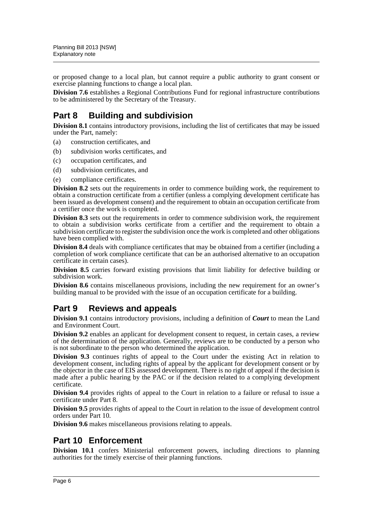or proposed change to a local plan, but cannot require a public authority to grant consent or exercise planning functions to change a local plan.

**Division 7.6** establishes a Regional Contributions Fund for regional infrastructure contributions to be administered by the Secretary of the Treasury.

## **Part 8 Building and subdivision**

**Division 8.1** contains introductory provisions, including the list of certificates that may be issued under the Part, namely:

- (a) construction certificates, and
- (b) subdivision works certificates, and
- (c) occupation certificates, and
- (d) subdivision certificates, and
- (e) compliance certificates.

**Division 8.2** sets out the requirements in order to commence building work, the requirement to obtain a construction certificate from a certifier (unless a complying development certificate has been issued as development consent) and the requirement to obtain an occupation certificate from a certifier once the work is completed.

**Division 8.3** sets out the requirements in order to commence subdivision work, the requirement to obtain a subdivision works certificate from a certifier and the requirement to obtain a subdivision certificate to register the subdivision once the work is completed and other obligations have been complied with.

**Division 8.4** deals with compliance certificates that may be obtained from a certifier (including a completion of work compliance certificate that can be an authorised alternative to an occupation certificate in certain cases).

**Division 8.5** carries forward existing provisions that limit liability for defective building or subdivision work.

**Division 8.6** contains miscellaneous provisions, including the new requirement for an owner's building manual to be provided with the issue of an occupation certificate for a building.

### **Part 9 Reviews and appeals**

**Division 9.1** contains introductory provisions, including a definition of *Court* to mean the Land and Environment Court.

**Division 9.2** enables an applicant for development consent to request, in certain cases, a review of the determination of the application. Generally, reviews are to be conducted by a person who is not subordinate to the person who determined the application.

**Division 9.3** continues rights of appeal to the Court under the existing Act in relation to development consent, including rights of appeal by the applicant for development consent or by the objector in the case of EIS assessed development. There is no right of appeal if the decision is made after a public hearing by the PAC or if the decision related to a complying development certificate.

**Division 9.4** provides rights of appeal to the Court in relation to a failure or refusal to issue a certificate under Part 8.

**Division 9.5** provides rights of appeal to the Court in relation to the issue of development control orders under Part 10.

**Division 9.6** makes miscellaneous provisions relating to appeals.

### **Part 10 Enforcement**

**Division 10.1** confers Ministerial enforcement powers, including directions to planning authorities for the timely exercise of their planning functions.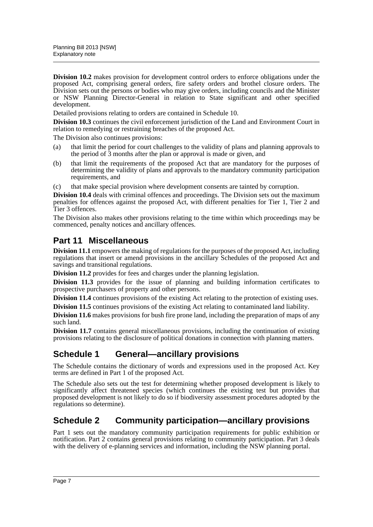Planning Bill 2013 [NSW] Explanatory note

**Division 10.2** makes provision for development control orders to enforce obligations under the proposed Act, comprising general orders, fire safety orders and brothel closure orders. The Division sets out the persons or bodies who may give orders, including councils and the Minister or NSW Planning Director-General in relation to State significant and other specified development.

Detailed provisions relating to orders are contained in Schedule 10.

**Division 10.3** continues the civil enforcement jurisdiction of the Land and Environment Court in relation to remedying or restraining breaches of the proposed Act.

The Division also continues provisions:

- (a) that limit the period for court challenges to the validity of plans and planning approvals to the period of 3 months after the plan or approval is made or given, and
- (b) that limit the requirements of the proposed Act that are mandatory for the purposes of determining the validity of plans and approvals to the mandatory community participation requirements, and
- (c) that make special provision where development consents are tainted by corruption.

**Division 10.4** deals with criminal offences and proceedings. The Division sets out the maximum penalties for offences against the proposed Act, with different penalties for Tier 1, Tier 2 and Tier 3 offences.

The Division also makes other provisions relating to the time within which proceedings may be commenced, penalty notices and ancillary offences.

## **Part 11 Miscellaneous**

**Division 11.1** empowers the making of regulations for the purposes of the proposed Act, including regulations that insert or amend provisions in the ancillary Schedules of the proposed Act and savings and transitional regulations.

**Division 11.2** provides for fees and charges under the planning legislation.

**Division 11.3** provides for the issue of planning and building information certificates to prospective purchasers of property and other persons.

**Division 11.4** continues provisions of the existing Act relating to the protection of existing uses.

**Division 11.5** continues provisions of the existing Act relating to contaminated land liability.

**Division 11.6** makes provisions for bush fire prone land, including the preparation of maps of any such land.

**Division 11.7** contains general miscellaneous provisions, including the continuation of existing provisions relating to the disclosure of political donations in connection with planning matters.

### **Schedule 1 General—ancillary provisions**

The Schedule contains the dictionary of words and expressions used in the proposed Act. Key terms are defined in Part 1 of the proposed Act.

The Schedule also sets out the test for determining whether proposed development is likely to significantly affect threatened species (which continues the existing test but provides that proposed development is not likely to do so if biodiversity assessment procedures adopted by the regulations so determine).

## **Schedule 2 Community participation—ancillary provisions**

Part 1 sets out the mandatory community participation requirements for public exhibition or notification. Part 2 contains general provisions relating to community participation. Part 3 deals with the delivery of e-planning services and information, including the NSW planning portal.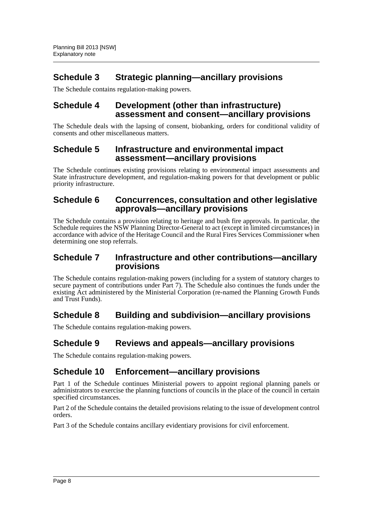## **Schedule 3 Strategic planning—ancillary provisions**

The Schedule contains regulation-making powers.

#### **Schedule 4 Development (other than infrastructure) assessment and consent—ancillary provisions**

The Schedule deals with the lapsing of consent, biobanking, orders for conditional validity of consents and other miscellaneous matters.

#### **Schedule 5 Infrastructure and environmental impact assessment—ancillary provisions**

The Schedule continues existing provisions relating to environmental impact assessments and State infrastructure development, and regulation-making powers for that development or public priority infrastructure.

#### **Schedule 6 Concurrences, consultation and other legislative approvals—ancillary provisions**

The Schedule contains a provision relating to heritage and bush fire approvals. In particular, the Schedule requires the NSW Planning Director-General to act (except in limited circumstances) in accordance with advice of the Heritage Council and the Rural Fires Services Commissioner when determining one stop referrals.

#### **Schedule 7 Infrastructure and other contributions—ancillary provisions**

The Schedule contains regulation-making powers (including for a system of statutory charges to secure payment of contributions under Part 7). The Schedule also continues the funds under the existing Act administered by the Ministerial Corporation (re-named the Planning Growth Funds and Trust Funds).

## **Schedule 8 Building and subdivision—ancillary provisions**

The Schedule contains regulation-making powers.

## **Schedule 9 Reviews and appeals—ancillary provisions**

The Schedule contains regulation-making powers.

## **Schedule 10 Enforcement—ancillary provisions**

Part 1 of the Schedule continues Ministerial powers to appoint regional planning panels or administrators to exercise the planning functions of councils in the place of the council in certain specified circumstances.

Part 2 of the Schedule contains the detailed provisions relating to the issue of development control orders.

Part 3 of the Schedule contains ancillary evidentiary provisions for civil enforcement.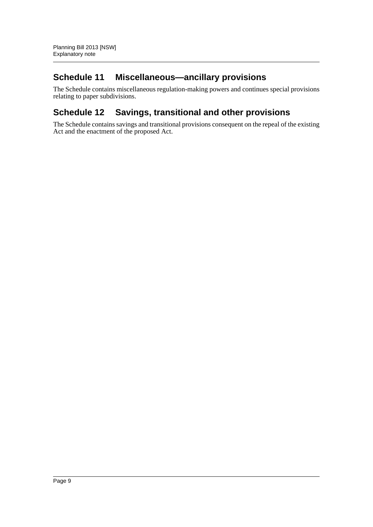## **Schedule 11 Miscellaneous—ancillary provisions**

The Schedule contains miscellaneous regulation-making powers and continues special provisions relating to paper subdivisions.

## **Schedule 12 Savings, transitional and other provisions**

The Schedule contains savings and transitional provisions consequent on the repeal of the existing Act and the enactment of the proposed Act.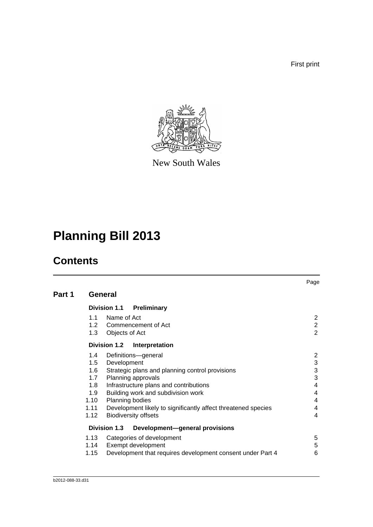First print



New South Wales

# **Planning Bill 2013**

## **Contents**

|                                                                       | Page                                                                                                         |
|-----------------------------------------------------------------------|--------------------------------------------------------------------------------------------------------------|
| General                                                               |                                                                                                              |
| <b>Division 1.1</b><br><b>Preliminary</b>                             |                                                                                                              |
| 1.1<br>Name of Act                                                    | 2                                                                                                            |
| 1.2 Commencement of Act                                               | $\overline{2}$                                                                                               |
| 1.3<br>Objects of Act                                                 | $\overline{2}$                                                                                               |
| <b>Division 1.2</b><br>Interpretation                                 |                                                                                                              |
| $1.4^{\circ}$<br>Definitions-general                                  | 2                                                                                                            |
| 1.5<br>Development                                                    | $\sqrt{3}$                                                                                                   |
| 1.6                                                                   | $\mathbf{3}$                                                                                                 |
| 1.7<br>Planning approvals                                             | 3                                                                                                            |
| Infrastructure plans and contributions<br>1.8                         | 4                                                                                                            |
| 1.9 <sup>°</sup><br>Building work and subdivision work                | 4                                                                                                            |
| Planning bodies<br>1.10                                               | $\overline{4}$                                                                                               |
| 1.11<br>Development likely to significantly affect threatened species | 4                                                                                                            |
| 1.12<br><b>Biodiversity offsets</b>                                   | $\overline{\mathbf{4}}$                                                                                      |
| <b>Division 1.3</b><br>Development-general provisions                 |                                                                                                              |
|                                                                       | 5                                                                                                            |
|                                                                       | 5                                                                                                            |
| 1.15<br>Development that requires development consent under Part 4    | 6                                                                                                            |
|                                                                       | Strategic plans and planning control provisions<br>1.13 Categories of development<br>1.14 Exempt development |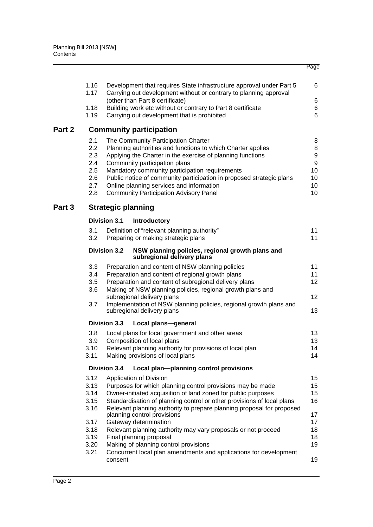| 6<br>1.16<br>Development that requires State infrastructure approval under Part 5<br>1.17<br>Carrying out development without or contrary to planning approval<br>$\,6$<br>(other than Part 8 certificate)<br>Building work etc without or contrary to Part 8 certificate<br>6<br>1.18<br>Carrying out development that is prohibited<br>6<br>1.19<br><b>Community participation</b><br>2.1<br>8<br>The Community Participation Charter<br>2.2<br>Planning authorities and functions to which Charter applies<br>8<br>9<br>2.3<br>Applying the Charter in the exercise of planning functions<br>$\boldsymbol{9}$<br>2.4<br>Community participation plans<br>Mandatory community participation requirements<br>10<br>2.5<br>Public notice of community participation in proposed strategic plans<br>2.6<br>10<br>Online planning services and information<br>2.7<br>10<br><b>Community Participation Advisory Panel</b><br>10<br>2.8<br><b>Strategic planning</b><br><b>Division 3.1</b><br>Introductory<br>3.1<br>Definition of "relevant planning authority"<br>11<br>Preparing or making strategic plans<br>11<br>3.2<br>NSW planning policies, regional growth plans and<br>Division 3.2<br>subregional delivery plans<br>3.3<br>11<br>Preparation and content of NSW planning policies<br>Preparation and content of regional growth plans<br>11<br>3.4<br>3.5<br>Preparation and content of subregional delivery plans<br>12<br>Making of NSW planning policies, regional growth plans and<br>3.6<br>subregional delivery plans<br>12<br>3.7<br>Implementation of NSW planning policies, regional growth plans and<br>13<br>subregional delivery plans<br><b>Division 3.3</b><br>Local plans-general<br>3.8<br>13<br>Local plans for local government and other areas<br>3.9<br>Composition of local plans<br>13<br>Relevant planning authority for provisions of local plan<br>3.10<br>14<br>3.11<br>Making provisions of local plans<br>14<br><b>Division 3.4</b><br>Local plan-planning control provisions<br>3.12<br>Application of Division<br>15<br>3.13<br>Purposes for which planning control provisions may be made<br>15 <sub>15</sub><br>3.14<br>Owner-initiated acquisition of land zoned for public purposes<br>15 <sub>15</sub><br>3.15<br>Standardisation of planning control or other provisions of local plans<br>16<br>3.16<br>Relevant planning authority to prepare planning proposal for proposed<br>planning control provisions<br>17<br>3.17<br>Gateway determination<br>17<br>3.18<br>Relevant planning authority may vary proposals or not proceed<br>18<br>Final planning proposal<br>18<br>3.19<br>Making of planning control provisions<br>19<br>3.20<br>3.21<br>Concurrent local plan amendments and applications for development<br>19<br>consent |        |  |  |
|--------------------------------------------------------------------------------------------------------------------------------------------------------------------------------------------------------------------------------------------------------------------------------------------------------------------------------------------------------------------------------------------------------------------------------------------------------------------------------------------------------------------------------------------------------------------------------------------------------------------------------------------------------------------------------------------------------------------------------------------------------------------------------------------------------------------------------------------------------------------------------------------------------------------------------------------------------------------------------------------------------------------------------------------------------------------------------------------------------------------------------------------------------------------------------------------------------------------------------------------------------------------------------------------------------------------------------------------------------------------------------------------------------------------------------------------------------------------------------------------------------------------------------------------------------------------------------------------------------------------------------------------------------------------------------------------------------------------------------------------------------------------------------------------------------------------------------------------------------------------------------------------------------------------------------------------------------------------------------------------------------------------------------------------------------------------------------------------------------------------------------------------------------------------------------------------------------------------------------------------------------------------------------------------------------------------------------------------------------------------------------------------------------------------------------------------------------------------------------------------------------------------------------------------------------------------------------------------------------------------------------------------------------------------------------------------------------------------------------------------------------------------------------------|--------|--|--|
|                                                                                                                                                                                                                                                                                                                                                                                                                                                                                                                                                                                                                                                                                                                                                                                                                                                                                                                                                                                                                                                                                                                                                                                                                                                                                                                                                                                                                                                                                                                                                                                                                                                                                                                                                                                                                                                                                                                                                                                                                                                                                                                                                                                                                                                                                                                                                                                                                                                                                                                                                                                                                                                                                                                                                                                      |        |  |  |
|                                                                                                                                                                                                                                                                                                                                                                                                                                                                                                                                                                                                                                                                                                                                                                                                                                                                                                                                                                                                                                                                                                                                                                                                                                                                                                                                                                                                                                                                                                                                                                                                                                                                                                                                                                                                                                                                                                                                                                                                                                                                                                                                                                                                                                                                                                                                                                                                                                                                                                                                                                                                                                                                                                                                                                                      |        |  |  |
|                                                                                                                                                                                                                                                                                                                                                                                                                                                                                                                                                                                                                                                                                                                                                                                                                                                                                                                                                                                                                                                                                                                                                                                                                                                                                                                                                                                                                                                                                                                                                                                                                                                                                                                                                                                                                                                                                                                                                                                                                                                                                                                                                                                                                                                                                                                                                                                                                                                                                                                                                                                                                                                                                                                                                                                      |        |  |  |
|                                                                                                                                                                                                                                                                                                                                                                                                                                                                                                                                                                                                                                                                                                                                                                                                                                                                                                                                                                                                                                                                                                                                                                                                                                                                                                                                                                                                                                                                                                                                                                                                                                                                                                                                                                                                                                                                                                                                                                                                                                                                                                                                                                                                                                                                                                                                                                                                                                                                                                                                                                                                                                                                                                                                                                                      | Part 2 |  |  |
|                                                                                                                                                                                                                                                                                                                                                                                                                                                                                                                                                                                                                                                                                                                                                                                                                                                                                                                                                                                                                                                                                                                                                                                                                                                                                                                                                                                                                                                                                                                                                                                                                                                                                                                                                                                                                                                                                                                                                                                                                                                                                                                                                                                                                                                                                                                                                                                                                                                                                                                                                                                                                                                                                                                                                                                      |        |  |  |
|                                                                                                                                                                                                                                                                                                                                                                                                                                                                                                                                                                                                                                                                                                                                                                                                                                                                                                                                                                                                                                                                                                                                                                                                                                                                                                                                                                                                                                                                                                                                                                                                                                                                                                                                                                                                                                                                                                                                                                                                                                                                                                                                                                                                                                                                                                                                                                                                                                                                                                                                                                                                                                                                                                                                                                                      | Part 3 |  |  |
|                                                                                                                                                                                                                                                                                                                                                                                                                                                                                                                                                                                                                                                                                                                                                                                                                                                                                                                                                                                                                                                                                                                                                                                                                                                                                                                                                                                                                                                                                                                                                                                                                                                                                                                                                                                                                                                                                                                                                                                                                                                                                                                                                                                                                                                                                                                                                                                                                                                                                                                                                                                                                                                                                                                                                                                      |        |  |  |
|                                                                                                                                                                                                                                                                                                                                                                                                                                                                                                                                                                                                                                                                                                                                                                                                                                                                                                                                                                                                                                                                                                                                                                                                                                                                                                                                                                                                                                                                                                                                                                                                                                                                                                                                                                                                                                                                                                                                                                                                                                                                                                                                                                                                                                                                                                                                                                                                                                                                                                                                                                                                                                                                                                                                                                                      |        |  |  |
|                                                                                                                                                                                                                                                                                                                                                                                                                                                                                                                                                                                                                                                                                                                                                                                                                                                                                                                                                                                                                                                                                                                                                                                                                                                                                                                                                                                                                                                                                                                                                                                                                                                                                                                                                                                                                                                                                                                                                                                                                                                                                                                                                                                                                                                                                                                                                                                                                                                                                                                                                                                                                                                                                                                                                                                      |        |  |  |
|                                                                                                                                                                                                                                                                                                                                                                                                                                                                                                                                                                                                                                                                                                                                                                                                                                                                                                                                                                                                                                                                                                                                                                                                                                                                                                                                                                                                                                                                                                                                                                                                                                                                                                                                                                                                                                                                                                                                                                                                                                                                                                                                                                                                                                                                                                                                                                                                                                                                                                                                                                                                                                                                                                                                                                                      |        |  |  |
|                                                                                                                                                                                                                                                                                                                                                                                                                                                                                                                                                                                                                                                                                                                                                                                                                                                                                                                                                                                                                                                                                                                                                                                                                                                                                                                                                                                                                                                                                                                                                                                                                                                                                                                                                                                                                                                                                                                                                                                                                                                                                                                                                                                                                                                                                                                                                                                                                                                                                                                                                                                                                                                                                                                                                                                      |        |  |  |
|                                                                                                                                                                                                                                                                                                                                                                                                                                                                                                                                                                                                                                                                                                                                                                                                                                                                                                                                                                                                                                                                                                                                                                                                                                                                                                                                                                                                                                                                                                                                                                                                                                                                                                                                                                                                                                                                                                                                                                                                                                                                                                                                                                                                                                                                                                                                                                                                                                                                                                                                                                                                                                                                                                                                                                                      |        |  |  |
|                                                                                                                                                                                                                                                                                                                                                                                                                                                                                                                                                                                                                                                                                                                                                                                                                                                                                                                                                                                                                                                                                                                                                                                                                                                                                                                                                                                                                                                                                                                                                                                                                                                                                                                                                                                                                                                                                                                                                                                                                                                                                                                                                                                                                                                                                                                                                                                                                                                                                                                                                                                                                                                                                                                                                                                      |        |  |  |
|                                                                                                                                                                                                                                                                                                                                                                                                                                                                                                                                                                                                                                                                                                                                                                                                                                                                                                                                                                                                                                                                                                                                                                                                                                                                                                                                                                                                                                                                                                                                                                                                                                                                                                                                                                                                                                                                                                                                                                                                                                                                                                                                                                                                                                                                                                                                                                                                                                                                                                                                                                                                                                                                                                                                                                                      |        |  |  |
|                                                                                                                                                                                                                                                                                                                                                                                                                                                                                                                                                                                                                                                                                                                                                                                                                                                                                                                                                                                                                                                                                                                                                                                                                                                                                                                                                                                                                                                                                                                                                                                                                                                                                                                                                                                                                                                                                                                                                                                                                                                                                                                                                                                                                                                                                                                                                                                                                                                                                                                                                                                                                                                                                                                                                                                      |        |  |  |
|                                                                                                                                                                                                                                                                                                                                                                                                                                                                                                                                                                                                                                                                                                                                                                                                                                                                                                                                                                                                                                                                                                                                                                                                                                                                                                                                                                                                                                                                                                                                                                                                                                                                                                                                                                                                                                                                                                                                                                                                                                                                                                                                                                                                                                                                                                                                                                                                                                                                                                                                                                                                                                                                                                                                                                                      |        |  |  |
|                                                                                                                                                                                                                                                                                                                                                                                                                                                                                                                                                                                                                                                                                                                                                                                                                                                                                                                                                                                                                                                                                                                                                                                                                                                                                                                                                                                                                                                                                                                                                                                                                                                                                                                                                                                                                                                                                                                                                                                                                                                                                                                                                                                                                                                                                                                                                                                                                                                                                                                                                                                                                                                                                                                                                                                      |        |  |  |
|                                                                                                                                                                                                                                                                                                                                                                                                                                                                                                                                                                                                                                                                                                                                                                                                                                                                                                                                                                                                                                                                                                                                                                                                                                                                                                                                                                                                                                                                                                                                                                                                                                                                                                                                                                                                                                                                                                                                                                                                                                                                                                                                                                                                                                                                                                                                                                                                                                                                                                                                                                                                                                                                                                                                                                                      |        |  |  |
|                                                                                                                                                                                                                                                                                                                                                                                                                                                                                                                                                                                                                                                                                                                                                                                                                                                                                                                                                                                                                                                                                                                                                                                                                                                                                                                                                                                                                                                                                                                                                                                                                                                                                                                                                                                                                                                                                                                                                                                                                                                                                                                                                                                                                                                                                                                                                                                                                                                                                                                                                                                                                                                                                                                                                                                      |        |  |  |
|                                                                                                                                                                                                                                                                                                                                                                                                                                                                                                                                                                                                                                                                                                                                                                                                                                                                                                                                                                                                                                                                                                                                                                                                                                                                                                                                                                                                                                                                                                                                                                                                                                                                                                                                                                                                                                                                                                                                                                                                                                                                                                                                                                                                                                                                                                                                                                                                                                                                                                                                                                                                                                                                                                                                                                                      |        |  |  |
|                                                                                                                                                                                                                                                                                                                                                                                                                                                                                                                                                                                                                                                                                                                                                                                                                                                                                                                                                                                                                                                                                                                                                                                                                                                                                                                                                                                                                                                                                                                                                                                                                                                                                                                                                                                                                                                                                                                                                                                                                                                                                                                                                                                                                                                                                                                                                                                                                                                                                                                                                                                                                                                                                                                                                                                      |        |  |  |
|                                                                                                                                                                                                                                                                                                                                                                                                                                                                                                                                                                                                                                                                                                                                                                                                                                                                                                                                                                                                                                                                                                                                                                                                                                                                                                                                                                                                                                                                                                                                                                                                                                                                                                                                                                                                                                                                                                                                                                                                                                                                                                                                                                                                                                                                                                                                                                                                                                                                                                                                                                                                                                                                                                                                                                                      |        |  |  |
|                                                                                                                                                                                                                                                                                                                                                                                                                                                                                                                                                                                                                                                                                                                                                                                                                                                                                                                                                                                                                                                                                                                                                                                                                                                                                                                                                                                                                                                                                                                                                                                                                                                                                                                                                                                                                                                                                                                                                                                                                                                                                                                                                                                                                                                                                                                                                                                                                                                                                                                                                                                                                                                                                                                                                                                      |        |  |  |
|                                                                                                                                                                                                                                                                                                                                                                                                                                                                                                                                                                                                                                                                                                                                                                                                                                                                                                                                                                                                                                                                                                                                                                                                                                                                                                                                                                                                                                                                                                                                                                                                                                                                                                                                                                                                                                                                                                                                                                                                                                                                                                                                                                                                                                                                                                                                                                                                                                                                                                                                                                                                                                                                                                                                                                                      |        |  |  |
|                                                                                                                                                                                                                                                                                                                                                                                                                                                                                                                                                                                                                                                                                                                                                                                                                                                                                                                                                                                                                                                                                                                                                                                                                                                                                                                                                                                                                                                                                                                                                                                                                                                                                                                                                                                                                                                                                                                                                                                                                                                                                                                                                                                                                                                                                                                                                                                                                                                                                                                                                                                                                                                                                                                                                                                      |        |  |  |
|                                                                                                                                                                                                                                                                                                                                                                                                                                                                                                                                                                                                                                                                                                                                                                                                                                                                                                                                                                                                                                                                                                                                                                                                                                                                                                                                                                                                                                                                                                                                                                                                                                                                                                                                                                                                                                                                                                                                                                                                                                                                                                                                                                                                                                                                                                                                                                                                                                                                                                                                                                                                                                                                                                                                                                                      |        |  |  |
|                                                                                                                                                                                                                                                                                                                                                                                                                                                                                                                                                                                                                                                                                                                                                                                                                                                                                                                                                                                                                                                                                                                                                                                                                                                                                                                                                                                                                                                                                                                                                                                                                                                                                                                                                                                                                                                                                                                                                                                                                                                                                                                                                                                                                                                                                                                                                                                                                                                                                                                                                                                                                                                                                                                                                                                      |        |  |  |
|                                                                                                                                                                                                                                                                                                                                                                                                                                                                                                                                                                                                                                                                                                                                                                                                                                                                                                                                                                                                                                                                                                                                                                                                                                                                                                                                                                                                                                                                                                                                                                                                                                                                                                                                                                                                                                                                                                                                                                                                                                                                                                                                                                                                                                                                                                                                                                                                                                                                                                                                                                                                                                                                                                                                                                                      |        |  |  |
|                                                                                                                                                                                                                                                                                                                                                                                                                                                                                                                                                                                                                                                                                                                                                                                                                                                                                                                                                                                                                                                                                                                                                                                                                                                                                                                                                                                                                                                                                                                                                                                                                                                                                                                                                                                                                                                                                                                                                                                                                                                                                                                                                                                                                                                                                                                                                                                                                                                                                                                                                                                                                                                                                                                                                                                      |        |  |  |
|                                                                                                                                                                                                                                                                                                                                                                                                                                                                                                                                                                                                                                                                                                                                                                                                                                                                                                                                                                                                                                                                                                                                                                                                                                                                                                                                                                                                                                                                                                                                                                                                                                                                                                                                                                                                                                                                                                                                                                                                                                                                                                                                                                                                                                                                                                                                                                                                                                                                                                                                                                                                                                                                                                                                                                                      |        |  |  |
|                                                                                                                                                                                                                                                                                                                                                                                                                                                                                                                                                                                                                                                                                                                                                                                                                                                                                                                                                                                                                                                                                                                                                                                                                                                                                                                                                                                                                                                                                                                                                                                                                                                                                                                                                                                                                                                                                                                                                                                                                                                                                                                                                                                                                                                                                                                                                                                                                                                                                                                                                                                                                                                                                                                                                                                      |        |  |  |
|                                                                                                                                                                                                                                                                                                                                                                                                                                                                                                                                                                                                                                                                                                                                                                                                                                                                                                                                                                                                                                                                                                                                                                                                                                                                                                                                                                                                                                                                                                                                                                                                                                                                                                                                                                                                                                                                                                                                                                                                                                                                                                                                                                                                                                                                                                                                                                                                                                                                                                                                                                                                                                                                                                                                                                                      |        |  |  |

Page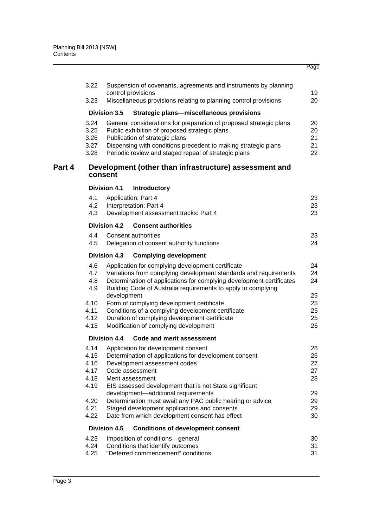|        |                                              |                     |                                                                                                                                       | Page     |  |  |
|--------|----------------------------------------------|---------------------|---------------------------------------------------------------------------------------------------------------------------------------|----------|--|--|
|        |                                              |                     |                                                                                                                                       |          |  |  |
|        | 3.22                                         |                     | Suspension of covenants, agreements and instruments by planning<br>control provisions                                                 | 19       |  |  |
|        | 3.23                                         |                     | Miscellaneous provisions relating to planning control provisions                                                                      | 20       |  |  |
|        |                                              | <b>Division 3.5</b> | <b>Strategic plans-miscellaneous provisions</b>                                                                                       |          |  |  |
|        | 3.24                                         |                     | General considerations for preparation of proposed strategic plans                                                                    | 20       |  |  |
|        | 3.25                                         |                     | Public exhibition of proposed strategic plans                                                                                         | 20       |  |  |
|        | 3.26                                         |                     | Publication of strategic plans                                                                                                        | 21       |  |  |
|        | 3.27<br>3.28                                 |                     | Dispensing with conditions precedent to making strategic plans<br>Periodic review and staged repeal of strategic plans                | 21<br>22 |  |  |
| Part 4 |                                              | consent             | Development (other than infrastructure) assessment and                                                                                |          |  |  |
|        |                                              | Division 4.1        | Introductory                                                                                                                          |          |  |  |
|        | 4.1                                          |                     | Application: Part 4                                                                                                                   | 23       |  |  |
|        | 4.2                                          |                     | Interpretation: Part 4                                                                                                                | 23       |  |  |
|        | 4.3                                          |                     | Development assessment tracks: Part 4                                                                                                 | 23       |  |  |
|        |                                              | <b>Division 4.2</b> | <b>Consent authorities</b>                                                                                                            |          |  |  |
|        | 4.4                                          |                     | <b>Consent authorities</b>                                                                                                            | 23       |  |  |
|        | 4.5                                          |                     | Delegation of consent authority functions                                                                                             | 24       |  |  |
|        | <b>Complying development</b><br>Division 4.3 |                     |                                                                                                                                       |          |  |  |
|        | 4.6                                          |                     | Application for complying development certificate                                                                                     | 24       |  |  |
|        | 4.7                                          |                     | Variations from complying development standards and requirements                                                                      | 24       |  |  |
|        | 4.8<br>4.9                                   |                     | Determination of applications for complying development certificates<br>Building Code of Australia requirements to apply to complying | 24       |  |  |
|        |                                              | development         |                                                                                                                                       | 25       |  |  |
|        | 4.10                                         |                     | Form of complying development certificate                                                                                             | 25       |  |  |
|        | 4.11                                         |                     | Conditions of a complying development certificate                                                                                     | 25       |  |  |
|        | 4.12                                         |                     | Duration of complying development certificate                                                                                         | 25       |  |  |
|        | 4.13                                         |                     | Modification of complying development                                                                                                 | 26       |  |  |
|        |                                              | <b>Division 4.4</b> | <b>Code and merit assessment</b>                                                                                                      |          |  |  |
|        | 4.14                                         |                     | Application for development consent                                                                                                   | 26       |  |  |
|        | 4.15                                         |                     | Determination of applications for development consent                                                                                 | 26       |  |  |
|        | 4.16                                         |                     | Development assessment codes                                                                                                          | 27       |  |  |
|        | 4.17                                         |                     | Code assessment                                                                                                                       | 27       |  |  |
|        | 4.18<br>4.19                                 |                     | Merit assessment<br>EIS assessed development that is not State significant                                                            | 28       |  |  |
|        |                                              |                     | development-additional requirements                                                                                                   | 29       |  |  |
|        | 4.20                                         |                     | Determination must await any PAC public hearing or advice                                                                             | 29       |  |  |
|        | 4.21                                         |                     | Staged development applications and consents                                                                                          | 29       |  |  |
|        | 4.22                                         |                     | Date from which development consent has effect                                                                                        | 30       |  |  |
|        |                                              | <b>Division 4.5</b> | <b>Conditions of development consent</b>                                                                                              |          |  |  |
|        | 4.23                                         |                     | Imposition of conditions-general                                                                                                      | 30       |  |  |
|        | 4.24                                         |                     | Conditions that identify outcomes                                                                                                     | 31       |  |  |
|        | 4.25                                         |                     | "Deferred commencement" conditions                                                                                                    | 31       |  |  |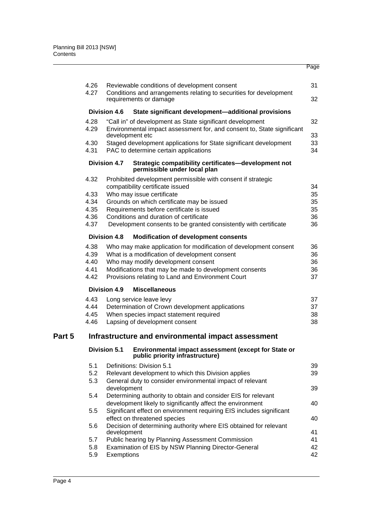|        | 4.26<br>4.27 | Reviewable conditions of development consent<br>Conditions and arrangements relating to securities for development          | 31       |
|--------|--------------|-----------------------------------------------------------------------------------------------------------------------------|----------|
|        |              | requirements or damage                                                                                                      | 32       |
|        |              | Division 4.6<br>State significant development-additional provisions                                                         |          |
|        | 4.28         | "Call in" of development as State significant development                                                                   | 32       |
|        | 4.29         | Environmental impact assessment for, and consent to, State significant                                                      |          |
|        |              | development etc                                                                                                             | 33       |
|        | 4.30         | Staged development applications for State significant development                                                           | 33       |
|        | 4.31         | PAC to determine certain applications                                                                                       | 34       |
|        |              | Strategic compatibility certificates-development not<br><b>Division 4.7</b><br>permissible under local plan                 |          |
|        | 4.32         | Prohibited development permissible with consent if strategic                                                                |          |
|        |              | compatibility certificate issued                                                                                            | 34       |
|        | 4.33         | Who may issue certificate                                                                                                   | 35       |
|        | 4.34         | Grounds on which certificate may be issued                                                                                  | 35       |
|        | 4.35         | Requirements before certificate is issued                                                                                   | 35       |
|        | 4.36<br>4.37 | Conditions and duration of certificate<br>Development consents to be granted consistently with certificate                  | 36<br>36 |
|        |              |                                                                                                                             |          |
|        |              | <b>Division 4.8</b><br><b>Modification of development consents</b>                                                          |          |
|        | 4.38         | Who may make application for modification of development consent                                                            | 36       |
|        | 4.39         | What is a modification of development consent                                                                               | 36       |
|        | 4.40         | Who may modify development consent                                                                                          | 36       |
|        | 4.41<br>4.42 | Modifications that may be made to development consents<br>Provisions relating to Land and Environment Court                 | 36<br>37 |
|        |              |                                                                                                                             |          |
|        |              | <b>Division 4.9</b><br><b>Miscellaneous</b>                                                                                 |          |
|        | 4.43         | Long service leave levy                                                                                                     | 37       |
|        | 4.44         | Determination of Crown development applications                                                                             | 37       |
|        | 4.45         | When species impact statement required                                                                                      | 38       |
|        | 4.46         | Lapsing of development consent                                                                                              | 38       |
| Part 5 |              | Infrastructure and environmental impact assessment                                                                          |          |
|        |              | <b>Division 5.1</b><br>Environmental impact assessment (except for State or<br>public priority infrastructure)              |          |
|        | 5.1          | Definitions: Division 5.1                                                                                                   | 39       |
|        | 5.2          | Relevant development to which this Division applies                                                                         | 39       |
|        | 5.3          | General duty to consider environmental impact of relevant                                                                   |          |
|        |              | development                                                                                                                 | 39       |
|        | 5.4          | Determining authority to obtain and consider EIS for relevant<br>development likely to significantly affect the environment | 40       |
|        | 5.5          | Significant effect on environment requiring EIS includes significant                                                        |          |
|        |              | effect on threatened species                                                                                                | 40       |
|        | 5.6          | Decision of determining authority where EIS obtained for relevant                                                           |          |
|        |              | development                                                                                                                 | 41       |
|        | 5.7          | Public hearing by Planning Assessment Commission                                                                            | 41       |
|        | 5.8          | Examination of EIS by NSW Planning Director-General                                                                         | 42       |
|        | 5.9          | Exemptions                                                                                                                  | 42       |
|        |              |                                                                                                                             |          |

Page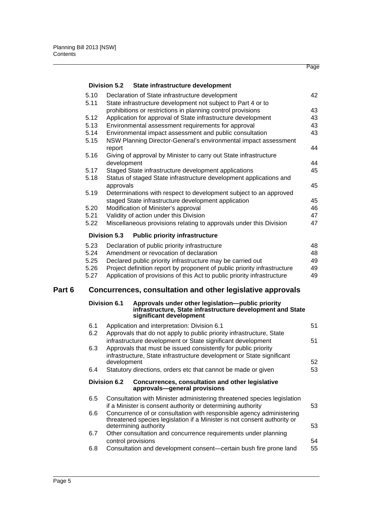|        |      |                                                                                         | Page     |
|--------|------|-----------------------------------------------------------------------------------------|----------|
|        |      | Division 5.2<br>State infrastructure development                                        |          |
|        | 5.10 | Declaration of State infrastructure development                                         | 42       |
|        | 5.11 | State infrastructure development not subject to Part 4 or to                            |          |
|        |      | prohibitions or restrictions in planning control provisions                             | 43       |
|        | 5.12 | Application for approval of State infrastructure development                            | 43       |
|        | 5.13 | Environmental assessment requirements for approval                                      | 43       |
|        | 5.14 | Environmental impact assessment and public consultation                                 | 43       |
|        | 5.15 | NSW Planning Director-General's environmental impact assessment                         |          |
|        |      | report                                                                                  | 44       |
|        | 5.16 | Giving of approval by Minister to carry out State infrastructure                        |          |
|        |      | development                                                                             | 44       |
|        | 5.17 | Staged State infrastructure development applications                                    | 45       |
|        | 5.18 | Status of staged State infrastructure development applications and                      |          |
|        |      | approvals                                                                               | 45       |
|        | 5.19 | Determinations with respect to development subject to an approved                       |          |
|        |      | staged State infrastructure development application                                     | 45       |
|        | 5.20 | Modification of Minister's approval                                                     | 46       |
|        | 5.21 | Validity of action under this Division                                                  | 47       |
|        | 5.22 | Miscellaneous provisions relating to approvals under this Division                      | 47       |
|        |      | <b>Division 5.3</b><br><b>Public priority infrastructure</b>                            |          |
|        |      |                                                                                         |          |
|        | 5.23 | Declaration of public priority infrastructure                                           | 48       |
|        | 5.24 | Amendment or revocation of declaration                                                  | 48       |
|        | 5.25 | Declared public priority infrastructure may be carried out                              | 49       |
|        | 5.26 | Project definition report by proponent of public priority infrastructure                | 49       |
|        | 5.27 | Application of provisions of this Act to public priority infrastructure                 | 49       |
| Part 6 |      | Concurrences, consultation and other legislative approvals                              |          |
|        |      | <b>Division 6.1</b><br>Approvals under other legislation-public priority                |          |
|        |      | infrastructure, State infrastructure development and State<br>significant development   |          |
|        | 6.1  | Application and interpretation: Division 6.1                                            | 51       |
|        | 6.2  | Approvals that do not apply to public priority infrastructure, State                    |          |
|        |      | infrastructure development or State significant development                             | 51       |
|        | 6.3  | Approvals that must be issued consistently for public priority                          |          |
|        |      | infrastructure, State infrastructure development or State significant                   |          |
|        |      | development                                                                             | 52       |
|        | 6.4  | Statutory directions, orders etc that cannot be made or given                           | 53       |
|        |      | <b>Division 6.2</b><br>Concurrences, consultation and other legislative                 |          |
|        |      | approvals-general provisions                                                            |          |
|        | 6.5  | Consultation with Minister administering threatened species legislation                 |          |
|        |      | if a Minister is consent authority or determining authority                             | 53       |
|        | 6.6  | Concurrence of or consultation with responsible agency administering                    |          |
|        |      | threatened species legislation if a Minister is not consent authority or                |          |
|        |      | determining authority                                                                   | 53       |
|        | 6.7  | Other consultation and concurrence requirements under planning                          |          |
|        | 6.8  | control provisions<br>Consultation and development consent-certain bush fire prone land | 54<br>55 |
|        |      |                                                                                         |          |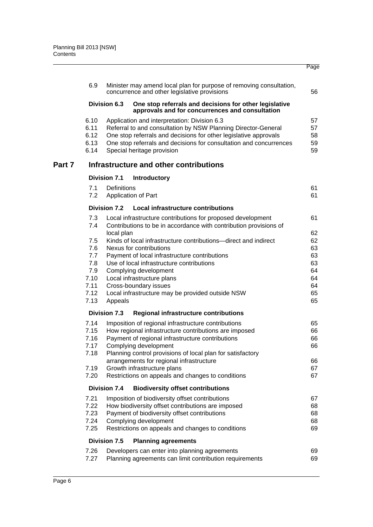|        |                                      |                     |                                                                                                                                                                                                                                                                                       | Page                       |
|--------|--------------------------------------|---------------------|---------------------------------------------------------------------------------------------------------------------------------------------------------------------------------------------------------------------------------------------------------------------------------------|----------------------------|
|        | 6.9                                  |                     | Minister may amend local plan for purpose of removing consultation,<br>concurrence and other legislative provisions                                                                                                                                                                   | 56                         |
|        |                                      | Division 6.3        | One stop referrals and decisions for other legislative<br>approvals and for concurrences and consultation                                                                                                                                                                             |                            |
|        | 6.10<br>6.11<br>6.12<br>6.13<br>6.14 |                     | Application and interpretation: Division 6.3<br>Referral to and consultation by NSW Planning Director-General<br>One stop referrals and decisions for other legislative approvals<br>One stop referrals and decisions for consultation and concurrences<br>Special heritage provision | 57<br>57<br>58<br>59<br>59 |
| Part 7 |                                      |                     | Infrastructure and other contributions                                                                                                                                                                                                                                                |                            |
|        |                                      | <b>Division 7.1</b> | <b>Introductory</b>                                                                                                                                                                                                                                                                   |                            |
|        | 7.1<br>7.2                           | Definitions         | Application of Part                                                                                                                                                                                                                                                                   | 61<br>61                   |
|        |                                      | <b>Division 7.2</b> | <b>Local infrastructure contributions</b>                                                                                                                                                                                                                                             |                            |
|        | 7.3<br>7.4                           | local plan          | Local infrastructure contributions for proposed development<br>Contributions to be in accordance with contribution provisions of                                                                                                                                                      | 61<br>62                   |
|        | 7.5<br>7.6                           |                     | Kinds of local infrastructure contributions—direct and indirect<br>Nexus for contributions                                                                                                                                                                                            | 62<br>63                   |
|        | 7.7<br>7.8<br>7.9                    |                     | Payment of local infrastructure contributions<br>Use of local infrastructure contributions<br>Complying development                                                                                                                                                                   | 63<br>63<br>64             |
|        | 7.10<br>7.11<br>7.12                 |                     | Local infrastructure plans<br>Cross-boundary issues<br>Local infrastructure may be provided outside NSW                                                                                                                                                                               | 64<br>64<br>65             |
|        | 7.13                                 | Appeals             |                                                                                                                                                                                                                                                                                       | 65                         |
|        |                                      | <b>Division 7.3</b> | <b>Regional infrastructure contributions</b>                                                                                                                                                                                                                                          |                            |
|        | 7.14<br>7.15<br>7.16<br>7.17         |                     | Imposition of regional infrastructure contributions<br>How regional infrastructure contributions are imposed<br>Payment of regional infrastructure contributions<br>Complying development                                                                                             | 65<br>66<br>66<br>66       |
|        | 7.18<br>7.19                         |                     | Planning control provisions of local plan for satisfactory<br>arrangements for regional infrastructure<br>Growth infrastructure plans                                                                                                                                                 | 66<br>67                   |
|        | 7.20                                 |                     | Restrictions on appeals and changes to conditions                                                                                                                                                                                                                                     | 67                         |
|        |                                      | <b>Division 7.4</b> | <b>Biodiversity offset contributions</b>                                                                                                                                                                                                                                              |                            |
|        | 7.21<br>7.22<br>7.23<br>7.24         |                     | Imposition of biodiversity offset contributions<br>How biodiversity offset contributions are imposed<br>Payment of biodiversity offset contributions<br>Complying development                                                                                                         | 67<br>68<br>68<br>68       |
|        | 7.25                                 |                     | Restrictions on appeals and changes to conditions                                                                                                                                                                                                                                     | 69                         |
|        |                                      | <b>Division 7.5</b> | <b>Planning agreements</b>                                                                                                                                                                                                                                                            |                            |
|        | 7.26<br>7.27                         |                     | Developers can enter into planning agreements<br>Planning agreements can limit contribution requirements                                                                                                                                                                              | 69<br>69                   |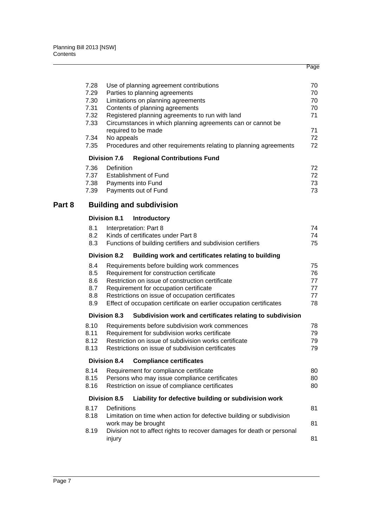|        |              |                                                                                  | Page     |
|--------|--------------|----------------------------------------------------------------------------------|----------|
|        | 7.28         | Use of planning agreement contributions                                          | 70       |
|        | 7.29         | Parties to planning agreements                                                   | 70       |
|        | 7.30         | Limitations on planning agreements                                               | 70       |
|        | 7.31         | Contents of planning agreements                                                  | 70       |
|        | 7.32         | Registered planning agreements to run with land                                  | 71       |
|        | 7.33         | Circumstances in which planning agreements can or cannot be                      |          |
|        |              | required to be made                                                              | 71       |
|        | 7.34<br>7.35 | No appeals                                                                       | 72<br>72 |
|        |              | Procedures and other requirements relating to planning agreements                |          |
|        |              | <b>Division 7.6</b><br><b>Regional Contributions Fund</b>                        |          |
|        | 7.36<br>7.37 | Definition<br><b>Establishment of Fund</b>                                       | 72<br>72 |
|        | 7.38         | Payments into Fund                                                               | 73       |
|        | 7.39         | Payments out of Fund                                                             | 73       |
|        |              |                                                                                  |          |
| Part 8 |              | <b>Building and subdivision</b>                                                  |          |
|        |              | <b>Division 8.1</b><br><b>Introductory</b>                                       |          |
|        | 8.1          | Interpretation: Part 8                                                           | 74       |
|        | 8.2          | Kinds of certificates under Part 8                                               | 74       |
|        | 8.3          | Functions of building certifiers and subdivision certifiers                      | 75       |
|        |              | <b>Division 8.2</b><br>Building work and certificates relating to building       |          |
|        | 8.4          | Requirements before building work commences                                      | 75       |
|        | 8.5          | Requirement for construction certificate                                         | 76       |
|        | 8.6          | Restriction on issue of construction certificate                                 | 77       |
|        | 8.7          | Requirement for occupation certificate                                           | 77       |
|        | 8.8          | Restrictions on issue of occupation certificates                                 | 77       |
|        | 8.9          | Effect of occupation certificate on earlier occupation certificates              | 78       |
|        |              | <b>Division 8.3</b><br>Subdivision work and certificates relating to subdivision |          |
|        | 8.10         | Requirements before subdivision work commences                                   | 78       |
|        | 8.11         | Requirement for subdivision works certificate                                    | 79       |
|        | 8.12         | Restriction on issue of subdivision works certificate                            | 79       |
|        | 8.13         | Restrictions on issue of subdivision certificates                                | 79       |
|        |              | <b>Division 8.4</b><br><b>Compliance certificates</b>                            |          |
|        | 8.14         | Requirement for compliance certificate                                           | 80       |
|        | 8.15         | Persons who may issue compliance certificates                                    | 80       |
|        | 8.16         | Restriction on issue of compliance certificates                                  | 80       |
|        |              | <b>Division 8.5</b><br>Liability for defective building or subdivision work      |          |
|        | 8.17         | Definitions                                                                      | 81       |
|        | 8.18         | Limitation on time when action for defective building or subdivision             |          |
|        |              | work may be brought                                                              | 81       |
|        | 8.19         | Division not to affect rights to recover damages for death or personal           |          |
|        |              | injury                                                                           | 81       |
|        |              |                                                                                  |          |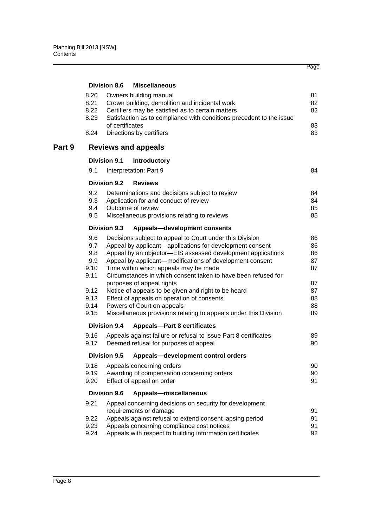|        |            |                     |                                                                                                                         | Page     |
|--------|------------|---------------------|-------------------------------------------------------------------------------------------------------------------------|----------|
|        |            | Division 8.6        | <b>Miscellaneous</b>                                                                                                    |          |
|        | 8.20       |                     | Owners building manual                                                                                                  | 81       |
|        | 8.21       |                     | Crown building, demolition and incidental work                                                                          | 82       |
|        | 8.22       |                     | Certifiers may be satisfied as to certain matters                                                                       | 82       |
|        | 8.23       |                     | Satisfaction as to compliance with conditions precedent to the issue                                                    |          |
|        |            | of certificates     |                                                                                                                         | 83       |
|        | 8.24       |                     | Directions by certifiers                                                                                                | 83       |
| Part 9 |            |                     | <b>Reviews and appeals</b>                                                                                              |          |
|        |            | <b>Division 9.1</b> | <b>Introductory</b>                                                                                                     |          |
|        | 9.1        |                     | Interpretation: Part 9                                                                                                  | 84       |
|        |            | <b>Division 9.2</b> | <b>Reviews</b>                                                                                                          |          |
|        | 9.2        |                     | Determinations and decisions subject to review                                                                          | 84       |
|        | 9.3        |                     | Application for and conduct of review                                                                                   | 84       |
|        | 9.4        |                     | Outcome of review                                                                                                       | 85       |
|        | 9.5        |                     | Miscellaneous provisions relating to reviews                                                                            | 85       |
|        |            | Division 9.3        | <b>Appeals-development consents</b>                                                                                     |          |
|        | 9.6        |                     | Decisions subject to appeal to Court under this Division                                                                | 86       |
|        | 9.7        |                     | Appeal by applicant-applications for development consent                                                                | 86       |
|        | 9.8<br>9.9 |                     | Appeal by an objector-EIS assessed development applications<br>Appeal by applicant-modifications of development consent | 86<br>87 |
|        | 9.10       |                     | Time within which appeals may be made                                                                                   | 87       |
|        | 9.11       |                     | Circumstances in which consent taken to have been refused for                                                           |          |
|        |            |                     | purposes of appeal rights                                                                                               | 87       |
|        | 9.12       |                     | Notice of appeals to be given and right to be heard                                                                     | 87       |
|        | 9.13       |                     | Effect of appeals on operation of consents                                                                              | 88       |
|        | 9.14       |                     | Powers of Court on appeals                                                                                              | 88       |
|        | 9.15       |                     | Miscellaneous provisions relating to appeals under this Division                                                        | 89       |
|        |            | <b>Division 9.4</b> | <b>Appeals-Part 8 certificates</b>                                                                                      |          |
|        | 9.16       |                     | Appeals against failure or refusal to issue Part 8 certificates                                                         | 89       |
|        | 9.17       |                     | Deemed refusal for purposes of appeal                                                                                   | 90       |
|        |            | <b>Division 9.5</b> | Appeals-development control orders                                                                                      |          |
|        | 9.18       |                     | Appeals concerning orders                                                                                               | 90       |
|        | 9.19       |                     | Awarding of compensation concerning orders                                                                              | 90       |
|        | 9.20       |                     | Effect of appeal on order                                                                                               | 91       |
|        |            | <b>Division 9.6</b> | Appeals-miscellaneous                                                                                                   |          |
|        | 9.21       |                     | Appeal concerning decisions on security for development<br>requirements or damage                                       | 91       |
|        | 9.22       |                     | Appeals against refusal to extend consent lapsing period                                                                | 91       |
|        | 9.23       |                     | Appeals concerning compliance cost notices                                                                              | 91       |
|        | 9.24       |                     | Appeals with respect to building information certificates                                                               | 92       |
|        |            |                     |                                                                                                                         |          |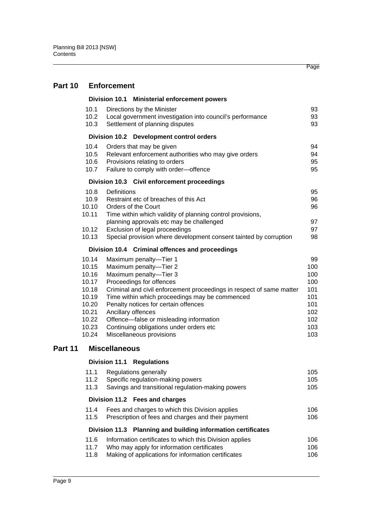| Part 10                         | <b>Enforcement</b>                                           |                            |                                                                                                   |            |  |
|---------------------------------|--------------------------------------------------------------|----------------------------|---------------------------------------------------------------------------------------------------|------------|--|
|                                 | Division 10.1 Ministerial enforcement powers                 |                            |                                                                                                   |            |  |
|                                 | 10.1                                                         | Directions by the Minister |                                                                                                   |            |  |
|                                 | 10.2                                                         |                            | Local government investigation into council's performance                                         | 93         |  |
|                                 | 10.3                                                         |                            | Settlement of planning disputes                                                                   | 93         |  |
|                                 |                                                              |                            | Division 10.2 Development control orders                                                          |            |  |
|                                 | 10.4                                                         |                            | Orders that may be given                                                                          | 94         |  |
|                                 | 10.5                                                         |                            | Relevant enforcement authorities who may give orders                                              | 94         |  |
|                                 | 10.6                                                         |                            | Provisions relating to orders                                                                     | 95         |  |
|                                 | 10.7                                                         |                            | Failure to comply with order-offence                                                              | 95         |  |
|                                 |                                                              |                            | Division 10.3 Civil enforcement proceedings                                                       | 95         |  |
|                                 | 10.8<br>Definitions<br>Restraint etc of breaches of this Act |                            |                                                                                                   |            |  |
|                                 | 10.9<br>10.10                                                |                            | Orders of the Court                                                                               | 96<br>96   |  |
|                                 | 10.11                                                        |                            | Time within which validity of planning control provisions,                                        |            |  |
|                                 |                                                              |                            | planning approvals etc may be challenged                                                          | 97         |  |
|                                 | 10.12                                                        |                            | Exclusion of legal proceedings                                                                    | 97         |  |
|                                 | 10.13                                                        |                            | Special provision where development consent tainted by corruption                                 | 98         |  |
|                                 |                                                              |                            | Division 10.4 Criminal offences and proceedings                                                   |            |  |
| 10.14<br>Maximum penalty-Tier 1 |                                                              |                            | 99                                                                                                |            |  |
|                                 | 10.15                                                        |                            | Maximum penalty-Tier 2                                                                            | 100        |  |
|                                 | 10.16                                                        |                            | Maximum penalty-Tier 3                                                                            | 100        |  |
|                                 | 10.17                                                        |                            | Proceedings for offences                                                                          | 100        |  |
|                                 | 10.18                                                        |                            | Criminal and civil enforcement proceedings in respect of same matter                              | 101        |  |
|                                 | 10.19                                                        |                            | Time within which proceedings may be commenced                                                    | 101        |  |
|                                 | 10.20                                                        |                            | Penalty notices for certain offences                                                              | 101        |  |
|                                 | 10.21<br>10.22                                               | Ancillary offences         | Offence-false or misleading information                                                           | 102<br>102 |  |
|                                 | 10.23                                                        |                            | Continuing obligations under orders etc                                                           | 103        |  |
|                                 | 10.24                                                        |                            | Miscellaneous provisions                                                                          | 103        |  |
| Part 11                         |                                                              | <b>Miscellaneous</b>       |                                                                                                   |            |  |
|                                 |                                                              |                            |                                                                                                   |            |  |
|                                 |                                                              |                            | <b>Division 11.1 Regulations</b>                                                                  |            |  |
|                                 | 11.1                                                         |                            | Regulations generally                                                                             | 105        |  |
|                                 | 11.2<br>11.3                                                 |                            | Specific regulation-making powers<br>Savings and transitional regulation-making powers            | 105        |  |
|                                 |                                                              |                            |                                                                                                   | 105        |  |
|                                 |                                                              |                            | Division 11.2 Fees and charges                                                                    |            |  |
|                                 | 11.4<br>11.5                                                 |                            | Fees and charges to which this Division applies                                                   | 106        |  |
|                                 |                                                              |                            | Prescription of fees and charges and their payment                                                | 106        |  |
|                                 |                                                              |                            | Division 11.3 Planning and building information certificates                                      |            |  |
|                                 | 11.6                                                         |                            | Information certificates to which this Division applies                                           | 106        |  |
|                                 | 11.7<br>11.8                                                 |                            | Who may apply for information certificates<br>Making of applications for information certificates | 106<br>106 |  |
|                                 |                                                              |                            |                                                                                                   |            |  |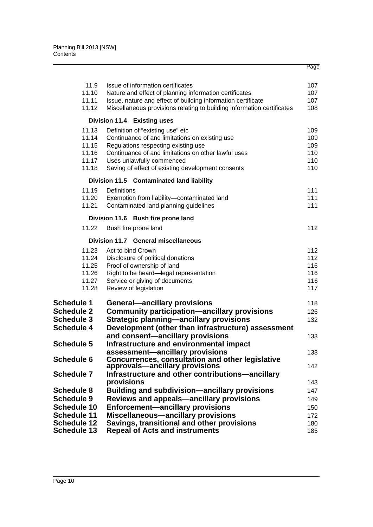|                    | 11.9  | Issue of information certificates                                                  | 107 |
|--------------------|-------|------------------------------------------------------------------------------------|-----|
|                    | 11.10 | Nature and effect of planning information certificates                             | 107 |
|                    | 11.11 | Issue, nature and effect of building information certificate                       | 107 |
|                    | 11.12 | Miscellaneous provisions relating to building information certificates             | 108 |
|                    |       | Division 11.4 Existing uses                                                        |     |
|                    | 11.13 | Definition of "existing use" etc                                                   | 109 |
|                    | 11.14 | Continuance of and limitations on existing use                                     | 109 |
|                    | 11.15 | Regulations respecting existing use                                                | 109 |
|                    | 11.16 | Continuance of and limitations on other lawful uses                                | 110 |
|                    | 11.17 | Uses unlawfully commenced                                                          | 110 |
|                    | 11.18 | Saving of effect of existing development consents                                  | 110 |
|                    |       | Division 11.5 Contaminated land liability                                          |     |
|                    | 11.19 | Definitions                                                                        | 111 |
|                    | 11.20 | Exemption from liability-contaminated land                                         | 111 |
|                    | 11.21 | Contaminated land planning guidelines                                              | 111 |
|                    |       | Division 11.6 Bush fire prone land                                                 |     |
|                    | 11.22 | Bush fire prone land                                                               | 112 |
|                    |       | Division 11.7 General miscellaneous                                                |     |
|                    | 11.23 | Act to bind Crown                                                                  | 112 |
|                    | 11.24 | Disclosure of political donations                                                  | 112 |
|                    | 11.25 | Proof of ownership of land                                                         | 116 |
|                    | 11.26 | Right to be heard-legal representation                                             | 116 |
|                    | 11.27 | Service or giving of documents                                                     | 116 |
|                    | 11.28 | Review of legislation                                                              | 117 |
| <b>Schedule 1</b>  |       | <b>General-ancillary provisions</b>                                                | 118 |
| <b>Schedule 2</b>  |       | <b>Community participation—ancillary provisions</b>                                | 126 |
| <b>Schedule 3</b>  |       | <b>Strategic planning-ancillary provisions</b>                                     | 132 |
| <b>Schedule 4</b>  |       | Development (other than infrastructure) assessment                                 |     |
|                    |       | and consent-ancillary provisions                                                   | 133 |
| <b>Schedule 5</b>  |       | Infrastructure and environmental impact                                            |     |
|                    |       | assessment-ancillary provisions                                                    | 138 |
| <b>Schedule 6</b>  |       | Concurrences, consultation and other legislative<br>approvals—ancillary provisions |     |
|                    |       |                                                                                    | 142 |
| <b>Schedule 7</b>  |       | Infrastructure and other contributions—ancillary                                   |     |
|                    |       | provisions                                                                         | 143 |
| <b>Schedule 8</b>  |       | <b>Building and subdivision—ancillary provisions</b>                               | 147 |
| <b>Schedule 9</b>  |       | Reviews and appeals—ancillary provisions                                           | 149 |
| <b>Schedule 10</b> |       | <b>Enforcement-ancillary provisions</b>                                            | 150 |
| <b>Schedule 11</b> |       | <b>Miscellaneous-ancillary provisions</b>                                          | 172 |
| <b>Schedule 12</b> |       | Savings, transitional and other provisions                                         | 180 |
| <b>Schedule 13</b> |       | <b>Repeal of Acts and instruments</b>                                              | 185 |

Page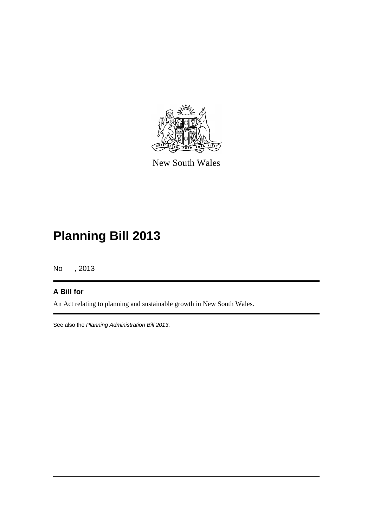

New South Wales

# **Planning Bill 2013**

No , 2013

#### **A Bill for**

An Act relating to planning and sustainable growth in New South Wales.

See also the *Planning Administration Bill 2013*.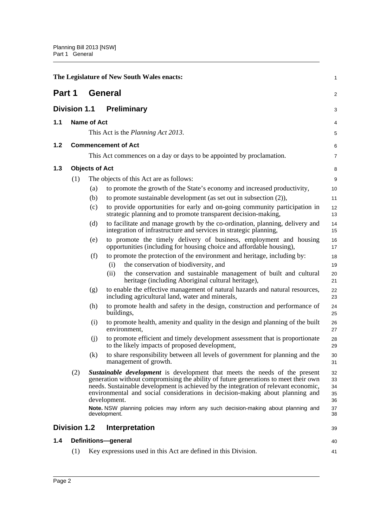<span id="page-20-6"></span><span id="page-20-5"></span><span id="page-20-4"></span><span id="page-20-3"></span><span id="page-20-2"></span><span id="page-20-1"></span><span id="page-20-0"></span>

|        |                     |                       |                              | The Legislature of New South Wales enacts:                                                                                                                                                                                                                                                                                                                                                                                             | 1                                      |
|--------|---------------------|-----------------------|------------------------------|----------------------------------------------------------------------------------------------------------------------------------------------------------------------------------------------------------------------------------------------------------------------------------------------------------------------------------------------------------------------------------------------------------------------------------------|----------------------------------------|
| Part 1 |                     |                       | <b>General</b>               |                                                                                                                                                                                                                                                                                                                                                                                                                                        | 2                                      |
|        | <b>Division 1.1</b> |                       |                              | Preliminary                                                                                                                                                                                                                                                                                                                                                                                                                            | 3                                      |
| 1.1    |                     | <b>Name of Act</b>    |                              |                                                                                                                                                                                                                                                                                                                                                                                                                                        | 4                                      |
|        |                     |                       |                              | This Act is the <i>Planning Act 2013</i> .                                                                                                                                                                                                                                                                                                                                                                                             | 5                                      |
| $1.2$  |                     |                       |                              | <b>Commencement of Act</b>                                                                                                                                                                                                                                                                                                                                                                                                             | 6                                      |
|        |                     |                       |                              | This Act commences on a day or days to be appointed by proclamation.                                                                                                                                                                                                                                                                                                                                                                   | $\overline{7}$                         |
| 1.3    |                     | <b>Objects of Act</b> |                              |                                                                                                                                                                                                                                                                                                                                                                                                                                        | 8                                      |
|        | (1)                 |                       |                              | The objects of this Act are as follows:                                                                                                                                                                                                                                                                                                                                                                                                | 9                                      |
|        |                     | (a)                   |                              | to promote the growth of the State's economy and increased productivity,                                                                                                                                                                                                                                                                                                                                                               | 10                                     |
|        |                     | (b)                   |                              | to promote sustainable development (as set out in subsection $(2)$ ),                                                                                                                                                                                                                                                                                                                                                                  | 11                                     |
|        |                     | (c)                   |                              | to provide opportunities for early and on-going community participation in<br>strategic planning and to promote transparent decision-making,                                                                                                                                                                                                                                                                                           | 12<br>13                               |
|        |                     | (d)                   |                              | to facilitate and manage growth by the co-ordination, planning, delivery and<br>integration of infrastructure and services in strategic planning,                                                                                                                                                                                                                                                                                      | 14<br>15                               |
|        |                     | (e)                   |                              | to promote the timely delivery of business, employment and housing<br>opportunities (including for housing choice and affordable housing),                                                                                                                                                                                                                                                                                             | 16<br>17                               |
|        |                     | (f)                   |                              | to promote the protection of the environment and heritage, including by:                                                                                                                                                                                                                                                                                                                                                               | 18                                     |
|        |                     |                       | (i)                          | the conservation of biodiversity, and                                                                                                                                                                                                                                                                                                                                                                                                  | 19                                     |
|        |                     |                       | (ii)                         | the conservation and sustainable management of built and cultural<br>heritage (including Aboriginal cultural heritage),                                                                                                                                                                                                                                                                                                                | 20<br>21                               |
|        |                     | (g)                   |                              | to enable the effective management of natural hazards and natural resources,<br>including agricultural land, water and minerals,                                                                                                                                                                                                                                                                                                       | 22<br>23                               |
|        |                     | (h)                   | buildings,                   | to promote health and safety in the design, construction and performance of                                                                                                                                                                                                                                                                                                                                                            | 24<br>25                               |
|        |                     | (i)                   |                              | to promote health, amenity and quality in the design and planning of the built<br>environment,                                                                                                                                                                                                                                                                                                                                         | 26<br>27                               |
|        |                     | (i)                   |                              | to promote efficient and timely development assessment that is proportionate<br>to the likely impacts of proposed development,                                                                                                                                                                                                                                                                                                         | 28<br>29                               |
|        |                     | (k)                   |                              | to share responsibility between all levels of government for planning and the<br>management of growth.                                                                                                                                                                                                                                                                                                                                 | 30<br>31                               |
|        | (2)                 |                       | development.<br>development. | <b>Sustainable development</b> is development that meets the needs of the present<br>generation without compromising the ability of future generations to meet their own<br>needs. Sustainable development is achieved by the integration of relevant economic,<br>environmental and social considerations in decision-making about planning and<br>Note. NSW planning policies may inform any such decision-making about planning and | 32<br>33<br>34<br>35<br>36<br>37<br>38 |
|        | <b>Division 1.2</b> |                       |                              | Interpretation                                                                                                                                                                                                                                                                                                                                                                                                                         | 39                                     |
| 1.4    |                     |                       | Definitions-general          |                                                                                                                                                                                                                                                                                                                                                                                                                                        | 40                                     |
|        | (1)                 |                       |                              | Key expressions used in this Act are defined in this Division.                                                                                                                                                                                                                                                                                                                                                                         | 41                                     |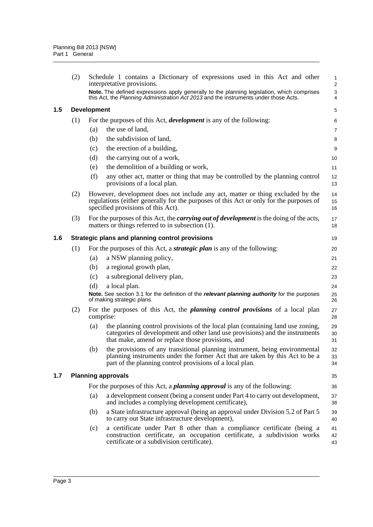<span id="page-21-2"></span><span id="page-21-1"></span><span id="page-21-0"></span>

|     | (2) |                                                 | Schedule 1 contains a Dictionary of expressions used in this Act and other<br>interpretative provisions.<br>Note. The defined expressions apply generally to the planning legislation, which comprises<br>this Act, the Planning Administration Act 2013 and the instruments under those Acts. | 1<br>$\overline{\mathbf{c}}$<br>3<br>4 |  |  |  |
|-----|-----|-------------------------------------------------|------------------------------------------------------------------------------------------------------------------------------------------------------------------------------------------------------------------------------------------------------------------------------------------------|----------------------------------------|--|--|--|
| 1.5 |     | <b>Development</b>                              |                                                                                                                                                                                                                                                                                                | 5                                      |  |  |  |
|     | (1) |                                                 | For the purposes of this Act, <i>development</i> is any of the following:                                                                                                                                                                                                                      | 6                                      |  |  |  |
|     |     | (a)                                             | the use of land,                                                                                                                                                                                                                                                                               | 7                                      |  |  |  |
|     |     | (b)                                             | the subdivision of land,                                                                                                                                                                                                                                                                       | 8                                      |  |  |  |
|     |     | (c)                                             | the erection of a building,                                                                                                                                                                                                                                                                    | 9                                      |  |  |  |
|     |     | (d)                                             | the carrying out of a work,                                                                                                                                                                                                                                                                    | 10                                     |  |  |  |
|     |     | (e)                                             | the demolition of a building or work,                                                                                                                                                                                                                                                          | 11                                     |  |  |  |
|     |     | (f)                                             | any other act, matter or thing that may be controlled by the planning control<br>provisions of a local plan.                                                                                                                                                                                   | 12<br>13                               |  |  |  |
|     | (2) |                                                 | However, development does not include any act, matter or thing excluded by the<br>regulations (either generally for the purposes of this Act or only for the purposes of<br>specified provisions of this Act).                                                                                 | 14<br>15<br>16                         |  |  |  |
|     | (3) |                                                 | For the purposes of this Act, the <i>carrying out of development</i> is the doing of the acts,<br>matters or things referred to in subsection (1).                                                                                                                                             | 17<br>18                               |  |  |  |
| 1.6 |     | Strategic plans and planning control provisions |                                                                                                                                                                                                                                                                                                |                                        |  |  |  |
|     | (1) |                                                 | For the purposes of this Act, a <i>strategic plan</i> is any of the following:                                                                                                                                                                                                                 | 20                                     |  |  |  |
|     |     | (a)                                             | a NSW planning policy,                                                                                                                                                                                                                                                                         | 21                                     |  |  |  |
|     |     | (b)                                             | a regional growth plan,                                                                                                                                                                                                                                                                        | 22                                     |  |  |  |
|     |     | (c)                                             | a subregional delivery plan,                                                                                                                                                                                                                                                                   | 23                                     |  |  |  |
|     |     | (d)                                             | a local plan.                                                                                                                                                                                                                                                                                  | 24                                     |  |  |  |
|     |     |                                                 | Note. See section 3.1 for the definition of the relevant planning authority for the purposes<br>of making strategic plans.                                                                                                                                                                     | 25<br>26                               |  |  |  |
|     | (2) |                                                 | For the purposes of this Act, the <i>planning control provisions</i> of a local plan<br>comprise:                                                                                                                                                                                              | 27<br>28                               |  |  |  |
|     |     | (a)                                             | the planning control provisions of the local plan (containing land use zoning,<br>categories of development and other land use provisions) and the instruments<br>that make, amend or replace those provisions, and                                                                            | 29<br>30<br>31                         |  |  |  |
|     |     | (b)                                             | the provisions of any transitional planning instrument, being environmental<br>planning instruments under the former Act that are taken by this Act to be a<br>part of the planning control provisions of a local plan.                                                                        | 32<br>33<br>34                         |  |  |  |
| 1.7 |     |                                                 | <b>Planning approvals</b>                                                                                                                                                                                                                                                                      | 35                                     |  |  |  |
|     |     |                                                 | For the purposes of this Act, a <i>planning approval</i> is any of the following:                                                                                                                                                                                                              | 36                                     |  |  |  |
|     |     | (a)                                             | a development consent (being a consent under Part 4 to carry out development,<br>and includes a complying development certificate),                                                                                                                                                            | 37<br>38                               |  |  |  |
|     |     | (b)                                             | a State infrastructure approval (being an approval under Division 5.2 of Part 5<br>to carry out State infrastructure development),                                                                                                                                                             | 39<br>40                               |  |  |  |
|     |     | (c)                                             | a certificate under Part 8 other than a compliance certificate (being a<br>construction certificate, an occupation certificate, a subdivision works<br>certificate or a subdivision certificate).                                                                                              | 41<br>42<br>43                         |  |  |  |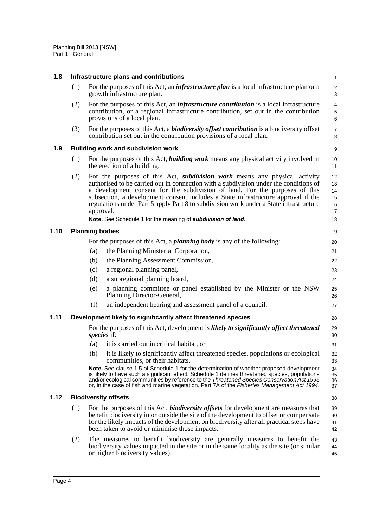<span id="page-22-4"></span><span id="page-22-3"></span><span id="page-22-2"></span><span id="page-22-1"></span><span id="page-22-0"></span>

| 1.8  | Infrastructure plans and contributions |                                                                                                                                                                                                                                                                                                                                     |                                                                                                                                                                                                                                                                                                                                                                                                                                                                                                          |                                        |  |  |
|------|----------------------------------------|-------------------------------------------------------------------------------------------------------------------------------------------------------------------------------------------------------------------------------------------------------------------------------------------------------------------------------------|----------------------------------------------------------------------------------------------------------------------------------------------------------------------------------------------------------------------------------------------------------------------------------------------------------------------------------------------------------------------------------------------------------------------------------------------------------------------------------------------------------|----------------------------------------|--|--|
|      | (1)                                    |                                                                                                                                                                                                                                                                                                                                     | For the purposes of this Act, an <i>infrastructure plan</i> is a local infrastructure plan or a<br>growth infrastructure plan.                                                                                                                                                                                                                                                                                                                                                                           | $\overline{\mathbf{c}}$<br>3           |  |  |
|      | (2)                                    |                                                                                                                                                                                                                                                                                                                                     | For the purposes of this Act, an <i>infrastructure contribution</i> is a local infrastructure<br>contribution, or a regional infrastructure contribution, set out in the contribution<br>provisions of a local plan.                                                                                                                                                                                                                                                                                     | 4<br>5<br>6                            |  |  |
|      | (3)                                    |                                                                                                                                                                                                                                                                                                                                     | For the purposes of this Act, a <b>biodiversity offset contribution</b> is a biodiversity offset<br>contribution set out in the contribution provisions of a local plan.                                                                                                                                                                                                                                                                                                                                 | 7<br>8                                 |  |  |
| 1.9  |                                        |                                                                                                                                                                                                                                                                                                                                     | <b>Building work and subdivision work</b>                                                                                                                                                                                                                                                                                                                                                                                                                                                                | 9                                      |  |  |
|      | (1)                                    |                                                                                                                                                                                                                                                                                                                                     | For the purposes of this Act, <i>building work</i> means any physical activity involved in<br>the erection of a building.                                                                                                                                                                                                                                                                                                                                                                                | 10<br>11                               |  |  |
|      | (2)                                    | approval.                                                                                                                                                                                                                                                                                                                           | For the purposes of this Act, <i>subdivision work</i> means any physical activity<br>authorised to be carried out in connection with a subdivision under the conditions of<br>a development consent for the subdivision of land. For the purposes of this<br>subsection, a development consent includes a State infrastructure approval if the<br>regulations under Part 5 apply Part 8 to subdivision work under a State infrastructure<br>Note. See Schedule 1 for the meaning of subdivision of land. | 12<br>13<br>14<br>15<br>16<br>17<br>18 |  |  |
| 1.10 |                                        |                                                                                                                                                                                                                                                                                                                                     | <b>Planning bodies</b>                                                                                                                                                                                                                                                                                                                                                                                                                                                                                   | 19                                     |  |  |
|      |                                        |                                                                                                                                                                                                                                                                                                                                     | For the purposes of this Act, a <i>planning body</i> is any of the following:                                                                                                                                                                                                                                                                                                                                                                                                                            | 20                                     |  |  |
|      |                                        | (a)                                                                                                                                                                                                                                                                                                                                 | the Planning Ministerial Corporation,                                                                                                                                                                                                                                                                                                                                                                                                                                                                    | 21                                     |  |  |
|      |                                        | (b)                                                                                                                                                                                                                                                                                                                                 | the Planning Assessment Commission,                                                                                                                                                                                                                                                                                                                                                                                                                                                                      | 22                                     |  |  |
|      |                                        | (c)                                                                                                                                                                                                                                                                                                                                 | a regional planning panel,                                                                                                                                                                                                                                                                                                                                                                                                                                                                               | 23                                     |  |  |
|      |                                        | (d)                                                                                                                                                                                                                                                                                                                                 | a subregional planning board,                                                                                                                                                                                                                                                                                                                                                                                                                                                                            | 24                                     |  |  |
|      |                                        | (e)                                                                                                                                                                                                                                                                                                                                 | a planning committee or panel established by the Minister or the NSW<br>Planning Director-General,                                                                                                                                                                                                                                                                                                                                                                                                       | 25<br>26                               |  |  |
|      |                                        | (f)                                                                                                                                                                                                                                                                                                                                 | an independent hearing and assessment panel of a council.                                                                                                                                                                                                                                                                                                                                                                                                                                                | 27                                     |  |  |
| 1.11 |                                        |                                                                                                                                                                                                                                                                                                                                     | Development likely to significantly affect threatened species                                                                                                                                                                                                                                                                                                                                                                                                                                            | 28                                     |  |  |
|      |                                        |                                                                                                                                                                                                                                                                                                                                     | For the purposes of this Act, development is <i>likely to significantly affect threatened</i><br>species if:                                                                                                                                                                                                                                                                                                                                                                                             | 29<br>30                               |  |  |
|      |                                        | (a)                                                                                                                                                                                                                                                                                                                                 | it is carried out in critical habitat, or                                                                                                                                                                                                                                                                                                                                                                                                                                                                | 31                                     |  |  |
|      |                                        |                                                                                                                                                                                                                                                                                                                                     | (b) it is likely to significantly affect threatened species, populations or ecological<br>communities, or their habitats.                                                                                                                                                                                                                                                                                                                                                                                | 32<br>33                               |  |  |
|      |                                        |                                                                                                                                                                                                                                                                                                                                     | <b>Note.</b> See clause 1.5 of Schedule 1 for the determination of whether proposed development<br>is likely to have such a significant effect. Schedule 1 defines threatened species, populations<br>and/or ecological communities by reference to the Threatened Species Conservation Act 1995<br>or, in the case of fish and marine vegetation, Part 7A of the Fisheries Management Act 1994.                                                                                                         | 34<br>35<br>36<br>37                   |  |  |
| 1.12 |                                        |                                                                                                                                                                                                                                                                                                                                     | <b>Biodiversity offsets</b>                                                                                                                                                                                                                                                                                                                                                                                                                                                                              | 38                                     |  |  |
|      | (1)                                    | For the purposes of this Act, <i>biodiversity offsets</i> for development are measures that<br>benefit biodiversity in or outside the site of the development to offset or compensate<br>for the likely impacts of the development on biodiversity after all practical steps have<br>been taken to avoid or minimise those impacts. |                                                                                                                                                                                                                                                                                                                                                                                                                                                                                                          |                                        |  |  |
|      | (2)                                    |                                                                                                                                                                                                                                                                                                                                     | The measures to benefit biodiversity are generally measures to benefit the<br>biodiversity values impacted in the site or in the same locality as the site (or similar<br>or higher biodiversity values).                                                                                                                                                                                                                                                                                                | 43<br>44<br>45                         |  |  |
|      |                                        |                                                                                                                                                                                                                                                                                                                                     |                                                                                                                                                                                                                                                                                                                                                                                                                                                                                                          |                                        |  |  |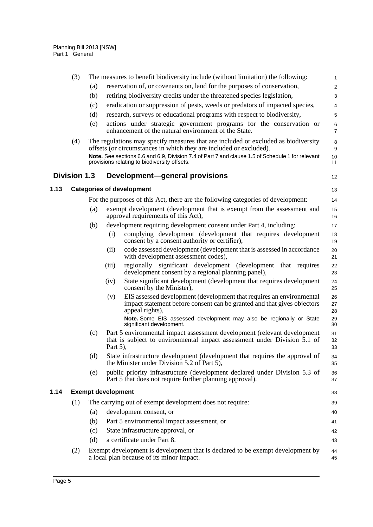<span id="page-23-2"></span><span id="page-23-1"></span><span id="page-23-0"></span>

|      | (3)                 |     |                           | The measures to benefit biodiversity include (without limitation) the following:                                                                                                                                                                             | $\mathbf{1}$        |
|------|---------------------|-----|---------------------------|--------------------------------------------------------------------------------------------------------------------------------------------------------------------------------------------------------------------------------------------------------------|---------------------|
|      |                     | (a) |                           | reservation of, or covenants on, land for the purposes of conservation,                                                                                                                                                                                      | $\overline{2}$      |
|      |                     | (b) |                           | retiring biodiversity credits under the threatened species legislation,                                                                                                                                                                                      | 3                   |
|      |                     | (c) |                           | eradication or suppression of pests, weeds or predators of impacted species,                                                                                                                                                                                 | 4                   |
|      |                     | (d) |                           | research, surveys or educational programs with respect to biodiversity,                                                                                                                                                                                      | 5                   |
|      |                     | (e) |                           | actions under strategic government programs for the conservation or<br>enhancement of the natural environment of the State.                                                                                                                                  | 6<br>$\overline{7}$ |
|      | (4)                 |     |                           | The regulations may specify measures that are included or excluded as biodiversity<br>offsets (or circumstances in which they are included or excluded).<br>Note. See sections 6.6 and 6.9, Division 7.4 of Part 7 and clause 1.5 of Schedule 1 for relevant | 8<br>9              |
|      |                     |     |                           | provisions relating to biodiversity offsets.                                                                                                                                                                                                                 | 10<br>11            |
|      | <b>Division 1.3</b> |     |                           | Development-general provisions                                                                                                                                                                                                                               | 12                  |
| 1.13 |                     |     |                           | <b>Categories of development</b>                                                                                                                                                                                                                             | 13                  |
|      |                     |     |                           | For the purposes of this Act, there are the following categories of development:                                                                                                                                                                             | 14                  |
|      |                     | (a) |                           | exempt development (development that is exempt from the assessment and<br>approval requirements of this Act),                                                                                                                                                | 15<br>16            |
|      |                     | (b) |                           | development requiring development consent under Part 4, including:                                                                                                                                                                                           | 17                  |
|      |                     |     | (i)                       | complying development (development that requires development<br>consent by a consent authority or certifier),                                                                                                                                                | 18<br>19            |
|      |                     |     | (ii)                      | code assessed development (development that is assessed in accordance<br>with development assessment codes),                                                                                                                                                 | 20<br>21            |
|      |                     |     | (iii)                     | regionally significant development (development<br>that requires<br>development consent by a regional planning panel),                                                                                                                                       | 22<br>23            |
|      |                     |     | (iv)                      | State significant development (development that requires development<br>consent by the Minister),                                                                                                                                                            | 24<br>25            |
|      |                     |     | (v)                       | EIS assessed development (development that requires an environmental<br>impact statement before consent can be granted and that gives objectors<br>appeal rights),                                                                                           | 26<br>27<br>28      |
|      |                     |     |                           | Note. Some EIS assessed development may also be regionally or State<br>significant development.                                                                                                                                                              | 29<br>30            |
|      |                     | (c) | Part 5),                  | Part 5 environmental impact assessment development (relevant development<br>that is subject to environmental impact assessment under Division 5.1 of                                                                                                         | 31<br>32<br>33      |
|      |                     | (d) |                           | State infrastructure development (development that requires the approval of<br>the Minister under Division 5.2 of Part 5),                                                                                                                                   | 34<br>35            |
|      |                     | (e) |                           | public priority infrastructure (development declared under Division 5.3 of<br>Part 5 that does not require further planning approval).                                                                                                                       | 36<br>37            |
| 1.14 |                     |     | <b>Exempt development</b> |                                                                                                                                                                                                                                                              | 38                  |
|      | (1)                 |     |                           | The carrying out of exempt development does not require:                                                                                                                                                                                                     | 39                  |
|      |                     | (a) |                           | development consent, or                                                                                                                                                                                                                                      | 40                  |
|      |                     | (b) |                           | Part 5 environmental impact assessment, or                                                                                                                                                                                                                   | 41                  |
|      |                     | (c) |                           | State infrastructure approval, or                                                                                                                                                                                                                            | 42                  |
|      |                     | (d) |                           | a certificate under Part 8.                                                                                                                                                                                                                                  | 43                  |
|      | (2)                 |     |                           | Exempt development is development that is declared to be exempt development by<br>a local plan because of its minor impact.                                                                                                                                  | 44<br>45            |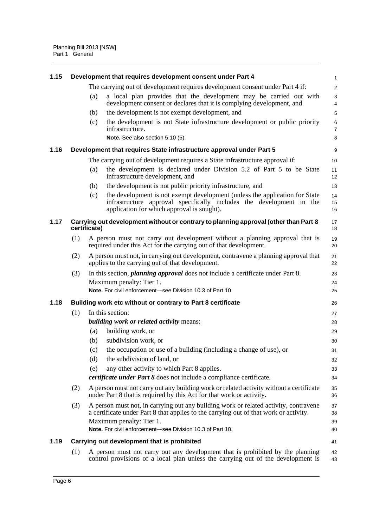<span id="page-24-4"></span><span id="page-24-3"></span><span id="page-24-2"></span><span id="page-24-1"></span><span id="page-24-0"></span>

| 1.15 |                                                                                                      |                                                                                                                                                                 | Development that requires development consent under Part 4                                                                                                                                                | 1                   |  |  |
|------|------------------------------------------------------------------------------------------------------|-----------------------------------------------------------------------------------------------------------------------------------------------------------------|-----------------------------------------------------------------------------------------------------------------------------------------------------------------------------------------------------------|---------------------|--|--|
|      |                                                                                                      |                                                                                                                                                                 | The carrying out of development requires development consent under Part 4 if:                                                                                                                             | $\overline{c}$      |  |  |
|      |                                                                                                      | (a)                                                                                                                                                             | a local plan provides that the development may be carried out with<br>development consent or declares that it is complying development, and                                                               | 3<br>4              |  |  |
|      |                                                                                                      | (b)                                                                                                                                                             | the development is not exempt development, and                                                                                                                                                            | 5                   |  |  |
|      |                                                                                                      | (c)                                                                                                                                                             | the development is not State infrastructure development or public priority<br>infrastructure.                                                                                                             | 6<br>$\overline{7}$ |  |  |
|      |                                                                                                      |                                                                                                                                                                 | Note. See also section 5.10 (5).                                                                                                                                                                          | 8                   |  |  |
| 1.16 |                                                                                                      |                                                                                                                                                                 | Development that requires State infrastructure approval under Part 5                                                                                                                                      | 9                   |  |  |
|      |                                                                                                      |                                                                                                                                                                 | The carrying out of development requires a State infrastructure approval if:                                                                                                                              | 10                  |  |  |
|      |                                                                                                      | (a)                                                                                                                                                             | the development is declared under Division 5.2 of Part 5 to be State<br>infrastructure development, and                                                                                                   | 11<br>12            |  |  |
|      |                                                                                                      | (b)                                                                                                                                                             | the development is not public priority infrastructure, and                                                                                                                                                | 13                  |  |  |
|      |                                                                                                      | (c)                                                                                                                                                             | the development is not exempt development (unless the application for State<br>infrastructure approval specifically includes the development in the<br>application for which approval is sought).         | 14<br>15<br>16      |  |  |
| 1.17 | Carrying out development without or contrary to planning approval (other than Part 8<br>certificate) |                                                                                                                                                                 |                                                                                                                                                                                                           |                     |  |  |
|      | (1)                                                                                                  |                                                                                                                                                                 | A person must not carry out development without a planning approval that is<br>required under this Act for the carrying out of that development.                                                          | 19<br>20            |  |  |
|      | (2)                                                                                                  |                                                                                                                                                                 | A person must not, in carrying out development, contravene a planning approval that<br>applies to the carrying out of that development.                                                                   | 21<br>22            |  |  |
|      | (3)                                                                                                  |                                                                                                                                                                 | In this section, <i>planning approval</i> does not include a certificate under Part 8.                                                                                                                    | 23                  |  |  |
|      |                                                                                                      |                                                                                                                                                                 | Maximum penalty: Tier 1.                                                                                                                                                                                  | 24                  |  |  |
|      |                                                                                                      |                                                                                                                                                                 | Note. For civil enforcement-see Division 10.3 of Part 10.                                                                                                                                                 | 25                  |  |  |
| 1.18 |                                                                                                      |                                                                                                                                                                 | Building work etc without or contrary to Part 8 certificate                                                                                                                                               | 26                  |  |  |
|      | (1)                                                                                                  |                                                                                                                                                                 | In this section:                                                                                                                                                                                          | 27                  |  |  |
|      |                                                                                                      |                                                                                                                                                                 | building work or related activity means:                                                                                                                                                                  | 28                  |  |  |
|      |                                                                                                      | (a)                                                                                                                                                             | building work, or                                                                                                                                                                                         | 29                  |  |  |
|      |                                                                                                      | (b)                                                                                                                                                             | subdivision work, or                                                                                                                                                                                      | 30                  |  |  |
|      |                                                                                                      | (c)                                                                                                                                                             | the occupation or use of a building (including a change of use), or                                                                                                                                       | 31                  |  |  |
|      |                                                                                                      | (d)                                                                                                                                                             | the subdivision of land, or                                                                                                                                                                               | 32                  |  |  |
|      |                                                                                                      | (e)                                                                                                                                                             | any other activity to which Part 8 applies.                                                                                                                                                               | 33                  |  |  |
|      |                                                                                                      |                                                                                                                                                                 | certificate under Part 8 does not include a compliance certificate.                                                                                                                                       | 34                  |  |  |
|      | (2)                                                                                                  | A person must not carry out any building work or related activity without a certificate<br>under Part 8 that is required by this Act for that work or activity. |                                                                                                                                                                                                           |                     |  |  |
|      | (3)                                                                                                  |                                                                                                                                                                 | A person must not, in carrying out any building work or related activity, contravene<br>a certificate under Part 8 that applies to the carrying out of that work or activity.<br>Maximum penalty: Tier 1. | 37<br>38<br>39      |  |  |
|      |                                                                                                      |                                                                                                                                                                 | Note. For civil enforcement-see Division 10.3 of Part 10.                                                                                                                                                 | 40                  |  |  |
| 1.19 |                                                                                                      |                                                                                                                                                                 | Carrying out development that is prohibited                                                                                                                                                               | 41                  |  |  |
|      | (1)                                                                                                  |                                                                                                                                                                 | A person must not carry out any development that is prohibited by the planning<br>control provisions of a local plan unless the carrying out of the development is                                        | 42<br>43            |  |  |
|      |                                                                                                      |                                                                                                                                                                 |                                                                                                                                                                                                           |                     |  |  |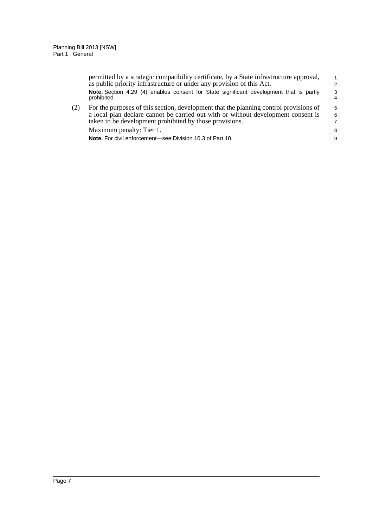permitted by a strategic compatibility certificate, by a State infrastructure approval, as public priority infrastructure or under any provision of this Act. **Note.** Section 4.29 (4) enables consent for State significant development that is partly prohibited.

(2) For the purposes of this section, development that the planning control provisions of a local plan declare cannot be carried out with or without development consent is taken to be development prohibited by those provisions. Maximum penalty: Tier 1.

**Note.** For civil enforcement—see Division 10.3 of Part 10.

9

1 2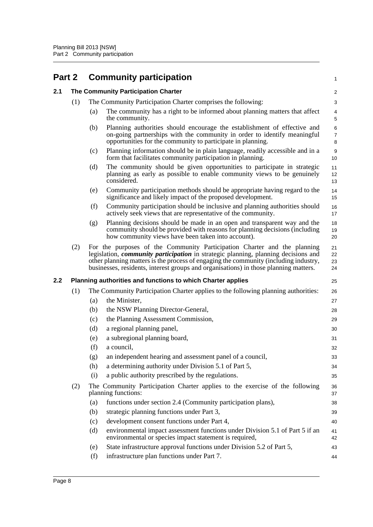<span id="page-26-2"></span><span id="page-26-1"></span><span id="page-26-0"></span>

| Part 2 |     |     | <b>Community participation</b>                                                                                                                                                                                                                                                                                                                        | 1                       |
|--------|-----|-----|-------------------------------------------------------------------------------------------------------------------------------------------------------------------------------------------------------------------------------------------------------------------------------------------------------------------------------------------------------|-------------------------|
| 2.1    |     |     | The Community Participation Charter                                                                                                                                                                                                                                                                                                                   | $\overline{\mathbf{c}}$ |
|        | (1) |     | The Community Participation Charter comprises the following:                                                                                                                                                                                                                                                                                          | 3                       |
|        |     | (a) | The community has a right to be informed about planning matters that affect<br>the community.                                                                                                                                                                                                                                                         | 4<br>5                  |
|        |     | (b) | Planning authorities should encourage the establishment of effective and<br>on-going partnerships with the community in order to identify meaningful<br>opportunities for the community to participate in planning.                                                                                                                                   | 6<br>7<br>8             |
|        |     | (c) | Planning information should be in plain language, readily accessible and in a<br>form that facilitates community participation in planning.                                                                                                                                                                                                           | 9<br>10                 |
|        |     | (d) | The community should be given opportunities to participate in strategic<br>planning as early as possible to enable community views to be genuinely<br>considered.                                                                                                                                                                                     | 11<br>12<br>13          |
|        |     | (e) | Community participation methods should be appropriate having regard to the<br>significance and likely impact of the proposed development.                                                                                                                                                                                                             | 14<br>15                |
|        |     | (f) | Community participation should be inclusive and planning authorities should<br>actively seek views that are representative of the community.                                                                                                                                                                                                          | 16<br>17                |
|        |     | (g) | Planning decisions should be made in an open and transparent way and the<br>community should be provided with reasons for planning decisions (including<br>how community views have been taken into account).                                                                                                                                         | 18<br>19<br>20          |
|        | (2) |     | For the purposes of the Community Participation Charter and the planning<br>legislation, <i>community participation</i> in strategic planning, planning decisions and<br>other planning matters is the process of engaging the community (including industry,<br>businesses, residents, interest groups and organisations) in those planning matters. | 21<br>22<br>23<br>24    |
| 2.2    |     |     | Planning authorities and functions to which Charter applies                                                                                                                                                                                                                                                                                           | 25                      |
|        | (1) |     | The Community Participation Charter applies to the following planning authorities:                                                                                                                                                                                                                                                                    | 26                      |
|        |     | (a) | the Minister,                                                                                                                                                                                                                                                                                                                                         | 27                      |
|        |     | (b) | the NSW Planning Director-General,                                                                                                                                                                                                                                                                                                                    | 28                      |
|        |     | (c) | the Planning Assessment Commission,                                                                                                                                                                                                                                                                                                                   | 29                      |
|        |     | (d) | a regional planning panel,                                                                                                                                                                                                                                                                                                                            | 30                      |
|        |     | (e) | a subregional planning board,                                                                                                                                                                                                                                                                                                                         | 31                      |
|        |     | (f) | a council.                                                                                                                                                                                                                                                                                                                                            | 32                      |
|        |     | (g) | an independent hearing and assessment panel of a council,                                                                                                                                                                                                                                                                                             | 33                      |
|        |     | (h) | a determining authority under Division 5.1 of Part 5,                                                                                                                                                                                                                                                                                                 | 34                      |
|        |     | (i) | a public authority prescribed by the regulations.                                                                                                                                                                                                                                                                                                     | 35                      |
|        | (2) |     | The Community Participation Charter applies to the exercise of the following<br>planning functions:                                                                                                                                                                                                                                                   | 36<br>37                |
|        |     | (a) | functions under section 2.4 (Community participation plans),                                                                                                                                                                                                                                                                                          | 38                      |
|        |     | (b) | strategic planning functions under Part 3,                                                                                                                                                                                                                                                                                                            | 39                      |
|        |     | (c) | development consent functions under Part 4,                                                                                                                                                                                                                                                                                                           | 40                      |
|        |     | (d) | environmental impact assessment functions under Division 5.1 of Part 5 if an<br>environmental or species impact statement is required,                                                                                                                                                                                                                | 41<br>42                |
|        |     | (e) | State infrastructure approval functions under Division 5.2 of Part 5,                                                                                                                                                                                                                                                                                 | 43                      |
|        |     | (f) | infrastructure plan functions under Part 7.                                                                                                                                                                                                                                                                                                           | 44                      |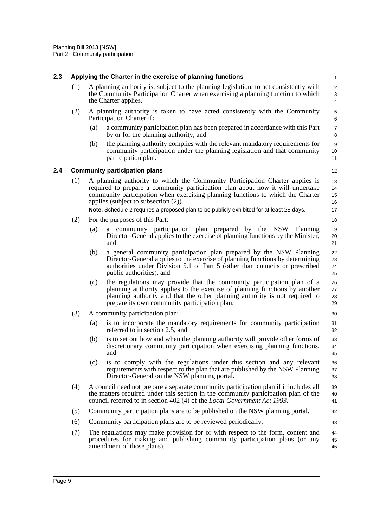<span id="page-27-1"></span><span id="page-27-0"></span>

| 2.3 | Applying the Charter in the exercise of planning functions<br>$\mathbf{1}$ |                                                                                                                                                                                                                                                                 |                                                                                                                                                                                                                                                                                                                                                                                          |                                                  |  |  |  |
|-----|----------------------------------------------------------------------------|-----------------------------------------------------------------------------------------------------------------------------------------------------------------------------------------------------------------------------------------------------------------|------------------------------------------------------------------------------------------------------------------------------------------------------------------------------------------------------------------------------------------------------------------------------------------------------------------------------------------------------------------------------------------|--------------------------------------------------|--|--|--|
|     | (1)                                                                        |                                                                                                                                                                                                                                                                 | A planning authority is, subject to the planning legislation, to act consistently with<br>the Community Participation Charter when exercising a planning function to which<br>the Charter applies.                                                                                                                                                                                       | $\overline{c}$<br>$\ensuremath{\mathsf{3}}$<br>4 |  |  |  |
|     | (2)                                                                        |                                                                                                                                                                                                                                                                 | A planning authority is taken to have acted consistently with the Community<br>Participation Charter if:                                                                                                                                                                                                                                                                                 | 5<br>$\,6\,$                                     |  |  |  |
|     |                                                                            | (a)                                                                                                                                                                                                                                                             | a community participation plan has been prepared in accordance with this Part<br>by or for the planning authority, and                                                                                                                                                                                                                                                                   | $\boldsymbol{7}$<br>8                            |  |  |  |
|     |                                                                            | (b)                                                                                                                                                                                                                                                             | the planning authority complies with the relevant mandatory requirements for<br>community participation under the planning legislation and that community<br>participation plan.                                                                                                                                                                                                         | $\boldsymbol{9}$<br>10<br>11                     |  |  |  |
| 2.4 |                                                                            |                                                                                                                                                                                                                                                                 | <b>Community participation plans</b>                                                                                                                                                                                                                                                                                                                                                     | 12                                               |  |  |  |
|     | (1)                                                                        |                                                                                                                                                                                                                                                                 | A planning authority to which the Community Participation Charter applies is<br>required to prepare a community participation plan about how it will undertake<br>community participation when exercising planning functions to which the Charter<br>applies (subject to subsection $(2)$ ).<br>Note. Schedule 2 requires a proposed plan to be publicly exhibited for at least 28 days. | 13<br>14<br>15<br>16<br>17                       |  |  |  |
|     | (2)                                                                        |                                                                                                                                                                                                                                                                 | For the purposes of this Part:                                                                                                                                                                                                                                                                                                                                                           | 18                                               |  |  |  |
|     |                                                                            | (a)                                                                                                                                                                                                                                                             | a community participation plan prepared by the NSW Planning<br>Director-General applies to the exercise of planning functions by the Minister,<br>and                                                                                                                                                                                                                                    | 19<br>20<br>21                                   |  |  |  |
|     |                                                                            | (b)                                                                                                                                                                                                                                                             | a general community participation plan prepared by the NSW Planning<br>Director-General applies to the exercise of planning functions by determining<br>authorities under Division 5.1 of Part 5 (other than councils or prescribed<br>public authorities), and                                                                                                                          | 22<br>23<br>24<br>25                             |  |  |  |
|     |                                                                            | (c)                                                                                                                                                                                                                                                             | the regulations may provide that the community participation plan of a<br>planning authority applies to the exercise of planning functions by another<br>planning authority and that the other planning authority is not required to<br>prepare its own community participation plan.                                                                                                    | 26<br>27<br>28<br>29                             |  |  |  |
|     | (3)                                                                        | A community participation plan:<br>30                                                                                                                                                                                                                           |                                                                                                                                                                                                                                                                                                                                                                                          |                                                  |  |  |  |
|     |                                                                            | (a)                                                                                                                                                                                                                                                             | is to incorporate the mandatory requirements for community participation<br>referred to in section 2.5, and                                                                                                                                                                                                                                                                              | 31<br>32                                         |  |  |  |
|     |                                                                            | (b)                                                                                                                                                                                                                                                             | is to set out how and when the planning authority will provide other forms of<br>discretionary community participation when exercising planning functions,<br>and                                                                                                                                                                                                                        | 33<br>34<br>35                                   |  |  |  |
|     |                                                                            | (c)                                                                                                                                                                                                                                                             | is to comply with the regulations under this section and any relevant<br>requirements with respect to the plan that are published by the NSW Planning<br>Director-General on the NSW planning portal.                                                                                                                                                                                    | 36<br>37<br>38                                   |  |  |  |
|     | (4)                                                                        | A council need not prepare a separate community participation plan if it includes all<br>the matters required under this section in the community participation plan of the<br>council referred to in section 402 (4) of the <i>Local Government Act 1993</i> . |                                                                                                                                                                                                                                                                                                                                                                                          |                                                  |  |  |  |
|     | (5)                                                                        | Community participation plans are to be published on the NSW planning portal.<br>42                                                                                                                                                                             |                                                                                                                                                                                                                                                                                                                                                                                          |                                                  |  |  |  |
|     | (6)                                                                        |                                                                                                                                                                                                                                                                 | Community participation plans are to be reviewed periodically.                                                                                                                                                                                                                                                                                                                           | 43                                               |  |  |  |
|     | (7)                                                                        |                                                                                                                                                                                                                                                                 | The regulations may make provision for or with respect to the form, content and<br>procedures for making and publishing community participation plans (or any<br>amendment of those plans).                                                                                                                                                                                              | 44<br>45<br>46                                   |  |  |  |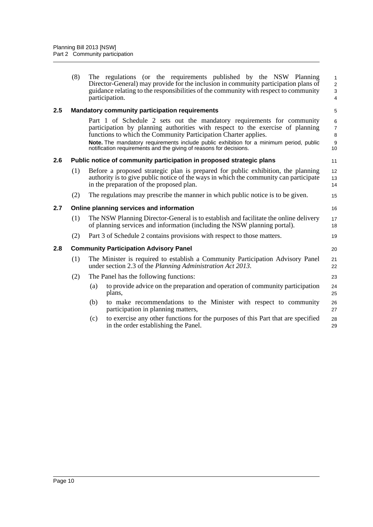<span id="page-28-3"></span><span id="page-28-2"></span><span id="page-28-1"></span><span id="page-28-0"></span>

|     | (8)                                            | The regulations (or the requirements published by the NSW Planning<br>Director-General) may provide for the inclusion in community participation plans of<br>guidance relating to the responsibilities of the community with respect to community<br>participation. | 1<br>$\overline{2}$<br>3<br>$\overline{\mathbf{4}}$ |  |  |  |  |
|-----|------------------------------------------------|---------------------------------------------------------------------------------------------------------------------------------------------------------------------------------------------------------------------------------------------------------------------|-----------------------------------------------------|--|--|--|--|
| 2.5 |                                                | <b>Mandatory community participation requirements</b>                                                                                                                                                                                                               | 5                                                   |  |  |  |  |
|     |                                                | Part 1 of Schedule 2 sets out the mandatory requirements for community<br>participation by planning authorities with respect to the exercise of planning<br>functions to which the Community Participation Charter applies.                                         | 6<br>$\overline{7}$<br>8                            |  |  |  |  |
|     |                                                | Note. The mandatory requirements include public exhibition for a minimum period, public<br>notification requirements and the giving of reasons for decisions.                                                                                                       | 9<br>10                                             |  |  |  |  |
| 2.6 |                                                | Public notice of community participation in proposed strategic plans                                                                                                                                                                                                | 11                                                  |  |  |  |  |
|     | (1)                                            | Before a proposed strategic plan is prepared for public exhibition, the planning<br>authority is to give public notice of the ways in which the community can participate<br>in the preparation of the proposed plan.                                               | 12<br>13<br>14                                      |  |  |  |  |
|     | (2)                                            | The regulations may prescribe the manner in which public notice is to be given.                                                                                                                                                                                     | 15                                                  |  |  |  |  |
| 2.7 | Online planning services and information<br>16 |                                                                                                                                                                                                                                                                     |                                                     |  |  |  |  |
|     | (1)                                            | The NSW Planning Director-General is to establish and facilitate the online delivery<br>of planning services and information (including the NSW planning portal).                                                                                                   | 17<br>18                                            |  |  |  |  |
|     | (2)                                            | Part 3 of Schedule 2 contains provisions with respect to those matters.                                                                                                                                                                                             | 19                                                  |  |  |  |  |
| 2.8 |                                                | <b>Community Participation Advisory Panel</b>                                                                                                                                                                                                                       | 20                                                  |  |  |  |  |
|     | (1)                                            | The Minister is required to establish a Community Participation Advisory Panel<br>under section 2.3 of the Planning Administration Act 2013.                                                                                                                        | 21<br>22                                            |  |  |  |  |
|     | (2)                                            | The Panel has the following functions:                                                                                                                                                                                                                              | 23                                                  |  |  |  |  |
|     |                                                | to provide advice on the preparation and operation of community participation<br>(a)<br>plans,                                                                                                                                                                      | 24<br>25                                            |  |  |  |  |
|     |                                                | to make recommendations to the Minister with respect to community<br>(b)<br>participation in planning matters,                                                                                                                                                      | 26<br>27                                            |  |  |  |  |
|     |                                                | to exercise any other functions for the purposes of this Part that are specified<br>(c)<br>in the order establishing the Panel.                                                                                                                                     | 28<br>29                                            |  |  |  |  |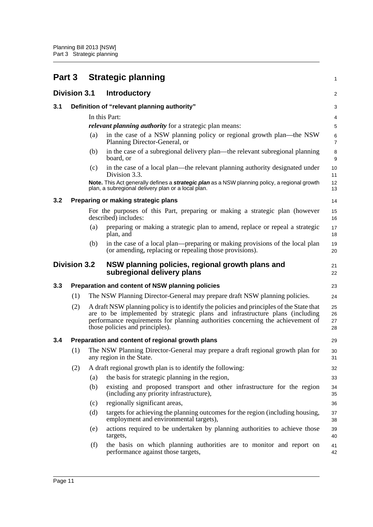<span id="page-29-6"></span><span id="page-29-5"></span><span id="page-29-4"></span><span id="page-29-3"></span><span id="page-29-2"></span><span id="page-29-1"></span><span id="page-29-0"></span>

|     |                     |     | Part 3 Strategic planning                                                                                                                                                                                                                                                                      | 1                    |  |
|-----|---------------------|-----|------------------------------------------------------------------------------------------------------------------------------------------------------------------------------------------------------------------------------------------------------------------------------------------------|----------------------|--|
|     | <b>Division 3.1</b> |     | <b>Introductory</b>                                                                                                                                                                                                                                                                            | $\overline{c}$       |  |
| 3.1 |                     |     | Definition of "relevant planning authority"                                                                                                                                                                                                                                                    |                      |  |
|     |                     |     | In this Part:                                                                                                                                                                                                                                                                                  | 4                    |  |
|     |                     |     | <i>relevant planning authority</i> for a strategic plan means:                                                                                                                                                                                                                                 | 5                    |  |
|     |                     | (a) | in the case of a NSW planning policy or regional growth plan—the NSW<br>Planning Director-General, or                                                                                                                                                                                          | 6<br>$\overline{7}$  |  |
|     |                     | (b) | in the case of a subregional delivery plan—the relevant subregional planning<br>board, or                                                                                                                                                                                                      | 8<br>9               |  |
|     |                     | (c) | in the case of a local plan—the relevant planning authority designated under<br>Division 3.3.                                                                                                                                                                                                  | 10<br>11             |  |
|     |                     |     | Note. This Act generally defines a <i>strategic plan</i> as a NSW planning policy, a regional growth<br>plan, a subregional delivery plan or a local plan.                                                                                                                                     | 12<br>13             |  |
| 3.2 |                     |     | Preparing or making strategic plans                                                                                                                                                                                                                                                            | 14                   |  |
|     |                     |     | For the purposes of this Part, preparing or making a strategic plan (however<br>described) includes:                                                                                                                                                                                           | 15<br>16             |  |
|     |                     | (a) | preparing or making a strategic plan to amend, replace or repeal a strategic<br>plan, and                                                                                                                                                                                                      | 17<br>18             |  |
|     |                     | (b) | in the case of a local plan—preparing or making provisions of the local plan<br>(or amending, replacing or repealing those provisions).                                                                                                                                                        | 19<br>20             |  |
|     | <b>Division 3.2</b> |     | NSW planning policies, regional growth plans and<br>subregional delivery plans                                                                                                                                                                                                                 | 21<br>22             |  |
| 3.3 |                     |     | Preparation and content of NSW planning policies                                                                                                                                                                                                                                               | 23                   |  |
|     | (1)                 |     | The NSW Planning Director-General may prepare draft NSW planning policies.                                                                                                                                                                                                                     | 24                   |  |
|     | (2)                 |     | A draft NSW planning policy is to identify the policies and principles of the State that<br>are to be implemented by strategic plans and infrastructure plans (including<br>performance requirements for planning authorities concerning the achievement of<br>those policies and principles). | 25<br>26<br>27<br>28 |  |
| 3.4 |                     |     | Preparation and content of regional growth plans                                                                                                                                                                                                                                               | 29                   |  |
|     |                     |     | (1) The NSW Planning Director-General may prepare a draft regional growth plan for<br>any region in the State.                                                                                                                                                                                 | 30<br>31             |  |
|     | (2)                 |     | A draft regional growth plan is to identify the following:                                                                                                                                                                                                                                     | 32                   |  |
|     |                     | (a) | the basis for strategic planning in the region,                                                                                                                                                                                                                                                | 33                   |  |
|     |                     | (b) | existing and proposed transport and other infrastructure for the region<br>(including any priority infrastructure),                                                                                                                                                                            | 34<br>35             |  |
|     |                     | (c) | regionally significant areas,                                                                                                                                                                                                                                                                  | 36                   |  |
|     |                     | (d) | targets for achieving the planning outcomes for the region (including housing,<br>employment and environmental targets),                                                                                                                                                                       | 37<br>38             |  |
|     |                     | (e) | actions required to be undertaken by planning authorities to achieve those<br>targets,                                                                                                                                                                                                         | 39<br>40             |  |
|     |                     | (f) | the basis on which planning authorities are to monitor and report on<br>performance against those targets,                                                                                                                                                                                     | 41<br>42             |  |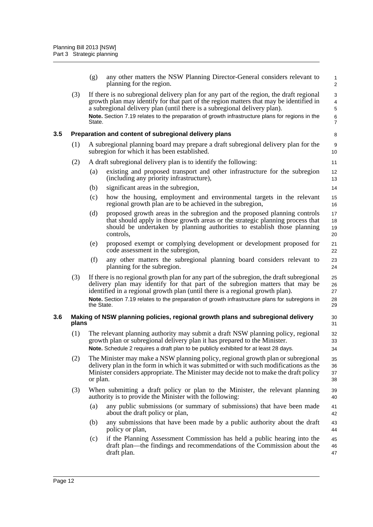<span id="page-30-1"></span><span id="page-30-0"></span>

|     |                                                                                                | (g)        | any other matters the NSW Planning Director-General considers relevant to<br>planning for the region.                                                                                                                                                                                                                                                        | $\mathbf{1}$<br>2                     |  |  |  |  |
|-----|------------------------------------------------------------------------------------------------|------------|--------------------------------------------------------------------------------------------------------------------------------------------------------------------------------------------------------------------------------------------------------------------------------------------------------------------------------------------------------------|---------------------------------------|--|--|--|--|
|     | (3)                                                                                            |            | If there is no subregional delivery plan for any part of the region, the draft regional<br>growth plan may identify for that part of the region matters that may be identified in                                                                                                                                                                            | $\sqrt{3}$<br>$\overline{\mathbf{4}}$ |  |  |  |  |
|     |                                                                                                |            | a subregional delivery plan (until there is a subregional delivery plan).<br>Note. Section 7.19 relates to the preparation of growth infrastructure plans for regions in the                                                                                                                                                                                 | $\sqrt{5}$                            |  |  |  |  |
|     |                                                                                                | State.     |                                                                                                                                                                                                                                                                                                                                                              | $\begin{array}{c} 6 \\ 7 \end{array}$ |  |  |  |  |
| 3.5 |                                                                                                |            | Preparation and content of subregional delivery plans                                                                                                                                                                                                                                                                                                        | 8                                     |  |  |  |  |
|     | (1)                                                                                            |            | A subregional planning board may prepare a draft subregional delivery plan for the<br>subregion for which it has been established.                                                                                                                                                                                                                           | $\boldsymbol{9}$<br>10                |  |  |  |  |
|     | (2)                                                                                            |            | A draft subregional delivery plan is to identify the following:                                                                                                                                                                                                                                                                                              | 11                                    |  |  |  |  |
|     |                                                                                                | (a)        | existing and proposed transport and other infrastructure for the subregion<br>(including any priority infrastructure),                                                                                                                                                                                                                                       | 12<br>13                              |  |  |  |  |
|     |                                                                                                | (b)        | significant areas in the subregion,                                                                                                                                                                                                                                                                                                                          | 14                                    |  |  |  |  |
|     |                                                                                                | (c)        | how the housing, employment and environmental targets in the relevant<br>regional growth plan are to be achieved in the subregion,                                                                                                                                                                                                                           | 15<br>16                              |  |  |  |  |
|     |                                                                                                | (d)        | proposed growth areas in the subregion and the proposed planning controls<br>that should apply in those growth areas or the strategic planning process that                                                                                                                                                                                                  | 17<br>18                              |  |  |  |  |
|     |                                                                                                |            | should be undertaken by planning authorities to establish those planning<br>controls,                                                                                                                                                                                                                                                                        | 19<br>20                              |  |  |  |  |
|     |                                                                                                | (e)        | proposed exempt or complying development or development proposed for<br>code assessment in the subregion,                                                                                                                                                                                                                                                    | 21<br>22                              |  |  |  |  |
|     |                                                                                                | (f)        | any other matters the subregional planning board considers relevant to<br>planning for the subregion.                                                                                                                                                                                                                                                        | 23<br>24                              |  |  |  |  |
|     | (3)                                                                                            |            | If there is no regional growth plan for any part of the subregion, the draft subregional<br>delivery plan may identify for that part of the subregion matters that may be<br>identified in a regional growth plan (until there is a regional growth plan).<br>Note. Section 7.19 relates to the preparation of growth infrastructure plans for subregions in | 25<br>26<br>27<br>28                  |  |  |  |  |
|     |                                                                                                | the State. |                                                                                                                                                                                                                                                                                                                                                              | 29<br>30                              |  |  |  |  |
| 3.6 | Making of NSW planning policies, regional growth plans and subregional delivery<br>plans<br>31 |            |                                                                                                                                                                                                                                                                                                                                                              |                                       |  |  |  |  |
|     | (1)                                                                                            |            | The relevant planning authority may submit a draft NSW planning policy, regional<br>growth plan or subregional delivery plan it has prepared to the Minister.                                                                                                                                                                                                | 32<br>33                              |  |  |  |  |
|     |                                                                                                |            | Note. Schedule 2 requires a draft plan to be publicly exhibited for at least 28 days.                                                                                                                                                                                                                                                                        | 34                                    |  |  |  |  |
|     | (2)                                                                                            | or plan.   | The Minister may make a NSW planning policy, regional growth plan or subregional<br>delivery plan in the form in which it was submitted or with such modifications as the<br>Minister considers appropriate. The Minister may decide not to make the draft policy                                                                                            | 35<br>36<br>37<br>38                  |  |  |  |  |
|     | (3)                                                                                            |            | When submitting a draft policy or plan to the Minister, the relevant planning<br>authority is to provide the Minister with the following:                                                                                                                                                                                                                    | 39<br>40                              |  |  |  |  |
|     |                                                                                                | (a)        | any public submissions (or summary of submissions) that have been made<br>about the draft policy or plan,                                                                                                                                                                                                                                                    | 41<br>42                              |  |  |  |  |
|     |                                                                                                | (b)        | any submissions that have been made by a public authority about the draft<br>policy or plan,                                                                                                                                                                                                                                                                 | 43<br>44                              |  |  |  |  |
|     |                                                                                                | (c)        | if the Planning Assessment Commission has held a public hearing into the<br>draft plan—the findings and recommendations of the Commission about the<br>draft plan.                                                                                                                                                                                           | 45<br>46<br>47                        |  |  |  |  |
|     |                                                                                                |            |                                                                                                                                                                                                                                                                                                                                                              |                                       |  |  |  |  |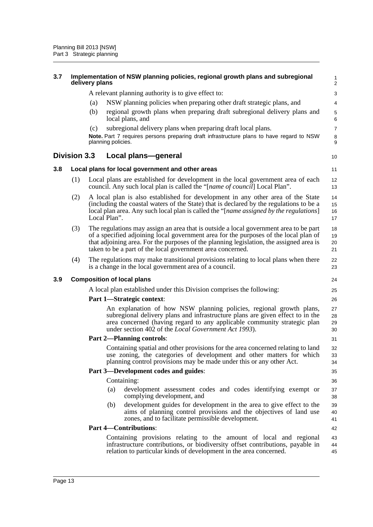<span id="page-31-3"></span><span id="page-31-2"></span><span id="page-31-1"></span><span id="page-31-0"></span>

| 3.7 |                     | Implementation of NSW planning policies, regional growth plans and subregional<br>delivery plans |                    |                                                                                                                                                                                                                                                                                                                                        |                            |  |  |  |
|-----|---------------------|--------------------------------------------------------------------------------------------------|--------------------|----------------------------------------------------------------------------------------------------------------------------------------------------------------------------------------------------------------------------------------------------------------------------------------------------------------------------------------|----------------------------|--|--|--|
|     |                     |                                                                                                  |                    | A relevant planning authority is to give effect to:                                                                                                                                                                                                                                                                                    | 3                          |  |  |  |
|     |                     | (a)                                                                                              |                    | NSW planning policies when preparing other draft strategic plans, and                                                                                                                                                                                                                                                                  | $\overline{4}$             |  |  |  |
|     |                     | (b)                                                                                              |                    | regional growth plans when preparing draft subregional delivery plans and<br>local plans, and                                                                                                                                                                                                                                          | 5<br>6                     |  |  |  |
|     |                     | (c)                                                                                              | planning policies. | subregional delivery plans when preparing draft local plans.<br>Note. Part 7 requires persons preparing draft infrastructure plans to have regard to NSW                                                                                                                                                                               | $\boldsymbol{7}$<br>8<br>9 |  |  |  |
|     | <b>Division 3.3</b> |                                                                                                  |                    | Local plans-general                                                                                                                                                                                                                                                                                                                    | 10                         |  |  |  |
| 3.8 |                     |                                                                                                  |                    | Local plans for local government and other areas                                                                                                                                                                                                                                                                                       | 11                         |  |  |  |
|     | (1)                 |                                                                                                  |                    | Local plans are established for development in the local government area of each<br>council. Any such local plan is called the "[name of council] Local Plan".                                                                                                                                                                         | 12<br>13                   |  |  |  |
|     | (2)                 |                                                                                                  | Local Plan".       | A local plan is also established for development in any other area of the State<br>(including the coastal waters of the State) that is declared by the regulations to be a<br>local plan area. Any such local plan is called the "[name assigned by the regulations]                                                                   | 14<br>15<br>16<br>17       |  |  |  |
|     | (3)                 |                                                                                                  |                    | The regulations may assign an area that is outside a local government area to be part<br>of a specified adjoining local government area for the purposes of the local plan of<br>that adjoining area. For the purposes of the planning legislation, the assigned area is<br>taken to be a part of the local government area concerned. | 18<br>19<br>20<br>21       |  |  |  |
|     | (4)                 |                                                                                                  |                    | The regulations may make transitional provisions relating to local plans when there<br>is a change in the local government area of a council.                                                                                                                                                                                          | 22<br>23                   |  |  |  |
| 3.9 |                     |                                                                                                  |                    | <b>Composition of local plans</b>                                                                                                                                                                                                                                                                                                      | 24                         |  |  |  |
|     |                     |                                                                                                  |                    | A local plan established under this Division comprises the following:                                                                                                                                                                                                                                                                  | 25                         |  |  |  |
|     |                     |                                                                                                  |                    | Part 1-Strategic context:                                                                                                                                                                                                                                                                                                              | 26                         |  |  |  |
|     |                     |                                                                                                  |                    | An explanation of how NSW planning policies, regional growth plans,<br>subregional delivery plans and infrastructure plans are given effect to in the<br>area concerned (having regard to any applicable community strategic plan<br>under section 402 of the <i>Local Government Act 1993</i> ).                                      | 27<br>28<br>29<br>30       |  |  |  |
|     |                     |                                                                                                  |                    | <b>Part 2—Planning controls:</b>                                                                                                                                                                                                                                                                                                       | 31                         |  |  |  |
|     |                     |                                                                                                  |                    | Containing spatial and other provisions for the area concerned relating to land<br>use zoning, the categories of development and other matters for which<br>planning control provisions may be made under this or any other Act.                                                                                                       | 32<br>33<br>34             |  |  |  |
|     |                     |                                                                                                  |                    | Part 3—Development codes and guides:                                                                                                                                                                                                                                                                                                   | 35                         |  |  |  |
|     |                     |                                                                                                  |                    | Containing:                                                                                                                                                                                                                                                                                                                            | 36                         |  |  |  |
|     |                     |                                                                                                  | (a)                | development assessment codes and codes identifying exempt or<br>complying development, and                                                                                                                                                                                                                                             | 37<br>38                   |  |  |  |
|     |                     |                                                                                                  | (b)                | development guides for development in the area to give effect to the<br>aims of planning control provisions and the objectives of land use<br>zones, and to facilitate permissible development.                                                                                                                                        | 39<br>40<br>41             |  |  |  |
|     |                     |                                                                                                  |                    | <b>Part 4-Contributions:</b>                                                                                                                                                                                                                                                                                                           | 42                         |  |  |  |
|     |                     |                                                                                                  |                    | Containing provisions relating to the amount of local and regional<br>infrastructure contributions, or biodiversity offset contributions, payable in<br>relation to particular kinds of development in the area concerned.                                                                                                             | 43<br>44<br>45             |  |  |  |
|     |                     |                                                                                                  |                    |                                                                                                                                                                                                                                                                                                                                        |                            |  |  |  |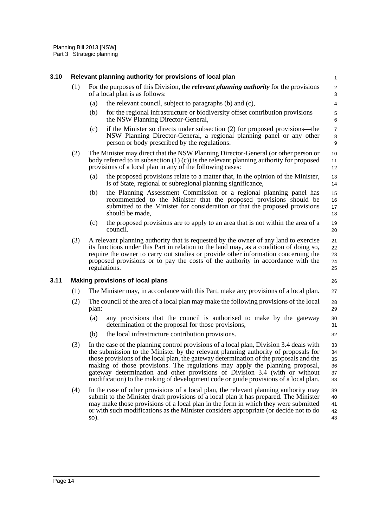<span id="page-32-1"></span><span id="page-32-0"></span>

| 3.10 | Relevant planning authority for provisions of local plan<br>$\mathbf{1}$ |       |                                                                                                                                                                                                                                                                                                                                                                                                                                                                                                                                |                                              |  |  |  |  |  |
|------|--------------------------------------------------------------------------|-------|--------------------------------------------------------------------------------------------------------------------------------------------------------------------------------------------------------------------------------------------------------------------------------------------------------------------------------------------------------------------------------------------------------------------------------------------------------------------------------------------------------------------------------|----------------------------------------------|--|--|--|--|--|
|      | (1)                                                                      |       | For the purposes of this Division, the <i>relevant planning authority</i> for the provisions<br>of a local plan is as follows:                                                                                                                                                                                                                                                                                                                                                                                                 | $\overline{2}$<br>3                          |  |  |  |  |  |
|      |                                                                          | (a)   | the relevant council, subject to paragraphs (b) and (c),                                                                                                                                                                                                                                                                                                                                                                                                                                                                       | $\overline{\mathbf{4}}$                      |  |  |  |  |  |
|      |                                                                          | (b)   | for the regional infrastructure or biodiversity offset contribution provisions—<br>the NSW Planning Director-General,                                                                                                                                                                                                                                                                                                                                                                                                          | $\mathbf 5$<br>6                             |  |  |  |  |  |
|      |                                                                          | (c)   | if the Minister so directs under subsection (2) for proposed provisions—the<br>NSW Planning Director-General, a regional planning panel or any other<br>person or body prescribed by the regulations.                                                                                                                                                                                                                                                                                                                          | $\overline{7}$<br>$\bf8$<br>$\boldsymbol{9}$ |  |  |  |  |  |
|      | (2)                                                                      |       | The Minister may direct that the NSW Planning Director-General (or other person or<br>body referred to in subsection $(1)(c)$ is the relevant planning authority for proposed<br>provisions of a local plan in any of the following cases:                                                                                                                                                                                                                                                                                     | 10<br>11<br>12                               |  |  |  |  |  |
|      |                                                                          | (a)   | the proposed provisions relate to a matter that, in the opinion of the Minister,<br>is of State, regional or subregional planning significance,                                                                                                                                                                                                                                                                                                                                                                                | 13<br>14                                     |  |  |  |  |  |
|      |                                                                          | (b)   | the Planning Assessment Commission or a regional planning panel has<br>recommended to the Minister that the proposed provisions should be<br>submitted to the Minister for consideration or that the proposed provisions<br>should be made.                                                                                                                                                                                                                                                                                    | 15<br>16<br>17<br>18                         |  |  |  |  |  |
|      |                                                                          | (c)   | the proposed provisions are to apply to an area that is not within the area of a<br>council.                                                                                                                                                                                                                                                                                                                                                                                                                                   | 19<br>20                                     |  |  |  |  |  |
|      | (3)                                                                      |       | A relevant planning authority that is requested by the owner of any land to exercise<br>its functions under this Part in relation to the land may, as a condition of doing so,<br>require the owner to carry out studies or provide other information concerning the<br>proposed provisions or to pay the costs of the authority in accordance with the<br>regulations.                                                                                                                                                        | 21<br>22<br>23<br>24<br>25                   |  |  |  |  |  |
| 3.11 | <b>Making provisions of local plans</b><br>26                            |       |                                                                                                                                                                                                                                                                                                                                                                                                                                                                                                                                |                                              |  |  |  |  |  |
|      | (1)                                                                      |       | The Minister may, in accordance with this Part, make any provisions of a local plan.                                                                                                                                                                                                                                                                                                                                                                                                                                           | 27                                           |  |  |  |  |  |
|      | (2)                                                                      | plan: | The council of the area of a local plan may make the following provisions of the local                                                                                                                                                                                                                                                                                                                                                                                                                                         | 28<br>29                                     |  |  |  |  |  |
|      |                                                                          | (a)   | any provisions that the council is authorised to make by the gateway<br>determination of the proposal for those provisions,                                                                                                                                                                                                                                                                                                                                                                                                    | 30<br>31                                     |  |  |  |  |  |
|      |                                                                          | (b)   | the local infrastructure contribution provisions.                                                                                                                                                                                                                                                                                                                                                                                                                                                                              | 32                                           |  |  |  |  |  |
|      | (3)                                                                      |       | In the case of the planning control provisions of a local plan, Division 3.4 deals with<br>the submission to the Minister by the relevant planning authority of proposals for<br>those provisions of the local plan, the gateway determination of the proposals and the<br>making of those provisions. The regulations may apply the planning proposal,<br>gateway determination and other provisions of Division 3.4 (with or without<br>modification) to the making of development code or guide provisions of a local plan. | 33<br>34<br>35<br>36<br>37<br>38             |  |  |  |  |  |
|      | (4)                                                                      | so).  | In the case of other provisions of a local plan, the relevant planning authority may<br>submit to the Minister draft provisions of a local plan it has prepared. The Minister<br>may make those provisions of a local plan in the form in which they were submitted<br>or with such modifications as the Minister considers appropriate (or decide not to do                                                                                                                                                                   | 39<br>40<br>41<br>42<br>43                   |  |  |  |  |  |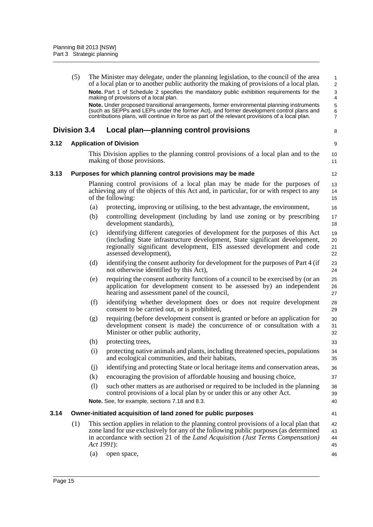<span id="page-33-3"></span><span id="page-33-2"></span><span id="page-33-1"></span><span id="page-33-0"></span>**3.12** 

|      | (5)                 |     | The Minister may delegate, under the planning legislation, to the council of the area<br>of a local plan or to another public authority the making of provisions of a local plan.<br>Note. Part 1 of Schedule 2 specifies the mandatory public exhibition requirements for the<br>making of provisions of a local plan.<br>Note. Under proposed transitional arrangements, former environmental planning instruments<br>(such as SEPPs and LEPs under the former Act), and former development control plans and<br>contributions plans, will continue in force as part of the relevant provisions of a local plan. | 1<br>$\sqrt{2}$<br>$\sqrt{3}$<br>$\overline{\mathbf{4}}$<br>5<br>$\,6\,$<br>$\overline{7}$ |
|------|---------------------|-----|--------------------------------------------------------------------------------------------------------------------------------------------------------------------------------------------------------------------------------------------------------------------------------------------------------------------------------------------------------------------------------------------------------------------------------------------------------------------------------------------------------------------------------------------------------------------------------------------------------------------|--------------------------------------------------------------------------------------------|
|      | <b>Division 3.4</b> |     | Local plan—planning control provisions                                                                                                                                                                                                                                                                                                                                                                                                                                                                                                                                                                             | 8                                                                                          |
| 3.12 |                     |     | <b>Application of Division</b>                                                                                                                                                                                                                                                                                                                                                                                                                                                                                                                                                                                     | 9                                                                                          |
|      |                     |     | This Division applies to the planning control provisions of a local plan and to the<br>making of those provisions.                                                                                                                                                                                                                                                                                                                                                                                                                                                                                                 | 10<br>11                                                                                   |
| 3.13 |                     |     | Purposes for which planning control provisions may be made                                                                                                                                                                                                                                                                                                                                                                                                                                                                                                                                                         | 12                                                                                         |
|      |                     |     | Planning control provisions of a local plan may be made for the purposes of<br>achieving any of the objects of this Act and, in particular, for or with respect to any<br>of the following:                                                                                                                                                                                                                                                                                                                                                                                                                        | 13<br>14<br>15                                                                             |
|      |                     | (a) | protecting, improving or utilising, to the best advantage, the environment,                                                                                                                                                                                                                                                                                                                                                                                                                                                                                                                                        | 16                                                                                         |
|      |                     | (b) | controlling development (including by land use zoning or by prescribing<br>development standards),                                                                                                                                                                                                                                                                                                                                                                                                                                                                                                                 | 17<br>18                                                                                   |
|      |                     | (c) | identifying different categories of development for the purposes of this Act<br>(including State infrastructure development, State significant development,<br>regionally significant development, EIS assessed development and code<br>assessed development),                                                                                                                                                                                                                                                                                                                                                     | 19<br>20<br>21<br>22                                                                       |
|      |                     | (d) | identifying the consent authority for development for the purposes of Part 4 (if<br>not otherwise identified by this Act),                                                                                                                                                                                                                                                                                                                                                                                                                                                                                         | 23<br>24                                                                                   |
|      |                     | (e) | requiring the consent authority functions of a council to be exercised by (or an<br>application for development consent to be assessed by) an independent<br>hearing and assessment panel of the council,                                                                                                                                                                                                                                                                                                                                                                                                          | 25<br>26<br>27                                                                             |
|      |                     | (f) | identifying whether development does or does not require development<br>consent to be carried out, or is prohibited,                                                                                                                                                                                                                                                                                                                                                                                                                                                                                               | 28<br>29                                                                                   |
|      |                     | (g) | requiring (before development consent is granted or before an application for<br>development consent is made) the concurrence of or consultation with a<br>Minister or other public authority,                                                                                                                                                                                                                                                                                                                                                                                                                     | 30<br>31<br>32                                                                             |
|      |                     | (h) | protecting trees,                                                                                                                                                                                                                                                                                                                                                                                                                                                                                                                                                                                                  | 33                                                                                         |
|      |                     | (i) | protecting native animals and plants, including threatened species, populations<br>and ecological communities, and their habitats,                                                                                                                                                                                                                                                                                                                                                                                                                                                                                 | 34<br>35                                                                                   |
|      |                     | (j) | identifying and protecting State or local heritage items and conservation areas,                                                                                                                                                                                                                                                                                                                                                                                                                                                                                                                                   | 36                                                                                         |
|      |                     | (k) | encouraging the provision of affordable housing and housing choice,                                                                                                                                                                                                                                                                                                                                                                                                                                                                                                                                                | 37                                                                                         |
|      |                     | (1) | such other matters as are authorised or required to be included in the planning<br>control provisions of a local plan by or under this or any other Act.                                                                                                                                                                                                                                                                                                                                                                                                                                                           | 38<br>39                                                                                   |
|      |                     |     | Note. See, for example, sections 7.18 and 8.3.                                                                                                                                                                                                                                                                                                                                                                                                                                                                                                                                                                     | 40                                                                                         |
| 3.14 |                     |     | Owner-initiated acquisition of land zoned for public purposes                                                                                                                                                                                                                                                                                                                                                                                                                                                                                                                                                      | 41                                                                                         |
|      | (1)                 |     | This section applies in relation to the planning control provisions of a local plan that<br>zone land for use exclusively for any of the following public purposes (as determined<br>in accordance with section 21 of the <i>Land Acquisition (Just Terms Compensation)</i><br>Act 1991):                                                                                                                                                                                                                                                                                                                          | 42<br>43<br>44<br>45                                                                       |
|      |                     | (a) | open space,                                                                                                                                                                                                                                                                                                                                                                                                                                                                                                                                                                                                        | 46                                                                                         |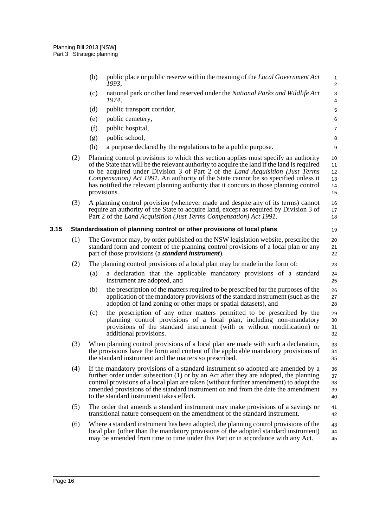<span id="page-34-0"></span>

|      |     | (b)                                                                                                                                                                                                                                                                                                                                                                                                                                                                        | public place or public reserve within the meaning of the Local Government Act<br>1993,                                                                                                                                                               | 1<br>$\overline{\mathbf{c}}$     |
|------|-----|----------------------------------------------------------------------------------------------------------------------------------------------------------------------------------------------------------------------------------------------------------------------------------------------------------------------------------------------------------------------------------------------------------------------------------------------------------------------------|------------------------------------------------------------------------------------------------------------------------------------------------------------------------------------------------------------------------------------------------------|----------------------------------|
|      |     | (c)                                                                                                                                                                                                                                                                                                                                                                                                                                                                        | national park or other land reserved under the National Parks and Wildlife Act<br>1974,                                                                                                                                                              | 3<br>$\overline{\mathcal{L}}$    |
|      |     | (d)                                                                                                                                                                                                                                                                                                                                                                                                                                                                        | public transport corridor,                                                                                                                                                                                                                           | 5                                |
|      |     | (e)                                                                                                                                                                                                                                                                                                                                                                                                                                                                        | public cemetery,                                                                                                                                                                                                                                     | 6                                |
|      |     | (f)                                                                                                                                                                                                                                                                                                                                                                                                                                                                        | public hospital,                                                                                                                                                                                                                                     | 7                                |
|      |     | (g)                                                                                                                                                                                                                                                                                                                                                                                                                                                                        | public school,                                                                                                                                                                                                                                       | 8                                |
|      |     | (h)                                                                                                                                                                                                                                                                                                                                                                                                                                                                        | a purpose declared by the regulations to be a public purpose.                                                                                                                                                                                        | 9                                |
|      | (2) | Planning control provisions to which this section applies must specify an authority<br>of the State that will be the relevant authority to acquire the land if the land is required<br>to be acquired under Division 3 of Part 2 of the <i>Land Acquisition (Just Terms</i><br>Compensation) Act 1991. An authority of the State cannot be so specified unless it<br>has notified the relevant planning authority that it concurs in those planning control<br>provisions. |                                                                                                                                                                                                                                                      | 10<br>11<br>12<br>13<br>14<br>15 |
|      | (3) |                                                                                                                                                                                                                                                                                                                                                                                                                                                                            | A planning control provision (whenever made and despite any of its terms) cannot<br>require an authority of the State to acquire land, except as required by Division 3 of<br>Part 2 of the Land Acquisition (Just Terms Compensation) Act 1991.     | 16<br>17<br>18                   |
| 3.15 |     | Standardisation of planning control or other provisions of local plans<br>19                                                                                                                                                                                                                                                                                                                                                                                               |                                                                                                                                                                                                                                                      |                                  |
|      | (1) |                                                                                                                                                                                                                                                                                                                                                                                                                                                                            | The Governor may, by order published on the NSW legislation website, prescribe the<br>standard form and content of the planning control provisions of a local plan or any<br>part of those provisions (a <i>standard instrument</i> ).               | 20<br>21<br>22                   |
|      | (2) |                                                                                                                                                                                                                                                                                                                                                                                                                                                                            | The planning control provisions of a local plan may be made in the form of:                                                                                                                                                                          | 23                               |
|      |     | (a)                                                                                                                                                                                                                                                                                                                                                                                                                                                                        | a declaration that the applicable mandatory provisions of a standard<br>instrument are adopted, and                                                                                                                                                  | 24<br>25                         |
|      |     | (b)                                                                                                                                                                                                                                                                                                                                                                                                                                                                        | the prescription of the matters required to be prescribed for the purposes of the<br>application of the mandatory provisions of the standard instrument (such as the<br>adoption of land zoning or other maps or spatial datasets), and              | 26<br>27<br>28                   |
|      |     | (c)                                                                                                                                                                                                                                                                                                                                                                                                                                                                        | the prescription of any other matters permitted to be prescribed by the<br>planning control provisions of a local plan, including non-mandatory<br>provisions of the standard instrument (with or without modification) or<br>additional provisions. | 29<br>30<br>31<br>32             |
|      | (3) | When planning control provisions of a local plan are made with such a declaration,<br>the provisions have the form and content of the applicable mandatory provisions of<br>the standard instrument and the matters so prescribed.                                                                                                                                                                                                                                         |                                                                                                                                                                                                                                                      | 33<br>34<br>35                   |
|      | (4) | If the mandatory provisions of a standard instrument so adopted are amended by a<br>further order under subsection (1) or by an Act after they are adopted, the planning<br>control provisions of a local plan are taken (without further amendment) to adopt the<br>amended provisions of the standard instrument on and from the date the amendment<br>to the standard instrument takes effect.                                                                          |                                                                                                                                                                                                                                                      | 36<br>37<br>38<br>39<br>40       |
|      | (5) | The order that amends a standard instrument may make provisions of a savings or<br>transitional nature consequent on the amendment of the standard instrument.                                                                                                                                                                                                                                                                                                             |                                                                                                                                                                                                                                                      | 41<br>42                         |
|      | (6) | Where a standard instrument has been adopted, the planning control provisions of the<br>43<br>local plan (other than the mandatory provisions of the adopted standard instrument)<br>44<br>may be amended from time to time under this Part or in accordance with any Act.<br>45                                                                                                                                                                                           |                                                                                                                                                                                                                                                      |                                  |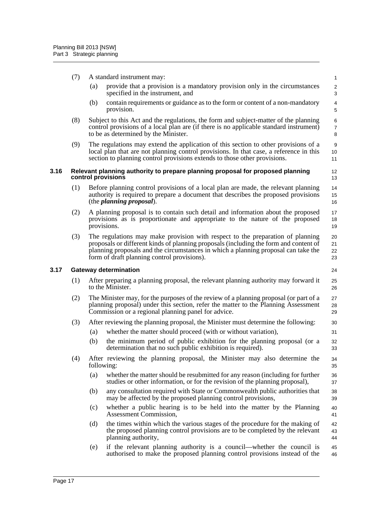- (7) A standard instrument may:
	- (a) provide that a provision is a mandatory provision only in the circumstances specified in the instrument, and

24 25 26

- (b) contain requirements or guidance as to the form or content of a non-mandatory provision.
- (8) Subject to this Act and the regulations, the form and subject-matter of the planning control provisions of a local plan are (if there is no applicable standard instrument) to be as determined by the Minister.
- (9) The regulations may extend the application of this section to other provisions of a local plan that are not planning control provisions. In that case, a reference in this section to planning control provisions extends to those other provisions.

#### <span id="page-35-0"></span>**3.16 Relevant planning authority to prepare planning proposal for proposed planning control provisions**

- (1) Before planning control provisions of a local plan are made, the relevant planning authority is required to prepare a document that describes the proposed provisions (the *planning proposal*).
- (2) A planning proposal is to contain such detail and information about the proposed provisions as is proportionate and appropriate to the nature of the proposed provisions. 17 18 19
- (3) The regulations may make provision with respect to the preparation of planning proposals or different kinds of planning proposals (including the form and content of planning proposals and the circumstances in which a planning proposal can take the form of draft planning control provisions).

#### <span id="page-35-1"></span>**3.17 Gateway determination**

- (1) After preparing a planning proposal, the relevant planning authority may forward it to the Minister.
- (2) The Minister may, for the purposes of the review of a planning proposal (or part of a planning proposal) under this section, refer the matter to the Planning Assessment Commission or a regional planning panel for advice. 27 28 29
- (3) After reviewing the planning proposal, the Minister must determine the following:
	- (a) whether the matter should proceed (with or without variation),
	- (b) the minimum period of public exhibition for the planning proposal (or a determination that no such public exhibition is required).
- (4) After reviewing the planning proposal, the Minister may also determine the following:
	- (a) whether the matter should be resubmitted for any reason (including for further studies or other information, or for the revision of the planning proposal),
	- (b) any consultation required with State or Commonwealth public authorities that may be affected by the proposed planning control provisions, 38 39
	- (c) whether a public hearing is to be held into the matter by the Planning Assessment Commission, 40 41
	- (d) the times within which the various stages of the procedure for the making of the proposed planning control provisions are to be completed by the relevant planning authority, 42 43 44
	- (e) if the relevant planning authority is a council—whether the council is authorised to make the proposed planning control provisions instead of the 45 46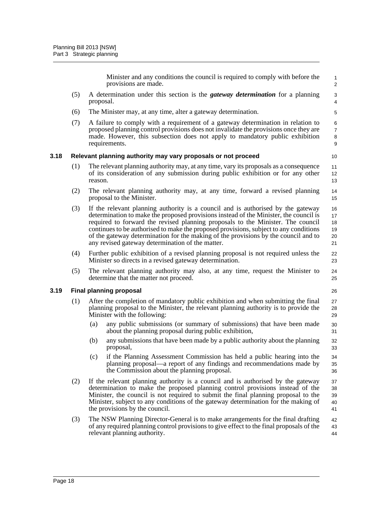Minister and any conditions the council is required to comply with before the provisions are made.

- (5) A determination under this section is the *gateway determination* for a planning proposal.
- (6) The Minister may, at any time, alter a gateway determination.
- (7) A failure to comply with a requirement of a gateway determination in relation to proposed planning control provisions does not invalidate the provisions once they are made. However, this subsection does not apply to mandatory public exhibition requirements.

### **3.18 Relevant planning authority may vary proposals or not proceed**

- (1) The relevant planning authority may, at any time, vary its proposals as a consequence of its consideration of any submission during public exhibition or for any other reason.
- (2) The relevant planning authority may, at any time, forward a revised planning proposal to the Minister. 14 15
- (3) If the relevant planning authority is a council and is authorised by the gateway determination to make the proposed provisions instead of the Minister, the council is required to forward the revised planning proposals to the Minister. The council continues to be authorised to make the proposed provisions, subject to any conditions of the gateway determination for the making of the provisions by the council and to any revised gateway determination of the matter. 16 17 18 19 20 21
- (4) Further public exhibition of a revised planning proposal is not required unless the Minister so directs in a revised gateway determination.
- (5) The relevant planning authority may also, at any time, request the Minister to determine that the matter not proceed.

## **3.19 Final planning proposal**

- (1) After the completion of mandatory public exhibition and when submitting the final planning proposal to the Minister, the relevant planning authority is to provide the Minister with the following:
	- (a) any public submissions (or summary of submissions) that have been made about the planning proposal during public exhibition,
	- (b) any submissions that have been made by a public authority about the planning proposal,
	- (c) if the Planning Assessment Commission has held a public hearing into the planning proposal—a report of any findings and recommendations made by the Commission about the planning proposal.
- (2) If the relevant planning authority is a council and is authorised by the gateway determination to make the proposed planning control provisions instead of the Minister, the council is not required to submit the final planning proposal to the Minister, subject to any conditions of the gateway determination for the making of the provisions by the council. 37 38 39 40 41
- (3) The NSW Planning Director-General is to make arrangements for the final drafting of any required planning control provisions to give effect to the final proposals of the relevant planning authority. 42 43 44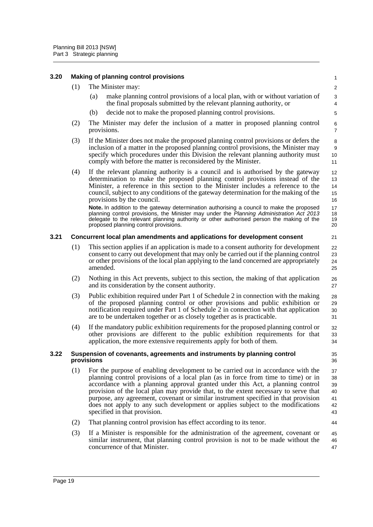| 3.20 |                                                                                       | <b>Making of planning control provisions</b>                                                                                                                                                                                                                                                                                                                                                                                                                                                                                                           | 1                                      |  |  |
|------|---------------------------------------------------------------------------------------|--------------------------------------------------------------------------------------------------------------------------------------------------------------------------------------------------------------------------------------------------------------------------------------------------------------------------------------------------------------------------------------------------------------------------------------------------------------------------------------------------------------------------------------------------------|----------------------------------------|--|--|
|      | (1)                                                                                   | The Minister may:                                                                                                                                                                                                                                                                                                                                                                                                                                                                                                                                      | $\overline{\mathbf{c}}$                |  |  |
|      |                                                                                       | make planning control provisions of a local plan, with or without variation of<br>(a)<br>the final proposals submitted by the relevant planning authority, or                                                                                                                                                                                                                                                                                                                                                                                          | 3<br>4                                 |  |  |
|      |                                                                                       | decide not to make the proposed planning control provisions.<br>(b)                                                                                                                                                                                                                                                                                                                                                                                                                                                                                    | 5                                      |  |  |
|      | (2)                                                                                   | The Minister may defer the inclusion of a matter in proposed planning control<br>provisions.                                                                                                                                                                                                                                                                                                                                                                                                                                                           | 6<br>7                                 |  |  |
|      | (3)                                                                                   | If the Minister does not make the proposed planning control provisions or defers the<br>inclusion of a matter in the proposed planning control provisions, the Minister may<br>specify which procedures under this Division the relevant planning authority must<br>comply with before the matter is reconsidered by the Minister.                                                                                                                                                                                                                     | 8<br>9<br>10<br>11                     |  |  |
|      | (4)                                                                                   | If the relevant planning authority is a council and is authorised by the gateway<br>determination to make the proposed planning control provisions instead of the<br>Minister, a reference in this section to the Minister includes a reference to the<br>council, subject to any conditions of the gateway determination for the making of the<br>provisions by the council.                                                                                                                                                                          | 12<br>13<br>14<br>15<br>16             |  |  |
|      |                                                                                       | Note. In addition to the gateway determination authorising a council to make the proposed<br>planning control provisions, the Minister may under the Planning Administration Act 2013<br>delegate to the relevant planning authority or other authorised person the making of the<br>proposed planning control provisions.                                                                                                                                                                                                                             | 17<br>18<br>19<br>20                   |  |  |
| 3.21 |                                                                                       | Concurrent local plan amendments and applications for development consent                                                                                                                                                                                                                                                                                                                                                                                                                                                                              | 21                                     |  |  |
|      | (1)                                                                                   | This section applies if an application is made to a consent authority for development<br>consent to carry out development that may only be carried out if the planning control<br>or other provisions of the local plan applying to the land concerned are appropriately<br>amended.                                                                                                                                                                                                                                                                   | 22<br>23<br>24<br>25                   |  |  |
|      | (2)                                                                                   | Nothing in this Act prevents, subject to this section, the making of that application<br>and its consideration by the consent authority.                                                                                                                                                                                                                                                                                                                                                                                                               | 26<br>27                               |  |  |
|      | (3)                                                                                   | Public exhibition required under Part 1 of Schedule 2 in connection with the making<br>of the proposed planning control or other provisions and public exhibition or<br>notification required under Part 1 of Schedule 2 in connection with that application<br>are to be undertaken together or as closely together as is practicable.                                                                                                                                                                                                                | 28<br>29<br>30<br>31                   |  |  |
|      | (4)                                                                                   | If the mandatory public exhibition requirements for the proposed planning control or<br>other provisions are different to the public exhibition requirements for that<br>application, the more extensive requirements apply for both of them.                                                                                                                                                                                                                                                                                                          | 32<br>33<br>34                         |  |  |
| 3.22 | Suspension of covenants, agreements and instruments by planning control<br>provisions |                                                                                                                                                                                                                                                                                                                                                                                                                                                                                                                                                        |                                        |  |  |
|      | (1)                                                                                   | For the purpose of enabling development to be carried out in accordance with the<br>planning control provisions of a local plan (as in force from time to time) or in<br>accordance with a planning approval granted under this Act, a planning control<br>provision of the local plan may provide that, to the extent necessary to serve that<br>purpose, any agreement, covenant or similar instrument specified in that provision<br>does not apply to any such development or applies subject to the modifications<br>specified in that provision. | 37<br>38<br>39<br>40<br>41<br>42<br>43 |  |  |
|      | (2)                                                                                   | That planning control provision has effect according to its tenor.                                                                                                                                                                                                                                                                                                                                                                                                                                                                                     | 44                                     |  |  |
|      | (3)                                                                                   | If a Minister is responsible for the administration of the agreement, covenant or<br>similar instrument, that planning control provision is not to be made without the<br>concurrence of that Minister.                                                                                                                                                                                                                                                                                                                                                | 45<br>46<br>47                         |  |  |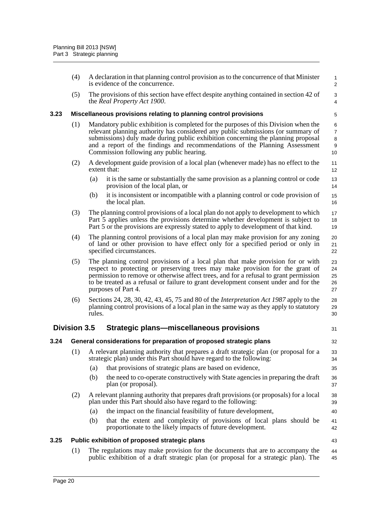|      | (4)                 | A declaration in that planning control provision as to the concurrence of that Minister<br>is evidence of the concurrence.                                                                                                                                                                                                                                                             | $\mathbf{1}$<br>2                                         |
|------|---------------------|----------------------------------------------------------------------------------------------------------------------------------------------------------------------------------------------------------------------------------------------------------------------------------------------------------------------------------------------------------------------------------------|-----------------------------------------------------------|
|      | (5)                 | The provisions of this section have effect despite anything contained in section 42 of<br>the Real Property Act 1900.                                                                                                                                                                                                                                                                  | $\ensuremath{\mathsf{3}}$<br>$\overline{\mathbf{4}}$      |
| 3.23 |                     | Miscellaneous provisions relating to planning control provisions                                                                                                                                                                                                                                                                                                                       | $\mathbf 5$                                               |
|      | (1)                 | Mandatory public exhibition is completed for the purposes of this Division when the<br>relevant planning authority has considered any public submissions (or summary of<br>submissions) duly made during public exhibition concerning the planning proposal<br>and a report of the findings and recommendations of the Planning Assessment<br>Commission following any public hearing. | 6<br>$\boldsymbol{7}$<br>$\bf8$<br>$\boldsymbol{9}$<br>10 |
|      | (2)                 | A development guide provision of a local plan (whenever made) has no effect to the<br>extent that:                                                                                                                                                                                                                                                                                     | 11<br>12                                                  |
|      |                     | (a)<br>it is the same or substantially the same provision as a planning control or code<br>provision of the local plan, or                                                                                                                                                                                                                                                             | 13<br>14                                                  |
|      |                     | it is inconsistent or incompatible with a planning control or code provision of<br>(b)<br>the local plan.                                                                                                                                                                                                                                                                              | 15<br>16                                                  |
|      | (3)                 | The planning control provisions of a local plan do not apply to development to which<br>Part 5 applies unless the provisions determine whether development is subject to<br>Part 5 or the provisions are expressly stated to apply to development of that kind.                                                                                                                        | 17<br>18<br>19                                            |
|      | (4)                 | The planning control provisions of a local plan may make provision for any zoning<br>of land or other provision to have effect only for a specified period or only in<br>specified circumstances.                                                                                                                                                                                      | 20<br>21<br>22                                            |
|      | (5)                 | The planning control provisions of a local plan that make provision for or with<br>respect to protecting or preserving trees may make provision for the grant of<br>permission to remove or otherwise affect trees, and for a refusal to grant permission<br>to be treated as a refusal or failure to grant development consent under and for the<br>purposes of Part 4.               | 23<br>24<br>25<br>26<br>27                                |
|      | (6)                 | Sections 24, 28, 30, 42, 43, 45, 75 and 80 of the <i>Interpretation Act 1987</i> apply to the<br>planning control provisions of a local plan in the same way as they apply to statutory<br>rules.                                                                                                                                                                                      | 28<br>29<br>30                                            |
|      | <b>Division 3.5</b> | <b>Strategic plans-miscellaneous provisions</b>                                                                                                                                                                                                                                                                                                                                        | 31                                                        |
| 3.24 |                     | General considerations for preparation of proposed strategic plans                                                                                                                                                                                                                                                                                                                     | 32                                                        |
|      | (1)                 | A relevant planning authority that prepares a draft strategic plan (or proposal for a<br>strategic plan) under this Part should have regard to the following:                                                                                                                                                                                                                          | 33<br>34                                                  |
|      |                     | that provisions of strategic plans are based on evidence,<br>(a)                                                                                                                                                                                                                                                                                                                       | 35                                                        |
|      |                     | the need to co-operate constructively with State agencies in preparing the draft<br>(b)<br>plan (or proposal).                                                                                                                                                                                                                                                                         | 36<br>37                                                  |
|      | (2)                 | A relevant planning authority that prepares draft provisions (or proposals) for a local<br>plan under this Part should also have regard to the following:                                                                                                                                                                                                                              | 38<br>39                                                  |
|      |                     | the impact on the financial feasibility of future development,<br>(a)                                                                                                                                                                                                                                                                                                                  | 40                                                        |
|      |                     | that the extent and complexity of provisions of local plans should be<br>(b)<br>proportionate to the likely impacts of future development.                                                                                                                                                                                                                                             | 41<br>42                                                  |
| 3.25 |                     | Public exhibition of proposed strategic plans                                                                                                                                                                                                                                                                                                                                          | 43                                                        |
|      | (1)                 | The regulations may make provision for the documents that are to accompany the<br>public exhibition of a draft strategic plan (or proposal for a strategic plan). The                                                                                                                                                                                                                  | 44<br>45                                                  |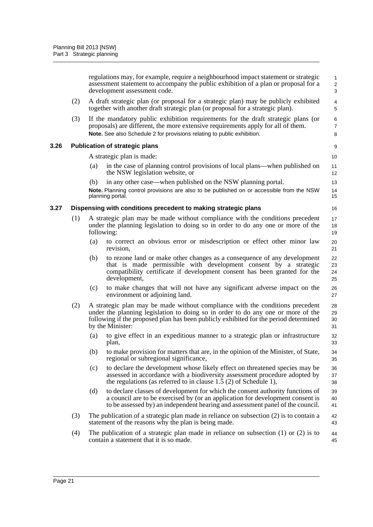**3.26** 

|      |     |     | regulations may, for example, require a neighbourhood impact statement or strategic<br>assessment statement to accompany the public exhibition of a plan or proposal for a<br>development assessment code.                                                                    | $\mathbf{1}$<br>$\overline{\mathbf{c}}$<br>3 |
|------|-----|-----|-------------------------------------------------------------------------------------------------------------------------------------------------------------------------------------------------------------------------------------------------------------------------------|----------------------------------------------|
|      | (2) |     | A draft strategic plan (or proposal for a strategic plan) may be publicly exhibited<br>together with another draft strategic plan (or proposal for a strategic plan).                                                                                                         | $\overline{\mathcal{L}}$<br>5                |
|      | (3) |     | If the mandatory public exhibition requirements for the draft strategic plans (or<br>proposals) are different, the more extensive requirements apply for all of them.<br>Note. See also Schedule 2 for provisions relating to public exhibition.                              | 6<br>$\overline{7}$<br>8                     |
| 3.26 |     |     | <b>Publication of strategic plans</b>                                                                                                                                                                                                                                         | 9                                            |
|      |     |     | A strategic plan is made:                                                                                                                                                                                                                                                     | 10                                           |
|      |     | (a) | in the case of planning control provisions of local plans—when published on<br>the NSW legislation website, or                                                                                                                                                                | 11<br>12                                     |
|      |     | (b) | in any other case—when published on the NSW planning portal.<br>Note. Planning control provisions are also to be published on or accessible from the NSW<br>planning portal.                                                                                                  | 13<br>14<br>15                               |
| 3.27 |     |     | Dispensing with conditions precedent to making strategic plans                                                                                                                                                                                                                | 16                                           |
|      | (1) |     | A strategic plan may be made without compliance with the conditions precedent<br>under the planning legislation to doing so in order to do any one or more of the<br>following:                                                                                               | 17<br>18<br>19                               |
|      |     | (a) | to correct an obvious error or misdescription or effect other minor law<br>revision,                                                                                                                                                                                          | 20<br>21                                     |
|      |     | (b) | to rezone land or make other changes as a consequence of any development<br>that is made permissible with development consent by a strategic<br>compatibility certificate if development consent has been granted for the<br>development,                                     | 22<br>23<br>24<br>25                         |
|      |     | (c) | to make changes that will not have any significant adverse impact on the<br>environment or adjoining land.                                                                                                                                                                    | 26<br>27                                     |
|      | (2) |     | A strategic plan may be made without compliance with the conditions precedent<br>under the planning legislation to doing so in order to do any one or more of the<br>following if the proposed plan has been publicly exhibited for the period determined<br>by the Minister: | 28<br>29<br>30<br>31                         |
|      |     | (a) | to give effect in an expeditious manner to a strategic plan or infrastructure<br>plan,                                                                                                                                                                                        | 32<br>33                                     |
|      |     |     | (b) to make provision for matters that are, in the opinion of the Minister, of State,<br>regional or subregional significance,                                                                                                                                                | 34<br>35                                     |
|      |     | (c) | to declare the development whose likely effect on threatened species may be<br>assessed in accordance with a biodiversity assessment procedure adopted by<br>the regulations (as referred to in clause $1.5$ (2) of Schedule 1),                                              | 36<br>37<br>38                               |
|      |     | (d) | to declare classes of development for which the consent authority functions of<br>a council are to be exercised by (or an application for development consent is<br>to be assessed by) an independent hearing and assessment panel of the council.                            | 39<br>40<br>41                               |
|      | (3) |     | The publication of a strategic plan made in reliance on subsection (2) is to contain a<br>statement of the reasons why the plan is being made.                                                                                                                                | 42<br>43                                     |
|      | (4) |     | The publication of a strategic plan made in reliance on subsection $(1)$ or $(2)$ is to<br>contain a statement that it is so made.                                                                                                                                            | 44<br>45                                     |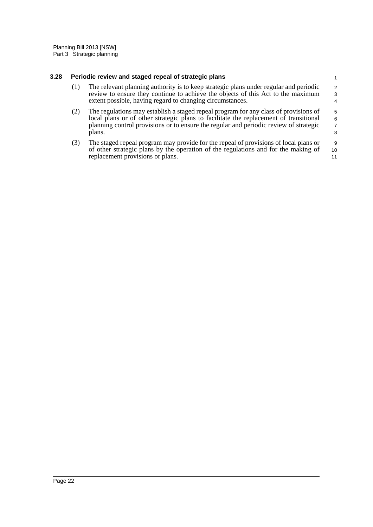# **3.28 Periodic review and staged repeal of strategic plans** (1) The relevant planning authority is to keep strategic plans under regular and periodic review to ensure they continue to achieve the objects of this Act to the maximum extent possible, having regard to changing circumstances. (2) The regulations may establish a staged repeal program for any class of provisions of local plans or of other strategic plans to facilitate the replacement of transitional planning control provisions or to ensure the regular and periodic review of strategic plans. (3) The staged repeal program may provide for the repeal of provisions of local plans or of other strategic plans by the operation of the regulations and for the making of replacement provisions or plans.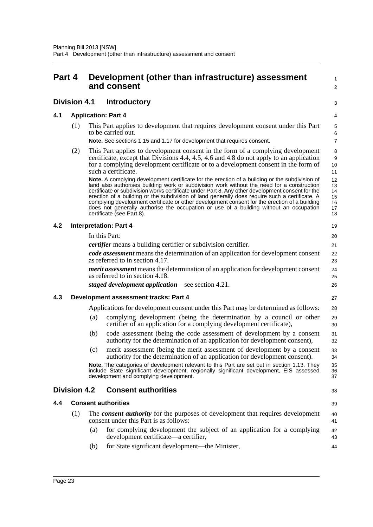| Part 4 |                     |                     | Development (other than infrastructure) assessment<br>and consent                                                                                                                                                                                                                                                                                                                                                                                                                                                                                                                                                          | 1<br>$\overline{2}$                    |
|--------|---------------------|---------------------|----------------------------------------------------------------------------------------------------------------------------------------------------------------------------------------------------------------------------------------------------------------------------------------------------------------------------------------------------------------------------------------------------------------------------------------------------------------------------------------------------------------------------------------------------------------------------------------------------------------------------|----------------------------------------|
|        | <b>Division 4.1</b> | <b>Introductory</b> |                                                                                                                                                                                                                                                                                                                                                                                                                                                                                                                                                                                                                            |                                        |
| 4.1    |                     |                     | <b>Application: Part 4</b>                                                                                                                                                                                                                                                                                                                                                                                                                                                                                                                                                                                                 | 4                                      |
|        | (1)                 |                     | This Part applies to development that requires development consent under this Part<br>to be carried out.                                                                                                                                                                                                                                                                                                                                                                                                                                                                                                                   | 5<br>6                                 |
|        |                     |                     | Note. See sections 1.15 and 1.17 for development that requires consent.                                                                                                                                                                                                                                                                                                                                                                                                                                                                                                                                                    | $\overline{7}$                         |
|        | (2)                 |                     | This Part applies to development consent in the form of a complying development<br>certificate, except that Divisions 4.4, 4.5, 4.6 and 4.8 do not apply to an application<br>for a complying development certificate or to a development consent in the form of<br>such a certificate.                                                                                                                                                                                                                                                                                                                                    | 8<br>9<br>10<br>11                     |
|        |                     |                     | Note. A complying development certificate for the erection of a building or the subdivision of<br>land also authorises building work or subdivision work without the need for a construction<br>certificate or subdivision works certificate under Part 8. Any other development consent for the<br>erection of a building or the subdivision of land generally does require such a certificate. A<br>complying development certificate or other development consent for the erection of a building<br>does not generally authorise the occupation or use of a building without an occupation<br>certificate (see Part 8). | 12<br>13<br>14<br>15<br>16<br>17<br>18 |
| 4.2    |                     |                     | <b>Interpretation: Part 4</b>                                                                                                                                                                                                                                                                                                                                                                                                                                                                                                                                                                                              | 19                                     |
|        |                     |                     | In this Part:                                                                                                                                                                                                                                                                                                                                                                                                                                                                                                                                                                                                              | 20                                     |
|        |                     |                     | <i>certifier</i> means a building certifier or subdivision certifier.                                                                                                                                                                                                                                                                                                                                                                                                                                                                                                                                                      | 21                                     |
|        |                     |                     | code assessment means the determination of an application for development consent<br>as referred to in section 4.17.                                                                                                                                                                                                                                                                                                                                                                                                                                                                                                       | 22<br>23                               |
|        |                     |                     | <i>merit assessment</i> means the determination of an application for development consent<br>as referred to in section 4.18.                                                                                                                                                                                                                                                                                                                                                                                                                                                                                               | 24<br>25                               |
|        |                     |                     | staged development application—see section 4.21.                                                                                                                                                                                                                                                                                                                                                                                                                                                                                                                                                                           | 26                                     |
| 4.3    |                     |                     | Development assessment tracks: Part 4                                                                                                                                                                                                                                                                                                                                                                                                                                                                                                                                                                                      | 27                                     |
|        |                     |                     | Applications for development consent under this Part may be determined as follows:                                                                                                                                                                                                                                                                                                                                                                                                                                                                                                                                         | 28                                     |
|        |                     | (a)                 | complying development (being the determination by a council or other<br>certifier of an application for a complying development certificate),                                                                                                                                                                                                                                                                                                                                                                                                                                                                              | 29<br>30                               |
|        |                     | (b)                 | code assessment (being the code assessment of development by a consent<br>authority for the determination of an application for development consent),                                                                                                                                                                                                                                                                                                                                                                                                                                                                      | 31<br>32                               |
|        |                     | (c)                 | merit assessment (being the merit assessment of development by a consent<br>authority for the determination of an application for development consent).                                                                                                                                                                                                                                                                                                                                                                                                                                                                    | 33<br>34                               |
|        |                     |                     | Note. The categories of development relevant to this Part are set out in section 1.13. They<br>include State significant development, regionally significant development, EIS assessed<br>development and complying development.                                                                                                                                                                                                                                                                                                                                                                                           | 35<br>36<br>37                         |
|        | <b>Division 4.2</b> |                     | <b>Consent authorities</b>                                                                                                                                                                                                                                                                                                                                                                                                                                                                                                                                                                                                 | 38                                     |
| 4.4    |                     |                     | <b>Consent authorities</b>                                                                                                                                                                                                                                                                                                                                                                                                                                                                                                                                                                                                 | 39                                     |
|        | (1)                 |                     | The <b><i>consent authority</i></b> for the purposes of development that requires development<br>consent under this Part is as follows:                                                                                                                                                                                                                                                                                                                                                                                                                                                                                    | 40<br>41                               |
|        |                     | (a)                 | for complying development the subject of an application for a complying<br>development certificate—a certifier,                                                                                                                                                                                                                                                                                                                                                                                                                                                                                                            | 42<br>43                               |
|        |                     | (b)                 | for State significant development—the Minister,                                                                                                                                                                                                                                                                                                                                                                                                                                                                                                                                                                            | 44                                     |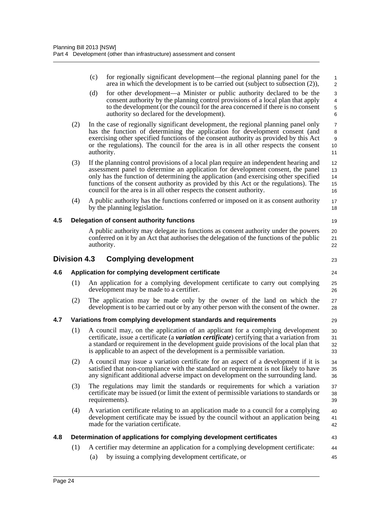|     |                     | (c)<br>for regionally significant development—the regional planning panel for the<br>area in which the development is to be carried out (subject to subsection $(2)$ ),                                                                                                                                                                                                                                                         | $\mathbf{1}$<br>$\overline{c}$                         |
|-----|---------------------|---------------------------------------------------------------------------------------------------------------------------------------------------------------------------------------------------------------------------------------------------------------------------------------------------------------------------------------------------------------------------------------------------------------------------------|--------------------------------------------------------|
|     |                     | for other development—a Minister or public authority declared to be the<br>(d)<br>consent authority by the planning control provisions of a local plan that apply<br>to the development (or the council for the area concerned if there is no consent<br>authority so declared for the development).                                                                                                                            | $\sqrt{3}$<br>$\overline{4}$<br>$\,$ 5 $\,$<br>$\,6\,$ |
|     | (2)                 | In the case of regionally significant development, the regional planning panel only<br>has the function of determining the application for development consent (and<br>exercising other specified functions of the consent authority as provided by this Act<br>or the regulations). The council for the area is in all other respects the consent<br>authority.                                                                | $\overline{7}$<br>8<br>$9\,$<br>10<br>11               |
|     | (3)                 | If the planning control provisions of a local plan require an independent hearing and<br>assessment panel to determine an application for development consent, the panel<br>only has the function of determining the application (and exercising other specified<br>functions of the consent authority as provided by this Act or the regulations). The<br>council for the area is in all other respects the consent authority. | 12<br>13<br>14<br>15<br>16                             |
|     | (4)                 | A public authority has the functions conferred or imposed on it as consent authority<br>by the planning legislation.                                                                                                                                                                                                                                                                                                            | 17<br>18                                               |
| 4.5 |                     | Delegation of consent authority functions                                                                                                                                                                                                                                                                                                                                                                                       | 19                                                     |
|     |                     | A public authority may delegate its functions as consent authority under the powers<br>conferred on it by an Act that authorises the delegation of the functions of the public<br>authority.                                                                                                                                                                                                                                    | 20<br>21<br>22                                         |
|     | <b>Division 4.3</b> | <b>Complying development</b>                                                                                                                                                                                                                                                                                                                                                                                                    | 23                                                     |
| 4.6 |                     | Application for complying development certificate                                                                                                                                                                                                                                                                                                                                                                               | 24                                                     |
|     | (1)                 | An application for a complying development certificate to carry out complying<br>development may be made to a certifier.                                                                                                                                                                                                                                                                                                        | 25<br>26                                               |
|     |                     |                                                                                                                                                                                                                                                                                                                                                                                                                                 |                                                        |
|     | (2)                 | The application may be made only by the owner of the land on which the<br>development is to be carried out or by any other person with the consent of the owner.                                                                                                                                                                                                                                                                | 27<br>28                                               |
| 4.7 |                     | Variations from complying development standards and requirements                                                                                                                                                                                                                                                                                                                                                                | 29                                                     |
|     | (1)                 | A council may, on the application of an applicant for a complying development<br>certificate, issue a certificate (a <i>variation certificate</i> ) certifying that a variation from<br>a standard or requirement in the development guide provisions of the local plan that<br>is applicable to an aspect of the development is a permissible variation.                                                                       | 30<br>31<br>32<br>33                                   |
|     | (2)                 | A council may issue a variation certificate for an aspect of a development if it is<br>satisfied that non-compliance with the standard or requirement is not likely to have<br>any significant additional adverse impact on development on the surrounding land.                                                                                                                                                                | 34<br>35<br>36                                         |
|     | (3)                 | The regulations may limit the standards or requirements for which a variation<br>certificate may be issued (or limit the extent of permissible variations to standards or<br>requirements).                                                                                                                                                                                                                                     | 37<br>38<br>39                                         |
|     | (4)                 | A variation certificate relating to an application made to a council for a complying<br>development certificate may be issued by the council without an application being<br>made for the variation certificate.                                                                                                                                                                                                                | 40<br>41<br>42                                         |
| 4.8 |                     | Determination of applications for complying development certificates                                                                                                                                                                                                                                                                                                                                                            | 43                                                     |
|     | (1)                 | A certifier may determine an application for a complying development certificate:                                                                                                                                                                                                                                                                                                                                               | 44                                                     |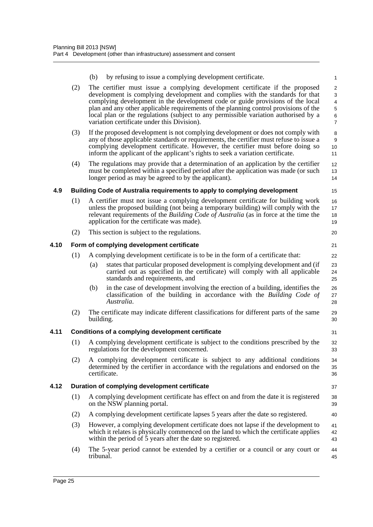|      |     | (b)                                       | by refusing to issue a complying development certificate.                                                                                                                                                                                                                                                                                                                                                                                                                     | $\mathbf{1}$                                                                                              |  |  |  |
|------|-----|-------------------------------------------|-------------------------------------------------------------------------------------------------------------------------------------------------------------------------------------------------------------------------------------------------------------------------------------------------------------------------------------------------------------------------------------------------------------------------------------------------------------------------------|-----------------------------------------------------------------------------------------------------------|--|--|--|
|      | (2) |                                           | The certifier must issue a complying development certificate if the proposed<br>development is complying development and complies with the standards for that<br>complying development in the development code or guide provisions of the local<br>plan and any other applicable requirements of the planning control provisions of the<br>local plan or the regulations (subject to any permissible variation authorised by a<br>variation certificate under this Division). | $\overline{c}$<br>$\ensuremath{\mathsf{3}}$<br>$\overline{4}$<br>$\mathbf 5$<br>$\,6$<br>$\boldsymbol{7}$ |  |  |  |
|      | (3) |                                           | If the proposed development is not complying development or does not comply with<br>any of those applicable standards or requirements, the certifier must refuse to issue a<br>complying development certificate. However, the certifier must before doing so<br>inform the applicant of the applicant's rights to seek a variation certificate.                                                                                                                              | 8<br>$\boldsymbol{9}$<br>10<br>11                                                                         |  |  |  |
|      | (4) |                                           | The regulations may provide that a determination of an application by the certifier<br>must be completed within a specified period after the application was made (or such<br>longer period as may be agreed to by the applicant).                                                                                                                                                                                                                                            | 12<br>13<br>14                                                                                            |  |  |  |
| 4.9  |     |                                           | Building Code of Australia requirements to apply to complying development                                                                                                                                                                                                                                                                                                                                                                                                     | 15                                                                                                        |  |  |  |
|      | (1) |                                           | A certifier must not issue a complying development certificate for building work<br>unless the proposed building (not being a temporary building) will comply with the<br>relevant requirements of the <i>Building Code of Australia</i> (as in force at the time the<br>application for the certificate was made).                                                                                                                                                           | 16<br>17<br>18<br>19                                                                                      |  |  |  |
|      | (2) |                                           | This section is subject to the regulations.                                                                                                                                                                                                                                                                                                                                                                                                                                   | 20                                                                                                        |  |  |  |
| 4.10 |     | Form of complying development certificate |                                                                                                                                                                                                                                                                                                                                                                                                                                                                               |                                                                                                           |  |  |  |
|      | (1) |                                           | A complying development certificate is to be in the form of a certificate that:                                                                                                                                                                                                                                                                                                                                                                                               | 22                                                                                                        |  |  |  |
|      |     | (a)                                       | states that particular proposed development is complying development and (if<br>carried out as specified in the certificate) will comply with all applicable<br>standards and requirements, and                                                                                                                                                                                                                                                                               | 23<br>24<br>25                                                                                            |  |  |  |
|      |     | (b)                                       | in the case of development involving the erection of a building, identifies the<br>classification of the building in accordance with the Building Code of<br>Australia.                                                                                                                                                                                                                                                                                                       | 26<br>27<br>28                                                                                            |  |  |  |
|      | (2) | building.                                 | The certificate may indicate different classifications for different parts of the same                                                                                                                                                                                                                                                                                                                                                                                        | 29<br>30                                                                                                  |  |  |  |
| 4.11 |     |                                           | Conditions of a complying development certificate                                                                                                                                                                                                                                                                                                                                                                                                                             | 31                                                                                                        |  |  |  |
|      | (1) |                                           | A complying development certificate is subject to the conditions prescribed by the<br>regulations for the development concerned.                                                                                                                                                                                                                                                                                                                                              | 32<br>33                                                                                                  |  |  |  |
|      | (2) |                                           | A complying development certificate is subject to any additional conditions<br>determined by the certifier in accordance with the regulations and endorsed on the<br>certificate.                                                                                                                                                                                                                                                                                             | 34<br>35<br>36                                                                                            |  |  |  |
| 4.12 |     |                                           | Duration of complying development certificate                                                                                                                                                                                                                                                                                                                                                                                                                                 | 37                                                                                                        |  |  |  |
|      | (1) |                                           | A complying development certificate has effect on and from the date it is registered<br>on the NSW planning portal.                                                                                                                                                                                                                                                                                                                                                           | 38<br>39                                                                                                  |  |  |  |
|      | (2) |                                           | A complying development certificate lapses 5 years after the date so registered.                                                                                                                                                                                                                                                                                                                                                                                              | 40                                                                                                        |  |  |  |
|      | (3) |                                           | However, a complying development certificate does not lapse if the development to<br>which it relates is physically commenced on the land to which the certificate applies<br>within the period of 5 years after the date so registered.                                                                                                                                                                                                                                      | 41<br>42<br>43                                                                                            |  |  |  |
|      | (4) | tribunal.                                 | The 5-year period cannot be extended by a certifier or a council or any court or                                                                                                                                                                                                                                                                                                                                                                                              | 44<br>45                                                                                                  |  |  |  |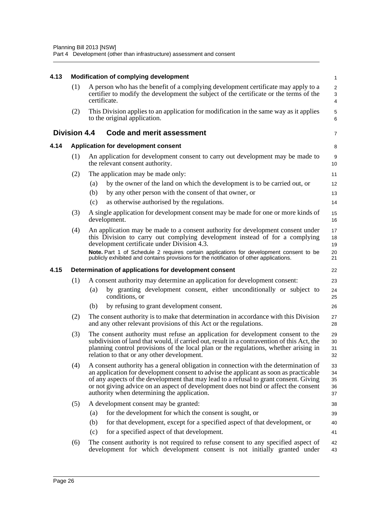| 4.13 | <b>Modification of complying development</b>          |                                                                                                                                                                                                                                                                                                                                                                                                               |                                   |  |  |  |  |
|------|-------------------------------------------------------|---------------------------------------------------------------------------------------------------------------------------------------------------------------------------------------------------------------------------------------------------------------------------------------------------------------------------------------------------------------------------------------------------------------|-----------------------------------|--|--|--|--|
|      | (1)                                                   | A person who has the benefit of a complying development certificate may apply to a<br>certifier to modify the development the subject of the certificate or the terms of the<br>certificate.                                                                                                                                                                                                                  | $\overline{\mathbf{c}}$<br>3<br>4 |  |  |  |  |
|      | (2)                                                   | This Division applies to an application for modification in the same way as it applies<br>to the original application.                                                                                                                                                                                                                                                                                        | 5<br>6                            |  |  |  |  |
|      | <b>Division 4.4</b>                                   | <b>Code and merit assessment</b>                                                                                                                                                                                                                                                                                                                                                                              | 7                                 |  |  |  |  |
| 4.14 |                                                       | <b>Application for development consent</b>                                                                                                                                                                                                                                                                                                                                                                    | 8                                 |  |  |  |  |
|      | (1)                                                   | An application for development consent to carry out development may be made to<br>the relevant consent authority.                                                                                                                                                                                                                                                                                             | 9<br>10                           |  |  |  |  |
|      | (2)                                                   | The application may be made only:                                                                                                                                                                                                                                                                                                                                                                             | 11                                |  |  |  |  |
|      |                                                       | by the owner of the land on which the development is to be carried out, or<br>(a)                                                                                                                                                                                                                                                                                                                             | 12                                |  |  |  |  |
|      |                                                       | (b)<br>by any other person with the consent of that owner, or                                                                                                                                                                                                                                                                                                                                                 | 13                                |  |  |  |  |
|      |                                                       | (c)<br>as otherwise authorised by the regulations.                                                                                                                                                                                                                                                                                                                                                            | 14                                |  |  |  |  |
|      | (3)                                                   | A single application for development consent may be made for one or more kinds of<br>development.                                                                                                                                                                                                                                                                                                             | 15<br>16                          |  |  |  |  |
|      | (4)                                                   | An application may be made to a consent authority for development consent under<br>this Division to carry out complying development instead of for a complying<br>development certificate under Division 4.3.<br>Note. Part 1 of Schedule 2 requires certain applications for development consent to be                                                                                                       | 17<br>18<br>19<br>20              |  |  |  |  |
|      |                                                       | publicly exhibited and contains provisions for the notification of other applications.                                                                                                                                                                                                                                                                                                                        | 21                                |  |  |  |  |
| 4.15 | Determination of applications for development consent |                                                                                                                                                                                                                                                                                                                                                                                                               |                                   |  |  |  |  |
|      | (1)                                                   | A consent authority may determine an application for development consent:                                                                                                                                                                                                                                                                                                                                     | 23                                |  |  |  |  |
|      |                                                       | by granting development consent, either unconditionally or subject to<br>(a)<br>conditions, or                                                                                                                                                                                                                                                                                                                | 24<br>25                          |  |  |  |  |
|      |                                                       | by refusing to grant development consent.<br>(b)                                                                                                                                                                                                                                                                                                                                                              | 26                                |  |  |  |  |
|      | (2)                                                   | The consent authority is to make that determination in accordance with this Division<br>and any other relevant provisions of this Act or the regulations.                                                                                                                                                                                                                                                     | 27<br>28                          |  |  |  |  |
|      | (3)                                                   | The consent authority must refuse an application for development consent to the<br>subdivision of land that would, if carried out, result in a contravention of this Act, the<br>planning control provisions of the local plan or the regulations, whether arising in<br>relation to that or any other development.                                                                                           | 29<br>30<br>31<br>32              |  |  |  |  |
|      | (4)                                                   | A consent authority has a general obligation in connection with the determination of<br>an application for development consent to advise the applicant as soon as practicable<br>of any aspects of the development that may lead to a refusal to grant consent. Giving<br>or not giving advice on an aspect of development does not bind or affect the consent<br>authority when determining the application. | 33<br>34<br>35<br>36<br>37        |  |  |  |  |
|      | (5)                                                   | A development consent may be granted:                                                                                                                                                                                                                                                                                                                                                                         | 38                                |  |  |  |  |
|      |                                                       | for the development for which the consent is sought, or<br>(a)                                                                                                                                                                                                                                                                                                                                                | 39                                |  |  |  |  |
|      |                                                       | for that development, except for a specified aspect of that development, or<br>(b)                                                                                                                                                                                                                                                                                                                            | 40                                |  |  |  |  |
|      |                                                       | for a specified aspect of that development.<br>(c)                                                                                                                                                                                                                                                                                                                                                            | 41                                |  |  |  |  |
|      | (6)                                                   | The consent authority is not required to refuse consent to any specified aspect of<br>development for which development consent is not initially granted under                                                                                                                                                                                                                                                | 42<br>43                          |  |  |  |  |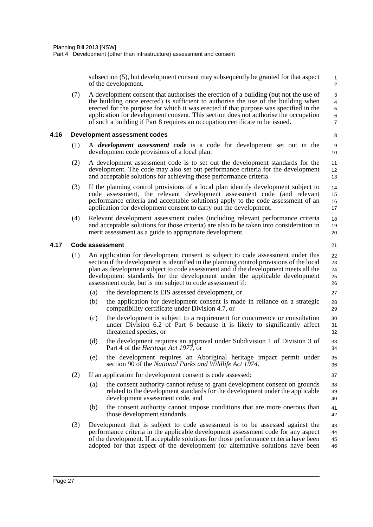subsection (5), but development consent may subsequently be granted for that aspect of the development.

(7) A development consent that authorises the erection of a building (but not the use of the building once erected) is sufficient to authorise the use of the building when erected for the purpose for which it was erected if that purpose was specified in the application for development consent. This section does not authorise the occupation of such a building if Part 8 requires an occupation certificate to be issued.

## **4.16 Development assessment codes**

- (1) A *development assessment code* is a code for development set out in the development code provisions of a local plan.
- (2) A development assessment code is to set out the development standards for the development. The code may also set out performance criteria for the development and acceptable solutions for achieving those performance criteria.
- (3) If the planning control provisions of a local plan identify development subject to code assessment, the relevant development assessment code (and relevant performance criteria and acceptable solutions) apply to the code assessment of an application for development consent to carry out the development. 14 15 16 17
- (4) Relevant development assessment codes (including relevant performance criteria and acceptable solutions for those criteria) are also to be taken into consideration in merit assessment as a guide to appropriate development. 18 19 20

### **4.17 Code assessment**

21 22

- (1) An application for development consent is subject to code assessment under this section if the development is identified in the planning control provisions of the local plan as development subject to code assessment and if the development meets all the development standards for the development under the applicable development assessment code, but is not subject to code assessment if:
	- (a) the development is EIS assessed development, or
	- (b) the application for development consent is made in reliance on a strategic compatibility certificate under Division 4.7, or 28 29
	- (c) the development is subject to a requirement for concurrence or consultation under Division 6.2 of Part 6 because it is likely to significantly affect threatened species, or 30 31 32
	- (d) the development requires an approval under Subdivision 1 of Division 3 of Part 4 of the *Heritage Act 1977*, or
	- (e) the development requires an Aboriginal heritage impact permit under section 90 of the *National Parks and Wildlife Act 1974*.
- (2) If an application for development consent is code assessed:
	- (a) the consent authority cannot refuse to grant development consent on grounds related to the development standards for the development under the applicable development assessment code, and
	- (b) the consent authority cannot impose conditions that are more onerous than those development standards. 41 42
- (3) Development that is subject to code assessment is to be assessed against the performance criteria in the applicable development assessment code for any aspect of the development. If acceptable solutions for those performance criteria have been adopted for that aspect of the development (or alternative solutions have been 43 44 45 46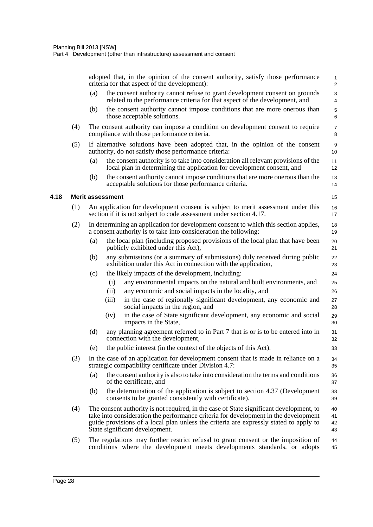adopted that, in the opinion of the consent authority, satisfy those performance criteria for that aspect of the development):

36 37

- (a) the consent authority cannot refuse to grant development consent on grounds related to the performance criteria for that aspect of the development, and
- (b) the consent authority cannot impose conditions that are more onerous than those acceptable solutions.
- (4) The consent authority can impose a condition on development consent to require compliance with those performance criteria.
- (5) If alternative solutions have been adopted that, in the opinion of the consent authority, do not satisfy those performance criteria:
	- (a) the consent authority is to take into consideration all relevant provisions of the local plan in determining the application for development consent, and
	- (b) the consent authority cannot impose conditions that are more onerous than the acceptable solutions for those performance criteria.

## **4.18 Merit assessment**

- (1) An application for development consent is subject to merit assessment under this section if it is not subject to code assessment under section 4.17.
- (2) In determining an application for development consent to which this section applies, a consent authority is to take into consideration the following:
	- (a) the local plan (including proposed provisions of the local plan that have been publicly exhibited under this Act),
	- (b) any submissions (or a summary of submissions) duly received during public exhibition under this Act in connection with the application,
	- (c) the likely impacts of the development, including:
		- (i) any environmental impacts on the natural and built environments, and
		- (ii) any economic and social impacts in the locality, and
		- (iii) in the case of regionally significant development, any economic and social impacts in the region, and
		- (iv) in the case of State significant development, any economic and social impacts in the State,
	- (d) any planning agreement referred to in Part 7 that is or is to be entered into in connection with the development,
	- (e) the public interest (in the context of the objects of this Act).
- (3) In the case of an application for development consent that is made in reliance on a strategic compatibility certificate under Division 4.7: 34 35
	- (a) the consent authority is also to take into consideration the terms and conditions of the certificate, and
	- (b) the determination of the application is subject to section 4.37 (Development consents to be granted consistently with certificate). 38 39
- (4) The consent authority is not required, in the case of State significant development, to take into consideration the performance criteria for development in the development guide provisions of a local plan unless the criteria are expressly stated to apply to State significant development. 40 41 42 43
- (5) The regulations may further restrict refusal to grant consent or the imposition of conditions where the development meets developments standards, or adopts 44 45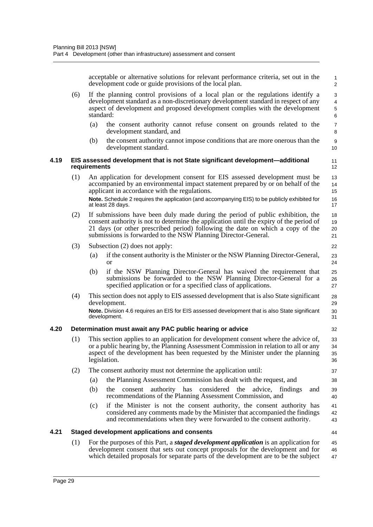acceptable or alternative solutions for relevant performance criteria, set out in the development code or guide provisions of the local plan.

44

- (6) If the planning control provisions of a local plan or the regulations identify a development standard as a non-discretionary development standard in respect of any aspect of development and proposed development complies with the development standard:
	- (a) the consent authority cannot refuse consent on grounds related to the development standard, and
	- (b) the consent authority cannot impose conditions that are more onerous than the development standard.

#### **4.19 EIS assessed development that is not State significant development—additional requirements**

- (1) An application for development consent for EIS assessed development must be accompanied by an environmental impact statement prepared by or on behalf of the applicant in accordance with the regulations. **Note.** Schedule 2 requires the application (and accompanying EIS) to be publicly exhibited for at least 28 days.
- (2) If submissions have been duly made during the period of public exhibition, the consent authority is not to determine the application until the expiry of the period of 21 days (or other prescribed period) following the date on which a copy of the submissions is forwarded to the NSW Planning Director-General.
- (3) Subsection (2) does not apply:
	- (a) if the consent authority is the Minister or the NSW Planning Director-General, or
	- (b) if the NSW Planning Director-General has waived the requirement that submissions be forwarded to the NSW Planning Director-General for a specified application or for a specified class of applications.
- (4) This section does not apply to EIS assessed development that is also State significant development. **Note.** Division 4.6 requires an EIS for EIS assessed development that is also State significant development.

## **4.20 Determination must await any PAC public hearing or advice**

- (1) This section applies to an application for development consent where the advice of, or a public hearing by, the Planning Assessment Commission in relation to all or any aspect of the development has been requested by the Minister under the planning legislation.
- (2) The consent authority must not determine the application until:
	- (a) the Planning Assessment Commission has dealt with the request, and
	- (b) the consent authority has considered the advice, findings and recommendations of the Planning Assessment Commission, and
	- (c) if the Minister is not the consent authority, the consent authority has considered any comments made by the Minister that accompanied the findings and recommendations when they were forwarded to the consent authority. 41 42 43

## **4.21 Staged development applications and consents**

(1) For the purposes of this Part, a *staged development application* is an application for development consent that sets out concept proposals for the development and for which detailed proposals for separate parts of the development are to be the subject 45 46 47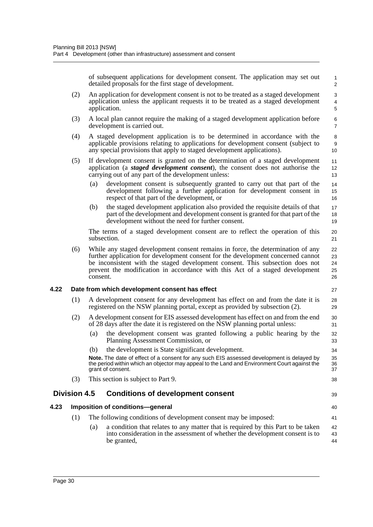of subsequent applications for development consent. The application may set out detailed proposals for the first stage of development.

1  $\mathfrak{p}$ 

 $20$ 21

27

39 40 41

| (2) | An application for development consent is not to be treated as a staged development<br>application unless the applicant requests it to be treated as a staged development<br>application. | 3 |
|-----|-------------------------------------------------------------------------------------------------------------------------------------------------------------------------------------------|---|
|-----|-------------------------------------------------------------------------------------------------------------------------------------------------------------------------------------------|---|

- (3) A local plan cannot require the making of a staged development application before development is carried out.
- (4) A staged development application is to be determined in accordance with the applicable provisions relating to applications for development consent (subject to any special provisions that apply to staged development applications).
- (5) If development consent is granted on the determination of a staged development application (a *staged development consent*), the consent does not authorise the carrying out of any part of the development unless:
	- (a) development consent is subsequently granted to carry out that part of the development following a further application for development consent in respect of that part of the development, or 14 15 16
	- (b) the staged development application also provided the requisite details of that part of the development and development consent is granted for that part of the development without the need for further consent. 17 18 19

The terms of a staged development consent are to reflect the operation of this subsection.

(6) While any staged development consent remains in force, the determination of any further application for development consent for the development concerned cannot be inconsistent with the staged development consent. This subsection does not prevent the modification in accordance with this Act of a staged development consent. 22 23 24 25 26

## **4.22 Date from which development consent has effect**

- (1) A development consent for any development has effect on and from the date it is registered on the NSW planning portal, except as provided by subsection (2). 28 29
- (2) A development consent for EIS assessed development has effect on and from the end of 28 days after the date it is registered on the NSW planning portal unless: 30 31
	- (a) the development consent was granted following a public hearing by the Planning Assessment Commission, or
	- (b) the development is State significant development.

**Note.** The date of effect of a consent for any such EIS assessed development is delayed by the period within which an objector may appeal to the Land and Environment Court against the grant of consent.

(3) This section is subject to Part 9.

# **Division 4.5 Conditions of development consent**

# **4.23 Imposition of conditions—general**

- (1) The following conditions of development consent may be imposed:
	- (a) a condition that relates to any matter that is required by this Part to be taken into consideration in the assessment of whether the development consent is to be granted, 42 43 44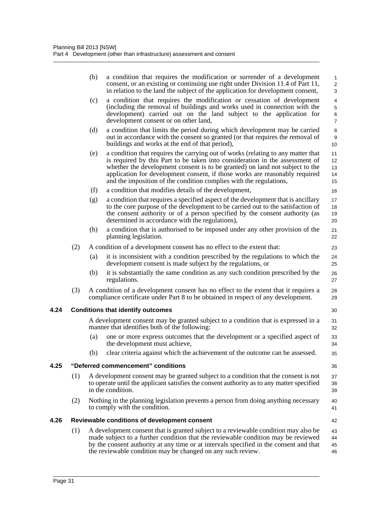|      |     | (b) | a condition that requires the modification or surrender of a development<br>consent, or an existing or continuing use right under Division 11.4 of Part 11,<br>in relation to the land the subject of the application for development consent,                                                                                                                                                        | 1<br>$\overline{2}$<br>3                      |
|------|-----|-----|-------------------------------------------------------------------------------------------------------------------------------------------------------------------------------------------------------------------------------------------------------------------------------------------------------------------------------------------------------------------------------------------------------|-----------------------------------------------|
|      |     | (c) | a condition that requires the modification or cessation of development<br>(including the removal of buildings and works used in connection with the<br>development) carried out on the land subject to the application for<br>development consent or on other land,                                                                                                                                   | 4<br>$\mathbf 5$<br>$\,6\,$<br>$\overline{7}$ |
|      |     | (d) | a condition that limits the period during which development may be carried<br>out in accordance with the consent so granted (or that requires the removal of<br>buildings and works at the end of that period),                                                                                                                                                                                       | 8<br>$\boldsymbol{9}$<br>10                   |
|      |     | (e) | a condition that requires the carrying out of works (relating to any matter that<br>is required by this Part to be taken into consideration in the assessment of<br>whether the development consent is to be granted) on land not subject to the<br>application for development consent, if those works are reasonably required<br>and the imposition of the condition complies with the regulations, | 11<br>12<br>13<br>14<br>15                    |
|      |     | (f) | a condition that modifies details of the development,                                                                                                                                                                                                                                                                                                                                                 | 16                                            |
|      |     | (g) | a condition that requires a specified aspect of the development that is ancillary<br>to the core purpose of the development to be carried out to the satisfaction of<br>the consent authority or of a person specified by the consent authority (as<br>determined in accordance with the regulations),                                                                                                | 17<br>18<br>19<br>20                          |
|      |     | (h) | a condition that is authorised to be imposed under any other provision of the<br>planning legislation.                                                                                                                                                                                                                                                                                                | 21<br>22                                      |
|      | (2) |     | A condition of a development consent has no effect to the extent that:                                                                                                                                                                                                                                                                                                                                | 23                                            |
|      |     | (a) | it is inconsistent with a condition prescribed by the regulations to which the<br>development consent is made subject by the regulations, or                                                                                                                                                                                                                                                          | 24<br>25                                      |
|      |     | (b) | it is substantially the same condition as any such condition prescribed by the<br>regulations.                                                                                                                                                                                                                                                                                                        | 26<br>27                                      |
|      | (3) |     | A condition of a development consent has no effect to the extent that it requires a<br>compliance certificate under Part 8 to be obtained in respect of any development.                                                                                                                                                                                                                              | 28<br>29                                      |
| 4.24 |     |     | <b>Conditions that identify outcomes</b>                                                                                                                                                                                                                                                                                                                                                              | 30                                            |
|      |     |     | A development consent may be granted subject to a condition that is expressed in a<br>manner that identifies both of the following:                                                                                                                                                                                                                                                                   | 31<br>32                                      |
|      |     | (a) | one or more express outcomes that the development or a specified aspect of<br>the development must achieve,                                                                                                                                                                                                                                                                                           | 33<br>34                                      |
|      |     | (b) | clear criteria against which the achievement of the outcome can be assessed.                                                                                                                                                                                                                                                                                                                          | 35                                            |
| 4.25 |     |     | "Deferred commencement" conditions                                                                                                                                                                                                                                                                                                                                                                    | 36                                            |
|      | (1) |     | A development consent may be granted subject to a condition that the consent is not<br>to operate until the applicant satisfies the consent authority as to any matter specified<br>in the condition.                                                                                                                                                                                                 | 37<br>38<br>39                                |
|      | (2) |     | Nothing in the planning legislation prevents a person from doing anything necessary<br>to comply with the condition.                                                                                                                                                                                                                                                                                  | 40<br>41                                      |
| 4.26 |     |     | Reviewable conditions of development consent                                                                                                                                                                                                                                                                                                                                                          | 42                                            |
|      | (1) |     | A development consent that is granted subject to a reviewable condition may also be<br>made subject to a further condition that the reviewable condition may be reviewed<br>by the consent authority at any time or at intervals specified in the consent and that<br>the reviewable condition may be changed on any such review.                                                                     | 43<br>44<br>45<br>46                          |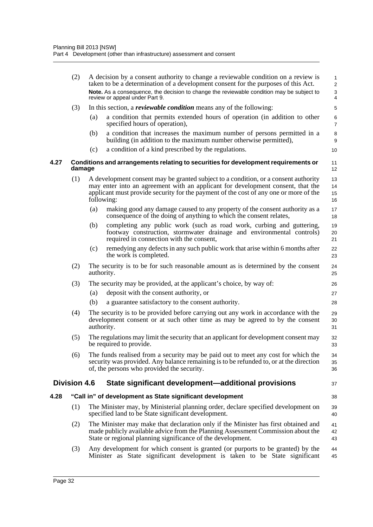|      | (2)                 | A decision by a consent authority to change a reviewable condition on a review is<br>taken to be a determination of a development consent for the purposes of this Act.<br>Note. As a consequence, the decision to change the reviewable condition may be subject to<br>review or appeal under Part 9. | $\mathbf{1}$<br>$\sqrt{2}$<br>$\ensuremath{\mathsf{3}}$<br>$\overline{4}$ |
|------|---------------------|--------------------------------------------------------------------------------------------------------------------------------------------------------------------------------------------------------------------------------------------------------------------------------------------------------|---------------------------------------------------------------------------|
|      | (3)                 | In this section, a <i>reviewable condition</i> means any of the following:                                                                                                                                                                                                                             | 5                                                                         |
|      |                     | a condition that permits extended hours of operation (in addition to other<br>(a)<br>specified hours of operation),                                                                                                                                                                                    | $\,6$<br>$\boldsymbol{7}$                                                 |
|      |                     | (b)<br>a condition that increases the maximum number of persons permitted in a<br>building (in addition to the maximum number otherwise permitted),                                                                                                                                                    | 8<br>9                                                                    |
|      |                     | a condition of a kind prescribed by the regulations.<br>(c)                                                                                                                                                                                                                                            | 10                                                                        |
| 4.27 | damage              | Conditions and arrangements relating to securities for development requirements or                                                                                                                                                                                                                     | 11<br>12                                                                  |
|      | (1)                 | A development consent may be granted subject to a condition, or a consent authority<br>may enter into an agreement with an applicant for development consent, that the<br>applicant must provide security for the payment of the cost of any one or more of the<br>following:                          | 13<br>14<br>15<br>16                                                      |
|      |                     | (a)<br>making good any damage caused to any property of the consent authority as a<br>consequence of the doing of anything to which the consent relates,                                                                                                                                               | 17<br>18                                                                  |
|      |                     | completing any public work (such as road work, curbing and guttering,<br>(b)<br>footway construction, stormwater drainage and environmental controls)<br>required in connection with the consent,                                                                                                      | 19<br>20<br>21                                                            |
|      |                     | remedying any defects in any such public work that arise within 6 months after<br>(c)<br>the work is completed.                                                                                                                                                                                        | 22<br>23                                                                  |
|      | (2)                 | The security is to be for such reasonable amount as is determined by the consent<br>authority.                                                                                                                                                                                                         | 24<br>25                                                                  |
|      | (3)                 | The security may be provided, at the applicant's choice, by way of:                                                                                                                                                                                                                                    | 26                                                                        |
|      |                     | deposit with the consent authority, or<br>(a)                                                                                                                                                                                                                                                          | 27                                                                        |
|      |                     | a guarantee satisfactory to the consent authority.<br>(b)                                                                                                                                                                                                                                              | 28                                                                        |
|      | (4)                 | The security is to be provided before carrying out any work in accordance with the<br>development consent or at such other time as may be agreed to by the consent<br>authority.                                                                                                                       | 29<br>30<br>31                                                            |
|      | (5)                 | The regulations may limit the security that an applicant for development consent may<br>be required to provide.                                                                                                                                                                                        | 32<br>33                                                                  |
|      | (6)                 | The funds realised from a security may be paid out to meet any cost for which the<br>security was provided. Any balance remaining is to be refunded to, or at the direction<br>of, the persons who provided the security.                                                                              | 34<br>35<br>36                                                            |
|      | <b>Division 4.6</b> | State significant development—additional provisions                                                                                                                                                                                                                                                    | 37                                                                        |
| 4.28 |                     | "Call in" of development as State significant development                                                                                                                                                                                                                                              | 38                                                                        |
|      | (1)                 | The Minister may, by Ministerial planning order, declare specified development on<br>specified land to be State significant development.                                                                                                                                                               | 39<br>40                                                                  |
|      | (2)                 | The Minister may make that declaration only if the Minister has first obtained and<br>made publicly available advice from the Planning Assessment Commission about the<br>State or regional planning significance of the development.                                                                  | 41<br>42<br>43                                                            |
|      | (3)                 | Any development for which consent is granted (or purports to be granted) by the<br>Minister as State significant development is taken to be State significant                                                                                                                                          | 44<br>45                                                                  |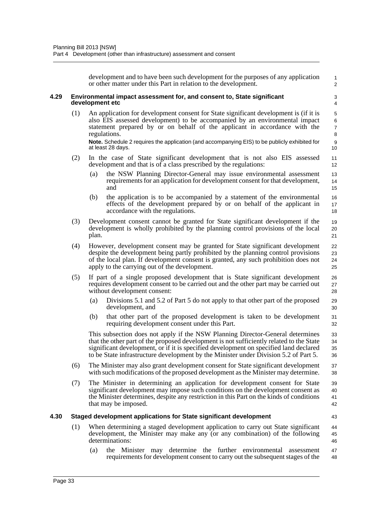development and to have been such development for the purposes of any application or other matter under this Part in relation to the development.

1 2

43

#### **4.29 Environmental impact assessment for, and consent to, State significant development etc**

- (1) An application for development consent for State significant development is (if it is also EIS assessed development) to be accompanied by an environmental impact statement prepared by or on behalf of the applicant in accordance with the regulations. **Note.** Schedule 2 requires the application (and accompanying EIS) to be publicly exhibited for at least 28 days.
- (2) In the case of State significant development that is not also EIS assessed development and that is of a class prescribed by the regulations:
	- (a) the NSW Planning Director-General may issue environmental assessment requirements for an application for development consent for that development, and
	- (b) the application is to be accompanied by a statement of the environmental effects of the development prepared by or on behalf of the applicant in accordance with the regulations. 16 17 18
- (3) Development consent cannot be granted for State significant development if the development is wholly prohibited by the planning control provisions of the local plan. 19 20 21
- (4) However, development consent may be granted for State significant development despite the development being partly prohibited by the planning control provisions of the local plan. If development consent is granted, any such prohibition does not apply to the carrying out of the development.
- (5) If part of a single proposed development that is State significant development requires development consent to be carried out and the other part may be carried out without development consent:
	- (a) Divisions 5.1 and 5.2 of Part 5 do not apply to that other part of the proposed development, and 29 30
	- (b) that other part of the proposed development is taken to be development requiring development consent under this Part. 31 32

This subsection does not apply if the NSW Planning Director-General determines that the other part of the proposed development is not sufficiently related to the State significant development, or if it is specified development on specified land declared to be State infrastructure development by the Minister under Division 5.2 of Part 5. 33 34 35 36

- (6) The Minister may also grant development consent for State significant development with such modifications of the proposed development as the Minister may determine. 37 38
- (7) The Minister in determining an application for development consent for State significant development may impose such conditions on the development consent as the Minister determines, despite any restriction in this Part on the kinds of conditions that may be imposed. 39 40 41 42

## **4.30 Staged development applications for State significant development**

- (1) When determining a staged development application to carry out State significant development, the Minister may make any (or any combination) of the following determinations: 44 45 46
	- (a) the Minister may determine the further environmental assessment requirements for development consent to carry out the subsequent stages of the 47 48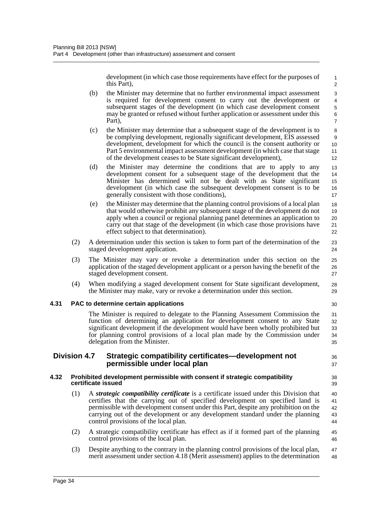development (in which case those requirements have effect for the purposes of this Part),

30

36 37

38 39

- (b) the Minister may determine that no further environmental impact assessment is required for development consent to carry out the development or subsequent stages of the development (in which case development consent may be granted or refused without further application or assessment under this Part),
- (c) the Minister may determine that a subsequent stage of the development is to be complying development, regionally significant development, EIS assessed development, development for which the council is the consent authority or Part 5 environmental impact assessment development (in which case that stage of the development ceases to be State significant development),
- (d) the Minister may determine the conditions that are to apply to any development consent for a subsequent stage of the development that the Minister has determined will not be dealt with as State significant development (in which case the subsequent development consent is to be generally consistent with those conditions), 13 14 15 16 17
- (e) the Minister may determine that the planning control provisions of a local plan that would otherwise prohibit any subsequent stage of the development do not apply when a council or regional planning panel determines an application to carry out that stage of the development (in which case those provisions have effect subject to that determination). 18 19 20 21 22
- (2) A determination under this section is taken to form part of the determination of the staged development application.
- (3) The Minister may vary or revoke a determination under this section on the application of the staged development applicant or a person having the benefit of the staged development consent.
- (4) When modifying a staged development consent for State significant development, the Minister may make, vary or revoke a determination under this section.

## **4.31 PAC to determine certain applications**

The Minister is required to delegate to the Planning Assessment Commission the function of determining an application for development consent to any State significant development if the development would have been wholly prohibited but for planning control provisions of a local plan made by the Commission under delegation from the Minister. 31 32 33 34 35

## **Division 4.7 Strategic compatibility certificates—development not permissible under local plan**

### **4.32 Prohibited development permissible with consent if strategic compatibility certificate issued**

- (1) A *strategic compatibility certificate* is a certificate issued under this Division that certifies that the carrying out of specified development on specified land is permissible with development consent under this Part, despite any prohibition on the carrying out of the development or any development standard under the planning control provisions of the local plan. 40 41 42 43 44
- (2) A strategic compatibility certificate has effect as if it formed part of the planning control provisions of the local plan. 45 46
- (3) Despite anything to the contrary in the planning control provisions of the local plan, merit assessment under section 4.18 (Merit assessment) applies to the determination 47 48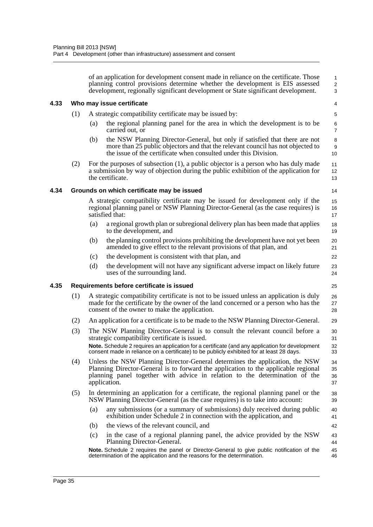of an application for development consent made in reliance on the certificate. Those planning control provisions determine whether the development is EIS assessed development, regionally significant development or State significant development.

#### **4.33 Who may issue certificate**

- (1) A strategic compatibility certificate may be issued by:
	- (a) the regional planning panel for the area in which the development is to be carried out, or
	- (b) the NSW Planning Director-General, but only if satisfied that there are not more than 25 public objectors and that the relevant council has not objected to the issue of the certificate when consulted under this Division.
- (2) For the purposes of subsection (1), a public objector is a person who has duly made a submission by way of objection during the public exhibition of the application for the certificate.

### **4.34 Grounds on which certificate may be issued**

A strategic compatibility certificate may be issued for development only if the regional planning panel or NSW Planning Director-General (as the case requires) is satisfied that:

- (a) a regional growth plan or subregional delivery plan has been made that applies to the development, and
- (b) the planning control provisions prohibiting the development have not yet been amended to give effect to the relevant provisions of that plan, and
- (c) the development is consistent with that plan, and
- (d) the development will not have any significant adverse impact on likely future uses of the surrounding land.

### **4.35 Requirements before certificate is issued**

- (1) A strategic compatibility certificate is not to be issued unless an application is duly made for the certificate by the owner of the land concerned or a person who has the consent of the owner to make the application. 26 27 28
- (2) An application for a certificate is to be made to the NSW Planning Director-General. 29
- (3) The NSW Planning Director-General is to consult the relevant council before a strategic compatibility certificate is issued. **Note.** Schedule 2 requires an application for a certificate (and any application for development consent made in reliance on a certificate) to be publicly exhibited for at least 28 days.
- (4) Unless the NSW Planning Director-General determines the application, the NSW Planning Director-General is to forward the application to the applicable regional planning panel together with advice in relation to the determination of the application. 34 35 36 37
- (5) In determining an application for a certificate, the regional planning panel or the NSW Planning Director-General (as the case requires) is to take into account: 38 39
	- (a) any submissions (or a summary of submissions) duly received during public exhibition under Schedule 2 in connection with the application, and
	- (b) the views of the relevant council, and
	- (c) in the case of a regional planning panel, the advice provided by the NSW Planning Director-General.

**Note.** Schedule 2 requires the panel or Director-General to give public notification of the determination of the application and the reasons for the determination.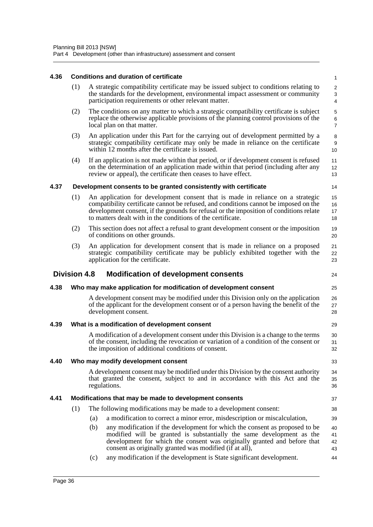## **4.36 Conditions and duration of certificate**

| 4.36 |                     | <b>Conditions and duration of certificate</b>                                                                                                                                                                                                                                                                                   | $\mathbf{1}$                                             |
|------|---------------------|---------------------------------------------------------------------------------------------------------------------------------------------------------------------------------------------------------------------------------------------------------------------------------------------------------------------------------|----------------------------------------------------------|
|      | (1)                 | A strategic compatibility certificate may be issued subject to conditions relating to<br>the standards for the development, environmental impact assessment or community<br>participation requirements or other relevant matter.                                                                                                | $\overline{\mathbf{c}}$<br>$\mathsf 3$<br>$\overline{4}$ |
|      | (2)                 | The conditions on any matter to which a strategic compatibility certificate is subject<br>replace the otherwise applicable provisions of the planning control provisions of the<br>local plan on that matter.                                                                                                                   | 5<br>$\,6$<br>$\overline{7}$                             |
|      | (3)                 | An application under this Part for the carrying out of development permitted by a<br>strategic compatibility certificate may only be made in reliance on the certificate<br>within 12 months after the certificate is issued.                                                                                                   | 8<br>$\boldsymbol{9}$<br>10                              |
|      | (4)                 | If an application is not made within that period, or if development consent is refused<br>on the determination of an application made within that period (including after any<br>review or appeal), the certificate then ceases to have effect.                                                                                 | 11<br>12<br>13                                           |
| 4.37 |                     | Development consents to be granted consistently with certificate                                                                                                                                                                                                                                                                | 14                                                       |
|      | (1)                 | An application for development consent that is made in reliance on a strategic<br>compatibility certificate cannot be refused, and conditions cannot be imposed on the<br>development consent, if the grounds for refusal or the imposition of conditions relate<br>to matters dealt with in the conditions of the certificate. | 15<br>16<br>17<br>18                                     |
|      | (2)                 | This section does not affect a refusal to grant development consent or the imposition<br>of conditions on other grounds.                                                                                                                                                                                                        | 19<br>20                                                 |
|      | (3)                 | An application for development consent that is made in reliance on a proposed<br>strategic compatibility certificate may be publicly exhibited together with the<br>application for the certificate.                                                                                                                            | 21<br>22<br>23                                           |
|      | <b>Division 4.8</b> | <b>Modification of development consents</b>                                                                                                                                                                                                                                                                                     | 24                                                       |
| 4.38 |                     | Who may make application for modification of development consent                                                                                                                                                                                                                                                                | 25                                                       |
|      |                     | A development consent may be modified under this Division only on the application<br>of the applicant for the development consent or of a person having the benefit of the<br>development consent.                                                                                                                              | 26<br>27<br>28                                           |
| 4.39 |                     | What is a modification of development consent                                                                                                                                                                                                                                                                                   | 29                                                       |
|      |                     | A modification of a development consent under this Division is a change to the terms<br>of the consent, including the revocation or variation of a condition of the consent or<br>the imposition of additional conditions of consent.                                                                                           | 30<br>31<br>32                                           |
| 4.40 |                     | Who may modify development consent                                                                                                                                                                                                                                                                                              | 33                                                       |
|      |                     | A development consent may be modified under this Division by the consent authority<br>that granted the consent, subject to and in accordance with this Act and the<br>regulations.                                                                                                                                              | 34<br>35<br>36                                           |
| 4.41 |                     | Modifications that may be made to development consents                                                                                                                                                                                                                                                                          | 37                                                       |
|      | (1)                 | The following modifications may be made to a development consent:                                                                                                                                                                                                                                                               | 38                                                       |
|      |                     | a modification to correct a minor error, misdescription or miscalculation,<br>(a)                                                                                                                                                                                                                                               | 39                                                       |
|      |                     | any modification if the development for which the consent as proposed to be<br>(b)<br>modified will be granted is substantially the same development as the<br>development for which the consent was originally granted and before that<br>consent as originally granted was modified (if at all),                              | 40<br>41<br>42<br>43                                     |

(c) any modification if the development is State significant development.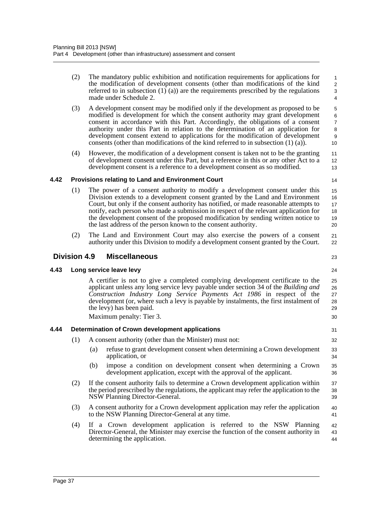(2) The mandatory public exhibition and notification requirements for applications for the modification of development consents (other than modifications of the kind referred to in subsection  $(1)$   $(a)$ ) are the requirements prescribed by the regulations made under Schedule 2.

23

- (3) A development consent may be modified only if the development as proposed to be modified is development for which the consent authority may grant development consent in accordance with this Part. Accordingly, the obligations of a consent authority under this Part in relation to the determination of an application for development consent extend to applications for the modification of development consents (other than modifications of the kind referred to in subsection (1) (a)). 10
- (4) However, the modification of a development consent is taken not to be the granting of development consent under this Part, but a reference in this or any other Act to a development consent is a reference to a development consent as so modified.

## **4.42 Provisions relating to Land and Environment Court**

- (1) The power of a consent authority to modify a development consent under this Division extends to a development consent granted by the Land and Environment Court, but only if the consent authority has notified, or made reasonable attempts to notify, each person who made a submission in respect of the relevant application for the development consent of the proposed modification by sending written notice to the last address of the person known to the consent authority. 15 16 17 18 19 20
- (2) The Land and Environment Court may also exercise the powers of a consent authority under this Division to modify a development consent granted by the Court.  $21$ 22

# **Division 4.9 Miscellaneous**

## **4.43 Long service leave levy**

A certifier is not to give a completed complying development certificate to the applicant unless any long service levy payable under section 34 of the *Building and Construction Industry Long Service Payments Act 1986* in respect of the development (or, where such a levy is payable by instalments, the first instalment of the levy) has been paid. Maximum penalty: Tier 3.

## **4.44 Determination of Crown development applications**

- (1) A consent authority (other than the Minister) must not:
	- (a) refuse to grant development consent when determining a Crown development application, or
	- (b) impose a condition on development consent when determining a Crown development application, except with the approval of the applicant.
- (2) If the consent authority fails to determine a Crown development application within the period prescribed by the regulations, the applicant may refer the application to the NSW Planning Director-General. 37 38 39
- (3) A consent authority for a Crown development application may refer the application to the NSW Planning Director-General at any time. 40 41
- (4) If a Crown development application is referred to the NSW Planning Director-General, the Minister may exercise the function of the consent authority in determining the application. 42 43 44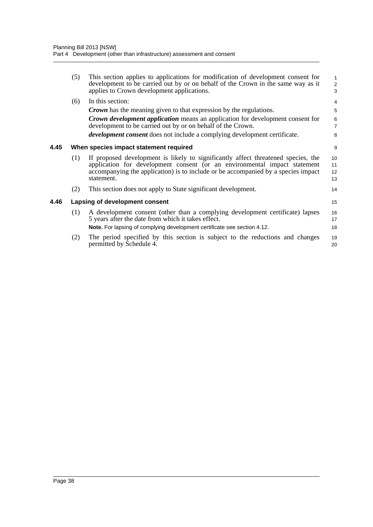|      | (5)                                    | This section applies to applications for modification of development consent for<br>development to be carried out by or on behalf of the Crown in the same way as it<br>applies to Crown development applications.                                                | 1<br>$\overline{2}$<br>3 |  |  |  |
|------|----------------------------------------|-------------------------------------------------------------------------------------------------------------------------------------------------------------------------------------------------------------------------------------------------------------------|--------------------------|--|--|--|
|      | (6)                                    | In this section:                                                                                                                                                                                                                                                  | 4                        |  |  |  |
|      |                                        | <b>Crown</b> has the meaning given to that expression by the regulations.                                                                                                                                                                                         | 5                        |  |  |  |
|      |                                        | <b>Crown development application</b> means an application for development consent for<br>development to be carried out by or on behalf of the Crown.                                                                                                              | 6<br>$\overline{7}$      |  |  |  |
|      |                                        | <i>development consent</i> does not include a complying development certificate.                                                                                                                                                                                  | 8                        |  |  |  |
| 4.45 | When species impact statement required |                                                                                                                                                                                                                                                                   |                          |  |  |  |
|      | (1)                                    | If proposed development is likely to significantly affect threatened species, the<br>application for development consent (or an environmental impact statement<br>accompanying the application) is to include or be accompanied by a species impact<br>statement. | 10<br>11<br>12<br>13     |  |  |  |
|      | (2)                                    | This section does not apply to State significant development.                                                                                                                                                                                                     | 14                       |  |  |  |
| 4.46 | Lapsing of development consent<br>15   |                                                                                                                                                                                                                                                                   |                          |  |  |  |
|      | (1)                                    | A development consent (other than a complying development certificate) lapses<br>5 years after the date from which it takes effect.<br>Note. For lapsing of complying development certificate see section 4.12.                                                   | 16<br>17<br>18           |  |  |  |
|      | (2)                                    | The period specified by this section is subject to the reductions and changes<br>permitted by Schedule 4.                                                                                                                                                         | 19<br>20                 |  |  |  |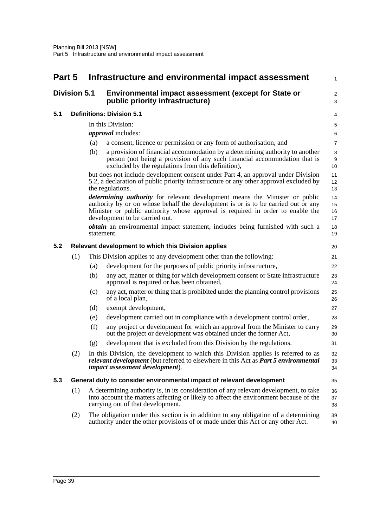| Part 5              |                                                     |                                                                    | Infrastructure and environmental impact assessment                                                                                                                                                                                                                                          | $\mathbf{1}$          |  |  |
|---------------------|-----------------------------------------------------|--------------------------------------------------------------------|---------------------------------------------------------------------------------------------------------------------------------------------------------------------------------------------------------------------------------------------------------------------------------------------|-----------------------|--|--|
| <b>Division 5.1</b> |                                                     |                                                                    | Environmental impact assessment (except for State or<br>public priority infrastructure)                                                                                                                                                                                                     | $\boldsymbol{2}$<br>3 |  |  |
| 5.1                 |                                                     |                                                                    | <b>Definitions: Division 5.1</b>                                                                                                                                                                                                                                                            | 4                     |  |  |
|                     |                                                     |                                                                    | In this Division:                                                                                                                                                                                                                                                                           | 5                     |  |  |
|                     |                                                     |                                                                    | <i>approval</i> includes:                                                                                                                                                                                                                                                                   | 6                     |  |  |
|                     |                                                     | (a)                                                                | a consent, licence or permission or any form of authorisation, and                                                                                                                                                                                                                          | $\overline{7}$        |  |  |
|                     |                                                     | (b)                                                                | a provision of financial accommodation by a determining authority to another<br>person (not being a provision of any such financial accommodation that is<br>excluded by the regulations from this definition),                                                                             | 8<br>9<br>10          |  |  |
|                     |                                                     |                                                                    | but does not include development consent under Part 4, an approval under Division<br>5.2, a declaration of public priority infrastructure or any other approval excluded by<br>the regulations.                                                                                             | 11<br>12<br>13        |  |  |
|                     |                                                     |                                                                    | <i>determining authority</i> for relevant development means the Minister or public<br>authority by or on whose behalf the development is or is to be carried out or any<br>Minister or public authority whose approval is required in order to enable the<br>development to be carried out. | 14<br>15<br>16<br>17  |  |  |
|                     |                                                     |                                                                    | <b><i>obtain</i></b> an environmental impact statement, includes being furnished with such a<br>statement.                                                                                                                                                                                  | 18<br>19              |  |  |
| 5.2                 | Relevant development to which this Division applies |                                                                    |                                                                                                                                                                                                                                                                                             | 20                    |  |  |
|                     | (1)                                                 | This Division applies to any development other than the following: |                                                                                                                                                                                                                                                                                             |                       |  |  |
|                     |                                                     | (a)                                                                | development for the purposes of public priority infrastructure,                                                                                                                                                                                                                             | 22                    |  |  |
|                     |                                                     | (b)                                                                | any act, matter or thing for which development consent or State infrastructure<br>approval is required or has been obtained,                                                                                                                                                                | 23<br>24              |  |  |
|                     |                                                     | (c)                                                                | any act, matter or thing that is prohibited under the planning control provisions<br>of a local plan,                                                                                                                                                                                       | 25<br>26              |  |  |
|                     |                                                     | (d)                                                                | exempt development,                                                                                                                                                                                                                                                                         | 27                    |  |  |
|                     |                                                     | (e)                                                                | development carried out in compliance with a development control order,                                                                                                                                                                                                                     | 28                    |  |  |
|                     |                                                     | (f)                                                                | any project or development for which an approval from the Minister to carry<br>out the project or development was obtained under the former Act,                                                                                                                                            | 29<br>30              |  |  |
|                     |                                                     | (g)                                                                | development that is excluded from this Division by the regulations.                                                                                                                                                                                                                         | 31                    |  |  |
|                     | (2)                                                 |                                                                    | In this Division, the development to which this Division applies is referred to as<br><i>relevant development</i> (but referred to elsewhere in this Act as <b>Part 5 environmental</b><br><i>impact assessment development</i> ).                                                          | 32<br>33<br>34        |  |  |
| 5.3                 |                                                     |                                                                    | General duty to consider environmental impact of relevant development                                                                                                                                                                                                                       | 35                    |  |  |
|                     | (1)                                                 |                                                                    | A determining authority is, in its consideration of any relevant development, to take<br>into account the matters affecting or likely to affect the environment because of the<br>carrying out of that development.                                                                         | 36<br>37<br>38        |  |  |
|                     | (2)                                                 |                                                                    | The obligation under this section is in addition to any obligation of a determining<br>authority under the other provisions of or made under this Act or any other Act.                                                                                                                     | 39<br>40              |  |  |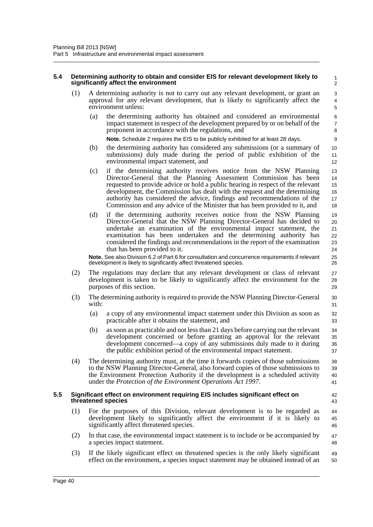#### **5.4 Determining authority to obtain and consider EIS for relevant development likely to significantly affect the environment**

- (1) A determining authority is not to carry out any relevant development, or grant an approval for any relevant development, that is likely to significantly affect the environment unless:
	- (a) the determining authority has obtained and considered an environmental impact statement in respect of the development prepared by or on behalf of the proponent in accordance with the regulations, and

42 43

**Note.** Schedule 2 requires the EIS to be publicly exhibited for at least 28 days.

- (b) the determining authority has considered any submissions (or a summary of submissions) duly made during the period of public exhibition of the environmental impact statement, and
- (c) if the determining authority receives notice from the NSW Planning Director-General that the Planning Assessment Commission has been requested to provide advice or hold a public hearing in respect of the relevant development, the Commission has dealt with the request and the determining authority has considered the advice, findings and recommendations of the Commission and any advice of the Minister that has been provided to it, and 13 14 15 16 17 18
- (d) if the determining authority receives notice from the NSW Planning Director-General that the NSW Planning Director-General has decided to undertake an examination of the environmental impact statement, the examination has been undertaken and the determining authority has considered the findings and recommendations in the report of the examination that has been provided to it. 19  $20$ 21 22 23 24

**Note.** See also Division 6.2 of Part 6 for consultation and concurrence requirements if relevant development is likely to significantly affect threatened species.

- (2) The regulations may declare that any relevant development or class of relevant development is taken to be likely to significantly affect the environment for the purposes of this section.
- (3) The determining authority is required to provide the NSW Planning Director-General with:
	- (a) a copy of any environmental impact statement under this Division as soon as practicable after it obtains the statement, and 32 33
	- (b) as soon as practicable and not less than 21 days before carrying out the relevant development concerned or before granting an approval for the relevant development concerned—a copy of any submissions duly made to it during the public exhibition period of the environmental impact statement.
- (4) The determining authority must, at the time it forwards copies of those submissions to the NSW Planning Director-General, also forward copies of those submissions to the Environment Protection Authority if the development is a scheduled activity under the *Protection of the Environment Operations Act 1997*. 38 39 40 41

#### **5.5 Significant effect on environment requiring EIS includes significant effect on threatened species**

- (1) For the purposes of this Division, relevant development is to be regarded as development likely to significantly affect the environment if it is likely to significantly affect threatened species. 44 45 46
- (2) In that case, the environmental impact statement is to include or be accompanied by a species impact statement. 47 48
- (3) If the likely significant effect on threatened species is the only likely significant effect on the environment, a species impact statement may be obtained instead of an 49 50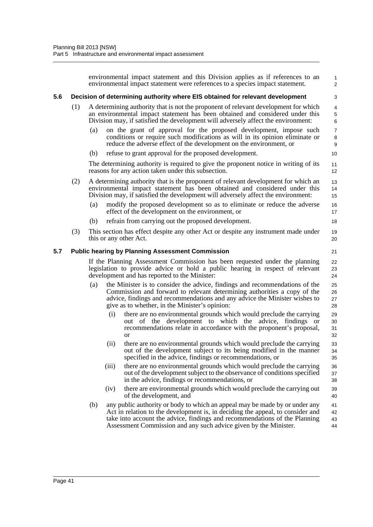environmental impact statement and this Division applies as if references to an environmental impact statement were references to a species impact statement. **5.6 Decision of determining authority where EIS obtained for relevant development** (1) A determining authority that is not the proponent of relevant development for which an environmental impact statement has been obtained and considered under this Division may, if satisfied the development will adversely affect the environment: (a) on the grant of approval for the proposed development, impose such conditions or require such modifications as will in its opinion eliminate or reduce the adverse effect of the development on the environment, or (b) refuse to grant approval for the proposed development. The determining authority is required to give the proponent notice in writing of its reasons for any action taken under this subsection. (2) A determining authority that is the proponent of relevant development for which an environmental impact statement has been obtained and considered under this Division may, if satisfied the development will adversely affect the environment: (a) modify the proposed development so as to eliminate or reduce the adverse effect of the development on the environment, or (b) refrain from carrying out the proposed development. (3) This section has effect despite any other Act or despite any instrument made under this or any other Act. **5.7 Public hearing by Planning Assessment Commission** If the Planning Assessment Commission has been requested under the planning legislation to provide advice or hold a public hearing in respect of relevant development and has reported to the Minister: (a) the Minister is to consider the advice, findings and recommendations of the Commission and forward to relevant determining authorities a copy of the advice, findings and recommendations and any advice the Minister wishes to give as to whether, in the Minister's opinion: (i) there are no environmental grounds which would preclude the carrying out of the development to which the advice, findings or recommendations relate in accordance with the proponent's proposal, or (ii) there are no environmental grounds which would preclude the carrying out of the development subject to its being modified in the manner specified in the advice, findings or recommendations, or (iii) there are no environmental grounds which would preclude the carrying out of the development subject to the observance of conditions specified in the advice, findings or recommendations, or (iv) there are environmental grounds which would preclude the carrying out of the development, and (b) any public authority or body to which an appeal may be made by or under any Act in relation to the development is, in deciding the appeal, to consider and take into account the advice, findings and recommendations of the Planning Assessment Commission and any such advice given by the Minister. 1 2 3 4 5 6 7 8 9 10 11 12 13 14 15 16 17 18 19 20 21 22 23 24 25 26 27 28  $29$ 30 31 32 33 34 35 36 37 38 39 40 41 42 43 44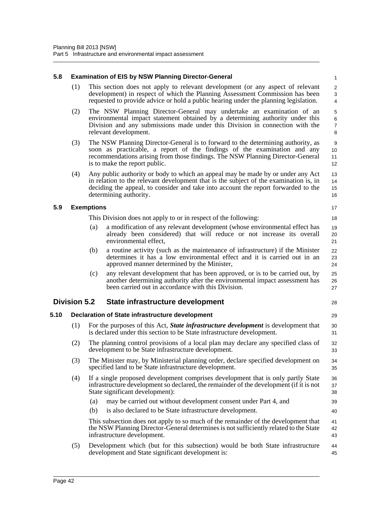| 5.8  |                     |                   | <b>Examination of EIS by NSW Planning Director-General</b>                                                                                                                                                                                                                               | $\mathbf{1}$                          |
|------|---------------------|-------------------|------------------------------------------------------------------------------------------------------------------------------------------------------------------------------------------------------------------------------------------------------------------------------------------|---------------------------------------|
|      | (1)                 |                   | This section does not apply to relevant development (or any aspect of relevant<br>development) in respect of which the Planning Assessment Commission has been<br>requested to provide advice or hold a public hearing under the planning legislation.                                   | $\sqrt{2}$<br>3<br>4                  |
|      | (2)                 |                   | The NSW Planning Director-General may undertake an examination of an<br>environmental impact statement obtained by a determining authority under this<br>Division and any submissions made under this Division in connection with the<br>relevant development.                           | 5<br>$\,6\,$<br>$\boldsymbol{7}$<br>8 |
|      | (3)                 |                   | The NSW Planning Director-General is to forward to the determining authority, as<br>soon as practicable, a report of the findings of the examination and any<br>recommendations arising from those findings. The NSW Planning Director-General<br>is to make the report public.          | 9<br>10<br>11<br>12                   |
|      | (4)                 |                   | Any public authority or body to which an appeal may be made by or under any Act<br>in relation to the relevant development that is the subject of the examination is, in<br>deciding the appeal, to consider and take into account the report forwarded to the<br>determining authority. | 13<br>14<br>15<br>16                  |
| 5.9  |                     | <b>Exemptions</b> |                                                                                                                                                                                                                                                                                          | 17                                    |
|      |                     |                   | This Division does not apply to or in respect of the following:                                                                                                                                                                                                                          | 18                                    |
|      |                     | (a)               | a modification of any relevant development (whose environmental effect has<br>already been considered) that will reduce or not increase its overall<br>environmental effect,                                                                                                             | 19<br>20<br>21                        |
|      |                     | (b)               | a routine activity (such as the maintenance of infrastructure) if the Minister<br>determines it has a low environmental effect and it is carried out in an<br>approved manner determined by the Minister,                                                                                | 22<br>23<br>24                        |
|      |                     | (c)               | any relevant development that has been approved, or is to be carried out, by<br>another determining authority after the environmental impact assessment has<br>been carried out in accordance with this Division.                                                                        | 25<br>26<br>27                        |
|      | <b>Division 5.2</b> |                   | State infrastructure development                                                                                                                                                                                                                                                         | 28                                    |
| 5.10 |                     |                   | Declaration of State infrastructure development                                                                                                                                                                                                                                          | 29                                    |
|      | (1)                 |                   | For the purposes of this Act, <i>State infrastructure development</i> is development that<br>is declared under this section to be State infrastructure development.                                                                                                                      | 30<br>31                              |
|      | (2)                 |                   | The planning control provisions of a local plan may declare any specified class of<br>development to be State infrastructure development.                                                                                                                                                | 32<br>33                              |
|      | (3)                 |                   | The Minister may, by Ministerial planning order, declare specified development on<br>specified land to be State infrastructure development.                                                                                                                                              | 34<br>35                              |
|      | (4)                 |                   | If a single proposed development comprises development that is only partly State<br>infrastructure development so declared, the remainder of the development (if it is not<br>State significant development):                                                                            | 36<br>37<br>38                        |
|      |                     | (a)               | may be carried out without development consent under Part 4, and                                                                                                                                                                                                                         | 39                                    |
|      |                     | (b)               | is also declared to be State infrastructure development.                                                                                                                                                                                                                                 | 40                                    |
|      |                     |                   | This subsection does not apply to so much of the remainder of the development that<br>the NSW Planning Director-General determines is not sufficiently related to the State<br>infrastructure development.                                                                               | 41<br>42<br>43                        |
|      | (5)                 |                   | Development which (but for this subsection) would be both State infrastructure<br>development and State significant development is:                                                                                                                                                      | 44<br>45                              |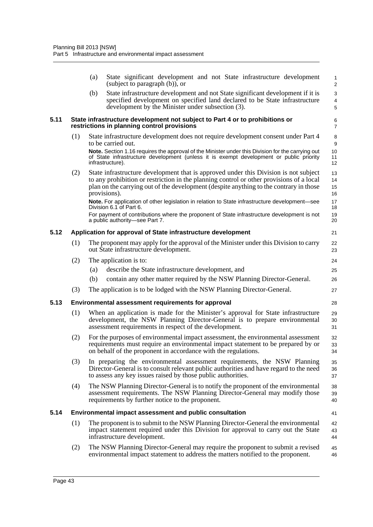|      |     | (a) | State significant development and not State infrastructure development<br>(subject to paragraph (b)), or                                                                                                                                | 1<br>$\overline{2}$   |
|------|-----|-----|-----------------------------------------------------------------------------------------------------------------------------------------------------------------------------------------------------------------------------------------|-----------------------|
|      |     | (b) | State infrastructure development and not State significant development if it is                                                                                                                                                         | 3                     |
|      |     |     | specified development on specified land declared to be State infrastructure<br>development by the Minister under subsection (3).                                                                                                        | $\overline{4}$<br>5   |
|      |     |     |                                                                                                                                                                                                                                         |                       |
| 5.11 |     |     | State infrastructure development not subject to Part 4 or to prohibitions or<br>restrictions in planning control provisions                                                                                                             | 6<br>$\overline{7}$   |
|      | (1) |     | State infrastructure development does not require development consent under Part 4<br>to be carried out.                                                                                                                                | 8<br>$\boldsymbol{9}$ |
|      |     |     | Note. Section 1.16 requires the approval of the Minister under this Division for the carrying out<br>of State infrastructure development (unless it is exempt development or public priority<br>infrastructure).                        | 10<br>11<br>12        |
|      | (2) |     | State infrastructure development that is approved under this Division is not subject                                                                                                                                                    | 13                    |
|      |     |     | to any prohibition or restriction in the planning control or other provisions of a local<br>plan on the carrying out of the development (despite anything to the contrary in those                                                      | 14<br>15              |
|      |     |     | provisions).                                                                                                                                                                                                                            | 16                    |
|      |     |     | Note. For application of other legislation in relation to State infrastructure development-see<br>Division 6.1 of Part 6.                                                                                                               | 17<br>18              |
|      |     |     | For payment of contributions where the proponent of State infrastructure development is not<br>a public authority-see Part 7.                                                                                                           | 19<br>20              |
| 5.12 |     |     | Application for approval of State infrastructure development                                                                                                                                                                            | 21                    |
|      | (1) |     | The proponent may apply for the approval of the Minister under this Division to carry<br>out State infrastructure development.                                                                                                          | 22<br>23              |
|      | (2) |     | The application is to:                                                                                                                                                                                                                  | 24                    |
|      |     | (a) | describe the State infrastructure development, and                                                                                                                                                                                      | 25                    |
|      |     | (b) | contain any other matter required by the NSW Planning Director-General.                                                                                                                                                                 | 26                    |
|      | (3) |     | The application is to be lodged with the NSW Planning Director-General.                                                                                                                                                                 | 27                    |
| 5.13 |     |     | Environmental assessment requirements for approval                                                                                                                                                                                      | 28                    |
|      | (1) |     | When an application is made for the Minister's approval for State infrastructure<br>development, the NSW Planning Director-General is to prepare environmental<br>assessment requirements in respect of the development.                | 29<br>30<br>31        |
|      | (2) |     | For the purposes of environmental impact assessment, the environmental assessment<br>requirements must require an environmental impact statement to be prepared by or<br>on behalf of the proponent in accordance with the regulations. | 32<br>33<br>34        |
|      | (3) |     | In preparing the environmental assessment requirements, the NSW Planning<br>Director-General is to consult relevant public authorities and have regard to the need<br>to assess any key issues raised by those public authorities.      | 35<br>36<br>37        |
|      | (4) |     | The NSW Planning Director-General is to notify the proponent of the environmental<br>assessment requirements. The NSW Planning Director-General may modify those<br>requirements by further notice to the proponent.                    | 38<br>39<br>40        |
| 5.14 |     |     | <b>Environmental impact assessment and public consultation</b>                                                                                                                                                                          | 41                    |
|      | (1) |     | The proponent is to submit to the NSW Planning Director-General the environmental<br>impact statement required under this Division for approval to carry out the State<br>infrastructure development.                                   | 42<br>43<br>44        |
|      | (2) |     | The NSW Planning Director-General may require the proponent to submit a revised<br>environmental impact statement to address the matters notified to the proponent.                                                                     | 45<br>46              |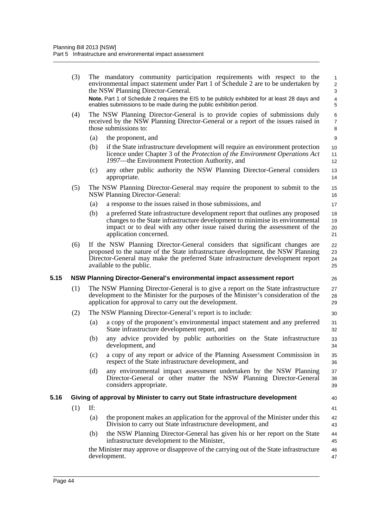|      | (3)                                                                    |     | The mandatory community participation requirements with respect to the<br>environmental impact statement under Part 1 of Schedule 2 are to be undertaken by<br>the NSW Planning Director-General.                                                                              | 1<br>$\overline{\mathbf{c}}$<br>$\ensuremath{\mathsf{3}}$ |  |
|------|------------------------------------------------------------------------|-----|--------------------------------------------------------------------------------------------------------------------------------------------------------------------------------------------------------------------------------------------------------------------------------|-----------------------------------------------------------|--|
|      |                                                                        |     | Note. Part 1 of Schedule 2 requires the EIS to be publicly exhibited for at least 28 days and<br>enables submissions to be made during the public exhibition period.                                                                                                           | $\overline{4}$<br>5                                       |  |
|      | (4)                                                                    |     | The NSW Planning Director-General is to provide copies of submissions duly<br>received by the NSW Planning Director-General or a report of the issues raised in<br>those submissions to:                                                                                       | $\,6$<br>$\overline{7}$<br>8                              |  |
|      |                                                                        | (a) | the proponent, and                                                                                                                                                                                                                                                             | 9                                                         |  |
|      |                                                                        | (b) | if the State infrastructure development will require an environment protection<br>licence under Chapter 3 of the Protection of the Environment Operations Act<br>1997—the Environment Protection Authority, and                                                                | 10<br>11<br>12                                            |  |
|      |                                                                        | (c) | any other public authority the NSW Planning Director-General considers<br>appropriate.                                                                                                                                                                                         | 13<br>14                                                  |  |
|      | (5)                                                                    |     | The NSW Planning Director-General may require the proponent to submit to the<br><b>NSW Planning Director-General:</b>                                                                                                                                                          | 15<br>16                                                  |  |
|      |                                                                        | (a) | a response to the issues raised in those submissions, and                                                                                                                                                                                                                      | 17                                                        |  |
|      |                                                                        | (b) | a preferred State infrastructure development report that outlines any proposed<br>changes to the State infrastructure development to minimise its environmental<br>impact or to deal with any other issue raised during the assessment of the<br>application concerned.        | 18<br>19<br>20<br>21                                      |  |
|      | (6)                                                                    |     | If the NSW Planning Director-General considers that significant changes are<br>proposed to the nature of the State infrastructure development, the NSW Planning<br>Director-General may make the preferred State infrastructure development report<br>available to the public. | 22<br>23<br>24<br>25                                      |  |
| 5.15 | NSW Planning Director-General's environmental impact assessment report |     |                                                                                                                                                                                                                                                                                |                                                           |  |
|      | (1)                                                                    |     | The NSW Planning Director-General is to give a report on the State infrastructure<br>development to the Minister for the purposes of the Minister's consideration of the<br>application for approval to carry out the development.                                             | 27<br>28<br>29                                            |  |
|      | (2)                                                                    |     | The NSW Planning Director-General's report is to include:                                                                                                                                                                                                                      | 30                                                        |  |
|      |                                                                        | (a) | a copy of the proponent's environmental impact statement and any preferred<br>State infrastructure development report, and                                                                                                                                                     | 31<br>32                                                  |  |
|      |                                                                        | (b) | any advice provided by public authorities on the State infrastructure<br>development, and                                                                                                                                                                                      | 33<br>34                                                  |  |
|      |                                                                        | (c) | a copy of any report or advice of the Planning Assessment Commission in<br>respect of the State infrastructure development, and                                                                                                                                                | 35<br>36                                                  |  |
|      |                                                                        | (d) | any environmental impact assessment undertaken by the NSW Planning<br>Director-General or other matter the NSW Planning Director-General<br>considers appropriate.                                                                                                             | 37<br>38<br>39                                            |  |
| 5.16 |                                                                        |     | Giving of approval by Minister to carry out State infrastructure development                                                                                                                                                                                                   | 40                                                        |  |
|      | (1)                                                                    | If: |                                                                                                                                                                                                                                                                                | 41                                                        |  |
|      |                                                                        | (a) | the proponent makes an application for the approval of the Minister under this<br>Division to carry out State infrastructure development, and                                                                                                                                  | 42<br>43                                                  |  |
|      |                                                                        | (b) | the NSW Planning Director-General has given his or her report on the State<br>infrastructure development to the Minister,                                                                                                                                                      | 44<br>45                                                  |  |
|      |                                                                        |     | the Minister may approve or disapprove of the carrying out of the State infrastructure<br>development.                                                                                                                                                                         | 46<br>47                                                  |  |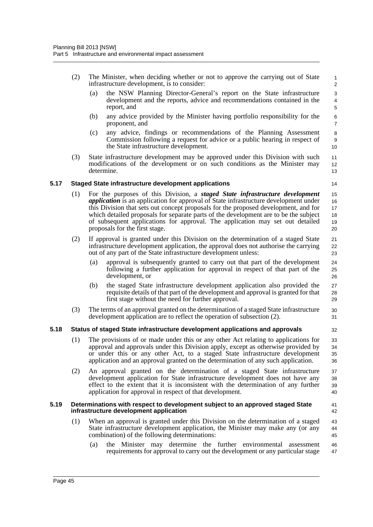- (2) The Minister, when deciding whether or not to approve the carrying out of State infrastructure development, is to consider:
	- (a) the NSW Planning Director-General's report on the State infrastructure development and the reports, advice and recommendations contained in the report, and
	- (b) any advice provided by the Minister having portfolio responsibility for the proponent, and
	- (c) any advice, findings or recommendations of the Planning Assessment Commission following a request for advice or a public hearing in respect of the State infrastructure development.
- (3) State infrastructure development may be approved under this Division with such modifications of the development or on such conditions as the Minister may determine.

## **5.17 Staged State infrastructure development applications**

13 14

41 42

- (1) For the purposes of this Division, a *staged State infrastructure development application* is an application for approval of State infrastructure development under this Division that sets out concept proposals for the proposed development, and for which detailed proposals for separate parts of the development are to be the subject of subsequent applications for approval. The application may set out detailed proposals for the first stage. 15 16 17 18 19 20
- (2) If approval is granted under this Division on the determination of a staged State infrastructure development application, the approval does not authorise the carrying out of any part of the State infrastructure development unless:
	- (a) approval is subsequently granted to carry out that part of the development following a further application for approval in respect of that part of the development, or
	- (b) the staged State infrastructure development application also provided the requisite details of that part of the development and approval is granted for that first stage without the need for further approval.
- (3) The terms of an approval granted on the determination of a staged State infrastructure development application are to reflect the operation of subsection (2).

## **5.18 Status of staged State infrastructure development applications and approvals**

- (1) The provisions of or made under this or any other Act relating to applications for approval and approvals under this Division apply, except as otherwise provided by or under this or any other Act, to a staged State infrastructure development application and an approval granted on the determination of any such application.
- (2) An approval granted on the determination of a staged State infrastructure development application for State infrastructure development does not have any effect to the extent that it is inconsistent with the determination of any further application for approval in respect of that development. 37 38 39 40

#### **5.19 Determinations with respect to development subject to an approved staged State infrastructure development application**

- (1) When an approval is granted under this Division on the determination of a staged State infrastructure development application, the Minister may make any (or any combination) of the following determinations: 43 44 45
	- (a) the Minister may determine the further environmental assessment requirements for approval to carry out the development or any particular stage 46 47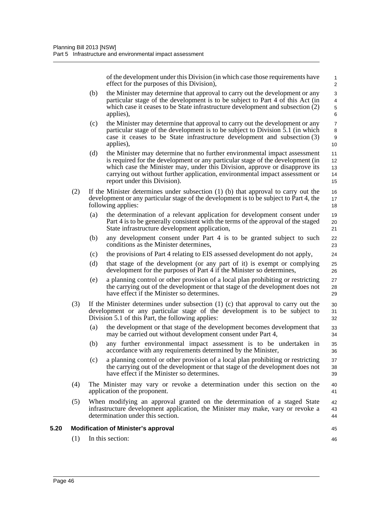of the development under this Division (in which case those requirements have effect for the purposes of this Division),

45 46

- (b) the Minister may determine that approval to carry out the development or any particular stage of the development is to be subject to Part 4 of this Act (in which case it ceases to be State infrastructure development and subsection (2) applies),
- (c) the Minister may determine that approval to carry out the development or any particular stage of the development is to be subject to Division 5.1 (in which case it ceases to be State infrastructure development and subsection (3) applies),
- (d) the Minister may determine that no further environmental impact assessment is required for the development or any particular stage of the development (in which case the Minister may, under this Division, approve or disapprove its carrying out without further application, environmental impact assessment or report under this Division).
- (2) If the Minister determines under subsection (1) (b) that approval to carry out the development or any particular stage of the development is to be subject to Part 4, the following applies:
	- (a) the determination of a relevant application for development consent under Part 4 is to be generally consistent with the terms of the approval of the staged State infrastructure development application,
	- (b) any development consent under Part 4 is to be granted subject to such conditions as the Minister determines,
	- (c) the provisions of Part 4 relating to EIS assessed development do not apply,
	- (d) that stage of the development (or any part of it) is exempt or complying development for the purposes of Part 4 if the Minister so determines,
	- (e) a planning control or other provision of a local plan prohibiting or restricting the carrying out of the development or that stage of the development does not have effect if the Minister so determines.
- (3) If the Minister determines under subsection (1) (c) that approval to carry out the development or any particular stage of the development is to be subject to Division 5.1 of this Part, the following applies: 30 31 32
	- (a) the development or that stage of the development becomes development that may be carried out without development consent under Part 4,
	- (b) any further environmental impact assessment is to be undertaken in accordance with any requirements determined by the Minister,
	- (c) a planning control or other provision of a local plan prohibiting or restricting the carrying out of the development or that stage of the development does not have effect if the Minister so determines.
- (4) The Minister may vary or revoke a determination under this section on the application of the proponent.
- (5) When modifying an approval granted on the determination of a staged State infrastructure development application, the Minister may make, vary or revoke a determination under this section. 42 43 44

### **5.20 Modification of Minister's approval**

(1) In this section: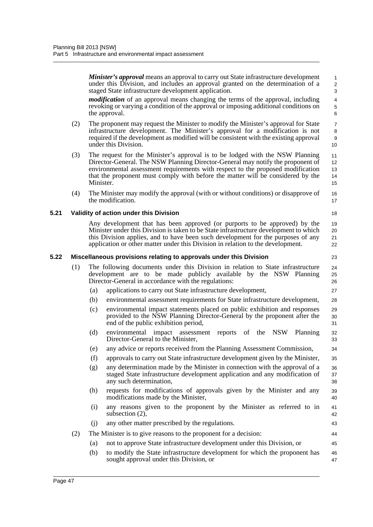*Minister's approval* means an approval to carry out State infrastructure development under this Division, and includes an approval granted on the determination of a staged State infrastructure development application. *modification* of an approval means changing the terms of the approval, including revoking or varying a condition of the approval or imposing additional conditions on the approval. (2) The proponent may request the Minister to modify the Minister's approval for State infrastructure development. The Minister's approval for a modification is not required if the development as modified will be consistent with the existing approval under this Division. (3) The request for the Minister's approval is to be lodged with the NSW Planning Director-General. The NSW Planning Director-General may notify the proponent of environmental assessment requirements with respect to the proposed modification that the proponent must comply with before the matter will be considered by the Minister. (4) The Minister may modify the approval (with or without conditions) or disapprove of the modification. **5.21 Validity of action under this Division** Any development that has been approved (or purports to be approved) by the Minister under this Division is taken to be State infrastructure development to which this Division applies, and to have been such development for the purposes of any application or other matter under this Division in relation to the development. **5.22 Miscellaneous provisions relating to approvals under this Division** (1) The following documents under this Division in relation to State infrastructure development are to be made publicly available by the NSW Planning Director-General in accordance with the regulations: (a) applications to carry out State infrastructure development, (b) environmental assessment requirements for State infrastructure development, (c) environmental impact statements placed on public exhibition and responses provided to the NSW Planning Director-General by the proponent after the end of the public exhibition period, (d) environmental impact assessment reports of the NSW Planning Director-General to the Minister, (e) any advice or reports received from the Planning Assessment Commission, (f) approvals to carry out State infrastructure development given by the Minister, (g) any determination made by the Minister in connection with the approval of a staged State infrastructure development application and any modification of any such determination, (h) requests for modifications of approvals given by the Minister and any modifications made by the Minister, (i) any reasons given to the proponent by the Minister as referred to in subsection (2), (j) any other matter prescribed by the regulations. (2) The Minister is to give reasons to the proponent for a decision: (a) not to approve State infrastructure development under this Division, or (b) to modify the State infrastructure development for which the proponent has sought approval under this Division, or 1 2 3 4 5 6 7 8 9 10 11 12 13 14 15 16 17 18 19 20 21 22 23  $24$ 25 26 27 28 29 30 31 32 33 34 35 36 37 38 39 40 41 42 43 44 45 46 47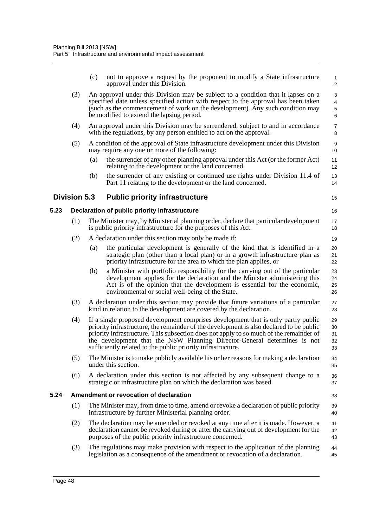|      |                     | not to approve a request by the proponent to modify a State infrastructure<br>(c)<br>approval under this Division.                                                                                                                                                                                                                                                                                                | 1<br>$\overline{2}$        |
|------|---------------------|-------------------------------------------------------------------------------------------------------------------------------------------------------------------------------------------------------------------------------------------------------------------------------------------------------------------------------------------------------------------------------------------------------------------|----------------------------|
|      | (3)                 | An approval under this Division may be subject to a condition that it lapses on a<br>specified date unless specified action with respect to the approval has been taken<br>(such as the commencement of work on the development). Any such condition may<br>be modified to extend the lapsing period.                                                                                                             | 3<br>4<br>$\,$ 5 $\,$<br>6 |
|      | (4)                 | An approval under this Division may be surrendered, subject to and in accordance<br>with the regulations, by any person entitled to act on the approval.                                                                                                                                                                                                                                                          | $\overline{7}$<br>8        |
|      | (5)                 | A condition of the approval of State infrastructure development under this Division<br>may require any one or more of the following:                                                                                                                                                                                                                                                                              | $\boldsymbol{9}$<br>10     |
|      |                     | the surrender of any other planning approval under this Act (or the former Act)<br>(a)<br>relating to the development or the land concerned,                                                                                                                                                                                                                                                                      | 11<br>12                   |
|      |                     | the surrender of any existing or continued use rights under Division 11.4 of<br>(b)<br>Part 11 relating to the development or the land concerned.                                                                                                                                                                                                                                                                 | 13<br>14                   |
|      | <b>Division 5.3</b> | <b>Public priority infrastructure</b>                                                                                                                                                                                                                                                                                                                                                                             | 15                         |
| 5.23 |                     | Declaration of public priority infrastructure                                                                                                                                                                                                                                                                                                                                                                     | 16                         |
|      | (1)                 | The Minister may, by Ministerial planning order, declare that particular development<br>is public priority infrastructure for the purposes of this Act.                                                                                                                                                                                                                                                           | 17<br>18                   |
|      | (2)                 | A declaration under this section may only be made if:                                                                                                                                                                                                                                                                                                                                                             | 19                         |
|      |                     | the particular development is generally of the kind that is identified in a<br>(a)<br>strategic plan (other than a local plan) or in a growth infrastructure plan as<br>priority infrastructure for the area to which the plan applies, or                                                                                                                                                                        | 20<br>21<br>22             |
|      |                     | a Minister with portfolio responsibility for the carrying out of the particular<br>(b)<br>development applies for the declaration and the Minister administering this<br>Act is of the opinion that the development is essential for the economic,<br>environmental or social well-being of the State.                                                                                                            | 23<br>24<br>25<br>26       |
|      | (3)                 | A declaration under this section may provide that future variations of a particular<br>kind in relation to the development are covered by the declaration.                                                                                                                                                                                                                                                        | 27<br>28                   |
|      | (4)                 | If a single proposed development comprises development that is only partly public<br>priority infrastructure, the remainder of the development is also declared to be public<br>priority infrastructure. This subsection does not apply to so much of the remainder of<br>the development that the NSW Planning Director-General determines is not<br>sufficiently related to the public priority infrastructure. | 29<br>30<br>31<br>32<br>33 |
|      | (5)                 | The Minister is to make publicly available his or her reasons for making a declaration<br>under this section.                                                                                                                                                                                                                                                                                                     | 34<br>35                   |
|      | (6)                 | A declaration under this section is not affected by any subsequent change to a<br>strategic or infrastructure plan on which the declaration was based.                                                                                                                                                                                                                                                            | 36<br>37                   |
| 5.24 |                     | Amendment or revocation of declaration                                                                                                                                                                                                                                                                                                                                                                            | 38                         |
|      | (1)                 | The Minister may, from time to time, amend or revoke a declaration of public priority<br>infrastructure by further Ministerial planning order.                                                                                                                                                                                                                                                                    | 39<br>40                   |
|      | (2)                 | The declaration may be amended or revoked at any time after it is made. However, a<br>declaration cannot be revoked during or after the carrying out of development for the<br>purposes of the public priority infrastructure concerned.                                                                                                                                                                          | 41<br>42<br>43             |
|      | (3)                 | The regulations may make provision with respect to the application of the planning<br>legislation as a consequence of the amendment or revocation of a declaration.                                                                                                                                                                                                                                               | 44<br>45                   |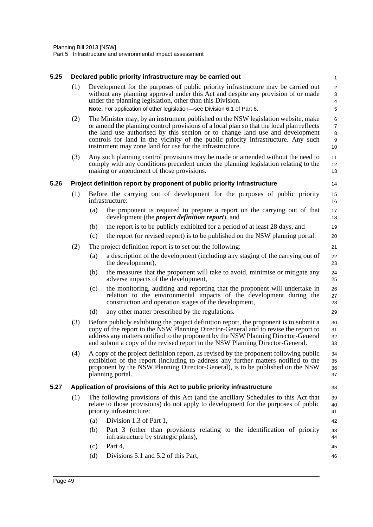| 5.25 |     |     | Declared public priority infrastructure may be carried out                                                                                                                                                                                                                                                                                                                                                      | $\mathbf{1}$                                                           |
|------|-----|-----|-----------------------------------------------------------------------------------------------------------------------------------------------------------------------------------------------------------------------------------------------------------------------------------------------------------------------------------------------------------------------------------------------------------------|------------------------------------------------------------------------|
|      | (1) |     | Development for the purposes of public priority infrastructure may be carried out<br>without any planning approval under this Act and despite any provision of or made<br>under the planning legislation, other than this Division.<br>Note. For application of other legislation-see Division 6.1 of Part 6.                                                                                                   | $\overline{\mathbf{c}}$<br>$\mathsf 3$<br>$\overline{\mathbf{4}}$<br>5 |
|      | (2) |     | The Minister may, by an instrument published on the NSW legislation website, make<br>or amend the planning control provisions of a local plan so that the local plan reflects<br>the land use authorised by this section or to change land use and development<br>controls for land in the vicinity of the public priority infrastructure. Any such<br>instrument may zone land for use for the infrastructure. | $\,6$<br>$\overline{7}$<br>8<br>$\boldsymbol{9}$<br>10                 |
|      | (3) |     | Any such planning control provisions may be made or amended without the need to<br>comply with any conditions precedent under the planning legislation relating to the<br>making or amendment of those provisions.                                                                                                                                                                                              | 11<br>12<br>13                                                         |
| 5.26 |     |     | Project definition report by proponent of public priority infrastructure                                                                                                                                                                                                                                                                                                                                        | 14                                                                     |
|      | (1) |     | Before the carrying out of development for the purposes of public priority<br>infrastructure:                                                                                                                                                                                                                                                                                                                   | 15<br>16                                                               |
|      |     | (a) | the proponent is required to prepare a report on the carrying out of that<br>development (the <i>project definition report</i> ), and                                                                                                                                                                                                                                                                           | 17<br>18                                                               |
|      |     | (b) | the report is to be publicly exhibited for a period of at least 28 days, and                                                                                                                                                                                                                                                                                                                                    | 19                                                                     |
|      |     | (c) | the report (or revised report) is to be published on the NSW planning portal.                                                                                                                                                                                                                                                                                                                                   | 20                                                                     |
|      | (2) |     | The project definition report is to set out the following:                                                                                                                                                                                                                                                                                                                                                      | 21                                                                     |
|      |     | (a) | a description of the development (including any staging of the carrying out of<br>the development),                                                                                                                                                                                                                                                                                                             | 22<br>23                                                               |
|      |     | (b) | the measures that the proponent will take to avoid, minimise or mitigate any<br>adverse impacts of the development,                                                                                                                                                                                                                                                                                             | 24<br>25                                                               |
|      |     | (c) | the monitoring, auditing and reporting that the proponent will undertake in<br>relation to the environmental impacts of the development during the<br>construction and operation stages of the development,                                                                                                                                                                                                     | 26<br>27<br>28                                                         |
|      |     | (d) | any other matter prescribed by the regulations.                                                                                                                                                                                                                                                                                                                                                                 | 29                                                                     |
|      | (3) |     | Before publicly exhibiting the project definition report, the proponent is to submit a<br>copy of the report to the NSW Planning Director-General and to revise the report to<br>address any matters notified to the proponent by the NSW Planning Director-General<br>and submit a copy of the revised report to the NSW Planning Director-General.                                                            | 30<br>31<br>32<br>33                                                   |
|      | (4) |     | A copy of the project definition report, as revised by the proponent following public<br>exhibition of the report (including to address any further matters notified to the<br>proponent by the NSW Planning Director-General), is to be published on the NSW<br>planning portal.                                                                                                                               | 34<br>35<br>36<br>37                                                   |
| 5.27 |     |     | Application of provisions of this Act to public priority infrastructure                                                                                                                                                                                                                                                                                                                                         | 38                                                                     |
|      | (1) |     | The following provisions of this Act (and the ancillary Schedules to this Act that<br>relate to those provisions) do not apply to development for the purposes of public<br>priority infrastructure:                                                                                                                                                                                                            | 39<br>40<br>41                                                         |
|      |     | (a) | Division 1.3 of Part 1,                                                                                                                                                                                                                                                                                                                                                                                         | 42                                                                     |
|      |     | (b) | Part 3 (other than provisions relating to the identification of priority<br>infrastructure by strategic plans),                                                                                                                                                                                                                                                                                                 | 43<br>44                                                               |
|      |     | (c) | Part 4,                                                                                                                                                                                                                                                                                                                                                                                                         | 45                                                                     |
|      |     | (d) | Divisions 5.1 and 5.2 of this Part,                                                                                                                                                                                                                                                                                                                                                                             | 46                                                                     |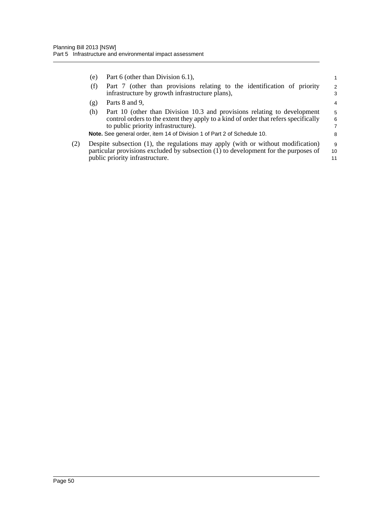|     | (e)                                                                                                                                                                                                          | Part 6 (other than Division 6.1),                                                                                                                                                                      | 1                        |
|-----|--------------------------------------------------------------------------------------------------------------------------------------------------------------------------------------------------------------|--------------------------------------------------------------------------------------------------------------------------------------------------------------------------------------------------------|--------------------------|
|     | (f)                                                                                                                                                                                                          | Part 7 (other than provisions relating to the identification of priority<br>infrastructure by growth infrastructure plans),                                                                            | $\overline{2}$<br>3      |
|     | (g)                                                                                                                                                                                                          | Parts 8 and 9,                                                                                                                                                                                         | $\overline{4}$           |
|     | (h)                                                                                                                                                                                                          | Part 10 (other than Division 10.3 and provisions relating to development<br>control orders to the extent they apply to a kind of order that refers specifically<br>to public priority infrastructure). | 5<br>6<br>$\overline{7}$ |
|     |                                                                                                                                                                                                              | Note. See general order, item 14 of Division 1 of Part 2 of Schedule 10.                                                                                                                               | 8                        |
| (2) | Despite subsection (1), the regulations may apply (with or without modification)<br>particular provisions excluded by subsection $(1)$ to development for the purposes of<br>public priority infrastructure. |                                                                                                                                                                                                        | 9<br>10<br>11            |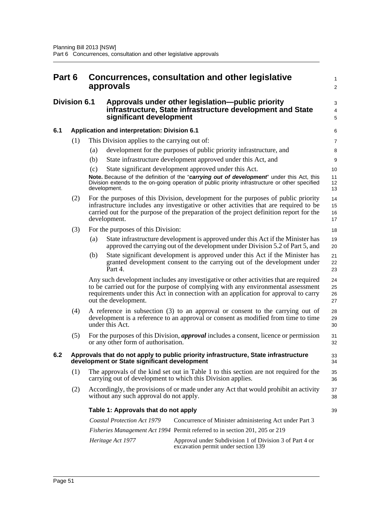| Part 6<br><b>Division 6.1</b> |                                                                                                                                     | <b>Concurrences, consultation and other legislative</b><br>approvals<br>Approvals under other legislation-public priority<br>infrastructure, State infrastructure development and State<br>significant development |                                               | 1<br>2                                                                                                                                                                                                                                                                 |                          |
|-------------------------------|-------------------------------------------------------------------------------------------------------------------------------------|--------------------------------------------------------------------------------------------------------------------------------------------------------------------------------------------------------------------|-----------------------------------------------|------------------------------------------------------------------------------------------------------------------------------------------------------------------------------------------------------------------------------------------------------------------------|--------------------------|
|                               |                                                                                                                                     |                                                                                                                                                                                                                    |                                               |                                                                                                                                                                                                                                                                        | 3<br>$\overline{4}$<br>5 |
| 6.1                           |                                                                                                                                     | <b>Application and interpretation: Division 6.1</b>                                                                                                                                                                |                                               |                                                                                                                                                                                                                                                                        | 6                        |
|                               | (1)                                                                                                                                 |                                                                                                                                                                                                                    | This Division applies to the carrying out of: |                                                                                                                                                                                                                                                                        | $\overline{7}$           |
|                               |                                                                                                                                     | (a)                                                                                                                                                                                                                |                                               | development for the purposes of public priority infrastructure, and                                                                                                                                                                                                    | 8                        |
|                               |                                                                                                                                     | (b)                                                                                                                                                                                                                |                                               | State infrastructure development approved under this Act, and                                                                                                                                                                                                          | 9                        |
|                               |                                                                                                                                     | (c)                                                                                                                                                                                                                |                                               | State significant development approved under this Act.                                                                                                                                                                                                                 | 10                       |
|                               |                                                                                                                                     |                                                                                                                                                                                                                    | development.                                  | Note. Because of the definition of the "carrying out of development" under this Act, this<br>Division extends to the on-going operation of public priority infrastructure or other specified                                                                           | 11<br>12<br>13           |
|                               | (2)                                                                                                                                 |                                                                                                                                                                                                                    | development.                                  | For the purposes of this Division, development for the purposes of public priority<br>infrastructure includes any investigative or other activities that are required to be<br>carried out for the purpose of the preparation of the project definition report for the | 14<br>15<br>16<br>17     |
|                               | (3)                                                                                                                                 |                                                                                                                                                                                                                    | For the purposes of this Division:            |                                                                                                                                                                                                                                                                        | 18                       |
|                               |                                                                                                                                     | (a)                                                                                                                                                                                                                |                                               | State infrastructure development is approved under this Act if the Minister has<br>approved the carrying out of the development under Division 5.2 of Part 5, and                                                                                                      | 19<br>20                 |
|                               |                                                                                                                                     | (b)                                                                                                                                                                                                                | Part 4.                                       | State significant development is approved under this Act if the Minister has<br>granted development consent to the carrying out of the development under                                                                                                               | 21<br>22<br>23           |
|                               |                                                                                                                                     |                                                                                                                                                                                                                    | out the development.                          | Any such development includes any investigative or other activities that are required<br>to be carried out for the purpose of complying with any environmental assessment<br>requirements under this Act in connection with an application for approval to carry       | 24<br>25<br>26<br>27     |
|                               | (4)                                                                                                                                 |                                                                                                                                                                                                                    | under this Act.                               | A reference in subsection (3) to an approval or consent to the carrying out of<br>development is a reference to an approval or consent as modified from time to time                                                                                                   | 28<br>29<br>30           |
|                               | (5)                                                                                                                                 |                                                                                                                                                                                                                    | or any other form of authorisation.           | For the purposes of this Division, <i>approval</i> includes a consent, licence or permission                                                                                                                                                                           | 31<br>32                 |
| 6.2                           | Approvals that do not apply to public priority infrastructure, State infrastructure<br>development or State significant development |                                                                                                                                                                                                                    |                                               | 33<br>34                                                                                                                                                                                                                                                               |                          |
|                               | (1)                                                                                                                                 |                                                                                                                                                                                                                    |                                               | The approvals of the kind set out in Table 1 to this section are not required for the<br>carrying out of development to which this Division applies.                                                                                                                   | 35<br>36                 |
|                               | (2)                                                                                                                                 |                                                                                                                                                                                                                    | without any such approval do not apply.       | Accordingly, the provisions of or made under any Act that would prohibit an activity                                                                                                                                                                                   | 37<br>38                 |
|                               |                                                                                                                                     |                                                                                                                                                                                                                    | Table 1: Approvals that do not apply          |                                                                                                                                                                                                                                                                        | 39                       |
|                               |                                                                                                                                     |                                                                                                                                                                                                                    | <b>Coastal Protection Act 1979</b>            | Concurrence of Minister administering Act under Part 3                                                                                                                                                                                                                 |                          |
|                               |                                                                                                                                     |                                                                                                                                                                                                                    |                                               | Fisheries Management Act 1994 Permit referred to in section 201, 205 or 219                                                                                                                                                                                            |                          |
|                               |                                                                                                                                     |                                                                                                                                                                                                                    |                                               |                                                                                                                                                                                                                                                                        |                          |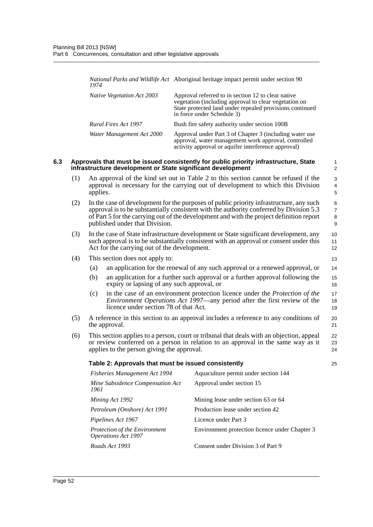| 1974                              | <i>National Parks and Wildlife Act</i> Aboriginal heritage impact permit under section 90                                                                                                             |
|-----------------------------------|-------------------------------------------------------------------------------------------------------------------------------------------------------------------------------------------------------|
| <b>Native Vegetation Act 2003</b> | Approval referred to in section 12 to clear native<br>vegetation (including approval to clear vegetation on<br>State protected land under repealed provisions continued<br>in force under Schedule 3) |
| <b>Rural Fires Act 1997</b>       | Bush fire safety authority under section 100B                                                                                                                                                         |
| Water Management Act 2000         | Approval under Part 3 of Chapter 3 (including water use<br>approval, water management work approval, controlled<br>activity approval or aquifer interference approval)                                |

#### **6.3 Approvals that must be issued consistently for public priority infrastructure, State infrastructure development or State significant development**

(1) An approval of the kind set out in Table 2 to this section cannot be refused if the approval is necessary for the carrying out of development to which this Division applies.

- (2) In the case of development for the purposes of public priority infrastructure, any such approval is to be substantially consistent with the authority conferred by Division 5.3 of Part 5 for the carrying out of the development and with the project definition report published under that Division.
- (3) In the case of State infrastructure development or State significant development, any such approval is to be substantially consistent with an approval or consent under this Act for the carrying out of the development.
- (4) This section does not apply to:
	- (a) an application for the renewal of any such approval or a renewed approval, or
	- (b) an application for a further such approval or a further approval following the expiry or lapsing of any such approval, or
	- (c) in the case of an environment protection licence under the *Protection of the Environment Operations Act 1997*—any period after the first review of the licence under section 78 of that Act.
- (5) A reference in this section to an approval includes a reference to any conditions of the approval. 20 21
- (6) This section applies to a person, court or tribunal that deals with an objection, appeal or review conferred on a person in relation to an approval in the same way as it applies to the person giving the approval. 22  $23$ 24

| Table 2: Approvals that must be issued consistently         |                                                |  |  |  |  |  |
|-------------------------------------------------------------|------------------------------------------------|--|--|--|--|--|
| <b>Fisheries Management Act 1994</b>                        | Aquaculture permit under section 144           |  |  |  |  |  |
| Mine Subsidence Compensation Act<br>1961                    | Approval under section 15                      |  |  |  |  |  |
| Mining Act 1992                                             | Mining lease under section 63 or 64            |  |  |  |  |  |
| Petroleum (Onshore) Act 1991                                | Production lease under section 42              |  |  |  |  |  |
| Pipelines Act 1967                                          | Licence under Part 3                           |  |  |  |  |  |
| Protection of the Environment<br><b>Operations Act 1997</b> | Environment protection licence under Chapter 3 |  |  |  |  |  |
| Roads Act 1993                                              | Consent under Division 3 of Part 9             |  |  |  |  |  |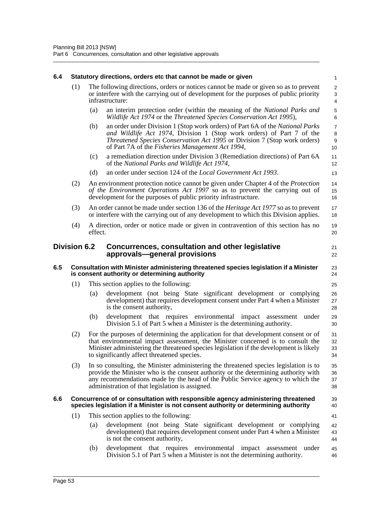| 6.4                                                                                                     |                                                                                                                                                                        |                                                                                               | Statutory directions, orders etc that cannot be made or given                                                                                                                                                                                                                                                     | $\mathbf{1}$                                                  |
|---------------------------------------------------------------------------------------------------------|------------------------------------------------------------------------------------------------------------------------------------------------------------------------|-----------------------------------------------------------------------------------------------|-------------------------------------------------------------------------------------------------------------------------------------------------------------------------------------------------------------------------------------------------------------------------------------------------------------------|---------------------------------------------------------------|
|                                                                                                         | (1)                                                                                                                                                                    |                                                                                               | The following directions, orders or notices cannot be made or given so as to prevent<br>or interfere with the carrying out of development for the purposes of public priority<br>infrastructure:                                                                                                                  | $\overline{2}$<br>$\ensuremath{\mathsf{3}}$<br>$\overline{4}$ |
|                                                                                                         |                                                                                                                                                                        | (a)                                                                                           | an interim protection order (within the meaning of the National Parks and<br>Wildlife Act 1974 or the Threatened Species Conservation Act 1995),                                                                                                                                                                  | $\mathbf 5$<br>6                                              |
|                                                                                                         |                                                                                                                                                                        | (b)                                                                                           | an order under Division 1 (Stop work orders) of Part 6A of the National Parks<br>and Wildlife Act 1974, Division 1 (Stop work orders) of Part 7 of the<br>Threatened Species Conservation Act 1995 or Division 7 (Stop work orders)<br>of Part 7A of the Fisheries Management Act 1994,                           | $\overline{7}$<br>8<br>$9\,$<br>10                            |
|                                                                                                         |                                                                                                                                                                        | (c)                                                                                           | a remediation direction under Division 3 (Remediation directions) of Part 6A<br>of the National Parks and Wildlife Act 1974,                                                                                                                                                                                      | 11<br>12                                                      |
|                                                                                                         |                                                                                                                                                                        | (d)                                                                                           | an order under section 124 of the <i>Local Government Act 1993</i> .                                                                                                                                                                                                                                              | 13                                                            |
|                                                                                                         | (2)                                                                                                                                                                    |                                                                                               | An environment protection notice cannot be given under Chapter 4 of the Protection<br>of the Environment Operations Act 1997 so as to prevent the carrying out of<br>development for the purposes of public priority infrastructure.                                                                              | 14<br>15<br>16                                                |
|                                                                                                         | (3)                                                                                                                                                                    |                                                                                               | An order cannot be made under section 136 of the <i>Heritage Act 1977</i> so as to prevent<br>or interfere with the carrying out of any development to which this Division applies.                                                                                                                               | 17<br>18                                                      |
|                                                                                                         | (4)                                                                                                                                                                    | A direction, order or notice made or given in contravention of this section has no<br>effect. |                                                                                                                                                                                                                                                                                                                   | 19<br>20                                                      |
| <b>Division 6.2</b><br>Concurrences, consultation and other legislative<br>approvals-general provisions |                                                                                                                                                                        |                                                                                               |                                                                                                                                                                                                                                                                                                                   | 21<br>22                                                      |
| 6.5                                                                                                     |                                                                                                                                                                        |                                                                                               | Consultation with Minister administering threatened species legislation if a Minister<br>is consent authority or determining authority                                                                                                                                                                            | 23<br>24                                                      |
|                                                                                                         | (1)                                                                                                                                                                    |                                                                                               | This section applies to the following:                                                                                                                                                                                                                                                                            | 25                                                            |
|                                                                                                         |                                                                                                                                                                        | (a)                                                                                           | development (not being State significant development or complying<br>development) that requires development consent under Part 4 when a Minister<br>is the consent authority,                                                                                                                                     | 26<br>27<br>28                                                |
|                                                                                                         |                                                                                                                                                                        | (b)                                                                                           | development that requires environmental impact assessment<br>under<br>Division 5.1 of Part 5 when a Minister is the determining authority.                                                                                                                                                                        | 29<br>30                                                      |
|                                                                                                         | (2)                                                                                                                                                                    |                                                                                               | For the purposes of determining the application for that development consent or of<br>that environmental impact assessment, the Minister concerned is to consult the<br>Minister administering the threatened species legislation if the development is likely<br>to significantly affect threatened species.     | 31<br>32<br>33<br>34                                          |
|                                                                                                         | (3)                                                                                                                                                                    |                                                                                               | In so consulting, the Minister administering the threatened species legislation is to<br>provide the Minister who is the consent authority or the determining authority with<br>any recommendations made by the head of the Public Service agency to which the<br>administration of that legislation is assigned. | 35<br>36<br>37<br>38                                          |
| 6.6                                                                                                     | Concurrence of or consultation with responsible agency administering threatened<br>species legislation if a Minister is not consent authority or determining authority |                                                                                               |                                                                                                                                                                                                                                                                                                                   | 39<br>40                                                      |
|                                                                                                         | (1)                                                                                                                                                                    |                                                                                               | This section applies to the following:                                                                                                                                                                                                                                                                            | 41                                                            |
|                                                                                                         |                                                                                                                                                                        | (a)                                                                                           | development (not being State significant development or complying<br>development) that requires development consent under Part 4 when a Minister<br>is not the consent authority,                                                                                                                                 | 42<br>43<br>44                                                |
|                                                                                                         |                                                                                                                                                                        | (b)                                                                                           | development that requires environmental impact assessment under<br>Division 5.1 of Part 5 when a Minister is not the determining authority.                                                                                                                                                                       | 45<br>46                                                      |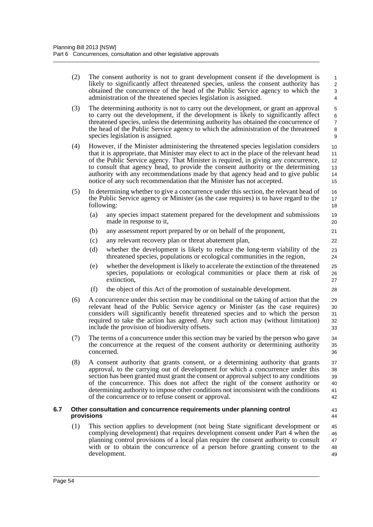(2) The consent authority is not to grant development consent if the development is likely to significantly affect threatened species, unless the consent authority has obtained the concurrence of the head of the Public Service agency to which the administration of the threatened species legislation is assigned.

43 44

- (3) The determining authority is not to carry out the development, or grant an approval to carry out the development, if the development is likely to significantly affect threatened species, unless the determining authority has obtained the concurrence of the head of the Public Service agency to which the administration of the threatened species legislation is assigned.
- (4) However, if the Minister administering the threatened species legislation considers that it is appropriate, that Minister may elect to act in the place of the relevant head of the Public Service agency. That Minister is required, in giving any concurrence, to consult that agency head, to provide the consent authority or the determining authority with any recommendations made by that agency head and to give public notice of any such recommendation that the Minister has not accepted. 10 11 12 13 14 15
- (5) In determining whether to give a concurrence under this section, the relevant head of the Public Service agency or Minister (as the case requires) is to have regard to the following: 16 17 18
	- (a) any species impact statement prepared for the development and submissions made in response to it, 19 20
	- (b) any assessment report prepared by or on behalf of the proponent,
	- (c) any relevant recovery plan or threat abatement plan,
	- (d) whether the development is likely to reduce the long-term viability of the threatened species, populations or ecological communities in the region,
	- (e) whether the development is likely to accelerate the extinction of the threatened species, populations or ecological communities or place them at risk of extinction,
	- (f) the object of this Act of the promotion of sustainable development.
- (6) A concurrence under this section may be conditional on the taking of action that the relevant head of the Public Service agency or Minister (as the case requires) considers will significantly benefit threatened species and to which the person required to take the action has agreed. Any such action may (without limitation) include the provision of biodiversity offsets. 29 30 31 32 33
- (7) The terms of a concurrence under this section may be varied by the person who gave the concurrence at the request of the consent authority or determining authority concerned. 34 35 36
- (8) A consent authority that grants consent, or a determining authority that grants approval, to the carrying out of development for which a concurrence under this section has been granted must grant the consent or approval subject to any conditions of the concurrence. This does not affect the right of the consent authority or determining authority to impose other conditions not inconsistent with the conditions of the concurrence or to refuse consent or approval. 37 38 39 40 41 42

#### **6.7 Other consultation and concurrence requirements under planning control provisions**

(1) This section applies to development (not being State significant development or complying development) that requires development consent under Part 4 when the planning control provisions of a local plan require the consent authority to consult with or to obtain the concurrence of a person before granting consent to the development. 45 46 47 48 49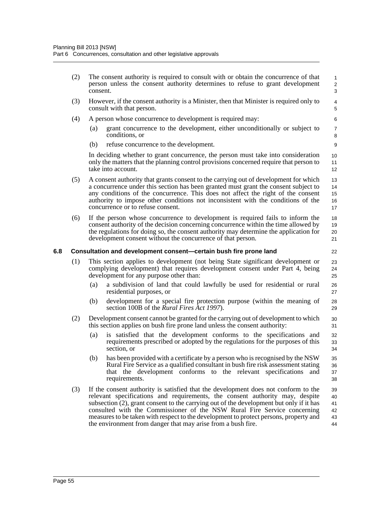(2) The consent authority is required to consult with or obtain the concurrence of that person unless the consent authority determines to refuse to grant development consent.

22

32 33 34

- (3) However, if the consent authority is a Minister, then that Minister is required only to consult with that person.
- (4) A person whose concurrence to development is required may:
	- (a) grant concurrence to the development, either unconditionally or subject to conditions, or
	- (b) refuse concurrence to the development.

In deciding whether to grant concurrence, the person must take into consideration only the matters that the planning control provisions concerned require that person to take into account.

- (5) A consent authority that grants consent to the carrying out of development for which a concurrence under this section has been granted must grant the consent subject to any conditions of the concurrence. This does not affect the right of the consent authority to impose other conditions not inconsistent with the conditions of the concurrence or to refuse consent. 13 14 15 16 17
- (6) If the person whose concurrence to development is required fails to inform the consent authority of the decision concerning concurrence within the time allowed by the regulations for doing so, the consent authority may determine the application for development consent without the concurrence of that person. 18 19 20 21

# **6.8 Consultation and development consent—certain bush fire prone land**

- (1) This section applies to development (not being State significant development or complying development) that requires development consent under Part 4, being development for any purpose other than:  $23$ 24 25
	- (a) a subdivision of land that could lawfully be used for residential or rural residential purposes, or 26 27
	- (b) development for a special fire protection purpose (within the meaning of section 100B of the *Rural Fires Act 1997*). 28 29
- (2) Development consent cannot be granted for the carrying out of development to which this section applies on bush fire prone land unless the consent authority: 30 31
	- (a) is satisfied that the development conforms to the specifications and requirements prescribed or adopted by the regulations for the purposes of this section, or
	- (b) has been provided with a certificate by a person who is recognised by the NSW Rural Fire Service as a qualified consultant in bush fire risk assessment stating that the development conforms to the relevant specifications and requirements. 35 36 37 38
- (3) If the consent authority is satisfied that the development does not conform to the relevant specifications and requirements, the consent authority may, despite subsection (2), grant consent to the carrying out of the development but only if it has consulted with the Commissioner of the NSW Rural Fire Service concerning measures to be taken with respect to the development to protect persons, property and the environment from danger that may arise from a bush fire. 39 40 41 42 43 44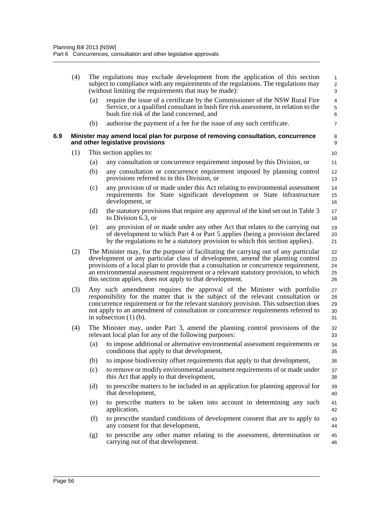| (4) |     | The regulations may exclude development from the application of this section                                                                                                                                                                    | 1<br>$\overline{c}$<br>3                                                                                                                                                                                                                                                                                                                                                                                                                                                                                                                                                                                                                                                                                                                                                                                                                                                                                                                                                                                                                                                                                                                                                                                                                                                                                                                                                                                                                                                                                                                                                                                                                                                              |
|-----|-----|-------------------------------------------------------------------------------------------------------------------------------------------------------------------------------------------------------------------------------------------------|---------------------------------------------------------------------------------------------------------------------------------------------------------------------------------------------------------------------------------------------------------------------------------------------------------------------------------------------------------------------------------------------------------------------------------------------------------------------------------------------------------------------------------------------------------------------------------------------------------------------------------------------------------------------------------------------------------------------------------------------------------------------------------------------------------------------------------------------------------------------------------------------------------------------------------------------------------------------------------------------------------------------------------------------------------------------------------------------------------------------------------------------------------------------------------------------------------------------------------------------------------------------------------------------------------------------------------------------------------------------------------------------------------------------------------------------------------------------------------------------------------------------------------------------------------------------------------------------------------------------------------------------------------------------------------------|
|     | (a) | require the issue of a certificate by the Commissioner of the NSW Rural Fire<br>Service, or a qualified consultant in bush fire risk assessment, in relation to the                                                                             | $\overline{4}$<br>$\sqrt{5}$                                                                                                                                                                                                                                                                                                                                                                                                                                                                                                                                                                                                                                                                                                                                                                                                                                                                                                                                                                                                                                                                                                                                                                                                                                                                                                                                                                                                                                                                                                                                                                                                                                                          |
|     |     |                                                                                                                                                                                                                                                 | $\,6$<br>$\overline{7}$                                                                                                                                                                                                                                                                                                                                                                                                                                                                                                                                                                                                                                                                                                                                                                                                                                                                                                                                                                                                                                                                                                                                                                                                                                                                                                                                                                                                                                                                                                                                                                                                                                                               |
|     |     |                                                                                                                                                                                                                                                 |                                                                                                                                                                                                                                                                                                                                                                                                                                                                                                                                                                                                                                                                                                                                                                                                                                                                                                                                                                                                                                                                                                                                                                                                                                                                                                                                                                                                                                                                                                                                                                                                                                                                                       |
|     |     |                                                                                                                                                                                                                                                 | 8<br>9                                                                                                                                                                                                                                                                                                                                                                                                                                                                                                                                                                                                                                                                                                                                                                                                                                                                                                                                                                                                                                                                                                                                                                                                                                                                                                                                                                                                                                                                                                                                                                                                                                                                                |
|     |     |                                                                                                                                                                                                                                                 | 10                                                                                                                                                                                                                                                                                                                                                                                                                                                                                                                                                                                                                                                                                                                                                                                                                                                                                                                                                                                                                                                                                                                                                                                                                                                                                                                                                                                                                                                                                                                                                                                                                                                                                    |
|     |     |                                                                                                                                                                                                                                                 | 11                                                                                                                                                                                                                                                                                                                                                                                                                                                                                                                                                                                                                                                                                                                                                                                                                                                                                                                                                                                                                                                                                                                                                                                                                                                                                                                                                                                                                                                                                                                                                                                                                                                                                    |
|     |     | provisions referred to in this Division, or                                                                                                                                                                                                     | 12<br>13                                                                                                                                                                                                                                                                                                                                                                                                                                                                                                                                                                                                                                                                                                                                                                                                                                                                                                                                                                                                                                                                                                                                                                                                                                                                                                                                                                                                                                                                                                                                                                                                                                                                              |
|     |     | requirements for State significant development or State infrastructure<br>development, or                                                                                                                                                       | 14<br>15<br>16                                                                                                                                                                                                                                                                                                                                                                                                                                                                                                                                                                                                                                                                                                                                                                                                                                                                                                                                                                                                                                                                                                                                                                                                                                                                                                                                                                                                                                                                                                                                                                                                                                                                        |
|     | (d) | the statutory provisions that require any approval of the kind set out in Table 3<br>to Division $6.\overline{3}$ , or                                                                                                                          | 17<br>18                                                                                                                                                                                                                                                                                                                                                                                                                                                                                                                                                                                                                                                                                                                                                                                                                                                                                                                                                                                                                                                                                                                                                                                                                                                                                                                                                                                                                                                                                                                                                                                                                                                                              |
|     | (e) | any provision of or made under any other Act that relates to the carrying out<br>of development to which Part 4 or Part 5 applies (being a provision declared<br>by the regulations to be a statutory provision to which this section applies). | 19<br>20<br>21                                                                                                                                                                                                                                                                                                                                                                                                                                                                                                                                                                                                                                                                                                                                                                                                                                                                                                                                                                                                                                                                                                                                                                                                                                                                                                                                                                                                                                                                                                                                                                                                                                                                        |
| (2) |     |                                                                                                                                                                                                                                                 | 22<br>23<br>24<br>25<br>26                                                                                                                                                                                                                                                                                                                                                                                                                                                                                                                                                                                                                                                                                                                                                                                                                                                                                                                                                                                                                                                                                                                                                                                                                                                                                                                                                                                                                                                                                                                                                                                                                                                            |
| (3) |     |                                                                                                                                                                                                                                                 | 27<br>28<br>29<br>30<br>31                                                                                                                                                                                                                                                                                                                                                                                                                                                                                                                                                                                                                                                                                                                                                                                                                                                                                                                                                                                                                                                                                                                                                                                                                                                                                                                                                                                                                                                                                                                                                                                                                                                            |
| (4) |     |                                                                                                                                                                                                                                                 | 32<br>33                                                                                                                                                                                                                                                                                                                                                                                                                                                                                                                                                                                                                                                                                                                                                                                                                                                                                                                                                                                                                                                                                                                                                                                                                                                                                                                                                                                                                                                                                                                                                                                                                                                                              |
|     | (a) | to impose additional or alternative environmental assessment requirements or<br>conditions that apply to that development,                                                                                                                      | 34<br>35                                                                                                                                                                                                                                                                                                                                                                                                                                                                                                                                                                                                                                                                                                                                                                                                                                                                                                                                                                                                                                                                                                                                                                                                                                                                                                                                                                                                                                                                                                                                                                                                                                                                              |
|     | (b) | to impose biodiversity offset requirements that apply to that development,                                                                                                                                                                      | 36                                                                                                                                                                                                                                                                                                                                                                                                                                                                                                                                                                                                                                                                                                                                                                                                                                                                                                                                                                                                                                                                                                                                                                                                                                                                                                                                                                                                                                                                                                                                                                                                                                                                                    |
|     | (c) | this Act that apply to that development,                                                                                                                                                                                                        | 37<br>38                                                                                                                                                                                                                                                                                                                                                                                                                                                                                                                                                                                                                                                                                                                                                                                                                                                                                                                                                                                                                                                                                                                                                                                                                                                                                                                                                                                                                                                                                                                                                                                                                                                                              |
|     | (d) | to prescribe matters to be included in an application for planning approval for<br>that development,                                                                                                                                            | 39<br>40                                                                                                                                                                                                                                                                                                                                                                                                                                                                                                                                                                                                                                                                                                                                                                                                                                                                                                                                                                                                                                                                                                                                                                                                                                                                                                                                                                                                                                                                                                                                                                                                                                                                              |
|     | (e) | to prescribe matters to be taken into account in determining any such<br>application,                                                                                                                                                           | 41<br>42                                                                                                                                                                                                                                                                                                                                                                                                                                                                                                                                                                                                                                                                                                                                                                                                                                                                                                                                                                                                                                                                                                                                                                                                                                                                                                                                                                                                                                                                                                                                                                                                                                                                              |
|     | (f) | to prescribe standard conditions of development consent that are to apply to<br>any consent for that development,                                                                                                                               | 43<br>44                                                                                                                                                                                                                                                                                                                                                                                                                                                                                                                                                                                                                                                                                                                                                                                                                                                                                                                                                                                                                                                                                                                                                                                                                                                                                                                                                                                                                                                                                                                                                                                                                                                                              |
|     | (g) | to prescribe any other matter relating to the assessment, determination or<br>carrying out of that development.                                                                                                                                 | 45<br>46                                                                                                                                                                                                                                                                                                                                                                                                                                                                                                                                                                                                                                                                                                                                                                                                                                                                                                                                                                                                                                                                                                                                                                                                                                                                                                                                                                                                                                                                                                                                                                                                                                                                              |
|     | (1) | (b)<br>(a)<br>(b)<br>(c)                                                                                                                                                                                                                        | subject to compliance with any requirements of the regulations. The regulations may<br>(without limiting the requirements that may be made):<br>bush fire risk of the land concerned, and<br>authorise the payment of a fee for the issue of any such certificate.<br>Minister may amend local plan for purpose of removing consultation, concurrence<br>and other legislative provisions<br>This section applies to:<br>any consultation or concurrence requirement imposed by this Division, or<br>any consultation or concurrence requirement imposed by planning control<br>any provision of or made under this Act relating to environmental assessment<br>The Minister may, for the purpose of facilitating the carrying out of any particular<br>development or any particular class of development, amend the planning control<br>provisions of a local plan to provide that a consultation or concurrence requirement,<br>an environmental assessment requirement or a relevant statutory provision, to which<br>this section applies, does not apply to that development.<br>Any such amendment requires the approval of the Minister with portfolio<br>responsibility for the matter that is the subject of the relevant consultation or<br>concurrence requirement or for the relevant statutory provision. This subsection does<br>not apply to an amendment of consultation or concurrence requirements referred to<br>in subsection $(1)$ (b).<br>The Minister may, under Part 3, amend the planning control provisions of the<br>relevant local plan for any of the following purposes:<br>to remove or modify environmental assessment requirements of or made under |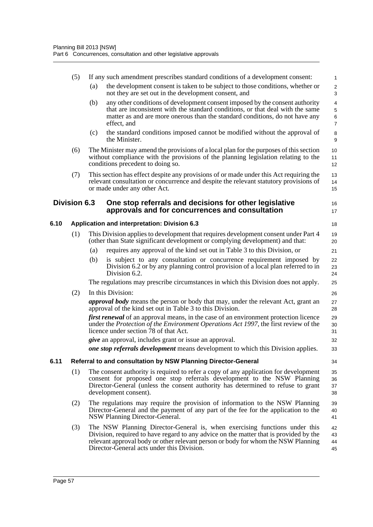|      | (5)                 |     | If any such amendment prescribes standard conditions of a development consent:                                                                                                                                                                                                                         | $\mathbf{1}$                                               |
|------|---------------------|-----|--------------------------------------------------------------------------------------------------------------------------------------------------------------------------------------------------------------------------------------------------------------------------------------------------------|------------------------------------------------------------|
|      |                     | (a) | the development consent is taken to be subject to those conditions, whether or<br>not they are set out in the development consent, and                                                                                                                                                                 | $\overline{2}$<br>3                                        |
|      |                     | (b) | any other conditions of development consent imposed by the consent authority<br>that are inconsistent with the standard conditions, or that deal with the same<br>matter as and are more onerous than the standard conditions, do not have any<br>effect, and                                          | $\overline{4}$<br>$\mathbf 5$<br>$\,6\,$<br>$\overline{7}$ |
|      |                     | (c) | the standard conditions imposed cannot be modified without the approval of<br>the Minister.                                                                                                                                                                                                            | $\,$ 8 $\,$<br>9                                           |
|      | (6)                 |     | The Minister may amend the provisions of a local plan for the purposes of this section<br>without compliance with the provisions of the planning legislation relating to the<br>conditions precedent to doing so.                                                                                      | 10<br>11<br>12                                             |
|      | (7)                 |     | This section has effect despite any provisions of or made under this Act requiring the<br>relevant consultation or concurrence and despite the relevant statutory provisions of<br>or made under any other Act.                                                                                        | 13<br>14<br>15                                             |
|      | <b>Division 6.3</b> |     | One stop referrals and decisions for other legislative<br>approvals and for concurrences and consultation                                                                                                                                                                                              | 16<br>17                                                   |
| 6.10 |                     |     | Application and interpretation: Division 6.3                                                                                                                                                                                                                                                           | 18                                                         |
|      | (1)                 |     | This Division applies to development that requires development consent under Part 4<br>(other than State significant development or complying development) and that:                                                                                                                                   | 19<br>20                                                   |
|      |                     | (a) | requires any approval of the kind set out in Table 3 to this Division, or                                                                                                                                                                                                                              | 21                                                         |
|      |                     | (b) | is subject to any consultation or concurrence requirement imposed by<br>Division 6.2 or by any planning control provision of a local plan referred to in<br>Division 6.2.                                                                                                                              | 22<br>23<br>24                                             |
|      |                     |     | The regulations may prescribe circumstances in which this Division does not apply.                                                                                                                                                                                                                     | 25                                                         |
|      | (2)                 |     | In this Division:                                                                                                                                                                                                                                                                                      | 26                                                         |
|      |                     |     | <i>approval body</i> means the person or body that may, under the relevant Act, grant an<br>approval of the kind set out in Table 3 to this Division.                                                                                                                                                  | 27<br>28                                                   |
|      |                     |     | <i>first renewal</i> of an approval means, in the case of an environment protection licence<br>under the <i>Protection of the Environment Operations Act 1997</i> , the first review of the<br>licence under section 78 of that Act.                                                                   | 29<br>30<br>31                                             |
|      |                     |     | <i>give</i> an approval, includes grant or issue an approval.                                                                                                                                                                                                                                          | 32                                                         |
|      |                     |     | one stop referrals development means development to which this Division applies.                                                                                                                                                                                                                       | 33                                                         |
| 6.11 |                     |     | Referral to and consultation by NSW Planning Director-General                                                                                                                                                                                                                                          | 34                                                         |
|      | (1)                 |     | The consent authority is required to refer a copy of any application for development<br>consent for proposed one stop referrals development to the NSW Planning<br>Director-General (unless the consent authority has determined to refuse to grant<br>development consent).                           | 35<br>36<br>37<br>38                                       |
|      | (2)                 |     | The regulations may require the provision of information to the NSW Planning<br>Director-General and the payment of any part of the fee for the application to the<br>NSW Planning Director-General.                                                                                                   | 39<br>40<br>41                                             |
|      | (3)                 |     | The NSW Planning Director-General is, when exercising functions under this<br>Division, required to have regard to any advice on the matter that is provided by the<br>relevant approval body or other relevant person or body for whom the NSW Planning<br>Director-General acts under this Division. | 42<br>43<br>44<br>45                                       |
|      |                     |     |                                                                                                                                                                                                                                                                                                        |                                                            |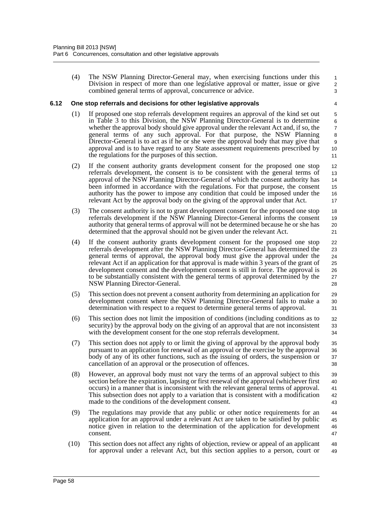(4) The NSW Planning Director-General may, when exercising functions under this Division in respect of more than one legislative approval or matter, issue or give combined general terms of approval, concurrence or advice.

1 2 3

# **6.12 One stop referrals and decisions for other legislative approvals**

- (1) If proposed one stop referrals development requires an approval of the kind set out in Table 3 to this Division, the NSW Planning Director-General is to determine whether the approval body should give approval under the relevant Act and, if so, the general terms of any such approval. For that purpose, the NSW Planning Director-General is to act as if he or she were the approval body that may give that approval and is to have regard to any State assessment requirements prescribed by the regulations for the purposes of this section. 10 11
- (2) If the consent authority grants development consent for the proposed one stop referrals development, the consent is to be consistent with the general terms of approval of the NSW Planning Director-General of which the consent authority has been informed in accordance with the regulations. For that purpose, the consent authority has the power to impose any condition that could be imposed under the relevant Act by the approval body on the giving of the approval under that Act. 12 13 14 15 16 17
- (3) The consent authority is not to grant development consent for the proposed one stop referrals development if the NSW Planning Director-General informs the consent authority that general terms of approval will not be determined because he or she has determined that the approval should not be given under the relevant Act. 18 19 20  $21$
- (4) If the consent authority grants development consent for the proposed one stop referrals development after the NSW Planning Director-General has determined the general terms of approval, the approval body must give the approval under the relevant Act if an application for that approval is made within 3 years of the grant of development consent and the development consent is still in force. The approval is to be substantially consistent with the general terms of approval determined by the NSW Planning Director-General. 22 23 24 25 26 27 28
- (5) This section does not prevent a consent authority from determining an application for development consent where the NSW Planning Director-General fails to make a determination with respect to a request to determine general terms of approval. 29 30 31
- (6) This section does not limit the imposition of conditions (including conditions as to security) by the approval body on the giving of an approval that are not inconsistent with the development consent for the one stop referrals development. 32 33 34
- (7) This section does not apply to or limit the giving of approval by the approval body pursuant to an application for renewal of an approval or the exercise by the approval body of any of its other functions, such as the issuing of orders, the suspension or cancellation of an approval or the prosecution of offences. 35 36 37 38
- (8) However, an approval body must not vary the terms of an approval subject to this section before the expiration, lapsing or first renewal of the approval (whichever first occurs) in a manner that is inconsistent with the relevant general terms of approval. This subsection does not apply to a variation that is consistent with a modification made to the conditions of the development consent. 39 40 41 42 43
- (9) The regulations may provide that any public or other notice requirements for an application for an approval under a relevant Act are taken to be satisfied by public notice given in relation to the determination of the application for development consent. 44 45 46 47
- (10) This section does not affect any rights of objection, review or appeal of an applicant for approval under a relevant Act, but this section applies to a person, court or 48 49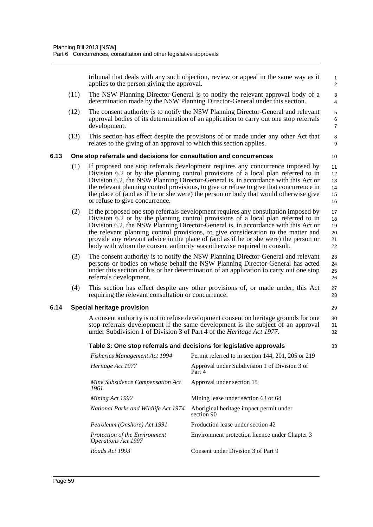tribunal that deals with any such objection, review or appeal in the same way as it applies to the person giving the approval.

- (11) The NSW Planning Director-General is to notify the relevant approval body of a determination made by the NSW Planning Director-General under this section.
- (12) The consent authority is to notify the NSW Planning Director-General and relevant approval bodies of its determination of an application to carry out one stop referrals development.
- (13) This section has effect despite the provisions of or made under any other Act that relates to the giving of an approval to which this section applies.

#### **6.13 One stop referrals and decisions for consultation and concurrences**

- (1) If proposed one stop referrals development requires any concurrence imposed by Division 6.2 or by the planning control provisions of a local plan referred to in Division 6.2, the NSW Planning Director-General is, in accordance with this Act or the relevant planning control provisions, to give or refuse to give that concurrence in the place of (and as if he or she were) the person or body that would otherwise give or refuse to give concurrence. 11 12 13 14 15 16
- (2) If the proposed one stop referrals development requires any consultation imposed by Division 6.2 or by the planning control provisions of a local plan referred to in Division 6.2, the NSW Planning Director-General is, in accordance with this Act or the relevant planning control provisions, to give consideration to the matter and provide any relevant advice in the place of (and as if he or she were) the person or body with whom the consent authority was otherwise required to consult. 17 18 19 20 21 22
- (3) The consent authority is to notify the NSW Planning Director-General and relevant persons or bodies on whose behalf the NSW Planning Director-General has acted under this section of his or her determination of an application to carry out one stop referrals development. 23 24 25 26
- (4) This section has effect despite any other provisions of, or made under, this Act requiring the relevant consultation or concurrence.

#### **6.14 Special heritage provision**

A consent authority is not to refuse development consent on heritage grounds for one stop referrals development if the same development is the subject of an approval under Subdivision 1 of Division 3 of Part 4 of the *Heritage Act 1977*. 31 32

|                                                                    | Table 3: One stop referrals and decisions for legislative approvals |  |  |  |  |  |  |
|--------------------------------------------------------------------|---------------------------------------------------------------------|--|--|--|--|--|--|
| <b>Fisheries Management Act 1994</b>                               | Permit referred to in section 144, 201, 205 or 219                  |  |  |  |  |  |  |
| Heritage Act 1977                                                  | Approval under Subdivision 1 of Division 3 of<br>Part 4             |  |  |  |  |  |  |
| Mine Subsidence Compensation Act<br>1961                           | Approval under section 15                                           |  |  |  |  |  |  |
| Mining Act 1992                                                    | Mining lease under section 63 or 64                                 |  |  |  |  |  |  |
| National Parks and Wildlife Act 1974                               | Aboriginal heritage impact permit under<br>section 90               |  |  |  |  |  |  |
| Petroleum (Onshore) Act 1991                                       | Production lease under section 42                                   |  |  |  |  |  |  |
| <b>Protection of the Environment</b><br><b>Operations Act 1997</b> | Environment protection licence under Chapter 3                      |  |  |  |  |  |  |
| Roads Act 1993                                                     | Consent under Division 3 of Part 9                                  |  |  |  |  |  |  |

30

33

27 28 29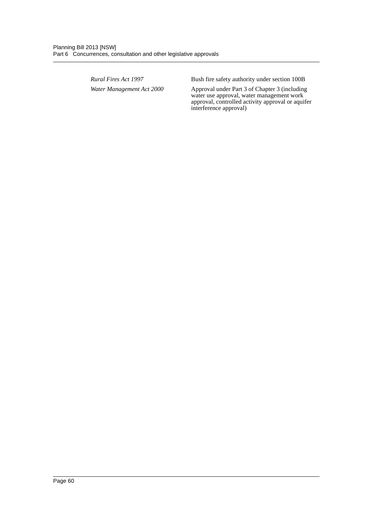*Rural Fires Act 1997* Bush fire safety authority under section 100B

*Water Management Act 2000* Approval under Part 3 of Chapter 3 (including water use approval, water management work approval, controlled activity approval or aquifer interference approval)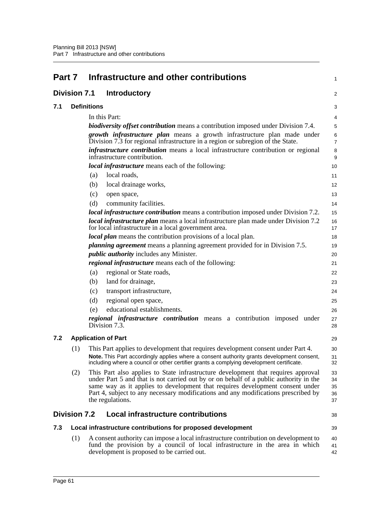| Part 7                                                                          |                                                                                                                                                                                                                                             | Infrastructure and other contributions |                                                                                                                                                                                                                                                                                                                                                                       |                            |  |  |
|---------------------------------------------------------------------------------|---------------------------------------------------------------------------------------------------------------------------------------------------------------------------------------------------------------------------------------------|----------------------------------------|-----------------------------------------------------------------------------------------------------------------------------------------------------------------------------------------------------------------------------------------------------------------------------------------------------------------------------------------------------------------------|----------------------------|--|--|
|                                                                                 | <b>Division 7.1</b>                                                                                                                                                                                                                         |                                        | <b>Introductory</b>                                                                                                                                                                                                                                                                                                                                                   | 2                          |  |  |
| 7.1                                                                             |                                                                                                                                                                                                                                             | <b>Definitions</b>                     |                                                                                                                                                                                                                                                                                                                                                                       | 3                          |  |  |
|                                                                                 |                                                                                                                                                                                                                                             |                                        | In this Part:                                                                                                                                                                                                                                                                                                                                                         | 4                          |  |  |
|                                                                                 |                                                                                                                                                                                                                                             |                                        | <b>biodiversity offset contribution</b> means a contribution imposed under Division 7.4.                                                                                                                                                                                                                                                                              | 5                          |  |  |
|                                                                                 |                                                                                                                                                                                                                                             |                                        | growth infrastructure plan means a growth infrastructure plan made under                                                                                                                                                                                                                                                                                              | 6                          |  |  |
| Division 7.3 for regional infrastructure in a region or subregion of the State. |                                                                                                                                                                                                                                             |                                        |                                                                                                                                                                                                                                                                                                                                                                       |                            |  |  |
|                                                                                 | <i>infrastructure contribution</i> means a local infrastructure contribution or regional<br>infrastructure contribution.                                                                                                                    |                                        |                                                                                                                                                                                                                                                                                                                                                                       |                            |  |  |
|                                                                                 |                                                                                                                                                                                                                                             |                                        | <i>local infrastructure</i> means each of the following:                                                                                                                                                                                                                                                                                                              | 10                         |  |  |
|                                                                                 |                                                                                                                                                                                                                                             | (a)                                    | local roads,                                                                                                                                                                                                                                                                                                                                                          | 11                         |  |  |
|                                                                                 |                                                                                                                                                                                                                                             | (b)                                    | local drainage works,                                                                                                                                                                                                                                                                                                                                                 | 12                         |  |  |
|                                                                                 |                                                                                                                                                                                                                                             | (c)                                    | open space,                                                                                                                                                                                                                                                                                                                                                           | 13                         |  |  |
|                                                                                 |                                                                                                                                                                                                                                             | (d)                                    | community facilities.                                                                                                                                                                                                                                                                                                                                                 | 14                         |  |  |
|                                                                                 |                                                                                                                                                                                                                                             |                                        | local infrastructure contribution means a contribution imposed under Division 7.2.                                                                                                                                                                                                                                                                                    | 15                         |  |  |
|                                                                                 |                                                                                                                                                                                                                                             |                                        | <i>local infrastructure plan</i> means a local infrastructure plan made under Division 7.2<br>for local infrastructure in a local government area.                                                                                                                                                                                                                    | 16<br>17                   |  |  |
|                                                                                 |                                                                                                                                                                                                                                             |                                        | <i>local plan</i> means the contribution provisions of a local plan.                                                                                                                                                                                                                                                                                                  | 18                         |  |  |
|                                                                                 |                                                                                                                                                                                                                                             |                                        | <i>planning agreement</i> means a planning agreement provided for in Division 7.5.                                                                                                                                                                                                                                                                                    | 19                         |  |  |
|                                                                                 |                                                                                                                                                                                                                                             |                                        | <i>public authority</i> includes any Minister.                                                                                                                                                                                                                                                                                                                        | 20                         |  |  |
|                                                                                 |                                                                                                                                                                                                                                             |                                        | <i>regional infrastructure</i> means each of the following:                                                                                                                                                                                                                                                                                                           | 21                         |  |  |
|                                                                                 |                                                                                                                                                                                                                                             | (a)                                    | regional or State roads,                                                                                                                                                                                                                                                                                                                                              | 22                         |  |  |
|                                                                                 |                                                                                                                                                                                                                                             | (b)                                    | land for drainage,                                                                                                                                                                                                                                                                                                                                                    | 23                         |  |  |
|                                                                                 |                                                                                                                                                                                                                                             | (c)                                    | transport infrastructure,                                                                                                                                                                                                                                                                                                                                             | 24                         |  |  |
|                                                                                 |                                                                                                                                                                                                                                             | (d)                                    | regional open space,                                                                                                                                                                                                                                                                                                                                                  | 25                         |  |  |
|                                                                                 |                                                                                                                                                                                                                                             | (e)                                    | educational establishments.                                                                                                                                                                                                                                                                                                                                           | 26                         |  |  |
|                                                                                 |                                                                                                                                                                                                                                             |                                        | regional infrastructure contribution means a contribution imposed under<br>Division 7.3.                                                                                                                                                                                                                                                                              | 27<br>28                   |  |  |
| 7.2                                                                             |                                                                                                                                                                                                                                             |                                        | <b>Application of Part</b>                                                                                                                                                                                                                                                                                                                                            | 29                         |  |  |
|                                                                                 | (1)                                                                                                                                                                                                                                         |                                        | This Part applies to development that requires development consent under Part 4.                                                                                                                                                                                                                                                                                      | 30                         |  |  |
|                                                                                 |                                                                                                                                                                                                                                             |                                        | Note. This Part accordingly applies where a consent authority grants development consent,<br>including where a council or other certifier grants a complying development certificate.                                                                                                                                                                                 | 31<br>32                   |  |  |
|                                                                                 | (2)                                                                                                                                                                                                                                         |                                        | This Part also applies to State infrastructure development that requires approval<br>under Part 5 and that is not carried out by or on behalf of a public authority in the<br>same way as it applies to development that requires development consent under<br>Part 4, subject to any necessary modifications and any modifications prescribed by<br>the regulations. | 33<br>34<br>35<br>36<br>37 |  |  |
|                                                                                 | <b>Division 7.2</b>                                                                                                                                                                                                                         |                                        | Local infrastructure contributions                                                                                                                                                                                                                                                                                                                                    | 38                         |  |  |
| 7.3                                                                             |                                                                                                                                                                                                                                             |                                        | Local infrastructure contributions for proposed development                                                                                                                                                                                                                                                                                                           | 39                         |  |  |
|                                                                                 | (1)<br>A consent authority can impose a local infrastructure contribution on development to<br>40<br>fund the provision by a council of local infrastructure in the area in which<br>41<br>development is proposed to be carried out.<br>42 |                                        |                                                                                                                                                                                                                                                                                                                                                                       |                            |  |  |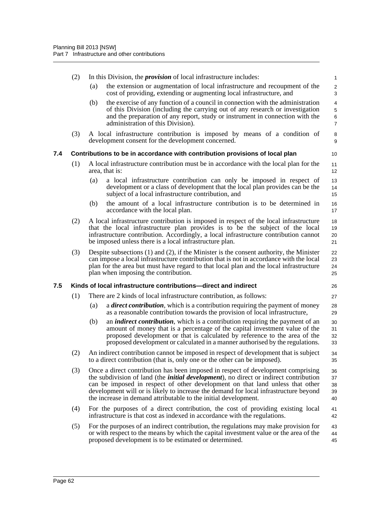|     | (2) |     | In this Division, the <i>provision</i> of local infrastructure includes:                                                                                                                                                                                                                                                                                                                                                      | $\mathbf{1}$                                  |
|-----|-----|-----|-------------------------------------------------------------------------------------------------------------------------------------------------------------------------------------------------------------------------------------------------------------------------------------------------------------------------------------------------------------------------------------------------------------------------------|-----------------------------------------------|
|     |     | (a) | the extension or augmentation of local infrastructure and recoupment of the<br>cost of providing, extending or augmenting local infrastructure, and                                                                                                                                                                                                                                                                           | $\boldsymbol{2}$<br>3                         |
|     |     | (b) | the exercise of any function of a council in connection with the administration<br>of this Division (including the carrying out of any research or investigation<br>and the preparation of any report, study or instrument in connection with the<br>administration of this Division).                                                                                                                                        | 4<br>$\mathbf 5$<br>$\,6$<br>$\boldsymbol{7}$ |
|     | (3) |     | A local infrastructure contribution is imposed by means of a condition of<br>development consent for the development concerned.                                                                                                                                                                                                                                                                                               | 8<br>$\boldsymbol{9}$                         |
| 7.4 |     |     | Contributions to be in accordance with contribution provisions of local plan                                                                                                                                                                                                                                                                                                                                                  | 10                                            |
|     | (1) |     | A local infrastructure contribution must be in accordance with the local plan for the<br>area, that is:                                                                                                                                                                                                                                                                                                                       | 11<br>12                                      |
|     |     | (a) | a local infrastructure contribution can only be imposed in respect of<br>development or a class of development that the local plan provides can be the<br>subject of a local infrastructure contribution, and                                                                                                                                                                                                                 | 13<br>14<br>15                                |
|     |     | (b) | the amount of a local infrastructure contribution is to be determined in<br>accordance with the local plan.                                                                                                                                                                                                                                                                                                                   | 16<br>17                                      |
|     | (2) |     | A local infrastructure contribution is imposed in respect of the local infrastructure<br>that the local infrastructure plan provides is to be the subject of the local<br>infrastructure contribution. Accordingly, a local infrastructure contribution cannot<br>be imposed unless there is a local infrastructure plan.                                                                                                     | 18<br>19<br>20<br>21                          |
|     | (3) |     | Despite subsections $(1)$ and $(2)$ , if the Minister is the consent authority, the Minister<br>can impose a local infrastructure contribution that is not in accordance with the local<br>plan for the area but must have regard to that local plan and the local infrastructure<br>plan when imposing the contribution.                                                                                                     | 22<br>23<br>24<br>25                          |
| 7.5 |     |     | Kinds of local infrastructure contributions-direct and indirect                                                                                                                                                                                                                                                                                                                                                               | 26                                            |
|     | (1) |     | There are 2 kinds of local infrastructure contribution, as follows:                                                                                                                                                                                                                                                                                                                                                           | 27                                            |
|     |     | (a) | a <i>direct contribution</i> , which is a contribution requiring the payment of money<br>as a reasonable contribution towards the provision of local infrastructure,                                                                                                                                                                                                                                                          | 28<br>29                                      |
|     |     | (b) | an <i>indirect contribution</i> , which is a contribution requiring the payment of an<br>amount of money that is a percentage of the capital investment value of the<br>proposed development or that is calculated by reference to the area of the<br>proposed development or calculated in a manner authorised by the regulations.                                                                                           | 30<br>31<br>32<br>33                          |
|     | (2) |     | An indirect contribution cannot be imposed in respect of development that is subject<br>to a direct contribution (that is, only one or the other can be imposed).                                                                                                                                                                                                                                                             | 34<br>35                                      |
|     | (3) |     | Once a direct contribution has been imposed in respect of development comprising<br>the subdivision of land (the <i>initial development</i> ), no direct or indirect contribution<br>can be imposed in respect of other development on that land unless that other<br>development will or is likely to increase the demand for local infrastructure beyond<br>the increase in demand attributable to the initial development. | 36<br>37<br>38<br>39<br>40                    |
|     | (4) |     | For the purposes of a direct contribution, the cost of providing existing local<br>infrastructure is that cost as indexed in accordance with the regulations.                                                                                                                                                                                                                                                                 | 41<br>42                                      |
|     | (5) |     | For the purposes of an indirect contribution, the regulations may make provision for<br>or with respect to the means by which the capital investment value or the area of the<br>proposed development is to be estimated or determined.                                                                                                                                                                                       | 43<br>44<br>45                                |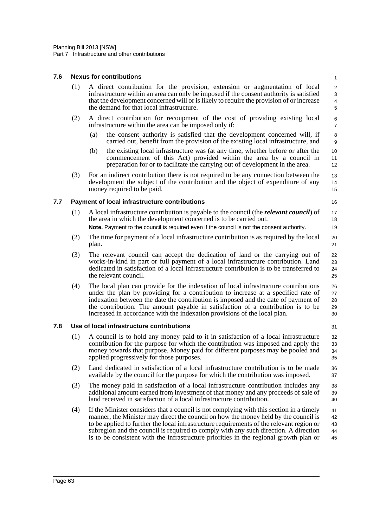# **7.6 Nexus for contributions**

| 7.6 |     | <b>Nexus for contributions</b>                                                                                                                                                                                                                                                                                                                                                                                                                              | $\mathbf{1}$                           |
|-----|-----|-------------------------------------------------------------------------------------------------------------------------------------------------------------------------------------------------------------------------------------------------------------------------------------------------------------------------------------------------------------------------------------------------------------------------------------------------------------|----------------------------------------|
|     | (1) | A direct contribution for the provision, extension or augmentation of local<br>infrastructure within an area can only be imposed if the consent authority is satisfied<br>that the development concerned will or is likely to require the provision of or increase<br>the demand for that local infrastructure.                                                                                                                                             | $\overline{\mathbf{c}}$<br>3<br>4<br>5 |
|     | (2) | A direct contribution for recoupment of the cost of providing existing local<br>infrastructure within the area can be imposed only if:                                                                                                                                                                                                                                                                                                                      | 6<br>$\overline{7}$                    |
|     |     | the consent authority is satisfied that the development concerned will, if<br>(a)<br>carried out, benefit from the provision of the existing local infrastructure, and                                                                                                                                                                                                                                                                                      | 8<br>9                                 |
|     |     | the existing local infrastructure was (at any time, whether before or after the<br>(b)<br>commencement of this Act) provided within the area by a council in<br>preparation for or to facilitate the carrying out of development in the area.                                                                                                                                                                                                               | 10<br>11<br>12                         |
|     | (3) | For an indirect contribution there is not required to be any connection between the<br>development the subject of the contribution and the object of expenditure of any<br>money required to be paid.                                                                                                                                                                                                                                                       | 13<br>14<br>15                         |
| 7.7 |     | Payment of local infrastructure contributions                                                                                                                                                                                                                                                                                                                                                                                                               | 16                                     |
|     | (1) | A local infrastructure contribution is payable to the council (the <i>relevant council</i> ) of<br>the area in which the development concerned is to be carried out.<br>Note. Payment to the council is required even if the council is not the consent authority.                                                                                                                                                                                          | 17<br>18<br>19                         |
|     | (2) | The time for payment of a local infrastructure contribution is as required by the local<br>plan.                                                                                                                                                                                                                                                                                                                                                            | 20<br>21                               |
|     | (3) | The relevant council can accept the dedication of land or the carrying out of<br>works-in-kind in part or full payment of a local infrastructure contribution. Land<br>dedicated in satisfaction of a local infrastructure contribution is to be transferred to<br>the relevant council.                                                                                                                                                                    | 22<br>23<br>24<br>25                   |
|     | (4) | The local plan can provide for the indexation of local infrastructure contributions<br>under the plan by providing for a contribution to increase at a specified rate of<br>indexation between the date the contribution is imposed and the date of payment of<br>the contribution. The amount payable in satisfaction of a contribution is to be<br>increased in accordance with the indexation provisions of the local plan.                              | 26<br>27<br>28<br>29<br>30             |
| 7.8 |     | Use of local infrastructure contributions                                                                                                                                                                                                                                                                                                                                                                                                                   | 31                                     |
|     | (1) | A council is to hold any money paid to it in satisfaction of a local infrastructure<br>contribution for the purpose for which the contribution was imposed and apply the<br>money towards that purpose. Money paid for different purposes may be pooled and<br>applied progressively for those purposes.                                                                                                                                                    | 32<br>33<br>34<br>35                   |
|     | (2) | Land dedicated in satisfaction of a local infrastructure contribution is to be made<br>available by the council for the purpose for which the contribution was imposed.                                                                                                                                                                                                                                                                                     | 36<br>37                               |
|     | (3) | The money paid in satisfaction of a local infrastructure contribution includes any<br>additional amount earned from investment of that money and any proceeds of sale of<br>land received in satisfaction of a local infrastructure contribution.                                                                                                                                                                                                           | 38<br>39<br>40                         |
|     | (4) | If the Minister considers that a council is not complying with this section in a timely<br>manner, the Minister may direct the council on how the money held by the council is<br>to be applied to further the local infrastructure requirements of the relevant region or<br>subregion and the council is required to comply with any such direction. A direction<br>is to be consistent with the infrastructure priorities in the regional growth plan or | 41<br>42<br>43<br>44<br>45             |
|     |     |                                                                                                                                                                                                                                                                                                                                                                                                                                                             |                                        |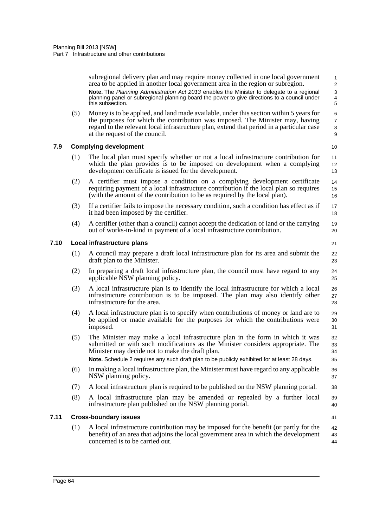**7.9 Complying development**

**7.10 Local infrastructure plans**

|     | subregional delivery plan and may require money collected in one local government<br>area to be applied in another local government area in the region or subregion.<br>Note. The Planning Administration Act 2013 enables the Minister to delegate to a regional<br>planning panel or subregional planning board the power to give directions to a council under<br>this subsection. | $\mathbf{1}$<br>2<br>3<br>4<br>5 |
|-----|---------------------------------------------------------------------------------------------------------------------------------------------------------------------------------------------------------------------------------------------------------------------------------------------------------------------------------------------------------------------------------------|----------------------------------|
| (5) | Money is to be applied, and land made available, under this section within 5 years for<br>the purposes for which the contribution was imposed. The Minister may, having<br>regard to the relevant local infrastructure plan, extend that period in a particular case<br>at the request of the council.                                                                                | 6<br>$\overline{7}$<br>8<br>9    |
|     | <b>Complying development</b>                                                                                                                                                                                                                                                                                                                                                          | 10                               |
| (1) | The local plan must specify whether or not a local infrastructure contribution for<br>which the plan provides is to be imposed on development when a complying<br>development certificate is issued for the development.                                                                                                                                                              | 11<br>12<br>13                   |
| (2) | A certifier must impose a condition on a complying development certificate<br>requiring payment of a local infrastructure contribution if the local plan so requires<br>(with the amount of the contribution to be as required by the local plan).                                                                                                                                    | 14<br>15<br>16                   |
| (3) | If a certifier fails to impose the necessary condition, such a condition has effect as if<br>it had been imposed by the certifier.                                                                                                                                                                                                                                                    | 17<br>18                         |
| (4) | A certifier (other than a council) cannot accept the dedication of land or the carrying<br>out of works-in-kind in payment of a local infrastructure contribution.                                                                                                                                                                                                                    | 19<br>20                         |
|     | Local infrastructure plans                                                                                                                                                                                                                                                                                                                                                            | 21                               |
| (1) | A council may prepare a draft local infrastructure plan for its area and submit the<br>draft plan to the Minister.                                                                                                                                                                                                                                                                    | 22<br>23                         |
| (2) | In preparing a draft local infrastructure plan, the council must have regard to any<br>applicable NSW planning policy.                                                                                                                                                                                                                                                                | 24<br>25                         |
| (3) | A local infrastructure plan is to identify the local infrastructure for which a local<br>infrastructure contribution is to be imposed. The plan may also identify other<br>infrastructure for the area.                                                                                                                                                                               | 26<br>27<br>28                   |
| (4) | A local infrastructure plan is to specify when contributions of money or land are to<br>be applied or made available for the purposes for which the contributions were<br>imposed.                                                                                                                                                                                                    | 29<br>30<br>31                   |
| (5) | The Minister may make a local infrastructure plan in the form in which it was<br>submitted or with such modifications as the Minister considers appropriate. The<br>Minister may decide not to make the draft plan.<br>Note. Schedule 2 requires any such draft plan to be publicly exhibited for at least 28 days.                                                                   | 32<br>33<br>34<br>35             |
| (6) | In making a local infrastructure plan, the Minister must have regard to any applicable<br>NSW planning policy.                                                                                                                                                                                                                                                                        | 36<br>37                         |
| (7) | A local infrastructure plan is required to be published on the NSW planning portal.                                                                                                                                                                                                                                                                                                   | 38                               |
| (8) | A local infrastructure plan may be amended or repealed by a further local<br>infrastructure plan published on the NSW planning portal.                                                                                                                                                                                                                                                | 39<br>40                         |
|     | <b>Cross-boundary issues</b>                                                                                                                                                                                                                                                                                                                                                          | 41                               |
| (1) | A local infrastructure contribution may be imposed for the benefit (or partly for the<br>benefit) of an area that adjoins the local government area in which the development<br>concerned is to be carried out.                                                                                                                                                                       | 42<br>43<br>44                   |
|     |                                                                                                                                                                                                                                                                                                                                                                                       |                                  |

**7.11 Cross-boundary issues**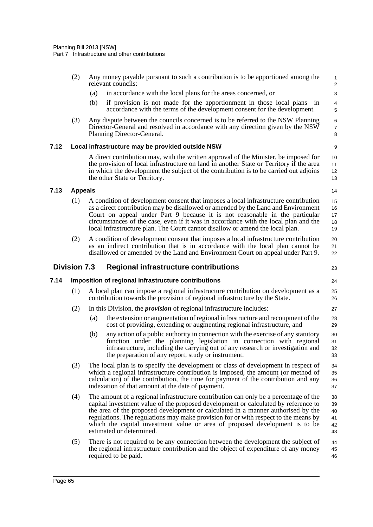|      | (2)                 |     | Any money payable pursuant to such a contribution is to be apportioned among the<br>relevant councils:                                                                                                                                                                                                                                                                                                                                                           | $\mathbf{1}$<br>$\overline{c}$         |
|------|---------------------|-----|------------------------------------------------------------------------------------------------------------------------------------------------------------------------------------------------------------------------------------------------------------------------------------------------------------------------------------------------------------------------------------------------------------------------------------------------------------------|----------------------------------------|
|      |                     | (a) | in accordance with the local plans for the areas concerned, or                                                                                                                                                                                                                                                                                                                                                                                                   | 3                                      |
|      |                     | (b) | if provision is not made for the apportionment in those local plans-in<br>accordance with the terms of the development consent for the development.                                                                                                                                                                                                                                                                                                              | $\overline{\mathbf{4}}$<br>$\mathbf 5$ |
|      | (3)                 |     | Any dispute between the councils concerned is to be referred to the NSW Planning<br>Director-General and resolved in accordance with any direction given by the NSW<br>Planning Director-General.                                                                                                                                                                                                                                                                | $\,6$<br>$\boldsymbol{7}$<br>8         |
| 7.12 |                     |     | Local infrastructure may be provided outside NSW                                                                                                                                                                                                                                                                                                                                                                                                                 | 9                                      |
|      |                     |     | A direct contribution may, with the written approval of the Minister, be imposed for<br>the provision of local infrastructure on land in another State or Territory if the area<br>in which the development the subject of the contribution is to be carried out adjoins<br>the other State or Territory.                                                                                                                                                        | 10<br>11<br>12<br>13                   |
| 7.13 | <b>Appeals</b>      |     |                                                                                                                                                                                                                                                                                                                                                                                                                                                                  | 14                                     |
|      | (1)                 |     | A condition of development consent that imposes a local infrastructure contribution<br>as a direct contribution may be disallowed or amended by the Land and Environment<br>Court on appeal under Part 9 because it is not reasonable in the particular<br>circumstances of the case, even if it was in accordance with the local plan and the<br>local infrastructure plan. The Court cannot disallow or amend the local plan.                                  | 15<br>16<br>17<br>18<br>19             |
|      | (2)                 |     | A condition of development consent that imposes a local infrastructure contribution<br>as an indirect contribution that is in accordance with the local plan cannot be<br>disallowed or amended by the Land and Environment Court on appeal under Part 9.                                                                                                                                                                                                        | 20<br>21<br>22                         |
|      | <b>Division 7.3</b> |     | <b>Regional infrastructure contributions</b>                                                                                                                                                                                                                                                                                                                                                                                                                     | 23                                     |
| 7.14 |                     |     | Imposition of regional infrastructure contributions                                                                                                                                                                                                                                                                                                                                                                                                              | 24                                     |
|      | (1)                 |     | A local plan can impose a regional infrastructure contribution on development as a<br>contribution towards the provision of regional infrastructure by the State.                                                                                                                                                                                                                                                                                                | 25<br>26                               |
|      | (2)                 |     | In this Division, the <i>provision</i> of regional infrastructure includes:                                                                                                                                                                                                                                                                                                                                                                                      | 27                                     |
|      |                     | (a) | the extension or augmentation of regional infrastructure and recoupment of the<br>cost of providing, extending or augmenting regional infrastructure, and                                                                                                                                                                                                                                                                                                        | 28<br>29                               |
|      |                     | (b) | any action of a public authority in connection with the exercise of any statutory<br>function under the planning legislation in connection with regional<br>infrastructure, including the carrying out of any research or investigation and<br>the preparation of any report, study or instrument.                                                                                                                                                               | 30<br>31<br>32<br>33                   |
|      | (3)                 |     | The local plan is to specify the development or class of development in respect of<br>which a regional infrastructure contribution is imposed, the amount (or method of<br>calculation) of the contribution, the time for payment of the contribution and any<br>indexation of that amount at the date of payment.                                                                                                                                               | 34<br>35<br>36<br>37                   |
|      | (4)                 |     | The amount of a regional infrastructure contribution can only be a percentage of the<br>capital investment value of the proposed development or calculated by reference to<br>the area of the proposed development or calculated in a manner authorised by the<br>regulations. The regulations may make provision for or with respect to the means by<br>which the capital investment value or area of proposed development is to be<br>estimated or determined. | 38<br>39<br>40<br>41<br>42<br>43       |
|      | (5)                 |     | There is not required to be any connection between the development the subject of<br>the regional infrastructure contribution and the object of expenditure of any money<br>required to be paid.                                                                                                                                                                                                                                                                 | 44<br>45<br>46                         |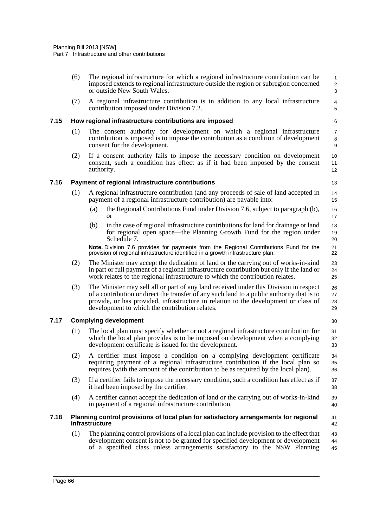|      | (6) | The regional infrastructure for which a regional infrastructure contribution can be<br>imposed extends to regional infrastructure outside the region or subregion concerned<br>or outside New South Wales.                                                                                                                   | 1<br>$\overline{\mathbf{c}}$<br>3 |
|------|-----|------------------------------------------------------------------------------------------------------------------------------------------------------------------------------------------------------------------------------------------------------------------------------------------------------------------------------|-----------------------------------|
|      | (7) | A regional infrastructure contribution is in addition to any local infrastructure<br>contribution imposed under Division 7.2.                                                                                                                                                                                                | 4<br>5                            |
| 7.15 |     | How regional infrastructure contributions are imposed                                                                                                                                                                                                                                                                        | 6                                 |
|      | (1) | The consent authority for development on which a regional infrastructure<br>contribution is imposed is to impose the contribution as a condition of development<br>consent for the development.                                                                                                                              | 7<br>8<br>9                       |
|      | (2) | If a consent authority fails to impose the necessary condition on development<br>consent, such a condition has effect as if it had been imposed by the consent<br>authority.                                                                                                                                                 | 10<br>11<br>12                    |
| 7.16 |     | Payment of regional infrastructure contributions                                                                                                                                                                                                                                                                             | 13                                |
|      | (1) | A regional infrastructure contribution (and any proceeds of sale of land accepted in<br>payment of a regional infrastructure contribution) are payable into:                                                                                                                                                                 | 14<br>15                          |
|      |     | the Regional Contributions Fund under Division 7.6, subject to paragraph (b),<br>(a)<br><b>or</b>                                                                                                                                                                                                                            | 16<br>17                          |
|      |     | in the case of regional infrastructure contributions for land for drainage or land<br>(b)<br>for regional open space—the Planning Growth Fund for the region under<br>Schedule 7.                                                                                                                                            | 18<br>19<br>20                    |
|      |     | Note. Division 7.6 provides for payments from the Regional Contributions Fund for the<br>provision of regional infrastructure identified in a growth infrastructure plan.                                                                                                                                                    | 21<br>22                          |
|      | (2) | The Minister may accept the dedication of land or the carrying out of works-in-kind<br>in part or full payment of a regional infrastructure contribution but only if the land or<br>work relates to the regional infrastructure to which the contribution relates.                                                           | 23<br>24<br>25                    |
|      | (3) | The Minister may sell all or part of any land received under this Division in respect<br>of a contribution or direct the transfer of any such land to a public authority that is to<br>provide, or has provided, infrastructure in relation to the development or class of<br>development to which the contribution relates. | 26<br>27<br>28<br>29              |
| 7.17 |     | <b>Complying development</b>                                                                                                                                                                                                                                                                                                 | 30                                |
|      | (1) | The local plan must specify whether or not a regional infrastructure contribution for<br>which the local plan provides is to be imposed on development when a complying<br>development certificate is issued for the development.                                                                                            | 31<br>32<br>33                    |
|      |     | (2) A certifier must impose a condition on a complying development certificate<br>requiring payment of a regional infrastructure contribution if the local plan so<br>requires (with the amount of the contribution to be as required by the local plan).                                                                    | 34<br>35<br>36                    |
|      | (3) | If a certifier fails to impose the necessary condition, such a condition has effect as if<br>it had been imposed by the certifier.                                                                                                                                                                                           | 37<br>38                          |
|      | (4) | A certifier cannot accept the dedication of land or the carrying out of works-in-kind<br>in payment of a regional infrastructure contribution.                                                                                                                                                                               | 39<br>40                          |
| 7.18 |     | Planning control provisions of local plan for satisfactory arrangements for regional<br>infrastructure                                                                                                                                                                                                                       | 41<br>42                          |
|      | (1) | The planning control provisions of a local plan can include provision to the effect that<br>development consent is not to be granted for specified development or development<br>of a specified class unless arrangements satisfactory to the NSW Planning                                                                   | 43<br>44<br>45                    |
|      |     |                                                                                                                                                                                                                                                                                                                              |                                   |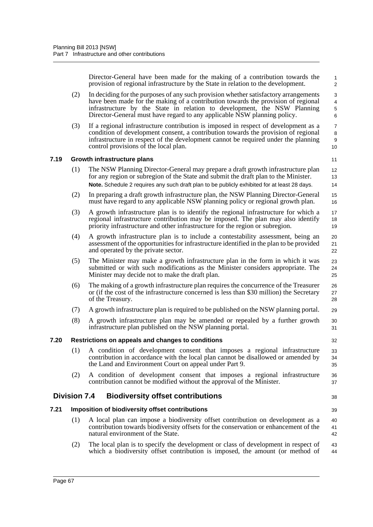Director-General have been made for the making of a contribution towards the provision of regional infrastructure by the State in relation to the development.

1

|      |                     | provision of regional infrastructure by the State in relation to the development.                                                                                                                                                                                                                                                 | $\overline{c}$                             |
|------|---------------------|-----------------------------------------------------------------------------------------------------------------------------------------------------------------------------------------------------------------------------------------------------------------------------------------------------------------------------------|--------------------------------------------|
|      | (2)                 | In deciding for the purposes of any such provision whether satisfactory arrangements<br>have been made for the making of a contribution towards the provision of regional<br>infrastructure by the State in relation to development, the NSW Planning<br>Director-General must have regard to any applicable NSW planning policy. | 3<br>$\overline{\mathbf{4}}$<br>5<br>$\,6$ |
|      | (3)                 | If a regional infrastructure contribution is imposed in respect of development as a<br>condition of development consent, a contribution towards the provision of regional<br>infrastructure in respect of the development cannot be required under the planning<br>control provisions of the local plan.                          | $\overline{7}$<br>8<br>$9\,$<br>10         |
| 7.19 |                     | <b>Growth infrastructure plans</b>                                                                                                                                                                                                                                                                                                | 11                                         |
|      | (1)                 | The NSW Planning Director-General may prepare a draft growth infrastructure plan<br>for any region or subregion of the State and submit the draft plan to the Minister.<br>Note. Schedule 2 requires any such draft plan to be publicly exhibited for at least 28 days.                                                           | 12<br>13<br>14                             |
|      | (2)                 | In preparing a draft growth infrastructure plan, the NSW Planning Director-General<br>must have regard to any applicable NSW planning policy or regional growth plan.                                                                                                                                                             | 15<br>16                                   |
|      | (3)                 | A growth infrastructure plan is to identify the regional infrastructure for which a<br>regional infrastructure contribution may be imposed. The plan may also identify<br>priority infrastructure and other infrastructure for the region or subregion.                                                                           | 17<br>18<br>19                             |
|      | (4)                 | A growth infrastructure plan is to include a contestability assessment, being an<br>assessment of the opportunities for infrastructure identified in the plan to be provided<br>and operated by the private sector.                                                                                                               | 20<br>21<br>22                             |
|      | (5)                 | The Minister may make a growth infrastructure plan in the form in which it was<br>submitted or with such modifications as the Minister considers appropriate. The<br>Minister may decide not to make the draft plan.                                                                                                              | 23<br>24<br>25                             |
|      | (6)                 | The making of a growth infrastructure plan requires the concurrence of the Treasurer<br>or (if the cost of the infrastructure concerned is less than \$30 million) the Secretary<br>of the Treasury.                                                                                                                              | 26<br>27<br>28                             |
|      | (7)                 | A growth infrastructure plan is required to be published on the NSW planning portal.                                                                                                                                                                                                                                              | 29                                         |
|      | (8)                 | A growth infrastructure plan may be amended or repealed by a further growth<br>infrastructure plan published on the NSW planning portal.                                                                                                                                                                                          | 30<br>31                                   |
| 7.20 |                     | Restrictions on appeals and changes to conditions                                                                                                                                                                                                                                                                                 | 32                                         |
|      | (1)                 | A condition of development consent that imposes a regional infrastructure<br>contribution in accordance with the local plan cannot be disallowed or amended by<br>the Land and Environment Court on appeal under Part 9.                                                                                                          | 33<br>34<br>35                             |
|      | (2)                 | A condition of development consent that imposes a regional infrastructure<br>contribution cannot be modified without the approval of the Minister.                                                                                                                                                                                | 36<br>37                                   |
|      | <b>Division 7.4</b> | <b>Biodiversity offset contributions</b>                                                                                                                                                                                                                                                                                          | 38                                         |
| 7.21 |                     | Imposition of biodiversity offset contributions                                                                                                                                                                                                                                                                                   | 39                                         |
|      | (1)                 | A local plan can impose a biodiversity offset contribution on development as a<br>contribution towards biodiversity offsets for the conservation or enhancement of the<br>natural environment of the State.                                                                                                                       | 40<br>41<br>42                             |
|      | (2)                 | The local plan is to specify the development or class of development in respect of<br>which a biodiversity offset contribution is imposed, the amount (or method of                                                                                                                                                               | 43<br>44                                   |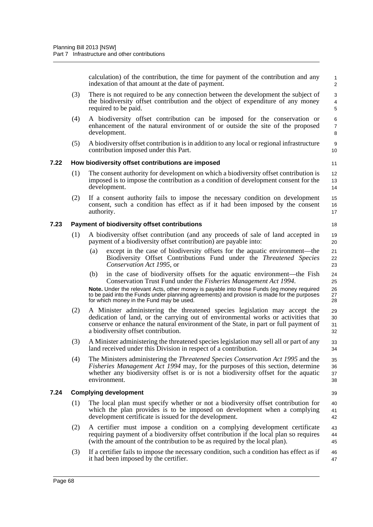calculation) of the contribution, the time for payment of the contribution and any indexation of that amount at the date of payment.

- (3) There is not required to be any connection between the development the subject of the biodiversity offset contribution and the object of expenditure of any money required to be paid.
- (4) A biodiversity offset contribution can be imposed for the conservation or enhancement of the natural environment of or outside the site of the proposed development.
- (5) A biodiversity offset contribution is in addition to any local or regional infrastructure contribution imposed under this Part.

# **7.22 How biodiversity offset contributions are imposed**

- (1) The consent authority for development on which a biodiversity offset contribution is imposed is to impose the contribution as a condition of development consent for the development.
- (2) If a consent authority fails to impose the necessary condition on development consent, such a condition has effect as if it had been imposed by the consent authority.

# **7.23 Payment of biodiversity offset contributions**

- (1) A biodiversity offset contribution (and any proceeds of sale of land accepted in payment of a biodiversity offset contribution) are payable into: 19 20
	- (a) except in the case of biodiversity offsets for the aquatic environment—the Biodiversity Offset Contributions Fund under the *Threatened Species Conservation Act 1995*, or
	- (b) in the case of biodiversity offsets for the aquatic environment—the Fish Conservation Trust Fund under the *Fisheries Management Act 1994*.

**Note.** Under the relevant Acts, other money is payable into those Funds (eg money required to be paid into the Funds under planning agreements) and provision is made for the purposes for which money in the Fund may be used.

- (2) A Minister administering the threatened species legislation may accept the dedication of land, or the carrying out of environmental works or activities that conserve or enhance the natural environment of the State, in part or full payment of a biodiversity offset contribution. 29 30 31 32
- (3) A Minister administering the threatened species legislation may sell all or part of any land received under this Division in respect of a contribution.
- (4) The Ministers administering the *Threatened Species Conservation Act 1995* and the *Fisheries Management Act 1994* may, for the purposes of this section, determine whether any biodiversity offset is or is not a biodiversity offset for the aquatic environment. 35 36 37 38

#### **7.24 Complying development**

- (1) The local plan must specify whether or not a biodiversity offset contribution for which the plan provides is to be imposed on development when a complying development certificate is issued for the development. 40 41 42
- (2) A certifier must impose a condition on a complying development certificate requiring payment of a biodiversity offset contribution if the local plan so requires (with the amount of the contribution to be as required by the local plan). 43 44 45
- (3) If a certifier fails to impose the necessary condition, such a condition has effect as if it had been imposed by the certifier. 46 47

17 18

39

33 34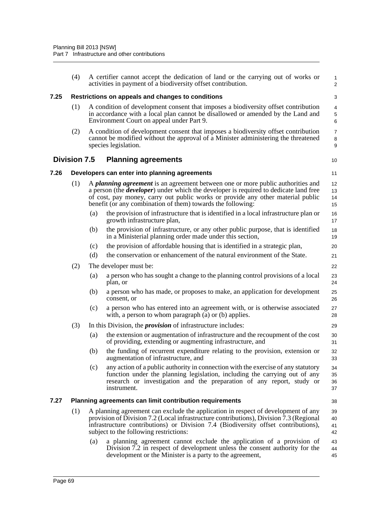|      | (4)                 |     | A certifier cannot accept the dedication of land or the carrying out of works or<br>activities in payment of a biodiversity offset contribution.                                                                                                                                                                                         | 1<br>$\overline{\mathbf{c}}$ |
|------|---------------------|-----|------------------------------------------------------------------------------------------------------------------------------------------------------------------------------------------------------------------------------------------------------------------------------------------------------------------------------------------|------------------------------|
| 7.25 |                     |     | Restrictions on appeals and changes to conditions                                                                                                                                                                                                                                                                                        | 3                            |
|      | (1)                 |     | A condition of development consent that imposes a biodiversity offset contribution<br>in accordance with a local plan cannot be disallowed or amended by the Land and<br>Environment Court on appeal under Part 9.                                                                                                                       | 4<br>5<br>6                  |
|      | (2)                 |     | A condition of development consent that imposes a biodiversity offset contribution<br>cannot be modified without the approval of a Minister administering the threatened<br>species legislation.                                                                                                                                         | $\overline{7}$<br>8<br>9     |
|      | <b>Division 7.5</b> |     | <b>Planning agreements</b>                                                                                                                                                                                                                                                                                                               | 10                           |
| 7.26 |                     |     | Developers can enter into planning agreements                                                                                                                                                                                                                                                                                            | 11                           |
|      | (1)                 |     | A <i>planning agreement</i> is an agreement between one or more public authorities and<br>a person (the <i>developer</i> ) under which the developer is required to dedicate land free<br>of cost, pay money, carry out public works or provide any other material public<br>benefit (or any combination of them) towards the following: | 12<br>13<br>14<br>15         |
|      |                     | (a) | the provision of infrastructure that is identified in a local infrastructure plan or<br>growth infrastructure plan,                                                                                                                                                                                                                      | 16<br>17                     |
|      |                     | (b) | the provision of infrastructure, or any other public purpose, that is identified<br>in a Ministerial planning order made under this section,                                                                                                                                                                                             | 18<br>19                     |
|      |                     | (c) | the provision of affordable housing that is identified in a strategic plan,                                                                                                                                                                                                                                                              | 20                           |
|      |                     | (d) | the conservation or enhancement of the natural environment of the State.                                                                                                                                                                                                                                                                 | 21                           |
|      | (2)                 |     | The developer must be:                                                                                                                                                                                                                                                                                                                   | 22                           |
|      |                     | (a) | a person who has sought a change to the planning control provisions of a local<br>plan, or                                                                                                                                                                                                                                               | 23<br>24                     |
|      |                     | (b) | a person who has made, or proposes to make, an application for development<br>consent, or                                                                                                                                                                                                                                                | 25<br>26                     |
|      |                     | (c) | a person who has entered into an agreement with, or is otherwise associated<br>with, a person to whom paragraph (a) or (b) applies.                                                                                                                                                                                                      | 27<br>28                     |
|      | (3)                 |     | In this Division, the <i>provision</i> of infrastructure includes:                                                                                                                                                                                                                                                                       | 29                           |
|      |                     | (a) | the extension or augmentation of infrastructure and the recoupment of the cost<br>of providing, extending or augmenting infrastructure, and                                                                                                                                                                                              | 30<br>31                     |
|      |                     | (b) | the funding of recurrent expenditure relating to the provision, extension or<br>augmentation of infrastructure, and                                                                                                                                                                                                                      | 32<br>33                     |
|      |                     | (c) | any action of a public authority in connection with the exercise of any statutory<br>function under the planning legislation, including the carrying out of any<br>research or investigation and the preparation of any report, study or<br>instrument.                                                                                  | 34<br>35<br>36<br>37         |
| 7.27 |                     |     | Planning agreements can limit contribution requirements                                                                                                                                                                                                                                                                                  | 38                           |
|      | (1)                 |     | A planning agreement can exclude the application in respect of development of any<br>provision of Division 7.2 (Local infrastructure contributions), Division 7.3 (Regional<br>infrastructure contributions) or Division 7.4 (Biodiversity offset contributions),<br>subject to the following restrictions:                              | 39<br>40<br>41<br>42         |
|      |                     | (a) | a planning agreement cannot exclude the application of a provision of<br>Division 7.2 in respect of development unless the consent authority for the<br>development or the Minister is a party to the agreement,                                                                                                                         | 43<br>44<br>45               |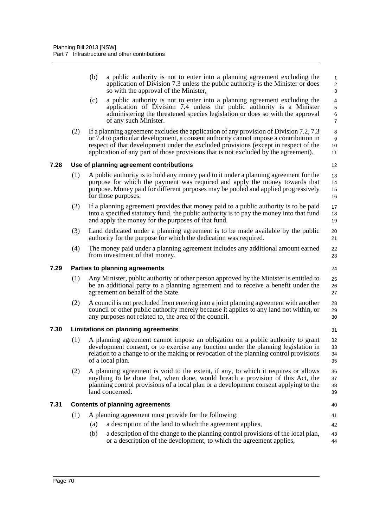|      |                                             | (b) | a public authority is not to enter into a planning agreement excluding the<br>application of Division 7.3 unless the public authority is the Minister or does<br>so with the approval of the Minister,                                                                                                                                                        | $\overline{\mathbf{c}}$<br>3  |  |  |  |
|------|---------------------------------------------|-----|---------------------------------------------------------------------------------------------------------------------------------------------------------------------------------------------------------------------------------------------------------------------------------------------------------------------------------------------------------------|-------------------------------|--|--|--|
|      |                                             | (c) | a public authority is not to enter into a planning agreement excluding the<br>application of Division 7.4 unless the public authority is a Minister<br>administering the threatened species legislation or does so with the approval<br>of any such Minister.                                                                                                 | 4<br>5<br>6<br>$\overline{7}$ |  |  |  |
|      | (2)                                         |     | If a planning agreement excludes the application of any provision of Division 7.2, 7.3<br>or 7.4 to particular development, a consent authority cannot impose a contribution in<br>respect of that development under the excluded provisions (except in respect of the<br>application of any part of those provisions that is not excluded by the agreement). | 8<br>9<br>10<br>11            |  |  |  |
| 7.28 |                                             |     | Use of planning agreement contributions                                                                                                                                                                                                                                                                                                                       | 12                            |  |  |  |
|      | (1)                                         |     | A public authority is to hold any money paid to it under a planning agreement for the<br>purpose for which the payment was required and apply the money towards that<br>purpose. Money paid for different purposes may be pooled and applied progressively<br>for those purposes.                                                                             | 13<br>14<br>15<br>16          |  |  |  |
|      | (2)                                         |     | If a planning agreement provides that money paid to a public authority is to be paid<br>into a specified statutory fund, the public authority is to pay the money into that fund<br>and apply the money for the purposes of that fund.                                                                                                                        | 17<br>18<br>19                |  |  |  |
|      | (3)                                         |     | Land dedicated under a planning agreement is to be made available by the public<br>authority for the purpose for which the dedication was required.                                                                                                                                                                                                           | 20<br>21                      |  |  |  |
|      | (4)                                         |     | The money paid under a planning agreement includes any additional amount earned<br>from investment of that money.                                                                                                                                                                                                                                             | 22<br>23                      |  |  |  |
| 7.29 | <b>Parties to planning agreements</b><br>24 |     |                                                                                                                                                                                                                                                                                                                                                               |                               |  |  |  |
|      | (1)                                         |     | Any Minister, public authority or other person approved by the Minister is entitled to<br>be an additional party to a planning agreement and to receive a benefit under the<br>agreement on behalf of the State.                                                                                                                                              | 25<br>26<br>27                |  |  |  |
|      | (2)                                         |     | A council is not precluded from entering into a joint planning agreement with another<br>council or other public authority merely because it applies to any land not within, or<br>any purposes not related to, the area of the council.                                                                                                                      | 28<br>29<br>30                |  |  |  |
| 7.30 |                                             |     | Limitations on planning agreements                                                                                                                                                                                                                                                                                                                            | 31                            |  |  |  |
|      | (1)                                         |     | A planning agreement cannot impose an obligation on a public authority to grant<br>development consent, or to exercise any function under the planning legislation in<br>relation to a change to or the making or revocation of the planning control provisions<br>of a local plan.                                                                           | 32<br>33<br>34<br>35          |  |  |  |
|      | (2)                                         |     | A planning agreement is void to the extent, if any, to which it requires or allows<br>anything to be done that, when done, would breach a provision of this Act, the<br>planning control provisions of a local plan or a development consent applying to the<br>land concerned.                                                                               | 36<br>37<br>38<br>39          |  |  |  |
| 7.31 |                                             |     | <b>Contents of planning agreements</b>                                                                                                                                                                                                                                                                                                                        | 40                            |  |  |  |
|      | (1)                                         |     | A planning agreement must provide for the following:                                                                                                                                                                                                                                                                                                          | 41                            |  |  |  |
|      |                                             | (a) | a description of the land to which the agreement applies,                                                                                                                                                                                                                                                                                                     | 42                            |  |  |  |
|      |                                             | (b) | a description of the change to the planning control provisions of the local plan,<br>or a description of the development, to which the agreement applies,                                                                                                                                                                                                     | 43<br>44                      |  |  |  |
|      |                                             |     |                                                                                                                                                                                                                                                                                                                                                               |                               |  |  |  |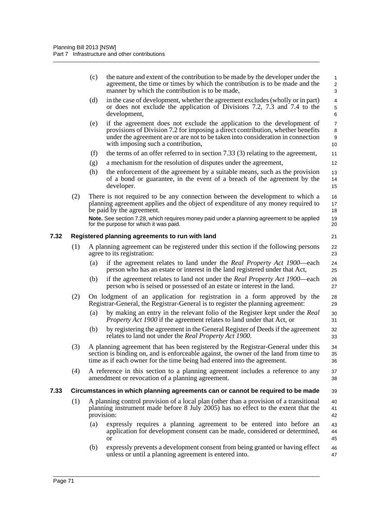|      |     | (c)        | the nature and extent of the contribution to be made by the developer under the<br>agreement, the time or times by which the contribution is to be made and the<br>manner by which the contribution is to be made,                                                                  | 1<br>$\overline{\mathbf{c}}$<br>3 |
|------|-----|------------|-------------------------------------------------------------------------------------------------------------------------------------------------------------------------------------------------------------------------------------------------------------------------------------|-----------------------------------|
|      |     | (d)        | in the case of development, whether the agreement excludes (wholly or in part)<br>or does not exclude the application of Divisions 7.2, 7.3 and 7.4 to the<br>development,                                                                                                          | 4<br>5<br>6                       |
|      |     | (e)        | if the agreement does not exclude the application to the development of<br>provisions of Division 7.2 for imposing a direct contribution, whether benefits<br>under the agreement are or are not to be taken into consideration in connection<br>with imposing such a contribution, | 7<br>8<br>9<br>10                 |
|      |     | (f)        | the terms of an offer referred to in section $7.33$ (3) relating to the agreement,                                                                                                                                                                                                  | 11                                |
|      |     | (g)        | a mechanism for the resolution of disputes under the agreement,                                                                                                                                                                                                                     | 12                                |
|      |     | (h)        | the enforcement of the agreement by a suitable means, such as the provision<br>of a bond or guarantee, in the event of a breach of the agreement by the<br>developer.                                                                                                               | 13<br>14<br>15                    |
|      | (2) |            | There is not required to be any connection between the development to which a<br>planning agreement applies and the object of expenditure of any money required to<br>be paid by the agreement.                                                                                     | 16<br>17<br>18                    |
|      |     |            | Note. See section 7.28, which requires money paid under a planning agreement to be applied<br>for the purpose for which it was paid.                                                                                                                                                | 19<br>20                          |
| 7.32 |     |            | Registered planning agreements to run with land                                                                                                                                                                                                                                     | 21                                |
|      | (1) |            | A planning agreement can be registered under this section if the following persons<br>agree to its registration:                                                                                                                                                                    | 22<br>23                          |
|      |     | (a)        | if the agreement relates to land under the Real Property Act 1900—each<br>person who has an estate or interest in the land registered under that Act,                                                                                                                               | 24<br>25                          |
|      |     | (b)        | if the agreement relates to land not under the <i>Real Property Act 1900</i> —each<br>person who is seised or possessed of an estate or interest in the land.                                                                                                                       | 26<br>27                          |
|      | (2) |            | On lodgment of an application for registration in a form approved by the<br>Registrar-General, the Registrar-General is to register the planning agreement:                                                                                                                         | 28<br>29                          |
|      |     | (a)        | by making an entry in the relevant folio of the Register kept under the Real<br>Property Act 1900 if the agreement relates to land under that Act, or                                                                                                                               | 30<br>31                          |
|      |     | (b)        | by registering the agreement in the General Register of Deeds if the agreement<br>relates to land not under the Real Property Act 1900.                                                                                                                                             | 32<br>33                          |
|      | (3) |            | A planning agreement that has been registered by the Registrar-General under this<br>section is binding on, and is enforceable against, the owner of the land from time to<br>time as if each owner for the time being had entered into the agreement.                              | 34<br>35<br>36                    |
|      | (4) |            | A reference in this section to a planning agreement includes a reference to any<br>amendment or revocation of a planning agreement.                                                                                                                                                 | 37<br>38                          |
| 7.33 |     |            | Circumstances in which planning agreements can or cannot be required to be made                                                                                                                                                                                                     | 39                                |
|      | (1) | provision: | A planning control provision of a local plan (other than a provision of a transitional<br>planning instrument made before 8 July 2005) has no effect to the extent that the                                                                                                         | 40<br>41<br>42                    |
|      |     | (a)        | expressly requires a planning agreement to be entered into before an<br>application for development consent can be made, considered or determined,<br>or                                                                                                                            | 43<br>44<br>45                    |
|      |     | (b)        | expressly prevents a development consent from being granted or having effect<br>unless or until a planning agreement is entered into.                                                                                                                                               | 46<br>47                          |
|      |     |            |                                                                                                                                                                                                                                                                                     |                                   |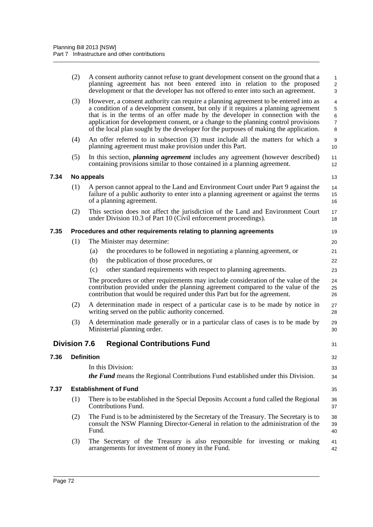|      | (2)                          | A consent authority cannot refuse to grant development consent on the ground that a<br>planning agreement has not been entered into in relation to the proposed<br>development or that the developer has not offered to enter into such an agreement.                                                                                                                                                                                      | $\mathbf{1}$<br>$\overline{2}$<br>3          |  |  |  |
|------|------------------------------|--------------------------------------------------------------------------------------------------------------------------------------------------------------------------------------------------------------------------------------------------------------------------------------------------------------------------------------------------------------------------------------------------------------------------------------------|----------------------------------------------|--|--|--|
|      | (3)                          | However, a consent authority can require a planning agreement to be entered into as<br>a condition of a development consent, but only if it requires a planning agreement<br>that is in the terms of an offer made by the developer in connection with the<br>application for development consent, or a change to the planning control provisions<br>of the local plan sought by the developer for the purposes of making the application. | 4<br>$\mathbf 5$<br>6<br>$\overline{7}$<br>8 |  |  |  |
|      | (4)                          | An offer referred to in subsection (3) must include all the matters for which a<br>planning agreement must make provision under this Part.                                                                                                                                                                                                                                                                                                 | $\boldsymbol{9}$<br>10                       |  |  |  |
|      | (5)                          | In this section, <i>planning agreement</i> includes any agreement (however described)<br>containing provisions similar to those contained in a planning agreement.                                                                                                                                                                                                                                                                         | 11<br>12                                     |  |  |  |
| 7.34 |                              | No appeals                                                                                                                                                                                                                                                                                                                                                                                                                                 | 13                                           |  |  |  |
|      | (1)                          | A person cannot appeal to the Land and Environment Court under Part 9 against the<br>failure of a public authority to enter into a planning agreement or against the terms<br>of a planning agreement.                                                                                                                                                                                                                                     | 14<br>15<br>16                               |  |  |  |
|      | (2)                          | This section does not affect the jurisdiction of the Land and Environment Court<br>under Division 10.3 of Part 10 (Civil enforcement proceedings).                                                                                                                                                                                                                                                                                         | 17<br>18                                     |  |  |  |
| 7.35 |                              | Procedures and other requirements relating to planning agreements                                                                                                                                                                                                                                                                                                                                                                          | 19                                           |  |  |  |
|      | (1)                          | The Minister may determine:                                                                                                                                                                                                                                                                                                                                                                                                                | 20                                           |  |  |  |
|      |                              | the procedures to be followed in negotiating a planning agreement, or<br>(a)                                                                                                                                                                                                                                                                                                                                                               | 21                                           |  |  |  |
|      |                              | (b)<br>the publication of those procedures, or                                                                                                                                                                                                                                                                                                                                                                                             | 22                                           |  |  |  |
|      |                              | other standard requirements with respect to planning agreements.<br>(c)                                                                                                                                                                                                                                                                                                                                                                    | 23                                           |  |  |  |
|      |                              | The procedures or other requirements may include consideration of the value of the<br>contribution provided under the planning agreement compared to the value of the<br>contribution that would be required under this Part but for the agreement.                                                                                                                                                                                        | 24<br>25<br>26                               |  |  |  |
|      | (2)                          | A determination made in respect of a particular case is to be made by notice in<br>writing served on the public authority concerned.                                                                                                                                                                                                                                                                                                       | 27<br>28                                     |  |  |  |
|      | (3)                          | A determination made generally or in a particular class of cases is to be made by<br>Ministerial planning order.                                                                                                                                                                                                                                                                                                                           | 29<br>30                                     |  |  |  |
|      | <b>Division 7.6</b>          | <b>Regional Contributions Fund</b>                                                                                                                                                                                                                                                                                                                                                                                                         | 31                                           |  |  |  |
| 7.36 |                              | <b>Definition</b>                                                                                                                                                                                                                                                                                                                                                                                                                          | 32                                           |  |  |  |
|      |                              | In this Division:                                                                                                                                                                                                                                                                                                                                                                                                                          | 33                                           |  |  |  |
|      |                              | <i>the Fund</i> means the Regional Contributions Fund established under this Division.                                                                                                                                                                                                                                                                                                                                                     | 34                                           |  |  |  |
| 7.37 | <b>Establishment of Fund</b> |                                                                                                                                                                                                                                                                                                                                                                                                                                            |                                              |  |  |  |
|      | (1)                          | There is to be established in the Special Deposits Account a fund called the Regional<br>Contributions Fund.                                                                                                                                                                                                                                                                                                                               | 36<br>37                                     |  |  |  |
|      | (2)                          | The Fund is to be administered by the Secretary of the Treasury. The Secretary is to<br>consult the NSW Planning Director-General in relation to the administration of the<br>Fund.                                                                                                                                                                                                                                                        | 38<br>39<br>40                               |  |  |  |
|      | (3)                          | The Secretary of the Treasury is also responsible for investing or making<br>arrangements for investment of money in the Fund.                                                                                                                                                                                                                                                                                                             | 41<br>42                                     |  |  |  |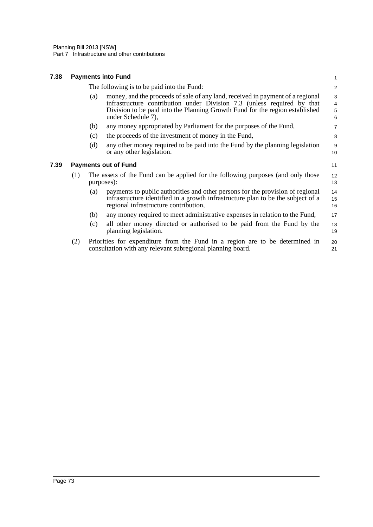# **7.38 Payments into Fund**

The following is to be paid into the Fund:

(a) money, and the proceeds of sale of any land, received in payment of a regional infrastructure contribution under Division 7.3 (unless required by that Division to be paid into the Planning Growth Fund for the region established under Schedule 7),

11 12 13

17

- (b) any money appropriated by Parliament for the purposes of the Fund,
- (c) the proceeds of the investment of money in the Fund,
- (d) any other money required to be paid into the Fund by the planning legislation or any other legislation.

# **7.39 Payments out of Fund**

- (1) The assets of the Fund can be applied for the following purposes (and only those purposes):
	- (a) payments to public authorities and other persons for the provision of regional infrastructure identified in a growth infrastructure plan to be the subject of a regional infrastructure contribution, 14 15 16
	- (b) any money required to meet administrative expenses in relation to the Fund,
	- (c) all other money directed or authorised to be paid from the Fund by the planning legislation. 18 19
- (2) Priorities for expenditure from the Fund in a region are to be determined in consultation with any relevant subregional planning board. 20 21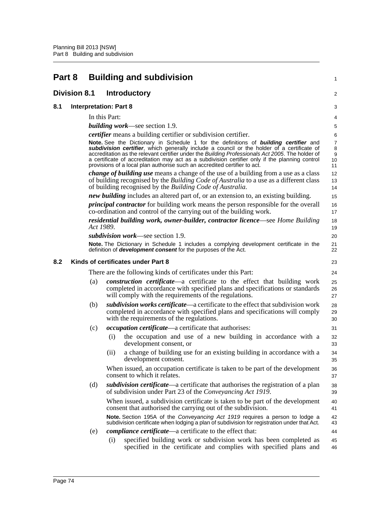| Part 8 |                     |                               |               | <b>Building and subdivision</b>                                                                                                                                                                                                                                                                                                                                                                                                                                       | 1                                                   |
|--------|---------------------|-------------------------------|---------------|-----------------------------------------------------------------------------------------------------------------------------------------------------------------------------------------------------------------------------------------------------------------------------------------------------------------------------------------------------------------------------------------------------------------------------------------------------------------------|-----------------------------------------------------|
|        | <b>Division 8.1</b> |                               |               | <b>Introductory</b>                                                                                                                                                                                                                                                                                                                                                                                                                                                   | 2                                                   |
| 8.1    |                     | <b>Interpretation: Part 8</b> |               |                                                                                                                                                                                                                                                                                                                                                                                                                                                                       | 3                                                   |
|        |                     |                               | In this Part: |                                                                                                                                                                                                                                                                                                                                                                                                                                                                       | 4                                                   |
|        |                     |                               |               | <i>building work—see section 1.9.</i>                                                                                                                                                                                                                                                                                                                                                                                                                                 | 5                                                   |
|        |                     |                               |               | <i>certifier</i> means a building certifier or subdivision certifier.                                                                                                                                                                                                                                                                                                                                                                                                 | 6                                                   |
|        |                     |                               |               | Note. See the Dictionary in Schedule 1 for the definitions of building certifier and<br>subdivision certifier, which generally include a council or the holder of a certificate of<br>accreditation as the relevant certifier under the Building Professionals Act 2005. The holder of<br>a certificate of accreditation may act as a subdivision certifier only if the planning control<br>provisions of a local plan authorise such an accredited certifier to act. | $\overline{7}$<br>8<br>$\boldsymbol{9}$<br>10<br>11 |
|        |                     |                               |               | <i>change of building use</i> means a change of the use of a building from a use as a class<br>of building recognised by the <i>Building Code of Australia</i> to a use as a different class<br>of building recognised by the Building Code of Australia.                                                                                                                                                                                                             | 12<br>13<br>14                                      |
|        |                     |                               |               | new building includes an altered part of, or an extension to, an existing building.                                                                                                                                                                                                                                                                                                                                                                                   | 15                                                  |
|        |                     |                               |               | <i>principal contractor</i> for building work means the person responsible for the overall<br>co-ordination and control of the carrying out of the building work.                                                                                                                                                                                                                                                                                                     | 16<br>17                                            |
|        |                     | Act 1989.                     |               | residential building work, owner-builder, contractor licence—see Home Building                                                                                                                                                                                                                                                                                                                                                                                        | 18<br>19                                            |
|        |                     |                               |               | subdivision work—see section 1.9.                                                                                                                                                                                                                                                                                                                                                                                                                                     | 20                                                  |
|        |                     |                               |               | Note. The Dictionary in Schedule 1 includes a complying development certificate in the<br>definition of <b>development consent</b> for the purposes of the Act.                                                                                                                                                                                                                                                                                                       | 21<br>22                                            |
| 8.2    |                     |                               |               | Kinds of certificates under Part 8                                                                                                                                                                                                                                                                                                                                                                                                                                    | 23                                                  |
|        |                     |                               |               | There are the following kinds of certificates under this Part:                                                                                                                                                                                                                                                                                                                                                                                                        | 24                                                  |
|        |                     | (a)                           |               | construction certificate—a certificate to the effect that building work<br>completed in accordance with specified plans and specifications or standards<br>will comply with the requirements of the regulations.                                                                                                                                                                                                                                                      | 25<br>26<br>27                                      |
|        |                     | (b)                           |               | subdivision works certificate—a certificate to the effect that subdivision work<br>completed in accordance with specified plans and specifications will comply<br>with the requirements of the regulations.                                                                                                                                                                                                                                                           | 28<br>29<br>30                                      |
|        |                     | (c)                           |               | <i>occupation certificate</i> —a certificate that authorises:                                                                                                                                                                                                                                                                                                                                                                                                         | 31                                                  |
|        |                     |                               | (i)           | the occupation and use of a new building in accordance with a<br>development consent, or                                                                                                                                                                                                                                                                                                                                                                              | 32<br>33                                            |
|        |                     |                               |               | (ii) a change of building use for an existing building in accordance with a<br>development consent.                                                                                                                                                                                                                                                                                                                                                                   | 34<br>35                                            |
|        |                     |                               |               | When issued, an occupation certificate is taken to be part of the development<br>consent to which it relates.                                                                                                                                                                                                                                                                                                                                                         | 36<br>37                                            |
|        |                     | (d)                           |               | <i>subdivision certificate</i> —a certificate that authorises the registration of a plan<br>of subdivision under Part 23 of the Conveyancing Act 1919.                                                                                                                                                                                                                                                                                                                | 38<br>39                                            |
|        |                     |                               |               | When issued, a subdivision certificate is taken to be part of the development<br>consent that authorised the carrying out of the subdivision.                                                                                                                                                                                                                                                                                                                         | 40<br>41                                            |
|        |                     |                               |               | Note. Section 195A of the Conveyancing Act 1919 requires a person to lodge a subdivision certificate when lodging a plan of subdivision for registration under that Act.                                                                                                                                                                                                                                                                                              | 42<br>43                                            |
|        |                     | (e)                           |               | <i>compliance certificate</i> —a certificate to the effect that:                                                                                                                                                                                                                                                                                                                                                                                                      | 44                                                  |
|        |                     |                               | (i)           | specified building work or subdivision work has been completed as<br>specified in the certificate and complies with specified plans and                                                                                                                                                                                                                                                                                                                               | 45<br>46                                            |
|        |                     |                               |               |                                                                                                                                                                                                                                                                                                                                                                                                                                                                       |                                                     |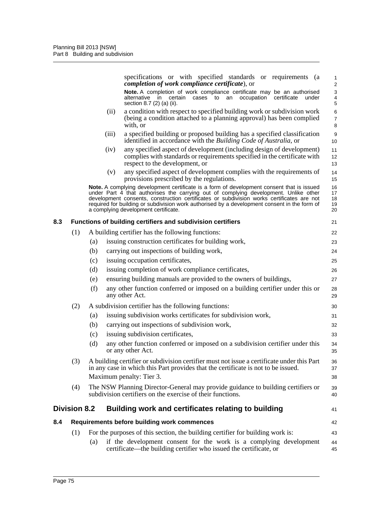|     |                     |     |       | specifications or with specified standards or requirements (a<br><i>completion of work compliance certificate</i> ), or                                                                                                                                                                                                                                                                                                | 1<br>$\overline{\mathbf{c}}$ |
|-----|---------------------|-----|-------|------------------------------------------------------------------------------------------------------------------------------------------------------------------------------------------------------------------------------------------------------------------------------------------------------------------------------------------------------------------------------------------------------------------------|------------------------------|
|     |                     |     |       | Note. A completion of work compliance certificate may be an authorised<br>alternative<br>in certain<br>cases to<br>an<br>occupation<br>certificate<br>under<br>section 8.7 (2) (a) (ii).                                                                                                                                                                                                                               | 3<br>4<br>5                  |
|     |                     |     | (ii)  | a condition with respect to specified building work or subdivision work<br>(being a condition attached to a planning approval) has been complied<br>with, or                                                                                                                                                                                                                                                           | 6<br>7<br>8                  |
|     |                     |     | (iii) | a specified building or proposed building has a specified classification<br>identified in accordance with the Building Code of Australia, or                                                                                                                                                                                                                                                                           | 9<br>10                      |
|     |                     |     | (iv)  | any specified aspect of development (including design of development)<br>complies with standards or requirements specified in the certificate with<br>respect to the development, or                                                                                                                                                                                                                                   | 11<br>12<br>13               |
|     |                     |     | (v)   | any specified aspect of development complies with the requirements of<br>provisions prescribed by the regulations.                                                                                                                                                                                                                                                                                                     | 14<br>15                     |
|     |                     |     |       | Note. A complying development certificate is a form of development consent that is issued<br>under Part 4 that authorises the carrying out of complying development. Unlike other<br>development consents, construction certificates or subdivision works certificates are not<br>required for building or subdivision work authorised by a development consent in the form of<br>a complying development certificate. | 16<br>17<br>18<br>19<br>20   |
| 8.3 |                     |     |       | Functions of building certifiers and subdivision certifiers                                                                                                                                                                                                                                                                                                                                                            | 21                           |
|     | (1)                 |     |       | A building certifier has the following functions:                                                                                                                                                                                                                                                                                                                                                                      | 22                           |
|     |                     | (a) |       | issuing construction certificates for building work,                                                                                                                                                                                                                                                                                                                                                                   | 23                           |
|     |                     | (b) |       | carrying out inspections of building work,                                                                                                                                                                                                                                                                                                                                                                             | 24                           |
|     |                     | (c) |       | issuing occupation certificates,                                                                                                                                                                                                                                                                                                                                                                                       | 25                           |
|     |                     | (d) |       | issuing completion of work compliance certificates,                                                                                                                                                                                                                                                                                                                                                                    | 26                           |
|     |                     | (e) |       | ensuring building manuals are provided to the owners of buildings,                                                                                                                                                                                                                                                                                                                                                     | 27                           |
|     |                     | (f) |       | any other function conferred or imposed on a building certifier under this or<br>any other Act.                                                                                                                                                                                                                                                                                                                        | 28<br>29                     |
|     | (2)                 |     |       | A subdivision certifier has the following functions:                                                                                                                                                                                                                                                                                                                                                                   | 30                           |
|     |                     | (a) |       | issuing subdivision works certificates for subdivision work,                                                                                                                                                                                                                                                                                                                                                           | 31                           |
|     |                     | (b) |       | carrying out inspections of subdivision work,                                                                                                                                                                                                                                                                                                                                                                          | 32                           |
|     |                     | (c) |       | issuing subdivision certificates,                                                                                                                                                                                                                                                                                                                                                                                      | 33                           |
|     |                     | (d) |       | any other function conferred or imposed on a subdivision certifier under this<br>or any other Act.                                                                                                                                                                                                                                                                                                                     | 34<br>35                     |
|     | (3)                 |     |       | A building certifier or subdivision certifier must not issue a certificate under this Part<br>in any case in which this Part provides that the certificate is not to be issued.<br>Maximum penalty: Tier 3.                                                                                                                                                                                                            | 36<br>37<br>38               |
|     | (4)                 |     |       | The NSW Planning Director-General may provide guidance to building certifiers or<br>subdivision certifiers on the exercise of their functions.                                                                                                                                                                                                                                                                         | 39<br>40                     |
|     | <b>Division 8.2</b> |     |       | <b>Building work and certificates relating to building</b>                                                                                                                                                                                                                                                                                                                                                             | 41                           |
| 8.4 |                     |     |       | Requirements before building work commences                                                                                                                                                                                                                                                                                                                                                                            | 42                           |
|     | (1)                 |     |       | For the purposes of this section, the building certifier for building work is:                                                                                                                                                                                                                                                                                                                                         | 43                           |
|     |                     | (a) |       | if the development consent for the work is a complying development<br>certificate—the building certifier who issued the certificate, or                                                                                                                                                                                                                                                                                | 44<br>45                     |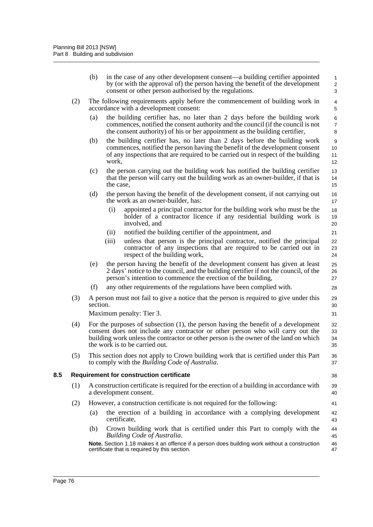|     |     | (b)      |           | in the case of any other development consent—a building certifier appointed<br>by (or with the approval of) the person having the benefit of the development<br>consent or other person authorised by the regulations.                                                                          | $\mathbf{1}$<br>$\sqrt{2}$<br>3    |
|-----|-----|----------|-----------|-------------------------------------------------------------------------------------------------------------------------------------------------------------------------------------------------------------------------------------------------------------------------------------------------|------------------------------------|
|     | (2) |          |           | The following requirements apply before the commencement of building work in<br>accordance with a development consent:                                                                                                                                                                          | 4<br>5                             |
|     |     | (a)      |           | the building certifier has, no later than 2 days before the building work<br>commences, notified the consent authority and the council (if the council is not<br>the consent authority) of his or her appointment as the building certifier,                                                    | 6<br>$\boldsymbol{7}$<br>8         |
|     |     | (b)      | work,     | the building certifier has, no later than 2 days before the building work<br>commences, notified the person having the benefit of the development consent<br>of any inspections that are required to be carried out in respect of the building                                                  | $\boldsymbol{9}$<br>10<br>11<br>12 |
|     |     | (c)      | the case, | the person carrying out the building work has notified the building certifier<br>that the person will carry out the building work as an owner-builder, if that is                                                                                                                               | 13<br>14<br>15                     |
|     |     | (d)      |           | the person having the benefit of the development consent, if not carrying out<br>the work as an owner-builder, has:                                                                                                                                                                             | 16<br>17                           |
|     |     |          | (i)       | appointed a principal contractor for the building work who must be the<br>holder of a contractor licence if any residential building work is<br>involved, and                                                                                                                                   | 18<br>19<br>20                     |
|     |     |          | (i)       | notified the building certifier of the appointment, and                                                                                                                                                                                                                                         | 21                                 |
|     |     |          | (iii)     | unless that person is the principal contractor, notified the principal<br>contractor of any inspections that are required to be carried out in<br>respect of the building work,                                                                                                                 | 22<br>23<br>24                     |
|     |     | (e)      |           | the person having the benefit of the development consent has given at least<br>2 days' notice to the council, and the building certifier if not the council, of the<br>person's intention to commence the erection of the building,                                                             | 25<br>26<br>27                     |
|     |     | (f)      |           | any other requirements of the regulations have been complied with.                                                                                                                                                                                                                              | 28                                 |
|     | (3) | section. |           | A person must not fail to give a notice that the person is required to give under this                                                                                                                                                                                                          | 29<br>30                           |
|     |     |          |           | Maximum penalty: Tier 3.                                                                                                                                                                                                                                                                        | 31                                 |
|     | (4) |          |           | For the purposes of subsection (1), the person having the benefit of a development<br>consent does not include any contractor or other person who will carry out the<br>building work unless the contractor or other person is the owner of the land on which<br>the work is to be carried out. | 32<br>33<br>34<br>35               |
|     | (5) |          |           | This section does not apply to Crown building work that is certified under this Part<br>to comply with the Building Code of Australia.                                                                                                                                                          | 36<br>37                           |
| 8.5 |     |          |           | <b>Requirement for construction certificate</b>                                                                                                                                                                                                                                                 | 38                                 |
|     | (1) |          |           | A construction certificate is required for the erection of a building in accordance with<br>a development consent.                                                                                                                                                                              | 39<br>40                           |
|     | (2) |          |           | However, a construction certificate is not required for the following:                                                                                                                                                                                                                          | 41                                 |
|     |     | (a)      |           | the erection of a building in accordance with a complying development<br>certificate,                                                                                                                                                                                                           | 42<br>43                           |
|     |     | (b)      |           | Crown building work that is certified under this Part to comply with the<br>Building Code of Australia.                                                                                                                                                                                         | 44<br>45                           |
|     |     |          |           | Note. Section 1.18 makes it an offence if a person does building work without a construction<br>certificate that is required by this section.                                                                                                                                                   | 46<br>47                           |
|     |     |          |           |                                                                                                                                                                                                                                                                                                 |                                    |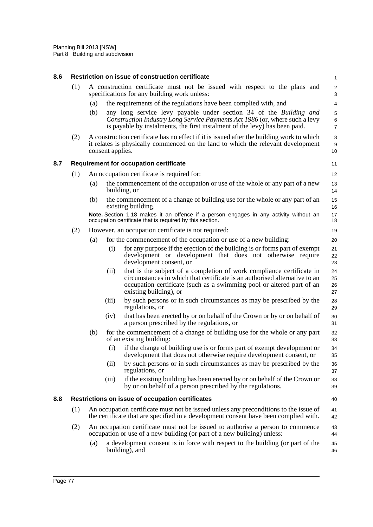| 8.6 |     |     |                  | Restriction on issue of construction certificate                                                                                                                                                                                                       | $\mathbf{1}$                 |
|-----|-----|-----|------------------|--------------------------------------------------------------------------------------------------------------------------------------------------------------------------------------------------------------------------------------------------------|------------------------------|
|     | (1) |     |                  | A construction certificate must not be issued with respect to the plans and<br>specifications for any building work unless:                                                                                                                            | $\overline{\mathbf{c}}$<br>3 |
|     |     | (a) |                  | the requirements of the regulations have been complied with, and                                                                                                                                                                                       | $\overline{4}$               |
|     |     | (b) |                  | any long service levy payable under section 34 of the Building and<br>Construction Industry Long Service Payments Act 1986 (or, where such a levy<br>is payable by instalments, the first instalment of the levy) has been paid.                       | 5<br>6<br>$\overline{7}$     |
|     | (2) |     | consent applies. | A construction certificate has no effect if it is issued after the building work to which<br>it relates is physically commenced on the land to which the relevant development                                                                          | 8<br>9<br>10                 |
| 8.7 |     |     |                  | <b>Requirement for occupation certificate</b>                                                                                                                                                                                                          | 11                           |
|     | (1) |     |                  | An occupation certificate is required for:                                                                                                                                                                                                             | 12                           |
|     |     | (a) |                  | the commencement of the occupation or use of the whole or any part of a new<br>building, or                                                                                                                                                            | 13<br>14                     |
|     |     | (b) |                  | the commencement of a change of building use for the whole or any part of an<br>existing building.                                                                                                                                                     | 15<br>16                     |
|     |     |     |                  | Note. Section 1.18 makes it an offence if a person engages in any activity without an<br>occupation certificate that is required by this section.                                                                                                      | 17<br>18                     |
|     | (2) |     |                  | However, an occupation certificate is not required:                                                                                                                                                                                                    | 19                           |
|     |     | (a) |                  | for the commencement of the occupation or use of a new building:                                                                                                                                                                                       | 20                           |
|     |     |     | (i)              | for any purpose if the erection of the building is or forms part of exempt<br>development or development that does not otherwise require<br>development consent, or                                                                                    | 21<br>22<br>23               |
|     |     |     | (ii)             | that is the subject of a completion of work compliance certificate in<br>circumstances in which that certificate is an authorised alternative to an<br>occupation certificate (such as a swimming pool or altered part of an<br>existing building), or | 24<br>25<br>26<br>27         |
|     |     |     | (iii)            | by such persons or in such circumstances as may be prescribed by the<br>regulations, or                                                                                                                                                                | 28<br>29                     |
|     |     |     | (iv)             | that has been erected by or on behalf of the Crown or by or on behalf of<br>a person prescribed by the regulations, or                                                                                                                                 | 30<br>31                     |
|     |     | (b) |                  | for the commencement of a change of building use for the whole or any part<br>of an existing building:                                                                                                                                                 | 32<br>33                     |
|     |     |     | (i)              | if the change of building use is or forms part of exempt development or<br>development that does not otherwise require development consent, or                                                                                                         | 34<br>35                     |
|     |     |     | (ii)             | by such persons or in such circumstances as may be prescribed by the<br>regulations, or                                                                                                                                                                | 36<br>37                     |
|     |     |     | (iii)            | if the existing building has been erected by or on behalf of the Crown or<br>by or on behalf of a person prescribed by the regulations.                                                                                                                | 38<br>39                     |
| 8.8 |     |     |                  | Restrictions on issue of occupation certificates                                                                                                                                                                                                       | 40                           |
|     | (1) |     |                  | An occupation certificate must not be issued unless any preconditions to the issue of<br>the certificate that are specified in a development consent have been complied with.                                                                          | 41<br>42                     |
|     | (2) |     |                  | An occupation certificate must not be issued to authorise a person to commence<br>occupation or use of a new building (or part of a new building) unless:                                                                                              | 43<br>44                     |
|     |     | (a) |                  | a development consent is in force with respect to the building (or part of the<br>building), and                                                                                                                                                       | 45<br>46                     |
|     |     |     |                  |                                                                                                                                                                                                                                                        |                              |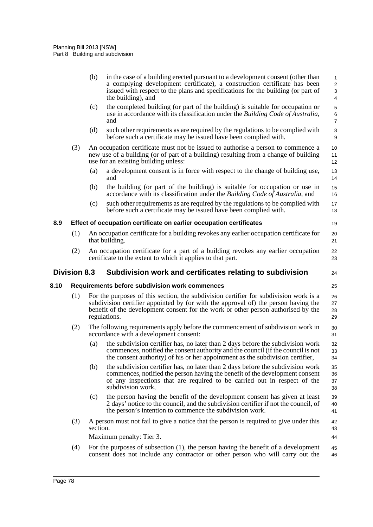|      |                     | (b)      | in the case of a building erected pursuant to a development consent (other than<br>a complying development certificate), a construction certificate has been<br>issued with respect to the plans and specifications for the building (or part of<br>the building), and           | 1<br>$\overline{c}$<br>3<br>4 |
|------|---------------------|----------|----------------------------------------------------------------------------------------------------------------------------------------------------------------------------------------------------------------------------------------------------------------------------------|-------------------------------|
|      |                     | (c)      | the completed building (or part of the building) is suitable for occupation or<br>use in accordance with its classification under the Building Code of Australia,<br>and                                                                                                         | 5<br>6<br>$\boldsymbol{7}$    |
|      |                     | (d)      | such other requirements as are required by the regulations to be complied with<br>before such a certificate may be issued have been complied with.                                                                                                                               | $\,$ 8 $\,$<br>9              |
|      | (3)                 |          | An occupation certificate must not be issued to authorise a person to commence a<br>new use of a building (or of part of a building) resulting from a change of building<br>use for an existing building unless:                                                                 | 10<br>11<br>12                |
|      |                     | (a)      | a development consent is in force with respect to the change of building use,<br>and                                                                                                                                                                                             | 13<br>14                      |
|      |                     | (b)      | the building (or part of the building) is suitable for occupation or use in<br>accordance with its classification under the Building Code of Australia, and                                                                                                                      | 15<br>16                      |
|      |                     | (c)      | such other requirements as are required by the regulations to be complied with<br>before such a certificate may be issued have been complied with.                                                                                                                               | 17<br>18                      |
| 8.9  |                     |          | Effect of occupation certificate on earlier occupation certificates                                                                                                                                                                                                              | 19                            |
|      | (1)                 |          | An occupation certificate for a building revokes any earlier occupation certificate for<br>that building.                                                                                                                                                                        | 20<br>21                      |
|      | (2)                 |          | An occupation certificate for a part of a building revokes any earlier occupation<br>certificate to the extent to which it applies to that part.                                                                                                                                 | 22<br>23                      |
|      |                     |          |                                                                                                                                                                                                                                                                                  |                               |
|      | <b>Division 8.3</b> |          | Subdivision work and certificates relating to subdivision                                                                                                                                                                                                                        | 24                            |
| 8.10 |                     |          | Requirements before subdivision work commences                                                                                                                                                                                                                                   | 25                            |
|      | (1)                 |          | For the purposes of this section, the subdivision certifier for subdivision work is a<br>subdivision certifier appointed by (or with the approval of) the person having the<br>benefit of the development consent for the work or other person authorised by the<br>regulations. | 26<br>27<br>28<br>29          |
|      | (2)                 |          | The following requirements apply before the commencement of subdivision work in<br>accordance with a development consent:                                                                                                                                                        | 30<br>31                      |
|      |                     | (a)      | the subdivision certifier has, no later than 2 days before the subdivision work<br>commences, notified the consent authority and the council (if the council is not<br>the consent authority) of his or her appointment as the subdivision certifier,                            | 32<br>33<br>34                |
|      |                     | (b)      | the subdivision certifier has, no later than 2 days before the subdivision work<br>commences, notified the person having the benefit of the development consent<br>of any inspections that are required to be carried out in respect of the<br>subdivision work,                 | 35<br>36<br>37<br>38          |
|      |                     | (c)      | the person having the benefit of the development consent has given at least<br>2 days' notice to the council, and the subdivision certifier if not the council, of<br>the person's intention to commence the subdivision work.                                                   | 39<br>40<br>41                |
|      | (3)                 | section. | A person must not fail to give a notice that the person is required to give under this                                                                                                                                                                                           | 42<br>43                      |
|      |                     |          | Maximum penalty: Tier 3.                                                                                                                                                                                                                                                         | 44                            |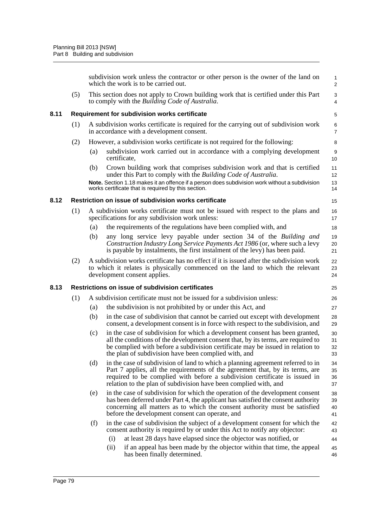|      |     |     | subdivision work unless the contractor or other person is the owner of the land on<br>which the work is to be carried out.                                                                                                                                                                                                                                 | 1<br>$\overline{2}$        |
|------|-----|-----|------------------------------------------------------------------------------------------------------------------------------------------------------------------------------------------------------------------------------------------------------------------------------------------------------------------------------------------------------------|----------------------------|
|      | (5) |     | This section does not apply to Crown building work that is certified under this Part<br>to comply with the Building Code of Australia.                                                                                                                                                                                                                     | 3<br>4                     |
| 8.11 |     |     | Requirement for subdivision works certificate                                                                                                                                                                                                                                                                                                              | 5                          |
|      | (1) |     | A subdivision works certificate is required for the carrying out of subdivision work<br>in accordance with a development consent.                                                                                                                                                                                                                          | 6<br>$\overline{7}$        |
|      | (2) |     | However, a subdivision works certificate is not required for the following:                                                                                                                                                                                                                                                                                | 8                          |
|      |     | (a) | subdivision work carried out in accordance with a complying development<br>certificate,                                                                                                                                                                                                                                                                    | 9<br>10                    |
|      |     | (b) | Crown building work that comprises subdivision work and that is certified<br>under this Part to comply with the Building Code of Australia.                                                                                                                                                                                                                | 11<br>12                   |
|      |     |     | Note. Section 1.18 makes it an offence if a person does subdivision work without a subdivision<br>works certificate that is required by this section.                                                                                                                                                                                                      | 13<br>14                   |
| 8.12 |     |     | Restriction on issue of subdivision works certificate                                                                                                                                                                                                                                                                                                      | 15                         |
|      | (1) |     | A subdivision works certificate must not be issued with respect to the plans and<br>specifications for any subdivision work unless:                                                                                                                                                                                                                        | 16<br>17                   |
|      |     | (a) | the requirements of the regulations have been complied with, and                                                                                                                                                                                                                                                                                           | 18                         |
|      |     | (b) | any long service levy payable under section 34 of the Building and<br>Construction Industry Long Service Payments Act 1986 (or, where such a levy<br>is payable by instalments, the first instalment of the levy) has been paid.                                                                                                                           | 19<br>20<br>21             |
|      | (2) |     | A subdivision works certificate has no effect if it is issued after the subdivision work<br>to which it relates is physically commenced on the land to which the relevant<br>development consent applies.                                                                                                                                                  | 22<br>23<br>24             |
| 8.13 |     |     | Restrictions on issue of subdivision certificates                                                                                                                                                                                                                                                                                                          | 25                         |
|      | (1) |     | A subdivision certificate must not be issued for a subdivision unless:                                                                                                                                                                                                                                                                                     | 26                         |
|      |     | (a) | the subdivision is not prohibited by or under this Act, and                                                                                                                                                                                                                                                                                                | 27                         |
|      |     | (b) | in the case of subdivision that cannot be carried out except with development<br>consent, a development consent is in force with respect to the subdivision, and                                                                                                                                                                                           | 28<br>29                   |
|      |     | (c) | in the case of subdivision for which a development consent has been granted,<br>all the conditions of the development consent that, by its terms, are required to<br>be complied with before a subdivision certificate may be issued in relation to<br>the plan of subdivision have been complied with, and                                                | 30<br>31<br>32<br>33       |
|      |     | (d) | in the case of subdivision of land to which a planning agreement referred to in<br>Part 7 applies, all the requirements of the agreement that, by its terms, are<br>required to be complied with before a subdivision certificate is issued in<br>relation to the plan of subdivision have been complied with, and                                         | 34<br>35<br>36<br>37       |
|      |     | (e) | in the case of subdivision for which the operation of the development consent<br>has been deferred under Part 4, the applicant has satisfied the consent authority<br>concerning all matters as to which the consent authority must be satisfied<br>before the development consent can operate, and                                                        | 38<br>39<br>40<br>41       |
|      |     | (f) | in the case of subdivision the subject of a development consent for which the<br>consent authority is required by or under this Act to notify any objector:<br>at least 28 days have elapsed since the objector was notified, or<br>(i)<br>if an appeal has been made by the objector within that time, the appeal<br>(ii)<br>has been finally determined. | 42<br>43<br>44<br>45<br>46 |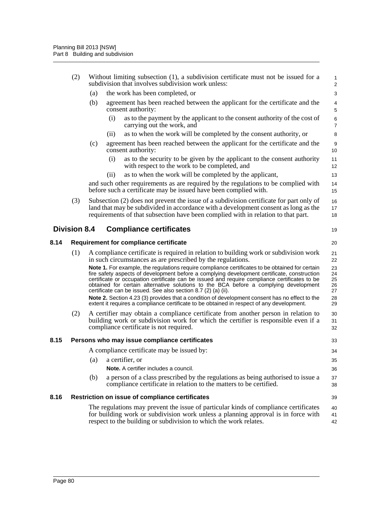|      | (2)                 | Without limiting subsection (1), a subdivision certificate must not be issued for a<br>subdivision that involves subdivision work unless:                                                                                                                                                                                                                                                                                                                | 1<br>$\overline{\mathbf{c}}$ |
|------|---------------------|----------------------------------------------------------------------------------------------------------------------------------------------------------------------------------------------------------------------------------------------------------------------------------------------------------------------------------------------------------------------------------------------------------------------------------------------------------|------------------------------|
|      |                     | the work has been completed, or<br>(a)                                                                                                                                                                                                                                                                                                                                                                                                                   | 3                            |
|      |                     | (b)<br>agreement has been reached between the applicant for the certificate and the<br>consent authority:                                                                                                                                                                                                                                                                                                                                                | 4<br>5                       |
|      |                     | (i)<br>as to the payment by the applicant to the consent authority of the cost of<br>carrying out the work, and                                                                                                                                                                                                                                                                                                                                          | 6<br>7                       |
|      |                     | as to when the work will be completed by the consent authority, or<br>(ii)                                                                                                                                                                                                                                                                                                                                                                               | 8                            |
|      |                     | agreement has been reached between the applicant for the certificate and the<br>(c)<br>consent authority:                                                                                                                                                                                                                                                                                                                                                | 9<br>10                      |
|      |                     | as to the security to be given by the applicant to the consent authority<br>(i)<br>with respect to the work to be completed, and                                                                                                                                                                                                                                                                                                                         | 11<br>12                     |
|      |                     | as to when the work will be completed by the applicant,<br>(ii)                                                                                                                                                                                                                                                                                                                                                                                          | 13                           |
|      |                     | and such other requirements as are required by the regulations to be complied with<br>before such a certificate may be issued have been complied with.                                                                                                                                                                                                                                                                                                   | 14<br>15                     |
|      | (3)                 | Subsection (2) does not prevent the issue of a subdivision certificate for part only of<br>land that may be subdivided in accordance with a development consent as long as the<br>requirements of that subsection have been complied with in relation to that part.                                                                                                                                                                                      | 16<br>17<br>18               |
|      | <b>Division 8.4</b> | <b>Compliance certificates</b>                                                                                                                                                                                                                                                                                                                                                                                                                           | 19                           |
| 8.14 |                     | <b>Requirement for compliance certificate</b>                                                                                                                                                                                                                                                                                                                                                                                                            | 20                           |
|      | (1)                 | A compliance certificate is required in relation to building work or subdivision work<br>in such circumstances as are prescribed by the regulations.                                                                                                                                                                                                                                                                                                     | 21<br>22                     |
|      |                     | Note 1. For example, the regulations require compliance certificates to be obtained for certain<br>fire safety aspects of development before a complying development certificate, construction<br>certificate or occupation certificate can be issued and require compliance certificates to be<br>obtained for certain alternative solutions to the BCA before a complying development<br>certificate can be issued. See also section 8.7 (2) (a) (ii). | 23<br>24<br>25<br>26<br>27   |
|      |                     | Note 2. Section 4.23 (3) provides that a condition of development consent has no effect to the<br>extent it requires a compliance certificate to be obtained in respect of any development.                                                                                                                                                                                                                                                              | 28<br>29                     |
|      | (2)                 | A certifier may obtain a compliance certificate from another person in relation to<br>building work or subdivision work for which the certifier is responsible even if a<br>compliance certificate is not required.                                                                                                                                                                                                                                      | 30<br>31<br>32               |
| 8.15 |                     | Persons who may issue compliance certificates                                                                                                                                                                                                                                                                                                                                                                                                            | 33                           |
|      |                     | A compliance certificate may be issued by:                                                                                                                                                                                                                                                                                                                                                                                                               | 34                           |
|      |                     | (a)<br>a certifier, or                                                                                                                                                                                                                                                                                                                                                                                                                                   | 35                           |
|      |                     | Note. A certifier includes a council.                                                                                                                                                                                                                                                                                                                                                                                                                    | 36                           |
|      |                     | (b)<br>a person of a class prescribed by the regulations as being authorised to issue a<br>compliance certificate in relation to the matters to be certified.                                                                                                                                                                                                                                                                                            | 37<br>38                     |
| 8.16 |                     | Restriction on issue of compliance certificates                                                                                                                                                                                                                                                                                                                                                                                                          | 39                           |
|      |                     | The regulations may prevent the issue of particular kinds of compliance certificates<br>for building work or subdivision work unless a planning approval is in force with<br>respect to the building or subdivision to which the work relates.                                                                                                                                                                                                           | 40<br>41<br>42               |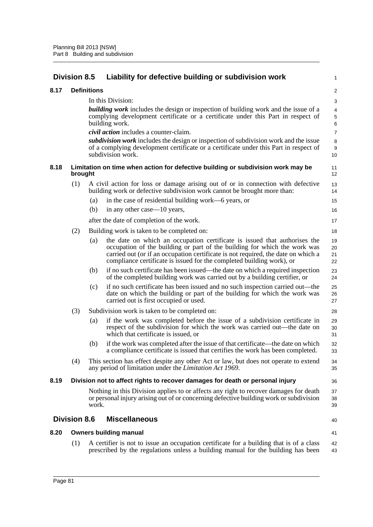| <b>Division 8.5</b> |                     |            | Liability for defective building or subdivision work                                                                                                                                                                                                                                                                                                                                                                                                                  |                                                    |  |  |  |
|---------------------|---------------------|------------|-----------------------------------------------------------------------------------------------------------------------------------------------------------------------------------------------------------------------------------------------------------------------------------------------------------------------------------------------------------------------------------------------------------------------------------------------------------------------|----------------------------------------------------|--|--|--|
| 8.17                | <b>Definitions</b>  |            |                                                                                                                                                                                                                                                                                                                                                                                                                                                                       | $\overline{a}$                                     |  |  |  |
|                     |                     |            | In this Division:<br><b>building work</b> includes the design or inspection of building work and the issue of a<br>complying development certificate or a certificate under this Part in respect of<br>building work.<br>civil action includes a counter-claim.<br>subdivision work includes the design or inspection of subdivision work and the issue<br>of a complying development certificate or a certificate under this Part in respect of<br>subdivision work. | 3<br>4<br>5<br>6<br>$\overline{7}$<br>8<br>9<br>10 |  |  |  |
| 8.18                | brought             |            | Limitation on time when action for defective building or subdivision work may be                                                                                                                                                                                                                                                                                                                                                                                      | 11<br>12                                           |  |  |  |
|                     | (1)                 |            | A civil action for loss or damage arising out of or in connection with defective<br>building work or defective subdivision work cannot be brought more than:                                                                                                                                                                                                                                                                                                          | 13<br>14                                           |  |  |  |
|                     |                     | (a)<br>(b) | in the case of residential building work—6 years, or<br>in any other case—10 years,                                                                                                                                                                                                                                                                                                                                                                                   | 15<br>16                                           |  |  |  |
|                     |                     |            | after the date of completion of the work.                                                                                                                                                                                                                                                                                                                                                                                                                             | 17                                                 |  |  |  |
|                     | (2)                 |            | Building work is taken to be completed on:                                                                                                                                                                                                                                                                                                                                                                                                                            | 18                                                 |  |  |  |
|                     |                     | (a)        | the date on which an occupation certificate is issued that authorises the<br>occupation of the building or part of the building for which the work was<br>carried out (or if an occupation certificate is not required, the date on which a<br>compliance certificate is issued for the completed building work), or                                                                                                                                                  | 19<br>20<br>21<br>22                               |  |  |  |
|                     |                     | (b)        | if no such certificate has been issued—the date on which a required inspection<br>of the completed building work was carried out by a building certifier, or                                                                                                                                                                                                                                                                                                          | 23<br>24                                           |  |  |  |
|                     |                     | (c)        | if no such certificate has been issued and no such inspection carried out—the<br>date on which the building or part of the building for which the work was<br>carried out is first occupied or used.                                                                                                                                                                                                                                                                  | 25<br>26<br>27                                     |  |  |  |
|                     | (3)                 |            | Subdivision work is taken to be completed on:                                                                                                                                                                                                                                                                                                                                                                                                                         | 28                                                 |  |  |  |
|                     |                     | (a)        | if the work was completed before the issue of a subdivision certificate in<br>respect of the subdivision for which the work was carried out—the date on<br>which that certificate is issued, or                                                                                                                                                                                                                                                                       | 29<br>30<br>31                                     |  |  |  |
|                     |                     | (b)        | if the work was completed after the issue of that certificate—the date on which<br>a compliance certificate is issued that certifies the work has been completed.                                                                                                                                                                                                                                                                                                     | 32<br>33                                           |  |  |  |
|                     | (4)                 |            | This section has effect despite any other Act or law, but does not operate to extend<br>any period of limitation under the <i>Limitation Act 1969</i> .                                                                                                                                                                                                                                                                                                               | 34<br>35                                           |  |  |  |
| 8.19                |                     |            | Division not to affect rights to recover damages for death or personal injury                                                                                                                                                                                                                                                                                                                                                                                         | 36                                                 |  |  |  |
|                     |                     | work.      | Nothing in this Division applies to or affects any right to recover damages for death<br>or personal injury arising out of or concerning defective building work or subdivision                                                                                                                                                                                                                                                                                       | 37<br>38<br>39                                     |  |  |  |
|                     | <b>Division 8.6</b> |            | <b>Miscellaneous</b>                                                                                                                                                                                                                                                                                                                                                                                                                                                  | 40                                                 |  |  |  |
| 8.20                |                     |            | <b>Owners building manual</b>                                                                                                                                                                                                                                                                                                                                                                                                                                         | 41                                                 |  |  |  |
|                     | (1)                 |            | A certifier is not to issue an occupation certificate for a building that is of a class<br>prescribed by the regulations unless a building manual for the building has been                                                                                                                                                                                                                                                                                           | 42<br>43                                           |  |  |  |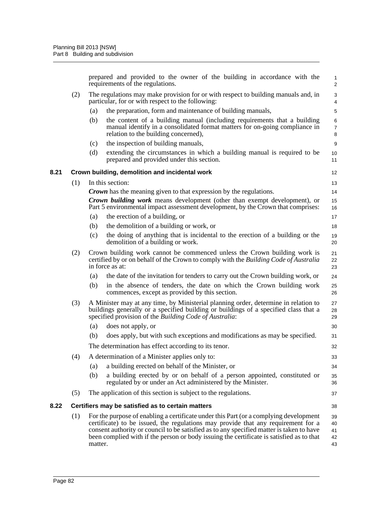prepared and provided to the owner of the building in accordance with the requirements of the regulations. (2) The regulations may make provision for or with respect to building manuals and, in particular, for or with respect to the following: (a) the preparation, form and maintenance of building manuals, (b) the content of a building manual (including requirements that a building manual identify in a consolidated format matters for on-going compliance in relation to the building concerned), (c) the inspection of building manuals, (d) extending the circumstances in which a building manual is required to be prepared and provided under this section. **8.21 Crown building, demolition and incidental work** (1) In this section: *Crown* has the meaning given to that expression by the regulations. *Crown building work* means development (other than exempt development), or Part 5 environmental impact assessment development, by the Crown that comprises: (a) the erection of a building, or (b) the demolition of a building or work, or (c) the doing of anything that is incidental to the erection of a building or the demolition of a building or work. (2) Crown building work cannot be commenced unless the Crown building work is certified by or on behalf of the Crown to comply with the *Building Code of Australia* in force as at: (a) the date of the invitation for tenders to carry out the Crown building work, or (b) in the absence of tenders, the date on which the Crown building work commences, except as provided by this section. (3) A Minister may at any time, by Ministerial planning order, determine in relation to buildings generally or a specified building or buildings of a specified class that a specified provision of the *Building Code of Australia*: (a) does not apply, or (b) does apply, but with such exceptions and modifications as may be specified. The determination has effect according to its tenor. (4) A determination of a Minister applies only to: (a) a building erected on behalf of the Minister, or (b) a building erected by or on behalf of a person appointed, constituted or regulated by or under an Act administered by the Minister. (5) The application of this section is subject to the regulations. **8.22 Certifiers may be satisfied as to certain matters** (1) For the purpose of enabling a certificate under this Part (or a complying development certificate) to be issued, the regulations may provide that any requirement for a consent authority or council to be satisfied as to any specified matter is taken to have been complied with if the person or body issuing the certificate is satisfied as to that matter. 1  $\mathfrak{p}$ 3 4 5 6 7 8 9  $10$ 11 12 13 14 15 16 17 18 19 20 21 22 23 24 25 26 27 28 29 30 31 32 33 34 35 36 37 38 39 40 41 42 43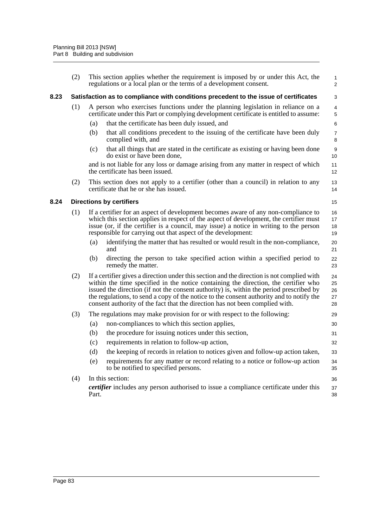|      | (2) | This section applies whether the requirement is imposed by or under this Act, the<br>regulations or a local plan or the terms of a development consent.                                                                                                                                                                                                                                                                                                  | $\mathbf{1}$<br>$\overline{2}$ |
|------|-----|----------------------------------------------------------------------------------------------------------------------------------------------------------------------------------------------------------------------------------------------------------------------------------------------------------------------------------------------------------------------------------------------------------------------------------------------------------|--------------------------------|
| 8.23 |     | Satisfaction as to compliance with conditions precedent to the issue of certificates                                                                                                                                                                                                                                                                                                                                                                     | 3                              |
|      | (1) | A person who exercises functions under the planning legislation in reliance on a<br>certificate under this Part or complying development certificate is entitled to assume:                                                                                                                                                                                                                                                                              | 4<br>$\,$ 5 $\,$               |
|      |     | that the certificate has been duly issued, and<br>(a)                                                                                                                                                                                                                                                                                                                                                                                                    | 6                              |
|      |     | that all conditions precedent to the issuing of the certificate have been duly<br>(b)<br>complied with, and                                                                                                                                                                                                                                                                                                                                              | $\boldsymbol{7}$<br>8          |
|      |     | that all things that are stated in the certificate as existing or having been done<br>(c)<br>do exist or have been done,                                                                                                                                                                                                                                                                                                                                 | $\boldsymbol{9}$<br>10         |
|      |     | and is not liable for any loss or damage arising from any matter in respect of which<br>the certificate has been issued.                                                                                                                                                                                                                                                                                                                                 | 11<br>12                       |
|      | (2) | This section does not apply to a certifier (other than a council) in relation to any<br>certificate that he or she has issued.                                                                                                                                                                                                                                                                                                                           | 13<br>14                       |
| 8.24 |     | <b>Directions by certifiers</b>                                                                                                                                                                                                                                                                                                                                                                                                                          | 15                             |
|      | (1) | If a certifier for an aspect of development becomes aware of any non-compliance to<br>which this section applies in respect of the aspect of development, the certifier must<br>issue (or, if the certifier is a council, may issue) a notice in writing to the person<br>responsible for carrying out that aspect of the development:                                                                                                                   | 16<br>17<br>18<br>19           |
|      |     | identifying the matter that has resulted or would result in the non-compliance,<br>(a)<br>and                                                                                                                                                                                                                                                                                                                                                            | 20<br>21                       |
|      |     | directing the person to take specified action within a specified period to<br>(b)<br>remedy the matter.                                                                                                                                                                                                                                                                                                                                                  | 22<br>23                       |
|      | (2) | If a certifier gives a direction under this section and the direction is not complied with<br>within the time specified in the notice containing the direction, the certifier who<br>issued the direction (if not the consent authority) is, within the period prescribed by<br>the regulations, to send a copy of the notice to the consent authority and to notify the<br>consent authority of the fact that the direction has not been complied with. | 24<br>25<br>26<br>27<br>28     |
|      | (3) | The regulations may make provision for or with respect to the following:                                                                                                                                                                                                                                                                                                                                                                                 | 29                             |
|      |     | (a)<br>non-compliances to which this section applies,                                                                                                                                                                                                                                                                                                                                                                                                    | 30                             |
|      |     | the procedure for issuing notices under this section,<br>(b)                                                                                                                                                                                                                                                                                                                                                                                             | 31                             |
|      |     | requirements in relation to follow-up action,<br>(c)                                                                                                                                                                                                                                                                                                                                                                                                     | 32                             |
|      |     | the keeping of records in relation to notices given and follow-up action taken,<br>(d)                                                                                                                                                                                                                                                                                                                                                                   | 33                             |
|      |     | requirements for any matter or record relating to a notice or follow-up action<br>(e)<br>to be notified to specified persons.                                                                                                                                                                                                                                                                                                                            | 34<br>35                       |
|      | (4) | In this section:                                                                                                                                                                                                                                                                                                                                                                                                                                         | 36                             |
|      |     | certifier includes any person authorised to issue a compliance certificate under this<br>Part.                                                                                                                                                                                                                                                                                                                                                           | 37<br>38                       |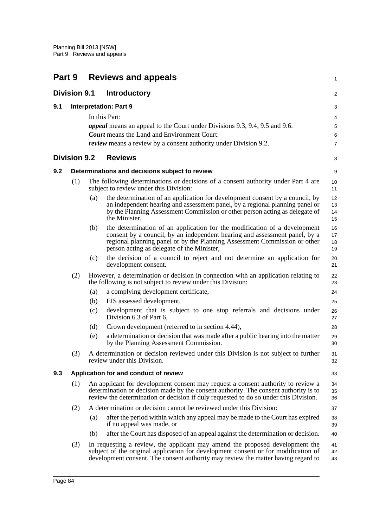| <b>Part 9</b><br><b>Division 9.1</b> |                                                                                   | <b>Reviews and appeals</b>    |                                                                                                                                                                                                                                                                                    |                      |  |  |  |
|--------------------------------------|-----------------------------------------------------------------------------------|-------------------------------|------------------------------------------------------------------------------------------------------------------------------------------------------------------------------------------------------------------------------------------------------------------------------------|----------------------|--|--|--|
|                                      |                                                                                   |                               | <b>Introductory</b>                                                                                                                                                                                                                                                                |                      |  |  |  |
| 9.1                                  |                                                                                   | <b>Interpretation: Part 9</b> |                                                                                                                                                                                                                                                                                    |                      |  |  |  |
|                                      |                                                                                   |                               | In this Part:                                                                                                                                                                                                                                                                      | 4                    |  |  |  |
|                                      | <i>appeal</i> means an appeal to the Court under Divisions 9.3, 9.4, 9.5 and 9.6. |                               |                                                                                                                                                                                                                                                                                    |                      |  |  |  |
|                                      |                                                                                   |                               | <b>Court</b> means the Land and Environment Court.                                                                                                                                                                                                                                 | 6                    |  |  |  |
|                                      |                                                                                   |                               | <i>review</i> means a review by a consent authority under Division 9.2.                                                                                                                                                                                                            | 7                    |  |  |  |
|                                      | <b>Division 9.2</b>                                                               |                               | <b>Reviews</b>                                                                                                                                                                                                                                                                     | 8                    |  |  |  |
| 9.2                                  |                                                                                   |                               | Determinations and decisions subject to review                                                                                                                                                                                                                                     | 9                    |  |  |  |
|                                      | (1)                                                                               |                               | The following determinations or decisions of a consent authority under Part 4 are<br>subject to review under this Division:                                                                                                                                                        | 10<br>11             |  |  |  |
|                                      |                                                                                   | (a)                           | the determination of an application for development consent by a council, by<br>an independent hearing and assessment panel, by a regional planning panel or<br>by the Planning Assessment Commission or other person acting as delegate of<br>the Minister,                       | 12<br>13<br>14<br>15 |  |  |  |
|                                      |                                                                                   | (b)                           | the determination of an application for the modification of a development<br>consent by a council, by an independent hearing and assessment panel, by a<br>regional planning panel or by the Planning Assessment Commission or other<br>person acting as delegate of the Minister, | 16<br>17<br>18<br>19 |  |  |  |
|                                      |                                                                                   | (c)                           | the decision of a council to reject and not determine an application for<br>development consent.                                                                                                                                                                                   | 20<br>21             |  |  |  |
|                                      | (2)                                                                               |                               | However, a determination or decision in connection with an application relating to<br>the following is not subject to review under this Division:                                                                                                                                  | 22<br>23             |  |  |  |
|                                      |                                                                                   | (a)                           | a complying development certificate,                                                                                                                                                                                                                                               | 24                   |  |  |  |
|                                      |                                                                                   | (b)                           | EIS assessed development,                                                                                                                                                                                                                                                          | 25                   |  |  |  |
|                                      |                                                                                   | (c)                           | development that is subject to one stop referrals and decisions under<br>Division 6.3 of Part 6,                                                                                                                                                                                   | 26<br>27             |  |  |  |
|                                      |                                                                                   | (d)                           | Crown development (referred to in section 4.44),                                                                                                                                                                                                                                   | 28                   |  |  |  |
|                                      |                                                                                   | (e)                           | a determination or decision that was made after a public hearing into the matter<br>by the Planning Assessment Commission.                                                                                                                                                         | 29<br>30             |  |  |  |
|                                      | (3)                                                                               |                               | A determination or decision reviewed under this Division is not subject to further<br>review under this Division.                                                                                                                                                                  | 31<br>32             |  |  |  |
| 9.3                                  |                                                                                   |                               | Application for and conduct of review                                                                                                                                                                                                                                              | 33                   |  |  |  |
|                                      | (1)                                                                               |                               | An applicant for development consent may request a consent authority to review a<br>determination or decision made by the consent authority. The consent authority is to<br>review the determination or decision if duly requested to do so under this Division.                   | 34<br>35<br>36       |  |  |  |
|                                      | (2)                                                                               |                               | A determination or decision cannot be reviewed under this Division:                                                                                                                                                                                                                | 37                   |  |  |  |
|                                      |                                                                                   | (a)                           | after the period within which any appeal may be made to the Court has expired<br>if no appeal was made, or                                                                                                                                                                         | 38<br>39             |  |  |  |
|                                      |                                                                                   | (b)                           | after the Court has disposed of an appeal against the determination or decision.                                                                                                                                                                                                   | 40                   |  |  |  |
|                                      | (3)                                                                               |                               | In requesting a review, the applicant may amend the proposed development the<br>subject of the original application for development consent or for modification of<br>development consent. The consent authority may review the matter having regard to                            | 41<br>42<br>43       |  |  |  |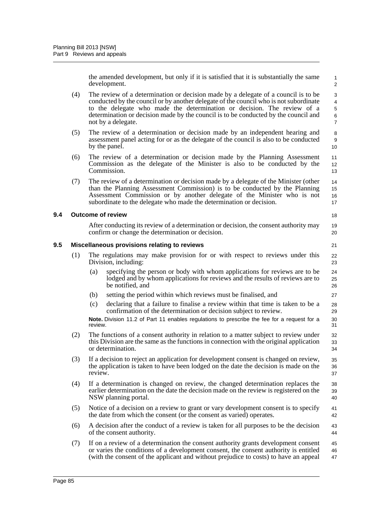the amended development, but only if it is satisfied that it is substantially the same development.

18 19 20

- (4) The review of a determination or decision made by a delegate of a council is to be conducted by the council or by another delegate of the council who is not subordinate to the delegate who made the determination or decision. The review of a determination or decision made by the council is to be conducted by the council and not by a delegate.
- (5) The review of a determination or decision made by an independent hearing and assessment panel acting for or as the delegate of the council is also to be conducted by the panel.
- (6) The review of a determination or decision made by the Planning Assessment Commission as the delegate of the Minister is also to be conducted by the Commission.
- (7) The review of a determination or decision made by a delegate of the Minister (other than the Planning Assessment Commission) is to be conducted by the Planning Assessment Commission or by another delegate of the Minister who is not subordinate to the delegate who made the determination or decision.

# **9.4 Outcome of review**

After conducting its review of a determination or decision, the consent authority may confirm or change the determination or decision.

# **9.5 Miscellaneous provisions relating to reviews**

- (1) The regulations may make provision for or with respect to reviews under this Division, including:
	- (a) specifying the person or body with whom applications for reviews are to be lodged and by whom applications for reviews and the results of reviews are to be notified, and
	- (b) setting the period within which reviews must be finalised, and
	- (c) declaring that a failure to finalise a review within that time is taken to be a confirmation of the determination or decision subject to review.

**Note.** Division 11.2 of Part 11 enables regulations to prescribe the fee for a request for a review.

- (2) The functions of a consent authority in relation to a matter subject to review under this Division are the same as the functions in connection with the original application or determination.
- (3) If a decision to reject an application for development consent is changed on review, the application is taken to have been lodged on the date the decision is made on the review.
- (4) If a determination is changed on review, the changed determination replaces the earlier determination on the date the decision made on the review is registered on the NSW planning portal. 38 39 40
- (5) Notice of a decision on a review to grant or vary development consent is to specify the date from which the consent (or the consent as varied) operates. 41 42
- (6) A decision after the conduct of a review is taken for all purposes to be the decision of the consent authority. 43 44
- (7) If on a review of a determination the consent authority grants development consent or varies the conditions of a development consent, the consent authority is entitled (with the consent of the applicant and without prejudice to costs) to have an appeal 45 46 47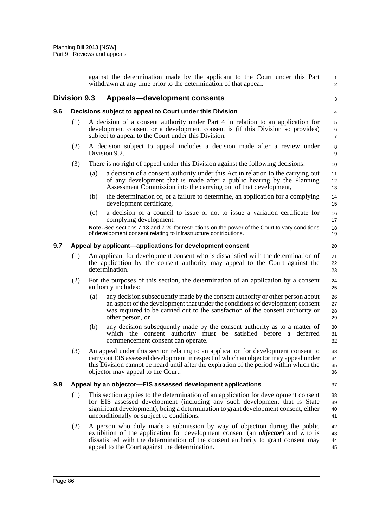|     |                                                                |                                                                                                                                                                                                                           | against the determination made by the applicant to the Court under this Part<br>withdrawn at any time prior to the determination of that appeal.                                                                                                                                                           | $\mathbf{1}$<br>$\overline{2}$ |  |  |  |
|-----|----------------------------------------------------------------|---------------------------------------------------------------------------------------------------------------------------------------------------------------------------------------------------------------------------|------------------------------------------------------------------------------------------------------------------------------------------------------------------------------------------------------------------------------------------------------------------------------------------------------------|--------------------------------|--|--|--|
|     | <b>Division 9.3</b>                                            |                                                                                                                                                                                                                           | <b>Appeals-development consents</b>                                                                                                                                                                                                                                                                        | 3                              |  |  |  |
| 9.6 |                                                                |                                                                                                                                                                                                                           | Decisions subject to appeal to Court under this Division                                                                                                                                                                                                                                                   | 4                              |  |  |  |
|     | (1)                                                            | A decision of a consent authority under Part 4 in relation to an application for<br>development consent or a development consent is (if this Division so provides)<br>subject to appeal to the Court under this Division. |                                                                                                                                                                                                                                                                                                            |                                |  |  |  |
|     | (2)                                                            | A decision subject to appeal includes a decision made after a review under<br>Division 9.2.                                                                                                                               |                                                                                                                                                                                                                                                                                                            |                                |  |  |  |
|     | (3)                                                            |                                                                                                                                                                                                                           | There is no right of appeal under this Division against the following decisions:                                                                                                                                                                                                                           | 10                             |  |  |  |
|     |                                                                | (a)                                                                                                                                                                                                                       | a decision of a consent authority under this Act in relation to the carrying out<br>of any development that is made after a public hearing by the Planning<br>Assessment Commission into the carrying out of that development,                                                                             | 11<br>12<br>13                 |  |  |  |
|     |                                                                | (b)                                                                                                                                                                                                                       | the determination of, or a failure to determine, an application for a complying<br>development certificate,                                                                                                                                                                                                | 14<br>15                       |  |  |  |
|     |                                                                | (c)                                                                                                                                                                                                                       | a decision of a council to issue or not to issue a variation certificate for<br>complying development.                                                                                                                                                                                                     | 16<br>17                       |  |  |  |
|     |                                                                |                                                                                                                                                                                                                           | Note. See sections 7.13 and 7.20 for restrictions on the power of the Court to vary conditions<br>of development consent relating to infrastructure contributions.                                                                                                                                         | 18<br>19                       |  |  |  |
| 9.7 | Appeal by applicant—applications for development consent<br>20 |                                                                                                                                                                                                                           |                                                                                                                                                                                                                                                                                                            |                                |  |  |  |
|     | (1)                                                            | An applicant for development consent who is dissatisfied with the determination of<br>21<br>the application by the consent authority may appeal to the Court against the<br>22<br>determination.<br>23                    |                                                                                                                                                                                                                                                                                                            |                                |  |  |  |
|     | (2)                                                            |                                                                                                                                                                                                                           | For the purposes of this section, the determination of an application by a consent<br>authority includes:                                                                                                                                                                                                  | 24<br>25                       |  |  |  |
|     |                                                                | (a)                                                                                                                                                                                                                       | any decision subsequently made by the consent authority or other person about<br>an aspect of the development that under the conditions of development consent<br>was required to be carried out to the satisfaction of the consent authority or<br>other person, or                                       | 26<br>27<br>28<br>29           |  |  |  |
|     |                                                                | (b)                                                                                                                                                                                                                       | any decision subsequently made by the consent authority as to a matter of<br>which the consent authority must be satisfied before a<br>deferred<br>commencement consent can operate.                                                                                                                       | 30<br>31<br>32                 |  |  |  |
|     | (3)                                                            |                                                                                                                                                                                                                           | An appeal under this section relating to an application for development consent to<br>carry out EIS assessed development in respect of which an objector may appeal under<br>this Division cannot be heard until after the expiration of the period within which the<br>objector may appeal to the Court.  | 33<br>34<br>35<br>36           |  |  |  |
| 9.8 |                                                                | Appeal by an objector-EIS assessed development applications<br>37                                                                                                                                                         |                                                                                                                                                                                                                                                                                                            |                                |  |  |  |
|     | (1)                                                            |                                                                                                                                                                                                                           | This section applies to the determination of an application for development consent<br>for EIS assessed development (including any such development that is State<br>significant development), being a determination to grant development consent, either<br>unconditionally or subject to conditions.     | 38<br>39<br>40<br>41           |  |  |  |
|     | (2)                                                            |                                                                                                                                                                                                                           | A person who duly made a submission by way of objection during the public<br>exhibition of the application for development consent (an <i>objector</i> ) and who is<br>dissatisfied with the determination of the consent authority to grant consent may<br>appeal to the Court against the determination. | 42<br>43<br>44<br>45           |  |  |  |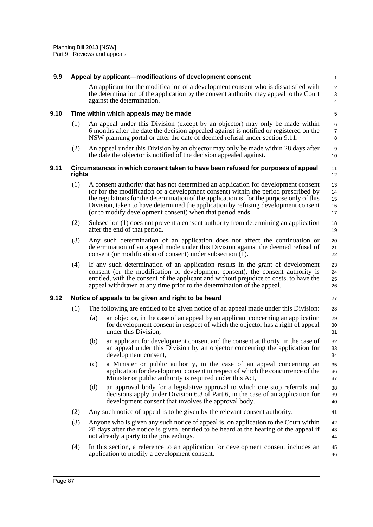| 9.9  | Appeal by applicant—modifications of development consent                                   |                                                                                                                                                                                                                                                                                                                                                                                                                          |                                   |  |  |
|------|--------------------------------------------------------------------------------------------|--------------------------------------------------------------------------------------------------------------------------------------------------------------------------------------------------------------------------------------------------------------------------------------------------------------------------------------------------------------------------------------------------------------------------|-----------------------------------|--|--|
|      |                                                                                            | An applicant for the modification of a development consent who is dissatisfied with<br>the determination of the application by the consent authority may appeal to the Court<br>against the determination.                                                                                                                                                                                                               | $\overline{\mathbf{c}}$<br>3<br>4 |  |  |
| 9.10 | Time within which appeals may be made                                                      |                                                                                                                                                                                                                                                                                                                                                                                                                          |                                   |  |  |
|      | (1)                                                                                        | An appeal under this Division (except by an objector) may only be made within<br>6 months after the date the decision appealed against is notified or registered on the<br>NSW planning portal or after the date of deemed refusal under section 9.11.                                                                                                                                                                   | 6<br>7<br>8                       |  |  |
|      | (2)                                                                                        | An appeal under this Division by an objector may only be made within 28 days after<br>the date the objector is notified of the decision appealed against.                                                                                                                                                                                                                                                                | 9<br>10                           |  |  |
| 9.11 | Circumstances in which consent taken to have been refused for purposes of appeal<br>rights |                                                                                                                                                                                                                                                                                                                                                                                                                          |                                   |  |  |
|      | (1)                                                                                        | A consent authority that has not determined an application for development consent<br>(or for the modification of a development consent) within the period prescribed by<br>the regulations for the determination of the application is, for the purpose only of this<br>Division, taken to have determined the application by refusing development consent<br>(or to modify development consent) when that period ends. | 13<br>14<br>15<br>16<br>17        |  |  |
|      | (2)                                                                                        | Subsection (1) does not prevent a consent authority from determining an application<br>after the end of that period.                                                                                                                                                                                                                                                                                                     | 18<br>19                          |  |  |
|      | (3)                                                                                        | Any such determination of an application does not affect the continuation or<br>determination of an appeal made under this Division against the deemed refusal of<br>consent (or modification of consent) under subsection (1).                                                                                                                                                                                          | 20<br>21<br>22                    |  |  |
|      | (4)                                                                                        | If any such determination of an application results in the grant of development<br>consent (or the modification of development consent), the consent authority is<br>entitled, with the consent of the applicant and without prejudice to costs, to have the<br>appeal withdrawn at any time prior to the determination of the appeal.                                                                                   | 23<br>24<br>25<br>26              |  |  |
| 9.12 |                                                                                            | Notice of appeals to be given and right to be heard                                                                                                                                                                                                                                                                                                                                                                      | 27                                |  |  |
|      | (1)                                                                                        | The following are entitled to be given notice of an appeal made under this Division:                                                                                                                                                                                                                                                                                                                                     | 28                                |  |  |
|      |                                                                                            | an objector, in the case of an appeal by an applicant concerning an application<br>(a)<br>for development consent in respect of which the objector has a right of appeal<br>under this Division,                                                                                                                                                                                                                         | 29<br>30<br>31                    |  |  |
|      |                                                                                            | (b)<br>an applicant for development consent and the consent authority, in the case of<br>an appeal under this Division by an objector concerning the application for<br>development consent,                                                                                                                                                                                                                             | 32<br>33<br>34                    |  |  |
|      |                                                                                            | (c)<br>a Minister or public authority, in the case of an appeal concerning an<br>application for development consent in respect of which the concurrence of the<br>Minister or public authority is required under this Act,                                                                                                                                                                                              | 35<br>36<br>37                    |  |  |
|      |                                                                                            | (d)<br>an approval body for a legislative approval to which one stop referrals and<br>decisions apply under Division 6.3 of Part 6, in the case of an application for<br>development consent that involves the approval body.                                                                                                                                                                                            | 38<br>39<br>40                    |  |  |
|      | (2)                                                                                        | Any such notice of appeal is to be given by the relevant consent authority.                                                                                                                                                                                                                                                                                                                                              | 41                                |  |  |
|      | (3)                                                                                        | Anyone who is given any such notice of appeal is, on application to the Court within<br>28 days after the notice is given, entitled to be heard at the hearing of the appeal if<br>not already a party to the proceedings.                                                                                                                                                                                               | 42<br>43<br>44                    |  |  |
|      | (4)                                                                                        | In this section, a reference to an application for development consent includes an<br>application to modify a development consent.                                                                                                                                                                                                                                                                                       | 45<br>46                          |  |  |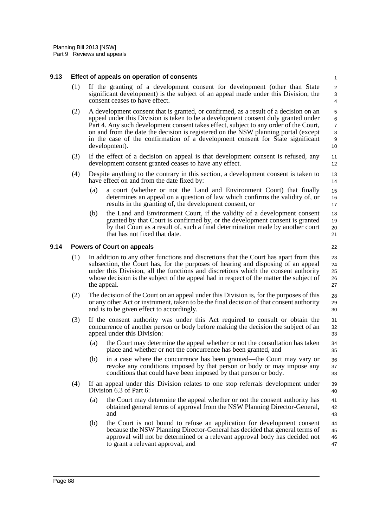#### **9.13 Effect of appeals on operation of consents**

- (1) If the granting of a development consent for development (other than State significant development) is the subject of an appeal made under this Division, the consent ceases to have effect.
- (2) A development consent that is granted, or confirmed, as a result of a decision on an appeal under this Division is taken to be a development consent duly granted under Part 4. Any such development consent takes effect, subject to any order of the Court, on and from the date the decision is registered on the NSW planning portal (except in the case of the confirmation of a development consent for State significant development).
- (3) If the effect of a decision on appeal is that development consent is refused, any development consent granted ceases to have any effect.
- (4) Despite anything to the contrary in this section, a development consent is taken to have effect on and from the date fixed by:
	- (a) a court (whether or not the Land and Environment Court) that finally determines an appeal on a question of law which confirms the validity of, or results in the granting of, the development consent, or
	- (b) the Land and Environment Court, if the validity of a development consent granted by that Court is confirmed by, or the development consent is granted by that Court as a result of, such a final determination made by another court that has not fixed that date. 18 19 20 21

#### **9.14 Powers of Court on appeals**

22 23

- (1) In addition to any other functions and discretions that the Court has apart from this subsection, the Court has, for the purposes of hearing and disposing of an appeal under this Division, all the functions and discretions which the consent authority whose decision is the subject of the appeal had in respect of the matter the subject of the appeal.
- (2) The decision of the Court on an appeal under this Division is, for the purposes of this or any other Act or instrument, taken to be the final decision of that consent authority and is to be given effect to accordingly. 28 29 30
- (3) If the consent authority was under this Act required to consult or obtain the concurrence of another person or body before making the decision the subject of an appeal under this Division: 31 32 33
	- (a) the Court may determine the appeal whether or not the consultation has taken place and whether or not the concurrence has been granted, and
	- (b) in a case where the concurrence has been granted—the Court may vary or revoke any conditions imposed by that person or body or may impose any conditions that could have been imposed by that person or body.
- (4) If an appeal under this Division relates to one stop referrals development under Division 6.3 of Part 6:
	- (a) the Court may determine the appeal whether or not the consent authority has obtained general terms of approval from the NSW Planning Director-General, and 41 42 43
	- (b) the Court is not bound to refuse an application for development consent because the NSW Planning Director-General has decided that general terms of approval will not be determined or a relevant approval body has decided not to grant a relevant approval, and 44 45 46 47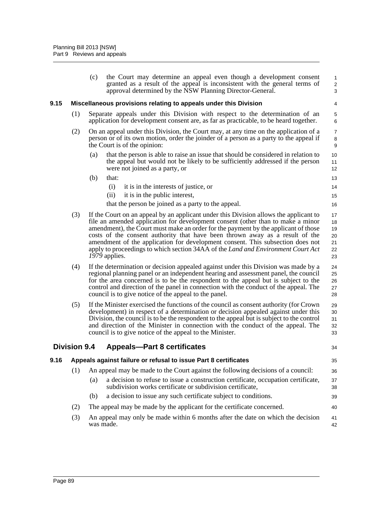|      |                                                                 | the Court may determine an appeal even though a development consent<br>(c)<br>granted as a result of the appeal is inconsistent with the general terms of<br>approval determined by the NSW Planning Director-General.                                                                                                                                                                                                                                                                                                                       | $\mathbf{1}$<br>$\overline{c}$<br>3    |  |  |
|------|-----------------------------------------------------------------|----------------------------------------------------------------------------------------------------------------------------------------------------------------------------------------------------------------------------------------------------------------------------------------------------------------------------------------------------------------------------------------------------------------------------------------------------------------------------------------------------------------------------------------------|----------------------------------------|--|--|
| 9.15 |                                                                 | Miscellaneous provisions relating to appeals under this Division                                                                                                                                                                                                                                                                                                                                                                                                                                                                             | $\overline{\mathbf{4}}$                |  |  |
|      | (1)                                                             | Separate appeals under this Division with respect to the determination of an<br>application for development consent are, as far as practicable, to be heard together.                                                                                                                                                                                                                                                                                                                                                                        | 5<br>6                                 |  |  |
|      | (2)                                                             | On an appeal under this Division, the Court may, at any time on the application of a<br>person or of its own motion, order the joinder of a person as a party to the appeal if<br>the Court is of the opinion:                                                                                                                                                                                                                                                                                                                               | $\overline{7}$<br>8<br>9               |  |  |
|      |                                                                 | that the person is able to raise an issue that should be considered in relation to<br>(a)<br>the appeal but would not be likely to be sufficiently addressed if the person<br>were not joined as a party, or                                                                                                                                                                                                                                                                                                                                 | 10<br>11<br>12                         |  |  |
|      |                                                                 | (b)<br>that:                                                                                                                                                                                                                                                                                                                                                                                                                                                                                                                                 | 13                                     |  |  |
|      |                                                                 | (i)<br>it is in the interests of justice, or                                                                                                                                                                                                                                                                                                                                                                                                                                                                                                 | 14                                     |  |  |
|      |                                                                 | (ii)<br>it is in the public interest,                                                                                                                                                                                                                                                                                                                                                                                                                                                                                                        | 15                                     |  |  |
|      |                                                                 | that the person be joined as a party to the appeal.                                                                                                                                                                                                                                                                                                                                                                                                                                                                                          | 16                                     |  |  |
|      | (3)                                                             | If the Court on an appeal by an applicant under this Division allows the applicant to<br>file an amended application for development consent (other than to make a minor<br>amendment), the Court must make an order for the payment by the applicant of those<br>costs of the consent authority that have been thrown away as a result of the<br>amendment of the application for development consent. This subsection does not<br>apply to proceedings to which section 34AA of the <i>Land and Environment Court Act</i><br>1979 applies. | 17<br>18<br>19<br>20<br>21<br>22<br>23 |  |  |
|      | (4)                                                             | If the determination or decision appealed against under this Division was made by a<br>regional planning panel or an independent hearing and assessment panel, the council<br>for the area concerned is to be the respondent to the appeal but is subject to the<br>control and direction of the panel in connection with the conduct of the appeal. The<br>council is to give notice of the appeal to the panel.                                                                                                                            | 24<br>25<br>26<br>27<br>28             |  |  |
|      | (5)                                                             | If the Minister exercised the functions of the council as consent authority (for Crown<br>development) in respect of a determination or decision appealed against under this<br>Division, the council is to be the respondent to the appeal but is subject to the control<br>and direction of the Minister in connection with the conduct of the appeal. The<br>council is to give notice of the appeal to the Minister.                                                                                                                     | 29<br>30<br>31<br>32<br>33             |  |  |
|      | <b>Division 9.4</b>                                             | <b>Appeals-Part 8 certificates</b>                                                                                                                                                                                                                                                                                                                                                                                                                                                                                                           | 34                                     |  |  |
| 9.16 | Appeals against failure or refusal to issue Part 8 certificates |                                                                                                                                                                                                                                                                                                                                                                                                                                                                                                                                              |                                        |  |  |
|      | (1)                                                             | An appeal may be made to the Court against the following decisions of a council:                                                                                                                                                                                                                                                                                                                                                                                                                                                             | 36                                     |  |  |
|      |                                                                 | a decision to refuse to issue a construction certificate, occupation certificate,<br>(a)<br>subdivision works certificate or subdivision certificate,                                                                                                                                                                                                                                                                                                                                                                                        | 37<br>38                               |  |  |
|      |                                                                 | a decision to issue any such certificate subject to conditions.<br>(b)                                                                                                                                                                                                                                                                                                                                                                                                                                                                       | 39                                     |  |  |
|      | (2)                                                             | The appeal may be made by the applicant for the certificate concerned.                                                                                                                                                                                                                                                                                                                                                                                                                                                                       | 40                                     |  |  |
|      | (3)                                                             | An appeal may only be made within 6 months after the date on which the decision<br>was made.                                                                                                                                                                                                                                                                                                                                                                                                                                                 | 41<br>42                               |  |  |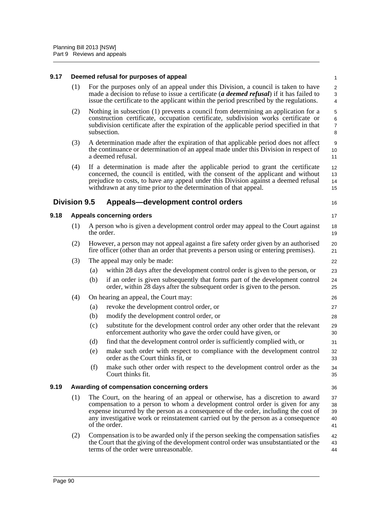| 9.17 |                     |                              | Deemed refusal for purposes of appeal                                                                                                                                                                                                                                                                                                                         | $\mathbf{1}$               |  |
|------|---------------------|------------------------------|---------------------------------------------------------------------------------------------------------------------------------------------------------------------------------------------------------------------------------------------------------------------------------------------------------------------------------------------------------------|----------------------------|--|
|      | (1)                 |                              | For the purposes only of an appeal under this Division, a council is taken to have<br>made a decision to refuse to issue a certificate (a deemed refusal) if it has failed to<br>issue the certificate to the applicant within the period prescribed by the regulations.                                                                                      | $\overline{c}$<br>3<br>4   |  |
|      | (2)                 |                              | Nothing in subsection (1) prevents a council from determining an application for a<br>construction certificate, occupation certificate, subdivision works certificate or<br>subdivision certificate after the expiration of the applicable period specified in that<br>subsection.                                                                            | 5<br>6<br>7<br>8           |  |
|      | (3)                 |                              | A determination made after the expiration of that applicable period does not affect<br>the continuance or determination of an appeal made under this Division in respect of<br>a deemed refusal.                                                                                                                                                              | 9<br>10<br>11              |  |
|      | (4)                 |                              | If a determination is made after the applicable period to grant the certificate<br>concerned, the council is entitled, with the consent of the applicant and without<br>prejudice to costs, to have any appeal under this Division against a deemed refusal<br>withdrawn at any time prior to the determination of that appeal.                               | 12<br>13<br>14<br>15       |  |
|      | <b>Division 9.5</b> |                              | Appeals-development control orders                                                                                                                                                                                                                                                                                                                            | 16                         |  |
| 9.18 |                     |                              | <b>Appeals concerning orders</b>                                                                                                                                                                                                                                                                                                                              | 17                         |  |
|      | (1)                 |                              | A person who is given a development control order may appeal to the Court against<br>the order.                                                                                                                                                                                                                                                               | 18<br>19                   |  |
|      | (2)                 |                              | However, a person may not appeal against a fire safety order given by an authorised<br>fire officer (other than an order that prevents a person using or entering premises).                                                                                                                                                                                  | 20<br>21                   |  |
|      | (3)                 | The appeal may only be made: |                                                                                                                                                                                                                                                                                                                                                               |                            |  |
|      |                     | (a)                          | within 28 days after the development control order is given to the person, or                                                                                                                                                                                                                                                                                 | 23                         |  |
|      |                     | (b)                          | if an order is given subsequently that forms part of the development control<br>order, within 28 days after the subsequent order is given to the person.                                                                                                                                                                                                      | 24<br>25                   |  |
|      | (4)                 |                              | On hearing an appeal, the Court may:                                                                                                                                                                                                                                                                                                                          | 26                         |  |
|      |                     | (a)                          | revoke the development control order, or                                                                                                                                                                                                                                                                                                                      | 27                         |  |
|      |                     | (b)                          | modify the development control order, or                                                                                                                                                                                                                                                                                                                      | 28                         |  |
|      |                     | (c)                          | substitute for the development control order any other order that the relevant<br>enforcement authority who gave the order could have given, or                                                                                                                                                                                                               | 29<br>30                   |  |
|      |                     | (d)                          | find that the development control order is sufficiently complied with, or                                                                                                                                                                                                                                                                                     | 31                         |  |
|      |                     | (e)                          | make such order with respect to compliance with the development control<br>order as the Court thinks fit, or                                                                                                                                                                                                                                                  | 32<br>33                   |  |
|      |                     | (f)                          | make such other order with respect to the development control order as the<br>Court thinks fit.                                                                                                                                                                                                                                                               | 34<br>35                   |  |
| 9.19 |                     |                              | Awarding of compensation concerning orders                                                                                                                                                                                                                                                                                                                    | 36                         |  |
|      | (1)                 |                              | The Court, on the hearing of an appeal or otherwise, has a discretion to award<br>compensation to a person to whom a development control order is given for any<br>expense incurred by the person as a consequence of the order, including the cost of<br>any investigative work or reinstatement carried out by the person as a consequence<br>of the order. | 37<br>38<br>39<br>40<br>41 |  |
|      | (2)                 |                              | Compensation is to be awarded only if the person seeking the compensation satisfies<br>the Court that the giving of the development control order was unsubstantiated or the<br>terms of the order were unreasonable.                                                                                                                                         | 42<br>43<br>44             |  |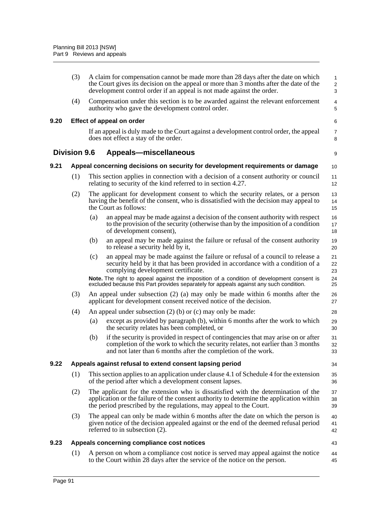|      | (3)                 |     | A claim for compensation cannot be made more than 28 days after the date on which<br>the Court gives its decision on the appeal or more than 3 months after the date of the<br>development control order if an appeal is not made against the order. | 1<br>$\overline{\mathbf{c}}$<br>3 |
|------|---------------------|-----|------------------------------------------------------------------------------------------------------------------------------------------------------------------------------------------------------------------------------------------------------|-----------------------------------|
|      | (4)                 |     | Compensation under this section is to be awarded against the relevant enforcement<br>authority who gave the development control order.                                                                                                               | 4<br>5                            |
| 9.20 |                     |     | Effect of appeal on order                                                                                                                                                                                                                            | 6                                 |
|      |                     |     | If an appeal is duly made to the Court against a development control order, the appeal<br>does not effect a stay of the order.                                                                                                                       | 7<br>8                            |
|      | <b>Division 9.6</b> |     | Appeals-miscellaneous                                                                                                                                                                                                                                | 9                                 |
| 9.21 |                     |     | Appeal concerning decisions on security for development requirements or damage                                                                                                                                                                       | 10                                |
|      | (1)                 |     | This section applies in connection with a decision of a consent authority or council<br>relating to security of the kind referred to in section 4.27.                                                                                                | 11<br>12                          |
|      | (2)                 |     | The applicant for development consent to which the security relates, or a person<br>having the benefit of the consent, who is dissatisfied with the decision may appeal to<br>the Court as follows:                                                  | 13<br>14<br>15                    |
|      |                     | (a) | an appeal may be made against a decision of the consent authority with respect<br>to the provision of the security (otherwise than by the imposition of a condition<br>of development consent),                                                      | 16<br>17<br>18                    |
|      |                     | (b) | an appeal may be made against the failure or refusal of the consent authority<br>to release a security held by it,                                                                                                                                   | 19<br>20                          |
|      |                     | (c) | an appeal may be made against the failure or refusal of a council to release a<br>security held by it that has been provided in accordance with a condition of a<br>complying development certificate.                                               | 21<br>22<br>23                    |
|      |                     |     | Note. The right to appeal against the imposition of a condition of development consent is<br>excluded because this Part provides separately for appeals against any such condition.                                                                  | 24<br>25                          |
|      | (3)                 |     | An appeal under subsection $(2)$ (a) may only be made within 6 months after the<br>applicant for development consent received notice of the decision.                                                                                                | 26<br>27                          |
|      | (4)                 |     | An appeal under subsection $(2)$ (b) or $(c)$ may only be made:                                                                                                                                                                                      | 28                                |
|      |                     | (a) | except as provided by paragraph (b), within 6 months after the work to which<br>the security relates has been completed, or                                                                                                                          | 29<br>30                          |
|      |                     | (b) | if the security is provided in respect of contingencies that may arise on or after<br>completion of the work to which the security relates, not earlier than 3 months<br>and not later than 6 months after the completion of the work.               | 31<br>32<br>33                    |
| 9.22 |                     |     | Appeals against refusal to extend consent lapsing period                                                                                                                                                                                             | 34                                |
|      | (1)                 |     | This section applies to an application under clause 4.1 of Schedule 4 for the extension<br>of the period after which a development consent lapses.                                                                                                   | 35<br>36                          |
|      | (2)                 |     | The applicant for the extension who is dissatisfied with the determination of the<br>application or the failure of the consent authority to determine the application within<br>the period prescribed by the regulations, may appeal to the Court.   | 37<br>38<br>39                    |
|      | (3)                 |     | The appeal can only be made within 6 months after the date on which the person is<br>given notice of the decision appealed against or the end of the deemed refusal period<br>referred to in subsection (2).                                         | 40<br>41<br>42                    |
| 9.23 |                     |     | Appeals concerning compliance cost notices                                                                                                                                                                                                           | 43                                |
|      | (1)                 |     | A person on whom a compliance cost notice is served may appeal against the notice<br>to the Court within 28 days after the service of the notice on the person.                                                                                      | 44<br>45                          |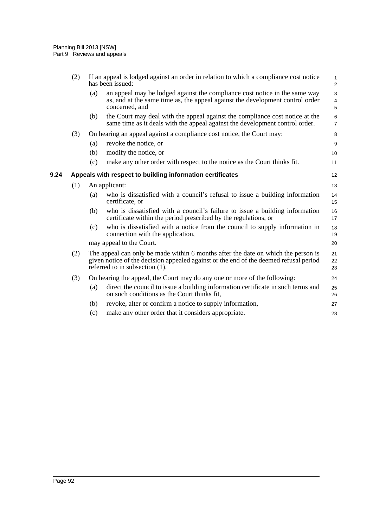|      | (2) |     | If an appeal is lodged against an order in relation to which a compliance cost notice<br>has been issued:                                                                                                       | 1<br>$\overline{a}$ |
|------|-----|-----|-----------------------------------------------------------------------------------------------------------------------------------------------------------------------------------------------------------------|---------------------|
|      |     | (a) | an appeal may be lodged against the compliance cost notice in the same way<br>as, and at the same time as, the appeal against the development control order<br>concerned, and                                   | 3<br>4<br>5         |
|      |     | (b) | the Court may deal with the appeal against the compliance cost notice at the<br>same time as it deals with the appeal against the development control order.                                                    | 6<br>$\overline{7}$ |
|      | (3) |     | On hearing an appeal against a compliance cost notice, the Court may:                                                                                                                                           | 8                   |
|      |     | (a) | revoke the notice, or                                                                                                                                                                                           | 9                   |
|      |     | (b) | modify the notice, or                                                                                                                                                                                           | 10                  |
|      |     | (c) | make any other order with respect to the notice as the Court thinks fit.                                                                                                                                        | 11                  |
| 9.24 |     |     | Appeals with respect to building information certificates                                                                                                                                                       | 12                  |
|      | (1) |     | An applicant:                                                                                                                                                                                                   | 13                  |
|      |     | (a) | who is dissatisfied with a council's refusal to issue a building information<br>certificate, or                                                                                                                 | 14<br>15            |
|      |     | (b) | who is dissatisfied with a council's failure to issue a building information<br>certificate within the period prescribed by the regulations, or                                                                 | 16<br>17            |
|      |     | (c) | who is dissatisfied with a notice from the council to supply information in<br>connection with the application,                                                                                                 | 18<br>19            |
|      |     |     | may appeal to the Court.                                                                                                                                                                                        | 20                  |
|      | (2) |     | The appeal can only be made within 6 months after the date on which the person is<br>given notice of the decision appealed against or the end of the deemed refusal period<br>referred to in subsection $(1)$ . | 21<br>22<br>23      |
|      | (3) |     | On hearing the appeal, the Court may do any one or more of the following:                                                                                                                                       | 24                  |
|      |     | (a) | direct the council to issue a building information certificate in such terms and<br>on such conditions as the Court thinks fit,                                                                                 | 25<br>26            |
|      |     | (b) | revoke, alter or confirm a notice to supply information,                                                                                                                                                        | 27                  |
|      |     | (c) | make any other order that it considers appropriate.                                                                                                                                                             | 28                  |
|      |     |     |                                                                                                                                                                                                                 |                     |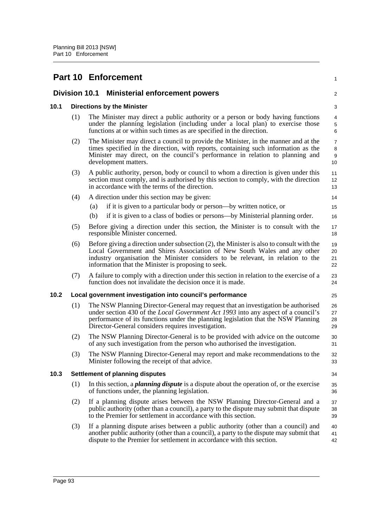|      |     | Part 10 Enforcement                                                                                                                                                                                                                                                                                                      | 1                              |
|------|-----|--------------------------------------------------------------------------------------------------------------------------------------------------------------------------------------------------------------------------------------------------------------------------------------------------------------------------|--------------------------------|
|      |     | Division 10.1 Ministerial enforcement powers                                                                                                                                                                                                                                                                             | $\overline{\mathbf{c}}$        |
| 10.1 |     | <b>Directions by the Minister</b>                                                                                                                                                                                                                                                                                        | 3                              |
|      | (1) | The Minister may direct a public authority or a person or body having functions<br>under the planning legislation (including under a local plan) to exercise those<br>functions at or within such times as are specified in the direction.                                                                               | 4<br>5<br>6                    |
|      | (2) | The Minister may direct a council to provide the Minister, in the manner and at the<br>times specified in the direction, with reports, containing such information as the<br>Minister may direct, on the council's performance in relation to planning and<br>development matters.                                       | $\overline{7}$<br>8<br>9<br>10 |
|      | (3) | A public authority, person, body or council to whom a direction is given under this<br>section must comply, and is authorised by this section to comply, with the direction<br>in accordance with the terms of the direction.                                                                                            | 11<br>12<br>13                 |
|      | (4) | A direction under this section may be given:                                                                                                                                                                                                                                                                             | 14                             |
|      |     | if it is given to a particular body or person—by written notice, or<br>(a)                                                                                                                                                                                                                                               | 15                             |
|      |     | if it is given to a class of bodies or persons—by Ministerial planning order.<br>(b)                                                                                                                                                                                                                                     | 16                             |
|      | (5) | Before giving a direction under this section, the Minister is to consult with the<br>responsible Minister concerned.                                                                                                                                                                                                     | 17<br>18                       |
|      | (6) | Before giving a direction under subsection (2), the Minister is also to consult with the<br>Local Government and Shires Association of New South Wales and any other<br>industry organisation the Minister considers to be relevant, in relation to the<br>information that the Minister is proposing to seek.           | 19<br>20<br>21<br>22           |
|      | (7) | A failure to comply with a direction under this section in relation to the exercise of a<br>function does not invalidate the decision once it is made.                                                                                                                                                                   | 23<br>24                       |
| 10.2 |     | Local government investigation into council's performance                                                                                                                                                                                                                                                                | 25                             |
|      | (1) | The NSW Planning Director-General may request that an investigation be authorised<br>under section 430 of the <i>Local Government Act 1993</i> into any aspect of a council's<br>performance of its functions under the planning legislation that the NSW Planning<br>Director-General considers requires investigation. | 26<br>27<br>28<br>29           |
|      | (2) | The NSW Planning Director-General is to be provided with advice on the outcome<br>of any such investigation from the person who authorised the investigation.                                                                                                                                                            | 30<br>31                       |
|      | (3) | The NSW Planning Director-General may report and make recommendations to the<br>Minister following the receipt of that advice.                                                                                                                                                                                           | 32<br>33                       |
| 10.3 |     | Settlement of planning disputes                                                                                                                                                                                                                                                                                          | 34                             |
|      | (1) | In this section, a <i>planning dispute</i> is a dispute about the operation of, or the exercise<br>of functions under, the planning legislation.                                                                                                                                                                         | 35<br>36                       |
|      | (2) | If a planning dispute arises between the NSW Planning Director-General and a<br>public authority (other than a council), a party to the dispute may submit that dispute<br>to the Premier for settlement in accordance with this section.                                                                                | 37<br>38<br>39                 |
|      | (3) | If a planning dispute arises between a public authority (other than a council) and<br>another public authority (other than a council), a party to the dispute may submit that<br>dispute to the Premier for settlement in accordance with this section.                                                                  | 40<br>41<br>42                 |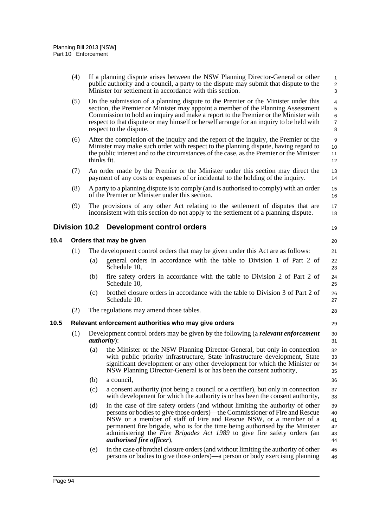|      | (4)                  |             | If a planning dispute arises between the NSW Planning Director-General or other<br>public authority and a council, a party to the dispute may submit that dispute to the<br>Minister for settlement in accordance with this section.                                                                                                                                                                                               | $\mathbf{1}$<br>$\sqrt{2}$<br>$\ensuremath{\mathsf{3}}$               |
|------|----------------------|-------------|------------------------------------------------------------------------------------------------------------------------------------------------------------------------------------------------------------------------------------------------------------------------------------------------------------------------------------------------------------------------------------------------------------------------------------|-----------------------------------------------------------------------|
|      | (5)                  |             | On the submission of a planning dispute to the Premier or the Minister under this<br>section, the Premier or Minister may appoint a member of the Planning Assessment<br>Commission to hold an inquiry and make a report to the Premier or the Minister with<br>respect to that dispute or may himself or herself arrange for an inquiry to be held with<br>respect to the dispute.                                                | $\overline{4}$<br>$\,$ 5 $\,$<br>$\,6$<br>$\boldsymbol{7}$<br>$\bf 8$ |
|      | (6)                  | thinks fit. | After the completion of the inquiry and the report of the inquiry, the Premier or the<br>Minister may make such order with respect to the planning dispute, having regard to<br>the public interest and to the circumstances of the case, as the Premier or the Minister                                                                                                                                                           | $\boldsymbol{9}$<br>10<br>11<br>12                                    |
|      | (7)                  |             | An order made by the Premier or the Minister under this section may direct the<br>payment of any costs or expenses of or incidental to the holding of the inquiry.                                                                                                                                                                                                                                                                 | 13<br>14                                                              |
|      | (8)                  |             | A party to a planning dispute is to comply (and is authorised to comply) with an order<br>of the Premier or Minister under this section.                                                                                                                                                                                                                                                                                           | 15<br>16                                                              |
|      | (9)                  |             | The provisions of any other Act relating to the settlement of disputes that are<br>inconsistent with this section do not apply to the settlement of a planning dispute.                                                                                                                                                                                                                                                            | 17<br>18                                                              |
|      | <b>Division 10.2</b> |             | <b>Development control orders</b>                                                                                                                                                                                                                                                                                                                                                                                                  | 19                                                                    |
| 10.4 |                      |             | Orders that may be given                                                                                                                                                                                                                                                                                                                                                                                                           | 20                                                                    |
|      | (1)                  |             | The development control orders that may be given under this Act are as follows:                                                                                                                                                                                                                                                                                                                                                    | 21                                                                    |
|      |                      | (a)         | general orders in accordance with the table to Division 1 of Part 2 of<br>Schedule 10,                                                                                                                                                                                                                                                                                                                                             | 22<br>23                                                              |
|      |                      | (b)         | fire safety orders in accordance with the table to Division 2 of Part 2 of<br>Schedule 10,                                                                                                                                                                                                                                                                                                                                         | 24<br>25                                                              |
|      |                      | (c)         | brothel closure orders in accordance with the table to Division 3 of Part 2 of<br>Schedule 10.                                                                                                                                                                                                                                                                                                                                     | 26<br>27                                                              |
|      | (2)                  |             | The regulations may amend those tables.                                                                                                                                                                                                                                                                                                                                                                                            | 28                                                                    |
| 10.5 |                      |             | Relevant enforcement authorities who may give orders                                                                                                                                                                                                                                                                                                                                                                               | 29                                                                    |
|      | (1)                  |             | Development control orders may be given by the following (a relevant enforcement<br><i>authority</i> ):                                                                                                                                                                                                                                                                                                                            | 30<br>31                                                              |
|      |                      |             | (a) the Minister or the NSW Planning Director-General, but only in connection<br>with public priority infrastructure, State infrastructure development, State<br>significant development or any other development for which the Minister or<br>NSW Planning Director-General is or has been the consent authority,                                                                                                                 | 32<br>33<br>34<br>35                                                  |
|      |                      | (b)         | a council,                                                                                                                                                                                                                                                                                                                                                                                                                         | 36                                                                    |
|      |                      | (c)         | a consent authority (not being a council or a certifier), but only in connection<br>with development for which the authority is or has been the consent authority,                                                                                                                                                                                                                                                                 | 37<br>38                                                              |
|      |                      | (d)         | in the case of fire safety orders (and without limiting the authority of other<br>persons or bodies to give those orders)—the Commissioner of Fire and Rescue<br>NSW or a member of staff of Fire and Rescue NSW, or a member of a<br>permanent fire brigade, who is for the time being authorised by the Minister<br>administering the Fire Brigades Act 1989 to give fire safety orders (an<br><i>authorised fire officer</i> ), | 39<br>40<br>41<br>42<br>43<br>44                                      |
|      |                      | (e)         | in the case of brothel closure orders (and without limiting the authority of other<br>persons or bodies to give those orders)—a person or body exercising planning                                                                                                                                                                                                                                                                 | 45<br>46                                                              |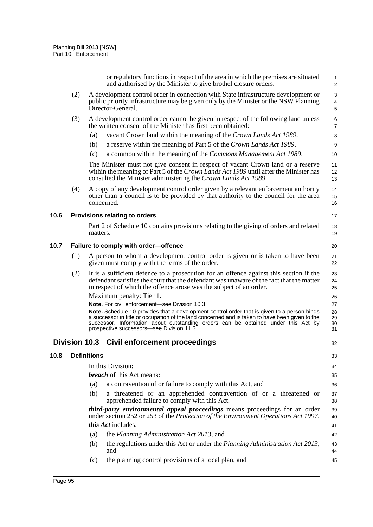|      |     | or regulatory functions in respect of the area in which the premises are situated<br>and authorised by the Minister to give brothel closure orders.                                                                                                                                                                              | $\mathbf{1}$<br>$\overline{2}$ |
|------|-----|----------------------------------------------------------------------------------------------------------------------------------------------------------------------------------------------------------------------------------------------------------------------------------------------------------------------------------|--------------------------------|
|      | (2) | A development control order in connection with State infrastructure development or<br>public priority infrastructure may be given only by the Minister or the NSW Planning<br>Director-General.                                                                                                                                  | 3<br>4<br>5                    |
|      | (3) | A development control order cannot be given in respect of the following land unless<br>the written consent of the Minister has first been obtained:                                                                                                                                                                              | 6<br>$\boldsymbol{7}$          |
|      |     | vacant Crown land within the meaning of the Crown Lands Act 1989,<br>(a)                                                                                                                                                                                                                                                         | 8                              |
|      |     | (b)<br>a reserve within the meaning of Part 5 of the Crown Lands Act 1989,                                                                                                                                                                                                                                                       | $\boldsymbol{9}$               |
|      |     | a common within the meaning of the Commons Management Act 1989.<br>(c)                                                                                                                                                                                                                                                           | 10                             |
|      |     | The Minister must not give consent in respect of vacant Crown land or a reserve<br>within the meaning of Part 5 of the Crown Lands Act 1989 until after the Minister has<br>consulted the Minister administering the Crown Lands Act 1989.                                                                                       | 11<br>12<br>13                 |
|      | (4) | A copy of any development control order given by a relevant enforcement authority<br>other than a council is to be provided by that authority to the council for the area<br>concerned.                                                                                                                                          | 14<br>15<br>16                 |
| 10.6 |     | Provisions relating to orders                                                                                                                                                                                                                                                                                                    | 17                             |
|      |     | Part 2 of Schedule 10 contains provisions relating to the giving of orders and related<br>matters.                                                                                                                                                                                                                               | 18<br>19                       |
| 10.7 |     | Failure to comply with order-offence                                                                                                                                                                                                                                                                                             | 20                             |
|      | (1) | A person to whom a development control order is given or is taken to have been<br>given must comply with the terms of the order.                                                                                                                                                                                                 | 21<br>22                       |
|      | (2) | It is a sufficient defence to a prosecution for an offence against this section if the<br>defendant satisfies the court that the defendant was unaware of the fact that the matter<br>in respect of which the offence arose was the subject of an order.                                                                         | 23<br>24<br>25                 |
|      |     | Maximum penalty: Tier 1.                                                                                                                                                                                                                                                                                                         | 26                             |
|      |     | Note. For civil enforcement-see Division 10.3.                                                                                                                                                                                                                                                                                   | 27                             |
|      |     | Note. Schedule 10 provides that a development control order that is given to a person binds<br>a successor in title or occupation of the land concerned and is taken to have been given to the<br>successor. Information about outstanding orders can be obtained under this Act by<br>prospective successors-see Division 11.3. | 28<br>29<br>30<br>31           |
|      |     | Division 10.3 Civil enforcement proceedings                                                                                                                                                                                                                                                                                      | 32                             |
| 10.8 |     | <b>Definitions</b>                                                                                                                                                                                                                                                                                                               | 33                             |
|      |     | In this Division:                                                                                                                                                                                                                                                                                                                | 34                             |
|      |     | <b>breach</b> of this Act means:                                                                                                                                                                                                                                                                                                 | 35                             |
|      |     | a contravention of or failure to comply with this Act, and<br>(a)                                                                                                                                                                                                                                                                | 36                             |
|      |     | a threatened or an apprehended contravention of or a threatened or<br>(b)<br>apprehended failure to comply with this Act.                                                                                                                                                                                                        | 37<br>38                       |
|      |     | third-party environmental appeal proceedings means proceedings for an order<br>under section 252 or 253 of the Protection of the Environment Operations Act 1997.                                                                                                                                                                | 39<br>40                       |
|      |     | <i>this Act includes:</i>                                                                                                                                                                                                                                                                                                        | 41                             |
|      |     | (a)<br>the Planning Administration Act 2013, and                                                                                                                                                                                                                                                                                 | 42                             |
|      |     | the regulations under this Act or under the Planning Administration Act 2013,<br>(b)<br>and                                                                                                                                                                                                                                      | 43<br>44                       |
|      |     | the planning control provisions of a local plan, and<br>(c)                                                                                                                                                                                                                                                                      | 45                             |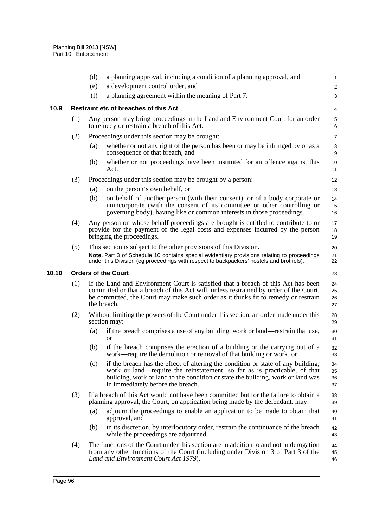|       |     | (d) | a planning approval, including a condition of a planning approval, and                                                                                                                                                                                                                | 1                    |
|-------|-----|-----|---------------------------------------------------------------------------------------------------------------------------------------------------------------------------------------------------------------------------------------------------------------------------------------|----------------------|
|       |     | (e) | a development control order, and                                                                                                                                                                                                                                                      | $\overline{a}$       |
|       |     | (f) | a planning agreement within the meaning of Part 7.                                                                                                                                                                                                                                    | 3                    |
| 10.9  |     |     | Restraint etc of breaches of this Act                                                                                                                                                                                                                                                 | 4                    |
|       | (1) |     | Any person may bring proceedings in the Land and Environment Court for an order<br>to remedy or restrain a breach of this Act.                                                                                                                                                        | 5<br>6               |
|       | (2) |     | Proceedings under this section may be brought:                                                                                                                                                                                                                                        | $\overline{7}$       |
|       |     | (a) | whether or not any right of the person has been or may be infringed by or as a<br>consequence of that breach, and                                                                                                                                                                     | 8<br>9               |
|       |     | (b) | whether or not proceedings have been instituted for an offence against this<br>Act.                                                                                                                                                                                                   | 10<br>11             |
|       | (3) |     | Proceedings under this section may be brought by a person:                                                                                                                                                                                                                            | 12                   |
|       |     | (a) | on the person's own behalf, or                                                                                                                                                                                                                                                        | 13                   |
|       |     | (b) | on behalf of another person (with their consent), or of a body corporate or<br>unincorporate (with the consent of its committee or other controlling or<br>governing body), having like or common interests in those proceedings.                                                     | 14<br>15<br>16       |
|       | (4) |     | Any person on whose behalf proceedings are brought is entitled to contribute to or<br>provide for the payment of the legal costs and expenses incurred by the person<br>bringing the proceedings.                                                                                     | 17<br>18<br>19       |
|       | (5) |     | This section is subject to the other provisions of this Division.<br>Note. Part 3 of Schedule 10 contains special evidentiary provisions relating to proceedings<br>under this Division (eg proceedings with respect to backpackers' hostels and brothels).                           | 20<br>21<br>22       |
|       |     |     |                                                                                                                                                                                                                                                                                       |                      |
| 10.10 |     |     | <b>Orders of the Court</b>                                                                                                                                                                                                                                                            | 23                   |
|       | (1) |     | If the Land and Environment Court is satisfied that a breach of this Act has been<br>committed or that a breach of this Act will, unless restrained by order of the Court,<br>be committed, the Court may make such order as it thinks fit to remedy or restrain<br>the breach.       | 24<br>25<br>26<br>27 |
|       | (2) |     | Without limiting the powers of the Court under this section, an order made under this<br>section may:                                                                                                                                                                                 | 28<br>29             |
|       |     | (a) | if the breach comprises a use of any building, work or land—restrain that use,<br><sub>or</sub>                                                                                                                                                                                       | 30<br>31             |
|       |     | (b) | if the breach comprises the erection of a building or the carrying out of a<br>work—require the demolition or removal of that building or work, or                                                                                                                                    | 32<br>33             |
|       |     | (c) | if the breach has the effect of altering the condition or state of any building,<br>work or land—require the reinstatement, so far as is practicable, of that<br>building, work or land to the condition or state the building, work or land was<br>in immediately before the breach. | 34<br>35<br>36<br>37 |
|       | (3) |     | If a breach of this Act would not have been committed but for the failure to obtain a<br>planning approval, the Court, on application being made by the defendant, may:                                                                                                               | 38<br>39             |
|       |     | (a) | adjourn the proceedings to enable an application to be made to obtain that<br>approval, and                                                                                                                                                                                           | 40<br>41             |
|       |     | (b) | in its discretion, by interlocutory order, restrain the continuance of the breach<br>while the proceedings are adjourned.                                                                                                                                                             | 42<br>43             |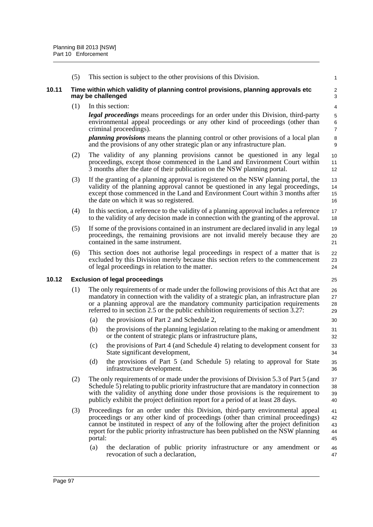|       | (5) | This section is subject to the other provisions of this Division.                                                                                                                                                                                                                                                                                           | 1                              |
|-------|-----|-------------------------------------------------------------------------------------------------------------------------------------------------------------------------------------------------------------------------------------------------------------------------------------------------------------------------------------------------------------|--------------------------------|
| 10.11 |     | Time within which validity of planning control provisions, planning approvals etc<br>may be challenged                                                                                                                                                                                                                                                      | $\overline{c}$<br>3            |
|       | (1) | In this section:                                                                                                                                                                                                                                                                                                                                            | 4                              |
|       |     | <i>legal proceedings</i> means proceedings for an order under this Division, third-party<br>environmental appeal proceedings or any other kind of proceedings (other than<br>criminal proceedings).                                                                                                                                                         | 5<br>$\,6\,$<br>$\overline{7}$ |
|       |     | <i>planning provisions</i> means the planning control or other provisions of a local plan<br>and the provisions of any other strategic plan or any infrastructure plan.                                                                                                                                                                                     | $\bf 8$<br>$\boldsymbol{9}$    |
|       | (2) | The validity of any planning provisions cannot be questioned in any legal<br>proceedings, except those commenced in the Land and Environment Court within<br>3 months after the date of their publication on the NSW planning portal.                                                                                                                       | 10<br>11<br>12                 |
|       | (3) | If the granting of a planning approval is registered on the NSW planning portal, the<br>validity of the planning approval cannot be questioned in any legal proceedings,<br>except those commenced in the Land and Environment Court within 3 months after<br>the date on which it was so registered.                                                       | 13<br>14<br>15<br>16           |
|       | (4) | In this section, a reference to the validity of a planning approval includes a reference<br>to the validity of any decision made in connection with the granting of the approval.                                                                                                                                                                           | 17<br>18                       |
|       | (5) | If some of the provisions contained in an instrument are declared invalid in any legal<br>proceedings, the remaining provisions are not invalid merely because they are<br>contained in the same instrument.                                                                                                                                                | 19<br>20<br>21                 |
|       | (6) | This section does not authorise legal proceedings in respect of a matter that is<br>excluded by this Division merely because this section refers to the commencement<br>of legal proceedings in relation to the matter.                                                                                                                                     | 22<br>23<br>24                 |
| 10.12 |     | <b>Exclusion of legal proceedings</b>                                                                                                                                                                                                                                                                                                                       | 25                             |
|       | (1) | The only requirements of or made under the following provisions of this Act that are<br>mandatory in connection with the validity of a strategic plan, an infrastructure plan<br>or a planning approval are the mandatory community participation requirements<br>referred to in section 2.5 or the public exhibition requirements of section 3.27:         | 26<br>27<br>28<br>29           |
|       |     | (a)<br>the provisions of Part 2 and Schedule 2,                                                                                                                                                                                                                                                                                                             | 30                             |
|       |     | (b)<br>the provisions of the planning legislation relating to the making or amendment<br>or the content of strategic plans or infrastructure plans,                                                                                                                                                                                                         | 31<br>32                       |
|       |     | the provisions of Part 4 (and Schedule 4) relating to development consent for<br>(c)<br>State significant development,                                                                                                                                                                                                                                      | 33<br>34                       |
|       |     | the provisions of Part 5 (and Schedule 5) relating to approval for State<br>(d)<br>infrastructure development.                                                                                                                                                                                                                                              | 35<br>36                       |
|       | (2) | The only requirements of or made under the provisions of Division 5.3 of Part 5 (and<br>Schedule 5) relating to public priority infrastructure that are mandatory in connection<br>with the validity of anything done under those provisions is the requirement to<br>publicly exhibit the project definition report for a period of at least 28 days.      | 37<br>38<br>39<br>40           |
|       | (3) | Proceedings for an order under this Division, third-party environmental appeal<br>proceedings or any other kind of proceedings (other than criminal proceedings)<br>cannot be instituted in respect of any of the following after the project definition<br>report for the public priority infrastructure has been published on the NSW planning<br>portal: | 41<br>42<br>43<br>44<br>45     |
|       |     | the declaration of public priority infrastructure or any amendment or<br>(a)<br>revocation of such a declaration,                                                                                                                                                                                                                                           | 46<br>47                       |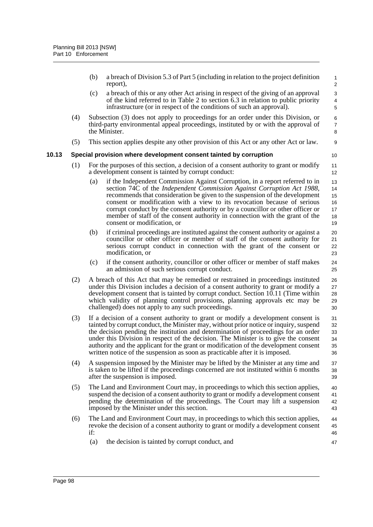(b) a breach of Division 5.3 of Part 5 (including in relation to the project definition report),

10 11 12

24 25

47

- (c) a breach of this or any other Act arising in respect of the giving of an approval of the kind referred to in Table 2 to section 6.3 in relation to public priority infrastructure (or in respect of the conditions of such an approval).
- (4) Subsection (3) does not apply to proceedings for an order under this Division, or third-party environmental appeal proceedings, instituted by or with the approval of the Minister.
- (5) This section applies despite any other provision of this Act or any other Act or law.

## **10.13 Special provision where development consent tainted by corruption**

- (1) For the purposes of this section, a decision of a consent authority to grant or modify a development consent is tainted by corrupt conduct:
	- (a) if the Independent Commission Against Corruption, in a report referred to in section 74C of the *Independent Commission Against Corruption Act 1988*, recommends that consideration be given to the suspension of the development consent or modification with a view to its revocation because of serious corrupt conduct by the consent authority or by a councillor or other officer or member of staff of the consent authority in connection with the grant of the consent or modification, or 13 14 15 16 17 18 19
	- (b) if criminal proceedings are instituted against the consent authority or against a councillor or other officer or member of staff of the consent authority for serious corrupt conduct in connection with the grant of the consent or modification, or 20 21 22 23
	- (c) if the consent authority, councillor or other officer or member of staff makes an admission of such serious corrupt conduct.
- (2) A breach of this Act that may be remedied or restrained in proceedings instituted under this Division includes a decision of a consent authority to grant or modify a development consent that is tainted by corrupt conduct. Section 10.11 (Time within which validity of planning control provisions, planning approvals etc may be challenged) does not apply to any such proceedings. 26 27 28 29 30
- (3) If a decision of a consent authority to grant or modify a development consent is tainted by corrupt conduct, the Minister may, without prior notice or inquiry, suspend the decision pending the institution and determination of proceedings for an order under this Division in respect of the decision. The Minister is to give the consent authority and the applicant for the grant or modification of the development consent written notice of the suspension as soon as practicable after it is imposed. 31 32 33 34 35 36
- (4) A suspension imposed by the Minister may be lifted by the Minister at any time and is taken to be lifted if the proceedings concerned are not instituted within 6 months after the suspension is imposed. 37 38 39
- (5) The Land and Environment Court may, in proceedings to which this section applies, suspend the decision of a consent authority to grant or modify a development consent pending the determination of the proceedings. The Court may lift a suspension imposed by the Minister under this section. 40 41 42 43
- (6) The Land and Environment Court may, in proceedings to which this section applies, revoke the decision of a consent authority to grant or modify a development consent if: 44 45 46
	- (a) the decision is tainted by corrupt conduct, and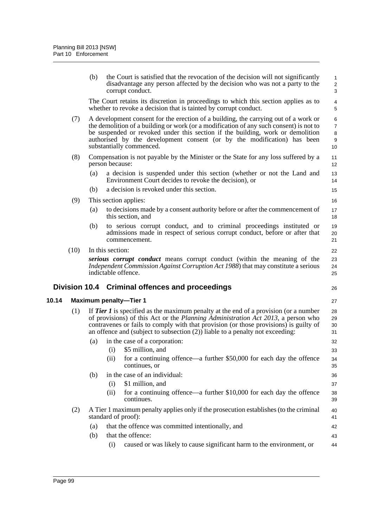|       |      | (b) | the Court is satisfied that the revocation of the decision will not significantly<br>disadvantage any person affected by the decision who was not a party to the<br>corrupt conduct.                                                                                                                                                                                   | 1<br>$\overline{\mathbf{c}}$<br>3   |
|-------|------|-----|------------------------------------------------------------------------------------------------------------------------------------------------------------------------------------------------------------------------------------------------------------------------------------------------------------------------------------------------------------------------|-------------------------------------|
|       |      |     | The Court retains its discretion in proceedings to which this section applies as to<br>whether to revoke a decision that is tainted by corrupt conduct.                                                                                                                                                                                                                | 4<br>5                              |
|       | (7)  |     | A development consent for the erection of a building, the carrying out of a work or<br>the demolition of a building or work (or a modification of any such consent) is not to<br>be suspended or revoked under this section if the building, work or demolition<br>authorised by the development consent (or by the modification) has been<br>substantially commenced. | 6<br>$\overline{7}$<br>8<br>9<br>10 |
|       | (8)  |     | Compensation is not payable by the Minister or the State for any loss suffered by a<br>person because:                                                                                                                                                                                                                                                                 | 11<br>12                            |
|       |      | (a) | a decision is suspended under this section (whether or not the Land and<br>Environment Court decides to revoke the decision), or                                                                                                                                                                                                                                       | 13<br>14                            |
|       |      | (b) | a decision is revoked under this section.                                                                                                                                                                                                                                                                                                                              | 15                                  |
|       | (9)  |     | This section applies:                                                                                                                                                                                                                                                                                                                                                  | 16                                  |
|       |      | (a) | to decisions made by a consent authority before or after the commencement of<br>this section, and                                                                                                                                                                                                                                                                      | 17<br>18                            |
|       |      | (b) | to serious corrupt conduct, and to criminal proceedings instituted or<br>admissions made in respect of serious corrupt conduct, before or after that<br>commencement.                                                                                                                                                                                                  | 19<br>20<br>21                      |
|       | (10) |     | In this section:                                                                                                                                                                                                                                                                                                                                                       | 22                                  |
|       |      |     | serious corrupt conduct means corrupt conduct (within the meaning of the<br>Independent Commission Against Corruption Act 1988) that may constitute a serious                                                                                                                                                                                                          | 23                                  |
|       |      |     | indictable offence.                                                                                                                                                                                                                                                                                                                                                    | 24<br>25                            |
|       |      |     | Division 10.4 Criminal offences and proceedings                                                                                                                                                                                                                                                                                                                        | 26                                  |
| 10.14 |      |     | <b>Maximum penalty-Tier 1</b>                                                                                                                                                                                                                                                                                                                                          | 27                                  |
|       | (1)  |     | If <b>Tier 1</b> is specified as the maximum penalty at the end of a provision (or a number<br>of provisions) of this Act or the Planning Administration Act 2013, a person who<br>contravenes or fails to comply with that provision (or those provisions) is guilty of<br>an offence and (subject to subsection $(2)$ ) liable to a penalty not exceeding:           | 28<br>29<br>30<br>31                |
|       |      | (a) | in the case of a corporation:                                                                                                                                                                                                                                                                                                                                          | 32                                  |
|       |      |     | \$5 million, and<br>(i)                                                                                                                                                                                                                                                                                                                                                | 33                                  |
|       |      |     | for a continuing offence—a further \$50,000 for each day the offence<br>(ii)<br>continues, or                                                                                                                                                                                                                                                                          | 34<br>35                            |
|       |      | (b) | in the case of an individual:                                                                                                                                                                                                                                                                                                                                          | 36                                  |
|       |      |     | \$1 million, and<br>(i)                                                                                                                                                                                                                                                                                                                                                | 37                                  |
|       |      |     | for a continuing offence—a further \$10,000 for each day the offence<br>(ii)<br>continues.                                                                                                                                                                                                                                                                             | 38<br>39                            |
|       | (2)  |     | A Tier 1 maximum penalty applies only if the prosecution establishes (to the criminal<br>standard of proof):                                                                                                                                                                                                                                                           | 40<br>41                            |
|       |      | (a) | that the offence was committed intentionally, and                                                                                                                                                                                                                                                                                                                      | 42                                  |
|       |      | (b) | that the offence:<br>caused or was likely to cause significant harm to the environment, or<br>(i)                                                                                                                                                                                                                                                                      | 43<br>44                            |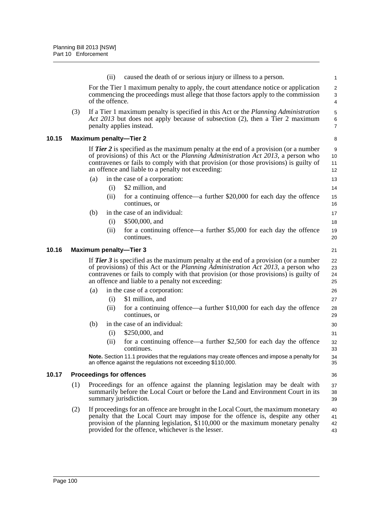|       |     |     | (ii)            | caused the death of or serious injury or illness to a person.                                                                                                                                                                                                                                                                  | $\mathbf{1}$                                                    |
|-------|-----|-----|-----------------|--------------------------------------------------------------------------------------------------------------------------------------------------------------------------------------------------------------------------------------------------------------------------------------------------------------------------------|-----------------------------------------------------------------|
|       |     |     | of the offence. | For the Tier 1 maximum penalty to apply, the court attendance notice or application<br>commencing the proceedings must allege that those factors apply to the commission                                                                                                                                                       | $\boldsymbol{2}$<br>$\ensuremath{\mathsf{3}}$<br>$\overline{4}$ |
|       | (3) |     |                 | If a Tier 1 maximum penalty is specified in this Act or the Planning Administration<br>Act 2013 but does not apply because of subsection (2), then a Tier 2 maximum<br>penalty applies instead.                                                                                                                                | $\mathbf 5$<br>$\,6$<br>$\overline{7}$                          |
| 10.15 |     |     |                 | <b>Maximum penalty-Tier 2</b>                                                                                                                                                                                                                                                                                                  | 8                                                               |
|       |     |     |                 | If Tier 2 is specified as the maximum penalty at the end of a provision (or a number<br>of provisions) of this Act or the <i>Planning Administration Act 2013</i> , a person who<br>contravenes or fails to comply with that provision (or those provisions) is guilty of<br>an offence and liable to a penalty not exceeding: | 9<br>10<br>11<br>12                                             |
|       |     | (a) |                 | in the case of a corporation:                                                                                                                                                                                                                                                                                                  | 13                                                              |
|       |     |     | (i)             | \$2 million, and                                                                                                                                                                                                                                                                                                               | 14                                                              |
|       |     |     | (ii)            | for a continuing offence—a further \$20,000 for each day the offence<br>continues, or                                                                                                                                                                                                                                          | 15<br>16                                                        |
|       |     | (b) |                 | in the case of an individual:                                                                                                                                                                                                                                                                                                  | 17                                                              |
|       |     |     | (i)             | \$500,000, and                                                                                                                                                                                                                                                                                                                 | 18                                                              |
|       |     |     | (ii)            | for a continuing offence—a further \$5,000 for each day the offence<br>continues.                                                                                                                                                                                                                                              | 19<br>20                                                        |
| 10.16 |     |     |                 | <b>Maximum penalty-Tier 3</b>                                                                                                                                                                                                                                                                                                  | 21                                                              |
|       |     |     |                 | If Tier 3 is specified as the maximum penalty at the end of a provision (or a number<br>of provisions) of this Act or the <i>Planning Administration Act 2013</i> , a person who<br>contravenes or fails to comply with that provision (or those provisions) is guilty of<br>an offence and liable to a penalty not exceeding: | 22<br>23<br>24<br>25                                            |
|       |     | (a) |                 | in the case of a corporation:                                                                                                                                                                                                                                                                                                  | 26                                                              |
|       |     |     | (i)             | \$1 million, and                                                                                                                                                                                                                                                                                                               | 27                                                              |
|       |     |     | (ii)            | for a continuing offence—a further \$10,000 for each day the offence<br>continues, or                                                                                                                                                                                                                                          | 28<br>29                                                        |
|       |     | (b) |                 | in the case of an individual:                                                                                                                                                                                                                                                                                                  | 30                                                              |
|       |     |     | (i)             | \$250,000, and                                                                                                                                                                                                                                                                                                                 | 31                                                              |
|       |     |     | (ii)            | for a continuing offence—a further \$2,500 for each day the offence<br>continues.                                                                                                                                                                                                                                              | 32<br>33                                                        |
|       |     |     |                 | Note. Section 11.1 provides that the regulations may create offences and impose a penalty for<br>an offence against the regulations not exceeding \$110,000.                                                                                                                                                                   | 34<br>35                                                        |
| 10.17 |     |     |                 | <b>Proceedings for offences</b>                                                                                                                                                                                                                                                                                                | 36                                                              |
|       | (1) |     |                 | Proceedings for an offence against the planning legislation may be dealt with<br>summarily before the Local Court or before the Land and Environment Court in its<br>summary jurisdiction.                                                                                                                                     | 37<br>38<br>39                                                  |
|       | (2) |     |                 | If proceedings for an offence are brought in the Local Court, the maximum monetary<br>penalty that the Local Court may impose for the offence is, despite any other<br>provision of the planning legislation, $$110,000$ or the maximum monetary penalty<br>provided for the offence, whichever is the lesser.                 | 40<br>41<br>42<br>43                                            |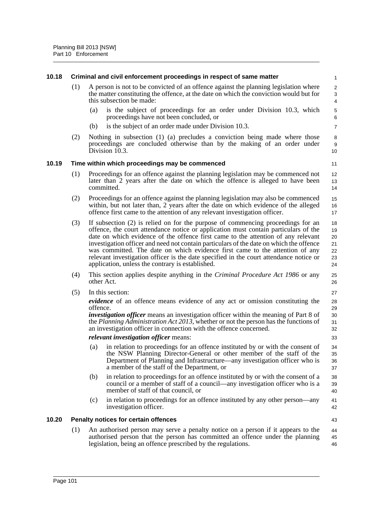### **10.18 Criminal and civil enforcement proceedings in respect of same matter**

- (1) A person is not to be convicted of an offence against the planning legislation where the matter constituting the offence, at the date on which the conviction would but for this subsection be made:
	- (a) is the subject of proceedings for an order under Division 10.3, which proceedings have not been concluded, or

11

43

- (b) is the subject of an order made under Division 10.3.
- (2) Nothing in subsection (1) (a) precludes a conviction being made where those proceedings are concluded otherwise than by the making of an order under Division 10.3.

## **10.19 Time within which proceedings may be commenced**

- (1) Proceedings for an offence against the planning legislation may be commenced not later than 2 years after the date on which the offence is alleged to have been committed. 12 13 14
- (2) Proceedings for an offence against the planning legislation may also be commenced within, but not later than, 2 years after the date on which evidence of the alleged offence first came to the attention of any relevant investigation officer. 15 16 17
- (3) If subsection (2) is relied on for the purpose of commencing proceedings for an offence, the court attendance notice or application must contain particulars of the date on which evidence of the offence first came to the attention of any relevant investigation officer and need not contain particulars of the date on which the offence was committed. The date on which evidence first came to the attention of any relevant investigation officer is the date specified in the court attendance notice or application, unless the contrary is established. 18 19 20 21 22 23 24
- (4) This section applies despite anything in the *Criminal Procedure Act 1986* or any other Act.
- (5) In this section:

*evidence* of an offence means evidence of any act or omission constituting the offence.

*investigation officer* means an investigation officer within the meaning of Part 8 of the *Planning Administration Act 2013*, whether or not the person has the functions of an investigation officer in connection with the offence concerned.

### *relevant investigation officer* means:

- (a) in relation to proceedings for an offence instituted by or with the consent of the NSW Planning Director-General or other member of the staff of the Department of Planning and Infrastructure—any investigation officer who is a member of the staff of the Department, or
- (b) in relation to proceedings for an offence instituted by or with the consent of a council or a member of staff of a council—any investigation officer who is a member of staff of that council, or 38 39 40
- (c) in relation to proceedings for an offence instituted by any other person—any investigation officer. 41 42

### **10.20 Penalty notices for certain offences**

(1) An authorised person may serve a penalty notice on a person if it appears to the authorised person that the person has committed an offence under the planning legislation, being an offence prescribed by the regulations. 44 45 46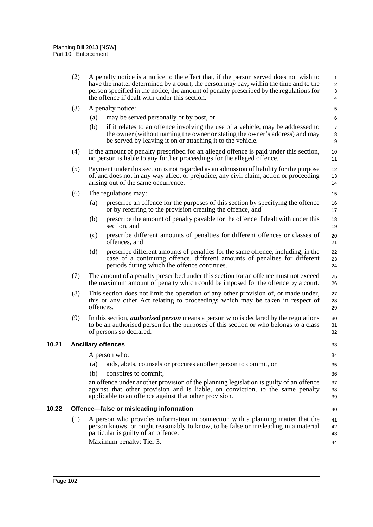| (2) |           | A penalty notice is a notice to the effect that, if the person served does not wish to<br>have the matter determined by a court, the person may pay, within the time and to the<br>person specified in the notice, the amount of penalty prescribed by the regulations for<br>the offence if dealt with under this section. | 1<br>$\overline{\mathbf{c}}$<br>3<br>4 |
|-----|-----------|-----------------------------------------------------------------------------------------------------------------------------------------------------------------------------------------------------------------------------------------------------------------------------------------------------------------------------|----------------------------------------|
| (3) |           | A penalty notice:                                                                                                                                                                                                                                                                                                           | 5                                      |
|     | (a)       | may be served personally or by post, or                                                                                                                                                                                                                                                                                     | 6                                      |
|     | (b)       | if it relates to an offence involving the use of a vehicle, may be addressed to<br>the owner (without naming the owner or stating the owner's address) and may<br>be served by leaving it on or attaching it to the vehicle.                                                                                                | 7<br>8<br>9                            |
| (4) |           | If the amount of penalty prescribed for an alleged offence is paid under this section,<br>no person is liable to any further proceedings for the alleged offence.                                                                                                                                                           | 10<br>11                               |
| (5) |           | Payment under this section is not regarded as an admission of liability for the purpose<br>of, and does not in any way affect or prejudice, any civil claim, action or proceeding<br>arising out of the same occurrence.                                                                                                    | 12<br>13<br>14                         |
| (6) |           | The regulations may:                                                                                                                                                                                                                                                                                                        | 15                                     |
|     | (a)       | prescribe an offence for the purposes of this section by specifying the offence<br>or by referring to the provision creating the offence, and                                                                                                                                                                               | 16<br>17                               |
|     | (b)       | prescribe the amount of penalty payable for the offence if dealt with under this<br>section, and                                                                                                                                                                                                                            | 18<br>19                               |
|     | (c)       | prescribe different amounts of penalties for different offences or classes of<br>offences, and                                                                                                                                                                                                                              | 20<br>21                               |
|     | (d)       | prescribe different amounts of penalties for the same offence, including, in the<br>case of a continuing offence, different amounts of penalties for different<br>periods during which the offence continues.                                                                                                               | 22<br>23<br>24                         |
| (7) |           | The amount of a penalty prescribed under this section for an offence must not exceed<br>the maximum amount of penalty which could be imposed for the offence by a court.                                                                                                                                                    | 25<br>26                               |
| (8) | offences. | This section does not limit the operation of any other provision of, or made under,<br>this or any other Act relating to proceedings which may be taken in respect of                                                                                                                                                       | 27<br>28<br>29                         |
| (9) |           | In this section, <i>authorised person</i> means a person who is declared by the regulations<br>to be an authorised person for the purposes of this section or who belongs to a class<br>of persons so declared.                                                                                                             | 30<br>31<br>32                         |
|     |           | <b>Ancillary offences</b>                                                                                                                                                                                                                                                                                                   | 33                                     |
|     |           | A person who:                                                                                                                                                                                                                                                                                                               | 34                                     |
|     | (a)       | aids, abets, counsels or procures another person to commit, or                                                                                                                                                                                                                                                              | 35                                     |
|     | (b)       | conspires to commit,                                                                                                                                                                                                                                                                                                        | 36                                     |
|     |           | an offence under another provision of the planning legislation is guilty of an offence<br>against that other provision and is liable, on conviction, to the same penalty<br>applicable to an offence against that other provision.                                                                                          | 37<br>38<br>39                         |
|     |           | Offence-false or misleading information                                                                                                                                                                                                                                                                                     | 40                                     |
| (1) |           | A person who provides information in connection with a planning matter that the<br>person knows, or ought reasonably to know, to be false or misleading in a material<br>particular is guilty of an offence.<br>Maximum penalty: Tier 3.                                                                                    | 41<br>42<br>43<br>44                   |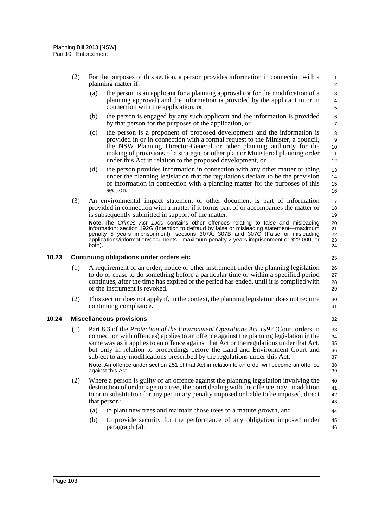- (2) For the purposes of this section, a person provides information in connection with a planning matter if:
	- (a) the person is an applicant for a planning approval (or for the modification of a planning approval) and the information is provided by the applicant in or in connection with the application, or

32

44

- (b) the person is engaged by any such applicant and the information is provided by that person for the purposes of the application, or
- (c) the person is a proponent of proposed development and the information is provided in or in connection with a formal request to the Minister, a council, the NSW Planning Director-General or other planning authority for the making of provisions of a strategic or other plan or Ministerial planning order under this Act in relation to the proposed development, or
- (d) the person provides information in connection with any other matter or thing under the planning legislation that the regulations declare to be the provision of information in connection with a planning matter for the purposes of this section.
- (3) An environmental impact statement or other document is part of information provided in connection with a matter if it forms part of or accompanies the matter or is subsequently submitted in support of the matter.

**Note.** The *Crimes Act 1900* contains other offences relating to false and misleading information: section 192G (Intention to defraud by false or misleading statement—maximum penalty 5 years imprisonment); sections 307A, 307B and 307C (False or misleading applications/information/documents—maximum penalty 2 years imprisonment or \$22,000, or both).

## **10.23 Continuing obligations under orders etc**

- (1) A requirement of an order, notice or other instrument under the planning legislation to do or cease to do something before a particular time or within a specified period continues, after the time has expired or the period has ended, until it is complied with or the instrument is revoked.
- (2) This section does not apply if, in the context, the planning legislation does not require continuing compliance.

### **10.24 Miscellaneous provisions**

- (1) Part 8.3 of the *Protection of the Environment Operations Act 1997* (Court orders in connection with offences) applies to an offence against the planning legislation in the same way as it applies to an offence against that Act or the regulations under that Act, but only in relation to proceedings before the Land and Environment Court and subject to any modifications prescribed by the regulations under this Act. **Note.** An offence under section 251 of that Act in relation to an order will become an offence against this Act. 33 34 35 36 37 38 39
- (2) Where a person is guilty of an offence against the planning legislation involving the destruction of or damage to a tree, the court dealing with the offence may, in addition to or in substitution for any pecuniary penalty imposed or liable to be imposed, direct that person: 40 41 42 43
	- (a) to plant new trees and maintain those trees to a mature growth, and
	- (b) to provide security for the performance of any obligation imposed under paragraph (a). 45 46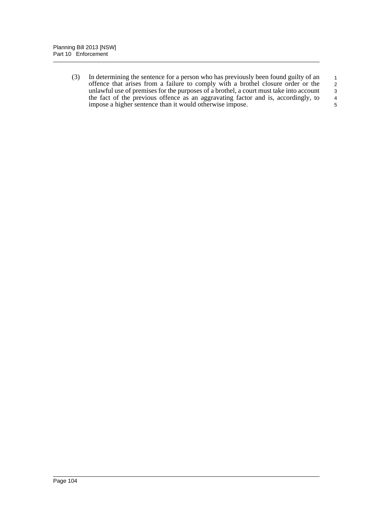(3) In determining the sentence for a person who has previously been found guilty of an offence that arises from a failure to comply with a brothel closure order or the unlawful use of premises for the purposes of a brothel, a court must take into account the fact of the previous offence as an aggravating factor and is, accordingly, to impose a higher sentence than it would otherwise impose.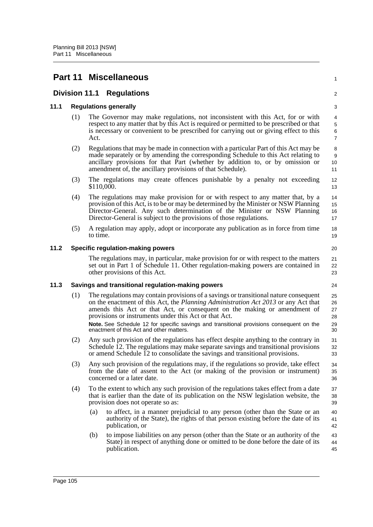|      |                      | <b>Part 11 Miscellaneous</b>                                                                                                                                                                                                                                                                                                                                                                                                                             | $\mathbf{1}$                      |
|------|----------------------|----------------------------------------------------------------------------------------------------------------------------------------------------------------------------------------------------------------------------------------------------------------------------------------------------------------------------------------------------------------------------------------------------------------------------------------------------------|-----------------------------------|
|      | <b>Division 11.1</b> | <b>Regulations</b>                                                                                                                                                                                                                                                                                                                                                                                                                                       | 2                                 |
| 11.1 |                      | <b>Regulations generally</b>                                                                                                                                                                                                                                                                                                                                                                                                                             | 3                                 |
|      | (1)                  | The Governor may make regulations, not inconsistent with this Act, for or with<br>respect to any matter that by this Act is required or permitted to be prescribed or that<br>is necessary or convenient to be prescribed for carrying out or giving effect to this<br>Act.                                                                                                                                                                              | 4<br>$\,$ 5 $\,$<br>$\,6$<br>7    |
|      | (2)                  | Regulations that may be made in connection with a particular Part of this Act may be<br>made separately or by amending the corresponding Schedule to this Act relating to<br>ancillary provisions for that Part (whether by addition to, or by omission or<br>amendment of, the ancillary provisions of that Schedule).                                                                                                                                  | 8<br>$\boldsymbol{9}$<br>10<br>11 |
|      | (3)                  | The regulations may create offences punishable by a penalty not exceeding<br>\$110,000.                                                                                                                                                                                                                                                                                                                                                                  | 12<br>13                          |
|      | (4)                  | The regulations may make provision for or with respect to any matter that, by a<br>provision of this Act, is to be or may be determined by the Minister or NSW Planning<br>Director-General. Any such determination of the Minister or NSW Planning<br>Director-General is subject to the provisions of those regulations.                                                                                                                               | 14<br>15<br>16<br>17              |
|      | (5)                  | A regulation may apply, adopt or incorporate any publication as in force from time<br>to time.                                                                                                                                                                                                                                                                                                                                                           | 18<br>19                          |
| 11.2 |                      | Specific regulation-making powers                                                                                                                                                                                                                                                                                                                                                                                                                        | 20                                |
|      |                      | The regulations may, in particular, make provision for or with respect to the matters<br>set out in Part 1 of Schedule 11. Other regulation-making powers are contained in<br>other provisions of this Act.                                                                                                                                                                                                                                              | 21<br>22<br>23                    |
| 11.3 |                      | Savings and transitional regulation-making powers                                                                                                                                                                                                                                                                                                                                                                                                        | 24                                |
|      | (1)                  | The regulations may contain provisions of a savings or transitional nature consequent<br>on the enactment of this Act, the Planning Administration Act 2013 or any Act that<br>amends this Act or that Act, or consequent on the making or amendment of<br>provisions or instruments under this Act or that Act.<br>Note. See Schedule 12 for specific savings and transitional provisions consequent on the<br>enactment of this Act and other matters. | 25<br>26<br>27<br>28<br>29<br>30  |
|      | (2)                  | Any such provision of the regulations has effect despite anything to the contrary in<br>Schedule 12. The regulations may make separate savings and transitional provisions<br>or amend Schedule 12 to consolidate the savings and transitional provisions.                                                                                                                                                                                               | 31<br>32<br>33                    |
|      | (3)                  | Any such provision of the regulations may, if the regulations so provide, take effect<br>from the date of assent to the Act (or making of the provision or instrument)<br>concerned or a later date.                                                                                                                                                                                                                                                     | 34<br>35<br>36                    |
|      | (4)                  | To the extent to which any such provision of the regulations takes effect from a date<br>that is earlier than the date of its publication on the NSW legislation website, the<br>provision does not operate so as:                                                                                                                                                                                                                                       | 37<br>38<br>39                    |
|      |                      | (a)<br>to affect, in a manner prejudicial to any person (other than the State or an<br>authority of the State), the rights of that person existing before the date of its<br>publication, or                                                                                                                                                                                                                                                             | 40<br>41<br>42                    |
|      |                      | to impose liabilities on any person (other than the State or an authority of the<br>(b)<br>State) in respect of anything done or omitted to be done before the date of its<br>publication.                                                                                                                                                                                                                                                               | 43<br>44<br>45                    |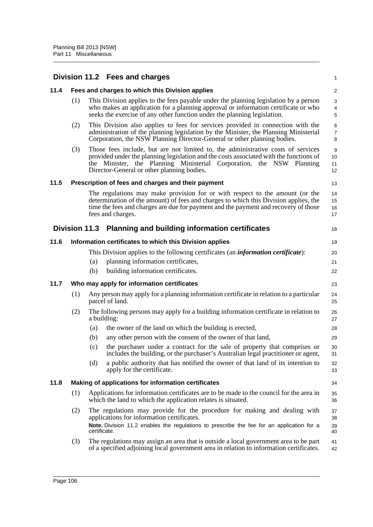# **Division 11.2 Fees and charges**

|      |                                                         |     | Division 11.2 Fees and charges                                                                                                                                                                                                                                                                   | $\mathbf{1}$                               |  |  |
|------|---------------------------------------------------------|-----|--------------------------------------------------------------------------------------------------------------------------------------------------------------------------------------------------------------------------------------------------------------------------------------------------|--------------------------------------------|--|--|
| 11.4 |                                                         |     | Fees and charges to which this Division applies                                                                                                                                                                                                                                                  | $\overline{c}$                             |  |  |
|      | (1)                                                     |     | This Division applies to the fees payable under the planning legislation by a person<br>who makes an application for a planning approval or information certificate or who<br>seeks the exercise of any other function under the planning legislation.                                           | $\sqrt{3}$<br>$\overline{\mathbf{4}}$<br>5 |  |  |
|      | (2)                                                     |     | This Division also applies to fees for services provided in connection with the<br>administration of the planning legislation by the Minister, the Planning Ministerial<br>Corporation, the NSW Planning Director-General or other planning bodies.                                              | $\,6$<br>$\boldsymbol{7}$<br>8             |  |  |
|      | (3)                                                     |     | Those fees include, but are not limited to, the administrative costs of services<br>provided under the planning legislation and the costs associated with the functions of<br>the Minister, the Planning Ministerial Corporation, the NSW Planning<br>Director-General or other planning bodies. | $\boldsymbol{9}$<br>10<br>11<br>12         |  |  |
| 11.5 |                                                         |     | Prescription of fees and charges and their payment                                                                                                                                                                                                                                               | 13                                         |  |  |
|      |                                                         |     | The regulations may make provision for or with respect to the amount (or the<br>determination of the amount) of fees and charges to which this Division applies, the<br>time the fees and charges are due for payment and the payment and recovery of those<br>fees and charges.                 | 14<br>15<br>16<br>17                       |  |  |
|      |                                                         |     | Division 11.3 Planning and building information certificates                                                                                                                                                                                                                                     | 18                                         |  |  |
| 11.6 | Information certificates to which this Division applies |     |                                                                                                                                                                                                                                                                                                  |                                            |  |  |
|      |                                                         |     | This Division applies to the following certificates (an <i>information certificate</i> ):                                                                                                                                                                                                        | 20                                         |  |  |
|      |                                                         | (a) | planning information certificates,                                                                                                                                                                                                                                                               | 21                                         |  |  |
|      |                                                         | (b) | building information certificates.                                                                                                                                                                                                                                                               | 22                                         |  |  |
| 11.7 |                                                         |     | Who may apply for information certificates                                                                                                                                                                                                                                                       | 23                                         |  |  |
|      | (1)                                                     |     | Any person may apply for a planning information certificate in relation to a particular<br>parcel of land.                                                                                                                                                                                       | 24<br>25                                   |  |  |
|      | (2)                                                     |     | The following persons may apply for a building information certificate in relation to<br>a building:                                                                                                                                                                                             | 26<br>27                                   |  |  |
|      |                                                         | (a) | the owner of the land on which the building is erected,                                                                                                                                                                                                                                          | 28                                         |  |  |
|      |                                                         | (b) | any other person with the consent of the owner of that land,                                                                                                                                                                                                                                     | 29                                         |  |  |
|      |                                                         | (c) | the purchaser under a contract for the sale of property that comprises or<br>includes the building, or the purchaser's Australian legal practitioner or agent,                                                                                                                                   | 30<br>31                                   |  |  |
|      |                                                         | (d) | a public authority that has notified the owner of that land of its intention to<br>apply for the certificate.                                                                                                                                                                                    | 32<br>33                                   |  |  |
| 11.8 |                                                         |     | Making of applications for information certificates                                                                                                                                                                                                                                              | 34                                         |  |  |
|      | (1)                                                     |     | Applications for information certificates are to be made to the council for the area in<br>which the land to which the application relates is situated.                                                                                                                                          | 35<br>36                                   |  |  |
|      | (2)                                                     |     | The regulations may provide for the procedure for making and dealing with<br>applications for information certificates.<br>Note. Division 11.2 enables the regulations to prescribe the fee for an application for a<br>certificate.                                                             | 37<br>38<br>39<br>40                       |  |  |
|      | (3)                                                     |     | The regulations may assign an area that is outside a local government area to be part<br>of a specified adjoining local government area in relation to information certificates.                                                                                                                 | 41<br>42                                   |  |  |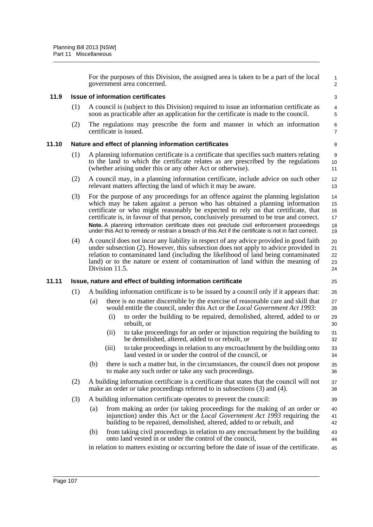For the purposes of this Division, the assigned area is taken to be a part of the local government area concerned.

1 2

 $20$ 

43 44 45

## **11.9 Issue of information certificates**

- (1) A council is (subject to this Division) required to issue an information certificate as soon as practicable after an application for the certificate is made to the council.
- (2) The regulations may prescribe the form and manner in which an information certificate is issued.

## **11.10 Nature and effect of planning information certificates**

- (1) A planning information certificate is a certificate that specifies such matters relating to the land to which the certificate relates as are prescribed by the regulations (whether arising under this or any other Act or otherwise).
- (2) A council may, in a planning information certificate, include advice on such other relevant matters affecting the land of which it may be aware.
- (3) For the purpose of any proceedings for an offence against the planning legislation which may be taken against a person who has obtained a planning information certificate or who might reasonably be expected to rely on that certificate, that certificate is, in favour of that person, conclusively presumed to be true and correct. **Note.** A planning information certificate does not preclude civil enforcement proceedings under this Act to remedy or restrain a breach of this Act if the certificate is not in fact correct. 14 15 16 17 18 19
- (4) A council does not incur any liability in respect of any advice provided in good faith under subsection (2). However, this subsection does not apply to advice provided in relation to contaminated land (including the likelihood of land being contaminated land) or to the nature or extent of contamination of land within the meaning of Division 11.5. 21

### **11.11 Issue, nature and effect of building information certificate**

- (1) A building information certificate is to be issued by a council only if it appears that: 26
	- (a) there is no matter discernible by the exercise of reasonable care and skill that would entitle the council, under this Act or the *Local Government Act 1993*: 27 28
		- (i) to order the building to be repaired, demolished, altered, added to or rebuilt, or
		- (ii) to take proceedings for an order or injunction requiring the building to be demolished, altered, added to or rebuilt, or
		- (iii) to take proceedings in relation to any encroachment by the building onto land vested in or under the control of the council, or
	- (b) there is such a matter but, in the circumstances, the council does not propose to make any such order or take any such proceedings.
- (2) A building information certificate is a certificate that states that the council will not make an order or take proceedings referred to in subsections (3) and (4).
- (3) A building information certificate operates to prevent the council:
	- (a) from making an order (or taking proceedings for the making of an order or injunction) under this Act or the *Local Government Act 1993* requiring the building to be repaired, demolished, altered, added to or rebuilt, and 40 41 42
	- (b) from taking civil proceedings in relation to any encroachment by the building onto land vested in or under the control of the council,

in relation to matters existing or occurring before the date of issue of the certificate.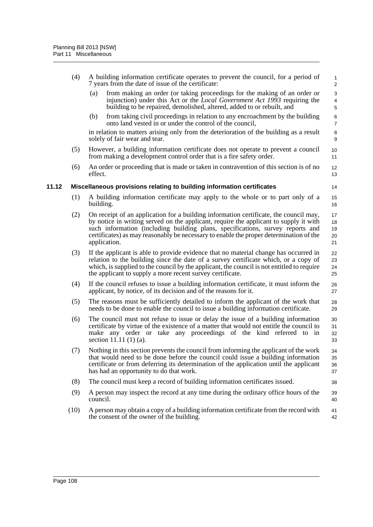|       | (4)  | A building information certificate operates to prevent the council, for a period of<br>$\mathbf{1}$<br>7 years from the date of issue of the certificate:<br>$\sqrt{2}$                                                                                                                                                                                                                                  |
|-------|------|----------------------------------------------------------------------------------------------------------------------------------------------------------------------------------------------------------------------------------------------------------------------------------------------------------------------------------------------------------------------------------------------------------|
|       |      | from making an order (or taking proceedings for the making of an order or<br>$\ensuremath{\mathsf{3}}$<br>(a)<br>injunction) under this Act or the <i>Local Government Act 1993</i> requiring the<br>$\overline{\mathbf{4}}$<br>building to be repaired, demolished, altered, added to or rebuilt, and<br>$\mathbf 5$                                                                                    |
|       |      | from taking civil proceedings in relation to any encroachment by the building<br>(b)<br>$\,6$<br>onto land vested in or under the control of the council,<br>$\overline{7}$                                                                                                                                                                                                                              |
|       |      | in relation to matters arising only from the deterioration of the building as a result<br>$\,$ 8 $\,$<br>solely of fair wear and tear.<br>9                                                                                                                                                                                                                                                              |
|       | (5)  | However, a building information certificate does not operate to prevent a council<br>10<br>from making a development control order that is a fire safety order.<br>11                                                                                                                                                                                                                                    |
|       | (6)  | An order or proceeding that is made or taken in contravention of this section is of no<br>12<br>effect.<br>13                                                                                                                                                                                                                                                                                            |
| 11.12 |      | Miscellaneous provisions relating to building information certificates<br>14                                                                                                                                                                                                                                                                                                                             |
|       | (1)  | A building information certificate may apply to the whole or to part only of a<br>15<br>building.<br>16                                                                                                                                                                                                                                                                                                  |
|       | (2)  | On receipt of an application for a building information certificate, the council may,<br>17<br>by notice in writing served on the applicant, require the applicant to supply it with<br>18<br>such information (including building plans, specifications, survey reports and<br>19<br>certificates) as may reasonably be necessary to enable the proper determination of the<br>20<br>application.<br>21 |
|       | (3)  | If the applicant is able to provide evidence that no material change has occurred in<br>22<br>relation to the building since the date of a survey certificate which, or a copy of<br>23<br>which, is supplied to the council by the applicant, the council is not entitled to require<br>24<br>the applicant to supply a more recent survey certificate.<br>25                                           |
|       | (4)  | If the council refuses to issue a building information certificate, it must inform the<br>26<br>applicant, by notice, of its decision and of the reasons for it.<br>27                                                                                                                                                                                                                                   |
|       | (5)  | The reasons must be sufficiently detailed to inform the applicant of the work that<br>28<br>needs to be done to enable the council to issue a building information certificate.<br>29                                                                                                                                                                                                                    |
|       | (6)  | The council must not refuse to issue or delay the issue of a building information<br>30<br>certificate by virtue of the existence of a matter that would not entitle the council to<br>31<br>make any order or take any proceedings of the kind referred to in<br>32<br>section 11.11 $(1)$ (a).<br>33                                                                                                   |
|       | (7)  | Nothing in this section prevents the council from informing the applicant of the work<br>34<br>that would need to be done before the council could issue a building information<br>35<br>certificate or from deferring its determination of the application until the applicant<br>36<br>has had an opportunity to do that work.<br>37                                                                   |
|       | (8)  | The council must keep a record of building information certificates issued.<br>38                                                                                                                                                                                                                                                                                                                        |
|       | (9)  | A person may inspect the record at any time during the ordinary office hours of the<br>39<br>council.<br>40                                                                                                                                                                                                                                                                                              |
|       | (10) | A person may obtain a copy of a building information certificate from the record with<br>41<br>the consent of the owner of the building.<br>42                                                                                                                                                                                                                                                           |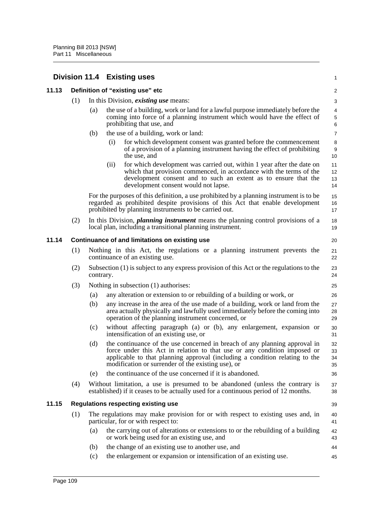|       |     |           | Division 11.4 Existing uses |                                                                                                                                                                                                                                                                                             |                                    |  |  |
|-------|-----|-----------|-----------------------------|---------------------------------------------------------------------------------------------------------------------------------------------------------------------------------------------------------------------------------------------------------------------------------------------|------------------------------------|--|--|
| 11.13 |     |           |                             | Definition of "existing use" etc                                                                                                                                                                                                                                                            | $\overline{\mathbf{c}}$            |  |  |
|       | (1) |           |                             | In this Division, <i>existing use</i> means:                                                                                                                                                                                                                                                | 3                                  |  |  |
|       |     | (a)       |                             | the use of a building, work or land for a lawful purpose immediately before the<br>coming into force of a planning instrument which would have the effect of<br>prohibiting that use, and                                                                                                   | $\overline{\mathcal{A}}$<br>5<br>6 |  |  |
|       |     | (b)       |                             | the use of a building, work or land:                                                                                                                                                                                                                                                        | $\overline{7}$                     |  |  |
|       |     |           | (i)                         | for which development consent was granted before the commencement<br>of a provision of a planning instrument having the effect of prohibiting<br>the use, and                                                                                                                               | 8<br>9<br>10                       |  |  |
|       |     |           | (ii)                        | for which development was carried out, within 1 year after the date on<br>which that provision commenced, in accordance with the terms of the<br>development consent and to such an extent as to ensure that the<br>development consent would not lapse.                                    | 11<br>12<br>13<br>14               |  |  |
|       |     |           |                             | For the purposes of this definition, a use prohibited by a planning instrument is to be<br>regarded as prohibited despite provisions of this Act that enable development<br>prohibited by planning instruments to be carried out.                                                           | 15<br>16<br>17                     |  |  |
|       | (2) |           |                             | In this Division, <i>planning instrument</i> means the planning control provisions of a<br>local plan, including a transitional planning instrument.                                                                                                                                        | 18<br>19                           |  |  |
| 11.14 |     |           |                             | Continuance of and limitations on existing use                                                                                                                                                                                                                                              | 20                                 |  |  |
|       | (1) |           |                             | Nothing in this Act, the regulations or a planning instrument prevents the<br>continuance of an existing use.                                                                                                                                                                               | 21<br>22                           |  |  |
|       | (2) | contrary. |                             | Subsection (1) is subject to any express provision of this Act or the regulations to the                                                                                                                                                                                                    | 23<br>24                           |  |  |
|       | (3) |           |                             | Nothing in subsection (1) authorises:                                                                                                                                                                                                                                                       | 25                                 |  |  |
|       |     | (a)       |                             | any alteration or extension to or rebuilding of a building or work, or                                                                                                                                                                                                                      | 26                                 |  |  |
|       |     | (b)       |                             | any increase in the area of the use made of a building, work or land from the<br>area actually physically and lawfully used immediately before the coming into<br>operation of the planning instrument concerned, or                                                                        | 27<br>28<br>29                     |  |  |
|       |     | (c)       |                             | without affecting paragraph (a) or (b), any enlargement, expansion or<br>intensification of an existing use, or                                                                                                                                                                             | 30<br>31                           |  |  |
|       |     | (d)       |                             | the continuance of the use concerned in breach of any planning approval in<br>force under this Act in relation to that use or any condition imposed or<br>applicable to that planning approval (including a condition relating to the<br>modification or surrender of the existing use), or | 32<br>33<br>34<br>35               |  |  |
|       |     | (e)       |                             | the continuance of the use concerned if it is abandoned.                                                                                                                                                                                                                                    | 36                                 |  |  |
|       | (4) |           |                             | Without limitation, a use is presumed to be abandoned (unless the contrary is<br>established) if it ceases to be actually used for a continuous period of 12 months.                                                                                                                        | 37<br>38                           |  |  |
| 11.15 |     |           |                             | Regulations respecting existing use                                                                                                                                                                                                                                                         | 39                                 |  |  |
|       | (1) |           |                             | The regulations may make provision for or with respect to existing uses and, in<br>particular, for or with respect to:                                                                                                                                                                      | 40<br>41                           |  |  |
|       |     | (a)       |                             | the carrying out of alterations or extensions to or the rebuilding of a building<br>or work being used for an existing use, and                                                                                                                                                             | 42<br>43                           |  |  |
|       |     | (b)       |                             | the change of an existing use to another use, and                                                                                                                                                                                                                                           | 44                                 |  |  |
|       |     | (c)       |                             | the enlargement or expansion or intensification of an existing use.                                                                                                                                                                                                                         | 45                                 |  |  |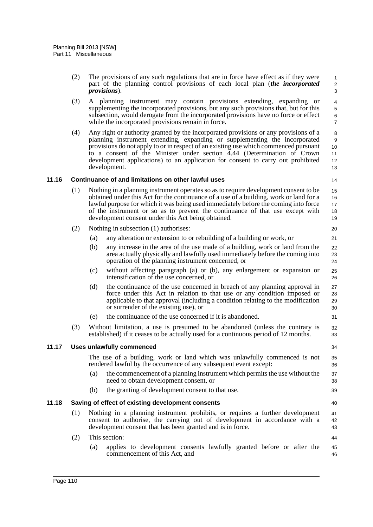|       |     |     | part of the planning control provisions of each local plan <i>(the incorporated</i><br><i>provisions</i> ).                                                                                                                                                                                                                                                                                                                              | $\overline{c}$<br>3                                                 |
|-------|-----|-----|------------------------------------------------------------------------------------------------------------------------------------------------------------------------------------------------------------------------------------------------------------------------------------------------------------------------------------------------------------------------------------------------------------------------------------------|---------------------------------------------------------------------|
|       | (3) |     | A planning instrument may contain provisions extending, expanding or<br>supplementing the incorporated provisions, but any such provisions that, but for this<br>subsection, would derogate from the incorporated provisions have no force or effect<br>while the incorporated provisions remain in force.                                                                                                                               | $\overline{\mathbf{4}}$<br>$\mathbf 5$<br>$\,6\,$<br>$\overline{7}$ |
|       | (4) |     | Any right or authority granted by the incorporated provisions or any provisions of a<br>planning instrument extending, expanding or supplementing the incorporated<br>provisions do not apply to or in respect of an existing use which commenced pursuant<br>to a consent of the Minister under section 4.44 (Determination of Crown<br>development applications) to an application for consent to carry out prohibited<br>development. | 8<br>$9\,$<br>10<br>11<br>12<br>13                                  |
| 11.16 |     |     | Continuance of and limitations on other lawful uses                                                                                                                                                                                                                                                                                                                                                                                      | 14                                                                  |
|       | (1) |     | Nothing in a planning instrument operates so as to require development consent to be<br>obtained under this Act for the continuance of a use of a building, work or land for a<br>lawful purpose for which it was being used immediately before the coming into force<br>of the instrument or so as to prevent the continuance of that use except with<br>development consent under this Act being obtained.                             | 15<br>16<br>17<br>18<br>19                                          |
|       | (2) |     | Nothing in subsection (1) authorises:                                                                                                                                                                                                                                                                                                                                                                                                    | 20                                                                  |
|       |     | (a) | any alteration or extension to or rebuilding of a building or work, or                                                                                                                                                                                                                                                                                                                                                                   | 21                                                                  |
|       |     | (b) | any increase in the area of the use made of a building, work or land from the<br>area actually physically and lawfully used immediately before the coming into<br>operation of the planning instrument concerned, or                                                                                                                                                                                                                     | 22<br>23<br>24                                                      |
|       |     | (c) | without affecting paragraph (a) or (b), any enlargement or expansion or<br>intensification of the use concerned, or                                                                                                                                                                                                                                                                                                                      | 25<br>26                                                            |
|       |     | (d) | the continuance of the use concerned in breach of any planning approval in<br>force under this Act in relation to that use or any condition imposed or<br>applicable to that approval (including a condition relating to the modification<br>or surrender of the existing use), or                                                                                                                                                       | 27<br>28<br>29<br>30                                                |
|       |     | (e) | the continuance of the use concerned if it is abandoned.                                                                                                                                                                                                                                                                                                                                                                                 | 31                                                                  |
|       | (3) |     | Without limitation, a use is presumed to be abandoned (unless the contrary is<br>established) if it ceases to be actually used for a continuous period of 12 months.                                                                                                                                                                                                                                                                     | 32<br>33                                                            |
| 11.17 |     |     | <b>Uses unlawfully commenced</b>                                                                                                                                                                                                                                                                                                                                                                                                         | 34                                                                  |
|       |     |     | The use of a building, work or land which was unlawfully commenced is not<br>rendered lawful by the occurrence of any subsequent event except:                                                                                                                                                                                                                                                                                           | 35<br>36                                                            |
|       |     | (a) | the commencement of a planning instrument which permits the use without the<br>need to obtain development consent, or                                                                                                                                                                                                                                                                                                                    | 37<br>38                                                            |
|       |     | (b) | the granting of development consent to that use.                                                                                                                                                                                                                                                                                                                                                                                         | 39                                                                  |
| 11.18 |     |     | Saving of effect of existing development consents                                                                                                                                                                                                                                                                                                                                                                                        | 40                                                                  |
|       | (1) |     | Nothing in a planning instrument prohibits, or requires a further development<br>consent to authorise, the carrying out of development in accordance with a<br>development consent that has been granted and is in force.                                                                                                                                                                                                                | 41<br>42<br>43                                                      |
|       | (2) |     | This section:                                                                                                                                                                                                                                                                                                                                                                                                                            | 44                                                                  |
|       |     | (a) | applies to development consents lawfully granted before or after the<br>commencement of this Act, and                                                                                                                                                                                                                                                                                                                                    | 45<br>46                                                            |

(2) The provisions of any such regulations that are in force have effect as if they were

1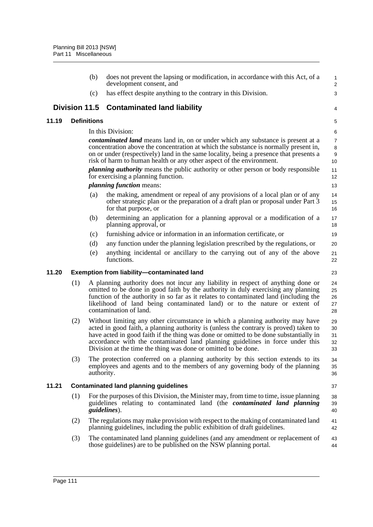|       |     | (b)                | does not prevent the lapsing or modification, in accordance with this Act, of a<br>development consent, and                                                                                                                                                                                                                                                                                                         | $\mathbf{1}$<br>2              |
|-------|-----|--------------------|---------------------------------------------------------------------------------------------------------------------------------------------------------------------------------------------------------------------------------------------------------------------------------------------------------------------------------------------------------------------------------------------------------------------|--------------------------------|
|       |     | (c)                | has effect despite anything to the contrary in this Division.                                                                                                                                                                                                                                                                                                                                                       | 3                              |
|       |     |                    | Division 11.5 Contaminated land liability                                                                                                                                                                                                                                                                                                                                                                           | 4                              |
| 11.19 |     | <b>Definitions</b> |                                                                                                                                                                                                                                                                                                                                                                                                                     | 5                              |
|       |     |                    | In this Division:                                                                                                                                                                                                                                                                                                                                                                                                   | 6                              |
|       |     |                    | contaminated land means land in, on or under which any substance is present at a<br>concentration above the concentration at which the substance is normally present in,<br>on or under (respectively) land in the same locality, being a presence that presents a<br>risk of harm to human health or any other aspect of the environment.                                                                          | $\overline{7}$<br>8<br>9<br>10 |
|       |     |                    | <i>planning authority</i> means the public authority or other person or body responsible<br>for exercising a planning function.                                                                                                                                                                                                                                                                                     | 11<br>12                       |
|       |     |                    | <i>planning function</i> means:                                                                                                                                                                                                                                                                                                                                                                                     | 13                             |
|       |     | (a)                | the making, amendment or repeal of any provisions of a local plan or of any<br>other strategic plan or the preparation of a draft plan or proposal under Part 3<br>for that purpose, or                                                                                                                                                                                                                             | 14<br>15<br>16                 |
|       |     | (b)                | determining an application for a planning approval or a modification of a<br>planning approval, or                                                                                                                                                                                                                                                                                                                  | 17<br>18                       |
|       |     | (c)                | furnishing advice or information in an information certificate, or                                                                                                                                                                                                                                                                                                                                                  | 19                             |
|       |     | (d)                | any function under the planning legislation prescribed by the regulations, or                                                                                                                                                                                                                                                                                                                                       | 20                             |
|       |     | (e)                | anything incidental or ancillary to the carrying out of any of the above<br>functions.                                                                                                                                                                                                                                                                                                                              | 21<br>22                       |
| 11.20 |     |                    | <b>Exemption from liability-contaminated land</b>                                                                                                                                                                                                                                                                                                                                                                   | 23                             |
|       | (1) |                    | A planning authority does not incur any liability in respect of anything done or<br>omitted to be done in good faith by the authority in duly exercising any planning<br>function of the authority in so far as it relates to contaminated land (including the<br>likelihood of land being contaminated land) or to the nature or extent of<br>contamination of land.                                               | 24<br>25<br>26<br>27<br>28     |
|       | (2) |                    | Without limiting any other circumstance in which a planning authority may have<br>acted in good faith, a planning authority is (unless the contrary is proved) taken to<br>have acted in good faith if the thing was done or omitted to be done substantially in<br>accordance with the contaminated land planning guidelines in force under this<br>Division at the time the thing was done or omitted to be done. | 29<br>30<br>31<br>32<br>33     |
|       | (3) | authority.         | The protection conferred on a planning authority by this section extends to its<br>employees and agents and to the members of any governing body of the planning                                                                                                                                                                                                                                                    | 34<br>35<br>36                 |
| 11.21 |     |                    | <b>Contaminated land planning guidelines</b>                                                                                                                                                                                                                                                                                                                                                                        | 37                             |
|       | (1) |                    | For the purposes of this Division, the Minister may, from time to time, issue planning<br>guidelines relating to contaminated land (the <i>contaminated land planning</i><br>guidelines).                                                                                                                                                                                                                           | 38<br>39<br>40                 |
|       | (2) |                    | The regulations may make provision with respect to the making of contaminated land<br>planning guidelines, including the public exhibition of draft guidelines.                                                                                                                                                                                                                                                     | 41<br>42                       |
|       | (3) |                    | The contaminated land planning guidelines (and any amendment or replacement of<br>those guidelines) are to be published on the NSW planning portal.                                                                                                                                                                                                                                                                 | 43<br>44                       |
|       |     |                    |                                                                                                                                                                                                                                                                                                                                                                                                                     |                                |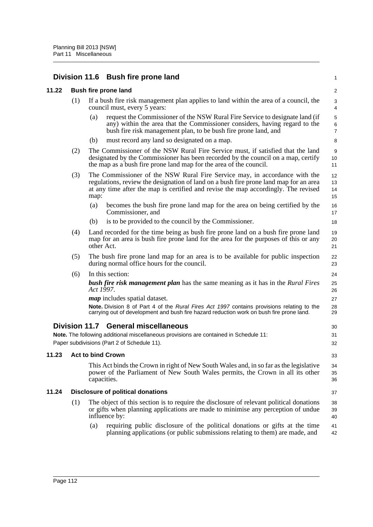# **Division 11.6 Bush fire prone land**

| 11.22 |     |             | <b>Bush fire prone land</b>                                                                                                                                                                                                                               | $\overline{2}$                     |
|-------|-----|-------------|-----------------------------------------------------------------------------------------------------------------------------------------------------------------------------------------------------------------------------------------------------------|------------------------------------|
|       | (1) |             | If a bush fire risk management plan applies to land within the area of a council, the<br>council must, every 5 years:                                                                                                                                     | $\sqrt{3}$<br>4                    |
|       |     | (a)         | request the Commissioner of the NSW Rural Fire Service to designate land (if<br>any) within the area that the Commissioner considers, having regard to the<br>bush fire risk management plan, to be bush fire prone land, and                             | $\mathbf 5$<br>6<br>$\overline{7}$ |
|       |     | (b)         | must record any land so designated on a map.                                                                                                                                                                                                              | 8                                  |
|       | (2) |             | The Commissioner of the NSW Rural Fire Service must, if satisfied that the land<br>designated by the Commissioner has been recorded by the council on a map, certify<br>the map as a bush fire prone land map for the area of the council.                | 9<br>10<br>11                      |
|       | (3) | map:        | The Commissioner of the NSW Rural Fire Service may, in accordance with the<br>regulations, review the designation of land on a bush fire prone land map for an area<br>at any time after the map is certified and revise the map accordingly. The revised | 12<br>13<br>14<br>15               |
|       |     | (a)         | becomes the bush fire prone land map for the area on being certified by the<br>Commissioner, and                                                                                                                                                          | 16<br>17                           |
|       |     | (b)         | is to be provided to the council by the Commissioner.                                                                                                                                                                                                     | 18                                 |
|       | (4) | other Act.  | Land recorded for the time being as bush fire prone land on a bush fire prone land<br>map for an area is bush fire prone land for the area for the purposes of this or any                                                                                | 19<br>20<br>21                     |
|       | (5) |             | The bush fire prone land map for an area is to be available for public inspection<br>during normal office hours for the council.                                                                                                                          | 22<br>23                           |
|       | (6) |             | In this section:                                                                                                                                                                                                                                          | 24                                 |
|       |     | Act 1997.   | <b>bush fire risk management plan</b> has the same meaning as it has in the Rural Fires                                                                                                                                                                   | 25<br>26                           |
|       |     |             | <i>map</i> includes spatial dataset.                                                                                                                                                                                                                      | 27                                 |
|       |     |             | Note. Division 8 of Part 4 of the Rural Fires Act 1997 contains provisions relating to the<br>carrying out of development and bush fire hazard reduction work on bush fire prone land.                                                                    | 28<br>29                           |
|       |     |             | Division 11.7 General miscellaneous                                                                                                                                                                                                                       | 30                                 |
|       |     |             | Note. The following additional miscellaneous provisions are contained in Schedule 11:                                                                                                                                                                     | 31                                 |
|       |     |             | Paper subdivisions (Part 2 of Schedule 11).                                                                                                                                                                                                               | 32                                 |
| 11.23 |     |             | <b>Act to bind Crown</b>                                                                                                                                                                                                                                  | 33                                 |
|       |     | capacities. | This Act binds the Crown in right of New South Wales and, in so far as the legislative<br>power of the Parliament of New South Wales permits, the Crown in all its other                                                                                  | 34<br>35<br>36                     |
| 11.24 |     |             | <b>Disclosure of political donations</b>                                                                                                                                                                                                                  | 37                                 |
|       | (1) |             | The object of this section is to require the disclosure of relevant political donations<br>or gifts when planning applications are made to minimise any perception of undue<br>influence by:                                                              | 38<br>39<br>40                     |
|       |     | (a)         | requiring public disclosure of the political donations or gifts at the time<br>planning applications (or public submissions relating to them) are made, and                                                                                               | 41<br>42                           |
|       |     |             |                                                                                                                                                                                                                                                           |                                    |

1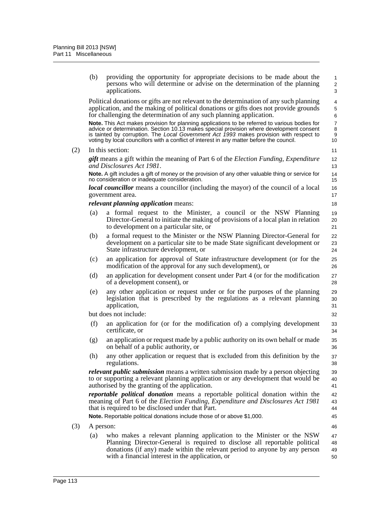(b) providing the opportunity for appropriate decisions to be made about the persons who will determine or advise on the determination of the planning applications.

Political donations or gifts are not relevant to the determination of any such planning application, and the making of political donations or gifts does not provide grounds for challenging the determination of any such planning application.

**Note.** This Act makes provision for planning applications to be referred to various bodies for advice or determination. Section 10.13 makes special provision where development consent is tainted by corruption. The *Local Government Act 1993* makes provision with respect to voting by local councillors with a conflict of interest in any matter before the council.

(2) In this section:

*gift* means a gift within the meaning of Part 6 of the *Election Funding, Expenditure and Disclosures Act 1981*.

**Note.** A gift includes a gift of money or the provision of any other valuable thing or service for no consideration or inadequate consideration.

*local councillor* means a councillor (including the mayor) of the council of a local government area.

*relevant planning application* means:

- (a) a formal request to the Minister, a council or the NSW Planning Director-General to initiate the making of provisions of a local plan in relation to development on a particular site, or
- (b) a formal request to the Minister or the NSW Planning Director-General for development on a particular site to be made State significant development or State infrastructure development, or
- (c) an application for approval of State infrastructure development (or for the modification of the approval for any such development), or
- (d) an application for development consent under Part 4 (or for the modification of a development consent), or
- (e) any other application or request under or for the purposes of the planning legislation that is prescribed by the regulations as a relevant planning application,

but does not include:

- (f) an application for (or for the modification of) a complying development certificate, or
- (g) an application or request made by a public authority on its own behalf or made on behalf of a public authority, or
- (h) any other application or request that is excluded from this definition by the regulations.

*relevant public submission* means a written submission made by a person objecting to or supporting a relevant planning application or any development that would be authorised by the granting of the application.

*reportable political donation* means a reportable political donation within the meaning of Part 6 of the *Election Funding, Expenditure and Disclosures Act 1981* that is required to be disclosed under that Part.

**Note.** Reportable political donations include those of or above \$1,000.

- (3) A person:
	- (a) who makes a relevant planning application to the Minister or the NSW Planning Director-General is required to disclose all reportable political donations (if any) made within the relevant period to anyone by any person with a financial interest in the application, or 47 48 49 50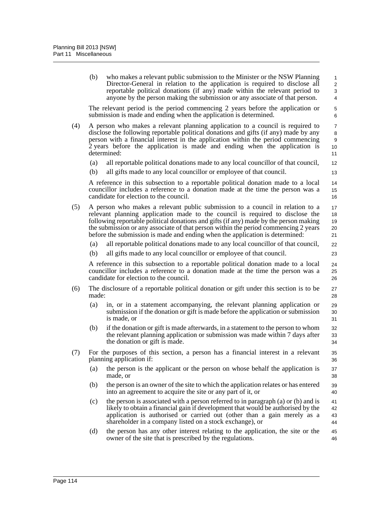(b) who makes a relevant public submission to the Minister or the NSW Planning Director-General in relation to the application is required to disclose all reportable political donations (if any) made within the relevant period to anyone by the person making the submission or any associate of that person.

22 23

27 28

32 33 34

The relevant period is the period commencing 2 years before the application or submission is made and ending when the application is determined.

- (4) A person who makes a relevant planning application to a council is required to disclose the following reportable political donations and gifts (if any) made by any person with a financial interest in the application within the period commencing 2 years before the application is made and ending when the application is determined:
	- (a) all reportable political donations made to any local councillor of that council,
	- (b) all gifts made to any local councillor or employee of that council.

A reference in this subsection to a reportable political donation made to a local councillor includes a reference to a donation made at the time the person was a candidate for election to the council. 14 15 16

- (5) A person who makes a relevant public submission to a council in relation to a relevant planning application made to the council is required to disclose the following reportable political donations and gifts (if any) made by the person making the submission or any associate of that person within the period commencing 2 years before the submission is made and ending when the application is determined: 17 18 19 20 21
	- (a) all reportable political donations made to any local councillor of that council,
	- (b) all gifts made to any local councillor or employee of that council.

A reference in this subsection to a reportable political donation made to a local councillor includes a reference to a donation made at the time the person was a candidate for election to the council. 24 25 26

- (6) The disclosure of a reportable political donation or gift under this section is to be made:
	- (a) in, or in a statement accompanying, the relevant planning application or submission if the donation or gift is made before the application or submission is made, or 29 30 31
	- (b) if the donation or gift is made afterwards, in a statement to the person to whom the relevant planning application or submission was made within 7 days after the donation or gift is made.
- (7) For the purposes of this section, a person has a financial interest in a relevant planning application if: 35 36
	- (a) the person is the applicant or the person on whose behalf the application is made, or 37 38
	- (b) the person is an owner of the site to which the application relates or has entered into an agreement to acquire the site or any part of it, or 39 40
	- (c) the person is associated with a person referred to in paragraph (a) or (b) and is likely to obtain a financial gain if development that would be authorised by the application is authorised or carried out (other than a gain merely as a shareholder in a company listed on a stock exchange), or 41 42 43 44
	- (d) the person has any other interest relating to the application, the site or the owner of the site that is prescribed by the regulations. 45 46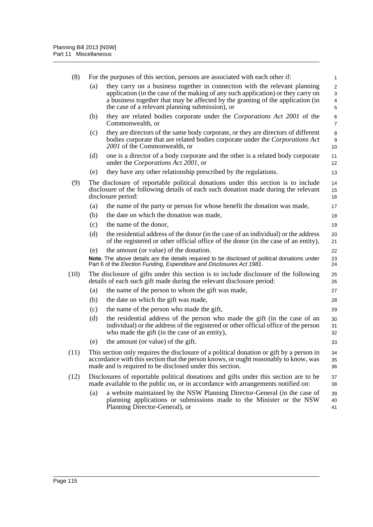| (8)  |     | For the purposes of this section, persons are associated with each other if:                                                                                                                                                                                                                         | $\mathbf{1}$                  |
|------|-----|------------------------------------------------------------------------------------------------------------------------------------------------------------------------------------------------------------------------------------------------------------------------------------------------------|-------------------------------|
|      | (a) | they carry on a business together in connection with the relevant planning<br>application (in the case of the making of any such application) or they carry on<br>a business together that may be affected by the granting of the application (in<br>the case of a relevant planning submission), or | $\overline{2}$<br>3<br>4<br>5 |
|      | (b) | they are related bodies corporate under the Corporations Act 2001 of the<br>Commonwealth, or                                                                                                                                                                                                         | 6<br>$\overline{7}$           |
|      | (c) | they are directors of the same body corporate, or they are directors of different<br>bodies corporate that are related bodies corporate under the Corporations Act<br>2001 of the Commonwealth, or                                                                                                   | 8<br>9<br>10                  |
|      | (d) | one is a director of a body corporate and the other is a related body corporate<br>under the Corporations Act 2001, or                                                                                                                                                                               | 11<br>$12 \overline{ }$       |
|      | (e) | they have any other relationship prescribed by the regulations.                                                                                                                                                                                                                                      | 13                            |
| (9)  |     | The disclosure of reportable political donations under this section is to include<br>disclosure of the following details of each such donation made during the relevant<br>disclosure period:                                                                                                        | 14<br>15<br>16                |
|      | (a) | the name of the party or person for whose benefit the donation was made,                                                                                                                                                                                                                             | 17                            |
|      | (b) | the date on which the donation was made,                                                                                                                                                                                                                                                             | 18                            |
|      | (c) | the name of the donor,                                                                                                                                                                                                                                                                               | 19                            |
|      | (d) | the residential address of the donor (in the case of an individual) or the address<br>of the registered or other official office of the donor (in the case of an entity),                                                                                                                            | 20<br>21                      |
|      | (e) | the amount (or value) of the donation.                                                                                                                                                                                                                                                               | 22                            |
|      |     | Note. The above details are the details required to be disclosed of political donations under<br>Part 6 of the Election Funding, Expenditure and Disclosures Act 1981.                                                                                                                               | 23<br>24                      |
| (10) |     | The disclosure of gifts under this section is to include disclosure of the following<br>details of each such gift made during the relevant disclosure period:                                                                                                                                        | 25<br>26                      |
|      | (a) | the name of the person to whom the gift was made,                                                                                                                                                                                                                                                    | 27                            |
|      | (b) | the date on which the gift was made,                                                                                                                                                                                                                                                                 | 28                            |
|      | (c) | the name of the person who made the gift,                                                                                                                                                                                                                                                            | 29                            |
|      | (d) | the residential address of the person who made the gift (in the case of an<br>individual) or the address of the registered or other official office of the person<br>who made the gift (in the case of an entity),                                                                                   | 30<br>31<br>32                |
|      | (e) | the amount (or value) of the gift.                                                                                                                                                                                                                                                                   | 33                            |
| (11) |     | This section only requires the disclosure of a political donation or gift by a person in<br>accordance with this section that the person knows, or ought reasonably to know, was<br>made and is required to be disclosed under this section.                                                         | 34<br>35<br>36                |
| (12) |     | Disclosures of reportable political donations and gifts under this section are to be<br>made available to the public on, or in accordance with arrangements notified on:                                                                                                                             | 37<br>38                      |
|      | (a) | a website maintained by the NSW Planning Director-General (in the case of<br>planning applications or submissions made to the Minister or the NSW<br>Planning Director-General), or                                                                                                                  | 39<br>40<br>41                |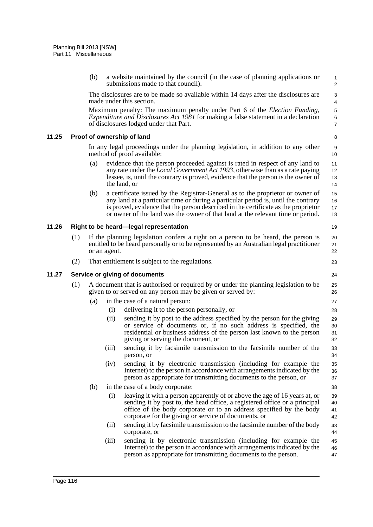(b) a website maintained by the council (in the case of planning applications or submissions made to that council).

19

The disclosures are to be made so available within 14 days after the disclosures are made under this section.

Maximum penalty: The maximum penalty under Part 6 of the *Election Funding, Expenditure and Disclosures Act 1981* for making a false statement in a declaration of disclosures lodged under that Part.

## **11.25 Proof of ownership of land**

In any legal proceedings under the planning legislation, in addition to any other method of proof available:

- (a) evidence that the person proceeded against is rated in respect of any land to any rate under the *Local Government Act 1993*, otherwise than as a rate paying lessee, is, until the contrary is proved, evidence that the person is the owner of the land, or
- (b) a certificate issued by the Registrar-General as to the proprietor or owner of any land at a particular time or during a particular period is, until the contrary is proved, evidence that the person described in the certificate as the proprietor or owner of the land was the owner of that land at the relevant time or period. 15 16 17 18

### **11.26 Right to be heard—legal representation**

- (1) If the planning legislation confers a right on a person to be heard, the person is entitled to be heard personally or to be represented by an Australian legal practitioner or an agent. 20 21 22
- (2) That entitlement is subject to the regulations.

**11.27 Service or giving of documents**

- (1) A document that is authorised or required by or under the planning legislation to be given to or served on any person may be given or served by:
	- (a) in the case of a natural person:
		- (i) delivering it to the person personally, or
		- (ii) sending it by post to the address specified by the person for the giving or service of documents or, if no such address is specified, the residential or business address of the person last known to the person giving or serving the document, or
		- (iii) sending it by facsimile transmission to the facsimile number of the person, or
		- (iv) sending it by electronic transmission (including for example the Internet) to the person in accordance with arrangements indicated by the person as appropriate for transmitting documents to the person, or
	- (b) in the case of a body corporate:
		- (i) leaving it with a person apparently of or above the age of 16 years at, or sending it by post to, the head office, a registered office or a principal office of the body corporate or to an address specified by the body corporate for the giving or service of documents, or
		- (ii) sending it by facsimile transmission to the facsimile number of the body corporate, or
		- (iii) sending it by electronic transmission (including for example the Internet) to the person in accordance with arrangements indicated by the person as appropriate for transmitting documents to the person. 45 46 47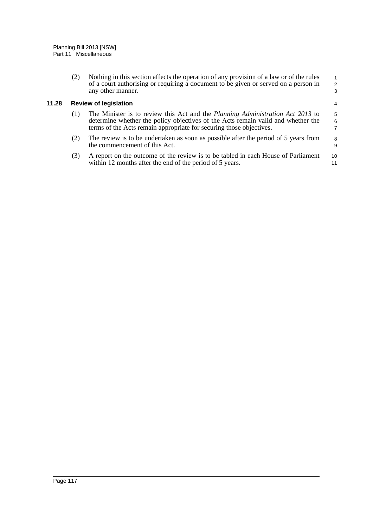| (2) | Nothing in this section affects the operation of any provision of a law or of the rules<br>of a court authorising or requiring a document to be given or served on a person in<br>any other manner.                                              | $\overline{2}$<br>3 |
|-----|--------------------------------------------------------------------------------------------------------------------------------------------------------------------------------------------------------------------------------------------------|---------------------|
|     | <b>Review of legislation</b>                                                                                                                                                                                                                     | 4                   |
| (1) | The Minister is to review this Act and the <i>Planning Administration Act 2013</i> to<br>determine whether the policy objectives of the Acts remain valid and whether the<br>terms of the Acts remain appropriate for securing those objectives. | 5<br>6              |
| (2) | The review is to be undertaken as soon as possible after the period of 5 years from<br>the commencement of this Act.                                                                                                                             | 8<br>9              |
| (3) | A report on the outcome of the review is to be tabled in each House of Parliament<br>within 12 months after the end of the period of 5 years.                                                                                                    | 10<br>11            |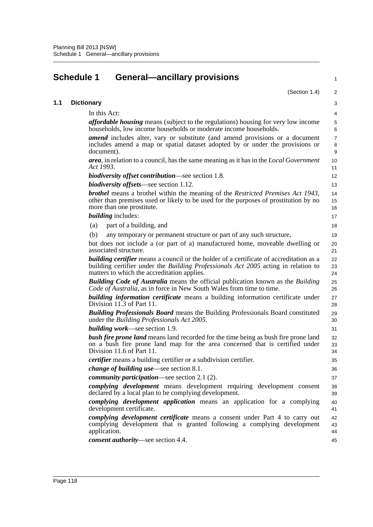| <b>Schedule 1</b> |                   | <b>General-ancillary provisions</b>                                                                                                                                                                                                        | 1                        |
|-------------------|-------------------|--------------------------------------------------------------------------------------------------------------------------------------------------------------------------------------------------------------------------------------------|--------------------------|
|                   |                   | (Section 1.4)                                                                                                                                                                                                                              | 2                        |
| 1.1               | <b>Dictionary</b> |                                                                                                                                                                                                                                            | 3                        |
|                   |                   | In this Act:                                                                                                                                                                                                                               | 4                        |
|                   |                   | <i>affordable housing</i> means (subject to the regulations) housing for very low income<br>households, low income households or moderate income households.                                                                               | $\mathbf 5$<br>6         |
|                   |                   | <b>amend</b> includes alter, vary or substitute (and amend provisions or a document<br>includes amend a map or spatial dataset adopted by or under the provisions or<br>document).                                                         | $\overline{7}$<br>8<br>9 |
|                   |                   | area, in relation to a council, has the same meaning as it has in the Local Government<br>Act 1993.                                                                                                                                        | 10<br>11                 |
|                   |                   | <i>biodiversity offset contribution</i> —see section 1.8.                                                                                                                                                                                  | 12                       |
|                   |                   | <i>biodiversity offsets</i> —see section 1.12.                                                                                                                                                                                             | 13                       |
|                   |                   | <b>brothel</b> means a brothel within the meaning of the <i>Restricted Premises Act 1943</i> ,<br>other than premises used or likely to be used for the purposes of prostitution by no<br>more than one prostitute.                        | 14<br>15<br>16           |
|                   |                   | <i>building</i> includes:                                                                                                                                                                                                                  | 17                       |
|                   | (a)               | part of a building, and                                                                                                                                                                                                                    | 18                       |
|                   | (b)               | any temporary or permanent structure or part of any such structure,                                                                                                                                                                        | 19                       |
|                   |                   | but does not include a (or part of a) manufactured home, moveable dwelling or<br>associated structure.                                                                                                                                     | 20<br>21                 |
|                   |                   | <b>building certifier</b> means a council or the holder of a certificate of accreditation as a<br>building certifier under the <i>Building Professionals Act 2005</i> acting in relation to<br>matters to which the accreditation applies. | 22<br>23<br>24           |
|                   |                   | <b>Building Code of Australia</b> means the official publication known as the Building<br>Code of Australia, as in force in New South Wales from time to time.                                                                             | 25<br>26                 |
|                   |                   | <b>building information certificate</b> means a building information certificate under<br>Division 11.3 of Part 11.                                                                                                                        | 27<br>28                 |
|                   |                   | <b>Building Professionals Board</b> means the Building Professionals Board constituted<br>under the Building Professionals Act 2005.                                                                                                       | 29<br>30                 |
|                   |                   | <i>building work—see section 1.9.</i>                                                                                                                                                                                                      | 31                       |
|                   |                   | <b>bush fire prone land</b> means land recorded for the time being as bush fire prone land<br>on a bush fire prone land map for the area concerned that is certified under<br>Division 11.6 of Part 11.                                    | 32<br>33<br>34           |
|                   |                   | <i>certifier</i> means a building certifier or a subdivision certifier.                                                                                                                                                                    | 35                       |
|                   |                   | change of building use—see section 8.1.                                                                                                                                                                                                    | 36                       |
|                   |                   | <i>community participation—see section 2.1 (2).</i>                                                                                                                                                                                        | 37                       |
|                   |                   | <i>complying development</i> means development requiring development consent<br>declared by a local plan to be complying development.                                                                                                      | 38<br>39                 |
|                   |                   | <i>complying development application</i> means an application for a complying<br>development certificate.                                                                                                                                  | 40<br>41                 |
|                   |                   | complying development certificate means a consent under Part 4 to carry out<br>complying development that is granted following a complying development<br>application.                                                                     | 42<br>43<br>44           |
|                   |                   | <i>consent authority</i> —see section 4.4.                                                                                                                                                                                                 | 45                       |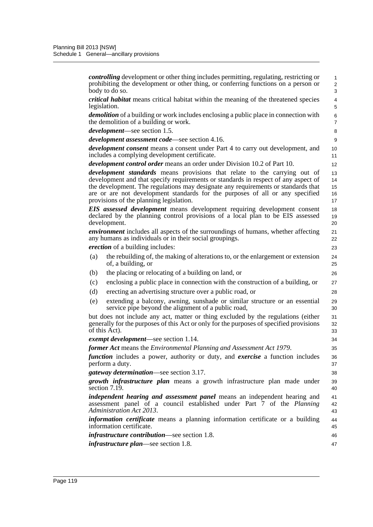| <i>controlling</i> development or other thing includes permitting, regulating, restricting or<br>prohibiting the development or other thing, or conferring functions on a person or<br>body to do so.                                                                                                                                                                                   | 1<br>2<br>3                |
|-----------------------------------------------------------------------------------------------------------------------------------------------------------------------------------------------------------------------------------------------------------------------------------------------------------------------------------------------------------------------------------------|----------------------------|
| <i>critical habitat</i> means critical habitat within the meaning of the threatened species<br>legislation.                                                                                                                                                                                                                                                                             | 4<br>5                     |
| <i>demolition</i> of a building or work includes enclosing a public place in connection with<br>the demolition of a building or work.                                                                                                                                                                                                                                                   | 6<br>$\overline{7}$        |
| <i>development</i> —see section 1.5.                                                                                                                                                                                                                                                                                                                                                    | 8                          |
| <i>development assessment code</i> —see section 4.16.                                                                                                                                                                                                                                                                                                                                   | 9                          |
| <i>development consent</i> means a consent under Part 4 to carry out development, and<br>includes a complying development certificate.                                                                                                                                                                                                                                                  | 10<br>11                   |
| <i>development control order</i> means an order under Division 10.2 of Part 10.                                                                                                                                                                                                                                                                                                         | 12                         |
| <i>development standards</i> means provisions that relate to the carrying out of<br>development and that specify requirements or standards in respect of any aspect of<br>the development. The regulations may designate any requirements or standards that<br>are or are not development standards for the purposes of all or any specified<br>provisions of the planning legislation. | 13<br>14<br>15<br>16<br>17 |
| <b>EIS</b> assessed development means development requiring development consent<br>declared by the planning control provisions of a local plan to be EIS assessed<br>development.                                                                                                                                                                                                       | 18<br>19<br>20             |
| <i>environment</i> includes all aspects of the surroundings of humans, whether affecting<br>any humans as individuals or in their social groupings.                                                                                                                                                                                                                                     | 21<br>22                   |
| <i>erection</i> of a building includes:                                                                                                                                                                                                                                                                                                                                                 | 23                         |
| the rebuilding of, the making of alterations to, or the enlargement or extension<br>(a)<br>of, a building, or                                                                                                                                                                                                                                                                           | 24<br>25                   |
| the placing or relocating of a building on land, or<br>(b)                                                                                                                                                                                                                                                                                                                              | 26                         |
| enclosing a public place in connection with the construction of a building, or<br>(c)                                                                                                                                                                                                                                                                                                   | 27                         |
| (d)<br>erecting an advertising structure over a public road, or                                                                                                                                                                                                                                                                                                                         | 28                         |
| extending a balcony, awning, sunshade or similar structure or an essential<br>(e)<br>service pipe beyond the alignment of a public road,                                                                                                                                                                                                                                                | 29<br>30                   |
| but does not include any act, matter or thing excluded by the regulations (either<br>generally for the purposes of this Act or only for the purposes of specified provisions<br>of this Act).                                                                                                                                                                                           | 31<br>32<br>33             |
| <i>exempt development—see section 1.14.</i>                                                                                                                                                                                                                                                                                                                                             | 34                         |
| former Act means the Environmental Planning and Assessment Act 1979.                                                                                                                                                                                                                                                                                                                    | 35                         |
| <i>function</i> includes a power, authority or duty, and <i>exercise</i> a function includes<br>perform a duty.                                                                                                                                                                                                                                                                         | 36<br>37                   |
| gateway determination—see section 3.17.                                                                                                                                                                                                                                                                                                                                                 | 38                         |
| growth infrastructure plan means a growth infrastructure plan made under<br>section 7.19.                                                                                                                                                                                                                                                                                               | 39<br>40                   |
| <i>independent hearing and assessment panel</i> means an independent hearing and<br>assessment panel of a council established under Part 7 of the Planning<br>Administration Act 2013.                                                                                                                                                                                                  | 41<br>42<br>43             |
| <i>information certificate</i> means a planning information certificate or a building<br>information certificate.                                                                                                                                                                                                                                                                       | 44<br>45                   |
| <i>infrastructure contribution</i> —see section 1.8.                                                                                                                                                                                                                                                                                                                                    | 46                         |
| <i>infrastructure plan—see section 1.8.</i>                                                                                                                                                                                                                                                                                                                                             | 47                         |
|                                                                                                                                                                                                                                                                                                                                                                                         |                            |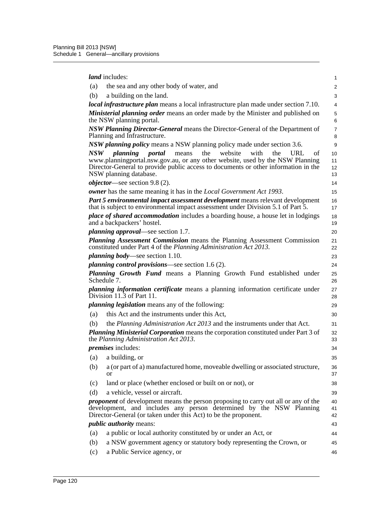*land* includes:

|     | <i>unu</i> munus.                                                                                                                                                                                                                                                                 | л.                   |
|-----|-----------------------------------------------------------------------------------------------------------------------------------------------------------------------------------------------------------------------------------------------------------------------------------|----------------------|
| (a) | the sea and any other body of water, and                                                                                                                                                                                                                                          | $\overline{2}$       |
| (b) | a building on the land.                                                                                                                                                                                                                                                           | 3                    |
|     | <i>local infrastructure plan</i> means a local infrastructure plan made under section 7.10.                                                                                                                                                                                       | $\overline{4}$       |
|     | <b>Ministerial planning order</b> means an order made by the Minister and published on<br>the NSW planning portal.                                                                                                                                                                | 5<br>6               |
|     | <b>NSW Planning Director-General</b> means the Director-General of the Department of<br>Planning and Infrastructure.                                                                                                                                                              | $\overline{7}$<br>8  |
|     | <b>NSW planning policy</b> means a NSW planning policy made under section 3.6.                                                                                                                                                                                                    | 9                    |
|     | website<br>with<br>NSW<br>planning<br>portal<br>means<br>the<br>the<br>URL<br>of<br>www.planningportal.nsw.gov.au, or any other website, used by the NSW Planning<br>Director-General to provide public access to documents or other information in the<br>NSW planning database. | 10<br>11<br>12<br>13 |
|     | <i>objector</i> —see section 9.8 $(2)$ .                                                                                                                                                                                                                                          | 14                   |
|     | owner has the same meaning it has in the Local Government Act 1993.                                                                                                                                                                                                               | 15                   |
|     | <b>Part 5 environmental impact assessment development</b> means relevant development<br>that is subject to environmental impact assessment under Division 5.1 of Part 5.                                                                                                          | 16<br>17             |
|     | <i>place of shared accommodation</i> includes a boarding house, a house let in lodgings<br>and a backpackers' hostel.                                                                                                                                                             | 18<br>19             |
|     | <i>planning approval</i> —see section 1.7.                                                                                                                                                                                                                                        | 20                   |
|     | Planning Assessment Commission means the Planning Assessment Commission<br>constituted under Part 4 of the Planning Administration Act 2013.                                                                                                                                      | 21<br>22             |
|     | <i>planning body</i> —see section 1.10.                                                                                                                                                                                                                                           | 23                   |
|     | <i>planning control provisions</i> —see section $1.6(2)$ .                                                                                                                                                                                                                        | 24                   |
|     | Planning Growth Fund means a Planning Growth Fund established under<br>Schedule 7.                                                                                                                                                                                                | 25<br>26             |
|     | <i>planning information certificate</i> means a planning information certificate under<br>Division 11.3 of Part 11.                                                                                                                                                               | 27<br>28             |
|     | <i>planning legislation</i> means any of the following:                                                                                                                                                                                                                           | 29                   |
| (a) | this Act and the instruments under this Act,                                                                                                                                                                                                                                      | 30                   |
| (b) | the Planning Administration Act 2013 and the instruments under that Act.                                                                                                                                                                                                          | 31                   |
|     | Planning Ministerial Corporation means the corporation constituted under Part 3 of<br>the Planning Administration Act 2013.                                                                                                                                                       | 32<br>33             |
|     | <i>premises</i> includes:                                                                                                                                                                                                                                                         | 34                   |
|     | $(a)$ a building, or                                                                                                                                                                                                                                                              | 35                   |
| (b) | a (or part of a) manufactured home, moveable dwelling or associated structure,<br><b>or</b>                                                                                                                                                                                       | 36<br>37             |
| (c) | land or place (whether enclosed or built on or not), or                                                                                                                                                                                                                           | 38                   |
| (d) | a vehicle, vessel or aircraft.                                                                                                                                                                                                                                                    | 39                   |
|     | <i>proponent</i> of development means the person proposing to carry out all or any of the<br>development, and includes any person determined by the NSW Planning<br>Director-General (or taken under this Act) to be the proponent.                                               | 40<br>41<br>42       |
|     |                                                                                                                                                                                                                                                                                   |                      |
|     | <i>public authority means:</i>                                                                                                                                                                                                                                                    | 43                   |
| (a) | a public or local authority constituted by or under an Act, or                                                                                                                                                                                                                    | 44                   |
| (b) | a NSW government agency or statutory body representing the Crown, or                                                                                                                                                                                                              | 45                   |
| (c) | a Public Service agency, or                                                                                                                                                                                                                                                       | 46                   |

1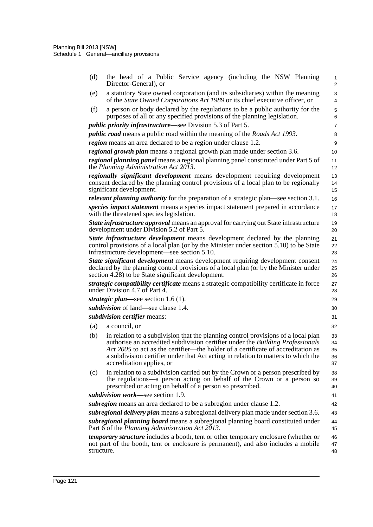| (d) | the head of a Public Service agency (including the NSW Planning<br>Director-General), or                                                                                                                                                                                                                                                                                  | 1<br>2                     |
|-----|---------------------------------------------------------------------------------------------------------------------------------------------------------------------------------------------------------------------------------------------------------------------------------------------------------------------------------------------------------------------------|----------------------------|
| (e) | a statutory State owned corporation (and its subsidiaries) within the meaning<br>of the <i>State Owned Corporations Act 1989</i> or its chief executive officer, or                                                                                                                                                                                                       | 3<br>4                     |
| (f) | a person or body declared by the regulations to be a public authority for the<br>purposes of all or any specified provisions of the planning legislation.                                                                                                                                                                                                                 | 5<br>6                     |
|     | <i>public priority infrastructure</i> —see Division 5.3 of Part 5.                                                                                                                                                                                                                                                                                                        | $\overline{7}$             |
|     | <i>public road</i> means a public road within the meaning of the <i>Roads Act 1993</i> .                                                                                                                                                                                                                                                                                  | 8                          |
|     | <i>region</i> means an area declared to be a region under clause 1.2.                                                                                                                                                                                                                                                                                                     | 9                          |
|     | <i>regional growth plan</i> means a regional growth plan made under section 3.6.                                                                                                                                                                                                                                                                                          | 10                         |
|     | <i>regional planning panel</i> means a regional planning panel constituted under Part 5 of<br>the Planning Administration Act 2013.                                                                                                                                                                                                                                       | 11<br>12                   |
|     | regionally significant development means development requiring development<br>consent declared by the planning control provisions of a local plan to be regionally<br>significant development.                                                                                                                                                                            | 13<br>14<br>15             |
|     | <i>relevant planning authority</i> for the preparation of a strategic plan—see section 3.1.                                                                                                                                                                                                                                                                               | 16                         |
|     | species impact statement means a species impact statement prepared in accordance<br>with the threatened species legislation.                                                                                                                                                                                                                                              | 17<br>18                   |
|     | <b>State infrastructure approval</b> means an approval for carrying out State infrastructure<br>development under Division 5.2 of Part 5.                                                                                                                                                                                                                                 | 19<br>20                   |
|     | <b>State infrastructure development</b> means development declared by the planning<br>control provisions of a local plan (or by the Minister under section 5.10) to be State<br>infrastructure development—see section 5.10.                                                                                                                                              | 21<br>22<br>23             |
|     | <b>State significant development</b> means development requiring development consent<br>declared by the planning control provisions of a local plan (or by the Minister under<br>section 4.28) to be State significant development.                                                                                                                                       | 24<br>25<br>26             |
|     | <i>strategic compatibility certificate</i> means a strategic compatibility certificate in force<br>under Division 4.7 of Part 4.                                                                                                                                                                                                                                          | 27<br>28                   |
|     | <i>strategic plan—see section 1.6 (1).</i>                                                                                                                                                                                                                                                                                                                                | 29                         |
|     | subdivision of land—see clause 1.4.                                                                                                                                                                                                                                                                                                                                       | 30                         |
|     | subdivision certifier means:                                                                                                                                                                                                                                                                                                                                              | 31                         |
| (a) | a council, or                                                                                                                                                                                                                                                                                                                                                             | 32                         |
| (b) | in relation to a subdivision that the planning control provisions of a local plan<br>authorise an accredited subdivision certifier under the Building Professionals<br>Act 2005 to act as the certifier—the holder of a certificate of accreditation as<br>a subdivision certifier under that Act acting in relation to matters to which the<br>accreditation applies, or | 33<br>34<br>35<br>36<br>37 |
| (c) | in relation to a subdivision carried out by the Crown or a person prescribed by<br>the regulations—a person acting on behalf of the Crown or a person so<br>prescribed or acting on behalf of a person so prescribed.                                                                                                                                                     | 38<br>39<br>40             |
|     | subdivision work—see section 1.9.                                                                                                                                                                                                                                                                                                                                         | 41                         |
|     | subregion means an area declared to be a subregion under clause 1.2.                                                                                                                                                                                                                                                                                                      | 42                         |
|     | <i>subregional delivery plan</i> means a subregional delivery plan made under section 3.6.                                                                                                                                                                                                                                                                                | 43                         |
|     | subregional planning board means a subregional planning board constituted under<br>Part 6 of the Planning Administration Act 2013.                                                                                                                                                                                                                                        | 44<br>45                   |
|     | <i>temporary structure</i> includes a booth, tent or other temporary enclosure (whether or<br>not part of the booth, tent or enclosure is permanent), and also includes a mobile<br>structure.                                                                                                                                                                            | 46<br>47<br>48             |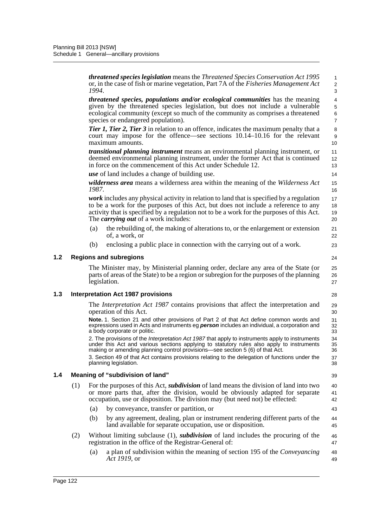*threatened species legislation* means the *Threatened Species Conservation Act 1995* or, in the case of fish or marine vegetation, Part 7A of the *Fisheries Management Act 1994*. *threatened species, populations and/or ecological communities* has the meaning given by the threatened species legislation, but does not include a vulnerable ecological community (except so much of the community as comprises a threatened species or endangered population). *Tier 1, Tier 2, Tier 3* in relation to an offence, indicates the maximum penalty that a court may impose for the offence—see sections 10.14–10.16 for the relevant maximum amounts. *transitional planning instrument* means an environmental planning instrument, or deemed environmental planning instrument, under the former Act that is continued in force on the commencement of this Act under Schedule 12. *use* of land includes a change of building use. *wilderness area* means a wilderness area within the meaning of the *Wilderness Act 1987*. *work* includes any physical activity in relation to land that is specified by a regulation to be a work for the purposes of this Act, but does not include a reference to any activity that is specified by a regulation not to be a work for the purposes of this Act. The *carrying out* of a work includes: (a) the rebuilding of, the making of alterations to, or the enlargement or extension of, a work, or (b) enclosing a public place in connection with the carrying out of a work. **1.2 Regions and subregions** The Minister may, by Ministerial planning order, declare any area of the State (or parts of areas of the State) to be a region or subregion for the purposes of the planning legislation. **1.3 Interpretation Act 1987 provisions** The *Interpretation Act 1987* contains provisions that affect the interpretation and operation of this Act. **Note.** 1. Section 21 and other provisions of Part 2 of that Act define common words and expressions used in Acts and instruments eg *person* includes an individual, a corporation and a body corporate or politic. 2. The provisions of the *Interpretation Act 1987* that apply to instruments apply to instruments under this Act and various sections applying to statutory rules also apply to instruments making or amending planning control provisions—see section 5 (6) of that Act. 3. Section 49 of that Act contains provisions relating to the delegation of functions under the planning legislation. **1.4 Meaning of "subdivision of land"** (1) For the purposes of this Act, *subdivision* of land means the division of land into two or more parts that, after the division, would be obviously adapted for separate occupation, use or disposition. The division may (but need not) be effected: (a) by conveyance, transfer or partition, or (b) by any agreement, dealing, plan or instrument rendering different parts of the land available for separate occupation, use or disposition. 1 2 3 4 5 6 7 8 9 10 11 12 13 14 15 16 17 18 19 20 21  $22$  $23$ 24 25 26 27 28 29 30 31 32 33 34 35 36 37 38 39 40 41 42 43 44 45

- (2) Without limiting subclause (1), *subdivision* of land includes the procuring of the registration in the office of the Registrar-General of: 46 47
	- (a) a plan of subdivision within the meaning of section 195 of the *Conveyancing Act 1919*, or 48 49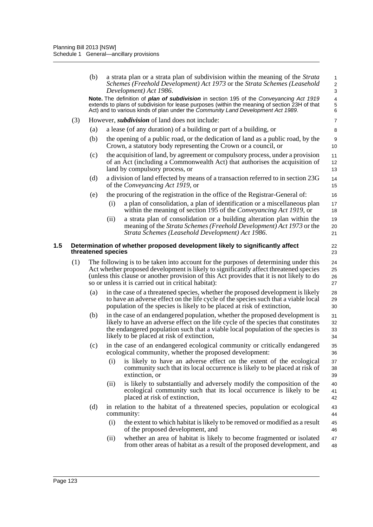|     |     | (b)                                                                                                                                                                                                                                                                                                                                |      | a strata plan or a strata plan of subdivision within the meaning of the <i>Strata</i><br>Schemes (Freehold Development) Act 1973 or the Strata Schemes (Leasehold<br>Development) Act 1986.                                                                                                         | $\mathbf{1}$<br>$\overline{2}$<br>$\mathsf 3$ |  |  |  |  |
|-----|-----|------------------------------------------------------------------------------------------------------------------------------------------------------------------------------------------------------------------------------------------------------------------------------------------------------------------------------------|------|-----------------------------------------------------------------------------------------------------------------------------------------------------------------------------------------------------------------------------------------------------------------------------------------------------|-----------------------------------------------|--|--|--|--|
|     |     |                                                                                                                                                                                                                                                                                                                                    |      | Note. The definition of plan of subdivision in section 195 of the Conveyancing Act 1919<br>extends to plans of subdivision for lease purposes (within the meaning of section 23H of that<br>Act) and to various kinds of plan under the Community Land Development Act 1989.                        | $\overline{4}$<br>5<br>6                      |  |  |  |  |
|     | (3) | However, <i>subdivision</i> of land does not include:<br>$\overline{7}$                                                                                                                                                                                                                                                            |      |                                                                                                                                                                                                                                                                                                     |                                               |  |  |  |  |
|     |     | (a)                                                                                                                                                                                                                                                                                                                                |      | a lease (of any duration) of a building or part of a building, or                                                                                                                                                                                                                                   | 8                                             |  |  |  |  |
|     |     | (b)                                                                                                                                                                                                                                                                                                                                |      | the opening of a public road, or the dedication of land as a public road, by the<br>Crown, a statutory body representing the Crown or a council, or                                                                                                                                                 | 9<br>10                                       |  |  |  |  |
|     |     | (c)                                                                                                                                                                                                                                                                                                                                |      | the acquisition of land, by agreement or compulsory process, under a provision<br>of an Act (including a Commonwealth Act) that authorises the acquisition of<br>land by compulsory process, or                                                                                                     | 11<br>12<br>13                                |  |  |  |  |
|     |     | (d)                                                                                                                                                                                                                                                                                                                                |      | a division of land effected by means of a transaction referred to in section 23G<br>of the Conveyancing Act 1919, or                                                                                                                                                                                | 14<br>15                                      |  |  |  |  |
|     |     | (e)                                                                                                                                                                                                                                                                                                                                |      | the procuring of the registration in the office of the Registrar-General of:                                                                                                                                                                                                                        | 16                                            |  |  |  |  |
|     |     |                                                                                                                                                                                                                                                                                                                                    | (i)  | a plan of consolidation, a plan of identification or a miscellaneous plan<br>within the meaning of section 195 of the Conveyancing Act 1919, or                                                                                                                                                     | 17<br>18                                      |  |  |  |  |
|     |     |                                                                                                                                                                                                                                                                                                                                    | (ii) | a strata plan of consolidation or a building alteration plan within the<br>meaning of the Strata Schemes (Freehold Development) Act 1973 or the<br>Strata Schemes (Leasehold Development) Act 1986.                                                                                                 | 19<br>20<br>21                                |  |  |  |  |
| 1.5 |     | threatened species                                                                                                                                                                                                                                                                                                                 |      | Determination of whether proposed development likely to significantly affect                                                                                                                                                                                                                        | 22<br>23                                      |  |  |  |  |
|     | (1) | The following is to be taken into account for the purposes of determining under this<br>Act whether proposed development is likely to significantly affect threatened species<br>(unless this clause or another provision of this Act provides that it is not likely to do<br>so or unless it is carried out in critical habitat): |      |                                                                                                                                                                                                                                                                                                     |                                               |  |  |  |  |
|     |     | (a)                                                                                                                                                                                                                                                                                                                                |      | in the case of a threatened species, whether the proposed development is likely<br>to have an adverse effect on the life cycle of the species such that a viable local<br>population of the species is likely to be placed at risk of extinction,                                                   | 28<br>29<br>30                                |  |  |  |  |
|     |     | (b)                                                                                                                                                                                                                                                                                                                                |      | in the case of an endangered population, whether the proposed development is<br>likely to have an adverse effect on the life cycle of the species that constitutes<br>the endangered population such that a viable local population of the species is<br>likely to be placed at risk of extinction, | 31<br>32<br>33<br>34                          |  |  |  |  |
|     |     | (c)                                                                                                                                                                                                                                                                                                                                |      | in the case of an endangered ecological community or critically endangered<br>ecological community, whether the proposed development:                                                                                                                                                               | 35<br>36                                      |  |  |  |  |
|     |     |                                                                                                                                                                                                                                                                                                                                    | (i)  | is likely to have an adverse effect on the extent of the ecological<br>community such that its local occurrence is likely to be placed at risk of<br>extinction, or                                                                                                                                 | 37<br>38<br>39                                |  |  |  |  |
|     |     |                                                                                                                                                                                                                                                                                                                                    | (ii) | is likely to substantially and adversely modify the composition of the<br>ecological community such that its local occurrence is likely to be<br>placed at risk of extinction,                                                                                                                      | 40<br>41<br>42                                |  |  |  |  |
|     |     | (d)                                                                                                                                                                                                                                                                                                                                |      | in relation to the habitat of a threatened species, population or ecological<br>community:                                                                                                                                                                                                          | 43<br>44                                      |  |  |  |  |
|     |     |                                                                                                                                                                                                                                                                                                                                    | (i)  | the extent to which habitat is likely to be removed or modified as a result<br>of the proposed development, and                                                                                                                                                                                     | 45<br>46                                      |  |  |  |  |
|     |     |                                                                                                                                                                                                                                                                                                                                    | (ii) | whether an area of habitat is likely to become fragmented or isolated<br>from other areas of habitat as a result of the proposed development, and                                                                                                                                                   | 47<br>48                                      |  |  |  |  |
|     |     |                                                                                                                                                                                                                                                                                                                                    |      |                                                                                                                                                                                                                                                                                                     |                                               |  |  |  |  |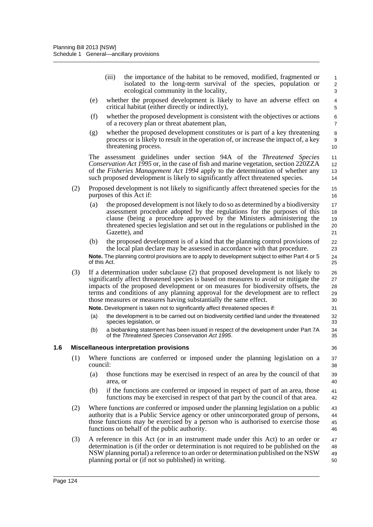|     |                                                      |                                                                                                                                                                                                                                                                                                                                                                                                                        | (iii)    | the importance of the habitat to be removed, modified, fragmented or<br>isolated to the long-term survival of the species, population or<br>ecological community in the locality,                                                                                                                                                          | 1<br>2<br>3                  |  |  |  |  |  |  |
|-----|------------------------------------------------------|------------------------------------------------------------------------------------------------------------------------------------------------------------------------------------------------------------------------------------------------------------------------------------------------------------------------------------------------------------------------------------------------------------------------|----------|--------------------------------------------------------------------------------------------------------------------------------------------------------------------------------------------------------------------------------------------------------------------------------------------------------------------------------------------|------------------------------|--|--|--|--|--|--|
|     |                                                      | (e)                                                                                                                                                                                                                                                                                                                                                                                                                    |          | whether the proposed development is likely to have an adverse effect on<br>critical habitat (either directly or indirectly),                                                                                                                                                                                                               | $\overline{\mathbf{4}}$<br>5 |  |  |  |  |  |  |
|     |                                                      | (f)                                                                                                                                                                                                                                                                                                                                                                                                                    |          | whether the proposed development is consistent with the objectives or actions<br>of a recovery plan or threat abatement plan,                                                                                                                                                                                                              | $\,6$<br>$\boldsymbol{7}$    |  |  |  |  |  |  |
|     |                                                      | (g)                                                                                                                                                                                                                                                                                                                                                                                                                    |          | whether the proposed development constitutes or is part of a key threatening<br>process or is likely to result in the operation of, or increase the impact of, a key<br>threatening process.                                                                                                                                               | 8<br>$\boldsymbol{9}$<br>10  |  |  |  |  |  |  |
|     |                                                      |                                                                                                                                                                                                                                                                                                                                                                                                                        |          | The assessment guidelines under section 94A of the Threatened Species<br>Conservation Act 1995 or, in the case of fish and marine vegetation, section 220ZZA<br>of the <i>Fisheries Management Act 1994</i> apply to the determination of whether any<br>such proposed development is likely to significantly affect threatened species.   | 11<br>12<br>13<br>14         |  |  |  |  |  |  |
|     | (2)                                                  | Proposed development is not likely to significantly affect threatened species for the<br>purposes of this Act if:                                                                                                                                                                                                                                                                                                      |          |                                                                                                                                                                                                                                                                                                                                            |                              |  |  |  |  |  |  |
|     |                                                      | (a)                                                                                                                                                                                                                                                                                                                                                                                                                    |          | the proposed development is not likely to do so as determined by a biodiversity<br>assessment procedure adopted by the regulations for the purposes of this<br>clause (being a procedure approved by the Ministers administering the<br>threatened species legislation and set out in the regulations or published in the<br>Gazette), and | 17<br>18<br>19<br>20<br>21   |  |  |  |  |  |  |
|     |                                                      | (b)                                                                                                                                                                                                                                                                                                                                                                                                                    |          | the proposed development is of a kind that the planning control provisions of<br>the local plan declare may be assessed in accordance with that procedure.                                                                                                                                                                                 | 22<br>23                     |  |  |  |  |  |  |
|     |                                                      | of this Act.                                                                                                                                                                                                                                                                                                                                                                                                           |          | Note. The planning control provisions are to apply to development subject to either Part 4 or 5                                                                                                                                                                                                                                            | 24<br>25                     |  |  |  |  |  |  |
|     | (3)                                                  | If a determination under subclause (2) that proposed development is not likely to<br>significantly affect threatened species is based on measures to avoid or mitigate the<br>impacts of the proposed development or on measures for biodiversity offsets, the<br>terms and conditions of any planning approval for the development are to reflect<br>those measures or measures having substantially the same effect. |          |                                                                                                                                                                                                                                                                                                                                            |                              |  |  |  |  |  |  |
|     |                                                      |                                                                                                                                                                                                                                                                                                                                                                                                                        |          | Note. Development is taken not to significantly affect threatened species if:                                                                                                                                                                                                                                                              | 31                           |  |  |  |  |  |  |
|     |                                                      | (a)                                                                                                                                                                                                                                                                                                                                                                                                                    |          | the development is to be carried out on biodiversity certified land under the threatened<br>species legislation, or                                                                                                                                                                                                                        | 32<br>33                     |  |  |  |  |  |  |
|     |                                                      | (b)                                                                                                                                                                                                                                                                                                                                                                                                                    |          | a biobanking statement has been issued in respect of the development under Part 7A<br>of the Threatened Species Conservation Act 1995.                                                                                                                                                                                                     | 34<br>35                     |  |  |  |  |  |  |
| 1.6 | <b>Miscellaneous interpretation provisions</b><br>36 |                                                                                                                                                                                                                                                                                                                                                                                                                        |          |                                                                                                                                                                                                                                                                                                                                            |                              |  |  |  |  |  |  |
|     | (1)                                                  | Where functions are conferred or imposed under the planning legislation on a<br>council:                                                                                                                                                                                                                                                                                                                               |          |                                                                                                                                                                                                                                                                                                                                            |                              |  |  |  |  |  |  |
|     |                                                      | (a)                                                                                                                                                                                                                                                                                                                                                                                                                    | area, or | those functions may be exercised in respect of an area by the council of that                                                                                                                                                                                                                                                              | 39<br>40                     |  |  |  |  |  |  |
|     |                                                      | (b)                                                                                                                                                                                                                                                                                                                                                                                                                    |          | if the functions are conferred or imposed in respect of part of an area, those<br>functions may be exercised in respect of that part by the council of that area.                                                                                                                                                                          | 41<br>42                     |  |  |  |  |  |  |
|     | (2)                                                  | Where functions are conferred or imposed under the planning legislation on a public<br>authority that is a Public Service agency or other unincorporated group of persons,<br>those functions may be exercised by a person who is authorised to exercise those<br>functions on behalf of the public authority.                                                                                                         |          |                                                                                                                                                                                                                                                                                                                                            |                              |  |  |  |  |  |  |
|     | (3)                                                  | A reference in this Act (or in an instrument made under this Act) to an order or<br>determination is (if the order or determination is not required to be published on the<br>NSW planning portal) a reference to an order or determination published on the NSW<br>planning portal or (if not so published) in writing.                                                                                               |          |                                                                                                                                                                                                                                                                                                                                            |                              |  |  |  |  |  |  |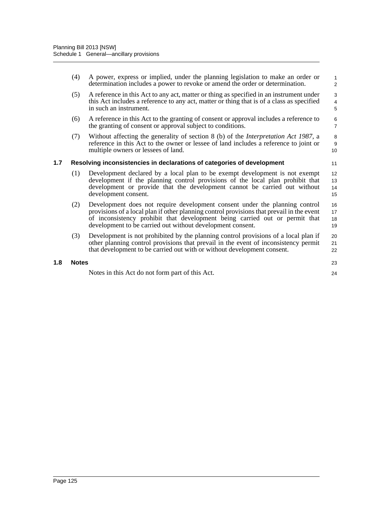|     | (4)                                                                          | A power, express or implied, under the planning legislation to make an order or<br>determination includes a power to revoke or amend the order or determination.                                                                                                                                                      | 1<br>$\overline{2}$                |  |  |  |  |
|-----|------------------------------------------------------------------------------|-----------------------------------------------------------------------------------------------------------------------------------------------------------------------------------------------------------------------------------------------------------------------------------------------------------------------|------------------------------------|--|--|--|--|
|     | (5)                                                                          | A reference in this Act to any act, matter or thing as specified in an instrument under<br>this Act includes a reference to any act, matter or thing that is of a class as specified<br>in such an instrument.                                                                                                        | 3<br>$\overline{\mathcal{L}}$<br>5 |  |  |  |  |
|     | (6)                                                                          | A reference in this Act to the granting of consent or approval includes a reference to<br>the granting of consent or approval subject to conditions.                                                                                                                                                                  | 6<br>$\overline{7}$                |  |  |  |  |
|     | (7)                                                                          | Without affecting the generality of section 8 (b) of the <i>Interpretation Act 1987</i> , a<br>reference in this Act to the owner or lessee of land includes a reference to joint or<br>multiple owners or lessees of land.                                                                                           | 8<br>9<br>10                       |  |  |  |  |
| 1.7 | Resolving inconsistencies in declarations of categories of development<br>11 |                                                                                                                                                                                                                                                                                                                       |                                    |  |  |  |  |
|     | (1)                                                                          | Development declared by a local plan to be exempt development is not exempt<br>development if the planning control provisions of the local plan prohibit that<br>development or provide that the development cannot be carried out without<br>development consent.                                                    | 12<br>13<br>14<br>15               |  |  |  |  |
|     | (2)                                                                          | Development does not require development consent under the planning control<br>provisions of a local plan if other planning control provisions that prevail in the event<br>of inconsistency prohibit that development being carried out or permit that<br>development to be carried out without development consent. | 16<br>17<br>18<br>19               |  |  |  |  |
|     | (3)                                                                          | Development is not prohibited by the planning control provisions of a local plan if<br>other planning control provisions that prevail in the event of inconsistency permit<br>that development to be carried out with or without development consent.                                                                 | 20<br>21<br>22                     |  |  |  |  |
| 1.8 | <b>Notes</b>                                                                 |                                                                                                                                                                                                                                                                                                                       |                                    |  |  |  |  |
|     |                                                                              | Notes in this Act do not form part of this Act.                                                                                                                                                                                                                                                                       | 24                                 |  |  |  |  |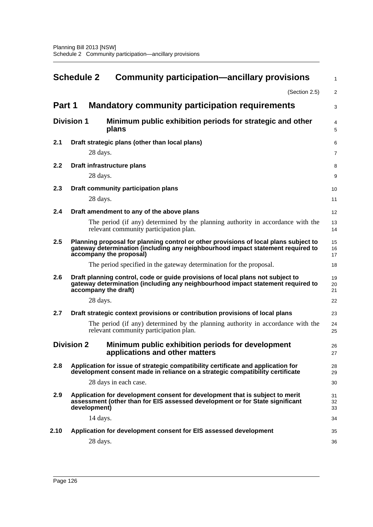| <b>Schedule 2</b> |                   | <b>Community participation—ancillary provisions</b>                                                                                                                                                | 1              |
|-------------------|-------------------|----------------------------------------------------------------------------------------------------------------------------------------------------------------------------------------------------|----------------|
|                   |                   | (Section 2.5)                                                                                                                                                                                      | $\overline{2}$ |
| Part 1            |                   | <b>Mandatory community participation requirements</b>                                                                                                                                              | 3              |
|                   | <b>Division 1</b> | Minimum public exhibition periods for strategic and other<br>plans                                                                                                                                 | 4<br>5         |
| 2.1               |                   | Draft strategic plans (other than local plans)                                                                                                                                                     | 6              |
|                   |                   | 28 days.                                                                                                                                                                                           | 7              |
| 2.2               |                   | Draft infrastructure plans                                                                                                                                                                         | 8              |
|                   |                   | 28 days.                                                                                                                                                                                           | 9              |
| 2.3               |                   | Draft community participation plans                                                                                                                                                                | 10             |
|                   |                   | 28 days.                                                                                                                                                                                           | 11             |
| 2.4               |                   | Draft amendment to any of the above plans                                                                                                                                                          | 12             |
|                   |                   | The period (if any) determined by the planning authority in accordance with the<br>relevant community participation plan.                                                                          | 13<br>14       |
| 2.5               |                   | Planning proposal for planning control or other provisions of local plans subject to<br>gateway determination (including any neighbourhood impact statement required to<br>accompany the proposal) | 15<br>16<br>17 |
|                   |                   | The period specified in the gateway determination for the proposal.                                                                                                                                | 18             |
| 2.6               |                   | Draft planning control, code or guide provisions of local plans not subject to<br>gateway determination (including any neighbourhood impact statement required to<br>accompany the draft)          | 19<br>20<br>21 |
|                   |                   | 28 days.                                                                                                                                                                                           | 22             |
| 2.7               |                   | Draft strategic context provisions or contribution provisions of local plans                                                                                                                       | 23             |
|                   |                   | The period (if any) determined by the planning authority in accordance with the<br>relevant community participation plan.                                                                          | 24<br>25       |
|                   | <b>Division 2</b> | Minimum public exhibition periods for development<br>applications and other matters                                                                                                                | 26<br>27       |
| 2.8               |                   | Application for issue of strategic compatibility certificate and application for<br>development consent made in reliance on a strategic compatibility certificate                                  | 28<br>29       |
|                   |                   | 28 days in each case.                                                                                                                                                                              | 30             |
| 2.9               |                   | Application for development consent for development that is subject to merit<br>assessment (other than for EIS assessed development or for State significant<br>development)                       | 31<br>32<br>33 |
|                   |                   | 14 days.                                                                                                                                                                                           | 34             |
| 2.10              |                   | Application for development consent for EIS assessed development                                                                                                                                   | 35             |
|                   |                   | 28 days.                                                                                                                                                                                           | 36             |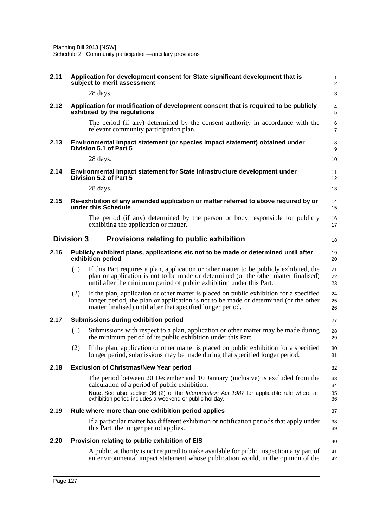| 2.11 |                   | Application for development consent for State significant development that is<br>subject to merit assessment                                                                                                                                                                            | 1<br>$\overline{c}$  |
|------|-------------------|-----------------------------------------------------------------------------------------------------------------------------------------------------------------------------------------------------------------------------------------------------------------------------------------|----------------------|
|      |                   | 28 days.                                                                                                                                                                                                                                                                                | 3                    |
| 2.12 |                   | Application for modification of development consent that is required to be publicly<br>exhibited by the regulations                                                                                                                                                                     | 4<br>5               |
|      |                   | The period (if any) determined by the consent authority in accordance with the<br>relevant community participation plan.                                                                                                                                                                | 6<br>$\overline{7}$  |
| 2.13 |                   | Environmental impact statement (or species impact statement) obtained under<br>Division 5.1 of Part 5                                                                                                                                                                                   | 8<br>9               |
|      |                   | 28 days.                                                                                                                                                                                                                                                                                | 10                   |
| 2.14 |                   | Environmental impact statement for State infrastructure development under<br>Division 5.2 of Part 5                                                                                                                                                                                     | 11<br>12             |
|      |                   | 28 days.                                                                                                                                                                                                                                                                                | 13                   |
| 2.15 |                   | Re-exhibition of any amended application or matter referred to above required by or<br>under this Schedule                                                                                                                                                                              | 14<br>15             |
|      |                   | The period (if any) determined by the person or body responsible for publicly<br>exhibiting the application or matter.                                                                                                                                                                  | 16<br>17             |
|      | <b>Division 3</b> | Provisions relating to public exhibition                                                                                                                                                                                                                                                | 18                   |
| 2.16 |                   | Publicly exhibited plans, applications etc not to be made or determined until after<br>exhibition period                                                                                                                                                                                | 19<br>20             |
|      | (1)               | If this Part requires a plan, application or other matter to be publicly exhibited, the<br>plan or application is not to be made or determined (or the other matter finalised)<br>until after the minimum period of public exhibition under this Part.                                  | 21<br>22<br>23       |
|      | (2)               | If the plan, application or other matter is placed on public exhibition for a specified<br>longer period, the plan or application is not to be made or determined (or the other<br>matter finalised) until after that specified longer period.                                          | 24<br>25<br>26       |
| 2.17 |                   | Submissions during exhibition period                                                                                                                                                                                                                                                    | 27                   |
|      | (1)               | Submissions with respect to a plan, application or other matter may be made during<br>the minimum period of its public exhibition under this Part.                                                                                                                                      | 28<br>29             |
|      | (2)               | If the plan, application or other matter is placed on public exhibition for a specified<br>longer period, submissions may be made during that specified longer period.                                                                                                                  | 30<br>31             |
| 2.18 |                   | <b>Exclusion of Christmas/New Year period</b>                                                                                                                                                                                                                                           | 32                   |
|      |                   | The period between 20 December and 10 January (inclusive) is excluded from the<br>calculation of a period of public exhibition.<br>Note. See also section 36 (2) of the Interpretation Act 1987 for applicable rule where an<br>exhibition period includes a weekend or public holiday. | 33<br>34<br>35<br>36 |
| 2.19 |                   | Rule where more than one exhibition period applies                                                                                                                                                                                                                                      | 37                   |
|      |                   | If a particular matter has different exhibition or notification periods that apply under<br>this Part, the longer period applies.                                                                                                                                                       | 38<br>39             |
| 2.20 |                   | Provision relating to public exhibition of EIS                                                                                                                                                                                                                                          | 40                   |
|      |                   | A public authority is not required to make available for public inspection any part of<br>an environmental impact statement whose publication would, in the opinion of the                                                                                                              | 41<br>42             |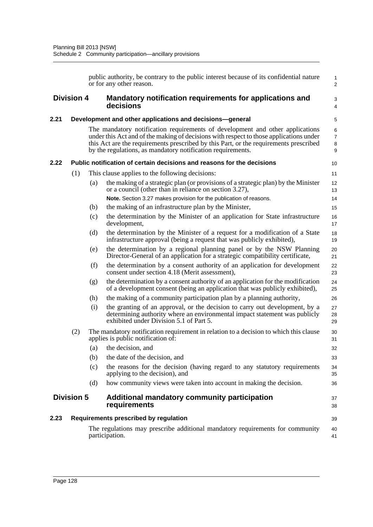|                   |                   |     | public authority, be contrary to the public interest because of its confidential nature<br>or for any other reason.                                                                                                                                                                                                             | $\mathbf{1}$<br>2             |
|-------------------|-------------------|-----|---------------------------------------------------------------------------------------------------------------------------------------------------------------------------------------------------------------------------------------------------------------------------------------------------------------------------------|-------------------------------|
| <b>Division 4</b> |                   |     | Mandatory notification requirements for applications and<br>decisions                                                                                                                                                                                                                                                           | 3<br>4                        |
| 2.21              |                   |     | Development and other applications and decisions-general                                                                                                                                                                                                                                                                        | $\mathbf 5$                   |
|                   |                   |     | The mandatory notification requirements of development and other applications<br>under this Act and of the making of decisions with respect to those applications under<br>this Act are the requirements prescribed by this Part, or the requirements prescribed<br>by the regulations, as mandatory notification requirements. | 6<br>$\overline{7}$<br>8<br>9 |
| 2.22              |                   |     | Public notification of certain decisions and reasons for the decisions                                                                                                                                                                                                                                                          | 10                            |
|                   | (1)               |     | This clause applies to the following decisions:                                                                                                                                                                                                                                                                                 | 11                            |
|                   |                   | (a) | the making of a strategic plan (or provisions of a strategic plan) by the Minister<br>or a council (other than in reliance on section 3.27),                                                                                                                                                                                    | 12<br>13                      |
|                   |                   |     | Note. Section 3.27 makes provision for the publication of reasons.                                                                                                                                                                                                                                                              | 14                            |
|                   |                   | (b) | the making of an infrastructure plan by the Minister,                                                                                                                                                                                                                                                                           | 15                            |
|                   |                   | (c) | the determination by the Minister of an application for State infrastructure<br>development,                                                                                                                                                                                                                                    | 16<br>17                      |
|                   |                   | (d) | the determination by the Minister of a request for a modification of a State<br>infrastructure approval (being a request that was publicly exhibited),                                                                                                                                                                          | 18<br>19                      |
|                   |                   | (e) | the determination by a regional planning panel or by the NSW Planning<br>Director-General of an application for a strategic compatibility certificate,                                                                                                                                                                          | 20<br>21                      |
|                   |                   | (f) | the determination by a consent authority of an application for development<br>consent under section 4.18 (Merit assessment),                                                                                                                                                                                                    | 22<br>23                      |
|                   |                   | (g) | the determination by a consent authority of an application for the modification<br>of a development consent (being an application that was publicly exhibited),                                                                                                                                                                 | 24<br>25                      |
|                   |                   | (h) | the making of a community participation plan by a planning authority,                                                                                                                                                                                                                                                           | 26                            |
|                   |                   | (i) | the granting of an approval, or the decision to carry out development, by a<br>determining authority where an environmental impact statement was publicly<br>exhibited under Division 5.1 of Part 5.                                                                                                                            | 27<br>28<br>29                |
|                   | (2)               |     | The mandatory notification requirement in relation to a decision to which this clause<br>applies is public notification of:                                                                                                                                                                                                     | 30<br>31                      |
|                   |                   | (a) | the decision, and                                                                                                                                                                                                                                                                                                               | 32                            |
|                   |                   | (b) | the date of the decision, and                                                                                                                                                                                                                                                                                                   | 33                            |
|                   |                   | (c) | the reasons for the decision (having regard to any statutory requirements<br>applying to the decision), and                                                                                                                                                                                                                     | 34<br>35                      |
|                   |                   | (d) | how community views were taken into account in making the decision.                                                                                                                                                                                                                                                             | 36                            |
|                   | <b>Division 5</b> |     | Additional mandatory community participation<br>requirements                                                                                                                                                                                                                                                                    | 37<br>38                      |
| 2.23              |                   |     | Requirements prescribed by regulation                                                                                                                                                                                                                                                                                           | 39                            |
|                   |                   |     | The regulations may prescribe additional mandatory requirements for community<br>participation.                                                                                                                                                                                                                                 | 40<br>41                      |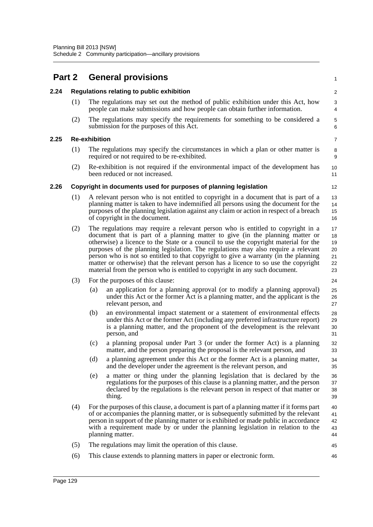| Part 2 |     | <b>General provisions</b>                                                                                                                                                                                                                                                                                                                                                                                                                                                                                                                                                                                  |                                        |  |
|--------|-----|------------------------------------------------------------------------------------------------------------------------------------------------------------------------------------------------------------------------------------------------------------------------------------------------------------------------------------------------------------------------------------------------------------------------------------------------------------------------------------------------------------------------------------------------------------------------------------------------------------|----------------------------------------|--|
| 2.24   |     | Regulations relating to public exhibition                                                                                                                                                                                                                                                                                                                                                                                                                                                                                                                                                                  | $\overline{\mathbf{c}}$                |  |
|        | (1) | The regulations may set out the method of public exhibition under this Act, how<br>people can make submissions and how people can obtain further information.                                                                                                                                                                                                                                                                                                                                                                                                                                              | 3<br>4                                 |  |
|        | (2) | The regulations may specify the requirements for something to be considered a<br>submission for the purposes of this Act.                                                                                                                                                                                                                                                                                                                                                                                                                                                                                  | 5<br>6                                 |  |
| 2.25   |     | <b>Re-exhibition</b>                                                                                                                                                                                                                                                                                                                                                                                                                                                                                                                                                                                       | $\overline{7}$                         |  |
|        | (1) | The regulations may specify the circumstances in which a plan or other matter is<br>required or not required to be re-exhibited.                                                                                                                                                                                                                                                                                                                                                                                                                                                                           | 8<br>9                                 |  |
|        | (2) | Re-exhibition is not required if the environmental impact of the development has<br>been reduced or not increased.                                                                                                                                                                                                                                                                                                                                                                                                                                                                                         | 10<br>11                               |  |
| 2.26   |     | Copyright in documents used for purposes of planning legislation                                                                                                                                                                                                                                                                                                                                                                                                                                                                                                                                           | 12                                     |  |
|        | (1) | A relevant person who is not entitled to copyright in a document that is part of a<br>planning matter is taken to have indemnified all persons using the document for the<br>purposes of the planning legislation against any claim or action in respect of a breach<br>of copyright in the document.                                                                                                                                                                                                                                                                                                      | 13<br>14<br>15<br>16                   |  |
|        | (2) | The regulations may require a relevant person who is entitled to copyright in a<br>document that is part of a planning matter to give (in the planning matter or<br>otherwise) a licence to the State or a council to use the copyright material for the<br>purposes of the planning legislation. The regulations may also require a relevant<br>person who is not so entitled to that copyright to give a warranty (in the planning<br>matter or otherwise) that the relevant person has a licence to so use the copyright<br>material from the person who is entitled to copyright in any such document. | 17<br>18<br>19<br>20<br>21<br>22<br>23 |  |
|        | (3) | For the purposes of this clause:                                                                                                                                                                                                                                                                                                                                                                                                                                                                                                                                                                           | 24                                     |  |
|        |     | an application for a planning approval (or to modify a planning approval)<br>(a)<br>under this Act or the former Act is a planning matter, and the applicant is the<br>relevant person, and                                                                                                                                                                                                                                                                                                                                                                                                                | 25<br>26<br>27                         |  |
|        |     | (b)<br>an environmental impact statement or a statement of environmental effects<br>under this Act or the former Act (including any preferred infrastructure report)<br>is a planning matter, and the proponent of the development is the relevant<br>person, and                                                                                                                                                                                                                                                                                                                                          | 28<br>29<br>30<br>31                   |  |
|        |     | a planning proposal under Part 3 (or under the former Act) is a planning<br>(c)<br>matter, and the person preparing the proposal is the relevant person, and                                                                                                                                                                                                                                                                                                                                                                                                                                               | 32<br>33                               |  |
|        |     | (d)<br>a planning agreement under this Act or the former Act is a planning matter,<br>and the developer under the agreement is the relevant person, and                                                                                                                                                                                                                                                                                                                                                                                                                                                    | 34<br>35                               |  |
|        |     | a matter or thing under the planning legislation that is declared by the<br>(e)<br>regulations for the purposes of this clause is a planning matter, and the person<br>declared by the regulations is the relevant person in respect of that matter or<br>thing.                                                                                                                                                                                                                                                                                                                                           | 36<br>37<br>38<br>39                   |  |
|        | (4) | For the purposes of this clause, a document is part of a planning matter if it forms part<br>of or accompanies the planning matter, or is subsequently submitted by the relevant<br>person in support of the planning matter or is exhibited or made public in accordance<br>with a requirement made by or under the planning legislation in relation to the<br>planning matter.                                                                                                                                                                                                                           | 40<br>41<br>42<br>43<br>44             |  |
|        | (5) | The regulations may limit the operation of this clause.                                                                                                                                                                                                                                                                                                                                                                                                                                                                                                                                                    | 45                                     |  |
|        | (6) | This clause extends to planning matters in paper or electronic form.                                                                                                                                                                                                                                                                                                                                                                                                                                                                                                                                       | 46                                     |  |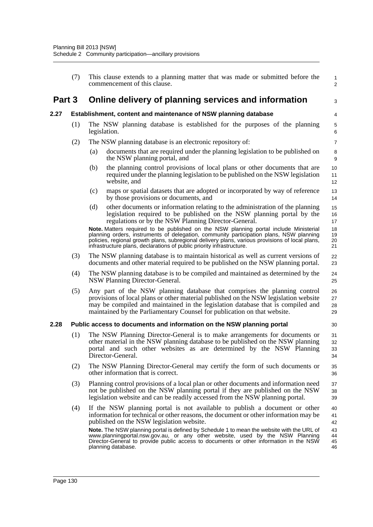(7) This clause extends to a planning matter that was made or submitted before the commencement of this clause. **Part 3 Online delivery of planning services and information 2.27 Establishment, content and maintenance of NSW planning database** (1) The NSW planning database is established for the purposes of the planning legislation. (2) The NSW planning database is an electronic repository of: (a) documents that are required under the planning legislation to be published on the NSW planning portal, and (b) the planning control provisions of local plans or other documents that are required under the planning legislation to be published on the NSW legislation website, and (c) maps or spatial datasets that are adopted or incorporated by way of reference by those provisions or documents, and (d) other documents or information relating to the administration of the planning legislation required to be published on the NSW planning portal by the regulations or by the NSW Planning Director-General. **Note.** Matters required to be published on the NSW planning portal include Ministerial planning orders, instruments of delegation, community participation plans, NSW planning policies, regional growth plans, subregional delivery plans, various provisions of local plans, infrastructure plans, declarations of public priority infrastructure. (3) The NSW planning database is to maintain historical as well as current versions of documents and other material required to be published on the NSW planning portal. (4) The NSW planning database is to be compiled and maintained as determined by the NSW Planning Director-General. (5) Any part of the NSW planning database that comprises the planning control provisions of local plans or other material published on the NSW legislation website may be compiled and maintained in the legislation database that is compiled and maintained by the Parliamentary Counsel for publication on that website. **2.28 Public access to documents and information on the NSW planning portal** (1) The NSW Planning Director-General is to make arrangements for documents or other material in the NSW planning database to be published on the NSW planning portal and such other websites as are determined by the NSW Planning Director-General. (2) The NSW Planning Director-General may certify the form of such documents or other information that is correct. (3) Planning control provisions of a local plan or other documents and information need not be published on the NSW planning portal if they are published on the NSW legislation website and can be readily accessed from the NSW planning portal. (4) If the NSW planning portal is not available to publish a document or other information for technical or other reasons, the document or other information may be published on the NSW legislation website. **Note.** The NSW planning portal is defined by Schedule 1 to mean the website with the URL of www.planningportal.nsw.gov.au, or any other website, used by the NSW Planning Director-General to provide public access to documents or other information in the NSW planning database. 1  $\mathfrak{p}$ 3 4 5 6 7 8 9 10 11 12 13 14 15 16 17 18 19 20 21 22 23 24 25 26 27 28 29 30 31 32 33 34 35 36 37 38 39  $40$ 41 42 43 44 45 46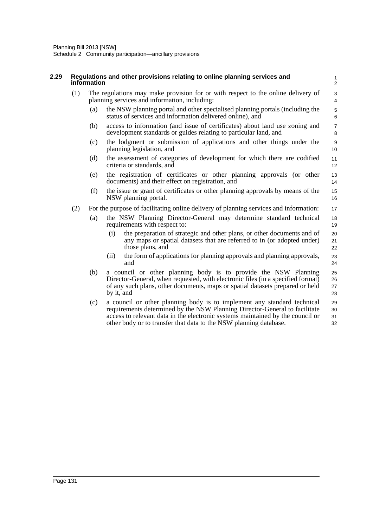#### **2.29 Regulations and other provisions relating to online planning services and information**

- (1) The regulations may make provision for or with respect to the online delivery of planning services and information, including:
	- (a) the NSW planning portal and other specialised planning portals (including the status of services and information delivered online), and

- (b) access to information (and issue of certificates) about land use zoning and development standards or guides relating to particular land, and
- (c) the lodgment or submission of applications and other things under the planning legislation, and
- (d) the assessment of categories of development for which there are codified criteria or standards, and
- (e) the registration of certificates or other planning approvals (or other documents) and their effect on registration, and
- (f) the issue or grant of certificates or other planning approvals by means of the NSW planning portal.
- (2) For the purpose of facilitating online delivery of planning services and information:
	- (a) the NSW Planning Director-General may determine standard technical requirements with respect to: 18 19
		- (i) the preparation of strategic and other plans, or other documents and of any maps or spatial datasets that are referred to in (or adopted under) those plans, and  $20$ 21 22
		- (ii) the form of applications for planning approvals and planning approvals, and
	- (b) a council or other planning body is to provide the NSW Planning Director-General, when requested, with electronic files (in a specified format) of any such plans, other documents, maps or spatial datasets prepared or held by it, and 25 26 27 28
	- (c) a council or other planning body is to implement any standard technical requirements determined by the NSW Planning Director-General to facilitate access to relevant data in the electronic systems maintained by the council or other body or to transfer that data to the NSW planning database. 29 30 31 32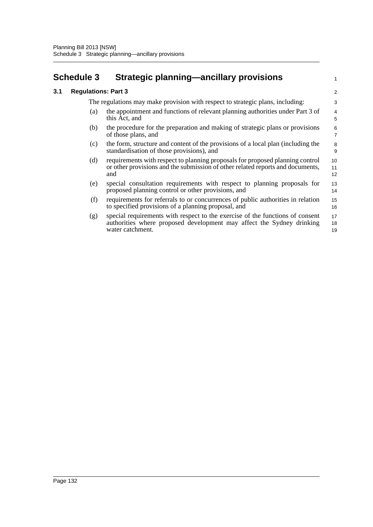# **Schedule 3 Strategic planning—ancillary provisions**

#### **3.1 Regulations: Part 3**

The regulations may make provision with respect to strategic plans, including:

(a) the appointment and functions of relevant planning authorities under Part 3 of this Act, and

1

- (b) the procedure for the preparation and making of strategic plans or provisions of those plans, and
- (c) the form, structure and content of the provisions of a local plan (including the standardisation of those provisions), and
- (d) requirements with respect to planning proposals for proposed planning control or other provisions and the submission of other related reports and documents, and
- (e) special consultation requirements with respect to planning proposals for proposed planning control or other provisions, and
- (f) requirements for referrals to or concurrences of public authorities in relation to specified provisions of a planning proposal, and
- (g) special requirements with respect to the exercise of the functions of consent authorities where proposed development may affect the Sydney drinking water catchment. 17 18 19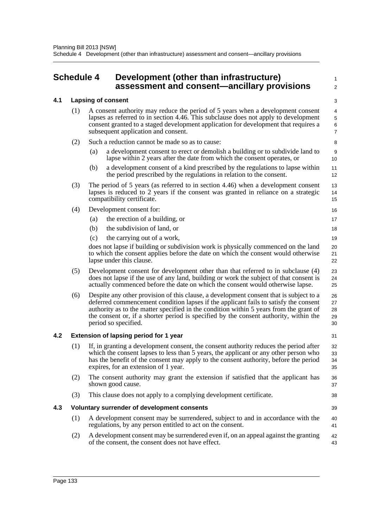# **Schedule 4 Development (other than infrastructure) assessment and consent—ancillary provisions**

|     |     | assessment and consent—ancillary provisions                                                                                                                                                                                                                                                                                                                                               | $\overline{c}$                                |
|-----|-----|-------------------------------------------------------------------------------------------------------------------------------------------------------------------------------------------------------------------------------------------------------------------------------------------------------------------------------------------------------------------------------------------|-----------------------------------------------|
| 4.1 |     | <b>Lapsing of consent</b>                                                                                                                                                                                                                                                                                                                                                                 | 3                                             |
|     | (1) | A consent authority may reduce the period of 5 years when a development consent<br>lapses as referred to in section 4.46. This subclause does not apply to development<br>consent granted to a staged development application for development that requires a<br>subsequent application and consent.                                                                                      | 4<br>$\mathbf 5$<br>$\,6$<br>$\boldsymbol{7}$ |
|     | (2) | Such a reduction cannot be made so as to cause:                                                                                                                                                                                                                                                                                                                                           | 8                                             |
|     |     | a development consent to erect or demolish a building or to subdivide land to<br>(a)<br>lapse within 2 years after the date from which the consent operates, or                                                                                                                                                                                                                           | $\boldsymbol{9}$<br>10                        |
|     |     | a development consent of a kind prescribed by the regulations to lapse within<br>(b)<br>the period prescribed by the regulations in relation to the consent.                                                                                                                                                                                                                              | 11<br>12                                      |
|     | (3) | The period of 5 years (as referred to in section 4.46) when a development consent<br>lapses is reduced to 2 years if the consent was granted in reliance on a strategic<br>compatibility certificate.                                                                                                                                                                                     | 13<br>14<br>15                                |
|     | (4) | Development consent for:                                                                                                                                                                                                                                                                                                                                                                  | 16                                            |
|     |     | the erection of a building, or<br>(a)                                                                                                                                                                                                                                                                                                                                                     | 17                                            |
|     |     | the subdivision of land, or<br>(b)                                                                                                                                                                                                                                                                                                                                                        | 18                                            |
|     |     | the carrying out of a work,<br>(c)                                                                                                                                                                                                                                                                                                                                                        | 19                                            |
|     |     | does not lapse if building or subdivision work is physically commenced on the land<br>to which the consent applies before the date on which the consent would otherwise<br>lapse under this clause.                                                                                                                                                                                       | 20<br>21<br>22                                |
|     | (5) | Development consent for development other than that referred to in subclause (4)<br>does not lapse if the use of any land, building or work the subject of that consent is<br>actually commenced before the date on which the consent would otherwise lapse.                                                                                                                              | 23<br>24<br>25                                |
|     | (6) | Despite any other provision of this clause, a development consent that is subject to a<br>deferred commencement condition lapses if the applicant fails to satisfy the consent<br>authority as to the matter specified in the condition within 5 years from the grant of<br>the consent or, if a shorter period is specified by the consent authority, within the<br>period so specified. | 26<br>27<br>28<br>29<br>30                    |
| 4.2 |     | Extension of lapsing period for 1 year                                                                                                                                                                                                                                                                                                                                                    | 31                                            |
|     | (1) | If, in granting a development consent, the consent authority reduces the period after<br>which the consent lapses to less than 5 years, the applicant or any other person who<br>has the benefit of the consent may apply to the consent authority, before the period<br>expires, for an extension of 1 year.                                                                             | 32<br>33<br>34<br>35                          |
|     | (2) | The consent authority may grant the extension if satisfied that the applicant has<br>shown good cause.                                                                                                                                                                                                                                                                                    | 36<br>37                                      |
|     | (3) | This clause does not apply to a complying development certificate.                                                                                                                                                                                                                                                                                                                        | 38                                            |
| 4.3 |     | Voluntary surrender of development consents                                                                                                                                                                                                                                                                                                                                               | 39                                            |
|     | (1) | A development consent may be surrendered, subject to and in accordance with the<br>regulations, by any person entitled to act on the consent.                                                                                                                                                                                                                                             | 40<br>41                                      |
|     | (2) | A development consent may be surrendered even if, on an appeal against the granting<br>of the consent, the consent does not have effect.                                                                                                                                                                                                                                                  | 42<br>43                                      |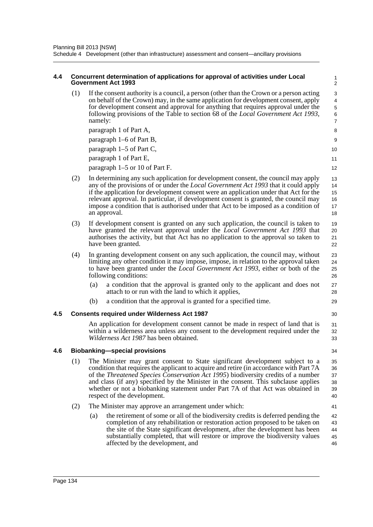| 4.4 | Concurrent determination of applications for approval of activities under Local<br>Government Act 1993 |         |                                                                                                                                                                                                                                                                                                                                                                                                                                                                               |                                                                                     |  |  |
|-----|--------------------------------------------------------------------------------------------------------|---------|-------------------------------------------------------------------------------------------------------------------------------------------------------------------------------------------------------------------------------------------------------------------------------------------------------------------------------------------------------------------------------------------------------------------------------------------------------------------------------|-------------------------------------------------------------------------------------|--|--|
|     | (1)                                                                                                    | namely: | If the consent authority is a council, a person (other than the Crown or a person acting<br>on behalf of the Crown) may, in the same application for development consent, apply<br>for development consent and approval for anything that requires approval under the<br>following provisions of the Table to section 68 of the Local Government Act 1993,                                                                                                                    | $\sqrt{3}$<br>$\overline{\mathbf{4}}$<br>$\,$ 5 $\,$<br>$\,6\,$<br>$\boldsymbol{7}$ |  |  |
|     |                                                                                                        |         | paragraph 1 of Part A,                                                                                                                                                                                                                                                                                                                                                                                                                                                        | 8                                                                                   |  |  |
|     |                                                                                                        |         | paragraph 1–6 of Part B,                                                                                                                                                                                                                                                                                                                                                                                                                                                      | 9                                                                                   |  |  |
|     |                                                                                                        |         | paragraph 1–5 of Part C,                                                                                                                                                                                                                                                                                                                                                                                                                                                      | 10                                                                                  |  |  |
|     |                                                                                                        |         | paragraph 1 of Part E,                                                                                                                                                                                                                                                                                                                                                                                                                                                        | 11                                                                                  |  |  |
|     |                                                                                                        |         | paragraph 1–5 or 10 of Part F.                                                                                                                                                                                                                                                                                                                                                                                                                                                | 12                                                                                  |  |  |
|     | (2)                                                                                                    |         | In determining any such application for development consent, the council may apply<br>any of the provisions of or under the <i>Local Government Act 1993</i> that it could apply<br>if the application for development consent were an application under that Act for the<br>relevant approval. In particular, if development consent is granted, the council may<br>impose a condition that is authorised under that Act to be imposed as a condition of<br>an approval.     | 13<br>14<br>15<br>16<br>17<br>18                                                    |  |  |
|     | (3)                                                                                                    |         | If development consent is granted on any such application, the council is taken to<br>have granted the relevant approval under the <i>Local Government Act 1993</i> that<br>authorises the activity, but that Act has no application to the approval so taken to<br>have been granted.                                                                                                                                                                                        | 19<br>20<br>21<br>22                                                                |  |  |
|     | (4)                                                                                                    |         | In granting development consent on any such application, the council may, without<br>limiting any other condition it may impose, impose, in relation to the approval taken<br>to have been granted under the <i>Local Government Act 1993</i> , either or both of the<br>following conditions:                                                                                                                                                                                | 23<br>24<br>25<br>26                                                                |  |  |
|     |                                                                                                        | (a)     | a condition that the approval is granted only to the applicant and does not<br>attach to or run with the land to which it applies,                                                                                                                                                                                                                                                                                                                                            | 27<br>28                                                                            |  |  |
|     |                                                                                                        | (b)     | a condition that the approval is granted for a specified time.                                                                                                                                                                                                                                                                                                                                                                                                                | 29                                                                                  |  |  |
| 4.5 |                                                                                                        |         | <b>Consents required under Wilderness Act 1987</b>                                                                                                                                                                                                                                                                                                                                                                                                                            | 30                                                                                  |  |  |
|     |                                                                                                        |         | An application for development consent cannot be made in respect of land that is<br>within a wilderness area unless any consent to the development required under the<br>Wilderness Act 1987 has been obtained.                                                                                                                                                                                                                                                               | 31<br>32<br>33                                                                      |  |  |
| 4.6 | <b>Biobanking-special provisions</b><br>34                                                             |         |                                                                                                                                                                                                                                                                                                                                                                                                                                                                               |                                                                                     |  |  |
|     | (1)                                                                                                    |         | The Minister may grant consent to State significant development subject to a<br>condition that requires the applicant to acquire and retire (in accordance with Part 7A<br>of the <i>Threatened Species Conservation Act 1995</i> ) biodiversity credits of a number<br>and class (if any) specified by the Minister in the consent. This subclause applies<br>whether or not a biobanking statement under Part 7A of that Act was obtained in<br>respect of the development. | 35<br>36<br>37<br>38<br>39<br>40                                                    |  |  |
|     | (2)                                                                                                    |         | The Minister may approve an arrangement under which:                                                                                                                                                                                                                                                                                                                                                                                                                          | 41                                                                                  |  |  |
|     |                                                                                                        | (a)     | the retirement of some or all of the biodiversity credits is deferred pending the<br>completion of any rehabilitation or restoration action proposed to be taken on<br>the site of the State significant development, after the development has been<br>substantially completed, that will restore or improve the biodiversity values<br>affected by the development, and                                                                                                     | 42<br>43<br>44<br>45<br>46                                                          |  |  |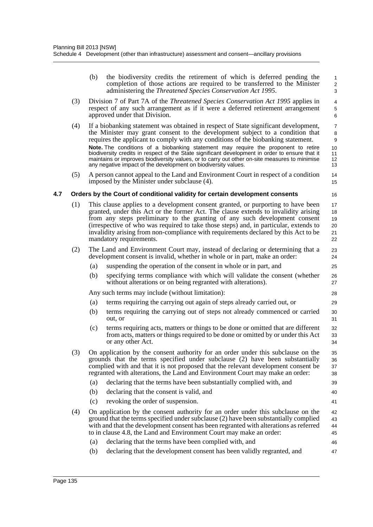| (b) | the biodiversity credits the retirement of which is deferred pending the                |  |  |  |  |  |
|-----|-----------------------------------------------------------------------------------------|--|--|--|--|--|
|     | completion of those actions are required to be transferred to the Minister              |  |  |  |  |  |
|     | administering the Threatened Species Conservation Act 1995.                             |  |  |  |  |  |
|     | Division 7 of Part 7A of the <i>Threatened Species Conservation Act 1005</i> applies in |  |  |  |  |  |

40 41

47

- (3) Division 7 of Part 7A of the *Threatened Species Conservation Act 1995* applies in respect of any such arrangement as if it were a deferred retirement arrangement approved under that Division.
- (4) If a biobanking statement was obtained in respect of State significant development, the Minister may grant consent to the development subject to a condition that requires the applicant to comply with any conditions of the biobanking statement. **Note.** The conditions of a biobanking statement may require the proponent to retire biodiversity credits in respect of the State significant development in order to ensure that it maintains or improves biodiversity values, or to carry out other on-site measures to minimise any negative impact of the development on biodiversity values.
- (5) A person cannot appeal to the Land and Environment Court in respect of a condition imposed by the Minister under subclause (4).

#### **4.7 Orders by the Court of conditional validity for certain development consents**

(1) This clause applies to a development consent granted, or purporting to have been granted, under this Act or the former Act. The clause extends to invalidity arising from any steps preliminary to the granting of any such development consent (irrespective of who was required to take those steps) and, in particular, extends to invalidity arising from non-compliance with requirements declared by this Act to be mandatory requirements. 17 18 19 20 21 22

| (2) | The Land and Environment Court may, instead of declaring or determining that a |  |
|-----|--------------------------------------------------------------------------------|--|
|     | development consent is invalid, whether in whole or in part, make an order:    |  |

- (a) suspending the operation of the consent in whole or in part, and
- (b) specifying terms compliance with which will validate the consent (whether without alterations or on being regranted with alterations).

Any such terms may include (without limitation):

- (a) terms requiring the carrying out again of steps already carried out, or
- (b) terms requiring the carrying out of steps not already commenced or carried out, or
- (c) terms requiring acts, matters or things to be done or omitted that are different from acts, matters or things required to be done or omitted by or under this Act or any other Act.
- (3) On application by the consent authority for an order under this subclause on the grounds that the terms specified under subclause (2) have been substantially complied with and that it is not proposed that the relevant development consent be regranted with alterations, the Land and Environment Court may make an order: (a) declaring that the terms have been substantially complied with, and 35 36 37 38 39
	- (b) declaring that the consent is valid, and
	- (c) revoking the order of suspension.
- (4) On application by the consent authority for an order under this subclause on the ground that the terms specified under subclause (2) have been substantially complied with and that the development consent has been regranted with alterations as referred to in clause 4.8, the Land and Environment Court may make an order: 42 43 44 45
	- (a) declaring that the terms have been complied with, and 46
	- (b) declaring that the development consent has been validly regranted, and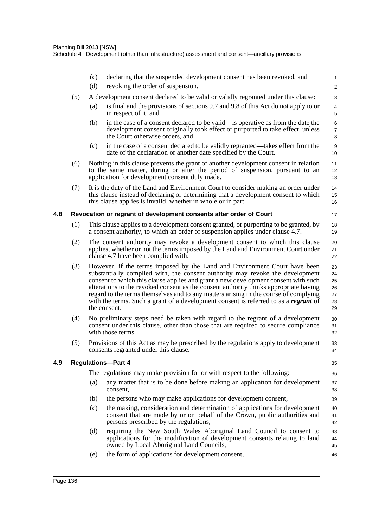|     |     | (c) | declaring that the suspended development consent has been revoked, and                                                                                                                                                                                                                                                                                                                                                                                                                                                                    | $\mathbf{1}$                           |
|-----|-----|-----|-------------------------------------------------------------------------------------------------------------------------------------------------------------------------------------------------------------------------------------------------------------------------------------------------------------------------------------------------------------------------------------------------------------------------------------------------------------------------------------------------------------------------------------------|----------------------------------------|
|     |     | (d) | revoking the order of suspension.                                                                                                                                                                                                                                                                                                                                                                                                                                                                                                         | $\overline{2}$                         |
|     | (5) |     | A development consent declared to be valid or validly regranted under this clause:                                                                                                                                                                                                                                                                                                                                                                                                                                                        | 3                                      |
|     |     | (a) | is final and the provisions of sections 9.7 and 9.8 of this Act do not apply to or<br>in respect of it, and                                                                                                                                                                                                                                                                                                                                                                                                                               | $\overline{\mathbf{4}}$<br>5           |
|     |     | (b) | in the case of a consent declared to be valid—is operative as from the date the<br>development consent originally took effect or purported to take effect, unless<br>the Court otherwise orders, and                                                                                                                                                                                                                                                                                                                                      | $\,6$<br>$\boldsymbol{7}$<br>$\bf 8$   |
|     |     | (c) | in the case of a consent declared to be validly regranted—takes effect from the<br>date of the declaration or another date specified by the Court.                                                                                                                                                                                                                                                                                                                                                                                        | $\boldsymbol{9}$<br>10                 |
|     | (6) |     | Nothing in this clause prevents the grant of another development consent in relation<br>to the same matter, during or after the period of suspension, pursuant to an<br>application for development consent duly made.                                                                                                                                                                                                                                                                                                                    | 11<br>12<br>13                         |
|     | (7) |     | It is the duty of the Land and Environment Court to consider making an order under<br>this clause instead of declaring or determining that a development consent to which<br>this clause applies is invalid, whether in whole or in part.                                                                                                                                                                                                                                                                                                 | 14<br>15<br>16                         |
| 4.8 |     |     | Revocation or regrant of development consents after order of Court                                                                                                                                                                                                                                                                                                                                                                                                                                                                        | 17                                     |
|     | (1) |     | This clause applies to a development consent granted, or purporting to be granted, by<br>a consent authority, to which an order of suspension applies under clause 4.7.                                                                                                                                                                                                                                                                                                                                                                   | 18<br>19                               |
|     | (2) |     | The consent authority may revoke a development consent to which this clause<br>applies, whether or not the terms imposed by the Land and Environment Court under<br>clause 4.7 have been complied with.                                                                                                                                                                                                                                                                                                                                   | $20\,$<br>21<br>22                     |
|     | (3) |     | However, if the terms imposed by the Land and Environment Court have been<br>substantially complied with, the consent authority may revoke the development<br>consent to which this clause applies and grant a new development consent with such<br>alterations to the revoked consent as the consent authority thinks appropriate having<br>regard to the terms themselves and to any matters arising in the course of complying<br>with the terms. Such a grant of a development consent is referred to as a regrant of<br>the consent. | 23<br>24<br>25<br>26<br>27<br>28<br>29 |
|     | (4) |     | No preliminary steps need be taken with regard to the regrant of a development<br>consent under this clause, other than those that are required to secure compliance<br>with those terms.                                                                                                                                                                                                                                                                                                                                                 | 30<br>31<br>32                         |
|     | (5) |     | Provisions of this Act as may be prescribed by the regulations apply to development<br>consents regranted under this clause.                                                                                                                                                                                                                                                                                                                                                                                                              | 33<br>34                               |
| 4.9 |     |     | <b>Regulations-Part 4</b>                                                                                                                                                                                                                                                                                                                                                                                                                                                                                                                 | 35                                     |
|     |     |     | The regulations may make provision for or with respect to the following:                                                                                                                                                                                                                                                                                                                                                                                                                                                                  | 36                                     |
|     |     | (a) | any matter that is to be done before making an application for development<br>consent,                                                                                                                                                                                                                                                                                                                                                                                                                                                    | 37<br>38                               |
|     |     | (b) | the persons who may make applications for development consent,                                                                                                                                                                                                                                                                                                                                                                                                                                                                            | 39                                     |
|     |     | (c) | the making, consideration and determination of applications for development<br>consent that are made by or on behalf of the Crown, public authorities and<br>persons prescribed by the regulations,                                                                                                                                                                                                                                                                                                                                       | 40<br>41<br>42                         |
|     |     | (d) | requiring the New South Wales Aboriginal Land Council to consent to<br>applications for the modification of development consents relating to land<br>owned by Local Aboriginal Land Councils,                                                                                                                                                                                                                                                                                                                                             | 43<br>44<br>45                         |
|     |     | (e) | the form of applications for development consent,                                                                                                                                                                                                                                                                                                                                                                                                                                                                                         | 46                                     |

**4.9 Regulations—Part 4**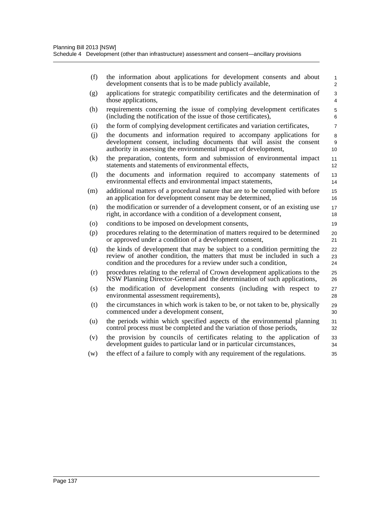| (f) | the information about applications for development consents and about<br>development consents that is to be made publicly available,                                                                                        | $\mathbf{1}$<br>$\overline{2}$ |
|-----|-----------------------------------------------------------------------------------------------------------------------------------------------------------------------------------------------------------------------------|--------------------------------|
| (g) | applications for strategic compatibility certificates and the determination of<br>those applications,                                                                                                                       | 3<br>4                         |
| (h) | requirements concerning the issue of complying development certificates<br>(including the notification of the issue of those certificates),                                                                                 | 5<br>6                         |
| (i) | the form of complying development certificates and variation certificates,                                                                                                                                                  | $\overline{7}$                 |
| (i) | the documents and information required to accompany applications for<br>development consent, including documents that will assist the consent<br>authority in assessing the environmental impact of development,            | 8<br>9<br>10                   |
| (k) | the preparation, contents, form and submission of environmental impact<br>statements and statements of environmental effects,                                                                                               | 11<br>12                       |
| (1) | the documents and information required to accompany statements of<br>environmental effects and environmental impact statements,                                                                                             | 13<br>14                       |
| (m) | additional matters of a procedural nature that are to be complied with before<br>an application for development consent may be determined,                                                                                  | 15<br>16                       |
| (n) | the modification or surrender of a development consent, or of an existing use<br>right, in accordance with a condition of a development consent,                                                                            | 17<br>18                       |
| (0) | conditions to be imposed on development consents,                                                                                                                                                                           | 19                             |
| (p) | procedures relating to the determination of matters required to be determined<br>or approved under a condition of a development consent,                                                                                    | 20<br>21                       |
| (q) | the kinds of development that may be subject to a condition permitting the<br>review of another condition, the matters that must be included in such a<br>condition and the procedures for a review under such a condition, | 22<br>23<br>24                 |
| (r) | procedures relating to the referral of Crown development applications to the<br>NSW Planning Director-General and the determination of such applications,                                                                   | 25<br>26                       |
| (s) | the modification of development consents (including with respect to<br>environmental assessment requirements),                                                                                                              | 27<br>28                       |
| (t) | the circumstances in which work is taken to be, or not taken to be, physically<br>commenced under a development consent,                                                                                                    | 29<br>30                       |
| (u) | the periods within which specified aspects of the environmental planning<br>control process must be completed and the variation of those periods,                                                                           | 31<br>32                       |
| (v) | the provision by councils of certificates relating to the application of<br>development guides to particular land or in particular circumstances,                                                                           | 33<br>34                       |
| (w) | the effect of a failure to comply with any requirement of the regulations.                                                                                                                                                  | 35                             |
|     |                                                                                                                                                                                                                             |                                |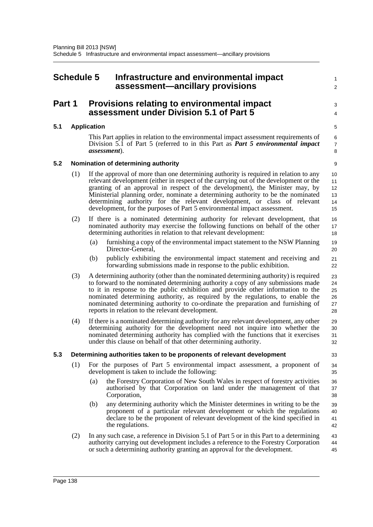|        | <b>Schedule 5</b><br>Infrastructure and environmental impact<br>assessment—ancillary provisions |                    | $\mathbf{1}$<br>2                                                                                                                                                                                                                                                                                                                                                                                                                                                                                          |                                  |
|--------|-------------------------------------------------------------------------------------------------|--------------------|------------------------------------------------------------------------------------------------------------------------------------------------------------------------------------------------------------------------------------------------------------------------------------------------------------------------------------------------------------------------------------------------------------------------------------------------------------------------------------------------------------|----------------------------------|
| Part 1 |                                                                                                 |                    | Provisions relating to environmental impact<br>assessment under Division 5.1 of Part 5                                                                                                                                                                                                                                                                                                                                                                                                                     | $\sqrt{3}$<br>4                  |
| 5.1    |                                                                                                 | <b>Application</b> |                                                                                                                                                                                                                                                                                                                                                                                                                                                                                                            | 5                                |
|        |                                                                                                 |                    | This Part applies in relation to the environmental impact assessment requirements of<br>Division 5.1 of Part 5 (referred to in this Part as Part 5 environmental impact<br><i>assessment</i> ).                                                                                                                                                                                                                                                                                                            | 6<br>$\boldsymbol{7}$<br>8       |
| 5.2    |                                                                                                 |                    | Nomination of determining authority                                                                                                                                                                                                                                                                                                                                                                                                                                                                        | $\boldsymbol{9}$                 |
|        | (1)                                                                                             |                    | If the approval of more than one determining authority is required in relation to any<br>relevant development (either in respect of the carrying out of the development or the<br>granting of an approval in respect of the development), the Minister may, by<br>Ministerial planning order, nominate a determining authority to be the nominated<br>determining authority for the relevant development, or class of relevant<br>development, for the purposes of Part 5 environmental impact assessment. | 10<br>11<br>12<br>13<br>14<br>15 |
|        | (2)                                                                                             |                    | If there is a nominated determining authority for relevant development, that<br>nominated authority may exercise the following functions on behalf of the other<br>determining authorities in relation to that relevant development:                                                                                                                                                                                                                                                                       | 16<br>17<br>18                   |
|        |                                                                                                 | (a)                | furnishing a copy of the environmental impact statement to the NSW Planning<br>Director-General,                                                                                                                                                                                                                                                                                                                                                                                                           | 19<br>20                         |
|        |                                                                                                 | (b)                | publicly exhibiting the environmental impact statement and receiving and<br>forwarding submissions made in response to the public exhibition.                                                                                                                                                                                                                                                                                                                                                              | 21<br>22                         |
|        | (3)                                                                                             |                    | A determining authority (other than the nominated determining authority) is required<br>to forward to the nominated determining authority a copy of any submissions made<br>to it in response to the public exhibition and provide other information to the<br>nominated determining authority, as required by the regulations, to enable the<br>nominated determining authority to co-ordinate the preparation and furnishing of<br>reports in relation to the relevant development.                      | 23<br>24<br>25<br>26<br>27<br>28 |
|        | (4)                                                                                             |                    | If there is a nominated determining authority for any relevant development, any other<br>determining authority for the development need not inquire into whether the<br>nominated determining authority has complied with the functions that it exercises<br>under this clause on behalf of that other determining authority.                                                                                                                                                                              | 29<br>30<br>31<br>32             |
| 5.3    |                                                                                                 |                    | Determining authorities taken to be proponents of relevant development                                                                                                                                                                                                                                                                                                                                                                                                                                     | 33                               |
|        | (1)                                                                                             | (a)                | For the purposes of Part 5 environmental impact assessment, a proponent of<br>development is taken to include the following:<br>the Forestry Corporation of New South Wales in respect of forestry activities<br>authorised by that Corporation on land under the management of that                                                                                                                                                                                                                       | 34<br>35<br>36<br>37             |
|        |                                                                                                 | (b)                | Corporation,<br>any determining authority which the Minister determines in writing to be the<br>proponent of a particular relevant development or which the regulations<br>declare to be the proponent of relevant development of the kind specified in<br>the regulations.                                                                                                                                                                                                                                | 38<br>39<br>40<br>41<br>42       |
|        | (2)                                                                                             |                    | In any such case, a reference in Division 5.1 of Part 5 or in this Part to a determining<br>authority carrying out development includes a reference to the Forestry Corporation                                                                                                                                                                                                                                                                                                                            | 43<br>44                         |

or such a determining authority granting an approval for the development.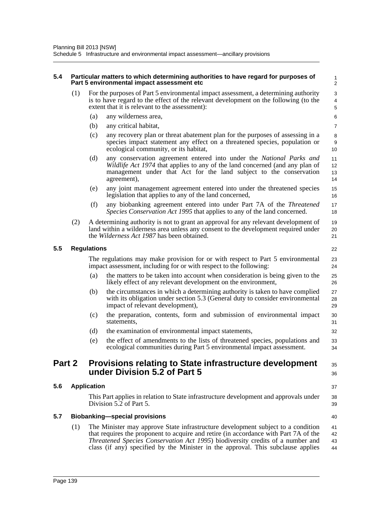#### **5.4 Particular matters to which determining authorities to have regard for purposes of Part 5 environmental impact assessment etc**

- (1) For the purposes of Part 5 environmental impact assessment, a determining authority is to have regard to the effect of the relevant development on the following (to the extent that it is relevant to the assessment):
	- (a) any wilderness area,
	- (b) any critical habitat,
	- (c) any recovery plan or threat abatement plan for the purposes of assessing in a species impact statement any effect on a threatened species, population or ecological community, or its habitat,
	- (d) any conservation agreement entered into under the *National Parks and Wildlife Act 1974* that applies to any of the land concerned (and any plan of management under that Act for the land subject to the conservation agreement),
	- (e) any joint management agreement entered into under the threatened species legislation that applies to any of the land concerned,
	- (f) any biobanking agreement entered into under Part 7A of the *Threatened Species Conservation Act 1995* that applies to any of the land concerned. 17 18
- (2) A determining authority is not to grant an approval for any relevant development of land within a wilderness area unless any consent to the development required under the *Wilderness Act 1987* has been obtained. 19 20 21

#### **5.5 Regulations**

**5.6 Application**

The regulations may make provision for or with respect to Part 5 environmental impact assessment, including for or with respect to the following:

- (a) the matters to be taken into account when consideration is being given to the likely effect of any relevant development on the environment,
- (b) the circumstances in which a determining authority is taken to have complied with its obligation under section 5.3 (General duty to consider environmental impact of relevant development), 27 28 29
- (c) the preparation, contents, form and submission of environmental impact statements,
- (d) the examination of environmental impact statements,
- (e) the effect of amendments to the lists of threatened species, populations and ecological communities during Part 5 environmental impact assessment.

### **Part 2 Provisions relating to State infrastructure development under Division 5.2 of Part 5**

36 37

> 38 39

> 40

35

This Part applies in relation to State infrastructure development and approvals under Division 5.2 of Part 5.

#### **5.7 Biobanking—special provisions**

(1) The Minister may approve State infrastructure development subject to a condition that requires the proponent to acquire and retire (in accordance with Part 7A of the *Threatened Species Conservation Act 1995*) biodiversity credits of a number and class (if any) specified by the Minister in the approval. This subclause applies 41 42 43 44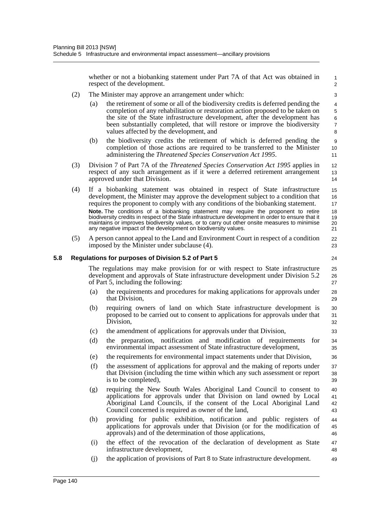whether or not a biobanking statement under Part 7A of that Act was obtained in respect of the development.

22 23

24

28 29

49

- (2) The Minister may approve an arrangement under which:
	- (a) the retirement of some or all of the biodiversity credits is deferred pending the completion of any rehabilitation or restoration action proposed to be taken on the site of the State infrastructure development, after the development has been substantially completed, that will restore or improve the biodiversity values affected by the development, and
	- (b) the biodiversity credits the retirement of which is deferred pending the completion of those actions are required to be transferred to the Minister administering the *Threatened Species Conservation Act 1995*.
- (3) Division 7 of Part 7A of the *Threatened Species Conservation Act 1995* applies in respect of any such arrangement as if it were a deferred retirement arrangement approved under that Division.
- (4) If a biobanking statement was obtained in respect of State infrastructure development, the Minister may approve the development subject to a condition that requires the proponent to comply with any conditions of the biobanking statement. **Note.** The conditions of a biobanking statement may require the proponent to retire biodiversity credits in respect of the State infrastructure development in order to ensure that it maintains or improves biodiversity values, or to carry out other onsite measures to minimise any negative impact of the development on biodiversity values. 15 16 17 18 19 20 21
- (5) A person cannot appeal to the Land and Environment Court in respect of a condition imposed by the Minister under subclause (4).

#### **5.8 Regulations for purposes of Division 5.2 of Part 5**

The regulations may make provision for or with respect to State infrastructure development and approvals of State infrastructure development under Division 5.2 of Part 5, including the following: 25 26 27

- (a) the requirements and procedures for making applications for approvals under that Division,
- (b) requiring owners of land on which State infrastructure development is proposed to be carried out to consent to applications for approvals under that Division, 30 31 32
- (c) the amendment of applications for approvals under that Division,
- (d) the preparation, notification and modification of requirements for environmental impact assessment of State infrastructure development,
- (e) the requirements for environmental impact statements under that Division,
- (f) the assessment of applications for approval and the making of reports under that Division (including the time within which any such assessment or report is to be completed),
- (g) requiring the New South Wales Aboriginal Land Council to consent to applications for approvals under that Division on land owned by Local Aboriginal Land Councils, if the consent of the Local Aboriginal Land Council concerned is required as owner of the land, 40 41 42 43
- (h) providing for public exhibition, notification and public registers of applications for approvals under that Division (or for the modification of approvals) and of the determination of those applications, 44 45 46
- (i) the effect of the revocation of the declaration of development as State infrastructure development, 47 48
- (j) the application of provisions of Part 8 to State infrastructure development.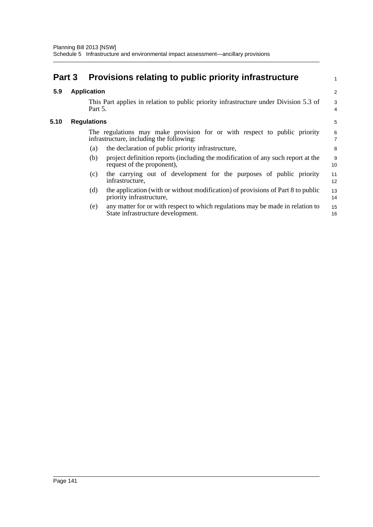# **Part 3 Provisions relating to public priority infrastructure**

#### **5.9 Application**

This Part applies in relation to public priority infrastructure under Division 5.3 of Part 5.

1

2 3 4

#### **5.10 Regulations**

The regulations may make provision for or with respect to public priority infrastructure, including the following:

- (a) the declaration of public priority infrastructure,
- (b) project definition reports (including the modification of any such report at the request of the proponent),
- (c) the carrying out of development for the purposes of public priority infrastructure, 11 12
- (d) the application (with or without modification) of provisions of Part 8 to public priority infrastructure, 13 14
- (e) any matter for or with respect to which regulations may be made in relation to State infrastructure development. 15 16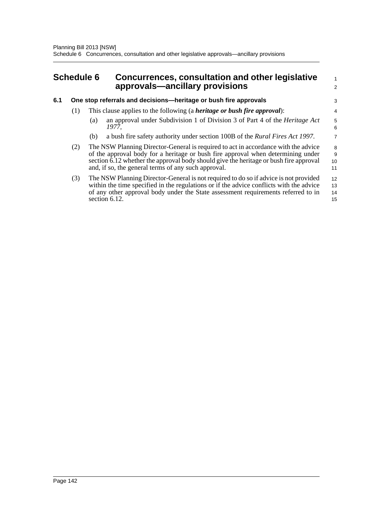# **Schedule 6 Concurrences, consultation and other legislative approvals—ancillary provisions**

| 6.1 | One stop referrals and decisions—heritage or bush fire approvals |                                                                                                                                                                                                                                                                                                                        |                      |  |
|-----|------------------------------------------------------------------|------------------------------------------------------------------------------------------------------------------------------------------------------------------------------------------------------------------------------------------------------------------------------------------------------------------------|----------------------|--|
|     | (1)                                                              | This clause applies to the following (a <i>heritage or bush fire approval</i> ):                                                                                                                                                                                                                                       | $\overline{4}$       |  |
|     |                                                                  | an approval under Subdivision 1 of Division 3 of Part 4 of the Heritage Act<br>(a)<br>1977,                                                                                                                                                                                                                            | 5<br>6               |  |
|     |                                                                  | a bush fire safety authority under section 100B of the Rural Fires Act 1997.<br>(b)                                                                                                                                                                                                                                    | $\overline{7}$       |  |
|     | (2)                                                              | The NSW Planning Director-General is required to act in accordance with the advice<br>of the approval body for a heritage or bush fire approval when determining under<br>section 6.12 whether the approval body should give the heritage or bush fire approval<br>and, if so, the general terms of any such approval. | 8<br>9<br>10<br>11   |  |
|     | (3)                                                              | The NSW Planning Director-General is not required to do so if advice is not provided<br>within the time specified in the regulations or if the advice conflicts with the advice<br>of any other approval body under the State assessment requirements referred to in<br>section 6.12.                                  | 12<br>13<br>14<br>15 |  |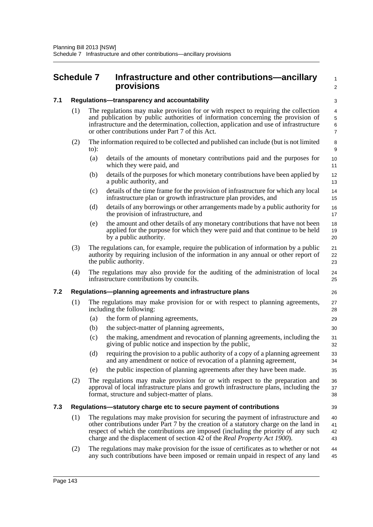### **Schedule 7 Infrastructure and other contributions—ancillary provisions**

26

39

1

#### **7.1 Regulations—transparency and accountability**

- (1) The regulations may make provision for or with respect to requiring the collection and publication by public authorities of information concerning the provision of infrastructure and the determination, collection, application and use of infrastructure or other contributions under Part 7 of this Act.
- (2) The information required to be collected and published can include (but is not limited to):
	- (a) details of the amounts of monetary contributions paid and the purposes for which they were paid, and
	- (b) details of the purposes for which monetary contributions have been applied by a public authority, and
	- (c) details of the time frame for the provision of infrastructure for which any local infrastructure plan or growth infrastructure plan provides, and
	- (d) details of any borrowings or other arrangements made by a public authority for the provision of infrastructure, and
	- (e) the amount and other details of any monetary contributions that have not been applied for the purpose for which they were paid and that continue to be held by a public authority.
- (3) The regulations can, for example, require the publication of information by a public authority by requiring inclusion of the information in any annual or other report of the public authority.
- (4) The regulations may also provide for the auditing of the administration of local infrastructure contributions by councils.

### **7.2 Regulations—planning agreements and infrastructure plans**

- (1) The regulations may make provision for or with respect to planning agreements, including the following: 27 28
	- (a) the form of planning agreements,
	- (b) the subject-matter of planning agreements,
	- (c) the making, amendment and revocation of planning agreements, including the giving of public notice and inspection by the public,
	- (d) requiring the provision to a public authority of a copy of a planning agreement and any amendment or notice of revocation of a planning agreement,
	- (e) the public inspection of planning agreements after they have been made.
- (2) The regulations may make provision for or with respect to the preparation and approval of local infrastructure plans and growth infrastructure plans, including the format, structure and subject-matter of plans. 36 37 38

#### **7.3 Regulations—statutory charge etc to secure payment of contributions**

- (1) The regulations may make provision for securing the payment of infrastructure and other contributions under Part 7 by the creation of a statutory charge on the land in respect of which the contributions are imposed (including the priority of any such charge and the displacement of section 42 of the *Real Property Act 1900*). 40 41 42 43
- (2) The regulations may make provision for the issue of certificates as to whether or not any such contributions have been imposed or remain unpaid in respect of any land 44 45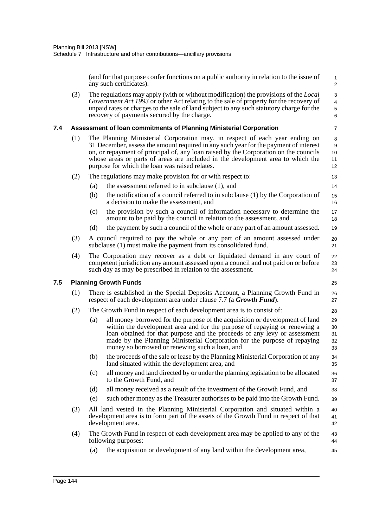(and for that purpose confer functions on a public authority in relation to the issue of any such certificates).

17 18 19

22 23 24

45

(3) The regulations may apply (with or without modification) the provisions of the *Local Government Act 1993* or other Act relating to the sale of property for the recovery of unpaid rates or charges to the sale of land subject to any such statutory charge for the recovery of payments secured by the charge.

#### **7.4 Assessment of loan commitments of Planning Ministerial Corporation**

(1) The Planning Ministerial Corporation may, in respect of each year ending on 31 December, assess the amount required in any such year for the payment of interest on, or repayment of principal of, any loan raised by the Corporation on the councils whose areas or parts of areas are included in the development area to which the purpose for which the loan was raised relates.

(2) The regulations may make provision for or with respect to:

- (a) the assessment referred to in subclause (1), and
- (b) the notification of a council referred to in subclause (1) by the Corporation of a decision to make the assessment, and 15 16
- (c) the provision by such a council of information necessary to determine the amount to be paid by the council in relation to the assessment, and
- (d) the payment by such a council of the whole or any part of an amount assessed.
- (3) A council required to pay the whole or any part of an amount assessed under subclause (1) must make the payment from its consolidated fund. 20 21
- (4) The Corporation may recover as a debt or liquidated demand in any court of competent jurisdiction any amount assessed upon a council and not paid on or before such day as may be prescribed in relation to the assessment.

#### **7.5 Planning Growth Funds**

- (1) There is established in the Special Deposits Account, a Planning Growth Fund in respect of each development area under clause 7.7 (a *Growth Fund*).
- (2) The Growth Fund in respect of each development area is to consist of:
	- (a) all money borrowed for the purpose of the acquisition or development of land within the development area and for the purpose of repaying or renewing a loan obtained for that purpose and the proceeds of any levy or assessment made by the Planning Ministerial Corporation for the purpose of repaying money so borrowed or renewing such a loan, and 29 30 31 32 33
	- (b) the proceeds of the sale or lease by the Planning Ministerial Corporation of any land situated within the development area, and
	- (c) all money and land directed by or under the planning legislation to be allocated to the Growth Fund, and
	- (d) all money received as a result of the investment of the Growth Fund, and
	- (e) such other money as the Treasurer authorises to be paid into the Growth Fund.
- (3) All land vested in the Planning Ministerial Corporation and situated within a development area is to form part of the assets of the Growth Fund in respect of that development area. 40 41 42
- (4) The Growth Fund in respect of each development area may be applied to any of the following purposes: 43 44
	- (a) the acquisition or development of any land within the development area,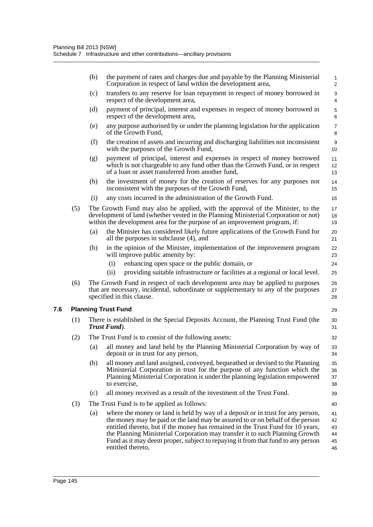|     |     | (b) | the payment of rates and charges due and payable by the Planning Ministerial<br>Corporation in respect of land within the development area,                                                                                                                                                                                                                                                                                                  | $\mathbf{1}$<br>$\overline{2}$   |
|-----|-----|-----|----------------------------------------------------------------------------------------------------------------------------------------------------------------------------------------------------------------------------------------------------------------------------------------------------------------------------------------------------------------------------------------------------------------------------------------------|----------------------------------|
|     |     | (c) | transfers to any reserve for loan repayment in respect of money borrowed in<br>respect of the development area,                                                                                                                                                                                                                                                                                                                              | 3<br>4                           |
|     |     | (d) | payment of principal, interest and expenses in respect of money borrowed in<br>respect of the development area,                                                                                                                                                                                                                                                                                                                              | $\mathbf 5$<br>$\,6$             |
|     |     | (e) | any purpose authorised by or under the planning legislation for the application<br>of the Growth Fund,                                                                                                                                                                                                                                                                                                                                       | $\boldsymbol{7}$<br>8            |
|     |     | (f) | the creation of assets and incurring and discharging liabilities not inconsistent<br>with the purposes of the Growth Fund,                                                                                                                                                                                                                                                                                                                   | $\boldsymbol{9}$<br>10           |
|     |     | (g) | payment of principal, interest and expenses in respect of money borrowed<br>which is not chargeable to any fund other than the Growth Fund, or in respect<br>of a loan or asset transferred from another fund,                                                                                                                                                                                                                               | 11<br>12<br>13                   |
|     |     | (h) | the investment of money for the creation of reserves for any purposes not<br>inconsistent with the purposes of the Growth Fund,                                                                                                                                                                                                                                                                                                              | 14<br>15                         |
|     |     | (i) | any costs incurred in the administration of the Growth Fund.                                                                                                                                                                                                                                                                                                                                                                                 | 16                               |
|     | (5) |     | The Growth Fund may also be applied, with the approval of the Minister, to the<br>development of land (whether vested in the Planning Ministerial Corporation or not)<br>within the development area for the purpose of an improvement program, if:                                                                                                                                                                                          | 17<br>18<br>19                   |
|     |     | (a) | the Minister has considered likely future applications of the Growth Fund for<br>all the purposes in subclause (4), and                                                                                                                                                                                                                                                                                                                      | 20<br>21                         |
|     |     | (b) | in the opinion of the Minister, implementation of the improvement program<br>will improve public amenity by:                                                                                                                                                                                                                                                                                                                                 | 22<br>23                         |
|     |     |     | (i)<br>enhancing open space or the public domain, or<br>providing suitable infrastructure or facilities at a regional or local level.<br>(ii)                                                                                                                                                                                                                                                                                                | 24<br>25                         |
|     | (6) |     | The Growth Fund in respect of each development area may be applied to purposes<br>that are necessary, incidental, subordinate or supplementary to any of the purposes<br>specified in this clause.                                                                                                                                                                                                                                           | 26<br>27<br>28                   |
| 7.6 |     |     | <b>Planning Trust Fund</b>                                                                                                                                                                                                                                                                                                                                                                                                                   | 29                               |
|     | (1) |     | There is established in the Special Deposits Account, the Planning Trust Fund (the<br>Trust Fund).                                                                                                                                                                                                                                                                                                                                           | 30<br>31                         |
|     | (2) |     | The Trust Fund is to consist of the following assets:                                                                                                                                                                                                                                                                                                                                                                                        | 32                               |
|     |     | (a) | all money and land held by the Planning Ministerial Corporation by way of<br>deposit or in trust for any person,                                                                                                                                                                                                                                                                                                                             | 33<br>34                         |
|     |     | (b) | all money and land assigned, conveyed, bequeathed or devised to the Planning<br>Ministerial Corporation in trust for the purpose of any function which the<br>Planning Ministerial Corporation is under the planning legislation empowered<br>to exercise,                                                                                                                                                                                   | 35<br>36<br>37<br>38             |
|     |     | (c) | all money received as a result of the investment of the Trust Fund.                                                                                                                                                                                                                                                                                                                                                                          | 39                               |
|     | (3) |     | The Trust Fund is to be applied as follows:                                                                                                                                                                                                                                                                                                                                                                                                  | 40                               |
|     |     | (a) | where the money or land is held by way of a deposit or in trust for any person,<br>the money may be paid or the land may be assured to or on behalf of the person<br>entitled thereto, but if the money has remained in the Trust Fund for 10 years,<br>the Planning Ministerial Corporation may transfer it to such Planning Growth<br>Fund as it may deem proper, subject to repaying it from that fund to any person<br>entitled thereto, | 41<br>42<br>43<br>44<br>45<br>46 |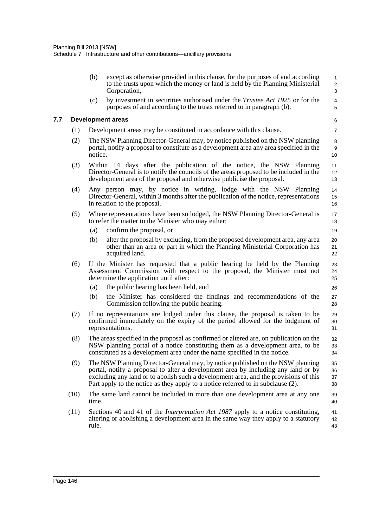|      | (b)                                                                                                                                                                                                                                                                                                                                             | except as otherwise provided in this clause, for the purposes of and according<br>to the trusts upon which the money or land is held by the Planning Ministerial<br>Corporation,                                                                      | $\mathbf{1}$<br>2<br>$\mathbf{3}$ |  |  |
|------|-------------------------------------------------------------------------------------------------------------------------------------------------------------------------------------------------------------------------------------------------------------------------------------------------------------------------------------------------|-------------------------------------------------------------------------------------------------------------------------------------------------------------------------------------------------------------------------------------------------------|-----------------------------------|--|--|
|      | (c)                                                                                                                                                                                                                                                                                                                                             | by investment in securities authorised under the <i>Trustee Act 1925</i> or for the<br>purposes of and according to the trusts referred to in paragraph (b).                                                                                          | $\overline{4}$<br>5               |  |  |
|      |                                                                                                                                                                                                                                                                                                                                                 | <b>Development areas</b>                                                                                                                                                                                                                              | 6                                 |  |  |
| (1)  | Development areas may be constituted in accordance with this clause.                                                                                                                                                                                                                                                                            |                                                                                                                                                                                                                                                       |                                   |  |  |
| (2)  | notice.                                                                                                                                                                                                                                                                                                                                         | The NSW Planning Director-General may, by notice published on the NSW planning<br>portal, notify a proposal to constitute as a development area any area specified in the                                                                             | 8<br>9<br>10                      |  |  |
| (3)  |                                                                                                                                                                                                                                                                                                                                                 | Within 14 days after the publication of the notice, the NSW Planning<br>Director-General is to notify the councils of the areas proposed to be included in the<br>development area of the proposal and otherwise publicise the proposal.              | 11<br>12<br>13                    |  |  |
| (4)  |                                                                                                                                                                                                                                                                                                                                                 | Any person may, by notice in writing, lodge with the NSW Planning<br>Director-General, within 3 months after the publication of the notice, representations<br>in relation to the proposal.                                                           | 14<br>15<br>16                    |  |  |
| (5)  |                                                                                                                                                                                                                                                                                                                                                 | Where representations have been so lodged, the NSW Planning Director-General is<br>to refer the matter to the Minister who may either:                                                                                                                | 17<br>18                          |  |  |
|      | (a)                                                                                                                                                                                                                                                                                                                                             | confirm the proposal, or                                                                                                                                                                                                                              | 19                                |  |  |
|      | (b)                                                                                                                                                                                                                                                                                                                                             | alter the proposal by excluding, from the proposed development area, any area<br>other than an area or part in which the Planning Ministerial Corporation has<br>acquired land.                                                                       | 20<br>21<br>22                    |  |  |
| (6)  |                                                                                                                                                                                                                                                                                                                                                 | If the Minister has requested that a public hearing be held by the Planning<br>Assessment Commission with respect to the proposal, the Minister must not<br>determine the application until after:                                                    | 23<br>24<br>25                    |  |  |
|      | (a)                                                                                                                                                                                                                                                                                                                                             | the public hearing has been held, and                                                                                                                                                                                                                 | 26                                |  |  |
|      | (b)                                                                                                                                                                                                                                                                                                                                             | the Minister has considered the findings and recommendations of the<br>Commission following the public hearing.                                                                                                                                       | 27<br>28                          |  |  |
| (7)  |                                                                                                                                                                                                                                                                                                                                                 | If no representations are lodged under this clause, the proposal is taken to be<br>confirmed immediately on the expiry of the period allowed for the lodgment of<br>representations.                                                                  | 29<br>30<br>31                    |  |  |
| (8)  |                                                                                                                                                                                                                                                                                                                                                 | The areas specified in the proposal as confirmed or altered are, on publication on the<br>NSW planning portal of a notice constituting them as a development area, to be<br>constituted as a development area under the name specified in the notice. | 32<br>33<br>34                    |  |  |
| (9)  | The NSW Planning Director-General may, by notice published on the NSW planning<br>portal, notify a proposal to alter a development area by including any land or by<br>excluding any land or to abolish such a development area, and the provisions of this<br>Part apply to the notice as they apply to a notice referred to in subclause (2). |                                                                                                                                                                                                                                                       |                                   |  |  |
| (10) | The same land cannot be included in more than one development area at any one<br>39<br>time.<br>40                                                                                                                                                                                                                                              |                                                                                                                                                                                                                                                       |                                   |  |  |
| (11) | rule.                                                                                                                                                                                                                                                                                                                                           | Sections 40 and 41 of the <i>Interpretation Act 1987</i> apply to a notice constituting,<br>altering or abolishing a development area in the same way they apply to a statutory                                                                       | 41<br>42<br>43                    |  |  |

**7.7 Development areas**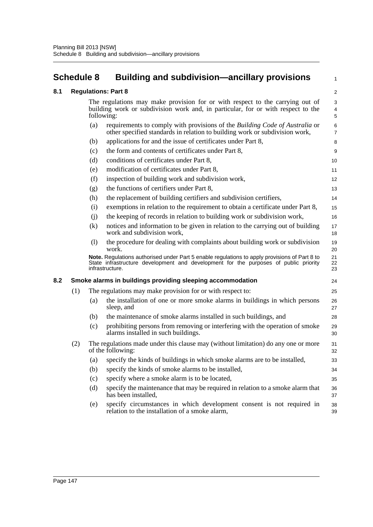**8.1** 

# **Schedule 8 Building and subdivision—ancillary provisions**

| 8.1 | <b>Regulations: Part 8</b> |     |                                                                                                                                                                                                          |                     |  |
|-----|----------------------------|-----|----------------------------------------------------------------------------------------------------------------------------------------------------------------------------------------------------------|---------------------|--|
|     |                            |     | The regulations may make provision for or with respect to the carrying out of<br>building work or subdivision work and, in particular, for or with respect to the<br>following:                          | 3<br>4<br>5         |  |
|     |                            | (a) | requirements to comply with provisions of the Building Code of Australia or<br>other specified standards in relation to building work or subdivision work,                                               | 6<br>$\overline{7}$ |  |
|     |                            | (b) | applications for and the issue of certificates under Part 8,                                                                                                                                             | 8                   |  |
|     |                            | (c) | the form and contents of certificates under Part 8,                                                                                                                                                      | 9                   |  |
|     |                            | (d) | conditions of certificates under Part 8,                                                                                                                                                                 | 10                  |  |
|     |                            | (e) | modification of certificates under Part 8,                                                                                                                                                               | 11                  |  |
|     |                            | (f) | inspection of building work and subdivision work,                                                                                                                                                        | 12                  |  |
|     |                            | (g) | the functions of certifiers under Part 8,                                                                                                                                                                | 13                  |  |
|     |                            | (h) | the replacement of building certifiers and subdivision certifiers,                                                                                                                                       | 14                  |  |
|     |                            | (i) | exemptions in relation to the requirement to obtain a certificate under Part 8,                                                                                                                          | 15                  |  |
|     |                            | (i) | the keeping of records in relation to building work or subdivision work,                                                                                                                                 | 16                  |  |
|     |                            | (k) | notices and information to be given in relation to the carrying out of building<br>work and subdivision work,                                                                                            | 17<br>18            |  |
|     |                            | (1) | the procedure for dealing with complaints about building work or subdivision<br>work.                                                                                                                    | 19<br>20            |  |
|     |                            |     | Note. Regulations authorised under Part 5 enable regulations to apply provisions of Part 8 to<br>State infrastructure development and development for the purposes of public priority<br>infrastructure. | 21<br>22<br>23      |  |
| 8.2 |                            |     | Smoke alarms in buildings providing sleeping accommodation                                                                                                                                               | 24                  |  |
|     | (1)                        |     | The regulations may make provision for or with respect to:                                                                                                                                               | 25                  |  |
|     |                            | (a) | the installation of one or more smoke alarms in buildings in which persons<br>sleep, and                                                                                                                 | 26<br>27            |  |
|     |                            | (b) | the maintenance of smoke alarms installed in such buildings, and                                                                                                                                         | 28                  |  |
|     |                            | (c) | prohibiting persons from removing or interfering with the operation of smoke<br>alarms installed in such buildings.                                                                                      | 29<br>30            |  |
|     | (2)                        |     | The regulations made under this clause may (without limitation) do any one or more<br>of the following:                                                                                                  | 31<br>32            |  |
|     |                            | (a) | specify the kinds of buildings in which smoke alarms are to be installed,                                                                                                                                | 33                  |  |
|     |                            | (b) | specify the kinds of smoke alarms to be installed,                                                                                                                                                       | 34                  |  |
|     |                            | (c) | specify where a smoke alarm is to be located,                                                                                                                                                            | 35                  |  |
|     |                            | (d) | specify the maintenance that may be required in relation to a smoke alarm that<br>has been installed,                                                                                                    | 36<br>37            |  |
|     |                            | (e) | specify circumstances in which development consent is not required in<br>relation to the installation of a smoke alarm,                                                                                  | 38<br>39            |  |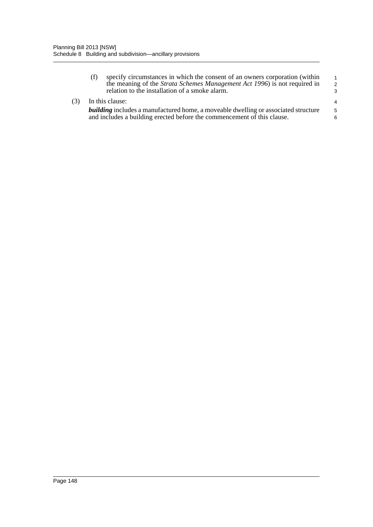$(3)$ 

| specify circumstances in which the consent of an owners corporation (within<br>(t)<br>the meaning of the Strata Schemes Management Act 1996) is not required in<br>relation to the installation of a smoke alarm. | $\overline{1}$<br>$\mathcal{P}$<br>3 |
|-------------------------------------------------------------------------------------------------------------------------------------------------------------------------------------------------------------------|--------------------------------------|
| In this clause:                                                                                                                                                                                                   | $\overline{4}$                       |
| <b>building</b> includes a manufactured home, a moveable dwelling or associated structure<br>and includes a building erected before the commencement of this clause.                                              | 5<br>6                               |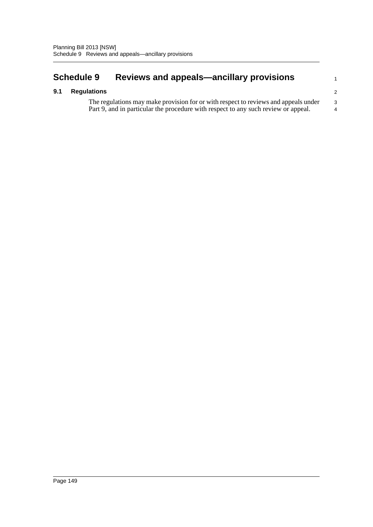# **Schedule 9 Reviews and appeals—ancillary provisions**

#### **9.1 Regulations**

The regulations may make provision for or with respect to reviews and appeals under Part 9, and in particular the procedure with respect to any such review or appeal.

1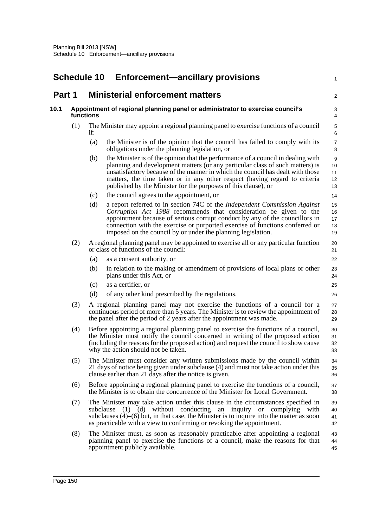# **Schedule 10 Enforcement—ancillary provisions**

### **Part 1 Ministerial enforcement matters**

### **10.1 Appointment of regional planning panel or administrator to exercise council's functions**

- (1) The Minister may appoint a regional planning panel to exercise functions of a council if:
	- (a) the Minister is of the opinion that the council has failed to comply with its obligations under the planning legislation, or

1

2

- (b) the Minister is of the opinion that the performance of a council in dealing with planning and development matters (or any particular class of such matters) is unsatisfactory because of the manner in which the council has dealt with those matters, the time taken or in any other respect (having regard to criteria published by the Minister for the purposes of this clause), or
- (c) the council agrees to the appointment, or
- (d) a report referred to in section 74C of the *Independent Commission Against Corruption Act 1988* recommends that consideration be given to the appointment because of serious corrupt conduct by any of the councillors in connection with the exercise or purported exercise of functions conferred or imposed on the council by or under the planning legislation. 15 16 17 18 19
- (2) A regional planning panel may be appointed to exercise all or any particular function or class of functions of the council:
	- (a) as a consent authority, or
	- (b) in relation to the making or amendment of provisions of local plans or other plans under this Act, or
	- (c) as a certifier, or
	- (d) of any other kind prescribed by the regulations.
- (3) A regional planning panel may not exercise the functions of a council for a continuous period of more than 5 years. The Minister is to review the appointment of the panel after the period of 2 years after the appointment was made. 27 28 29
- (4) Before appointing a regional planning panel to exercise the functions of a council, the Minister must notify the council concerned in writing of the proposed action (including the reasons for the proposed action) and request the council to show cause why the action should not be taken.
- (5) The Minister must consider any written submissions made by the council within 21 days of notice being given under subclause (4) and must not take action under this clause earlier than 21 days after the notice is given. 34 35 36
- (6) Before appointing a regional planning panel to exercise the functions of a council, the Minister is to obtain the concurrence of the Minister for Local Government. 37 38
- (7) The Minister may take action under this clause in the circumstances specified in subclause (1) (d) without conducting an inquiry or complying with subclauses  $(4)$ – $(6)$  but, in that case, the Minister is to inquire into the matter as soon as practicable with a view to confirming or revoking the appointment. 39 40 41 42
- (8) The Minister must, as soon as reasonably practicable after appointing a regional planning panel to exercise the functions of a council, make the reasons for that appointment publicly available. 43 44 45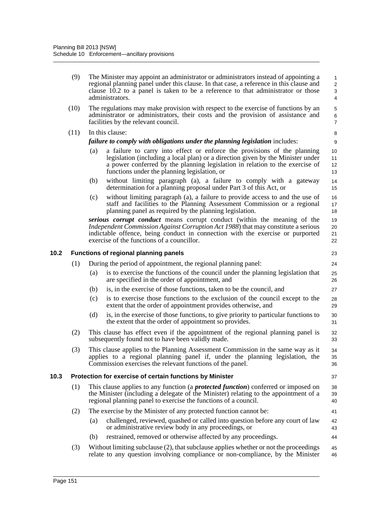|      | (9)  | The Minister may appoint an administrator or administrators instead of appointing a<br>regional planning panel under this clause. In that case, a reference in this clause and<br>clause 10.2 to a panel is taken to be a reference to that administrator or those<br>administrators.              | 1<br>$\overline{c}$<br>3<br>$\overline{4}$ |
|------|------|----------------------------------------------------------------------------------------------------------------------------------------------------------------------------------------------------------------------------------------------------------------------------------------------------|--------------------------------------------|
|      | (10) | The regulations may make provision with respect to the exercise of functions by an<br>administrator or administrators, their costs and the provision of assistance and<br>facilities by the relevant council.                                                                                      | $\mathbf 5$<br>6<br>$\overline{7}$         |
|      | (11) | In this clause:                                                                                                                                                                                                                                                                                    | 8                                          |
|      |      | failure to comply with obligations under the planning legislation includes:                                                                                                                                                                                                                        | 9                                          |
|      |      | a failure to carry into effect or enforce the provisions of the planning<br>(a)<br>legislation (including a local plan) or a direction given by the Minister under<br>a power conferred by the planning legislation in relation to the exercise of<br>functions under the planning legislation, or | 10<br>11<br>12<br>13                       |
|      |      | without limiting paragraph (a), a failure to comply with a gateway<br>(b)<br>determination for a planning proposal under Part 3 of this Act, or                                                                                                                                                    | 14<br>15                                   |
|      |      | without limiting paragraph (a), a failure to provide access to and the use of<br>(c)<br>staff and facilities to the Planning Assessment Commission or a regional<br>planning panel as required by the planning legislation.                                                                        | 16<br>17<br>18                             |
|      |      | serious corrupt conduct means corrupt conduct (within the meaning of the<br>Independent Commission Against Corruption Act 1988) that may constitute a serious<br>indictable offence, being conduct in connection with the exercise or purported<br>exercise of the functions of a councillor.      | 19<br>20<br>21<br>22                       |
| 10.2 |      | <b>Functions of regional planning panels</b>                                                                                                                                                                                                                                                       | 23                                         |
|      | (1)  | During the period of appointment, the regional planning panel:                                                                                                                                                                                                                                     | 24                                         |
|      |      | is to exercise the functions of the council under the planning legislation that<br>(a)<br>are specified in the order of appointment, and                                                                                                                                                           | 25<br>26                                   |
|      |      | is, in the exercise of those functions, taken to be the council, and<br>(b)                                                                                                                                                                                                                        | 27                                         |
|      |      | is to exercise those functions to the exclusion of the council except to the<br>(c)<br>extent that the order of appointment provides otherwise, and                                                                                                                                                | 28<br>29                                   |
|      |      | (d)<br>is, in the exercise of those functions, to give priority to particular functions to<br>the extent that the order of appointment so provides.                                                                                                                                                | 30<br>31                                   |
|      | (2)  | This clause has effect even if the appointment of the regional planning panel is<br>subsequently found not to have been validly made.                                                                                                                                                              | 32<br>33                                   |
|      | (3)  | This clause applies to the Planning Assessment Commission in the same way as it<br>applies to a regional planning panel if, under the planning legislation, the<br>Commission exercises the relevant functions of the panel.                                                                       | 34<br>35<br>36                             |
| 10.3 |      | Protection for exercise of certain functions by Minister                                                                                                                                                                                                                                           | 37                                         |
|      | (1)  | This clause applies to any function (a <i>protected function</i> ) conferred or imposed on<br>the Minister (including a delegate of the Minister) relating to the appointment of a<br>regional planning panel to exercise the functions of a council.                                              | 38<br>39<br>40                             |
|      | (2)  | The exercise by the Minister of any protected function cannot be:                                                                                                                                                                                                                                  | 41                                         |
|      |      | challenged, reviewed, quashed or called into question before any court of law<br>(a)<br>or administrative review body in any proceedings, or                                                                                                                                                       | 42<br>43                                   |
|      |      | restrained, removed or otherwise affected by any proceedings.<br>(b)                                                                                                                                                                                                                               | 44                                         |
|      | (3)  | Without limiting subclause (2), that subclause applies whether or not the proceedings<br>relate to any question involving compliance or non-compliance, by the Minister                                                                                                                            | 45<br>46                                   |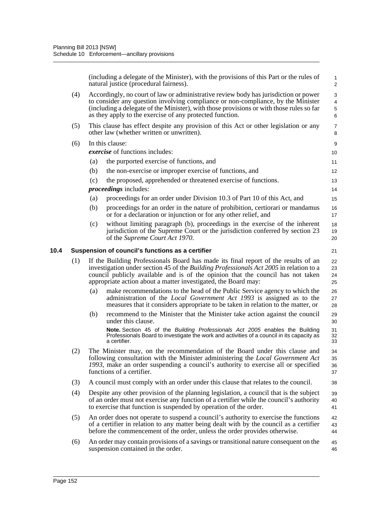(including a delegate of the Minister), with the provisions of this Part or the rules of natural justice (procedural fairness).

|     |     |                                                                                                                                                                                                                                                | 2                                                                                                                                                                                                                                                                                                                                                                                                                                                                                                                                                                                                                                                                                                                                                                                                                                                                                                                                                                                                                                                                                                                                                                                                                                                                                                                                                                                                                                                                                                                                                                                                                                                                                                                                                                                                                                                                                                                                                                                                                                               |
|-----|-----|------------------------------------------------------------------------------------------------------------------------------------------------------------------------------------------------------------------------------------------------|-------------------------------------------------------------------------------------------------------------------------------------------------------------------------------------------------------------------------------------------------------------------------------------------------------------------------------------------------------------------------------------------------------------------------------------------------------------------------------------------------------------------------------------------------------------------------------------------------------------------------------------------------------------------------------------------------------------------------------------------------------------------------------------------------------------------------------------------------------------------------------------------------------------------------------------------------------------------------------------------------------------------------------------------------------------------------------------------------------------------------------------------------------------------------------------------------------------------------------------------------------------------------------------------------------------------------------------------------------------------------------------------------------------------------------------------------------------------------------------------------------------------------------------------------------------------------------------------------------------------------------------------------------------------------------------------------------------------------------------------------------------------------------------------------------------------------------------------------------------------------------------------------------------------------------------------------------------------------------------------------------------------------------------------------|
| (4) |     |                                                                                                                                                                                                                                                | 3<br>$\overline{4}$<br>5<br>6                                                                                                                                                                                                                                                                                                                                                                                                                                                                                                                                                                                                                                                                                                                                                                                                                                                                                                                                                                                                                                                                                                                                                                                                                                                                                                                                                                                                                                                                                                                                                                                                                                                                                                                                                                                                                                                                                                                                                                                                                   |
| (5) |     |                                                                                                                                                                                                                                                | $\overline{7}$<br>8                                                                                                                                                                                                                                                                                                                                                                                                                                                                                                                                                                                                                                                                                                                                                                                                                                                                                                                                                                                                                                                                                                                                                                                                                                                                                                                                                                                                                                                                                                                                                                                                                                                                                                                                                                                                                                                                                                                                                                                                                             |
| (6) |     |                                                                                                                                                                                                                                                | 9                                                                                                                                                                                                                                                                                                                                                                                                                                                                                                                                                                                                                                                                                                                                                                                                                                                                                                                                                                                                                                                                                                                                                                                                                                                                                                                                                                                                                                                                                                                                                                                                                                                                                                                                                                                                                                                                                                                                                                                                                                               |
|     |     |                                                                                                                                                                                                                                                | 10                                                                                                                                                                                                                                                                                                                                                                                                                                                                                                                                                                                                                                                                                                                                                                                                                                                                                                                                                                                                                                                                                                                                                                                                                                                                                                                                                                                                                                                                                                                                                                                                                                                                                                                                                                                                                                                                                                                                                                                                                                              |
|     | (a) | the purported exercise of functions, and                                                                                                                                                                                                       | 11                                                                                                                                                                                                                                                                                                                                                                                                                                                                                                                                                                                                                                                                                                                                                                                                                                                                                                                                                                                                                                                                                                                                                                                                                                                                                                                                                                                                                                                                                                                                                                                                                                                                                                                                                                                                                                                                                                                                                                                                                                              |
|     | (b) | the non-exercise or improper exercise of functions, and                                                                                                                                                                                        | 12                                                                                                                                                                                                                                                                                                                                                                                                                                                                                                                                                                                                                                                                                                                                                                                                                                                                                                                                                                                                                                                                                                                                                                                                                                                                                                                                                                                                                                                                                                                                                                                                                                                                                                                                                                                                                                                                                                                                                                                                                                              |
|     | (c) | the proposed, apprehended or threatened exercise of functions.                                                                                                                                                                                 | 13                                                                                                                                                                                                                                                                                                                                                                                                                                                                                                                                                                                                                                                                                                                                                                                                                                                                                                                                                                                                                                                                                                                                                                                                                                                                                                                                                                                                                                                                                                                                                                                                                                                                                                                                                                                                                                                                                                                                                                                                                                              |
|     |     |                                                                                                                                                                                                                                                | 14                                                                                                                                                                                                                                                                                                                                                                                                                                                                                                                                                                                                                                                                                                                                                                                                                                                                                                                                                                                                                                                                                                                                                                                                                                                                                                                                                                                                                                                                                                                                                                                                                                                                                                                                                                                                                                                                                                                                                                                                                                              |
|     | (a) | proceedings for an order under Division 10.3 of Part 10 of this Act, and                                                                                                                                                                       | 15                                                                                                                                                                                                                                                                                                                                                                                                                                                                                                                                                                                                                                                                                                                                                                                                                                                                                                                                                                                                                                                                                                                                                                                                                                                                                                                                                                                                                                                                                                                                                                                                                                                                                                                                                                                                                                                                                                                                                                                                                                              |
|     | (b) | proceedings for an order in the nature of prohibition, certiorari or mandamus<br>or for a declaration or injunction or for any other relief, and                                                                                               | 16<br>17                                                                                                                                                                                                                                                                                                                                                                                                                                                                                                                                                                                                                                                                                                                                                                                                                                                                                                                                                                                                                                                                                                                                                                                                                                                                                                                                                                                                                                                                                                                                                                                                                                                                                                                                                                                                                                                                                                                                                                                                                                        |
|     | (c) | without limiting paragraph (b), proceedings in the exercise of the inherent<br>jurisdiction of the Supreme Court or the jurisdiction conferred by section 23<br>of the Supreme Court Act 1970.                                                 | 18<br>19<br>20                                                                                                                                                                                                                                                                                                                                                                                                                                                                                                                                                                                                                                                                                                                                                                                                                                                                                                                                                                                                                                                                                                                                                                                                                                                                                                                                                                                                                                                                                                                                                                                                                                                                                                                                                                                                                                                                                                                                                                                                                                  |
|     |     |                                                                                                                                                                                                                                                | 21                                                                                                                                                                                                                                                                                                                                                                                                                                                                                                                                                                                                                                                                                                                                                                                                                                                                                                                                                                                                                                                                                                                                                                                                                                                                                                                                                                                                                                                                                                                                                                                                                                                                                                                                                                                                                                                                                                                                                                                                                                              |
| (1) |     |                                                                                                                                                                                                                                                | 22<br>23<br>24<br>25                                                                                                                                                                                                                                                                                                                                                                                                                                                                                                                                                                                                                                                                                                                                                                                                                                                                                                                                                                                                                                                                                                                                                                                                                                                                                                                                                                                                                                                                                                                                                                                                                                                                                                                                                                                                                                                                                                                                                                                                                            |
|     | (a) | make recommendations to the head of the Public Service agency to which the<br>administration of the <i>Local Government Act 1993</i> is assigned as to the<br>measures that it considers appropriate to be taken in relation to the matter, or | 26<br>27<br>28                                                                                                                                                                                                                                                                                                                                                                                                                                                                                                                                                                                                                                                                                                                                                                                                                                                                                                                                                                                                                                                                                                                                                                                                                                                                                                                                                                                                                                                                                                                                                                                                                                                                                                                                                                                                                                                                                                                                                                                                                                  |
|     | (b) | recommend to the Minister that the Minister take action against the council<br>under this clause.                                                                                                                                              | 29<br>30                                                                                                                                                                                                                                                                                                                                                                                                                                                                                                                                                                                                                                                                                                                                                                                                                                                                                                                                                                                                                                                                                                                                                                                                                                                                                                                                                                                                                                                                                                                                                                                                                                                                                                                                                                                                                                                                                                                                                                                                                                        |
|     |     | Note. Section 45 of the Building Professionals Act 2005 enables the Building<br>Professionals Board to investigate the work and activities of a council in its capacity as<br>a certifier.                                                     | 31<br>32<br>33                                                                                                                                                                                                                                                                                                                                                                                                                                                                                                                                                                                                                                                                                                                                                                                                                                                                                                                                                                                                                                                                                                                                                                                                                                                                                                                                                                                                                                                                                                                                                                                                                                                                                                                                                                                                                                                                                                                                                                                                                                  |
| (2) |     |                                                                                                                                                                                                                                                | 34<br>35<br>36<br>37                                                                                                                                                                                                                                                                                                                                                                                                                                                                                                                                                                                                                                                                                                                                                                                                                                                                                                                                                                                                                                                                                                                                                                                                                                                                                                                                                                                                                                                                                                                                                                                                                                                                                                                                                                                                                                                                                                                                                                                                                            |
| (3) |     |                                                                                                                                                                                                                                                | 38                                                                                                                                                                                                                                                                                                                                                                                                                                                                                                                                                                                                                                                                                                                                                                                                                                                                                                                                                                                                                                                                                                                                                                                                                                                                                                                                                                                                                                                                                                                                                                                                                                                                                                                                                                                                                                                                                                                                                                                                                                              |
| (4) |     |                                                                                                                                                                                                                                                | 39<br>40<br>41                                                                                                                                                                                                                                                                                                                                                                                                                                                                                                                                                                                                                                                                                                                                                                                                                                                                                                                                                                                                                                                                                                                                                                                                                                                                                                                                                                                                                                                                                                                                                                                                                                                                                                                                                                                                                                                                                                                                                                                                                                  |
| (5) |     |                                                                                                                                                                                                                                                | 42<br>43<br>44                                                                                                                                                                                                                                                                                                                                                                                                                                                                                                                                                                                                                                                                                                                                                                                                                                                                                                                                                                                                                                                                                                                                                                                                                                                                                                                                                                                                                                                                                                                                                                                                                                                                                                                                                                                                                                                                                                                                                                                                                                  |
| (6) |     |                                                                                                                                                                                                                                                | 45<br>46                                                                                                                                                                                                                                                                                                                                                                                                                                                                                                                                                                                                                                                                                                                                                                                                                                                                                                                                                                                                                                                                                                                                                                                                                                                                                                                                                                                                                                                                                                                                                                                                                                                                                                                                                                                                                                                                                                                                                                                                                                        |
|     |     |                                                                                                                                                                                                                                                | natural justice (procedural fairness).<br>Accordingly, no court of law or administrative review body has jurisdiction or power<br>to consider any question involving compliance or non-compliance, by the Minister<br>(including a delegate of the Minister), with those provisions or with those rules so far<br>as they apply to the exercise of any protected function.<br>This clause has effect despite any provision of this Act or other legislation or any<br>other law (whether written or unwritten).<br>In this clause:<br><i>exercise</i> of functions includes:<br><i>proceedings</i> includes:<br>Suspension of council's functions as a certifier<br>If the Building Professionals Board has made its final report of the results of an<br>investigation under section 45 of the <i>Building Professionals Act 2005</i> in relation to a<br>council publicly available and is of the opinion that the council has not taken<br>appropriate action about a matter investigated, the Board may:<br>The Minister may, on the recommendation of the Board under this clause and<br>following consultation with the Minister administering the Local Government Act<br>1993, make an order suspending a council's authority to exercise all or specified<br>functions of a certifier.<br>A council must comply with an order under this clause that relates to the council.<br>Despite any other provision of the planning legislation, a council that is the subject<br>of an order must not exercise any function of a certifier while the council's authority<br>to exercise that function is suspended by operation of the order.<br>An order does not operate to suspend a council's authority to exercise the functions<br>of a certifier in relation to any matter being dealt with by the council as a certifier<br>before the commencement of the order, unless the order provides otherwise.<br>An order may contain provisions of a savings or transitional nature consequent on the<br>suspension contained in the order. |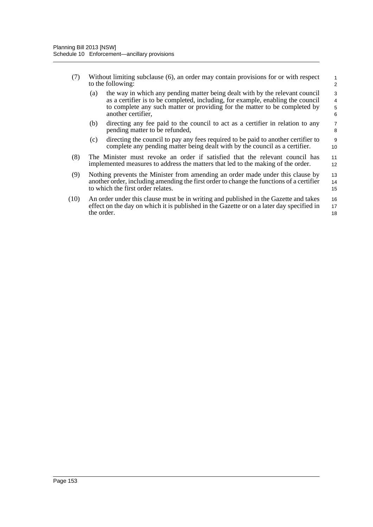- (7) Without limiting subclause (6), an order may contain provisions for or with respect to the following:
	- (a) the way in which any pending matter being dealt with by the relevant council as a certifier is to be completed, including, for example, enabling the council to complete any such matter or providing for the matter to be completed by another certifier,

- (b) directing any fee paid to the council to act as a certifier in relation to any pending matter to be refunded,
- (c) directing the council to pay any fees required to be paid to another certifier to complete any pending matter being dealt with by the council as a certifier. 10
- (8) The Minister must revoke an order if satisfied that the relevant council has implemented measures to address the matters that led to the making of the order.
- (9) Nothing prevents the Minister from amending an order made under this clause by another order, including amending the first order to change the functions of a certifier to which the first order relates. 13 14 15
- (10) An order under this clause must be in writing and published in the Gazette and takes effect on the day on which it is published in the Gazette or on a later day specified in the order. 16 17 18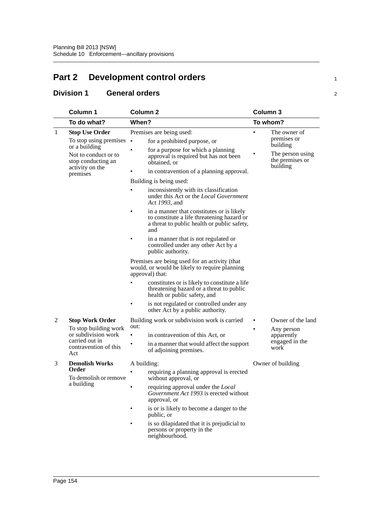# **Part 2 Development control orders**

# **Division 1 General orders**

|   | <b>Column 1</b>                                             | <b>Column 2</b>                                                                                                                               |           | Column 3                                        |  |
|---|-------------------------------------------------------------|-----------------------------------------------------------------------------------------------------------------------------------------------|-----------|-------------------------------------------------|--|
|   | To do what?                                                 | When?                                                                                                                                         |           | To whom?                                        |  |
| 1 | <b>Stop Use Order</b>                                       | Premises are being used:                                                                                                                      | $\bullet$ | The owner of                                    |  |
|   | To stop using premises                                      | $\bullet$<br>for a prohibited purpose, or                                                                                                     |           | premises or<br>building                         |  |
|   | or a building<br>Not to conduct or to<br>stop conducting an | for a purpose for which a planning<br>$\bullet$<br>approval is required but has not been<br>obtained, or                                      |           | The person using<br>the premises or<br>building |  |
|   | activity on the<br>premises                                 | in contravention of a planning approval.<br>$\bullet$                                                                                         |           |                                                 |  |
|   |                                                             | Building is being used:                                                                                                                       |           |                                                 |  |
|   |                                                             | inconsistently with its classification<br>under this Act or the Local Government<br>Act 1993, and                                             |           |                                                 |  |
|   |                                                             | in a manner that constitutes or is likely<br>to constitute a life threatening hazard or<br>a threat to public health or public safety,<br>and |           |                                                 |  |
|   |                                                             | in a manner that is not regulated or<br>$\bullet$<br>controlled under any other Act by a<br>public authority.                                 |           |                                                 |  |
|   |                                                             | Premises are being used for an activity (that<br>would, or would be likely to require planning<br>approval) that:                             |           |                                                 |  |
|   |                                                             | constitutes or is likely to constitute a life<br>threatening hazard or a threat to public<br>health or public safety, and                     |           |                                                 |  |
|   |                                                             | is not regulated or controlled under any<br>other Act by a public authority.                                                                  |           |                                                 |  |
| 2 | <b>Stop Work Order</b><br>To stop building work             | Building work or subdivision work is carried                                                                                                  |           | Owner of the land                               |  |
|   |                                                             | out:                                                                                                                                          |           | Any person                                      |  |
|   | or subdivision work<br>carried out in                       | in contravention of this Act, or<br>٠                                                                                                         |           | apparently<br>engaged in the                    |  |
|   | contravention of this<br>Act                                | in a manner that would affect the support<br>$\bullet$<br>of adjoining premises.                                                              |           | work                                            |  |
| 3 | <b>Demolish Works</b>                                       | A building:                                                                                                                                   |           | Owner of building                               |  |
|   | Order<br>To demolish or remove                              | requiring a planning approval is erected<br>without approval, or                                                                              |           |                                                 |  |
|   | a building                                                  | requiring approval under the Local<br>Government Act 1993 is erected without<br>approval, or                                                  |           |                                                 |  |
|   |                                                             | is or is likely to become a danger to the<br>public, or                                                                                       |           |                                                 |  |
|   |                                                             | is so dilapidated that it is prejudicial to<br>persons or property in the<br>neighbourhood.                                                   |           |                                                 |  |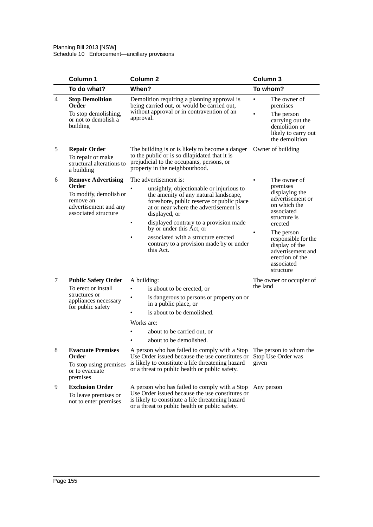|   | Column 1                                                                                                                   | Column <sub>2</sub>                                                                                                                                                                                                                                                                                                                                                                                  |                                                                                                                                                                                                                                                        |
|---|----------------------------------------------------------------------------------------------------------------------------|------------------------------------------------------------------------------------------------------------------------------------------------------------------------------------------------------------------------------------------------------------------------------------------------------------------------------------------------------------------------------------------------------|--------------------------------------------------------------------------------------------------------------------------------------------------------------------------------------------------------------------------------------------------------|
|   | To do what?                                                                                                                | When?                                                                                                                                                                                                                                                                                                                                                                                                | To whom?                                                                                                                                                                                                                                               |
| 4 | <b>Stop Demolition</b><br>Order<br>To stop demolishing,<br>or not to demolish a<br>building                                | Demolition requiring a planning approval is<br>being carried out, or would be carried out,<br>without approval or in contravention of an<br>approval.                                                                                                                                                                                                                                                | The owner of<br>$\bullet$<br>premises<br>$\bullet$<br>The person<br>carrying out the<br>demolition or<br>likely to carry out<br>the demolition                                                                                                         |
| 5 | <b>Repair Order</b><br>To repair or make<br>structural alterations to<br>a building                                        | The building is or is likely to become a danger<br>to the public or is so dilapidated that it is<br>prejudicial to the occupants, persons, or<br>property in the neighbourhood.                                                                                                                                                                                                                      | Owner of building                                                                                                                                                                                                                                      |
| 6 | <b>Remove Advertising</b><br>Order<br>To modify, demolish or<br>remove an<br>advertisement and any<br>associated structure | The advertisement is:<br>unsightly, objectionable or injurious to<br>the amenity of any natural landscape,<br>foreshore, public reserve or public place<br>at or near where the advertisement is<br>displayed, or<br>displayed contrary to a provision made<br>$\bullet$<br>by or under this Act, or<br>associated with a structure erected<br>contrary to a provision made by or under<br>this Act. | The owner of<br>٠<br>premises<br>displaying the<br>advertisement or<br>on which the<br>associated<br>structure is<br>erected<br>The person<br>responsible for the<br>display of the<br>advertisement and<br>erection of the<br>associated<br>structure |
| 7 | <b>Public Safety Order</b><br>To erect or install<br>structures or<br>appliances necessary<br>for public safety            | A building:<br>is about to be erected, or<br>is dangerous to persons or property on or<br>in a public place, or<br>is about to be demolished.<br>٠<br>Works are:<br>about to be carried out, or<br>about to be demolished.                                                                                                                                                                           | The owner or occupier of<br>the land                                                                                                                                                                                                                   |
| 8 | <b>Evacuate Premises</b><br>Order<br>To stop using premises<br>or to evacuate<br>premises                                  | A person who has failed to comply with a Stop The person to whom the<br>Use Order issued because the use constitutes or<br>Stop Use Order was<br>is likely to constitute a life threatening hazard<br>given<br>or a threat to public health or public safety.                                                                                                                                        |                                                                                                                                                                                                                                                        |
| 9 | <b>Exclusion Order</b><br>To leave premises or<br>not to enter premises                                                    | A person who has failed to comply with a Stop<br>Use Order issued because the use constitutes or<br>is likely to constitute a life threatening hazard<br>or a threat to public health or public safety.                                                                                                                                                                                              | Any person                                                                                                                                                                                                                                             |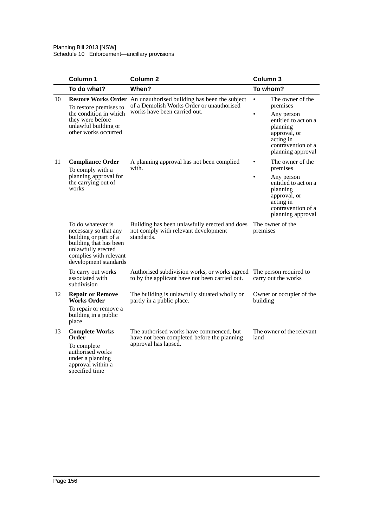|    | Column <sub>1</sub>                                                                                                                                                    | Column <sub>2</sub>                                                                                                                            | Column <sub>3</sub>                                                                                                                                                              |  |  |
|----|------------------------------------------------------------------------------------------------------------------------------------------------------------------------|------------------------------------------------------------------------------------------------------------------------------------------------|----------------------------------------------------------------------------------------------------------------------------------------------------------------------------------|--|--|
|    | To do what?                                                                                                                                                            | When?                                                                                                                                          | To whom?                                                                                                                                                                         |  |  |
| 10 | To restore premises to<br>the condition in which<br>they were before<br>unlawful building or<br>other works occurred                                                   | Restore Works Order An unauthorised building has been the subject<br>of a Demolish Works Order or unauthorised<br>works have been carried out. | The owner of the<br>$\bullet$<br>premises<br>Any person<br>$\bullet$<br>entitled to act on a<br>planning<br>approval, or<br>acting in<br>contravention of a<br>planning approval |  |  |
| 11 | <b>Compliance Order</b><br>To comply with a<br>planning approval for<br>the carrying out of<br>works                                                                   | A planning approval has not been complied<br>with.                                                                                             | The owner of the<br>premises<br>Any person<br>$\bullet$<br>entitled to act on a<br>planning<br>approval, or<br>acting in<br>contravention of a<br>planning approval              |  |  |
|    | To do whatever is<br>necessary so that any<br>building or part of a<br>building that has been<br>unlawfully erected<br>complies with relevant<br>development standards | Building has been unlawfully erected and does<br>not comply with relevant development<br>standards.                                            | The owner of the<br>premises                                                                                                                                                     |  |  |
|    | To carry out works<br>associated with<br>subdivision                                                                                                                   | Authorised subdivision works, or works agreed<br>to by the applicant have not been carried out.                                                | The person required to<br>carry out the works                                                                                                                                    |  |  |
| 12 | <b>Repair or Remove</b><br>Works Order<br>To repair or remove a<br>building in a public<br>place                                                                       | The building is unlawfully situated wholly or<br>partly in a public place.                                                                     | Owner or occupier of the<br>building                                                                                                                                             |  |  |
| 13 | <b>Complete Works</b><br>Order<br>To complete<br>authorised works<br>under a planning<br>approval within a<br>specified time                                           | The authorised works have commenced, but<br>have not been completed before the planning<br>approval has lapsed.                                | The owner of the relevant<br>land                                                                                                                                                |  |  |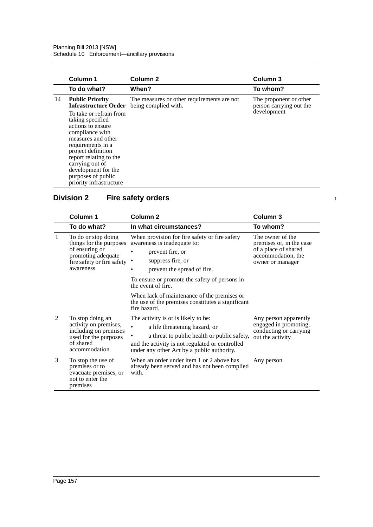|    | Column 1                                                                                                                                                                                                                                                                  | Column <sub>2</sub>                                                | Column 3                                          |
|----|---------------------------------------------------------------------------------------------------------------------------------------------------------------------------------------------------------------------------------------------------------------------------|--------------------------------------------------------------------|---------------------------------------------------|
|    | To do what?                                                                                                                                                                                                                                                               | When?                                                              | To whom?                                          |
| 14 | <b>Public Priority</b><br><b>Infrastructure Order</b>                                                                                                                                                                                                                     | The measures or other requirements are not<br>being complied with. | The proponent or other<br>person carrying out the |
|    | To take or refrain from<br>taking specified<br>actions to ensure<br>compliance with<br>measures and other<br>requirements in a<br>project definition<br>report relating to the<br>carrying out of<br>development for the<br>purposes of public<br>priority infrastructure |                                                                    | development                                       |

# **Division 2 Fire safety orders**

|              | Column 1                                                                                                                          | Column <sub>2</sub>                                                                                                                                                                                                               |                                                                                                                |  |
|--------------|-----------------------------------------------------------------------------------------------------------------------------------|-----------------------------------------------------------------------------------------------------------------------------------------------------------------------------------------------------------------------------------|----------------------------------------------------------------------------------------------------------------|--|
|              | To do what?                                                                                                                       | In what circumstances?                                                                                                                                                                                                            | To whom?                                                                                                       |  |
| $\mathbf{1}$ | To do or stop doing<br>things for the purposes<br>of ensuring or<br>promoting adequate<br>fire safety or fire safety<br>awareness | When provision for fire safety or fire safety<br>awareness is inadequate to:<br>prevent fire, or<br>suppress fire, or<br>prevent the spread of fire.                                                                              | The owner of the<br>premises or, in the case<br>of a place of shared<br>accommodation, the<br>owner or manager |  |
|              |                                                                                                                                   | To ensure or promote the safety of persons in<br>the event of fire.                                                                                                                                                               |                                                                                                                |  |
|              |                                                                                                                                   | When lack of maintenance of the premises or<br>the use of the premises constitutes a significant<br>fire hazard.                                                                                                                  |                                                                                                                |  |
| 2            | To stop doing an<br>activity on premises,<br>including on premises<br>used for the purposes<br>of shared<br>accommodation         | The activity is or is likely to be:<br>a life threatening hazard, or<br>$\bullet$<br>a threat to public health or public safety,<br>and the activity is not regulated or controlled<br>under any other Act by a public authority. | Any person apparently<br>engaged in promoting,<br>conducting or carrying<br>out the activity                   |  |
| 3            | To stop the use of<br>premises or to<br>evacuate premises, or<br>not to enter the<br>premises                                     | When an order under item 1 or 2 above has<br>already been served and has not been complied<br>with.                                                                                                                               | Any person                                                                                                     |  |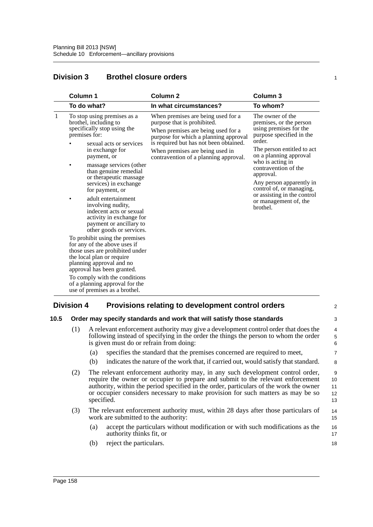### **Division 3 Brothel closure orders**

|   | Column 1                                                                                                                                                                                 | Column <sub>2</sub>                                                                                                                              | Column 3                                                                                                                                     |  |
|---|------------------------------------------------------------------------------------------------------------------------------------------------------------------------------------------|--------------------------------------------------------------------------------------------------------------------------------------------------|----------------------------------------------------------------------------------------------------------------------------------------------|--|
|   | To do what?                                                                                                                                                                              | In what circumstances?                                                                                                                           | To whom?                                                                                                                                     |  |
| 1 | To stop using premises as a<br>brothel, including to<br>specifically stop using the<br>premises for:                                                                                     | When premises are being used for a<br>purpose that is prohibited.<br>When premises are being used for a<br>purpose for which a planning approval | The owner of the<br>premises, or the person<br>using premises for the<br>purpose specified in the                                            |  |
|   | sexual acts or services<br>in exchange for<br>payment, or                                                                                                                                | is required but has not been obtained.<br>When premises are being used in<br>contravention of a planning approval.                               | order.<br>The person entitled to act<br>on a planning approval                                                                               |  |
|   | massage services (other<br>٠<br>than genuine remedial<br>or therapeutic massage<br>services) in exchange<br>for payment, or<br>adult entertainment<br>٠                                  |                                                                                                                                                  | who is acting in<br>contravention of the<br>approval.<br>Any person apparently in<br>control of, or managing,<br>or assisting in the control |  |
|   | involving nudity,<br>indecent acts or sexual<br>activity in exchange for<br>payment or ancillary to<br>other goods or services.                                                          |                                                                                                                                                  | or management of, the<br>brothel.                                                                                                            |  |
|   | To prohibit using the premises<br>for any of the above uses if<br>those uses are prohibited under<br>the local plan or require<br>planning approval and no<br>approval has been granted. |                                                                                                                                                  |                                                                                                                                              |  |
|   | To comply with the conditions<br>of a planning approval for the<br>use of premises as a brothel.                                                                                         |                                                                                                                                                  |                                                                                                                                              |  |

1

2

### **Division 4 Provisions relating to development control orders**

| 10.5 | Order may specify standards and work that will satisfy those standards |                                                                                            |                |  |  |
|------|------------------------------------------------------------------------|--------------------------------------------------------------------------------------------|----------------|--|--|
|      | (1)                                                                    | A relevant enforcement authority may give a development control order that does the        |                |  |  |
|      |                                                                        | following instead of specifying in the order the things the person to whom the order       | 5              |  |  |
|      |                                                                        | is given must do or refrain from doing:                                                    | $\overline{6}$ |  |  |
|      |                                                                        | specifies the standard that the premises concerned are required to meet,<br>(a)            | $\overline{7}$ |  |  |
|      |                                                                        | indicates the nature of the work that, if carried out, would satisfy that standard.<br>(b) | 8              |  |  |
|      | (2)                                                                    | The relevant enforcement authority may, in any such development control order,             | 9              |  |  |
|      |                                                                        | require the owner or occupier to prepare and submit to the relevant enforcement            | 10             |  |  |
|      |                                                                        | authority, within the period specified in the order, particulars of the work the owner     | 11             |  |  |
|      |                                                                        | or occupier considers necessary to make provision for such matters as may be so            | 12             |  |  |
|      |                                                                        | specified.                                                                                 | 13             |  |  |
|      | (3)                                                                    | The relevant enforcement authority must, within 28 days after those particulars of         | 14             |  |  |
|      |                                                                        | work are submitted to the authority:                                                       | 15             |  |  |
|      |                                                                        | accept the particulars without modification or with such modifications as the<br>(a)       | 16             |  |  |
|      |                                                                        | authority thinks fit, or                                                                   | 17             |  |  |
|      |                                                                        | reject the particulars.<br>(b)                                                             | 18             |  |  |
|      |                                                                        |                                                                                            |                |  |  |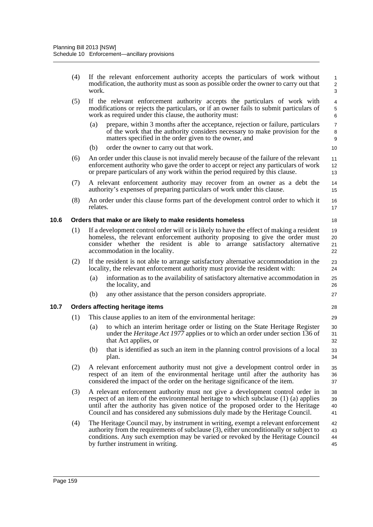|      | (4) | If the relevant enforcement authority accepts the particulars of work without<br>modification, the authority must as soon as possible order the owner to carry out that<br>work.                                                                                                                                                            |                      |  |  |
|------|-----|---------------------------------------------------------------------------------------------------------------------------------------------------------------------------------------------------------------------------------------------------------------------------------------------------------------------------------------------|----------------------|--|--|
|      | (5) | If the relevant enforcement authority accepts the particulars of work with<br>modifications or rejects the particulars, or if an owner fails to submit particulars of<br>work as required under this clause, the authority must:                                                                                                            | 4<br>5<br>6          |  |  |
|      |     | prepare, within 3 months after the acceptance, rejection or failure, particulars<br>(a)<br>of the work that the authority considers necessary to make provision for the<br>matters specified in the order given to the owner, and                                                                                                           | 7<br>8<br>9          |  |  |
|      |     | (b)<br>order the owner to carry out that work.                                                                                                                                                                                                                                                                                              | 10                   |  |  |
|      | (6) | An order under this clause is not invalid merely because of the failure of the relevant<br>enforcement authority who gave the order to accept or reject any particulars of work<br>or prepare particulars of any work within the period required by this clause.                                                                            | 11<br>12<br>13       |  |  |
|      | (7) | A relevant enforcement authority may recover from an owner as a debt the<br>authority's expenses of preparing particulars of work under this clause.                                                                                                                                                                                        | 14<br>15             |  |  |
|      | (8) | An order under this clause forms part of the development control order to which it<br>relates.                                                                                                                                                                                                                                              | 16<br>17             |  |  |
| 10.6 |     | Orders that make or are likely to make residents homeless                                                                                                                                                                                                                                                                                   | 18                   |  |  |
|      | (1) | If a development control order will or is likely to have the effect of making a resident<br>homeless, the relevant enforcement authority proposing to give the order must<br>consider whether the resident is able to arrange satisfactory alternative<br>accommodation in the locality.                                                    |                      |  |  |
|      | (2) | If the resident is not able to arrange satisfactory alternative accommodation in the<br>locality, the relevant enforcement authority must provide the resident with:                                                                                                                                                                        | 23<br>24             |  |  |
|      |     | information as to the availability of satisfactory alternative accommodation in<br>(a)<br>the locality, and                                                                                                                                                                                                                                 | 25<br>26             |  |  |
|      |     | (b)<br>any other assistance that the person considers appropriate.                                                                                                                                                                                                                                                                          | 27                   |  |  |
| 10.7 |     | <b>Orders affecting heritage items</b>                                                                                                                                                                                                                                                                                                      | 28                   |  |  |
|      | (1) | This clause applies to an item of the environmental heritage:                                                                                                                                                                                                                                                                               | 29                   |  |  |
|      |     | to which an interim heritage order or listing on the State Heritage Register<br>(a)<br>under the <i>Heritage Act 1977</i> applies or to which an order under section 136 of<br>that Act applies, or                                                                                                                                         | 30<br>31<br>32       |  |  |
|      |     | that is identified as such an item in the planning control provisions of a local<br>(b)<br>plan.                                                                                                                                                                                                                                            | 33<br>34             |  |  |
|      | (2) | A relevant enforcement authority must not give a development control order in<br>respect of an item of the environmental heritage until after the authority has<br>considered the impact of the order on the heritage significance of the item.                                                                                             | 35<br>36<br>37       |  |  |
|      | (3) | A relevant enforcement authority must not give a development control order in<br>respect of an item of the environmental heritage to which subclause $(1)$ (a) applies<br>until after the authority has given notice of the proposed order to the Heritage<br>Council and has considered any submissions duly made by the Heritage Council. | 38<br>39<br>40<br>41 |  |  |
|      | (4) | The Heritage Council may, by instrument in writing, exempt a relevant enforcement<br>authority from the requirements of subclause (3), either unconditionally or subject to<br>conditions. Any such exemption may be varied or revoked by the Heritage Council<br>by further instrument in writing.                                         | 42<br>43<br>44<br>45 |  |  |
|      |     |                                                                                                                                                                                                                                                                                                                                             |                      |  |  |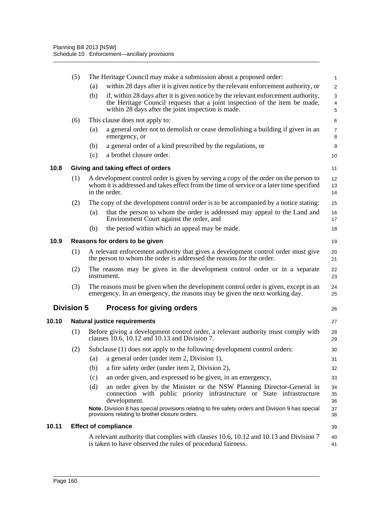|       | (5)                                                                                                                                                                                                      |                                                                                                                                                           | The Heritage Council may make a submission about a proposed order:                                                                                                | 1              |  |  |
|-------|----------------------------------------------------------------------------------------------------------------------------------------------------------------------------------------------------------|-----------------------------------------------------------------------------------------------------------------------------------------------------------|-------------------------------------------------------------------------------------------------------------------------------------------------------------------|----------------|--|--|
|       |                                                                                                                                                                                                          | (a)                                                                                                                                                       | within 28 days after it is given notice by the relevant enforcement authority, or                                                                                 | $\overline{c}$ |  |  |
|       |                                                                                                                                                                                                          | (b)                                                                                                                                                       | if, within 28 days after it is given notice by the relevant enforcement authority,<br>the Heritage Council requests that a joint inspection of the item be made,  | 3<br>4         |  |  |
|       |                                                                                                                                                                                                          |                                                                                                                                                           | within 28 days after the joint inspection is made.                                                                                                                | 5              |  |  |
|       | (6)                                                                                                                                                                                                      |                                                                                                                                                           | This clause does not apply to:                                                                                                                                    | 6              |  |  |
|       |                                                                                                                                                                                                          | (a)                                                                                                                                                       | a general order not to demolish or cease demolishing a building if given in an<br>emergency, or                                                                   | 7<br>8         |  |  |
|       |                                                                                                                                                                                                          | (b)                                                                                                                                                       | a general order of a kind prescribed by the regulations, or                                                                                                       | 9              |  |  |
|       |                                                                                                                                                                                                          | (c)                                                                                                                                                       | a brothel closure order.                                                                                                                                          | 10             |  |  |
| 10.8  |                                                                                                                                                                                                          |                                                                                                                                                           | Giving and taking effect of orders                                                                                                                                | 11             |  |  |
|       | A development control order is given by serving a copy of the order on the person to<br>(1)<br>whom it is addressed and takes effect from the time of service or a later time specified<br>in the order. |                                                                                                                                                           |                                                                                                                                                                   |                |  |  |
|       | (2)                                                                                                                                                                                                      |                                                                                                                                                           | The copy of the development control order is to be accompanied by a notice stating:                                                                               | 15             |  |  |
|       |                                                                                                                                                                                                          | (a)                                                                                                                                                       | that the person to whom the order is addressed may appeal to the Land and<br>Environment Court against the order, and                                             | 16<br>17       |  |  |
|       |                                                                                                                                                                                                          | (b)                                                                                                                                                       | the period within which an appeal may be made.                                                                                                                    | 18             |  |  |
| 10.9  |                                                                                                                                                                                                          |                                                                                                                                                           | Reasons for orders to be given                                                                                                                                    |                |  |  |
|       | (1)                                                                                                                                                                                                      | A relevant enforcement authority that gives a development control order must give<br>the person to whom the order is addressed the reasons for the order. |                                                                                                                                                                   |                |  |  |
|       | (2)                                                                                                                                                                                                      |                                                                                                                                                           | The reasons may be given in the development control order or in a separate<br>instrument.                                                                         | 22<br>23       |  |  |
|       | (3)                                                                                                                                                                                                      |                                                                                                                                                           | The reasons must be given when the development control order is given, except in an<br>emergency. In an emergency, the reasons may be given the next working day. | 24<br>25       |  |  |
|       | <b>Division 5</b>                                                                                                                                                                                        |                                                                                                                                                           | <b>Process for giving orders</b>                                                                                                                                  | 26             |  |  |
| 10.10 |                                                                                                                                                                                                          |                                                                                                                                                           | <b>Natural justice requirements</b>                                                                                                                               | 27             |  |  |
|       | (1)                                                                                                                                                                                                      |                                                                                                                                                           | Before giving a development control order, a relevant authority must comply with<br>clauses $10.6$ , $10.12$ and $10.13$ and Division 7.                          | 28<br>29       |  |  |
|       | (2)                                                                                                                                                                                                      |                                                                                                                                                           | Subclause (1) does not apply to the following development control orders:                                                                                         | 30             |  |  |
|       |                                                                                                                                                                                                          | (a)                                                                                                                                                       | a general order (under item 2, Division 1),                                                                                                                       | 31             |  |  |
|       |                                                                                                                                                                                                          | (b)                                                                                                                                                       | a fire safety order (under item 2, Division 2),                                                                                                                   | 32             |  |  |
|       |                                                                                                                                                                                                          | (c)                                                                                                                                                       | an order given, and expressed to be given, in an emergency,                                                                                                       | 33             |  |  |
|       |                                                                                                                                                                                                          | (d)                                                                                                                                                       | an order given by the Minister or the NSW Planning Director-General in<br>connection with public priority infrastructure or State infrastructure<br>development.  | 34<br>35<br>36 |  |  |
|       |                                                                                                                                                                                                          |                                                                                                                                                           | Note. Division 8 has special provisions relating to fire safety orders and Division 9 has special<br>provisions relating to brothel closure orders.               | 37<br>38       |  |  |
| 10.11 | <b>Effect of compliance</b>                                                                                                                                                                              |                                                                                                                                                           |                                                                                                                                                                   |                |  |  |
|       | A relevant authority that complies with clauses 10.6, 10.12 and 10.13 and Division 7<br>is taken to have observed the rules of procedural fairness.                                                      |                                                                                                                                                           |                                                                                                                                                                   |                |  |  |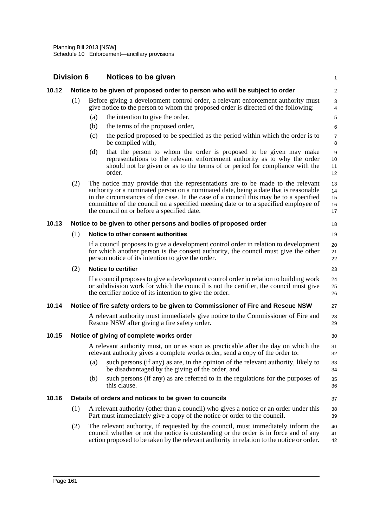|       | <b>Division 6</b>                                                           |                                                                                                                                                                        | Notices to be given                                                                                                                                                                                                                                                                                                                                                                                 | $\mathbf{1}$                       |  |  |
|-------|-----------------------------------------------------------------------------|------------------------------------------------------------------------------------------------------------------------------------------------------------------------|-----------------------------------------------------------------------------------------------------------------------------------------------------------------------------------------------------------------------------------------------------------------------------------------------------------------------------------------------------------------------------------------------------|------------------------------------|--|--|
| 10.12 | Notice to be given of proposed order to person who will be subject to order |                                                                                                                                                                        |                                                                                                                                                                                                                                                                                                                                                                                                     |                                    |  |  |
|       | (1)                                                                         | Before giving a development control order, a relevant enforcement authority must<br>give notice to the person to whom the proposed order is directed of the following: |                                                                                                                                                                                                                                                                                                                                                                                                     |                                    |  |  |
|       |                                                                             | (a)                                                                                                                                                                    | the intention to give the order,                                                                                                                                                                                                                                                                                                                                                                    | 5                                  |  |  |
|       |                                                                             | (b)                                                                                                                                                                    | the terms of the proposed order,                                                                                                                                                                                                                                                                                                                                                                    | $\,6$                              |  |  |
|       |                                                                             | (c)                                                                                                                                                                    | the period proposed to be specified as the period within which the order is to<br>be complied with,                                                                                                                                                                                                                                                                                                 | $\boldsymbol{7}$<br>8              |  |  |
|       |                                                                             | (d)                                                                                                                                                                    | that the person to whom the order is proposed to be given may make<br>representations to the relevant enforcement authority as to why the order<br>should not be given or as to the terms of or period for compliance with the<br>order.                                                                                                                                                            | $\boldsymbol{9}$<br>10<br>11<br>12 |  |  |
|       | (2)                                                                         |                                                                                                                                                                        | The notice may provide that the representations are to be made to the relevant<br>authority or a nominated person on a nominated date, being a date that is reasonable<br>in the circumstances of the case. In the case of a council this may be to a specified<br>committee of the council on a specified meeting date or to a specified employee of<br>the council on or before a specified date. | 13<br>14<br>15<br>16<br>17         |  |  |
| 10.13 |                                                                             |                                                                                                                                                                        | Notice to be given to other persons and bodies of proposed order                                                                                                                                                                                                                                                                                                                                    | 18                                 |  |  |
|       | (1)                                                                         |                                                                                                                                                                        | Notice to other consent authorities                                                                                                                                                                                                                                                                                                                                                                 | 19                                 |  |  |
|       |                                                                             |                                                                                                                                                                        | If a council proposes to give a development control order in relation to development<br>for which another person is the consent authority, the council must give the other<br>person notice of its intention to give the order.                                                                                                                                                                     | 20<br>21<br>22                     |  |  |
|       | (2)                                                                         |                                                                                                                                                                        | <b>Notice to certifier</b>                                                                                                                                                                                                                                                                                                                                                                          | 23                                 |  |  |
|       |                                                                             |                                                                                                                                                                        | If a council proposes to give a development control order in relation to building work<br>or subdivision work for which the council is not the certifier, the council must give<br>the certifier notice of its intention to give the order.                                                                                                                                                         | 24<br>25<br>26                     |  |  |
| 10.14 |                                                                             |                                                                                                                                                                        | Notice of fire safety orders to be given to Commissioner of Fire and Rescue NSW                                                                                                                                                                                                                                                                                                                     | 27                                 |  |  |
|       |                                                                             |                                                                                                                                                                        | A relevant authority must immediately give notice to the Commissioner of Fire and<br>Rescue NSW after giving a fire safety order.                                                                                                                                                                                                                                                                   | 28<br>29                           |  |  |
| 10.15 | Notice of giving of complete works order                                    |                                                                                                                                                                        |                                                                                                                                                                                                                                                                                                                                                                                                     |                                    |  |  |
|       |                                                                             |                                                                                                                                                                        | A relevant authority must, on or as soon as practicable after the day on which the<br>relevant authority gives a complete works order, send a copy of the order to:                                                                                                                                                                                                                                 | 31<br>32                           |  |  |
|       |                                                                             | (a)                                                                                                                                                                    | such persons (if any) as are, in the opinion of the relevant authority, likely to<br>be disadvantaged by the giving of the order, and                                                                                                                                                                                                                                                               | 33<br>34                           |  |  |
|       |                                                                             | (b)                                                                                                                                                                    | such persons (if any) as are referred to in the regulations for the purposes of<br>this clause.                                                                                                                                                                                                                                                                                                     | 35<br>36                           |  |  |
| 10.16 |                                                                             |                                                                                                                                                                        | Details of orders and notices to be given to councils                                                                                                                                                                                                                                                                                                                                               | 37                                 |  |  |
|       | (1)                                                                         |                                                                                                                                                                        | A relevant authority (other than a council) who gives a notice or an order under this<br>Part must immediately give a copy of the notice or order to the council.                                                                                                                                                                                                                                   | 38<br>39                           |  |  |
|       | (2)                                                                         |                                                                                                                                                                        | The relevant authority, if requested by the council, must immediately inform the<br>council whether or not the notice is outstanding or the order is in force and of any<br>action proposed to be taken by the relevant authority in relation to the notice or order.                                                                                                                               | 40<br>41<br>42                     |  |  |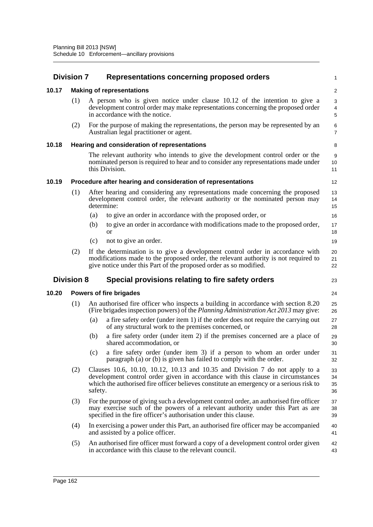| <b>Division 7</b> |                   |         | Representations concerning proposed orders                                                                                                                                                                                                                 |                         |  |  |
|-------------------|-------------------|---------|------------------------------------------------------------------------------------------------------------------------------------------------------------------------------------------------------------------------------------------------------------|-------------------------|--|--|
| 10.17             |                   |         | <b>Making of representations</b>                                                                                                                                                                                                                           | $\overline{\mathbf{c}}$ |  |  |
|                   | (1)               |         | A person who is given notice under clause 10.12 of the intention to give a<br>development control order may make representations concerning the proposed order<br>in accordance with the notice.                                                           | 3<br>4<br>5             |  |  |
|                   | (2)               |         | For the purpose of making the representations, the person may be represented by an<br>Australian legal practitioner or agent.                                                                                                                              | 6<br>$\overline{7}$     |  |  |
| 10.18             |                   |         | Hearing and consideration of representations                                                                                                                                                                                                               | 8                       |  |  |
|                   |                   |         | The relevant authority who intends to give the development control order or the<br>nominated person is required to hear and to consider any representations made under<br>this Division.                                                                   | 9<br>10<br>11           |  |  |
| 10.19             |                   |         | Procedure after hearing and consideration of representations                                                                                                                                                                                               | 12                      |  |  |
|                   | (1)               |         | After hearing and considering any representations made concerning the proposed<br>development control order, the relevant authority or the nominated person may<br>determine:                                                                              | 13<br>14<br>15          |  |  |
|                   |                   | (a)     | to give an order in accordance with the proposed order, or                                                                                                                                                                                                 | 16                      |  |  |
|                   |                   | (b)     | to give an order in accordance with modifications made to the proposed order,<br><b>or</b>                                                                                                                                                                 | 17<br>18                |  |  |
|                   |                   | (c)     | not to give an order.                                                                                                                                                                                                                                      | 19                      |  |  |
|                   | (2)               |         | If the determination is to give a development control order in accordance with<br>modifications made to the proposed order, the relevant authority is not required to<br>give notice under this Part of the proposed order as so modified.                 | 20<br>21<br>22          |  |  |
|                   | <b>Division 8</b> |         | Special provisions relating to fire safety orders                                                                                                                                                                                                          | 23                      |  |  |
| 10.20             |                   |         | <b>Powers of fire brigades</b>                                                                                                                                                                                                                             | 24                      |  |  |
|                   | (1)               |         | An authorised fire officer who inspects a building in accordance with section 8.20<br>(Fire brigades inspection powers) of the <i>Planning Administration Act 2013</i> may give:                                                                           | 25<br>26                |  |  |
|                   |                   | (a)     | a fire safety order (under item 1) if the order does not require the carrying out<br>of any structural work to the premises concerned, or                                                                                                                  | 27<br>28                |  |  |
|                   |                   | (b)     | a fire safety order (under item 2) if the premises concerned are a place of<br>shared accommodation, or                                                                                                                                                    | 29<br>30                |  |  |
|                   |                   |         | (c) a fire safety order (under item 3) if a person to whom an order under<br>paragraph (a) or (b) is given has failed to comply with the order.                                                                                                            | 31<br>32                |  |  |
|                   | (2)               | safety. | Clauses 10.6, 10.10, 10.12, 10.13 and 10.35 and Division 7 do not apply to a<br>development control order given in accordance with this clause in circumstances<br>which the authorised fire officer believes constitute an emergency or a serious risk to | 33<br>34<br>35<br>36    |  |  |
|                   | (3)               |         | For the purpose of giving such a development control order, an authorised fire officer<br>may exercise such of the powers of a relevant authority under this Part as are<br>specified in the fire officer's authorisation under this clause.               | 37<br>38<br>39          |  |  |
|                   | (4)               |         | In exercising a power under this Part, an authorised fire officer may be accompanied<br>and assisted by a police officer.                                                                                                                                  | 40<br>41                |  |  |
|                   | (5)               |         | An authorised fire officer must forward a copy of a development control order given<br>in accordance with this clause to the relevant council.                                                                                                             | 42<br>43                |  |  |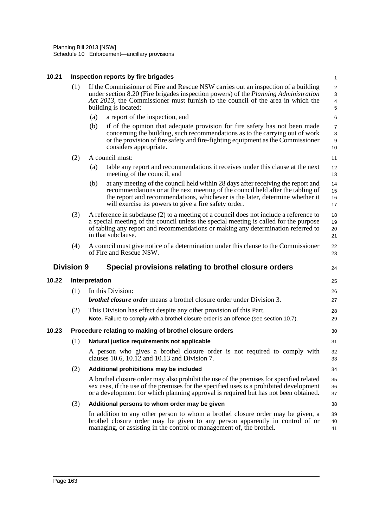| 10.21 |                   | Inspection reports by fire brigades                                                                                                                                                                                                                                                                                 | $\mathbf{1}$                                        |
|-------|-------------------|---------------------------------------------------------------------------------------------------------------------------------------------------------------------------------------------------------------------------------------------------------------------------------------------------------------------|-----------------------------------------------------|
|       | (1)               | If the Commissioner of Fire and Rescue NSW carries out an inspection of a building<br>under section 8.20 (Fire brigades inspection powers) of the <i>Planning Administration</i><br>Act 2013, the Commissioner must furnish to the council of the area in which the<br>building is located:                         | $\overline{2}$<br>3<br>$\overline{\mathbf{4}}$<br>5 |
|       |                   | (a)<br>a report of the inspection, and                                                                                                                                                                                                                                                                              | 6                                                   |
|       |                   | if of the opinion that adequate provision for fire safety has not been made<br>(b)<br>concerning the building, such recommendations as to the carrying out of work<br>or the provision of fire safety and fire-fighting equipment as the Commissioner<br>considers appropriate.                                     | $\overline{7}$<br>$\bf 8$<br>$\boldsymbol{9}$<br>10 |
|       | (2)               | A council must:                                                                                                                                                                                                                                                                                                     | 11                                                  |
|       |                   | table any report and recommendations it receives under this clause at the next<br>(a)<br>meeting of the council, and                                                                                                                                                                                                | 12<br>13                                            |
|       |                   | (b)<br>at any meeting of the council held within 28 days after receiving the report and<br>recommendations or at the next meeting of the council held after the tabling of<br>the report and recommendations, whichever is the later, determine whether it<br>will exercise its powers to give a fire safety order. | 14<br>15<br>16<br>17                                |
|       | (3)               | A reference in subclause (2) to a meeting of a council does not include a reference to<br>a special meeting of the council unless the special meeting is called for the purpose<br>of tabling any report and recommendations or making any determination referred to<br>in that subclause.                          | 18<br>19<br>20<br>21                                |
|       | (4)               | A council must give notice of a determination under this clause to the Commissioner<br>of Fire and Rescue NSW.                                                                                                                                                                                                      | 22<br>23                                            |
|       | <b>Division 9</b> | Special provisions relating to brothel closure orders                                                                                                                                                                                                                                                               | 24                                                  |
| 10.22 |                   | Interpretation                                                                                                                                                                                                                                                                                                      | 25                                                  |
|       | (1)               | In this Division:                                                                                                                                                                                                                                                                                                   | 26                                                  |
|       |                   | <b>brothel closure order</b> means a brothel closure order under Division 3.                                                                                                                                                                                                                                        | 27                                                  |
|       | (2)               | This Division has effect despite any other provision of this Part.<br>Note. Failure to comply with a brothel closure order is an offence (see section 10.7).                                                                                                                                                        | 28<br>29                                            |
| 10.23 |                   | Procedure relating to making of brothel closure orders                                                                                                                                                                                                                                                              | 30                                                  |
|       | (1)               | Natural justice requirements not applicable                                                                                                                                                                                                                                                                         | 31                                                  |
|       |                   | A person who gives a brothel closure order is not required to comply with<br>clauses 10.6, 10.12 and 10.13 and Division 7.                                                                                                                                                                                          | 32<br>33                                            |
|       | (2)               | Additional prohibitions may be included                                                                                                                                                                                                                                                                             | 34                                                  |
|       |                   | A brothel closure order may also prohibit the use of the premises for specified related<br>sex uses, if the use of the premises for the specified uses is a prohibited development<br>or a development for which planning approval is required but has not been obtained.                                           | 35<br>36<br>37                                      |
|       | (3)               | Additional persons to whom order may be given                                                                                                                                                                                                                                                                       | 38                                                  |
|       |                   | In addition to any other person to whom a brothel closure order may be given, a<br>brothel closure order may be given to any person apparently in control of or                                                                                                                                                     | 39<br>40                                            |

managing, or assisting in the control or management of, the brothel.

41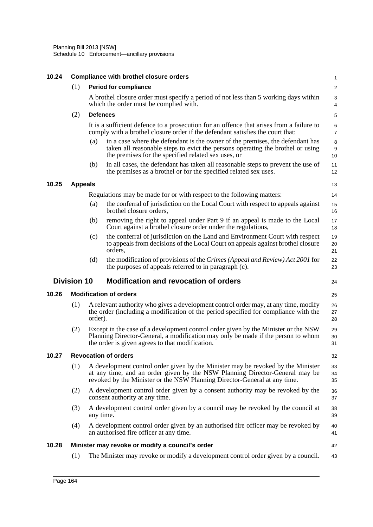| 10.24 |                    |         | <b>Compliance with brothel closure orders</b>                                                                                                                                                                                                | 1                       |
|-------|--------------------|---------|----------------------------------------------------------------------------------------------------------------------------------------------------------------------------------------------------------------------------------------------|-------------------------|
|       | (1)                |         | <b>Period for compliance</b>                                                                                                                                                                                                                 | $\overline{\mathbf{c}}$ |
|       |                    |         | A brothel closure order must specify a period of not less than 5 working days within<br>which the order must be complied with.                                                                                                               | 3<br>4                  |
|       | (2)                |         | <b>Defences</b>                                                                                                                                                                                                                              | 5                       |
|       |                    |         | It is a sufficient defence to a prosecution for an offence that arises from a failure to<br>comply with a brothel closure order if the defendant satisfies the court that:                                                                   | 6<br>7                  |
|       |                    | (a)     | in a case where the defendant is the owner of the premises, the defendant has<br>taken all reasonable steps to evict the persons operating the brothel or using<br>the premises for the specified related sex uses, or                       | 8<br>9<br>10            |
|       |                    | (b)     | in all cases, the defendant has taken all reasonable steps to prevent the use of<br>the premises as a brothel or for the specified related sex uses.                                                                                         | 11<br>12                |
| 10.25 | <b>Appeals</b>     |         |                                                                                                                                                                                                                                              | 13                      |
|       |                    |         | Regulations may be made for or with respect to the following matters:                                                                                                                                                                        | 14                      |
|       |                    | (a)     | the conferral of jurisdiction on the Local Court with respect to appeals against<br>brothel closure orders.                                                                                                                                  | 15<br>16                |
|       |                    | (b)     | removing the right to appeal under Part 9 if an appeal is made to the Local<br>Court against a brothel closure order under the regulations,                                                                                                  | 17<br>18                |
|       |                    | (c)     | the conferral of jurisdiction on the Land and Environment Court with respect<br>to appeals from decisions of the Local Court on appeals against brothel closure<br>orders,                                                                   | 19<br>20<br>21          |
|       |                    | (d)     | the modification of provisions of the Crimes (Appeal and Review) Act 2001 for<br>the purposes of appeals referred to in paragraph (c).                                                                                                       | 22<br>23                |
|       | <b>Division 10</b> |         | <b>Modification and revocation of orders</b>                                                                                                                                                                                                 | 24                      |
| 10.26 |                    |         | <b>Modification of orders</b>                                                                                                                                                                                                                | 25                      |
|       | (1)                | order). | A relevant authority who gives a development control order may, at any time, modify<br>the order (including a modification of the period specified for compliance with the                                                                   | 26<br>27<br>28          |
|       | (2)                |         | Except in the case of a development control order given by the Minister or the NSW<br>Planning Director-General, a modification may only be made if the person to whom<br>the order is given agrees to that modification.                    | 29<br>30<br>31          |
| 10.27 |                    |         | <b>Revocation of orders</b>                                                                                                                                                                                                                  | 32                      |
|       | (1)                |         | A development control order given by the Minister may be revoked by the Minister<br>at any time, and an order given by the NSW Planning Director-General may be<br>revoked by the Minister or the NSW Planning Director-General at any time. | 33<br>34<br>35          |
|       | (2)                |         | A development control order given by a consent authority may be revoked by the<br>consent authority at any time.                                                                                                                             | 36<br>37                |
|       | (3)                |         | A development control order given by a council may be revoked by the council at<br>any time.                                                                                                                                                 | 38<br>39                |
|       | (4)                |         | A development control order given by an authorised fire officer may be revoked by<br>an authorised fire officer at any time.                                                                                                                 | 40<br>41                |
| 10.28 |                    |         | Minister may revoke or modify a council's order                                                                                                                                                                                              | 42                      |
|       | (1)                |         | The Minister may revoke or modify a development control order given by a council.                                                                                                                                                            | 43                      |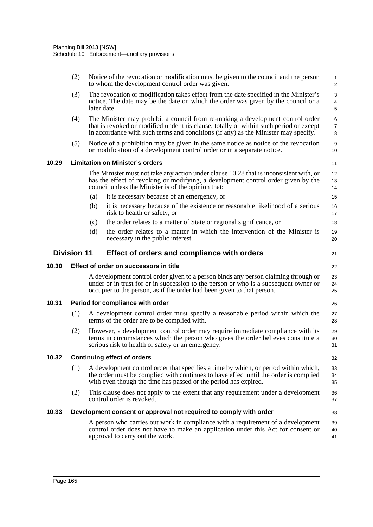|       | (2)                |     | Notice of the revocation or modification must be given to the council and the person<br>to whom the development control order was given.                                                                                                                       | 1<br>$\overline{\mathbf{c}}$ |
|-------|--------------------|-----|----------------------------------------------------------------------------------------------------------------------------------------------------------------------------------------------------------------------------------------------------------------|------------------------------|
|       | (3)                |     | The revocation or modification takes effect from the date specified in the Minister's<br>notice. The date may be the date on which the order was given by the council or a<br>later date.                                                                      | 3<br>4<br>5                  |
|       | (4)                |     | The Minister may prohibit a council from re-making a development control order<br>that is revoked or modified under this clause, totally or within such period or except<br>in accordance with such terms and conditions (if any) as the Minister may specify. | 6<br>7<br>8                  |
|       | (5)                |     | Notice of a prohibition may be given in the same notice as notice of the revocation<br>or modification of a development control order or in a separate notice.                                                                                                 | 9<br>10                      |
| 10.29 |                    |     | <b>Limitation on Minister's orders</b>                                                                                                                                                                                                                         | 11                           |
|       |                    |     | The Minister must not take any action under clause 10.28 that is inconsistent with, or<br>has the effect of revoking or modifying, a development control order given by the<br>council unless the Minister is of the opinion that:                             | 12<br>13<br>14               |
|       |                    | (a) | it is necessary because of an emergency, or                                                                                                                                                                                                                    | 15                           |
|       |                    | (b) | it is necessary because of the existence or reasonable likelihood of a serious<br>risk to health or safety, or                                                                                                                                                 | 16<br>17                     |
|       |                    | (c) | the order relates to a matter of State or regional significance, or                                                                                                                                                                                            | 18                           |
|       |                    | (d) | the order relates to a matter in which the intervention of the Minister is<br>necessary in the public interest.                                                                                                                                                | 19<br>20                     |
|       | <b>Division 11</b> |     | Effect of orders and compliance with orders                                                                                                                                                                                                                    | 21                           |
| 10.30 |                    |     | Effect of order on successors in title                                                                                                                                                                                                                         | 22                           |
|       |                    |     | A development control order given to a person binds any person claiming through or<br>under or in trust for or in succession to the person or who is a subsequent owner or<br>occupier to the person, as if the order had been given to that person.           | 23<br>24<br>25               |
| 10.31 |                    |     | Period for compliance with order                                                                                                                                                                                                                               | 26                           |
|       | (1)                |     | A development control order must specify a reasonable period within which the<br>terms of the order are to be complied with.                                                                                                                                   | 27<br>28                     |
|       | (2)                |     | However, a development control order may require immediate compliance with its<br>terms in circumstances which the person who gives the order believes constitute a<br>serious risk to health or safety or an emergency.                                       | 29<br>30<br>31               |
| 10.32 |                    |     | <b>Continuing effect of orders</b>                                                                                                                                                                                                                             | 32                           |
|       | (1)                |     | A development control order that specifies a time by which, or period within which,<br>the order must be complied with continues to have effect until the order is complied<br>with even though the time has passed or the period has expired.                 | 33<br>34<br>35               |
|       | (2)                |     | This clause does not apply to the extent that any requirement under a development<br>control order is revoked.                                                                                                                                                 | 36<br>37                     |
| 10.33 |                    |     | Development consent or approval not required to comply with order                                                                                                                                                                                              | 38                           |
|       |                    |     | A person who carries out work in compliance with a requirement of a development<br>control order does not have to make an application under this Act for consent or<br>approval to carry out the work.                                                         | 39<br>40<br>41               |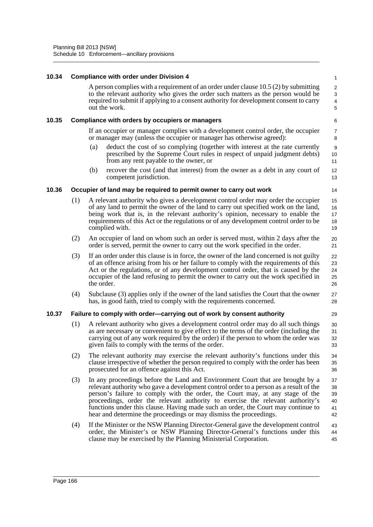### **10.34 Compliance with order under Division 4**

A person complies with a requirement of an order under clause 10.5 (2) by submitting to the relevant authority who gives the order such matters as the person would be required to submit if applying to a consent authority for development consent to carry out the work.

#### **10.35 Compliance with orders by occupiers or managers**

If an occupier or manager complies with a development control order, the occupier or manager may (unless the occupier or manager has otherwise agreed):

- (a) deduct the cost of so complying (together with interest at the rate currently prescribed by the Supreme Court rules in respect of unpaid judgment debts) from any rent payable to the owner, or
- (b) recover the cost (and that interest) from the owner as a debt in any court of competent jurisdiction.

#### **10.36 Occupier of land may be required to permit owner to carry out work**

- (1) A relevant authority who gives a development control order may order the occupier of any land to permit the owner of the land to carry out specified work on the land, being work that is, in the relevant authority's opinion, necessary to enable the requirements of this Act or the regulations or of any development control order to be complied with.
- (2) An occupier of land on whom such an order is served must, within 2 days after the order is served, permit the owner to carry out the work specified in the order.
- (3) If an order under this clause is in force, the owner of the land concerned is not guilty of an offence arising from his or her failure to comply with the requirements of this Act or the regulations, or of any development control order, that is caused by the occupier of the land refusing to permit the owner to carry out the work specified in the order.
- (4) Subclause (3) applies only if the owner of the land satisfies the Court that the owner has, in good faith, tried to comply with the requirements concerned.

#### **10.37 Failure to comply with order—carrying out of work by consent authority**

- (1) A relevant authority who gives a development control order may do all such things as are necessary or convenient to give effect to the terms of the order (including the carrying out of any work required by the order) if the person to whom the order was given fails to comply with the terms of the order. 30 31 32 33
- (2) The relevant authority may exercise the relevant authority's functions under this clause irrespective of whether the person required to comply with the order has been prosecuted for an offence against this Act.  $24$ 35 36
- (3) In any proceedings before the Land and Environment Court that are brought by a relevant authority who gave a development control order to a person as a result of the person's failure to comply with the order, the Court may, at any stage of the proceedings, order the relevant authority to exercise the relevant authority's functions under this clause. Having made such an order, the Court may continue to hear and determine the proceedings or may dismiss the proceedings. 37 38 39 40 41 42
- (4) If the Minister or the NSW Planning Director-General gave the development control order, the Minister's or NSW Planning Director-General's functions under this clause may be exercised by the Planning Ministerial Corporation. 43 44 45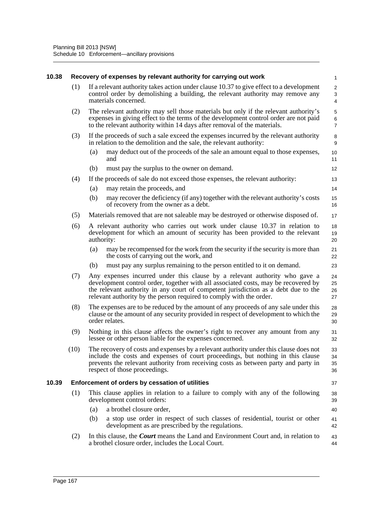### **10.38 Recovery of expenses by relevant authority for carrying out work**

| (1) If a relevant authority takes action under clause 10.37 to give effect to a development<br>control order by demolishing a building, the relevant authority may remove any<br>materials concerned. |
|-------------------------------------------------------------------------------------------------------------------------------------------------------------------------------------------------------|
|                                                                                                                                                                                                       |

21 22  $23$ 

31 32

37

40 41 42

- (2) The relevant authority may sell those materials but only if the relevant authority's expenses in giving effect to the terms of the development control order are not paid to the relevant authority within 14 days after removal of the materials.
- (3) If the proceeds of such a sale exceed the expenses incurred by the relevant authority in relation to the demolition and the sale, the relevant authority:
	- (a) may deduct out of the proceeds of the sale an amount equal to those expenses, and
	- (b) must pay the surplus to the owner on demand.

## (4) If the proceeds of sale do not exceed those expenses, the relevant authority:

- (a) may retain the proceeds, and
- (b) may recover the deficiency (if any) together with the relevant authority's costs of recovery from the owner as a debt.
- (5) Materials removed that are not saleable may be destroyed or otherwise disposed of.
- (6) A relevant authority who carries out work under clause 10.37 in relation to development for which an amount of security has been provided to the relevant authority: 18 19 20
	- (a) may be recompensed for the work from the security if the security is more than the costs of carrying out the work, and
	- (b) must pay any surplus remaining to the person entitled to it on demand.
- (7) Any expenses incurred under this clause by a relevant authority who gave a development control order, together with all associated costs, may be recovered by the relevant authority in any court of competent jurisdiction as a debt due to the relevant authority by the person required to comply with the order. 24 25 26 27
- (8) The expenses are to be reduced by the amount of any proceeds of any sale under this clause or the amount of any security provided in respect of development to which the order relates. 28 29 30
- (9) Nothing in this clause affects the owner's right to recover any amount from any lessee or other person liable for the expenses concerned.
- (10) The recovery of costs and expenses by a relevant authority under this clause does not include the costs and expenses of court proceedings, but nothing in this clause prevents the relevant authority from receiving costs as between party and party in respect of those proceedings. 33 34 35 36

#### **10.39 Enforcement of orders by cessation of utilities**

- (1) This clause applies in relation to a failure to comply with any of the following development control orders: 38 39
	- (a) a brothel closure order,
	- (b) a stop use order in respect of such classes of residential, tourist or other development as are prescribed by the regulations.
- (2) In this clause, the *Court* means the Land and Environment Court and, in relation to a brothel closure order, includes the Local Court. 43 44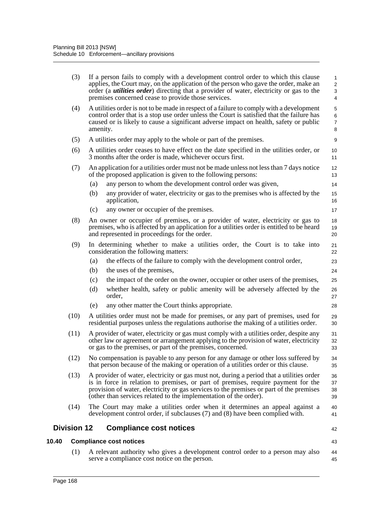|     | (3)                |          | If a person fails to comply with a development control order to which this clause<br>applies, the Court may, on the application of the person who gave the order, make an<br>order (a <i>utilities order</i> ) directing that a provider of water, electricity or gas to the<br>premises concerned cease to provide those services.           | 1<br>$\overline{2}$<br>$\mathsf 3$<br>4 |
|-----|--------------------|----------|-----------------------------------------------------------------------------------------------------------------------------------------------------------------------------------------------------------------------------------------------------------------------------------------------------------------------------------------------|-----------------------------------------|
|     | (4)                | amenity. | A utilities order is not to be made in respect of a failure to comply with a development<br>control order that is a stop use order unless the Court is satisfied that the failure has<br>caused or is likely to cause a significant adverse impact on health, safety or public                                                                | 5<br>6<br>$\overline{7}$<br>8           |
|     | (5)                |          | A utilities order may apply to the whole or part of the premises.                                                                                                                                                                                                                                                                             | 9                                       |
|     | (6)                |          | A utilities order ceases to have effect on the date specified in the utilities order, or<br>3 months after the order is made, whichever occurs first.                                                                                                                                                                                         | 10<br>11                                |
|     | (7)                |          | An application for a utilities order must not be made unless not less than 7 days notice<br>of the proposed application is given to the following persons:                                                                                                                                                                                    | 12<br>13                                |
|     |                    | (a)      | any person to whom the development control order was given,                                                                                                                                                                                                                                                                                   | 14                                      |
|     |                    | (b)      | any provider of water, electricity or gas to the premises who is affected by the<br>application,                                                                                                                                                                                                                                              | 15<br>16                                |
|     |                    | (c)      | any owner or occupier of the premises.                                                                                                                                                                                                                                                                                                        | 17                                      |
|     | (8)                |          | An owner or occupier of premises, or a provider of water, electricity or gas to<br>premises, who is affected by an application for a utilities order is entitled to be heard<br>and represented in proceedings for the order.                                                                                                                 | 18<br>19<br>20                          |
|     | (9)                |          | In determining whether to make a utilities order, the Court is to take into<br>consideration the following matters:                                                                                                                                                                                                                           | 21<br>22                                |
|     |                    | (a)      | the effects of the failure to comply with the development control order,                                                                                                                                                                                                                                                                      | 23                                      |
|     |                    | (b)      | the uses of the premises,                                                                                                                                                                                                                                                                                                                     | 24                                      |
|     |                    | (c)      | the impact of the order on the owner, occupier or other users of the premises,                                                                                                                                                                                                                                                                | 25                                      |
|     |                    | (d)      | whether health, safety or public amenity will be adversely affected by the<br>order,                                                                                                                                                                                                                                                          | 26<br>27                                |
|     |                    | (e)      | any other matter the Court thinks appropriate.                                                                                                                                                                                                                                                                                                | 28                                      |
|     | (10)               |          | A utilities order must not be made for premises, or any part of premises, used for<br>residential purposes unless the regulations authorise the making of a utilities order.                                                                                                                                                                  | 29<br>30                                |
|     | (11)               |          | A provider of water, electricity or gas must comply with a utilities order, despite any<br>other law or agreement or arrangement applying to the provision of water, electricity<br>or gas to the premises, or part of the premises, concerned.                                                                                               | 31<br>32<br>33                          |
|     | (12)               |          | No compensation is payable to any person for any damage or other loss suffered by<br>that person because of the making or operation of a utilities order or this clause.                                                                                                                                                                      | 34<br>35                                |
|     | (13)               |          | A provider of water, electricity or gas must not, during a period that a utilities order<br>is in force in relation to premises, or part of premises, require payment for the<br>provision of water, electricity or gas services to the premises or part of the premises<br>(other than services related to the implementation of the order). | 36<br>37<br>38<br>39                    |
|     | (14)               |          | The Court may make a utilities order when it determines an appeal against a<br>development control order, if subclauses (7) and (8) have been complied with.                                                                                                                                                                                  | 40<br>41                                |
|     | <b>Division 12</b> |          | <b>Compliance cost notices</b>                                                                                                                                                                                                                                                                                                                | 42                                      |
| .40 |                    |          | <b>Compliance cost notices</b>                                                                                                                                                                                                                                                                                                                | 43                                      |
|     | (1)                |          | A relevant authority who gives a development control order to a person may also<br>serve a compliance cost notice on the person.                                                                                                                                                                                                              | 44<br>45                                |

**10.40**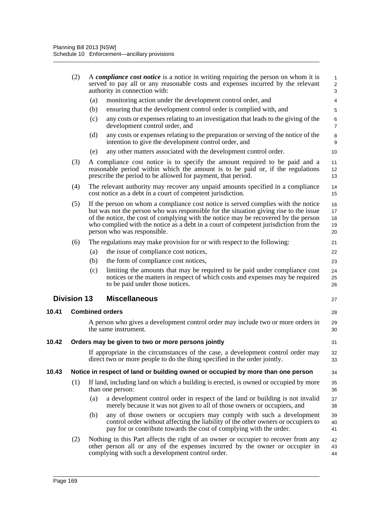|       | (2)                |     | A <i>compliance cost notice</i> is a notice in writing requiring the person on whom it is<br>served to pay all or any reasonable costs and expenses incurred by the relevant<br>authority in connection with:                                                                                                                                                                            | 1<br>$\sqrt{2}$<br>$\ensuremath{\mathsf{3}}$ |
|-------|--------------------|-----|------------------------------------------------------------------------------------------------------------------------------------------------------------------------------------------------------------------------------------------------------------------------------------------------------------------------------------------------------------------------------------------|----------------------------------------------|
|       |                    | (a) | monitoring action under the development control order, and                                                                                                                                                                                                                                                                                                                               | 4                                            |
|       |                    | (b) | ensuring that the development control order is complied with, and                                                                                                                                                                                                                                                                                                                        | $\mathbf 5$                                  |
|       |                    | (c) | any costs or expenses relating to an investigation that leads to the giving of the<br>development control order, and                                                                                                                                                                                                                                                                     | $\,6$<br>$\overline{7}$                      |
|       |                    | (d) | any costs or expenses relating to the preparation or serving of the notice of the<br>intention to give the development control order, and                                                                                                                                                                                                                                                | $\,$ 8 $\,$<br>9                             |
|       |                    | (e) | any other matters associated with the development control order.                                                                                                                                                                                                                                                                                                                         | 10                                           |
|       | (3)                |     | A compliance cost notice is to specify the amount required to be paid and a<br>reasonable period within which the amount is to be paid or, if the regulations<br>prescribe the period to be allowed for payment, that period.                                                                                                                                                            | 11<br>12<br>13                               |
|       | (4)                |     | The relevant authority may recover any unpaid amounts specified in a compliance<br>cost notice as a debt in a court of competent jurisdiction.                                                                                                                                                                                                                                           | 14<br>15                                     |
|       | (5)                |     | If the person on whom a compliance cost notice is served complies with the notice<br>but was not the person who was responsible for the situation giving rise to the issue<br>of the notice, the cost of complying with the notice may be recovered by the person<br>who complied with the notice as a debt in a court of competent jurisdiction from the<br>person who was responsible. | 16<br>17<br>18<br>19<br>20                   |
|       | (6)                |     | The regulations may make provision for or with respect to the following:                                                                                                                                                                                                                                                                                                                 | 21                                           |
|       |                    | (a) | the issue of compliance cost notices,                                                                                                                                                                                                                                                                                                                                                    | 22                                           |
|       |                    | (b) | the form of compliance cost notices,                                                                                                                                                                                                                                                                                                                                                     | 23                                           |
|       |                    | (c) | limiting the amounts that may be required to be paid under compliance cost<br>notices or the matters in respect of which costs and expenses may be required<br>to be paid under those notices.                                                                                                                                                                                           | 24<br>25<br>26                               |
|       | <b>Division 13</b> |     | <b>Miscellaneous</b>                                                                                                                                                                                                                                                                                                                                                                     | 27                                           |
| 10.41 |                    |     | <b>Combined orders</b>                                                                                                                                                                                                                                                                                                                                                                   | 28                                           |
|       |                    |     | A person who gives a development control order may include two or more orders in<br>the same instrument.                                                                                                                                                                                                                                                                                 | 29<br>30                                     |
| 10.42 |                    |     | Orders may be given to two or more persons jointly                                                                                                                                                                                                                                                                                                                                       | 31                                           |
|       |                    |     | If appropriate in the circumstances of the case, a development control order may<br>direct two or more people to do the thing specified in the order jointly.                                                                                                                                                                                                                            | 32<br>33                                     |
| 10.43 |                    |     | Notice in respect of land or building owned or occupied by more than one person                                                                                                                                                                                                                                                                                                          | 34                                           |
|       | (1)                |     | If land, including land on which a building is erected, is owned or occupied by more<br>than one person:                                                                                                                                                                                                                                                                                 | 35<br>36                                     |
|       |                    | (a) | a development control order in respect of the land or building is not invalid<br>merely because it was not given to all of those owners or occupiers, and                                                                                                                                                                                                                                | 37<br>38                                     |
|       |                    | (b) | any of those owners or occupiers may comply with such a development<br>control order without affecting the liability of the other owners or occupiers to<br>pay for or contribute towards the cost of complying with the order.                                                                                                                                                          | 39<br>40<br>41                               |
|       | (2)                |     | Nothing in this Part affects the right of an owner or occupier to recover from any<br>other person all or any of the expenses incurred by the owner or occupier in<br>complying with such a development control order.                                                                                                                                                                   | 42<br>43<br>44                               |
|       |                    |     |                                                                                                                                                                                                                                                                                                                                                                                          |                                              |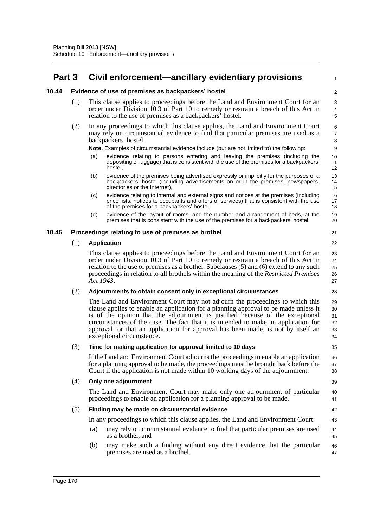## **Part 3 Civil enforcement—ancillary evidentiary provisions**

#### **10.44 Evidence of use of premises as backpackers' hostel**

(1) This clause applies to proceedings before the Land and Environment Court for an order under Division 10.3 of Part 10 to remedy or restrain a breach of this Act in relation to the use of premises as a backpackers' hostel.

1

35

39

(2) In any proceedings to which this clause applies, the Land and Environment Court may rely on circumstantial evidence to find that particular premises are used as a backpackers' hostel.

**Note.** Examples of circumstantial evidence include (but are not limited to) the following:

- (a) evidence relating to persons entering and leaving the premises (including the depositing of luggage) that is consistent with the use of the premises for a backpackers' hostel,
- (b) evidence of the premises being advertised expressly or implicitly for the purposes of a backpackers' hostel (including advertisements on or in the premises, newspapers, directories or the Internet),
- (c) evidence relating to internal and external signs and notices at the premises (including price lists, notices to occupants and offers of services) that is consistent with the use of the premises for a backpackers' hostel,
- (d) evidence of the layout of rooms, and the number and arrangement of beds, at the premises that is consistent with the use of the premises for a backpackers' hostel. 19 20

## **10.45 Proceedings relating to use of premises as brothel**

#### (1) **Application**

This clause applies to proceedings before the Land and Environment Court for an order under Division 10.3 of Part 10 to remedy or restrain a breach of this Act in relation to the use of premises as a brothel. Subclauses (5) and (6) extend to any such proceedings in relation to all brothels within the meaning of the *Restricted Premises Act 1943*.

#### (2) **Adjournments to obtain consent only in exceptional circumstances**

The Land and Environment Court may not adjourn the proceedings to which this clause applies to enable an application for a planning approval to be made unless it is of the opinion that the adjournment is justified because of the exceptional circumstances of the case. The fact that it is intended to make an application for approval, or that an application for approval has been made, is not by itself an exceptional circumstance. 29 30 31 32 33 34

#### (3) **Time for making application for approval limited to 10 days**

If the Land and Environment Court adjourns the proceedings to enable an application for a planning approval to be made, the proceedings must be brought back before the Court if the application is not made within 10 working days of the adjournment. 36 37 38

#### (4) **Only one adjournment**

The Land and Environment Court may make only one adjournment of particular proceedings to enable an application for a planning approval to be made. 40 41

#### (5) **Finding may be made on circumstantial evidence**

In any proceedings to which this clause applies, the Land and Environment Court:

- (a) may rely on circumstantial evidence to find that particular premises are used as a brothel, and
- (b) may make such a finding without any direct evidence that the particular premises are used as a brothel. 46 47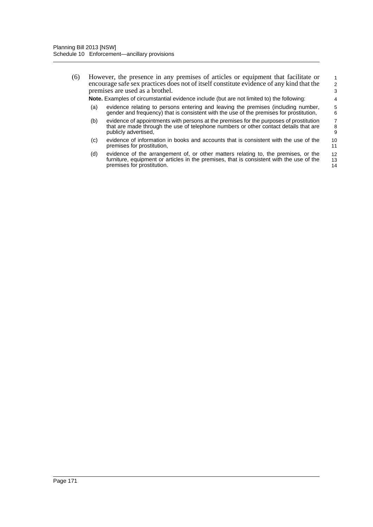| (6) |     | However, the presence in any premises of articles or equipment that facilitate or<br>encourage safe sex practices does not of itself constitute evidence of any kind that the                                | 1<br>$\mathcal{P}$ |
|-----|-----|--------------------------------------------------------------------------------------------------------------------------------------------------------------------------------------------------------------|--------------------|
|     |     | premises are used as a brothel.                                                                                                                                                                              | 3                  |
|     |     | <b>Note.</b> Examples of circumstantial evidence include (but are not limited to) the following:                                                                                                             | 4                  |
|     | (a) | evidence relating to persons entering and leaving the premises (including number,<br>gender and frequency) that is consistent with the use of the premises for prostitution,                                 | 5<br>6             |
|     | (b) | evidence of appointments with persons at the premises for the purposes of prostitution<br>that are made through the use of telephone numbers or other contact details that are<br>publicly advertised.       | 7<br>8<br>9        |
|     | (c) | evidence of information in books and accounts that is consistent with the use of the<br>premises for prostitution.                                                                                           | 10<br>11           |
|     | (d) | evidence of the arrangement of, or other matters relating to, the premises, or the<br>furniture, equipment or articles in the premises, that is consistent with the use of the<br>premises for prostitution. | 12<br>13<br>14     |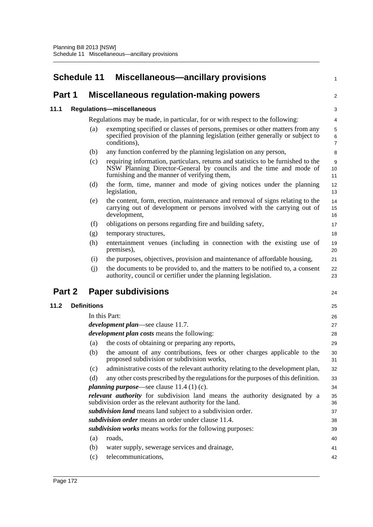|        | <b>Schedule 11</b> | <b>Miscellaneous-ancillary provisions</b>                                                                                                                                                               |                          |  |
|--------|--------------------|---------------------------------------------------------------------------------------------------------------------------------------------------------------------------------------------------------|--------------------------|--|
| Part 1 |                    | <b>Miscellaneous regulation-making powers</b>                                                                                                                                                           | $\overline{\mathbf{c}}$  |  |
| 11.1   |                    | <b>Regulations-miscellaneous</b>                                                                                                                                                                        | 3                        |  |
|        |                    | Regulations may be made, in particular, for or with respect to the following:                                                                                                                           | 4                        |  |
|        | (a)                | exempting specified or classes of persons, premises or other matters from any<br>specified provision of the planning legislation (either generally or subject to<br>conditions),                        | 5<br>6<br>$\overline{7}$ |  |
|        | (b)                | any function conferred by the planning legislation on any person,                                                                                                                                       | 8                        |  |
|        | (c)                | requiring information, particulars, returns and statistics to be furnished to the<br>NSW Planning Director-General by councils and the time and mode of<br>furnishing and the manner of verifying them, | 9<br>10<br>11            |  |
|        | (d)                | the form, time, manner and mode of giving notices under the planning<br>legislation,                                                                                                                    | 12<br>13                 |  |
|        | (e)                | the content, form, erection, maintenance and removal of signs relating to the<br>carrying out of development or persons involved with the carrying out of<br>development,                               | 14<br>15<br>16           |  |
|        | (f)                | obligations on persons regarding fire and building safety,                                                                                                                                              | 17                       |  |
|        | (g)                | temporary structures,                                                                                                                                                                                   | 18                       |  |
|        | (h)                | entertainment venues (including in connection with the existing use of<br>premises),                                                                                                                    | 19<br>20                 |  |
|        | (i)                | the purposes, objectives, provision and maintenance of affordable housing,                                                                                                                              | 21                       |  |
|        | (i)                | the documents to be provided to, and the matters to be notified to, a consent<br>authority, council or certifier under the planning legislation.                                                        | 22<br>23                 |  |
| Part 2 |                    | <b>Paper subdivisions</b>                                                                                                                                                                               | 24                       |  |
| 11.2   | <b>Definitions</b> |                                                                                                                                                                                                         | 25                       |  |
|        |                    | In this Part:                                                                                                                                                                                           | 26                       |  |
|        |                    | <i>development plan—see clause 11.7.</i>                                                                                                                                                                | 27                       |  |
|        |                    | <i>development plan costs</i> means the following:                                                                                                                                                      | 28                       |  |
|        | (a)                | the costs of obtaining or preparing any reports,                                                                                                                                                        | 29                       |  |
|        | (b)                | the amount of any contributions, fees or other charges applicable to the<br>proposed subdivision or subdivision works,                                                                                  | 30<br>31                 |  |
|        | (c)                | administrative costs of the relevant authority relating to the development plan,                                                                                                                        | 32                       |  |
|        | (d)                | any other costs prescribed by the regulations for the purposes of this definition.                                                                                                                      | 33                       |  |
|        |                    | <i>planning purpose</i> —see clause $11.4(1)(c)$ .                                                                                                                                                      | 34                       |  |
|        |                    | relevant authority for subdivision land means the authority designated by a<br>subdivision order as the relevant authority for the land.                                                                | 35<br>36                 |  |
|        |                    | subdivision land means land subject to a subdivision order.                                                                                                                                             | 37                       |  |
|        |                    | subdivision order means an order under clause 11.4.                                                                                                                                                     | 38                       |  |
|        |                    | subdivision works means works for the following purposes:                                                                                                                                               | 39                       |  |
|        | (a)                | roads,                                                                                                                                                                                                  | 40                       |  |
|        | (b)                | water supply, sewerage services and drainage,                                                                                                                                                           | 41                       |  |
|        | (c)                | telecommunications,                                                                                                                                                                                     | 42                       |  |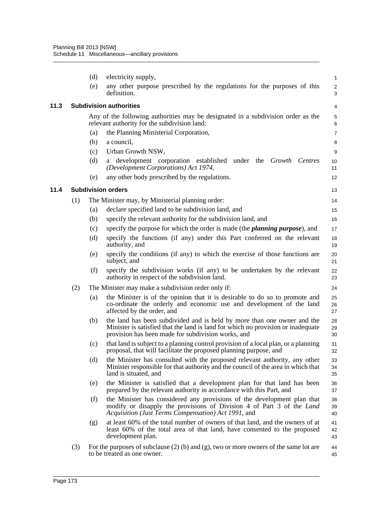|      |     | (d) | electricity supply,                                                                                                                                                                                               | $\mathbf{1}$        |
|------|-----|-----|-------------------------------------------------------------------------------------------------------------------------------------------------------------------------------------------------------------------|---------------------|
|      |     | (e) | any other purpose prescribed by the regulations for the purposes of this<br>definition.                                                                                                                           | $\overline{2}$<br>3 |
| 11.3 |     |     | <b>Subdivision authorities</b>                                                                                                                                                                                    | 4                   |
|      |     |     | Any of the following authorities may be designated in a subdivision order as the<br>relevant authority for the subdivision land:                                                                                  | 5<br>6              |
|      |     | (a) | the Planning Ministerial Corporation,                                                                                                                                                                             | $\overline{7}$      |
|      |     | (b) | a council,                                                                                                                                                                                                        | 8                   |
|      |     | (c) | Urban Growth NSW,                                                                                                                                                                                                 | 9                   |
|      |     | (d) | a development corporation established under the Growth Centres<br>(Development Corporations) Act 1974,                                                                                                            | 10<br>11            |
|      |     | (e) | any other body prescribed by the regulations.                                                                                                                                                                     | 12                  |
| 11.4 |     |     | <b>Subdivision orders</b>                                                                                                                                                                                         | 13                  |
|      | (1) |     | The Minister may, by Ministerial planning order:                                                                                                                                                                  | 14                  |
|      |     | (a) | declare specified land to be subdivision land, and                                                                                                                                                                | 15                  |
|      |     | (b) | specify the relevant authority for the subdivision land, and                                                                                                                                                      | 16                  |
|      |     | (c) | specify the purpose for which the order is made (the <i>planning purpose</i> ), and                                                                                                                               | 17                  |
|      |     | (d) | specify the functions (if any) under this Part conferred on the relevant<br>authority, and                                                                                                                        | 18<br>19            |
|      |     | (e) | specify the conditions (if any) to which the exercise of those functions are<br>subject, and                                                                                                                      | 20<br>21            |
|      |     | (f) | specify the subdivision works (if any) to be undertaken by the relevant<br>authority in respect of the subdivision land.                                                                                          | 22<br>23            |
|      | (2) |     | The Minister may make a subdivision order only if:                                                                                                                                                                | 24                  |
|      |     | (a) | the Minister is of the opinion that it is desirable to do so to promote and<br>co-ordinate the orderly and economic use and development of the land<br>affected by the order, and                                 | 25<br>26<br>27      |
|      |     | (b) | the land has been subdivided and is held by more than one owner and the<br>Minister is satisfied that the land is land for which no provision or inadequate<br>provision has been made for subdivision works, and | 28<br>29<br>30      |
|      |     | (c) | that land is subject to a planning control provision of a local plan, or a planning<br>proposal, that will facilitate the proposed planning purpose, and                                                          | 31<br>32            |
|      |     | (d) | the Minister has consulted with the proposed relevant authority, any other<br>Minister responsible for that authority and the council of the area in which that<br>land is situated, and                          | 33<br>34<br>35      |
|      |     | (e) | the Minister is satisfied that a development plan for that land has been<br>prepared by the relevant authority in accordance with this Part, and                                                                  | 36<br>37            |
|      |     | (f) | the Minister has considered any provisions of the development plan that<br>modify or disapply the provisions of Division 4 of Part 3 of the Land<br>Acquisition (Just Terms Compensation) Act 1991, and           | 38<br>39<br>40      |
|      |     | (g) | at least 60% of the total number of owners of that land, and the owners of at<br>least 60% of the total area of that land, have consented to the proposed<br>development plan.                                    | 41<br>42<br>43      |
|      | (3) |     | For the purposes of subclause $(2)$ (b) and $(g)$ , two or more owners of the same lot are<br>to be treated as one owner.                                                                                         | 44<br>45            |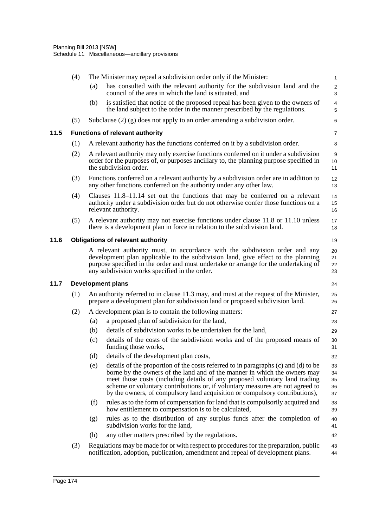|      | (4) | The Minister may repeal a subdivision order only if the Minister:                                                                                                                                                                                                                                                                                                                                                    | $\mathbf{1}$                 |  |  |  |
|------|-----|----------------------------------------------------------------------------------------------------------------------------------------------------------------------------------------------------------------------------------------------------------------------------------------------------------------------------------------------------------------------------------------------------------------------|------------------------------|--|--|--|
|      |     | has consulted with the relevant authority for the subdivision land and the<br>(a)<br>council of the area in which the land is situated, and                                                                                                                                                                                                                                                                          | $\overline{c}$<br>3          |  |  |  |
|      |     | is satisfied that notice of the proposed repeal has been given to the owners of<br>(b)<br>the land subject to the order in the manner prescribed by the regulations.                                                                                                                                                                                                                                                 | $\overline{\mathbf{4}}$<br>5 |  |  |  |
|      | (5) | Subclause $(2)$ (g) does not apply to an order amending a subdivision order.                                                                                                                                                                                                                                                                                                                                         | 6                            |  |  |  |
| 11.5 |     | <b>Functions of relevant authority</b>                                                                                                                                                                                                                                                                                                                                                                               | $\overline{7}$               |  |  |  |
|      | (1) | A relevant authority has the functions conferred on it by a subdivision order.                                                                                                                                                                                                                                                                                                                                       | 8                            |  |  |  |
|      | (2) | A relevant authority may only exercise functions conferred on it under a subdivision<br>order for the purposes of, or purposes ancillary to, the planning purpose specified in<br>the subdivision order.                                                                                                                                                                                                             | $\boldsymbol{9}$<br>10<br>11 |  |  |  |
|      | (3) | Functions conferred on a relevant authority by a subdivision order are in addition to<br>any other functions conferred on the authority under any other law.                                                                                                                                                                                                                                                         | 12<br>13                     |  |  |  |
|      | (4) | Clauses 11.8–11.14 set out the functions that may be conferred on a relevant<br>authority under a subdivision order but do not otherwise confer those functions on a<br>relevant authority.                                                                                                                                                                                                                          | 14<br>15<br>16               |  |  |  |
|      | (5) | A relevant authority may not exercise functions under clause 11.8 or 11.10 unless<br>there is a development plan in force in relation to the subdivision land.                                                                                                                                                                                                                                                       | 17<br>18                     |  |  |  |
| 11.6 |     | <b>Obligations of relevant authority</b>                                                                                                                                                                                                                                                                                                                                                                             | 19                           |  |  |  |
|      |     | A relevant authority must, in accordance with the subdivision order and any<br>development plan applicable to the subdivision land, give effect to the planning<br>purpose specified in the order and must undertake or arrange for the undertaking of<br>any subdivision works specified in the order.                                                                                                              | 20<br>21<br>22<br>23         |  |  |  |
| 11.7 |     | <b>Development plans</b>                                                                                                                                                                                                                                                                                                                                                                                             | 24                           |  |  |  |
|      | (1) | An authority referred to in clause 11.3 may, and must at the request of the Minister,<br>prepare a development plan for subdivision land or proposed subdivision land.                                                                                                                                                                                                                                               | 25<br>26                     |  |  |  |
|      | (2) | A development plan is to contain the following matters:<br>27                                                                                                                                                                                                                                                                                                                                                        |                              |  |  |  |
|      |     | a proposed plan of subdivision for the land,<br>(a)                                                                                                                                                                                                                                                                                                                                                                  | 28                           |  |  |  |
|      |     | details of subdivision works to be undertaken for the land,<br>(b)                                                                                                                                                                                                                                                                                                                                                   | 29                           |  |  |  |
|      |     | details of the costs of the subdivision works and of the proposed means of<br>(c)<br>funding those works,                                                                                                                                                                                                                                                                                                            | 30<br>31                     |  |  |  |
|      |     | (d)<br>details of the development plan costs,                                                                                                                                                                                                                                                                                                                                                                        | 32                           |  |  |  |
|      |     | details of the proportion of the costs referred to in paragraphs (c) and (d) to be<br>(e)<br>borne by the owners of the land and of the manner in which the owners may<br>meet those costs (including details of any proposed voluntary land trading<br>scheme or voluntary contributions or, if voluntary measures are not agreed to<br>by the owners, of compulsory land acquisition or compulsory contributions), | 33<br>34<br>35<br>36<br>37   |  |  |  |
|      |     | (f)<br>rules as to the form of compensation for land that is compulsorily acquired and<br>how entitlement to compensation is to be calculated,                                                                                                                                                                                                                                                                       | 38<br>39                     |  |  |  |
|      |     | rules as to the distribution of any surplus funds after the completion of<br>(g)<br>subdivision works for the land,                                                                                                                                                                                                                                                                                                  | 40<br>41                     |  |  |  |
|      |     | any other matters prescribed by the regulations.<br>(h)                                                                                                                                                                                                                                                                                                                                                              | 42                           |  |  |  |
|      | (3) | Regulations may be made for or with respect to procedures for the preparation, public<br>notification, adoption, publication, amendment and repeal of development plans.                                                                                                                                                                                                                                             | 43<br>44                     |  |  |  |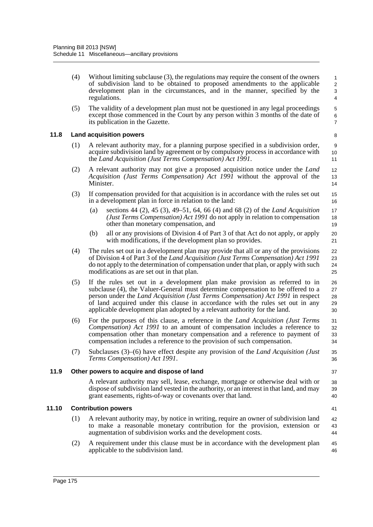| (4) | Without limiting subclause (3), the regulations may require the consent of the owners                                                                                     |
|-----|---------------------------------------------------------------------------------------------------------------------------------------------------------------------------|
|     | of subdivision land to be obtained to proposed amendments to the applicable<br>development plan in the circumstances, and in the manner, specified by the<br>regulations. |

(5) The validity of a development plan must not be questioned in any legal proceedings except those commenced in the Court by any person within 3 months of the date of its publication in the Gazette.

## **11.8 Land acquisition powers**

8

9 10 11

- (1) A relevant authority may, for a planning purpose specified in a subdivision order, acquire subdivision land by agreement or by compulsory process in accordance with the *Land Acquisition (Just Terms Compensation) Act 1991*.
- (2) A relevant authority may not give a proposed acquisition notice under the *Land Acquisition (Just Terms Compensation) Act 1991* without the approval of the Minister. 12 13 14
- (3) If compensation provided for that acquisition is in accordance with the rules set out in a development plan in force in relation to the land: 15 16
	- (a) sections 44 (2), 45 (3), 49–51, 64, 66 (4) and 68 (2) of the *Land Acquisition (Just Terms Compensation) Act 1991* do not apply in relation to compensation other than monetary compensation, and 17 18 19
	- (b) all or any provisions of Division 4 of Part 3 of that Act do not apply, or apply with modifications, if the development plan so provides.  $20$ 21
- (4) The rules set out in a development plan may provide that all or any of the provisions of Division 4 of Part 3 of the *Land Acquisition (Just Terms Compensation) Act 1991* do not apply to the determination of compensation under that plan, or apply with such modifications as are set out in that plan. 22 23 24 25
- (5) If the rules set out in a development plan make provision as referred to in subclause (4), the Valuer-General must determine compensation to be offered to a person under the *Land Acquisition (Just Terms Compensation) Act 1991* in respect of land acquired under this clause in accordance with the rules set out in any applicable development plan adopted by a relevant authority for the land. 26 27 28 29 30
- (6) For the purposes of this clause, a reference in the *Land Acquisition (Just Terms Compensation) Act 1991* to an amount of compensation includes a reference to compensation other than monetary compensation and a reference to payment of compensation includes a reference to the provision of such compensation. 31  $22$ 33 34
- (7) Subclauses (3)–(6) have effect despite any provision of the *Land Acquisition (Just Terms Compensation) Act 1991*.

## **11.9 Other powers to acquire and dispose of land**

37 38

39 40

35 36

A relevant authority may sell, lease, exchange, mortgage or otherwise deal with or dispose of subdivision land vested in the authority, or an interest in that land, and may grant easements, rights-of-way or covenants over that land.

## **11.10 Contribution powers**

- (1) A relevant authority may, by notice in writing, require an owner of subdivision land to make a reasonable monetary contribution for the provision, extension or augmentation of subdivision works and the development costs.
- (2) A requirement under this clause must be in accordance with the development plan applicable to the subdivision land. 45 46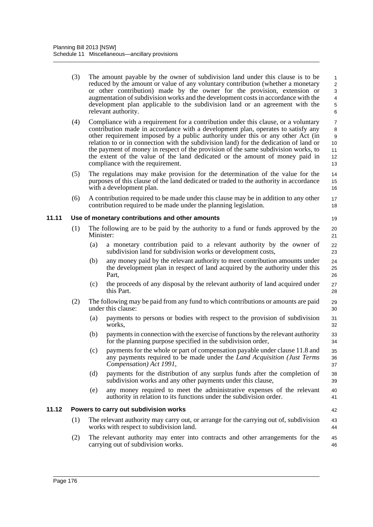(3) The amount payable by the owner of subdivision land under this clause is to be reduced by the amount or value of any voluntary contribution (whether a monetary or other contribution) made by the owner for the provision, extension or augmentation of subdivision works and the development costs in accordance with the development plan applicable to the subdivision land or an agreement with the relevant authority.

33 34

38 39

42

- (4) Compliance with a requirement for a contribution under this clause, or a voluntary contribution made in accordance with a development plan, operates to satisfy any other requirement imposed by a public authority under this or any other Act (in relation to or in connection with the subdivision land) for the dedication of land or the payment of money in respect of the provision of the same subdivision works, to the extent of the value of the land dedicated or the amount of money paid in compliance with the requirement. 9 10 11 12 13
- (5) The regulations may make provision for the determination of the value for the purposes of this clause of the land dedicated or traded to the authority in accordance with a development plan.
- (6) A contribution required to be made under this clause may be in addition to any other contribution required to be made under the planning legislation.

## **11.11 Use of monetary contributions and other amounts**

- (1) The following are to be paid by the authority to a fund or funds approved by the Minister:
	- (a) a monetary contribution paid to a relevant authority by the owner of subdivision land for subdivision works or development costs,
	- (b) any money paid by the relevant authority to meet contribution amounts under the development plan in respect of land acquired by the authority under this Part,
	- (c) the proceeds of any disposal by the relevant authority of land acquired under this Part.
- (2) The following may be paid from any fund to which contributions or amounts are paid under this clause: 29 30
	- (a) payments to persons or bodies with respect to the provision of subdivision works, 31 32
	- (b) payments in connection with the exercise of functions by the relevant authority for the planning purpose specified in the subdivision order,
	- (c) payments for the whole or part of compensation payable under clause 11.8 and any payments required to be made under the *Land Acquisition (Just Terms Compensation) Act 1991*, 35 36 37
	- (d) payments for the distribution of any surplus funds after the completion of subdivision works and any other payments under this clause,
	- (e) any money required to meet the administrative expenses of the relevant authority in relation to its functions under the subdivision order. 40 41

## **11.12 Powers to carry out subdivision works**

- (1) The relevant authority may carry out, or arrange for the carrying out of, subdivision works with respect to subdivision land. 43 44
- (2) The relevant authority may enter into contracts and other arrangements for the carrying out of subdivision works. 45 46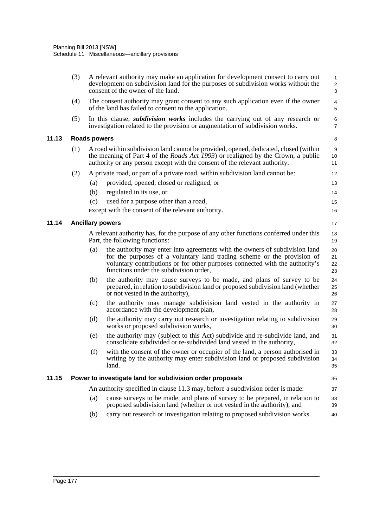|       | (3)                           |                     | A relevant authority may make an application for development consent to carry out<br>development on subdivision land for the purposes of subdivision works without the<br>consent of the owner of the land.                                                                      | 1<br>$\frac{2}{3}$   |  |
|-------|-------------------------------|---------------------|----------------------------------------------------------------------------------------------------------------------------------------------------------------------------------------------------------------------------------------------------------------------------------|----------------------|--|
|       | (4)                           |                     | The consent authority may grant consent to any such application even if the owner<br>of the land has failed to consent to the application.                                                                                                                                       | 4<br>5               |  |
|       | (5)                           |                     | In this clause, <i>subdivision works</i> includes the carrying out of any research or<br>investigation related to the provision or augmentation of subdivision works.                                                                                                            | 6<br>7               |  |
| 11.13 |                               | <b>Roads powers</b> |                                                                                                                                                                                                                                                                                  | 8                    |  |
|       | (1)                           |                     | A road within subdivision land cannot be provided, opened, dedicated, closed (within<br>the meaning of Part 4 of the <i>Roads Act 1993</i> ) or realigned by the Crown, a public<br>authority or any person except with the consent of the relevant authority.                   | 9<br>10<br>11        |  |
|       | (2)                           |                     | A private road, or part of a private road, within subdivision land cannot be:                                                                                                                                                                                                    | 12                   |  |
|       |                               | (a)                 | provided, opened, closed or realigned, or                                                                                                                                                                                                                                        | 13                   |  |
|       |                               | (b)                 | regulated in its use, or                                                                                                                                                                                                                                                         | 14                   |  |
|       |                               | (c)                 | used for a purpose other than a road,                                                                                                                                                                                                                                            | 15                   |  |
|       |                               |                     | except with the consent of the relevant authority.                                                                                                                                                                                                                               | 16                   |  |
| 11.14 | <b>Ancillary powers</b><br>17 |                     |                                                                                                                                                                                                                                                                                  |                      |  |
|       |                               |                     | A relevant authority has, for the purpose of any other functions conferred under this<br>Part, the following functions:                                                                                                                                                          | 18<br>19             |  |
|       |                               | (a)                 | the authority may enter into agreements with the owners of subdivision land<br>for the purposes of a voluntary land trading scheme or the provision of<br>voluntary contributions or for other purposes connected with the authority's<br>functions under the subdivision order, | 20<br>21<br>22<br>23 |  |
|       |                               | (b)                 | the authority may cause surveys to be made, and plans of survey to be<br>prepared, in relation to subdivision land or proposed subdivision land (whether<br>or not vested in the authority),                                                                                     | 24<br>25<br>26       |  |
|       |                               | (c)                 | the authority may manage subdivision land vested in the authority in<br>accordance with the development plan,                                                                                                                                                                    | 27<br>28             |  |
|       |                               | (d)                 | the authority may carry out research or investigation relating to subdivision<br>works or proposed subdivision works,                                                                                                                                                            | 29<br>30             |  |
|       |                               | (e)                 | the authority may (subject to this Act) subdivide and re-subdivide land, and<br>consolidate subdivided or re-subdivided land vested in the authority,                                                                                                                            | 31<br>32             |  |
|       |                               | (f)                 | with the consent of the owner or occupier of the land, a person authorised in<br>writing by the authority may enter subdivision land or proposed subdivision<br>land.                                                                                                            | 33<br>34<br>35       |  |
| 11.15 |                               |                     | Power to investigate land for subdivision order proposals                                                                                                                                                                                                                        | 36                   |  |
|       |                               |                     | An authority specified in clause 11.3 may, before a subdivision order is made:                                                                                                                                                                                                   | 37                   |  |
|       |                               | (a)                 | cause surveys to be made, and plans of survey to be prepared, in relation to<br>proposed subdivision land (whether or not vested in the authority), and                                                                                                                          | 38<br>39             |  |
|       |                               | (b)                 | carry out research or investigation relating to proposed subdivision works.                                                                                                                                                                                                      | 40                   |  |
|       |                               |                     |                                                                                                                                                                                                                                                                                  |                      |  |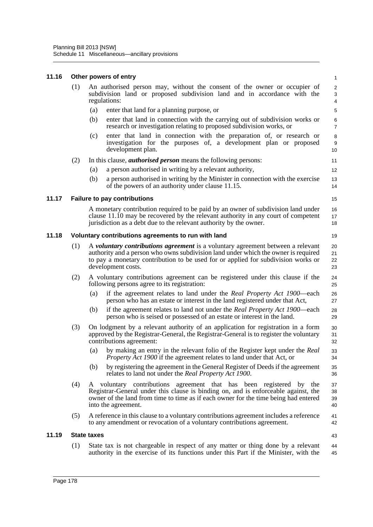## **11.16 Other powers of entry**

| 11.16 |                                                           | Other powers of entry                                                                                                                                                                                                                                                                   | $\mathbf{1}$                                                  |
|-------|-----------------------------------------------------------|-----------------------------------------------------------------------------------------------------------------------------------------------------------------------------------------------------------------------------------------------------------------------------------------|---------------------------------------------------------------|
|       | (1)                                                       | An authorised person may, without the consent of the owner or occupier of<br>subdivision land or proposed subdivision land and in accordance with the<br>regulations:                                                                                                                   | $\overline{c}$<br>$\ensuremath{\mathsf{3}}$<br>$\overline{4}$ |
|       |                                                           | enter that land for a planning purpose, or<br>(a)                                                                                                                                                                                                                                       | $\mathbf 5$                                                   |
|       |                                                           | enter that land in connection with the carrying out of subdivision works or<br>(b)<br>research or investigation relating to proposed subdivision works, or                                                                                                                              | 6<br>$\overline{7}$                                           |
|       |                                                           | enter that land in connection with the preparation of, or research or<br>(c)<br>investigation for the purposes of, a development plan or proposed<br>development plan.                                                                                                                  | 8<br>$\boldsymbol{9}$<br>10                                   |
|       | (2)                                                       | In this clause, <i>authorised person</i> means the following persons:                                                                                                                                                                                                                   | 11                                                            |
|       |                                                           | a person authorised in writing by a relevant authority,<br>(a)                                                                                                                                                                                                                          | 12                                                            |
|       |                                                           | (b)<br>a person authorised in writing by the Minister in connection with the exercise<br>of the powers of an authority under clause 11.15.                                                                                                                                              | 13<br>14                                                      |
| 11.17 |                                                           | <b>Failure to pay contributions</b>                                                                                                                                                                                                                                                     | 15                                                            |
|       |                                                           | A monetary contribution required to be paid by an owner of subdivision land under<br>clause 11.10 may be recovered by the relevant authority in any court of competent<br>jurisdiction as a debt due to the relevant authority by the owner.                                            | 16<br>17<br>18                                                |
| 11.18 | Voluntary contributions agreements to run with land<br>19 |                                                                                                                                                                                                                                                                                         |                                                               |
|       | (1)                                                       | A <i>voluntary contributions agreement</i> is a voluntary agreement between a relevant<br>authority and a person who owns subdivision land under which the owner is required<br>to pay a monetary contribution to be used for or applied for subdivision works or<br>development costs. | 20<br>21<br>22<br>23                                          |
|       | (2)                                                       | A voluntary contributions agreement can be registered under this clause if the<br>following persons agree to its registration:                                                                                                                                                          | 24<br>25                                                      |
|       |                                                           | (a)<br>if the agreement relates to land under the <i>Real Property Act 1900</i> —each<br>person who has an estate or interest in the land registered under that Act,                                                                                                                    | 26<br>27                                                      |
|       |                                                           | (b)<br>if the agreement relates to land not under the <i>Real Property Act 1900</i> —each<br>person who is seised or possessed of an estate or interest in the land.                                                                                                                    | 28<br>29                                                      |
|       | (3)                                                       | On lodgment by a relevant authority of an application for registration in a form<br>approved by the Registrar-General, the Registrar-General is to register the voluntary<br>contributions agreement:                                                                                   | 30<br>31<br>32                                                |
|       |                                                           | by making an entry in the relevant folio of the Register kept under the Real<br>(a)<br><i>Property Act 1900</i> if the agreement relates to land under that Act, or                                                                                                                     | 33<br>34                                                      |
|       |                                                           | by registering the agreement in the General Register of Deeds if the agreement<br>(b)<br>relates to land not under the Real Property Act 1900.                                                                                                                                          | 35<br>36                                                      |
|       | (4)                                                       | A voluntary contributions agreement that has been registered by the<br>Registrar-General under this clause is binding on, and is enforceable against, the<br>owner of the land from time to time as if each owner for the time being had entered<br>into the agreement.                 | 37<br>38<br>39<br>40                                          |
|       | (5)                                                       | A reference in this clause to a voluntary contributions agreement includes a reference<br>to any amendment or revocation of a voluntary contributions agreement.                                                                                                                        | 41<br>42                                                      |
| 11.19 |                                                           | <b>State taxes</b>                                                                                                                                                                                                                                                                      | 43                                                            |
|       | (1)                                                       | State tax is not chargeable in respect of any matter or thing done by a relevant<br>authority in the exercise of its functions under this Part if the Minister, with the                                                                                                                | 44<br>45                                                      |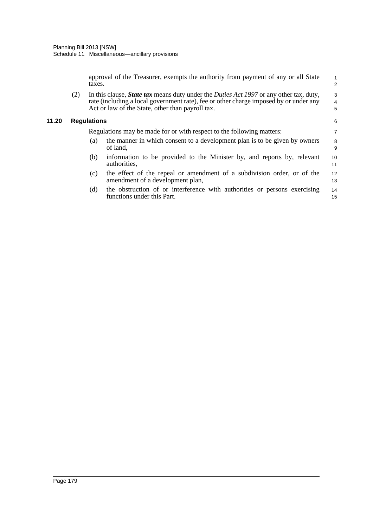approval of the Treasurer, exempts the authority from payment of any or all State taxes.

(2) In this clause, *State tax* means duty under the *Duties Act 1997* or any other tax, duty, rate (including a local government rate), fee or other charge imposed by or under any Act or law of the State, other than payroll tax.

## **11.20 Regulations**

Regulations may be made for or with respect to the following matters:

- (a) the manner in which consent to a development plan is to be given by owners of land,
- (b) information to be provided to the Minister by, and reports by, relevant authorities,
- (c) the effect of the repeal or amendment of a subdivision order, or of the amendment of a development plan, 12 13
- (d) the obstruction of or interference with authorities or persons exercising functions under this Part. 14 15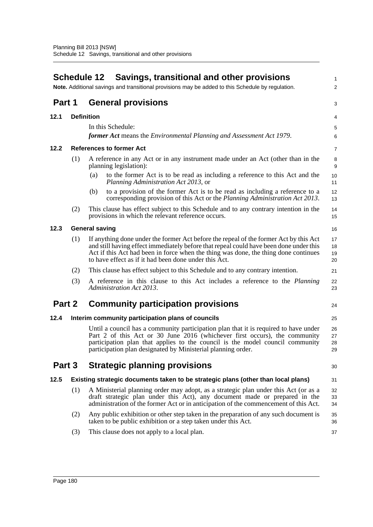|        |                   | Savings, transitional and other provisions<br><b>Schedule 12</b><br>Note. Additional savings and transitional provisions may be added to this Schedule by regulation.                                                                                                                                                           | 1<br>2               |
|--------|-------------------|---------------------------------------------------------------------------------------------------------------------------------------------------------------------------------------------------------------------------------------------------------------------------------------------------------------------------------|----------------------|
| Part 1 |                   | <b>General provisions</b>                                                                                                                                                                                                                                                                                                       | 3                    |
| 12.1   | <b>Definition</b> |                                                                                                                                                                                                                                                                                                                                 | 4                    |
|        |                   | In this Schedule:<br>former Act means the Environmental Planning and Assessment Act 1979.                                                                                                                                                                                                                                       | 5<br>6               |
| 12.2   |                   | <b>References to former Act</b>                                                                                                                                                                                                                                                                                                 | $\overline{7}$       |
|        | (1)               | A reference in any Act or in any instrument made under an Act (other than in the<br>planning legislation):                                                                                                                                                                                                                      | 8<br>9               |
|        |                   | to the former Act is to be read as including a reference to this Act and the<br>(a)<br><i>Planning Administration Act 2013, or</i>                                                                                                                                                                                              | 10<br>11             |
|        |                   | to a provision of the former Act is to be read as including a reference to a<br>(b)<br>corresponding provision of this Act or the Planning Administration Act 2013.                                                                                                                                                             | 12<br>13             |
|        | (2)               | This clause has effect subject to this Schedule and to any contrary intention in the<br>provisions in which the relevant reference occurs.                                                                                                                                                                                      | 14<br>15             |
| 12.3   |                   | <b>General saving</b>                                                                                                                                                                                                                                                                                                           | 16                   |
|        | (1)               | If anything done under the former Act before the repeal of the former Act by this Act<br>and still having effect immediately before that repeal could have been done under this<br>Act if this Act had been in force when the thing was done, the thing done continues<br>to have effect as if it had been done under this Act. | 17<br>18<br>19<br>20 |
|        | (2)               | This clause has effect subject to this Schedule and to any contrary intention.                                                                                                                                                                                                                                                  | 21                   |
|        | (3)               | A reference in this clause to this Act includes a reference to the <i>Planning</i><br>Administration Act 2013.                                                                                                                                                                                                                  | 22<br>23             |
| Part 2 |                   | <b>Community participation provisions</b>                                                                                                                                                                                                                                                                                       | 24                   |
| 12.4   |                   | Interim community participation plans of councils                                                                                                                                                                                                                                                                               | 25                   |
|        |                   | Until a council has a community participation plan that it is required to have under<br>Part 2 of this Act or 30 June 2016 (whichever first occurs), the community<br>participation plan that applies to the council is the model council community<br>participation plan designated by Ministerial planning order.             | 26<br>27<br>28<br>29 |
| Part 3 |                   | <b>Strategic planning provisions</b>                                                                                                                                                                                                                                                                                            | 30                   |
| 12.5   |                   | Existing strategic documents taken to be strategic plans (other than local plans)                                                                                                                                                                                                                                               | 31                   |
|        | (1)               | A Ministerial planning order may adopt, as a strategic plan under this Act (or as a<br>draft strategic plan under this Act), any document made or prepared in the<br>administration of the former Act or in anticipation of the commencement of this Act.                                                                       | 32<br>33<br>34       |
|        | (2)               | Any public exhibition or other step taken in the preparation of any such document is<br>taken to be public exhibition or a step taken under this Act.                                                                                                                                                                           | 35<br>36             |
|        | (3)               | This clause does not apply to a local plan.                                                                                                                                                                                                                                                                                     | 37                   |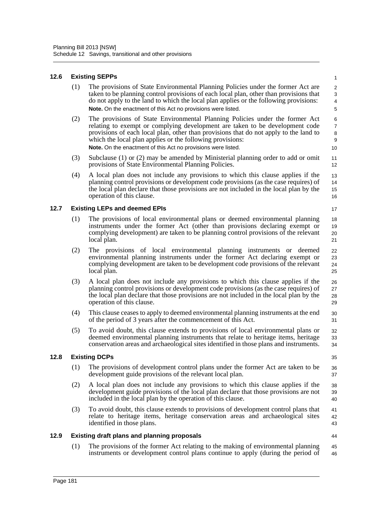## **12.6 Existing SEPPs**

| 12.6 |                      | <b>Existing SEPPs</b>                                                                                                                                                                                                                                                                                                                                                               | $\mathbf{1}$                                                     |  |
|------|----------------------|-------------------------------------------------------------------------------------------------------------------------------------------------------------------------------------------------------------------------------------------------------------------------------------------------------------------------------------------------------------------------------------|------------------------------------------------------------------|--|
|      | (1)                  | The provisions of State Environmental Planning Policies under the former Act are<br>taken to be planning control provisions of each local plan, other than provisions that<br>do not apply to the land to which the local plan applies or the following provisions:<br>Note. On the enactment of this Act no provisions were listed.                                                | $\sqrt{2}$<br>3<br>$\overline{\mathbf{4}}$<br>$\sqrt{5}$         |  |
|      | (2)                  | The provisions of State Environmental Planning Policies under the former Act<br>relating to exempt or complying development are taken to be development code<br>provisions of each local plan, other than provisions that do not apply to the land to<br>which the local plan applies or the following provisions:<br>Note. On the enactment of this Act no provisions were listed. | $\,6\,$<br>$\boldsymbol{7}$<br>$\bf 8$<br>$\boldsymbol{9}$<br>10 |  |
|      | (3)                  | Subclause (1) or (2) may be amended by Ministerial planning order to add or omit<br>provisions of State Environmental Planning Policies.                                                                                                                                                                                                                                            | 11<br>12                                                         |  |
|      | (4)                  | A local plan does not include any provisions to which this clause applies if the<br>planning control provisions or development code provisions (as the case requires) of<br>the local plan declare that those provisions are not included in the local plan by the<br>operation of this clause.                                                                                     | 13<br>14<br>15<br>16                                             |  |
| 12.7 |                      | <b>Existing LEPs and deemed EPIs</b>                                                                                                                                                                                                                                                                                                                                                | 17                                                               |  |
|      | (1)                  | The provisions of local environmental plans or deemed environmental planning<br>instruments under the former Act (other than provisions declaring exempt or<br>complying development) are taken to be planning control provisions of the relevant<br>local plan.                                                                                                                    | 18<br>19<br>20<br>21                                             |  |
|      | (2)                  | The provisions of local environmental planning instruments or deemed<br>environmental planning instruments under the former Act declaring exempt or<br>complying development are taken to be development code provisions of the relevant<br>local plan.                                                                                                                             | 22<br>23<br>24<br>25                                             |  |
|      | (3)                  | A local plan does not include any provisions to which this clause applies if the<br>planning control provisions or development code provisions (as the case requires) of<br>the local plan declare that those provisions are not included in the local plan by the<br>operation of this clause.                                                                                     | 26<br>27<br>28<br>29                                             |  |
|      | (4)                  | This clause ceases to apply to deemed environmental planning instruments at the end<br>of the period of 3 years after the commencement of this Act.                                                                                                                                                                                                                                 | 30<br>31                                                         |  |
|      | (5)                  | To avoid doubt, this clause extends to provisions of local environmental plans or<br>deemed environmental planning instruments that relate to heritage items, heritage<br>conservation areas and archaeological sites identified in those plans and instruments.                                                                                                                    | 32<br>33<br>34                                                   |  |
| 12.8 | <b>Existing DCPs</b> |                                                                                                                                                                                                                                                                                                                                                                                     |                                                                  |  |
|      | (1)                  | The provisions of development control plans under the former Act are taken to be<br>development guide provisions of the relevant local plan.                                                                                                                                                                                                                                        | 36<br>37                                                         |  |
|      | (2)                  | A local plan does not include any provisions to which this clause applies if the<br>development guide provisions of the local plan declare that those provisions are not<br>included in the local plan by the operation of this clause.                                                                                                                                             | 38<br>39<br>40                                                   |  |
|      | (3)                  | To avoid doubt, this clause extends to provisions of development control plans that<br>relate to heritage items, heritage conservation areas and archaeological sites<br>identified in those plans.                                                                                                                                                                                 | 41<br>42<br>43                                                   |  |
| 12.9 |                      | <b>Existing draft plans and planning proposals</b>                                                                                                                                                                                                                                                                                                                                  | 44                                                               |  |
|      | (1)                  | The provisions of the former Act relating to the making of environmental planning<br>instruments or development control plans continue to apply (during the period of                                                                                                                                                                                                               | 45<br>46                                                         |  |
|      |                      |                                                                                                                                                                                                                                                                                                                                                                                     |                                                                  |  |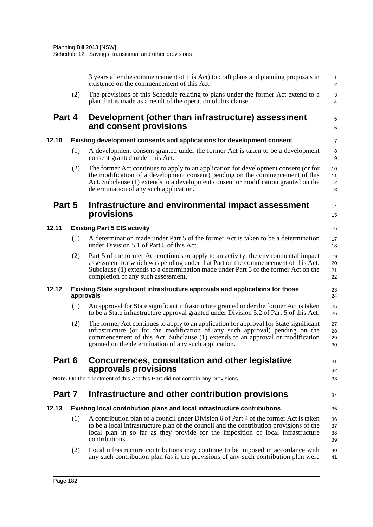|        |     | 3 years after the commencement of this Act) to draft plans and planning proposals in<br>existence on the commencement of this Act.                                                                                                                                                                                | $\mathbf{1}$<br>$\overline{2}$              |
|--------|-----|-------------------------------------------------------------------------------------------------------------------------------------------------------------------------------------------------------------------------------------------------------------------------------------------------------------------|---------------------------------------------|
|        | (2) | The provisions of this Schedule relating to plans under the former Act extend to a<br>plan that is made as a result of the operation of this clause.                                                                                                                                                              | $\ensuremath{\mathsf{3}}$<br>$\overline{4}$ |
| Part 4 |     | Development (other than infrastructure) assessment<br>and consent provisions                                                                                                                                                                                                                                      | $\mathbf 5$<br>6                            |
| 12.10  |     | <b>Existing development consents and applications for development consent</b>                                                                                                                                                                                                                                     | $\overline{7}$                              |
|        | (1) | A development consent granted under the former Act is taken to be a development<br>consent granted under this Act.                                                                                                                                                                                                | 8<br>$\boldsymbol{9}$                       |
|        | (2) | The former Act continues to apply to an application for development consent (or for<br>the modification of a development consent) pending on the commencement of this<br>Act. Subclause (1) extends to a development consent or modification granted on the<br>determination of any such application.             | 10<br>11<br>12<br>13                        |
| Part 5 |     | Infrastructure and environmental impact assessment<br>provisions                                                                                                                                                                                                                                                  | 14<br>15                                    |
| 12.11  |     | <b>Existing Part 5 EIS activity</b>                                                                                                                                                                                                                                                                               | 16                                          |
|        | (1) | A determination made under Part 5 of the former Act is taken to be a determination<br>under Division 5.1 of Part 5 of this Act.                                                                                                                                                                                   | 17<br>18                                    |
|        | (2) | Part 5 of the former Act continues to apply to an activity, the environmental impact<br>assessment for which was pending under that Part on the commencement of this Act.<br>Subclause (1) extends to a determination made under Part 5 of the former Act on the<br>completion of any such assessment.            | 19<br>20<br>21<br>22                        |
| 12.12  |     | Existing State significant infrastructure approvals and applications for those<br>approvals                                                                                                                                                                                                                       | 23<br>24                                    |
|        | (1) | An approval for State significant infrastructure granted under the former Act is taken<br>to be a State infrastructure approval granted under Division 5.2 of Part 5 of this Act.                                                                                                                                 | 25<br>26                                    |
|        | (2) | The former Act continues to apply to an application for approval for State significant<br>infrastructure (or for the modification of any such approval) pending on the<br>commencement of this Act. Subclause (1) extends to an approval or modification<br>granted on the determination of any such application. | 27<br>28<br>29<br>30                        |
| Part 6 |     | Concurrences, consultation and other legislative<br>approvals provisions                                                                                                                                                                                                                                          | 31<br>32                                    |
|        |     | Note. On the enactment of this Act this Part did not contain any provisions.                                                                                                                                                                                                                                      | 33                                          |
| Part 7 |     | Infrastructure and other contribution provisions                                                                                                                                                                                                                                                                  | 34                                          |
| 12.13  |     | Existing local contribution plans and local infrastructure contributions                                                                                                                                                                                                                                          | 35                                          |
|        | (1) | A contribution plan of a council under Division 6 of Part 4 of the former Act is taken<br>to be a local infrastructure plan of the council and the contribution provisions of the<br>local plan in so far as they provide for the imposition of local infrastructure<br>contributions.                            | 36<br>37<br>38<br>39                        |
|        |     |                                                                                                                                                                                                                                                                                                                   |                                             |

(2) Local infrastructure contributions may continue to be imposed in accordance with any such contribution plan (as if the provisions of any such contribution plan were 40 41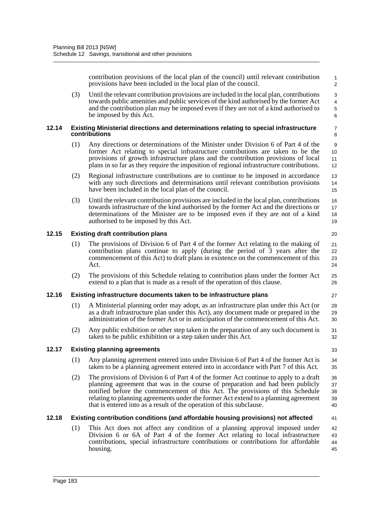contribution provisions of the local plan of the council) until relevant contribution provisions have been included in the local plan of the council.

(3) Until the relevant contribution provisions are included in the local plan, contributions towards public amenities and public services of the kind authorised by the former Act and the contribution plan may be imposed even if they are not of a kind authorised to be imposed by this Act.

#### **12.14 Existing Ministerial directions and determinations relating to special infrastructure contributions**

- (1) Any directions or determinations of the Minister under Division 6 of Part 4 of the former Act relating to special infrastructure contributions are taken to be the provisions of growth infrastructure plans and the contribution provisions of local plans in so far as they require the imposition of regional infrastructure contributions.
- (2) Regional infrastructure contributions are to continue to be imposed in accordance with any such directions and determinations until relevant contribution provisions have been included in the local plan of the council. 13 14 15
- (3) Until the relevant contribution provisions are included in the local plan, contributions towards infrastructure of the kind authorised by the former Act and the directions or determinations of the Minister are to be imposed even if they are not of a kind authorised to be imposed by this Act. 16 17 18 19

## **12.15 Existing draft contribution plans**

- (1) The provisions of Division 6 of Part 4 of the former Act relating to the making of contribution plans continue to apply (during the period of 3 years after the commencement of this Act) to draft plans in existence on the commencement of this Act.
- (2) The provisions of this Schedule relating to contribution plans under the former Act extend to a plan that is made as a result of the operation of this clause.

## **12.16 Existing infrastructure documents taken to be infrastructure plans**

- (1) A Ministerial planning order may adopt, as an infrastructure plan under this Act (or as a draft infrastructure plan under this Act), any document made or prepared in the administration of the former Act or in anticipation of the commencement of this Act. 28 29 30
- (2) Any public exhibition or other step taken in the preparation of any such document is taken to be public exhibition or a step taken under this Act.

## **12.17 Existing planning agreements**

- (1) Any planning agreement entered into under Division 6 of Part 4 of the former Act is taken to be a planning agreement entered into in accordance with Part 7 of this Act. 34 35
- (2) The provisions of Division 6 of Part 4 of the former Act continue to apply to a draft planning agreement that was in the course of preparation and had been publicly notified before the commencement of this Act. The provisions of this Schedule relating to planning agreements under the former Act extend to a planning agreement that is entered into as a result of the operation of this subclause. 36 37 38 39 40

## **12.18 Existing contribution conditions (and affordable housing provisions) not affected**

(1) This Act does not affect any condition of a planning approval imposed under Division 6 or 6A of Part 4 of the former Act relating to local infrastructure contributions, special infrastructure contributions or contributions for affordable housing. 42 43 44 45

20 21

27

33

41

31 32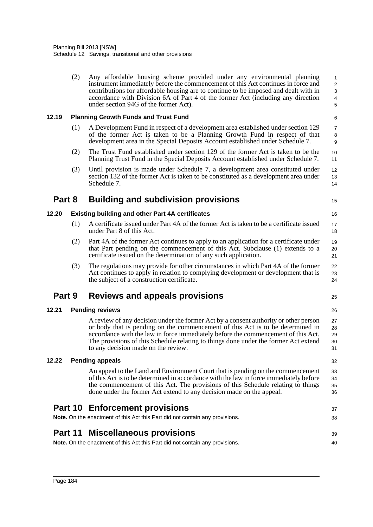|        | (2)     | Any affordable housing scheme provided under any environmental planning<br>instrument immediately before the commencement of this Act continues in force and<br>contributions for affordable housing are to continue to be imposed and dealt with in<br>accordance with Division 6A of Part 4 of the former Act (including any direction<br>under section 94G of the former Act).         | 1<br>$\overline{2}$<br>$\mathsf 3$<br>4<br>5 |
|--------|---------|-------------------------------------------------------------------------------------------------------------------------------------------------------------------------------------------------------------------------------------------------------------------------------------------------------------------------------------------------------------------------------------------|----------------------------------------------|
| 12.19  |         | <b>Planning Growth Funds and Trust Fund</b>                                                                                                                                                                                                                                                                                                                                               | 6                                            |
|        | (1)     | A Development Fund in respect of a development area established under section 129<br>of the former Act is taken to be a Planning Growth Fund in respect of that<br>development area in the Special Deposits Account established under Schedule 7.                                                                                                                                         | $\boldsymbol{7}$<br>8<br>9                   |
|        | (2)     | The Trust Fund established under section 129 of the former Act is taken to be the<br>Planning Trust Fund in the Special Deposits Account established under Schedule 7.                                                                                                                                                                                                                    | 10<br>11                                     |
|        | (3)     | Until provision is made under Schedule 7, a development area constituted under<br>section 132 of the former Act is taken to be constituted as a development area under<br>Schedule 7.                                                                                                                                                                                                     | 12<br>13<br>14                               |
| Part 8 |         | <b>Building and subdivision provisions</b>                                                                                                                                                                                                                                                                                                                                                | 15                                           |
| 12.20  |         | <b>Existing building and other Part 4A certificates</b>                                                                                                                                                                                                                                                                                                                                   | 16                                           |
|        | (1)     | A certificate issued under Part 4A of the former Act is taken to be a certificate issued<br>under Part 8 of this Act.                                                                                                                                                                                                                                                                     | 17<br>18                                     |
|        | (2)     | Part 4A of the former Act continues to apply to an application for a certificate under<br>that Part pending on the commencement of this Act. Subclause (1) extends to a<br>certificate issued on the determination of any such application.                                                                                                                                               | 19<br>20<br>21                               |
|        | (3)     | The regulations may provide for other circumstances in which Part 4A of the former<br>Act continues to apply in relation to complying development or development that is<br>the subject of a construction certificate.                                                                                                                                                                    | 22<br>23<br>24                               |
| Part 9 |         | Reviews and appeals provisions                                                                                                                                                                                                                                                                                                                                                            | 25                                           |
| 12.21  |         | <b>Pending reviews</b>                                                                                                                                                                                                                                                                                                                                                                    | 26                                           |
|        |         | A review of any decision under the former Act by a consent authority or other person<br>or body that is pending on the commencement of this Act is to be determined in<br>accordance with the law in force immediately before the commencement of this Act.<br>The provisions of this Schedule relating to things done under the former Act extend<br>to any decision made on the review. | 27<br>28<br>29<br>30<br>31                   |
| 12.22  |         | <b>Pending appeals</b>                                                                                                                                                                                                                                                                                                                                                                    | 32                                           |
|        |         | An appeal to the Land and Environment Court that is pending on the commencement<br>of this Act is to be determined in accordance with the law in force immediately before<br>the commencement of this Act. The provisions of this Schedule relating to things<br>done under the former Act extend to any decision made on the appeal.                                                     | 33<br>34<br>35<br>36                         |
|        |         | <b>Part 10 Enforcement provisions</b>                                                                                                                                                                                                                                                                                                                                                     | 37                                           |
|        |         | Note. On the enactment of this Act this Part did not contain any provisions.                                                                                                                                                                                                                                                                                                              | 38                                           |
|        | Part 11 | <b>Miscellaneous provisions</b>                                                                                                                                                                                                                                                                                                                                                           | 39                                           |
|        |         | Note. On the enactment of this Act this Part did not contain any provisions.                                                                                                                                                                                                                                                                                                              | 40                                           |